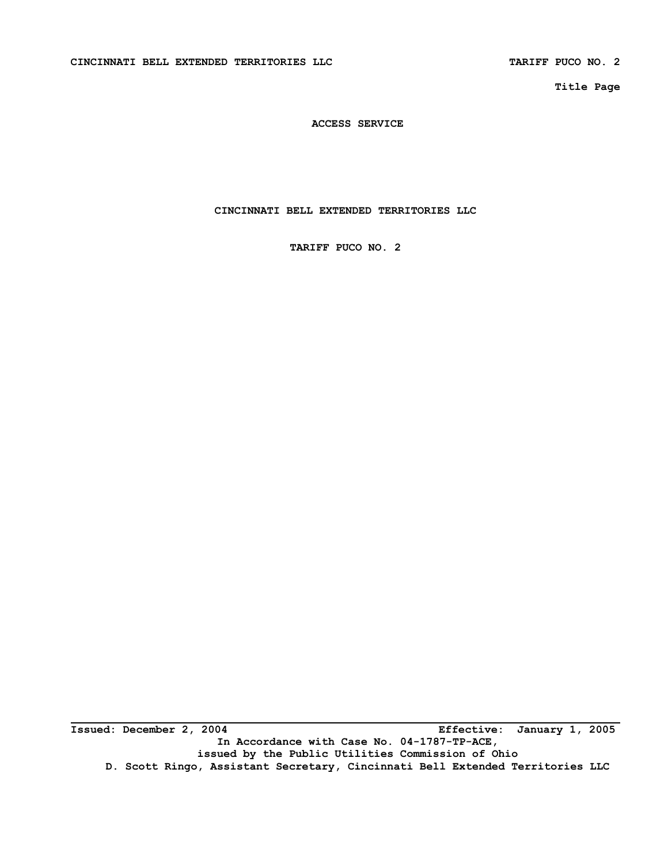**Title Page** 

**ACCESS SERVICE** 

**CINCINNATI BELL EXTENDED TERRITORIES LLC** 

**TARIFF PUCO NO. 2** 

**Issued: December 2, 2004 Effective: January 1, 2005 In Accordance with Case No. 04-1787-TP-ACE, issued by the Public Utilities Commission of Ohio D. Scott Ringo, Assistant Secretary, Cincinnati Bell Extended Territories LLC**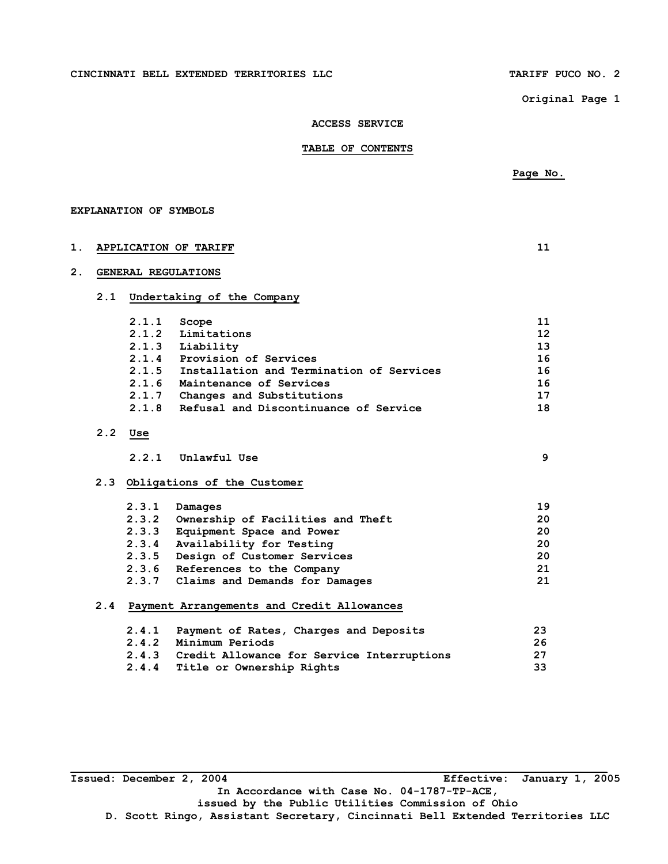#### **CINCINNATI BELL EXTENDED TERRITORIES LLC TARIFF PUCO NO. 2**

 **Page No.** 

**Original Page 1** 

#### **ACCESS SERVICE**

 **TABLE OF CONTENTS** 

# **EXPLANATION OF SYMBOLS 1. APPLICATION OF TARIFF 11 2. GENERAL REGULATIONS 2.1 Undertaking of the Company 2.1.1** Scope 11 **11 2.1.2 Limitations 12 2.1.3 Liability 13 2.1.4 Provision of Services 16 2.1.5 Installation and Termination of Services 16 2.1.6 Maintenance of Services 16 2.1.7 Changes and Substitutions 17 2.1.8 Refusal and Discontinuance of Service 18 2.2 Use 2.2.1 Unlawful Use 9 2.3 Obligations of the Customer 2.3.1 Damages 19 2.3.2 Ownership of Facilities and Theft 20 2.3.3 Equipment Space and Power 20 2.3.4 Availability for Testing 20 2.3.5 Design of Customer Services 20 2.3.6 References to the Company 21 2.3.7 Claims and Demands for Damages 21 2.4 Payment Arrangements and Credit Allowances 2.4.1 Payment of Rates, Charges and Deposits 23 2.4.2 Minimum Periods 26 2.4.3 Credit Allowance for Service Interruptions 27 2.4.4 Title or Ownership Rights 33**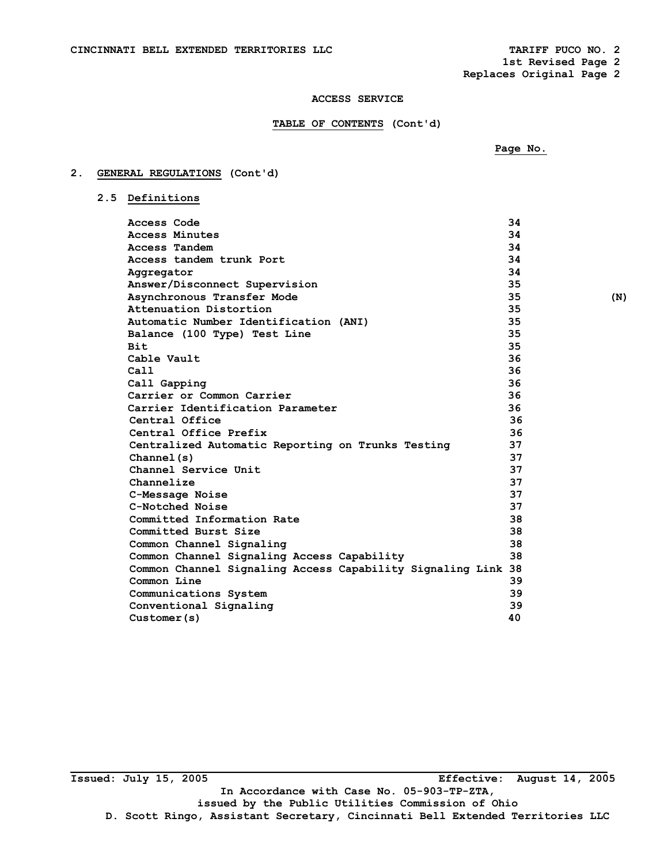**1st Revised Page 2 Replaces Original Page 2** 

### **ACCESS SERVICE**

### **TABLE OF CONTENTS (Cont'd)**

 **Page No.** 

# **2. GENERAL REGULATIONS (Cont'd)**

|  | 2.5 Definitions |
|--|-----------------|

| Access Code                                                  | 34 |     |
|--------------------------------------------------------------|----|-----|
| Access Minutes                                               | 34 |     |
| Access Tandem                                                | 34 |     |
| Access tandem trunk Port                                     | 34 |     |
| Aggregator                                                   | 34 |     |
| Answer/Disconnect Supervision                                | 35 |     |
| Asynchronous Transfer Mode                                   | 35 | (N) |
| Attenuation Distortion                                       | 35 |     |
| Automatic Number Identification (ANI)                        | 35 |     |
| Balance (100 Type) Test Line                                 | 35 |     |
| <b>Bit</b>                                                   | 35 |     |
| Cable Vault                                                  | 36 |     |
| Ca11                                                         | 36 |     |
| Call Gapping                                                 | 36 |     |
| Carrier or Common Carrier                                    | 36 |     |
| Carrier Identification Parameter                             | 36 |     |
| Central Office                                               | 36 |     |
| Central Office Prefix                                        | 36 |     |
| Centralized Automatic Reporting on Trunks Testing            | 37 |     |
| Channel(s)                                                   | 37 |     |
| Channel Service Unit                                         | 37 |     |
| Channelize                                                   | 37 |     |
| C-Message Noise                                              | 37 |     |
| C-Notched Noise                                              | 37 |     |
| Committed Information Rate                                   | 38 |     |
| Committed Burst Size                                         | 38 |     |
| Common Channel Signaling                                     | 38 |     |
| Common Channel Signaling Access Capability                   | 38 |     |
| Common Channel Signaling Access Capability Signaling Link 38 |    |     |
| Common Line                                                  | 39 |     |
| Communications System                                        | 39 |     |
| Conventional Signaling                                       | 39 |     |
| Customer(s)                                                  | 40 |     |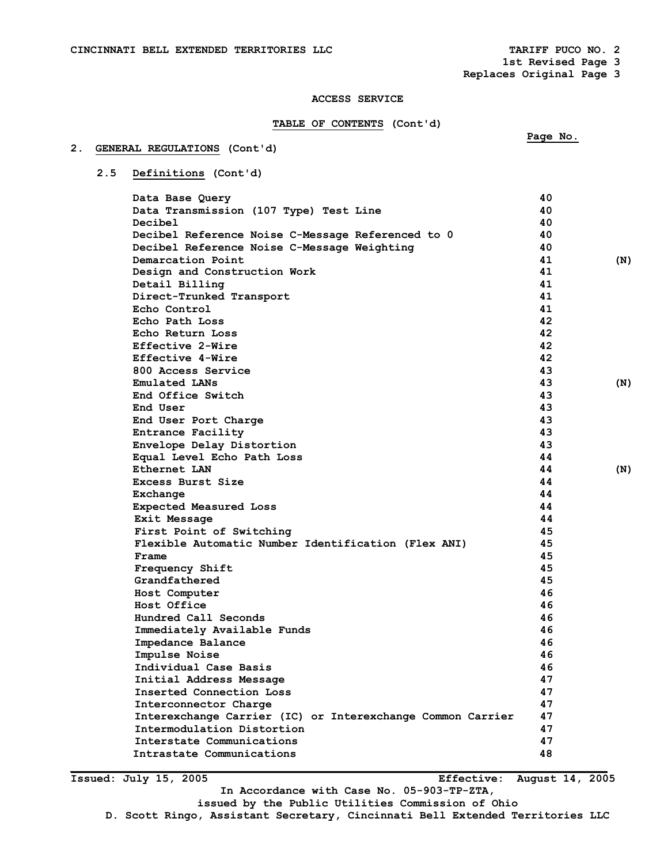**1st Revised Page 3 Replaces Original Page 3** 

 **Page No.** 

### **ACCESS SERVICE**

### **TABLE OF CONTENTS (Cont'd)**

### **2. GENERAL REGULATIONS (Cont'd)**

# **2.5 Definitions (Cont'd)**

| Data Base Query                                            | 40 |     |
|------------------------------------------------------------|----|-----|
| Data Transmission (107 Type) Test Line                     | 40 |     |
| Decibel                                                    | 40 |     |
| Decibel Reference Noise C-Message Referenced to 0          | 40 |     |
| Decibel Reference Noise C-Message Weighting                | 40 |     |
| Demarcation Point                                          | 41 | (N) |
| Design and Construction Work                               | 41 |     |
| Detail Billing                                             | 41 |     |
| Direct-Trunked Transport                                   | 41 |     |
| Echo Control                                               | 41 |     |
| Echo Path Loss                                             | 42 |     |
| Echo Return Loss                                           | 42 |     |
| Effective 2-Wire                                           | 42 |     |
| Effective 4-Wire                                           | 42 |     |
| 800 Access Service                                         | 43 |     |
| Emulated LANs                                              | 43 | (N) |
| End Office Switch                                          | 43 |     |
| End User                                                   | 43 |     |
| End User Port Charge                                       | 43 |     |
| Entrance Facility                                          | 43 |     |
| Envelope Delay Distortion                                  | 43 |     |
| Equal Level Echo Path Loss                                 | 44 |     |
| Ethernet LAN                                               | 44 | (N) |
| Excess Burst Size                                          | 44 |     |
| Exchange                                                   | 44 |     |
| <b>Expected Measured Loss</b>                              | 44 |     |
| Exit Message                                               | 44 |     |
| First Point of Switching                                   | 45 |     |
| Flexible Automatic Number Identification (Flex ANI)        | 45 |     |
| Frame                                                      | 45 |     |
| Frequency Shift                                            | 45 |     |
| Grandfathered                                              | 45 |     |
| Host Computer                                              | 46 |     |
| Host Office                                                | 46 |     |
| Hundred Call Seconds                                       | 46 |     |
| Immediately Available Funds                                | 46 |     |
| Impedance Balance                                          | 46 |     |
| Impulse Noise                                              | 46 |     |
| Individual Case Basis                                      | 46 |     |
| Initial Address Message                                    | 47 |     |
| Inserted Connection Loss                                   | 47 |     |
| Interconnector Charge                                      | 47 |     |
| Interexchange Carrier (IC) or Interexchange Common Carrier | 47 |     |
| Intermodulation Distortion                                 | 47 |     |
| Interstate Communications                                  | 47 |     |
| Intrastate Communications                                  | 48 |     |

**Issued: July 15, 2005 Effective: August 14, 2005** 

**In Accordance with Case No. 05-903-TP-ZTA,** 

**\_\_\_\_\_\_\_\_\_\_\_\_\_\_\_\_\_\_\_\_\_\_\_\_\_\_\_\_\_\_\_\_\_\_\_\_\_\_\_\_\_\_\_\_\_\_\_\_\_\_\_\_\_\_\_\_\_\_\_\_\_\_\_\_\_\_\_\_\_\_\_\_\_\_\_\_\_\_\_\_\_\_** 

**issued by the Public Utilities Commission of Ohio** 

**D. Scott Ringo, Assistant Secretary, Cincinnati Bell Extended Territories LLC**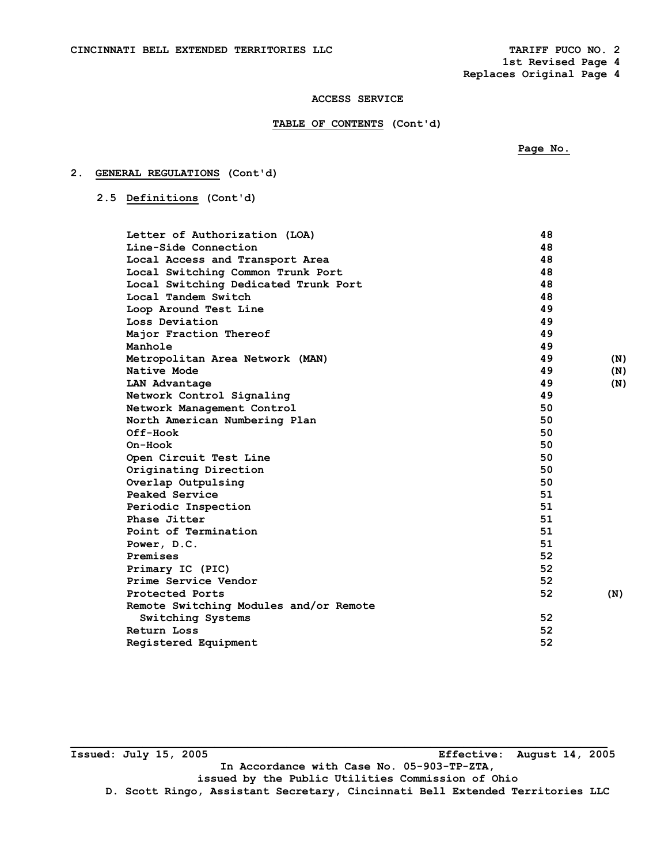**1st Revised Page 4 Replaces Original Page 4** 

### **ACCESS SERVICE**

### **TABLE OF CONTENTS (Cont'd)**

# **2. GENERAL REGULATIONS (Cont'd)**

### **2.5 Definitions (Cont'd)**

| Letter of Authorization (LOA)          | 48 |     |
|----------------------------------------|----|-----|
| Line-Side Connection                   | 48 |     |
| Local Access and Transport Area        | 48 |     |
| Local Switching Common Trunk Port      | 48 |     |
| Local Switching Dedicated Trunk Port   | 48 |     |
| Local Tandem Switch                    | 48 |     |
| Loop Around Test Line                  | 49 |     |
| Loss Deviation                         | 49 |     |
| Major Fraction Thereof                 | 49 |     |
| Manhole                                | 49 |     |
| Metropolitan Area Network (MAN)        | 49 | (N) |
| Native Mode                            | 49 | (N) |
| LAN Advantage                          | 49 | (N) |
| Network Control Signaling              | 49 |     |
| Network Management Control             | 50 |     |
| North American Numbering Plan          | 50 |     |
| Off-Hook                               | 50 |     |
| On-Hook                                | 50 |     |
| Open Circuit Test Line                 | 50 |     |
| Originating Direction                  | 50 |     |
| Overlap Outpulsing                     | 50 |     |
| Peaked Service                         | 51 |     |
| Periodic Inspection                    | 51 |     |
| Phase Jitter                           | 51 |     |
| Point of Termination                   | 51 |     |
| Power, D.C.                            | 51 |     |
| Premises                               | 52 |     |
| Primary IC (PIC)                       | 52 |     |
| Prime Service Vendor                   | 52 |     |
| Protected Ports                        | 52 | (N) |
| Remote Switching Modules and/or Remote |    |     |
| Switching Systems                      | 52 |     |
| Return Loss                            | 52 |     |
| Registered Equipment                   | 52 |     |
|                                        |    |     |

**\_\_\_\_\_\_\_\_\_\_\_\_\_\_\_\_\_\_\_\_\_\_\_\_\_\_\_\_\_\_\_\_\_\_\_\_\_\_\_\_\_\_\_\_\_\_\_\_\_\_\_\_\_\_\_\_\_\_\_\_\_\_\_\_\_\_\_\_\_\_\_\_\_\_\_\_\_\_\_\_\_\_ Issued: July 15, 2005 Effective: August 14, 2005 In Accordance with Case No. 05-903-TP-ZTA, issued by the Public Utilities Commission of Ohio D. Scott Ringo, Assistant Secretary, Cincinnati Bell Extended Territories LLC**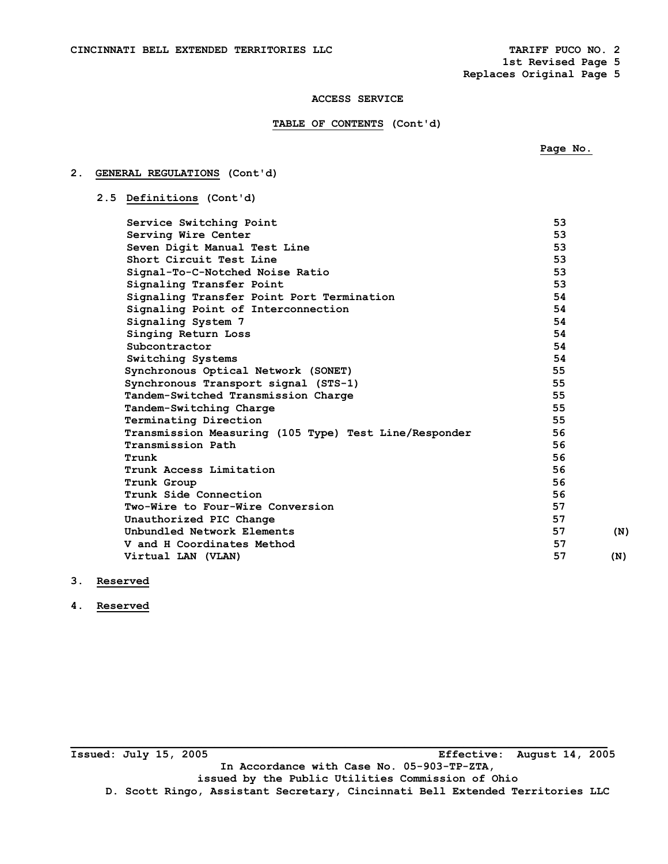**2. GENERAL REGULATIONS (Cont'd)** 

**1st Revised Page 5 Replaces Original Page 5** 

 **Page No.** 

### **ACCESS SERVICE**

### **TABLE OF CONTENTS (Cont'd)**

|  | 2.5 Definitions (Cont'd)                              |    |     |
|--|-------------------------------------------------------|----|-----|
|  | Service Switching Point                               | 53 |     |
|  | Serving Wire Center                                   | 53 |     |
|  | Seven Digit Manual Test Line                          | 53 |     |
|  | Short Circuit Test Line                               | 53 |     |
|  | Signal-To-C-Notched Noise Ratio                       | 53 |     |
|  | Signaling Transfer Point                              | 53 |     |
|  | Signaling Transfer Point Port Termination             | 54 |     |
|  | Signaling Point of Interconnection                    | 54 |     |
|  | Signaling System 7                                    | 54 |     |
|  | Singing Return Loss                                   | 54 |     |
|  | Subcontractor                                         | 54 |     |
|  | Switching Systems                                     | 54 |     |
|  | Synchronous Optical Network (SONET)                   | 55 |     |
|  | Synchronous Transport signal (STS-1)                  | 55 |     |
|  | Tandem-Switched Transmission Charge                   | 55 |     |
|  | Tandem-Switching Charge                               | 55 |     |
|  | Terminating Direction                                 | 55 |     |
|  | Transmission Measuring (105 Type) Test Line/Responder | 56 |     |
|  | Transmission Path                                     | 56 |     |
|  | Trunk                                                 | 56 |     |
|  | Trunk Access Limitation                               | 56 |     |
|  | Trunk Group                                           | 56 |     |
|  | Trunk Side Connection                                 | 56 |     |
|  | Two-Wire to Four-Wire Conversion                      | 57 |     |
|  | Unauthorized PIC Change                               | 57 |     |
|  | Unbundled Network Elements                            | 57 | (N) |
|  | V and H Coordinates Method                            | 57 |     |
|  | Virtual LAN (VLAN)                                    | 57 | (N) |
|  |                                                       |    |     |

# **3. Reserved**

**4. Reserved** 

**\_\_\_\_\_\_\_\_\_\_\_\_\_\_\_\_\_\_\_\_\_\_\_\_\_\_\_\_\_\_\_\_\_\_\_\_\_\_\_\_\_\_\_\_\_\_\_\_\_\_\_\_\_\_\_\_\_\_\_\_\_\_\_\_\_\_\_\_\_\_\_\_\_\_\_\_\_\_\_\_\_\_ Issued: July 15, 2005 Effective: August 14, 2005 In Accordance with Case No. 05-903-TP-ZTA, issued by the Public Utilities Commission of Ohio D. Scott Ringo, Assistant Secretary, Cincinnati Bell Extended Territories LLC**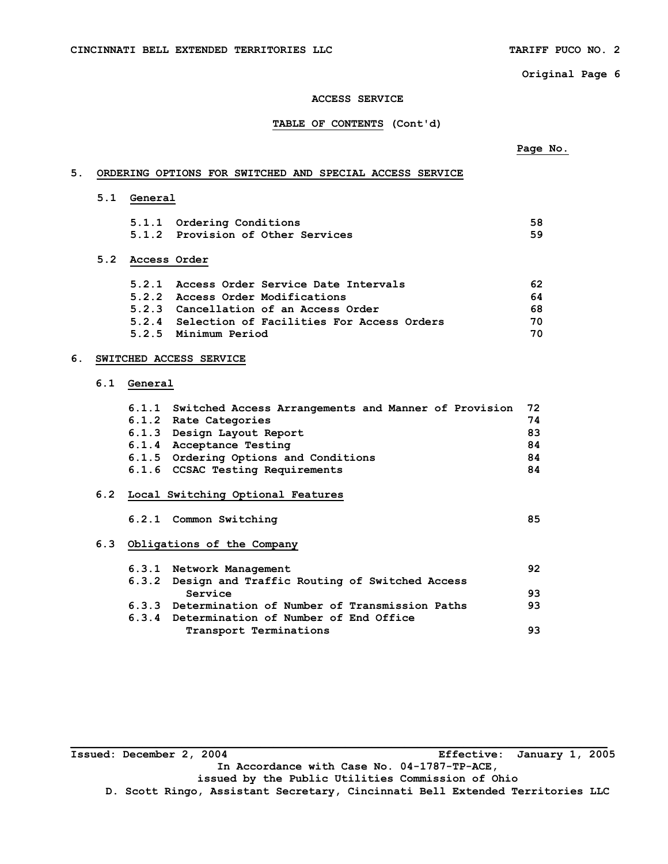#### **ACCESS SERVICE**

### **TABLE OF CONTENTS (Cont'd)**

# **5. ORDERING OPTIONS FOR SWITCHED AND SPECIAL ACCESS SERVICE**

 **5.1 General** 

| 5.1.1 Ordering Conditions         | 58 |
|-----------------------------------|----|
| 5.1.2 Provision of Other Services | 59 |

## **5.2 Access Order**

| 5.2.1 Access Order Service Date Intervals       | 62 |
|-------------------------------------------------|----|
| 5.2.2 Access Order Modifications                | 64 |
| 5.2.3 Cancellation of an Access Order           | 68 |
| 5.2.4 Selection of Facilities For Access Orders | 70 |
| 5.2.5 Minimum Period                            | 70 |

## **6. SWITCHED ACCESS SERVICE**

## **6.1 General**

| 74                                                                                                                                                                                                                            |
|-------------------------------------------------------------------------------------------------------------------------------------------------------------------------------------------------------------------------------|
| -83                                                                                                                                                                                                                           |
| 84                                                                                                                                                                                                                            |
| 84                                                                                                                                                                                                                            |
| 84                                                                                                                                                                                                                            |
| 6.1.1 Switched Access Arrangements and Manner of Provision 72<br>6.1.2 Rate Categories<br>6.1.3 Design Layout Report<br>6.1.4 Acceptance Testing<br>6.1.5 Ordering Options and Conditions<br>6.1.6 CCSAC Testing Requirements |

# **6.2 Local Switching Optional Features**

## **6.2.1 Common Switching 85**

### **6.3 Obligations of the Company**

| 6.3.1 Network Management                            | 92 |
|-----------------------------------------------------|----|
| 6.3.2 Design and Traffic Routing of Switched Access |    |
| Service                                             | 93 |
| 6.3.3 Determination of Number of Transmission Paths | 93 |
| 6.3.4 Determination of Number of End Office         |    |
| Transport Terminations                              | 93 |

| Issued: December 2, 2004                                                      | Effective: January 1, 2005 |
|-------------------------------------------------------------------------------|----------------------------|
| In Accordance with Case No. 04-1787-TP-ACE,                                   |                            |
| issued by the Public Utilities Commission of Ohio                             |                            |
| D. Scott Ringo, Assistant Secretary, Cincinnati Bell Extended Territories LLC |                            |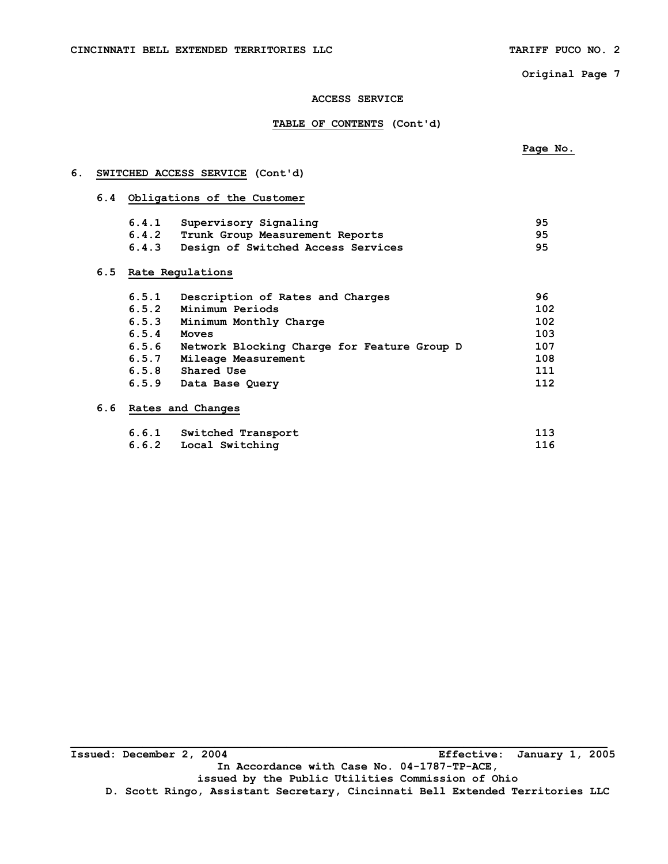**6. SWITCHED ACCESS SERVICE (Cont'd)** 

 **Page No.** 

**Original Page 7** 

### **ACCESS SERVICE**

### **TABLE OF CONTENTS (Cont'd)**

| 6.4 | Obligations of the Customer |                                             |     |
|-----|-----------------------------|---------------------------------------------|-----|
|     | 6.4.1                       | Supervisory Signaling                       | 95  |
|     | 6.4.2                       | Trunk Group Measurement Reports             | 95  |
|     | 6.4.3                       | Design of Switched Access Services          | 95  |
| 6.5 |                             | Rate Regulations                            |     |
|     | 6.5.1                       | Description of Rates and Charges            | 96  |
|     | 6.5.2                       | Minimum Periods                             | 102 |
|     | 6.5.3                       | Minimum Monthly Charge                      | 102 |
|     | 6.5.4                       | <b>Moves</b>                                | 103 |
|     | 6.5.6                       | Network Blocking Charge for Feature Group D | 107 |
|     | 6.5.7                       | Mileage Measurement                         | 108 |
|     | 6.5.8                       | Shared Use                                  | 111 |

 **6.6 Rates and Changes** 

| 6.6.1 Switched Transport | 113 |
|--------------------------|-----|
| 6.6.2 Local Switching    | 116 |

 **6.5.9 Data Base Query 112** 

**Issued: December 2, 2004 Effective: January 1, 2005 In Accordance with Case No. 04-1787-TP-ACE, issued by the Public Utilities Commission of Ohio D. Scott Ringo, Assistant Secretary, Cincinnati Bell Extended Territories LLC**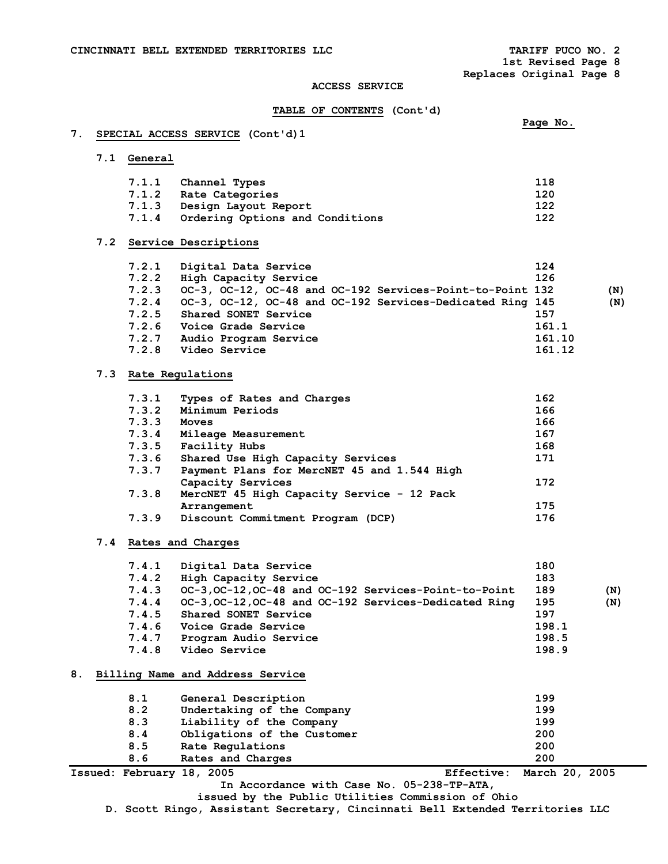**1st Revised Page 8** 

**Replaces Original Page 8** 

#### **ACCESS SERVICE**

# **TABLE OF CONTENTS (Cont'd)**

### **7. SPECIAL ACCESS SERVICE (Cont'd)1**

### **7.1 General**

| 7.1.1 Channel Types                   | 118 |
|---------------------------------------|-----|
| 7.1.2 Rate Categories                 | 120 |
| 7.1.3 Design Layout Report            | 122 |
| 7.1.4 Ordering Options and Conditions | 122 |

**Page No. Page No. Page No.** 

### **7.2 Service Descriptions**

| 7.2.1 | Digital Data Service                                      | 124    |     |
|-------|-----------------------------------------------------------|--------|-----|
| 7.2.2 | High Capacity Service                                     | 126    |     |
| 7.2.3 | OC-3, OC-12, OC-48 and OC-192 Services-Point-to-Point 132 |        | (N) |
| 7.2.4 | OC-3, OC-12, OC-48 and OC-192 Services-Dedicated Ring 145 |        | (N) |
|       | 7.2.5 Shared SONET Service                                | 157    |     |
| 7.2.6 | Voice Grade Service                                       | 161.1  |     |
| 7.2.7 | Audio Program Service                                     | 161.10 |     |
| 7.2.8 | Video Service                                             | 161.12 |     |

### **7.3 Rate Regulations**

| 7.3.1 | Types of Rates and Charges                  | 162 |
|-------|---------------------------------------------|-----|
| 7.3.2 | Minimum Periods                             | 166 |
| 7.3.3 | Moves                                       | 166 |
| 7.3.4 | Mileage Measurement                         | 167 |
| 7.3.5 | Facility Hubs                               | 168 |
| 7.3.6 | Shared Use High Capacity Services           | 171 |
| 7.3.7 | Payment Plans for MercNET 45 and 1.544 High |     |
|       | Capacity Services                           | 172 |
| 7.3.8 | MercNET 45 High Capacity Service - 12 Pack  |     |
|       | Arrangement                                 | 175 |
| 7.3.9 | Discount Commitment Program (DCP)           | 176 |

## **7.4 Rates and Charges**

| 7.4.1 | Digital Data Service                                  | 180   |     |
|-------|-------------------------------------------------------|-------|-----|
| 7.4.2 | High Capacity Service                                 | 183   |     |
| 7.4.3 | OC-3, OC-12, OC-48 and OC-192 Services-Point-to-Point | 189   | (N) |
| 7.4.4 | OC-3, OC-12, OC-48 and OC-192 Services-Dedicated Ring | 195   | (N) |
| 7.4.5 | Shared SONET Service                                  | 197   |     |
| 7.4.6 | Voice Grade Service                                   | 198.1 |     |
| 7.4.7 | Program Audio Service                                 | 198.5 |     |
| 7.4.8 | Video Service                                         | 198.9 |     |
|       |                                                       |       |     |

### **8. Billing Name and Address Service**

| 8.1 | General Description         | 199                       |
|-----|-----------------------------|---------------------------|
| 8.2 | Undertaking of the Company  | 199                       |
| 8.3 | Liability of the Company    | 199                       |
| 8.4 | Obligations of the Customer | 200                       |
| 8.5 | Rate Regulations            | 200                       |
| 8.6 | Rates and Charges           | 200                       |
|     | Issued: February 18, 2005   | Effective: March 20, 2005 |

**In Accordance with Case No. 05-238-TP-ATA,** 

**issued by the Public Utilities Commission of Ohio** 

**D. Scott Ringo, Assistant Secretary, Cincinnati Bell Extended Territories LLC**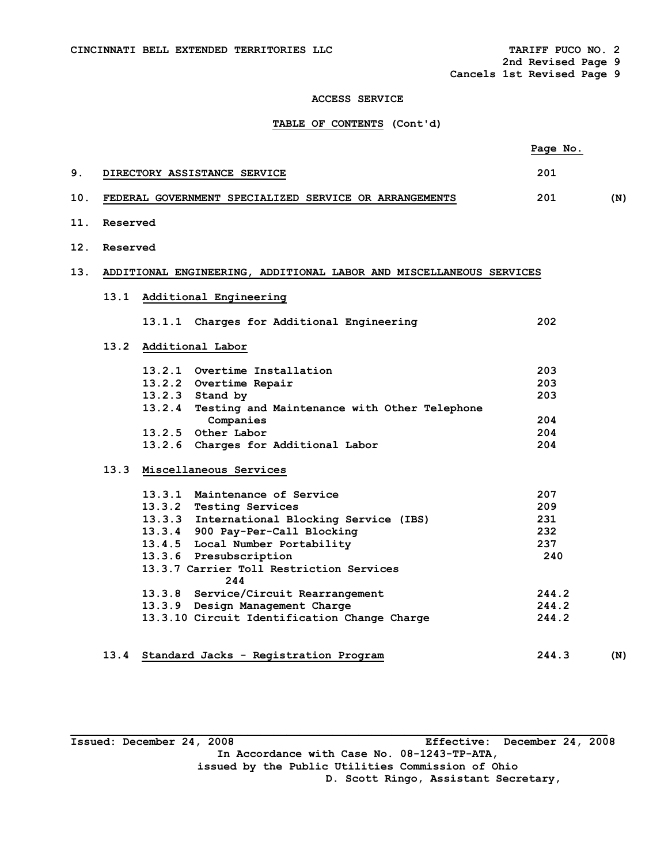**2nd Revised Page 9 Cancels 1st Revised Page 9** 

### **ACCESS SERVICE**

## **TABLE OF CONTENTS (Cont'd)**

|     |          |                                                                     | Page No. |     |
|-----|----------|---------------------------------------------------------------------|----------|-----|
| 9.  |          | DIRECTORY ASSISTANCE SERVICE                                        | 201      |     |
| 10. |          | FEDERAL GOVERNMENT SPECIALIZED SERVICE OR ARRANGEMENTS              | 201      | (N) |
| 11. | Reserved |                                                                     |          |     |
| 12. | Reserved |                                                                     |          |     |
| 13. |          | ADDITIONAL ENGINEERING, ADDITIONAL LABOR AND MISCELLANEOUS SERVICES |          |     |
|     | 13.1     | Additional Engineering                                              |          |     |
|     |          | 13.1.1 Charges for Additional Engineering                           | 202      |     |
|     |          | 13.2 Additional Labor                                               |          |     |
|     |          | 13.2.1 Overtime Installation                                        | 203      |     |
|     |          | 13.2.2 Overtime Repair                                              | 203      |     |
|     |          | 13.2.3 Stand by                                                     | 203      |     |
|     |          | 13.2.4 Testing and Maintenance with Other Telephone                 |          |     |
|     |          | Companies                                                           | 204      |     |
|     |          | 13.2.5 Other Labor                                                  | 204      |     |
|     |          | 13.2.6 Charges for Additional Labor                                 | 204      |     |
|     |          | 13.3 Miscellaneous Services                                         |          |     |
|     |          | 13.3.1 Maintenance of Service                                       | 207      |     |
|     |          | 13.3.2 Testing Services                                             | 209      |     |
|     |          | 13.3.3 International Blocking Service (IBS)                         | 231      |     |
|     |          | 13.3.4 900 Pay-Per-Call Blocking                                    | 232      |     |
|     |          | 13.4.5 Local Number Portability                                     | 237      |     |
|     |          | 13.3.6 Presubscription                                              | 240      |     |
|     |          | 13.3.7 Carrier Toll Restriction Services<br>244                     |          |     |
|     |          | 13.3.8 Service/Circuit Rearrangement                                | 244.2    |     |
|     |          | 13.3.9 Design Management Charge                                     | 244.2    |     |
|     |          | 13.3.10 Circuit Identification Change Charge                        | 244.2    |     |
|     | 13.4     | Standard Jacks - Registration Program                               | 244.3    | (N) |

**\_\_\_\_\_\_\_\_\_\_\_\_\_\_\_\_\_\_\_\_\_\_\_\_\_\_\_\_\_\_\_\_\_\_\_\_\_\_\_\_\_\_\_\_\_\_\_\_\_\_\_\_\_\_\_\_\_\_\_\_\_\_\_\_\_\_\_\_\_\_\_\_\_\_\_\_\_\_\_\_\_\_ Issued: December 24, 2008 Effective: December 24, 2008 In Accordance with Case No. 08-1243-TP-ATA, issued by the Public Utilities Commission of Ohio D. Scott Ringo, Assistant Secretary,**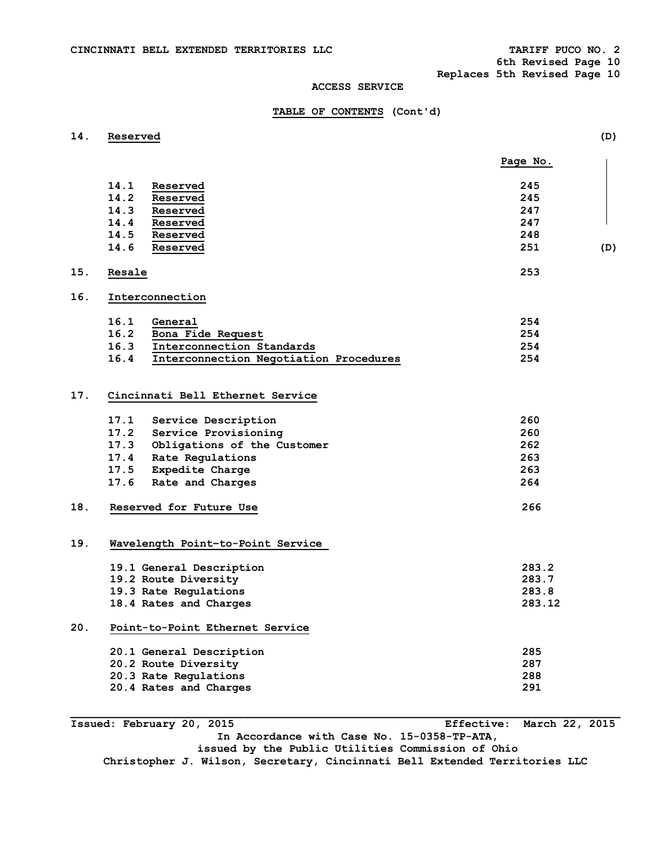**6th Revised Page 10** 

**Replaces 5th Revised Page 10** 

### **ACCESS SERVICE**

### **TABLE OF CONTENTS (Cont'd)**

**14. Reserved (D)** 

|     |                                                 | Page No. |
|-----|-------------------------------------------------|----------|
|     | 14.1<br>Reserved                                | 245      |
|     | 14.2<br>Reserved                                | 245      |
|     | 14.3<br>Reserved                                | 247      |
|     | 14.4 Reserved                                   | 247      |
|     | 14.5<br>Reserved                                | 248      |
|     | 14.6<br>Reserved                                | 251      |
|     |                                                 |          |
| 15. | Resale                                          | 253      |
| 16. | Interconnection                                 |          |
|     | 16.1<br>General                                 | 254      |
|     | 16.2<br>Bona Fide Request                       | 254      |
|     | 16.3<br>Interconnection Standards               | 254      |
|     | 16.4<br>Interconnection Negotiation Procedures  | 254      |
| 17. | Cincinnati Bell Ethernet Service                |          |
|     | 17.1<br>Service Description                     | 260      |
|     | 17.2 Service Provisioning                       | 260      |
|     | 17.3 Obligations of the Customer                | 262      |
|     | 17.4 Rate Regulations                           | 263      |
|     | 17.5 Expedite Charge                            | 263      |
|     | 17.6<br>Rate and Charges                        | 264      |
| 18. | Reserved for Future Use                         | 266      |
| 19. | Wavelength Point-to-Point Service               |          |
|     | 19.1 General Description                        | 283.2    |
|     | 19.2 Route Diversity                            | 283.7    |
|     | 19.3 Rate Regulations                           | 283.8    |
|     | 18.4 Rates and Charges                          | 283.12   |
| 20. | Point-to-Point Ethernet Service                 |          |
|     | 20.1 General Description                        | 285      |
|     | 20.2 Route Diversity                            | 287      |
|     |                                                 | 288      |
|     | 20.3 Rate Regulations<br>20.4 Rates and Charges | 291      |

**Issued: February 20, 2015 Effective: March 22, 2015 In Accordance with Case No. 15-0358-TP-ATA, issued by the Public Utilities Commission of Ohio Christopher J. Wilson, Secretary, Cincinnati Bell Extended Territories LLC**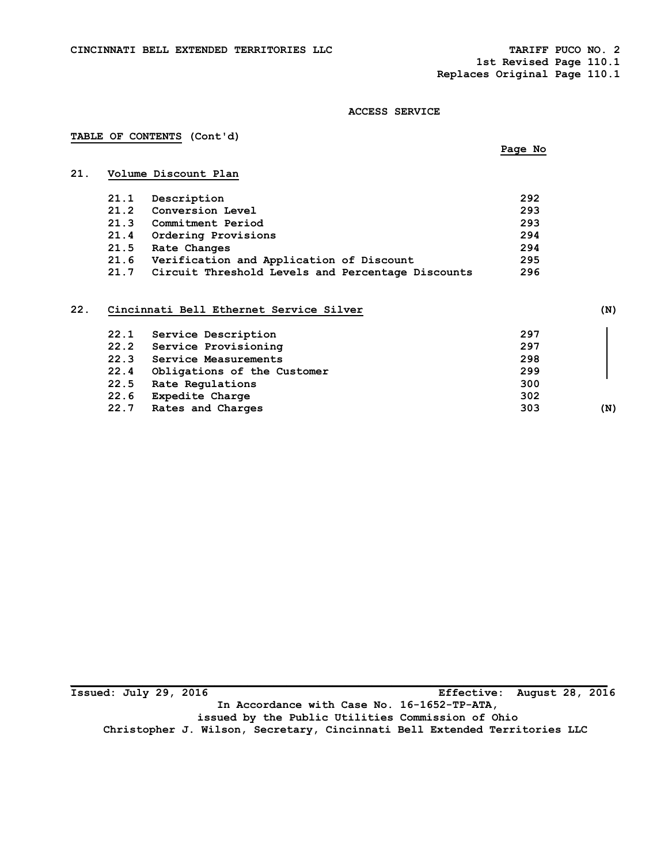**1st Revised Page 110.1 Replaces Original Page 110.1** 

#### **ACCESS SERVICE**

## **TABLE OF CONTENTS (Cont'd)**

# **Page No. Page No. Page No.**

# **21. Volume Discount Plan**

| 21.1 | Description                                       | 292 |
|------|---------------------------------------------------|-----|
| 21.2 | Conversion Level                                  | 293 |
| 21.3 | Commitment Period                                 | 293 |
| 21.4 | Ordering Provisions                               | 294 |
| 21.5 | Rate Changes                                      | 294 |
| 21.6 | Verification and Application of Discount          | 295 |
| 21.7 | Circuit Threshold Levels and Percentage Discounts | 296 |

# **22. Cincinnati Bell Ethernet Service Silver (N)**

| 22.1 | Service Description         | 297 |     |
|------|-----------------------------|-----|-----|
| 22.2 | Service Provisioning        | 297 |     |
| 22.3 | Service Measurements        | 298 |     |
| 22.4 | Obligations of the Customer | 299 |     |
| 22.5 | Rate Regulations            | 300 |     |
| 22.6 | Expedite Charge             | 302 |     |
| 22.7 | Rates and Charges           | 303 | (N) |
|      |                             |     |     |

**Issued: July 29, 2016 Effective: August 28, 2016 In Accordance with Case No. 16-1652-TP-ATA, issued by the Public Utilities Commission of Ohio Christopher J. Wilson, Secretary, Cincinnati Bell Extended Territories LLC**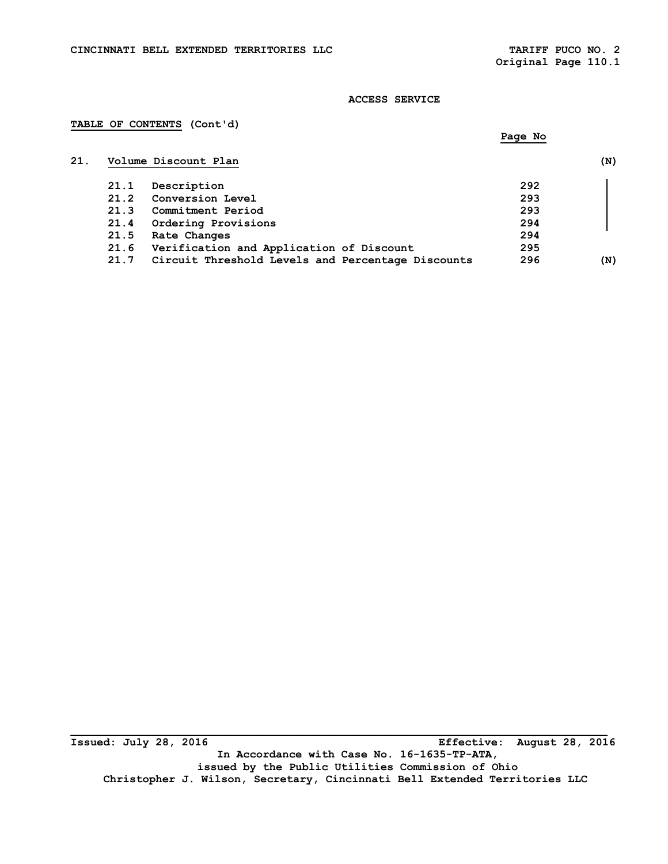### **ACCESS SERVICE**

## **TABLE OF CONTENTS (Cont'd)**

|      | Volume Discount Plan                              |     | (N) |
|------|---------------------------------------------------|-----|-----|
| 21.1 | Description                                       | 292 |     |
| 21.2 | Conversion Level                                  | 293 |     |
| 21.3 | Commitment Period                                 | 293 |     |
| 21.4 | Ordering Provisions                               | 294 |     |
| 21.5 | Rate Changes                                      | 294 |     |
| 21.6 | Verification and Application of Discount          | 295 |     |
| 21.7 | Circuit Threshold Levels and Percentage Discounts | 296 | (N) |

**\_\_\_\_\_\_\_\_\_\_\_\_\_\_\_\_\_\_\_\_\_\_\_\_\_\_\_\_\_\_\_\_\_\_\_\_\_\_\_\_\_\_\_\_\_\_\_\_\_\_\_\_\_\_\_\_\_\_\_\_\_\_\_\_\_\_\_\_\_\_\_\_\_\_\_\_\_\_\_\_\_\_ Issued: July 28, 2016 Effective: August 28, 2016 In Accordance with Case No. 16-1635-TP-ATA, issued by the Public Utilities Commission of Ohio Christopher J. Wilson, Secretary, Cincinnati Bell Extended Territories LLC**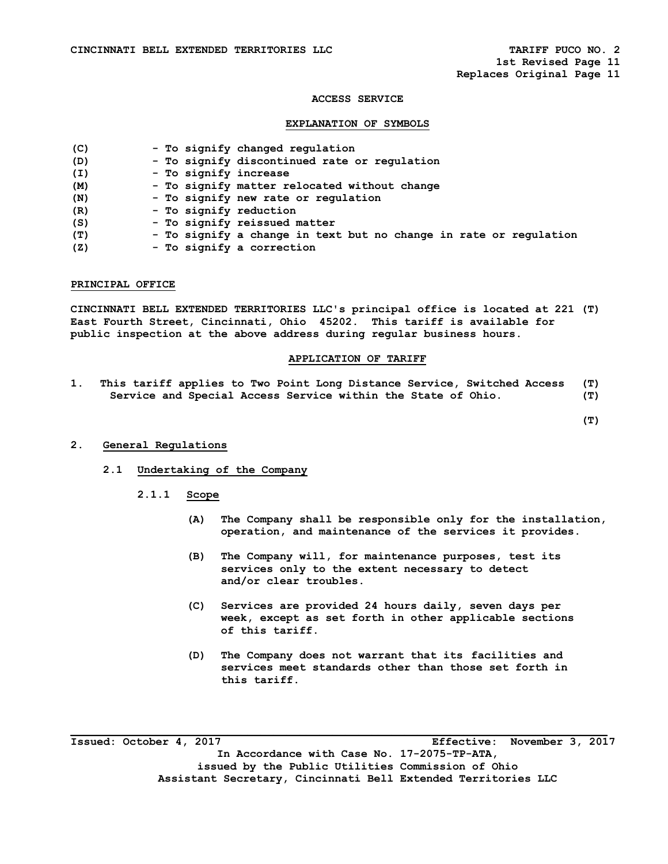#### **ACCESS SERVICE**

#### **EXPLANATION OF SYMBOLS**

| (C) |  |  |  | - To signify changed regulation |
|-----|--|--|--|---------------------------------|
|-----|--|--|--|---------------------------------|

- **(D) To signify discontinued rate or regulation**
- **(I) To signify increase**
- **(M) To signify matter relocated without change**
- **(N) To signify new rate or regulation**
- **(R) To signify reduction**
- **(S) To signify reissued matter**
- **(T) To signify a change in text but no change in rate or regulation**
- **(Z) To signify a correction**

#### **PRINCIPAL OFFICE**

**CINCINNATI BELL EXTENDED TERRITORIES LLC's principal office is located at 221 (T) East Fourth Street, Cincinnati, Ohio 45202. This tariff is available for public inspection at the above address during regular business hours.** 

### **APPLICATION OF TARIFF**

**1. This tariff applies to Two Point Long Distance Service, Switched Access (T) Service and Special Access Service within the State of Ohio. (T)** 

 **(T)** 

#### **2. General Regulations**

- **2.1 Undertaking of the Company** 
	- **2.1.1 Scope** 
		- **(A) The Company shall be responsible only for the installation, operation, and maintenance of the services it provides.**
		- **(B) The Company will, for maintenance purposes, test its services only to the extent necessary to detect and/or clear troubles.**
		- **(C) Services are provided 24 hours daily, seven days per week, except as set forth in other applicable sections of this tariff.**
		- **(D) The Company does not warrant that its facilities and services meet standards other than those set forth in this tariff.**

**\_\_\_\_\_\_\_\_\_\_\_\_\_\_\_\_\_\_\_\_\_\_\_\_\_\_\_\_\_\_\_\_\_\_\_\_\_\_\_\_\_\_\_\_\_\_\_\_\_\_\_\_\_\_\_\_\_\_\_\_\_\_\_\_\_\_\_\_\_\_\_\_\_\_\_\_\_\_\_\_\_\_ Issued: October 4, 2017 Effective: November 3, 2017 In Accordance with Case No. 17-2075-TP-ATA, issued by the Public Utilities Commission of Ohio Assistant Secretary, Cincinnati Bell Extended Territories LLC**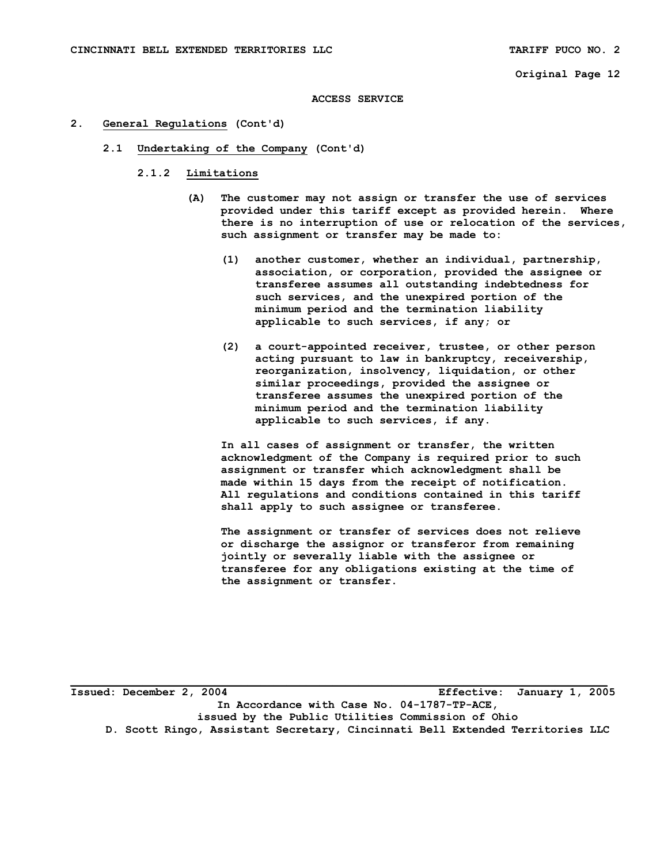#### **ACCESS SERVICE**

#### **2. General Regulations (Cont'd)**

- **2.1 Undertaking of the Company (Cont'd)** 
	- **2.1.2 Limitations** 
		- **(A) The customer may not assign or transfer the use of services provided under this tariff except as provided herein. Where there is no interruption of use or relocation of the services, such assignment or transfer may be made to:** 
			- **(1) another customer, whether an individual, partnership, association, or corporation, provided the assignee or transferee assumes all outstanding indebtedness for such services, and the unexpired portion of the minimum period and the termination liability applicable to such services, if any; or**
			- **(2) a court-appointed receiver, trustee, or other person acting pursuant to law in bankruptcy, receivership, reorganization, insolvency, liquidation, or other similar proceedings, provided the assignee or transferee assumes the unexpired portion of the minimum period and the termination liability applicable to such services, if any.**

 **In all cases of assignment or transfer, the written acknowledgment of the Company is required prior to such assignment or transfer which acknowledgment shall be made within 15 days from the receipt of notification. All regulations and conditions contained in this tariff shall apply to such assignee or transferee.** 

 **The assignment or transfer of services does not relieve or discharge the assignor or transferor from remaining jointly or severally liable with the assignee or transferee for any obligations existing at the time of the assignment or transfer.** 

**Issued: December 2, 2004 Effective: January 1, 2005 In Accordance with Case No. 04-1787-TP-ACE, issued by the Public Utilities Commission of Ohio D. Scott Ringo, Assistant Secretary, Cincinnati Bell Extended Territories LLC**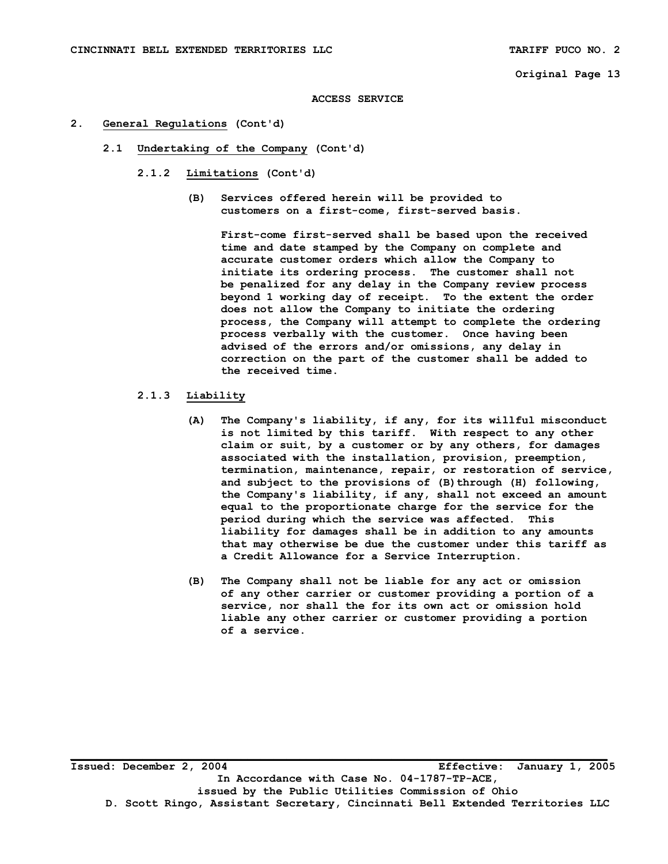**ACCESS SERVICE** 

- **2. General Regulations (Cont'd)** 
	- **2.1 Undertaking of the Company (Cont'd)** 
		- **2.1.2 Limitations (Cont'd)** 
			- **(B) Services offered herein will be provided to customers on a first-come, first-served basis.**

 **First-come first-served shall be based upon the received time and date stamped by the Company on complete and accurate customer orders which allow the Company to initiate its ordering process. The customer shall not be penalized for any delay in the Company review process beyond 1 working day of receipt. To the extent the order does not allow the Company to initiate the ordering process, the Company will attempt to complete the ordering process verbally with the customer. Once having been advised of the errors and/or omissions, any delay in correction on the part of the customer shall be added to the received time.** 

### **2.1.3 Liability**

- **(A) The Company's liability, if any, for its willful misconduct is not limited by this tariff. With respect to any other claim or suit, by a customer or by any others, for damages associated with the installation, provision, preemption, termination, maintenance, repair, or restoration of service,**  and subject to the provisions of (B) through (H) following,  **the Company's liability, if any, shall not exceed an amount equal to the proportionate charge for the service for the period during which the service was affected. This liability for damages shall be in addition to any amounts that may otherwise be due the customer under this tariff as a Credit Allowance for a Service Interruption.**
- **(B) The Company shall not be liable for any act or omission of any other carrier or customer providing a portion of a service, nor shall the for its own act or omission hold liable any other carrier or customer providing a portion of a service.**

**Issued: December 2, 2004 Effective: January 1, 2005 In Accordance with Case No. 04-1787-TP-ACE, issued by the Public Utilities Commission of Ohio D. Scott Ringo, Assistant Secretary, Cincinnati Bell Extended Territories LLC**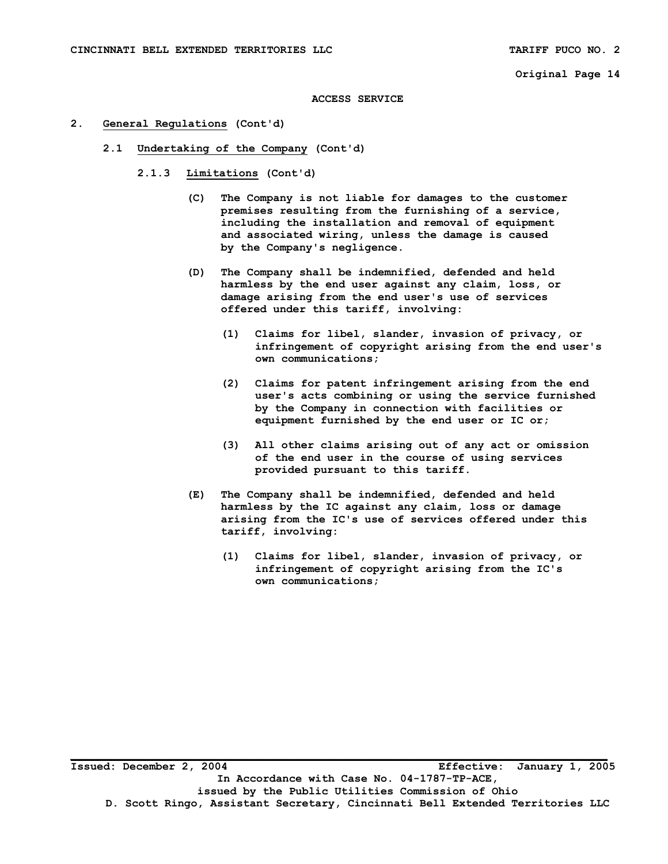**ACCESS SERVICE** 

- **2. General Regulations (Cont'd)** 
	- **2.1 Undertaking of the Company (Cont'd)** 
		- **2.1.3 Limitations (Cont'd)** 
			- **(C) The Company is not liable for damages to the customer premises resulting from the furnishing of a service, including the installation and removal of equipment and associated wiring, unless the damage is caused by the Company's negligence.**
			- **(D) The Company shall be indemnified, defended and held harmless by the end user against any claim, loss, or damage arising from the end user's use of services offered under this tariff, involving:** 
				- **(1) Claims for libel, slander, invasion of privacy, or infringement of copyright arising from the end user's own communications;**
				- **(2) Claims for patent infringement arising from the end user's acts combining or using the service furnished by the Company in connection with facilities or equipment furnished by the end user or IC or;**
				- **(3) All other claims arising out of any act or omission of the end user in the course of using services provided pursuant to this tariff.**
			- **(E) The Company shall be indemnified, defended and held harmless by the IC against any claim, loss or damage arising from the IC's use of services offered under this tariff, involving:** 
				- **(1) Claims for libel, slander, invasion of privacy, or infringement of copyright arising from the IC's own communications;**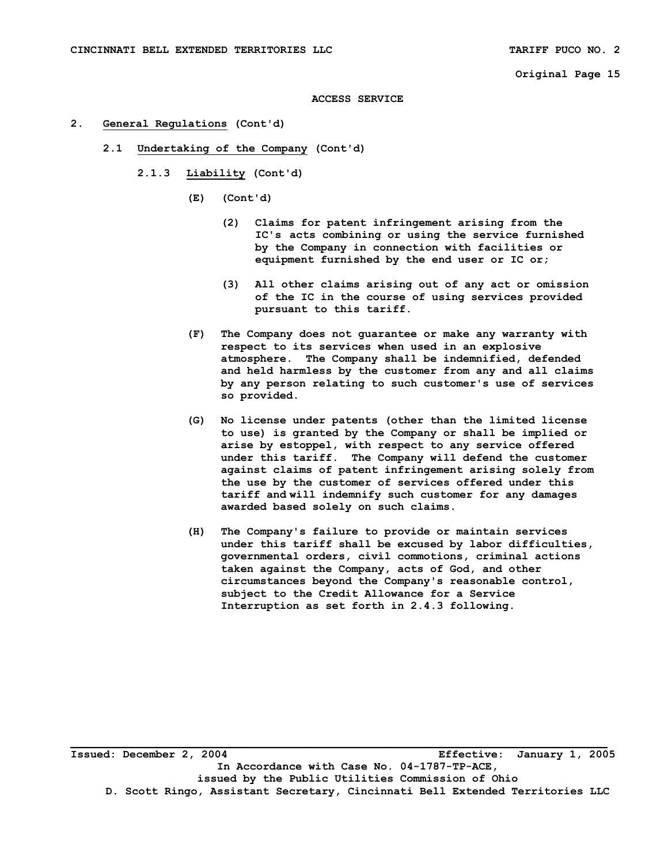#### **ACCESS SERVICE**

- **2. General Regulations (Cont'd)** 
	- **2.1 Undertaking of the Company (Cont'd)** 
		- **2.1.3 Liability (Cont'd)** 
			- **(E) (Cont'd)** 
				- **(2) Claims for patent infringement arising from the IC's acts combining or using the service furnished by the Company in connection with facilities or equipment furnished by the end user or IC or;**
				- **(3) All other claims arising out of any act or omission of the IC in the course of using services provided pursuant to this tariff.**
			- **(F) The Company does not guarantee or make any warranty with respect to its services when used in an explosive atmosphere. The Company shall be indemnified, defended and held harmless by the customer from any and all claims by any person relating to such customer's use of services so provided.**
			- **(G) No license under patents (other than the limited license to use) is granted by the Company or shall be implied or arise by estoppel, with respect to any service offered under this tariff. The Company will defend the customer against claims of patent infringement arising solely from the use by the customer of services offered under this tariff and will indemnify such customer for any damages awarded based solely on such claims.**
			- **(H) The Company's failure to provide or maintain services under this tariff shall be excused by labor difficulties, governmental orders, civil commotions, criminal actions taken against the Company, acts of God, and other circumstances beyond the Company's reasonable control, subject to the Credit Allowance for a Service Interruption as set forth in 2.4.3 following.**

**\_\_\_\_\_\_\_\_\_\_\_\_\_\_\_\_\_\_\_\_\_\_\_\_\_\_\_\_\_\_\_\_\_\_\_\_\_\_\_\_\_\_\_\_\_\_\_\_\_\_\_\_\_\_\_\_\_\_\_\_\_\_\_\_\_\_\_\_\_\_\_\_\_\_\_\_\_\_\_\_\_\_ Issued: December 2, 2004 Effective: January 1, 2005 In Accordance with Case No. 04-1787-TP-ACE, issued by the Public Utilities Commission of Ohio D. Scott Ringo, Assistant Secretary, Cincinnati Bell Extended Territories LLC**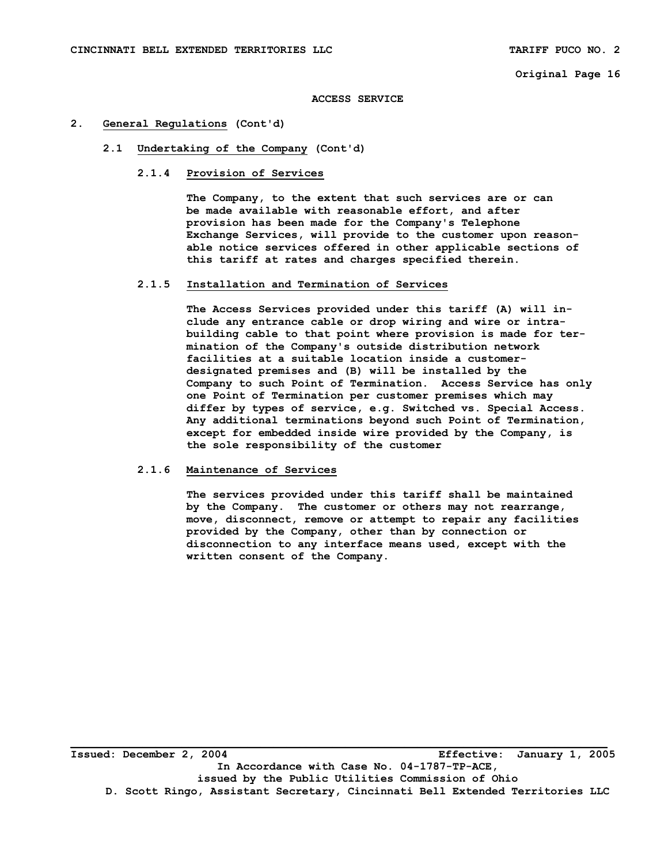#### **ACCESS SERVICE**

#### **2. General Regulations (Cont'd)**

- **2.1 Undertaking of the Company (Cont'd)** 
	- **2.1.4 Provision of Services**

 **The Company, to the extent that such services are or can be made available with reasonable effort, and after provision has been made for the Company's Telephone Exchange Services, will provide to the customer upon reason able notice services offered in other applicable sections of this tariff at rates and charges specified therein.** 

#### **2.1.5 Installation and Termination of Services**

 **The Access Services provided under this tariff (A) will in clude any entrance cable or drop wiring and wire or intra building cable to that point where provision is made for ter mination of the Company's outside distribution network facilities at a suitable location inside a customer designated premises and (B) will be installed by the Company to such Point of Termination. Access Service has only one Point of Termination per customer premises which may differ by types of service, e.g. Switched vs. Special Access. Any additional terminations beyond such Point of Termination, except for embedded inside wire provided by the Company, is the sole responsibility of the customer** 

#### **2.1.6 Maintenance of Services**

 **The services provided under this tariff shall be maintained by the Company. The customer or others may not rearrange, move, disconnect, remove or attempt to repair any facilities provided by the Company, other than by connection or disconnection to any interface means used, except with the written consent of the Company.** 

**Issued: December 2, 2004 Effective: January 1, 2005 In Accordance with Case No. 04-1787-TP-ACE, issued by the Public Utilities Commission of Ohio D. Scott Ringo, Assistant Secretary, Cincinnati Bell Extended Territories LLC**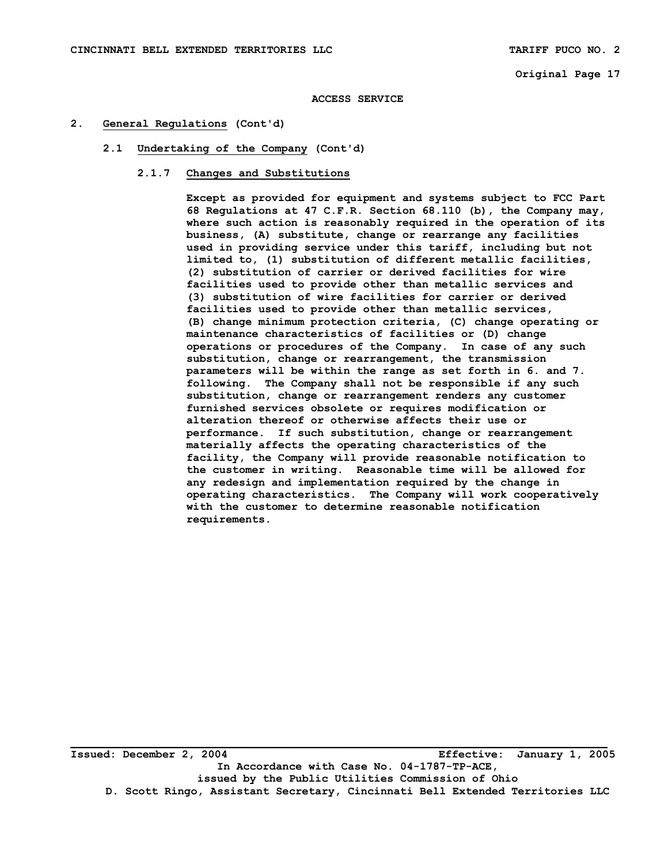#### **ACCESS SERVICE**

- **2. General Regulations (Cont'd)** 
	- **2.1 Undertaking of the Company (Cont'd)** 
		- **2.1.7 Changes and Substitutions**

 **Except as provided for equipment and systems subject to FCC Part 68 Regulations at 47 C.F.R. Section 68.110 (b), the Company may, where such action is reasonably required in the operation of its business, (A) substitute, change or rearrange any facilities used in providing service under this tariff, including but not limited to, (1) substitution of different metallic facilities, (2) substitution of carrier or derived facilities for wire facilities used to provide other than metallic services and (3) substitution of wire facilities for carrier or derived facilities used to provide other than metallic services, (B) change minimum protection criteria, (C) change operating or maintenance characteristics of facilities or (D) change operations or procedures of the Company. In case of any such substitution, change or rearrangement, the transmission parameters will be within the range as set forth in 6. and 7. following. The Company shall not be responsible if any such substitution, change or rearrangement renders any customer furnished services obsolete or requires modification or alteration thereof or otherwise affects their use or performance. If such substitution, change or rearrangement materially affects the operating characteristics of the facility, the Company will provide reasonable notification to the customer in writing. Reasonable time will be allowed for any redesign and implementation required by the change in operating characteristics. The Company will work cooperatively with the customer to determine reasonable notification requirements.** 

**Issued: December 2, 2004 Effective: January 1, 2005 In Accordance with Case No. 04-1787-TP-ACE, issued by the Public Utilities Commission of Ohio D. Scott Ringo, Assistant Secretary, Cincinnati Bell Extended Territories LLC**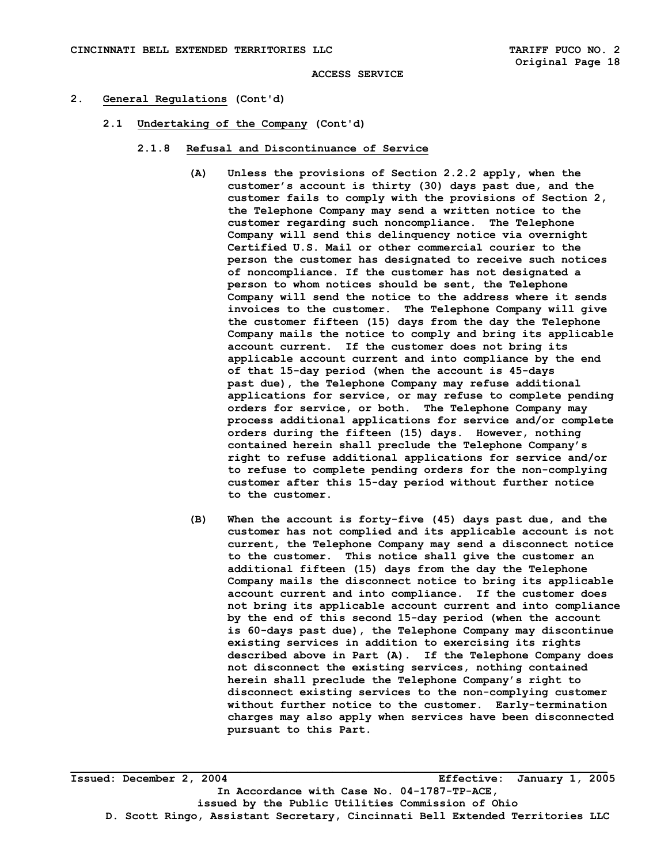#### **ACCESS SERVICE**

#### **2. General Regulations (Cont'd)**

- **2.1 Undertaking of the Company (Cont'd)** 
	- **2.1.8 Refusal and Discontinuance of Service** 
		- **(A) Unless the provisions of Section 2.2.2 apply, when the customer's account is thirty (30) days past due, and the customer fails to comply with the provisions of Section 2, the Telephone Company may send a written notice to the customer regarding such noncompliance. The Telephone Company will send this delinquency notice via overnight Certified U.S. Mail or other commercial courier to the person the customer has designated to receive such notices of noncompliance. If the customer has not designated a person to whom notices should be sent, the Telephone Company will send the notice to the address where it sends invoices to the customer. The Telephone Company will give the customer fifteen (15) days from the day the Telephone Company mails the notice to comply and bring its applicable account current. If the customer does not bring its applicable account current and into compliance by the end of that 15-day period (when the account is 45-days past due), the Telephone Company may refuse additional applications for service, or may refuse to complete pending orders for service, or both. The Telephone Company may process additional applications for service and/or complete orders during the fifteen (15) days. However, nothing contained herein shall preclude the Telephone Company's right to refuse additional applications for service and/or to refuse to complete pending orders for the non-complying customer after this 15-day period without further notice to the customer.**
		- **(B) When the account is forty-five (45) days past due, and the customer has not complied and its applicable account is not current, the Telephone Company may send a disconnect notice to the customer. This notice shall give the customer an additional fifteen (15) days from the day the Telephone Company mails the disconnect notice to bring its applicable account current and into compliance. If the customer does not bring its applicable account current and into compliance by the end of this second 15-day period (when the account is 60-days past due), the Telephone Company may discontinue existing services in addition to exercising its rights described above in Part (A). If the Telephone Company does not disconnect the existing services, nothing contained herein shall preclude the Telephone Company's right to disconnect existing services to the non-complying customer without further notice to the customer. Early-termination charges may also apply when services have been disconnected pursuant to this Part.**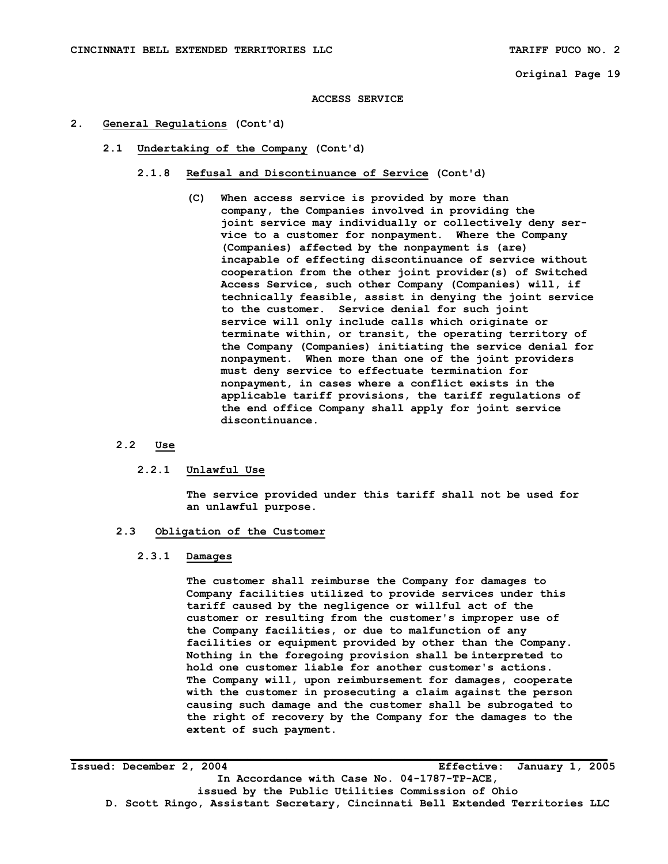#### **ACCESS SERVICE**

- **2. General Regulations (Cont'd)** 
	- **2.1 Undertaking of the Company (Cont'd)** 
		- **2.1.8 Refusal and Discontinuance of Service (Cont'd)** 
			- **(C) When access service is provided by more than company, the Companies involved in providing the joint service may individually or collectively deny ser vice to a customer for nonpayment. Where the Company (Companies) affected by the nonpayment is (are) incapable of effecting discontinuance of service without cooperation from the other joint provider(s) of Switched Access Service, such other Company (Companies) will, if technically feasible, assist in denying the joint service to the customer. Service denial for such joint service will only include calls which originate or terminate within, or transit, the operating territory of the Company (Companies) initiating the service denial for nonpayment. When more than one of the joint providers must deny service to effectuate termination for nonpayment, in cases where a conflict exists in the applicable tariff provisions, the tariff regulations of the end office Company shall apply for joint service discontinuance.**

#### **2.2 Use**

#### **2.2.1 Unlawful Use**

 **The service provided under this tariff shall not be used for an unlawful purpose.** 

#### **2.3 Obligation of the Customer**

## **2.3.1 Damages**

 **The customer shall reimburse the Company for damages to Company facilities utilized to provide services under this tariff caused by the negligence or willful act of the customer or resulting from the customer's improper use of the Company facilities, or due to malfunction of any facilities or equipment provided by other than the Company. Nothing in the foregoing provision shall be interpreted to hold one customer liable for another customer's actions. The Company will, upon reimbursement for damages, cooperate with the customer in prosecuting a claim against the person causing such damage and the customer shall be subrogated to the right of recovery by the Company for the damages to the extent of such payment.** 

**Issued: December 2, 2004 Effective: January 1, 2005 In Accordance with Case No. 04-1787-TP-ACE, issued by the Public Utilities Commission of Ohio D. Scott Ringo, Assistant Secretary, Cincinnati Bell Extended Territories LLC**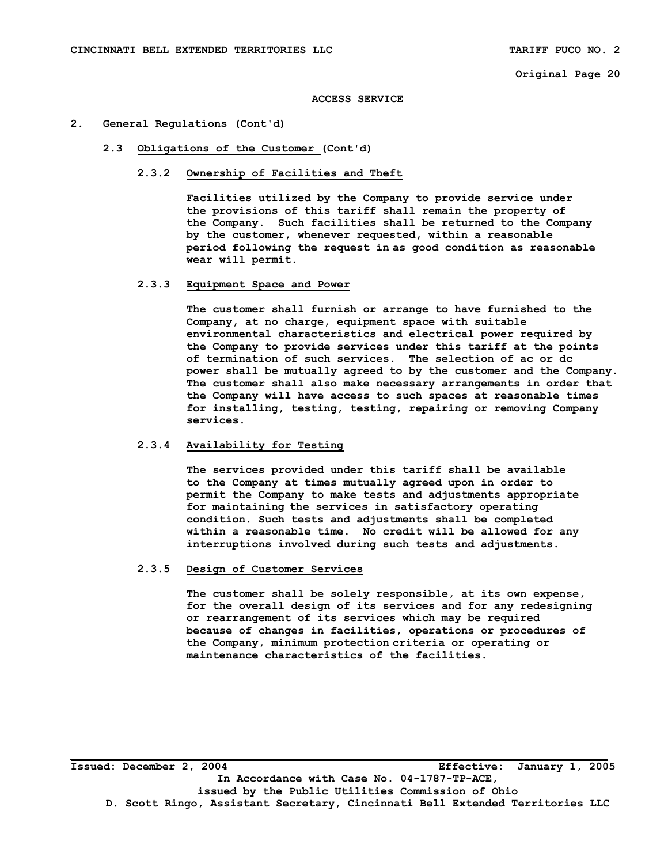**ACCESS SERVICE** 

#### **2. General Regulations (Cont'd)**

 **2.3 Obligations of the Customer (Cont'd)** 

### **2.3.2 Ownership of Facilities and Theft**

 **Facilities utilized by the Company to provide service under the provisions of this tariff shall remain the property of the Company. Such facilities shall be returned to the Company by the customer, whenever requested, within a reasonable period following the request in as good condition as reasonable wear will permit.** 

#### **2.3.3 Equipment Space and Power**

 **The customer shall furnish or arrange to have furnished to the Company, at no charge, equipment space with suitable environmental characteristics and electrical power required by the Company to provide services under this tariff at the points of termination of such services. The selection of ac or dc power shall be mutually agreed to by the customer and the Company. The customer shall also make necessary arrangements in order that the Company will have access to such spaces at reasonable times for installing, testing, testing, repairing or removing Company services.** 

### **2.3.4 Availability for Testing**

 **The services provided under this tariff shall be available to the Company at times mutually agreed upon in order to permit the Company to make tests and adjustments appropriate for maintaining the services in satisfactory operating condition. Such tests and adjustments shall be completed within a reasonable time. No credit will be allowed for any interruptions involved during such tests and adjustments.** 

#### **2.3.5 Design of Customer Services**

 **The customer shall be solely responsible, at its own expense, for the overall design of its services and for any redesigning or rearrangement of its services which may be required because of changes in facilities, operations or procedures of the Company, minimum protection criteria or operating or maintenance characteristics of the facilities.** 

**Issued: December 2, 2004 Effective: January 1, 2005 In Accordance with Case No. 04-1787-TP-ACE, issued by the Public Utilities Commission of Ohio D. Scott Ringo, Assistant Secretary, Cincinnati Bell Extended Territories LLC**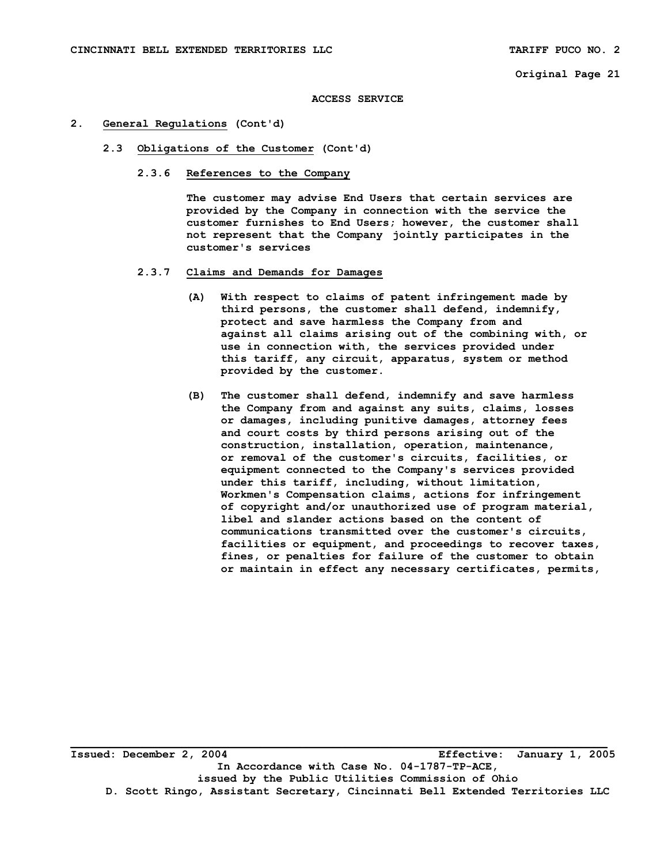**ACCESS SERVICE** 

#### **2. General Regulations (Cont'd)**

- **2.3 Obligations of the Customer (Cont'd)** 
	- **2.3.6 References to the Company**

 **The customer may advise End Users that certain services are provided by the Company in connection with the service the customer furnishes to End Users; however, the customer shall not represent that the Company jointly participates in the customer's services** 

- **2.3.7 Claims and Demands for Damages** 
	- **(A) With respect to claims of patent infringement made by third persons, the customer shall defend, indemnify, protect and save harmless the Company from and against all claims arising out of the combining with, or use in connection with, the services provided under this tariff, any circuit, apparatus, system or method provided by the customer.**
	- **(B) The customer shall defend, indemnify and save harmless the Company from and against any suits, claims, losses or damages, including punitive damages, attorney fees and court costs by third persons arising out of the construction, installation, operation, maintenance, or removal of the customer's circuits, facilities, or equipment connected to the Company's services provided under this tariff, including, without limitation, Workmen's Compensation claims, actions for infringement of copyright and/or unauthorized use of program material, libel and slander actions based on the content of communications transmitted over the customer's circuits, facilities or equipment, and proceedings to recover taxes, fines, or penalties for failure of the customer to obtain or maintain in effect any necessary certificates, permits,**

**\_\_\_\_\_\_\_\_\_\_\_\_\_\_\_\_\_\_\_\_\_\_\_\_\_\_\_\_\_\_\_\_\_\_\_\_\_\_\_\_\_\_\_\_\_\_\_\_\_\_\_\_\_\_\_\_\_\_\_\_\_\_\_\_\_\_\_\_\_\_\_\_\_\_\_\_\_\_\_\_\_\_ Issued: December 2, 2004 Effective: January 1, 2005 In Accordance with Case No. 04-1787-TP-ACE, issued by the Public Utilities Commission of Ohio D. Scott Ringo, Assistant Secretary, Cincinnati Bell Extended Territories LLC**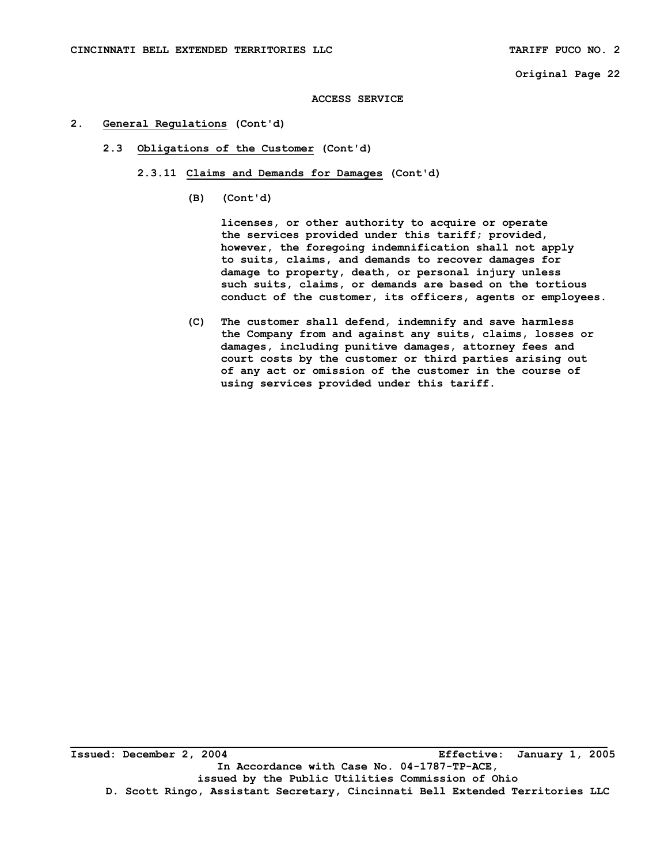**ACCESS SERVICE** 

- **2. General Regulations (Cont'd)** 
	- **2.3 Obligations of the Customer (Cont'd)** 
		- **2.3.11 Claims and Demands for Damages (Cont'd)** 
			- **(B) (Cont'd)**

 **licenses, or other authority to acquire or operate the services provided under this tariff; provided, however, the foregoing indemnification shall not apply to suits, claims, and demands to recover damages for damage to property, death, or personal injury unless such suits, claims, or demands are based on the tortious conduct of the customer, its officers, agents or employees.** 

 **(C) The customer shall defend, indemnify and save harmless the Company from and against any suits, claims, losses or damages, including punitive damages, attorney fees and court costs by the customer or third parties arising out of any act or omission of the customer in the course of using services provided under this tariff.**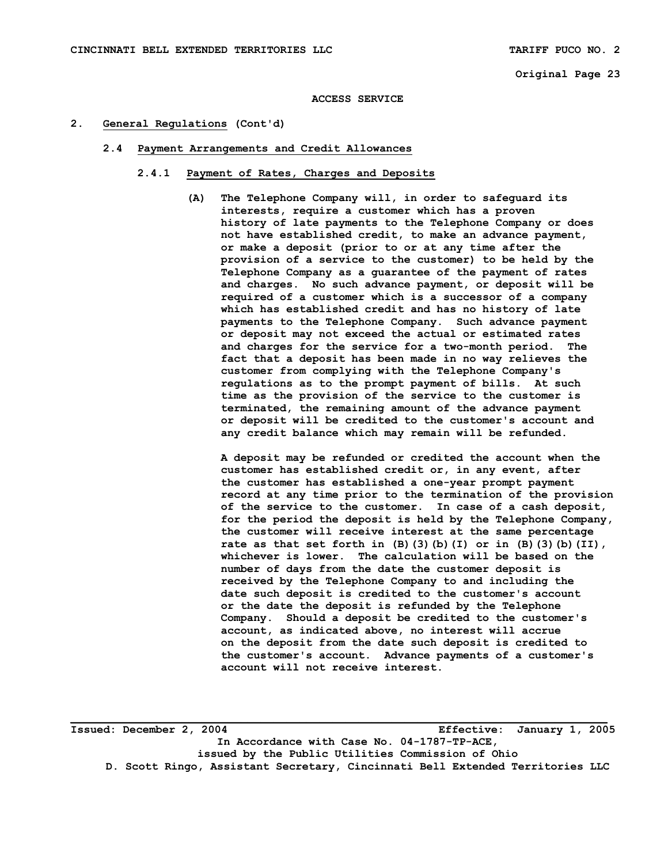#### **ACCESS SERVICE**

#### **2. General Regulations (Cont'd)**

- **2.4 Payment Arrangements and Credit Allowances** 
	- **2.4.1 Payment of Rates, Charges and Deposits** 
		- **(A) The Telephone Company will, in order to safeguard its interests, require a customer which has a proven history of late payments to the Telephone Company or does not have established credit, to make an advance payment, or make a deposit (prior to or at any time after the provision of a service to the customer) to be held by the Telephone Company as a guarantee of the payment of rates and charges. No such advance payment, or deposit will be required of a customer which is a successor of a company which has established credit and has no history of late payments to the Telephone Company. Such advance payment or deposit may not exceed the actual or estimated rates and charges for the service for a two-month period. The fact that a deposit has been made in no way relieves the customer from complying with the Telephone Company's regulations as to the prompt payment of bills. At such time as the provision of the service to the customer is terminated, the remaining amount of the advance payment or deposit will be credited to the customer's account and any credit balance which may remain will be refunded.**

 **A deposit may be refunded or credited the account when the customer has established credit or, in any event, after the customer has established a one-year prompt payment record at any time prior to the termination of the provision of the service to the customer. In case of a cash deposit, for the period the deposit is held by the Telephone Company, the customer will receive interest at the same percentage rate as that set forth in (B)(3)(b)(I) or in (B)(3)(b)(II), whichever is lower. The calculation will be based on the number of days from the date the customer deposit is received by the Telephone Company to and including the date such deposit is credited to the customer's account or the date the deposit is refunded by the Telephone Company. Should a deposit be credited to the customer's account, as indicated above, no interest will accrue on the deposit from the date such deposit is credited to the customer's account. Advance payments of a customer's account will not receive interest.** 

**Issued: December 2, 2004 Effective: January 1, 2005 In Accordance with Case No. 04-1787-TP-ACE, issued by the Public Utilities Commission of Ohio D. Scott Ringo, Assistant Secretary, Cincinnati Bell Extended Territories LLC**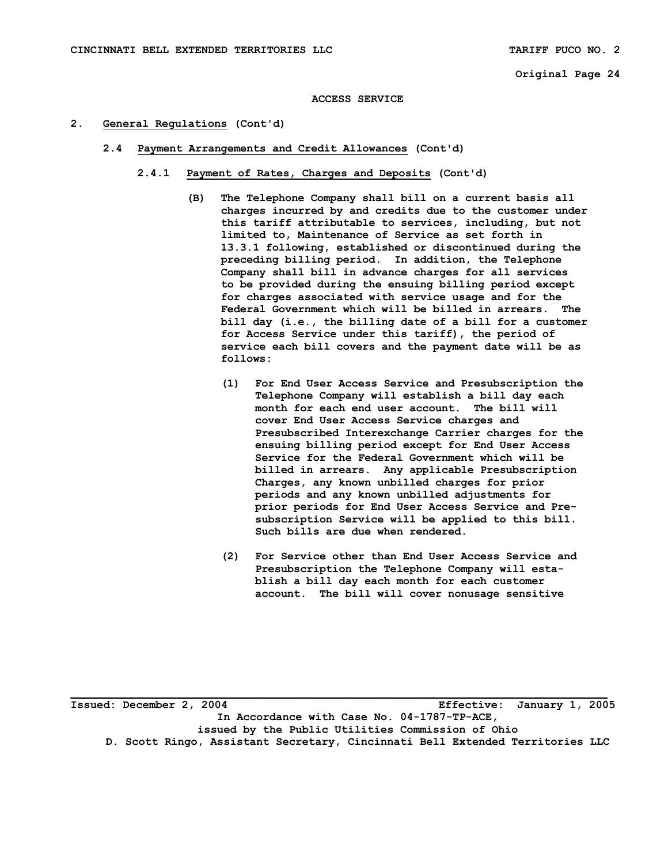**ACCESS SERVICE** 

- **2. General Regulations (Cont'd)** 
	- **2.4 Payment Arrangements and Credit Allowances (Cont'd)** 
		- **2.4.1 Payment of Rates, Charges and Deposits (Cont'd)** 
			- **(B) The Telephone Company shall bill on a current basis all charges incurred by and credits due to the customer under this tariff attributable to services, including, but not limited to, Maintenance of Service as set forth in 13.3.1 following, established or discontinued during the preceding billing period. In addition, the Telephone Company shall bill in advance charges for all services to be provided during the ensuing billing period except for charges associated with service usage and for the Federal Government which will be billed in arrears. The bill day (i.e., the billing date of a bill for a customer for Access Service under this tariff), the period of service each bill covers and the payment date will be as follows:** 
				- **(1) For End User Access Service and Presubscription the Telephone Company will establish a bill day each month for each end user account. The bill will cover End User Access Service charges and Presubscribed Interexchange Carrier charges for the ensuing billing period except for End User Access Service for the Federal Government which will be billed in arrears. Any applicable Presubscription Charges, any known unbilled charges for prior periods and any known unbilled adjustments for prior periods for End User Access Service and Pre subscription Service will be applied to this bill. Such bills are due when rendered.**
				- **(2) For Service other than End User Access Service and Presubscription the Telephone Company will esta blish a bill day each month for each customer account. The bill will cover nonusage sensitive**

**\_\_\_\_\_\_\_\_\_\_\_\_\_\_\_\_\_\_\_\_\_\_\_\_\_\_\_\_\_\_\_\_\_\_\_\_\_\_\_\_\_\_\_\_\_\_\_\_\_\_\_\_\_\_\_\_\_\_\_\_\_\_\_\_\_\_\_\_\_\_\_\_\_\_\_\_\_\_\_\_\_\_ Issued: December 2, 2004 Effective: January 1, 2005 In Accordance with Case No. 04-1787-TP-ACE, issued by the Public Utilities Commission of Ohio D. Scott Ringo, Assistant Secretary, Cincinnati Bell Extended Territories LLC**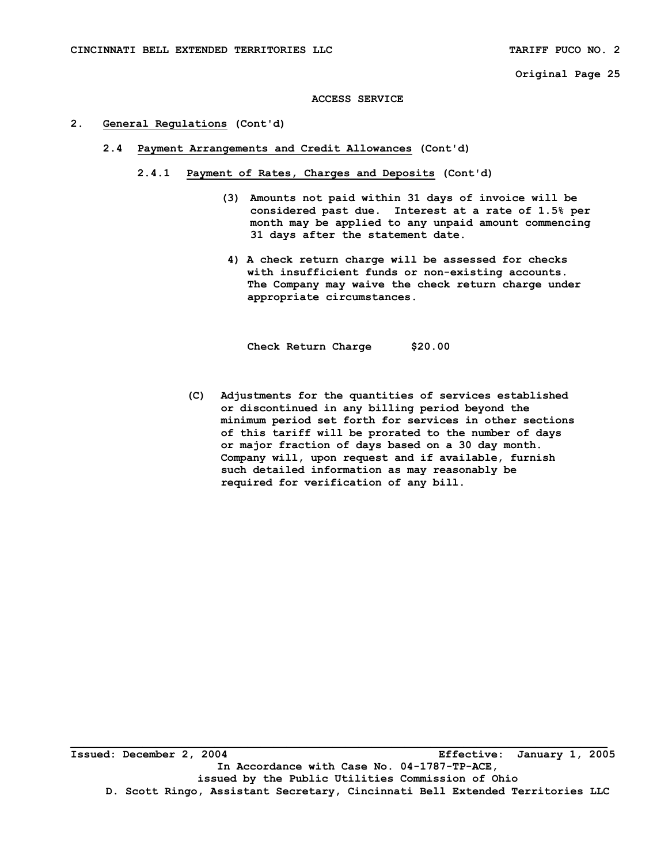#### **ACCESS SERVICE**

#### **2. General Regulations (Cont'd)**

- **2.4 Payment Arrangements and Credit Allowances (Cont'd)** 
	- **2.4.1 Payment of Rates, Charges and Deposits (Cont'd)** 
		- **(3) Amounts not paid within 31 days of invoice will be considered past due. Interest at a rate of 1.5% per month may be applied to any unpaid amount commencing 31 days after the statement date.**
		- **4) A check return charge will be assessed for checks with insufficient funds or non-existing accounts. The Company may waive the check return charge under appropriate circumstances.**

 **Check Return Charge \$20.00** 

 **(C) Adjustments for the quantities of services established or discontinued in any billing period beyond the minimum period set forth for services in other sections of this tariff will be prorated to the number of days or major fraction of days based on a 30 day month. Company will, upon request and if available, furnish such detailed information as may reasonably be required for verification of any bill.**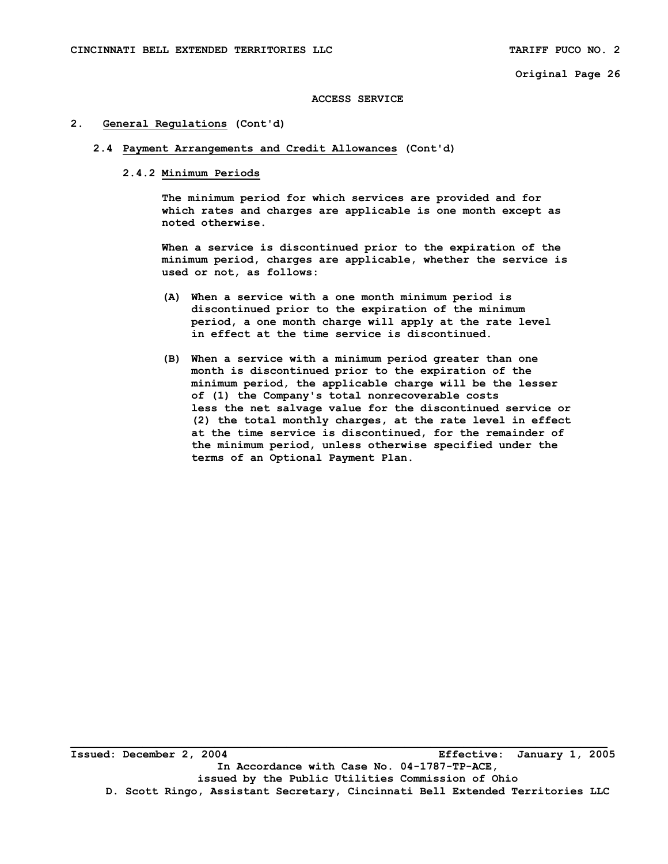#### **ACCESS SERVICE**

#### **2. General Regulations (Cont'd)**

#### **2.4 Payment Arrangements and Credit Allowances (Cont'd)**

### **2.4.2 Minimum Periods**

 **The minimum period for which services are provided and for which rates and charges are applicable is one month except as noted otherwise.** 

 **When a service is discontinued prior to the expiration of the minimum period, charges are applicable, whether the service is used or not, as follows:** 

- **(A) When a service with a one month minimum period is discontinued prior to the expiration of the minimum period, a one month charge will apply at the rate level in effect at the time service is discontinued.**
- **(B) When a service with a minimum period greater than one month is discontinued prior to the expiration of the minimum period, the applicable charge will be the lesser of (1) the Company's total nonrecoverable costs less the net salvage value for the discontinued service or (2) the total monthly charges, at the rate level in effect at the time service is discontinued, for the remainder of the minimum period, unless otherwise specified under the terms of an Optional Payment Plan.**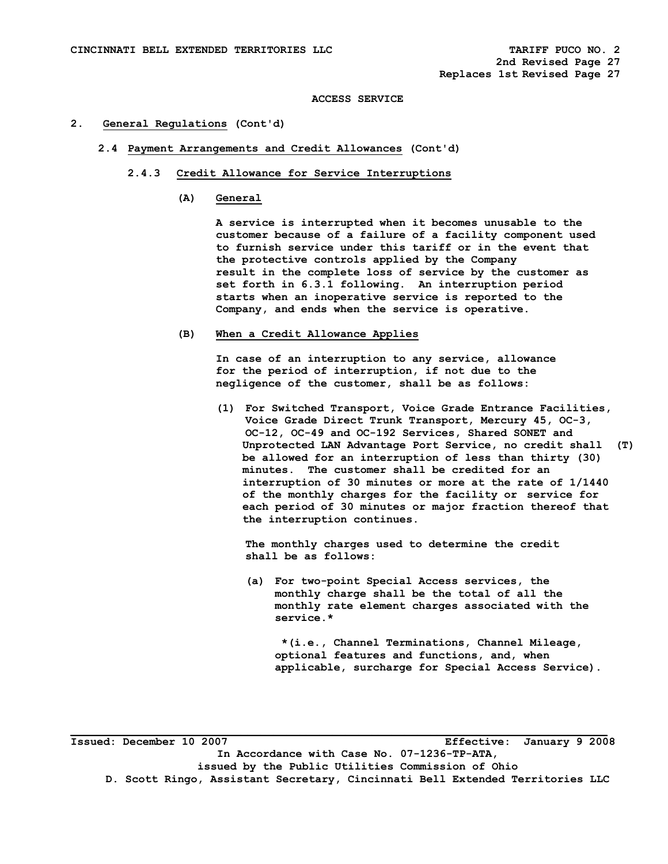**ACCESS SERVICE** 

#### **2. General Regulations (Cont'd)**

- **2.4 Payment Arrangements and Credit Allowances (Cont'd)** 
	- **2.4.3 Credit Allowance for Service Interruptions** 
		- **(A) General**

 **A service is interrupted when it becomes unusable to the customer because of a failure of a facility component used to furnish service under this tariff or in the event that the protective controls applied by the Company result in the complete loss of service by the customer as set forth in 6.3.1 following. An interruption period starts when an inoperative service is reported to the Company, and ends when the service is operative.** 

 **(B) When a Credit Allowance Applies** 

 **In case of an interruption to any service, allowance for the period of interruption, if not due to the negligence of the customer, shall be as follows:** 

 **(1) For Switched Transport, Voice Grade Entrance Facilities, Voice Grade Direct Trunk Transport, Mercury 45, OC-3, OC-12, OC-49 and OC-192 Services, Shared SONET and Unprotected LAN Advantage Port Service, no credit shall (T) be allowed for an interruption of less than thirty (30) minutes. The customer shall be credited for an interruption of 30 minutes or more at the rate of 1/1440 of the monthly charges for the facility or service for each period of 30 minutes or major fraction thereof that the interruption continues.** 

 **The monthly charges used to determine the credit shall be as follows:** 

 **(a) For two-point Special Access services, the monthly charge shall be the total of all the monthly rate element charges associated with the service.\*** 

 **\*(i.e., Channel Terminations, Channel Mileage, optional features and functions, and, when applicable, surcharge for Special Access Service).** 

**\_\_\_\_\_\_\_\_\_\_\_\_\_\_\_\_\_\_\_\_\_\_\_\_\_\_\_\_\_\_\_\_\_\_\_\_\_\_\_\_\_\_\_\_\_\_\_\_\_\_\_\_\_\_\_\_\_\_\_\_\_\_\_\_\_\_\_\_\_\_\_\_\_\_\_\_\_\_\_\_\_\_ Issued: December 10 2007 Effective: January 9 2008 In Accordance with Case No. 07-1236-TP-ATA, issued by the Public Utilities Commission of Ohio D. Scott Ringo, Assistant Secretary, Cincinnati Bell Extended Territories LLC**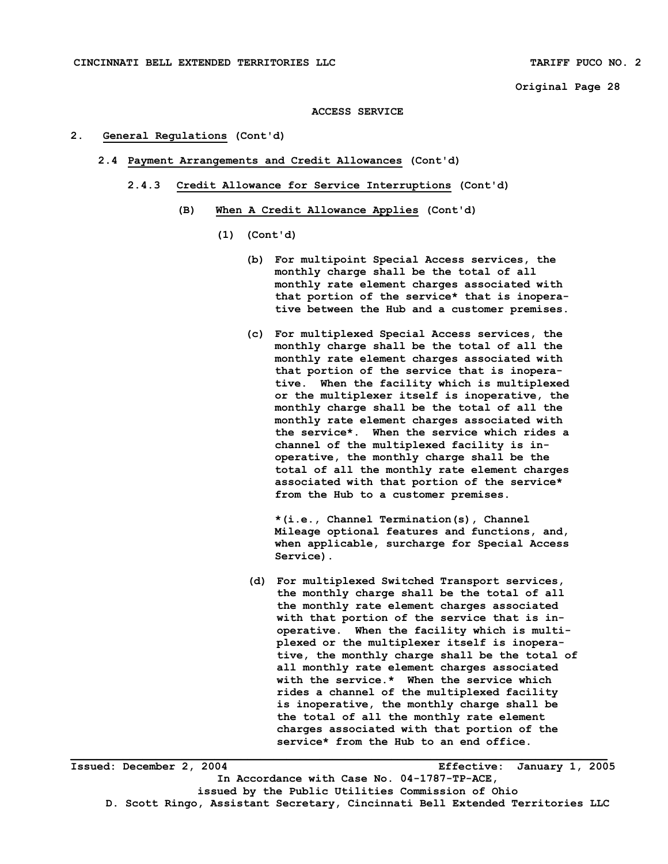#### **ACCESS SERVICE**

#### **2. General Regulations (Cont'd)**

- **2.4 Payment Arrangements and Credit Allowances (Cont'd)** 
	- **2.4.3 Credit Allowance for Service Interruptions (Cont'd)** 
		- **(B) When A Credit Allowance Applies (Cont'd)** 
			- **(1) (Cont'd)** 
				- **(b) For multipoint Special Access services, the monthly charge shall be the total of all monthly rate element charges associated with that portion of the service\* that is inopera tive between the Hub and a customer premises.**
				- **(c) For multiplexed Special Access services, the monthly charge shall be the total of all the monthly rate element charges associated with that portion of the service that is inopera tive. When the facility which is multiplexed or the multiplexer itself is inoperative, the monthly charge shall be the total of all the monthly rate element charges associated with the service\*. When the service which rides a channel of the multiplexed facility is in operative, the monthly charge shall be the total of all the monthly rate element charges associated with that portion of the service\* from the Hub to a customer premises.**

 **\*(i.e., Channel Termination(s), Channel Mileage optional features and functions, and, when applicable, surcharge for Special Access Service).** 

**(d) For multiplexed Switched Transport services, the monthly charge shall be the total of all the monthly rate element charges associated with that portion of the service that is in operative. When the facility which is multi plexed or the multiplexer itself is inopera tive, the monthly charge shall be the total of all monthly rate element charges associated with the service.\* When the service which rides a channel of the multiplexed facility is inoperative, the monthly charge shall be the total of all the monthly rate element charges associated with that portion of the service\* from the Hub to an end office.** 

**Issued: December 2, 2004 Effective: January 1, 2005 In Accordance with Case No. 04-1787-TP-ACE, issued by the Public Utilities Commission of Ohio D. Scott Ringo, Assistant Secretary, Cincinnati Bell Extended Territories LLC**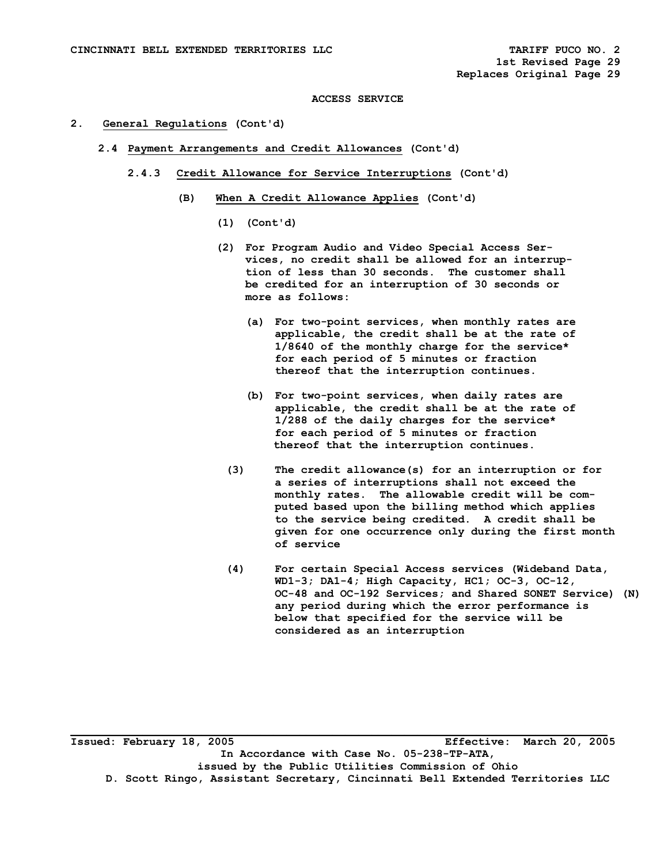#### **ACCESS SERVICE**

#### **2. General Regulations (Cont'd)**

- **2.4 Payment Arrangements and Credit Allowances (Cont'd)** 
	- **2.4.3 Credit Allowance for Service Interruptions (Cont'd)** 
		- **(B) When A Credit Allowance Applies (Cont'd)** 
			- **(1) (Cont'd)**
			- **(2) For Program Audio and Video Special Access Ser vices, no credit shall be allowed for an interrup tion of less than 30 seconds. The customer shall be credited for an interruption of 30 seconds or more as follows:** 
				- **(a) For two-point services, when monthly rates are applicable, the credit shall be at the rate of 1/8640 of the monthly charge for the service\* for each period of 5 minutes or fraction thereof that the interruption continues.**
				- **(b) For two-point services, when daily rates are applicable, the credit shall be at the rate of 1/288 of the daily charges for the service\* for each period of 5 minutes or fraction thereof that the interruption continues.**
				- **(3) The credit allowance(s) for an interruption or for a series of interruptions shall not exceed the monthly rates. The allowable credit will be com puted based upon the billing method which applies to the service being credited. A credit shall be given for one occurrence only during the first month of service**
				- **(4) For certain Special Access services (Wideband Data, WD1-3; DA1-4; High Capacity, HC1; OC-3, OC-12, OC-48 and OC-192 Services; and Shared SONET Service) (N) any period during which the error performance is below that specified for the service will be considered as an interruption**

**\_\_\_\_\_\_\_\_\_\_\_\_\_\_\_\_\_\_\_\_\_\_\_\_\_\_\_\_\_\_\_\_\_\_\_\_\_\_\_\_\_\_\_\_\_\_\_\_\_\_\_\_\_\_\_\_\_\_\_\_\_\_\_\_\_\_\_\_\_\_\_\_\_\_\_\_\_\_\_\_\_\_ Issued: February 18, 2005 Effective: March 20, 2005 In Accordance with Case No. 05-238-TP-ATA, issued by the Public Utilities Commission of Ohio D. Scott Ringo, Assistant Secretary, Cincinnati Bell Extended Territories LLC**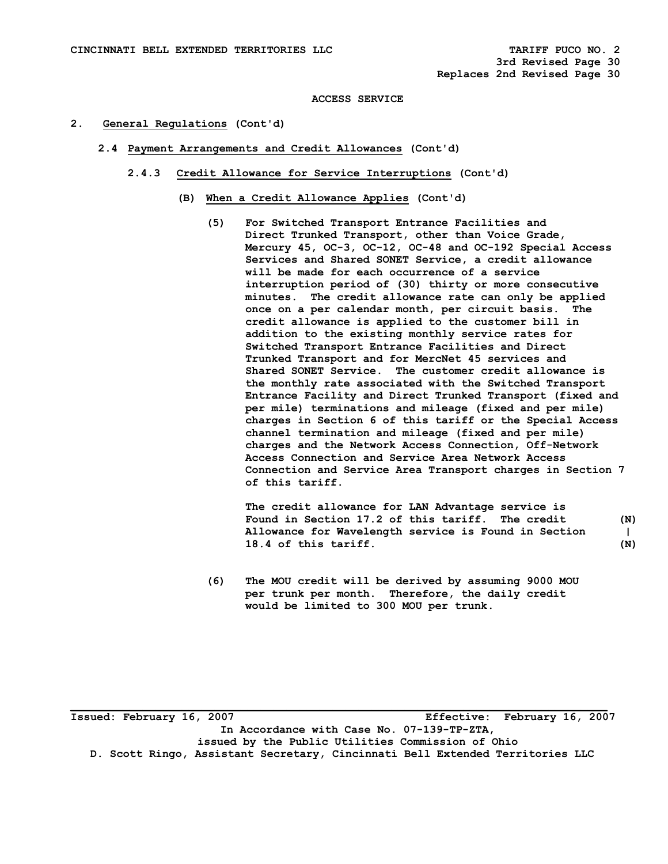#### **ACCESS SERVICE**

#### **2. General Regulations (Cont'd)**

- **2.4 Payment Arrangements and Credit Allowances (Cont'd)** 
	- **2.4.3 Credit Allowance for Service Interruptions (Cont'd)** 
		- **(B) When a Credit Allowance Applies (Cont'd)** 
			- **(5) For Switched Transport Entrance Facilities and Direct Trunked Transport, other than Voice Grade, Mercury 45, OC-3, OC-12, OC-48 and OC-192 Special Access Services and Shared SONET Service, a credit allowance will be made for each occurrence of a service interruption period of (30) thirty or more consecutive minutes. The credit allowance rate can only be applied once on a per calendar month, per circuit basis. The credit allowance is applied to the customer bill in addition to the existing monthly service rates for Switched Transport Entrance Facilities and Direct Trunked Transport and for MercNet 45 services and Shared SONET Service. The customer credit allowance is the monthly rate associated with the Switched Transport Entrance Facility and Direct Trunked Transport (fixed and per mile) terminations and mileage (fixed and per mile) charges in Section 6 of this tariff or the Special Access channel termination and mileage (fixed and per mile) charges and the Network Access Connection, Off-Network Access Connection and Service Area Network Access Connection and Service Area Transport charges in Section 7 of this tariff.**

 **The credit allowance for LAN Advantage service is Found in Section 17.2 of this tariff. The credit (N) Allowance for Wavelength service is Found in Section | 18.4 of this tariff. (N)** 

 **(6) The MOU credit will be derived by assuming 9000 MOU per trunk per month. Therefore, the daily credit would be limited to 300 MOU per trunk.** 

**\_\_\_\_\_\_\_\_\_\_\_\_\_\_\_\_\_\_\_\_\_\_\_\_\_\_\_\_\_\_\_\_\_\_\_\_\_\_\_\_\_\_\_\_\_\_\_\_\_\_\_\_\_\_\_\_\_\_\_\_\_\_\_\_\_\_\_\_\_\_\_\_\_\_\_\_\_\_\_\_\_\_ Issued: February 16, 2007 Effective: February 16, 2007 In Accordance with Case No. 07-139-TP-ZTA, issued by the Public Utilities Commission of Ohio D. Scott Ringo, Assistant Secretary, Cincinnati Bell Extended Territories LLC**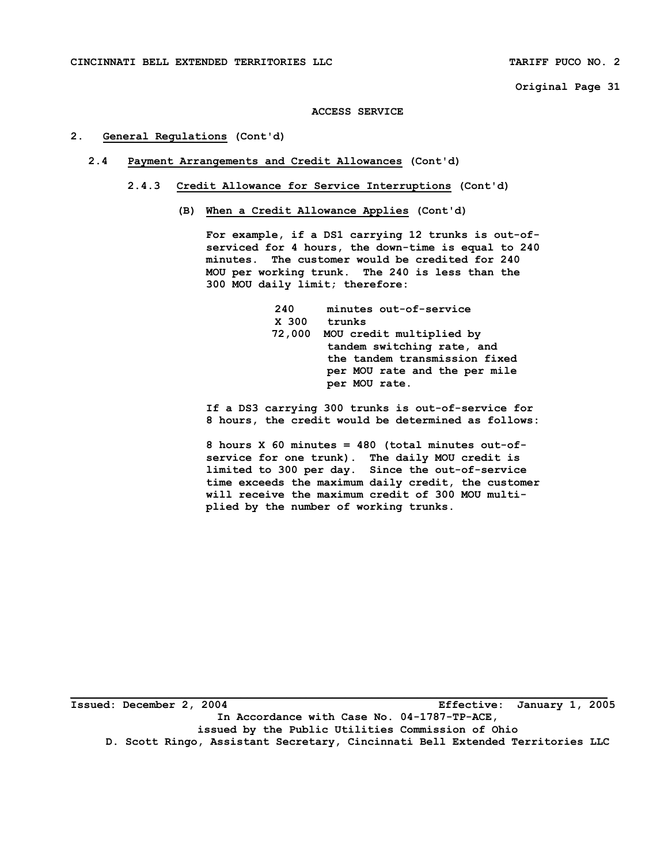#### **ACCESS SERVICE**

### **2. General Regulations (Cont'd)**

- **2.4 Payment Arrangements and Credit Allowances (Cont'd)** 
	- **2.4.3 Credit Allowance for Service Interruptions (Cont'd)** 
		- **(B) When a Credit Allowance Applies (Cont'd)**

 **For example, if a DS1 carrying 12 trunks is out-of serviced for 4 hours, the down-time is equal to 240 minutes. The customer would be credited for 240 MOU per working trunk. The 240 is less than the 300 MOU daily limit; therefore:** 

> **240 minutes out-of-service X 300 trunks 72,000 MOU credit multiplied by tandem switching rate, and the tandem transmission fixed per MOU rate and the per mile per MOU rate.**

 **If a DS3 carrying 300 trunks is out-of-service for 8 hours, the credit would be determined as follows:** 

 **8 hours X 60 minutes = 480 (total minutes out-of service for one trunk). The daily MOU credit is limited to 300 per day. Since the out-of-service time exceeds the maximum daily credit, the customer will receive the maximum credit of 300 MOU multi plied by the number of working trunks.** 

**\_\_\_\_\_\_\_\_\_\_\_\_\_\_\_\_\_\_\_\_\_\_\_\_\_\_\_\_\_\_\_\_\_\_\_\_\_\_\_\_\_\_\_\_\_\_\_\_\_\_\_\_\_\_\_\_\_\_\_\_\_\_\_\_\_\_\_\_\_\_\_\_\_\_\_\_\_\_\_\_\_\_ Issued: December 2, 2004 Effective: January 1, 2005 In Accordance with Case No. 04-1787-TP-ACE, issued by the Public Utilities Commission of Ohio D. Scott Ringo, Assistant Secretary, Cincinnati Bell Extended Territories LLC**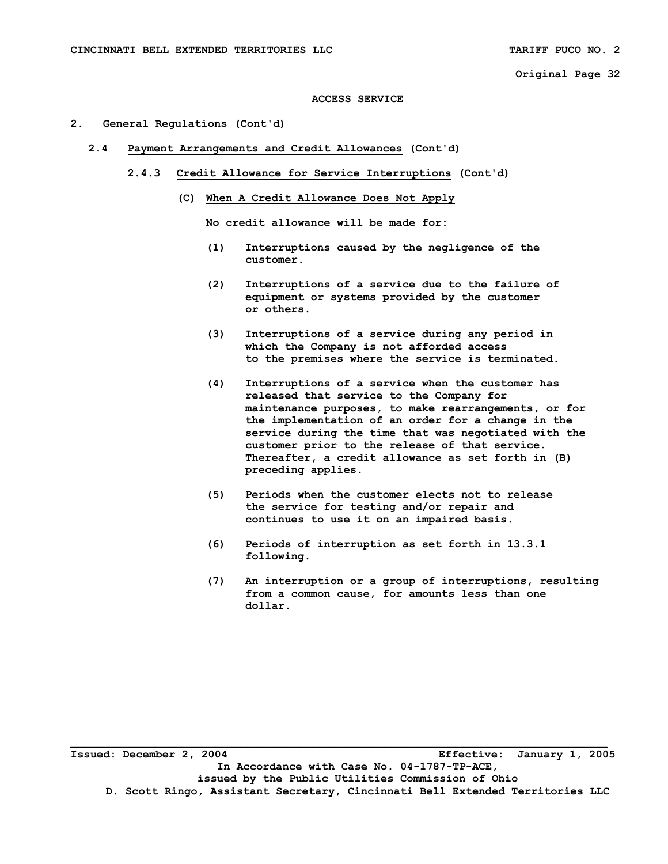#### **ACCESS SERVICE**

#### **2. General Regulations (Cont'd)**

- **2.4 Payment Arrangements and Credit Allowances (Cont'd)** 
	- **2.4.3 Credit Allowance for Service Interruptions (Cont'd)** 
		- **(C) When A Credit Allowance Does Not Apply**

 **No credit allowance will be made for:** 

- **(1) Interruptions caused by the negligence of the customer.**
- **(2) Interruptions of a service due to the failure of equipment or systems provided by the customer or others.**
- **(3) Interruptions of a service during any period in which the Company is not afforded access to the premises where the service is terminated.**
- **(4) Interruptions of a service when the customer has released that service to the Company for maintenance purposes, to make rearrangements, or for the implementation of an order for a change in the service during the time that was negotiated with the customer prior to the release of that service. Thereafter, a credit allowance as set forth in (B) preceding applies.**
- **(5) Periods when the customer elects not to release the service for testing and/or repair and continues to use it on an impaired basis.**
- **(6) Periods of interruption as set forth in 13.3.1 following.**
- **(7) An interruption or a group of interruptions, resulting from a common cause, for amounts less than one dollar.**

**\_\_\_\_\_\_\_\_\_\_\_\_\_\_\_\_\_\_\_\_\_\_\_\_\_\_\_\_\_\_\_\_\_\_\_\_\_\_\_\_\_\_\_\_\_\_\_\_\_\_\_\_\_\_\_\_\_\_\_\_\_\_\_\_\_\_\_\_\_\_\_\_\_\_\_\_\_\_\_\_\_\_ Issued: December 2, 2004 Effective: January 1, 2005 In Accordance with Case No. 04-1787-TP-ACE, issued by the Public Utilities Commission of Ohio D. Scott Ringo, Assistant Secretary, Cincinnati Bell Extended Territories LLC**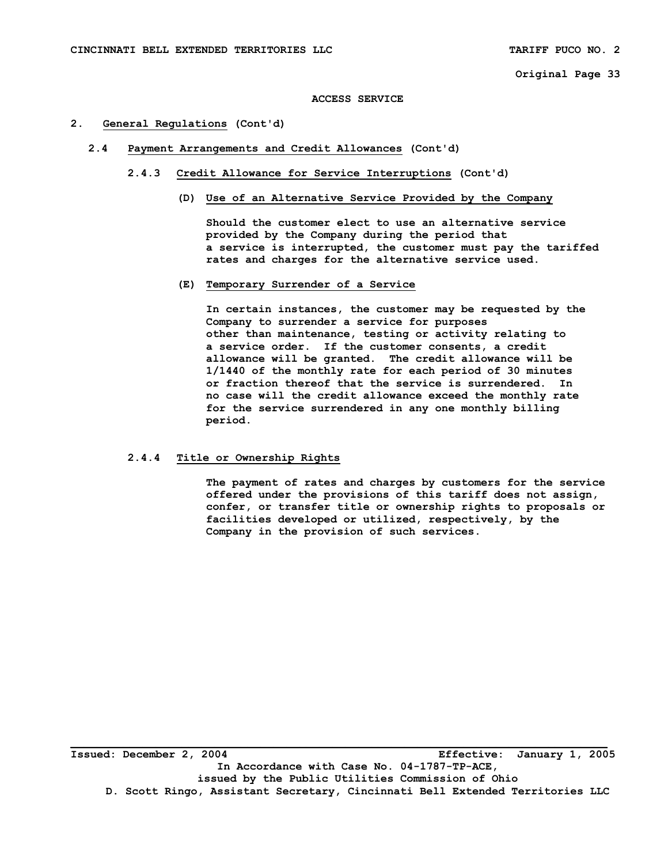#### **ACCESS SERVICE**

#### **2. General Regulations (Cont'd)**

- **2.4 Payment Arrangements and Credit Allowances (Cont'd)** 
	- **2.4.3 Credit Allowance for Service Interruptions (Cont'd)** 
		- **(D) Use of an Alternative Service Provided by the Company**

 **Should the customer elect to use an alternative service provided by the Company during the period that a service is interrupted, the customer must pay the tariffed rates and charges for the alternative service used.** 

#### **(E) Temporary Surrender of a Service**

 **In certain instances, the customer may be requested by the Company to surrender a service for purposes other than maintenance, testing or activity relating to a service order. If the customer consents, a credit allowance will be granted. The credit allowance will be 1/1440 of the monthly rate for each period of 30 minutes or fraction thereof that the service is surrendered. In no case will the credit allowance exceed the monthly rate for the service surrendered in any one monthly billing period.** 

#### **2.4.4 Title or Ownership Rights**

 **The payment of rates and charges by customers for the service offered under the provisions of this tariff does not assign, confer, or transfer title or ownership rights to proposals or facilities developed or utilized, respectively, by the Company in the provision of such services.** 

**Issued: December 2, 2004 Effective: January 1, 2005 In Accordance with Case No. 04-1787-TP-ACE, issued by the Public Utilities Commission of Ohio D. Scott Ringo, Assistant Secretary, Cincinnati Bell Extended Territories LLC**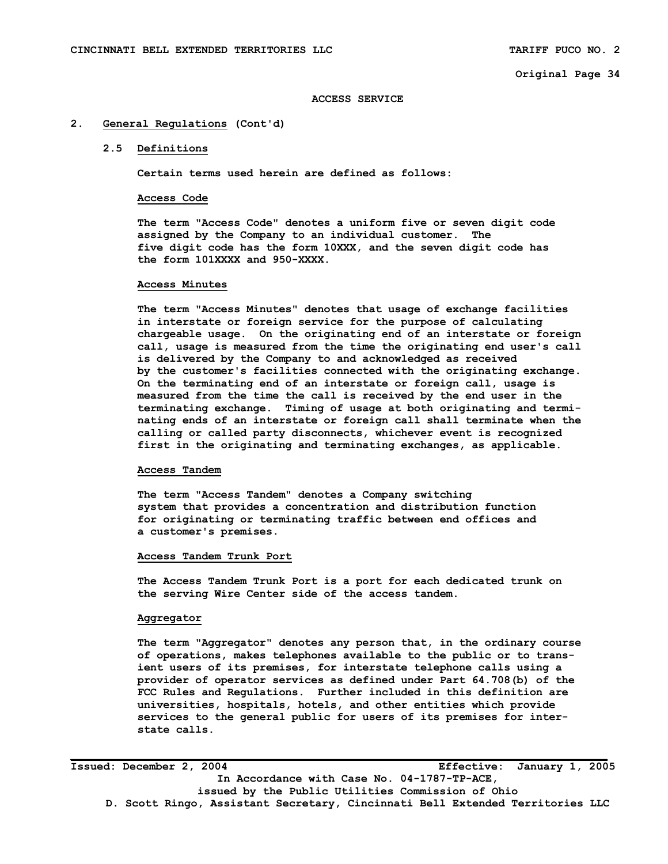#### **2. General Regulations (Cont'd)**

#### **2.5 Definitions**

 **Certain terms used herein are defined as follows:** 

#### **Access Code**

 **The term "Access Code" denotes a uniform five or seven digit code assigned by the Company to an individual customer. The five digit code has the form 10XXX, and the seven digit code has the form 101XXXX and 950-XXXX.** 

#### **Access Minutes**

 **The term "Access Minutes" denotes that usage of exchange facilities in interstate or foreign service for the purpose of calculating chargeable usage. On the originating end of an interstate or foreign call, usage is measured from the time the originating end user's call is delivered by the Company to and acknowledged as received by the customer's facilities connected with the originating exchange. On the terminating end of an interstate or foreign call, usage is measured from the time the call is received by the end user in the terminating exchange. Timing of usage at both originating and termi nating ends of an interstate or foreign call shall terminate when the calling or called party disconnects, whichever event is recognized first in the originating and terminating exchanges, as applicable.** 

#### **Access Tandem**

 **The term "Access Tandem" denotes a Company switching system that provides a concentration and distribution function for originating or terminating traffic between end offices and a customer's premises.** 

# **Access Tandem Trunk Port**

 **The Access Tandem Trunk Port is a port for each dedicated trunk on the serving Wire Center side of the access tandem.** 

#### **Aggregator**

 **The term "Aggregator" denotes any person that, in the ordinary course of operations, makes telephones available to the public or to trans ient users of its premises, for interstate telephone calls using a provider of operator services as defined under Part 64.708(b) of the FCC Rules and Regulations. Further included in this definition are universities, hospitals, hotels, and other entities which provide services to the general public for users of its premises for inter state calls.** 

**Issued: December 2, 2004 Effective: January 1, 2005 In Accordance with Case No. 04-1787-TP-ACE, issued by the Public Utilities Commission of Ohio D. Scott Ringo, Assistant Secretary, Cincinnati Bell Extended Territories LLC**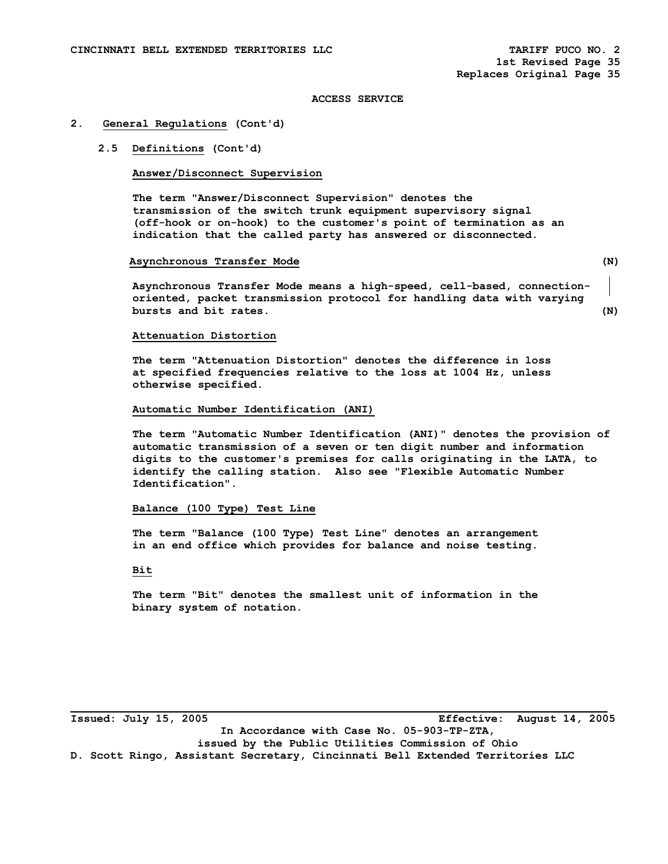#### **2. General Regulations (Cont'd)**

## **2.5 Definitions (Cont'd)**

# **Answer/Disconnect Supervision**

 **The term "Answer/Disconnect Supervision" denotes the transmission of the switch trunk equipment supervisory signal (off-hook or on-hook) to the customer's point of termination as an indication that the called party has answered or disconnected.** 

#### **Asynchronous Transfer Mode (N)**

**Asynchronous Transfer Mode means a high-speed, cell-based, connectionoriented, packet transmission protocol for handling data with varying bursts and bit rates. (N)** 

#### **Attenuation Distortion**

 **The term "Attenuation Distortion" denotes the difference in loss at specified frequencies relative to the loss at 1004 Hz, unless otherwise specified.** 

#### **Automatic Number Identification (ANI)**

 **The term "Automatic Number Identification (ANI)" denotes the provision of automatic transmission of a seven or ten digit number and information digits to the customer's premises for calls originating in the LATA, to identify the calling station. Also see "Flexible Automatic Number Identification".** 

## **Balance (100 Type) Test Line**

 **The term "Balance (100 Type) Test Line" denotes an arrangement in an end office which provides for balance and noise testing.** 

# **Bit**

 **The term "Bit" denotes the smallest unit of information in the binary system of notation.**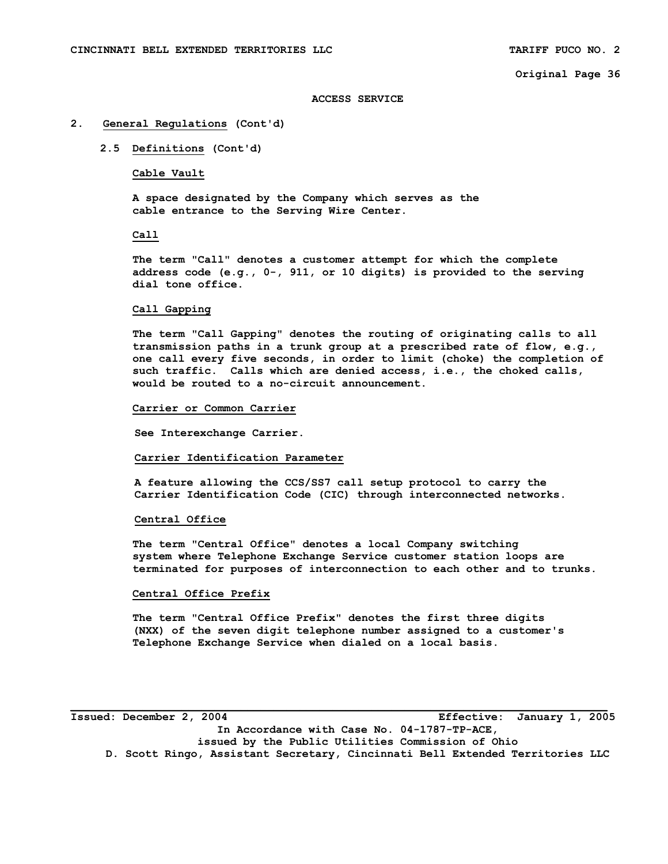#### **ACCESS SERVICE**

## **2. General Regulations (Cont'd)**

 **2.5 Definitions (Cont'd)** 

Cable Vault

 **A space designated by the Company which serves as the cable entrance to the Serving Wire Center.** 

 **Call** 

 **The term "Call" denotes a customer attempt for which the complete address code (e.g., 0-, 911, or 10 digits) is provided to the serving dial tone office.** 

## **Call Gapping**

 **The term "Call Gapping" denotes the routing of originating calls to all transmission paths in a trunk group at a prescribed rate of flow, e.g., one call every five seconds, in order to limit (choke) the completion of such traffic. Calls which are denied access, i.e., the choked calls, would be routed to a no-circuit announcement.** 

#### **Carrier or Common Carrier**

 **See Interexchange Carrier.** 

 **Carrier Identification Parameter** 

 **A feature allowing the CCS/SS7 call setup protocol to carry the Carrier Identification Code (CIC) through interconnected networks.** 

#### **Central Office**

 **The term "Central Office" denotes a local Company switching system where Telephone Exchange Service customer station loops are terminated for purposes of interconnection to each other and to trunks.** 

## **Central Office Prefix**

 **The term "Central Office Prefix" denotes the first three digits (NXX) of the seven digit telephone number assigned to a customer's Telephone Exchange Service when dialed on a local basis.** 

**Issued: December 2, 2004 Effective: January 1, 2005 In Accordance with Case No. 04-1787-TP-ACE, issued by the Public Utilities Commission of Ohio D. Scott Ringo, Assistant Secretary, Cincinnati Bell Extended Territories LLC**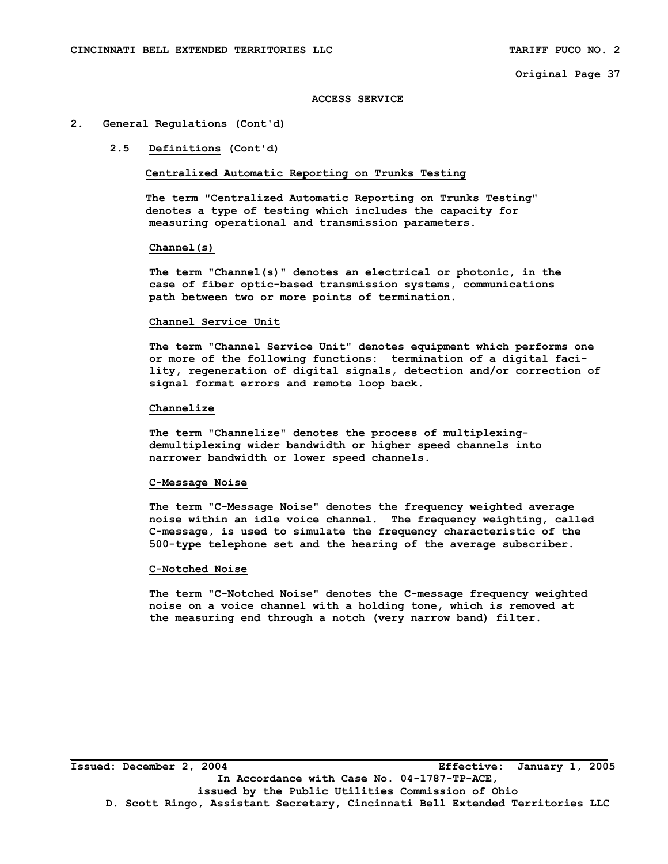#### **ACCESS SERVICE**

## **2. General Regulations (Cont'd)**

## **2.5 Definitions (Cont'd)**

## **Centralized Automatic Reporting on Trunks Testing**

 **The term "Centralized Automatic Reporting on Trunks Testing" denotes a type of testing which includes the capacity for measuring operational and transmission parameters.** 

## **Channel(s)**

 **The term "Channel(s)" denotes an electrical or photonic, in the case of fiber optic-based transmission systems, communications path between two or more points of termination.** 

#### **Channel Service Unit**

 **The term "Channel Service Unit" denotes equipment which performs one or more of the following functions: termination of a digital faci lity, regeneration of digital signals, detection and/or correction of signal format errors and remote loop back.** 

#### **Channelize**

 **The term "Channelize" denotes the process of multiplexing demultiplexing wider bandwidth or higher speed channels into narrower bandwidth or lower speed channels.** 

#### **C-Message Noise**

 **The term "C-Message Noise" denotes the frequency weighted average noise within an idle voice channel. The frequency weighting, called C-message, is used to simulate the frequency characteristic of the 500-type telephone set and the hearing of the average subscriber.** 

#### **C-Notched Noise**

 **The term "C-Notched Noise" denotes the C-message frequency weighted noise on a voice channel with a holding tone, which is removed at the measuring end through a notch (very narrow band) filter.**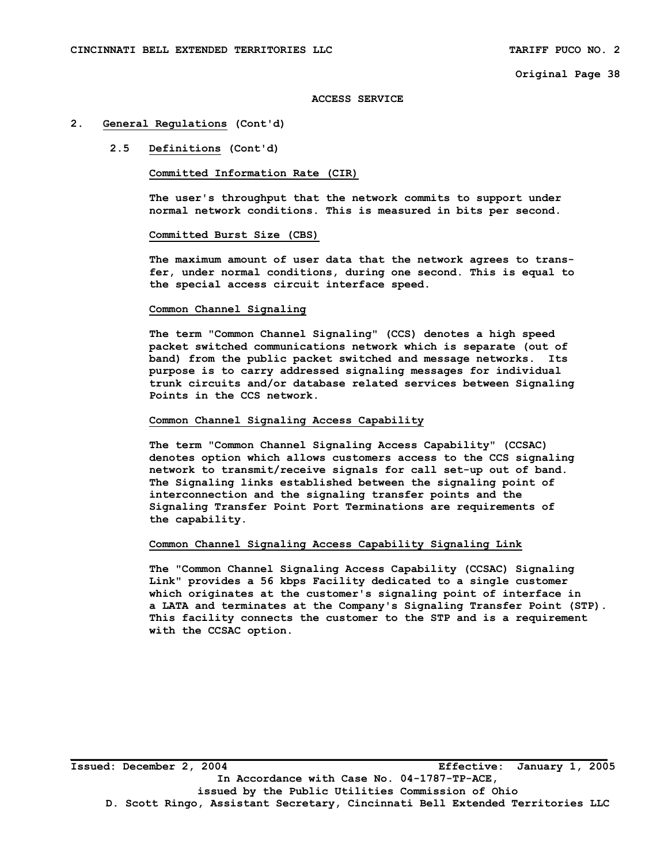#### **ACCESS SERVICE**

#### **2. General Regulations (Cont'd)**

# **2.5 Definitions (Cont'd)**

## **Committed Information Rate (CIR)**

 **The user's throughput that the network commits to support under normal network conditions. This is measured in bits per second.** 

#### **Committed Burst Size (CBS)**

 **The maximum amount of user data that the network agrees to trans fer, under normal conditions, during one second. This is equal to the special access circuit interface speed.** 

#### **Common Channel Signaling**

 **The term "Common Channel Signaling" (CCS) denotes a high speed packet switched communications network which is separate (out of band) from the public packet switched and message networks. Its purpose is to carry addressed signaling messages for individual trunk circuits and/or database related services between Signaling Points in the CCS network.** 

#### **Common Channel Signaling Access Capability**

 **The term "Common Channel Signaling Access Capability" (CCSAC) denotes option which allows customers access to the CCS signaling network to transmit/receive signals for call set-up out of band. The Signaling links established between the signaling point of interconnection and the signaling transfer points and the Signaling Transfer Point Port Terminations are requirements of the capability.** 

#### **Common Channel Signaling Access Capability Signaling Link**

 **The "Common Channel Signaling Access Capability (CCSAC) Signaling Link" provides a 56 kbps Facility dedicated to a single customer which originates at the customer's signaling point of interface in a LATA and terminates at the Company's Signaling Transfer Point (STP). This facility connects the customer to the STP and is a requirement with the CCSAC option.**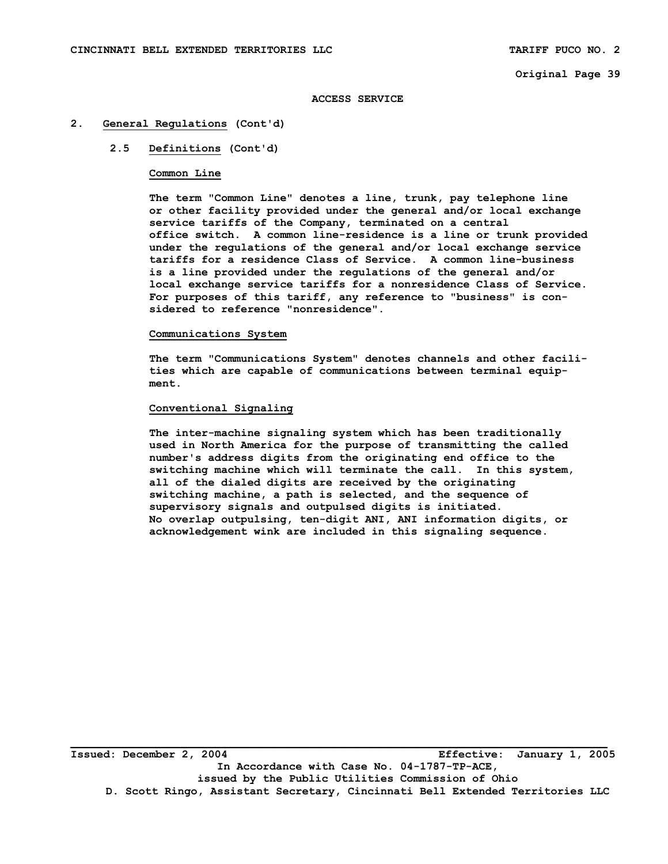#### **ACCESS SERVICE**

## **2. General Regulations (Cont'd)**

# **2.5 Definitions (Cont'd)**

## **Common Line**

 **The term "Common Line" denotes a line, trunk, pay telephone line or other facility provided under the general and/or local exchange service tariffs of the Company, terminated on a central office switch. A common line-residence is a line or trunk provided under the regulations of the general and/or local exchange service tariffs for a residence Class of Service. A common line-business is a line provided under the regulations of the general and/or local exchange service tariffs for a nonresidence Class of Service. For purposes of this tariff, any reference to "business" is con sidered to reference "nonresidence".** 

# **Communications System**

**The term "Communications System" denotes channels and other facili ties which are capable of communications between terminal equip ment.** 

## **Conventional Signaling**

 **The inter-machine signaling system which has been traditionally used in North America for the purpose of transmitting the called number's address digits from the originating end office to the switching machine which will terminate the call. In this system, all of the dialed digits are received by the originating switching machine, a path is selected, and the sequence of supervisory signals and outpulsed digits is initiated. No overlap outpulsing, ten-digit ANI, ANI information digits, or acknowledgement wink are included in this signaling sequence.** 

**Issued: December 2, 2004 Effective: January 1, 2005 In Accordance with Case No. 04-1787-TP-ACE, issued by the Public Utilities Commission of Ohio D. Scott Ringo, Assistant Secretary, Cincinnati Bell Extended Territories LLC**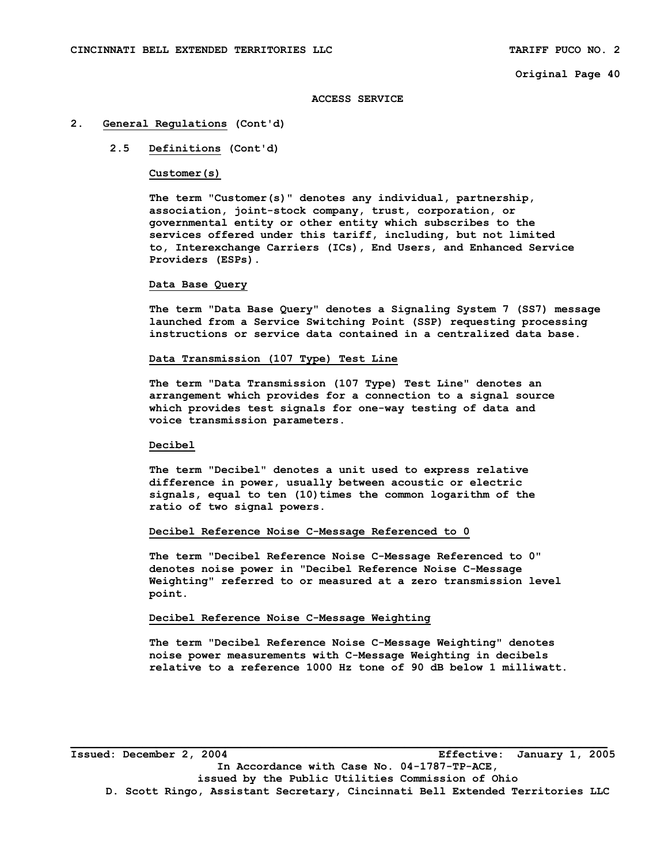#### **ACCESS SERVICE**

#### **2. General Regulations (Cont'd)**

## **2.5 Definitions (Cont'd)**

## **Customer(s)**

 **The term "Customer(s)" denotes any individual, partnership, association, joint-stock company, trust, corporation, or governmental entity or other entity which subscribes to the services offered under this tariff, including, but not limited to, Interexchange Carriers (ICs), End Users, and Enhanced Service Providers (ESPs).** 

#### **Data Base Query**

 **The term "Data Base Query" denotes a Signaling System 7 (SS7) message launched from a Service Switching Point (SSP) requesting processing instructions or service data contained in a centralized data base.** 

# **Data Transmission (107 Type) Test Line**

 **The term "Data Transmission (107 Type) Test Line" denotes an arrangement which provides for a connection to a signal source which provides test signals for one-way testing of data and voice transmission parameters.** 

#### **Decibel**

 **The term "Decibel" denotes a unit used to express relative difference in power, usually between acoustic or electric signals, equal to ten (10)times the common logarithm of the ratio of two signal powers.** 

#### **Decibel Reference Noise C-Message Referenced to 0**

**The term "Decibel Reference Noise C-Message Referenced to 0" denotes noise power in "Decibel Reference Noise C-Message Weighting" referred to or measured at a zero transmission level point.** 

#### **Decibel Reference Noise C-Message Weighting**

**The term "Decibel Reference Noise C-Message Weighting" denotes noise power measurements with C-Message Weighting in decibels relative to a reference 1000 Hz tone of 90 dB below 1 milliwatt.** 

**Issued: December 2, 2004 Effective: January 1, 2005 In Accordance with Case No. 04-1787-TP-ACE, issued by the Public Utilities Commission of Ohio D. Scott Ringo, Assistant Secretary, Cincinnati Bell Extended Territories LLC**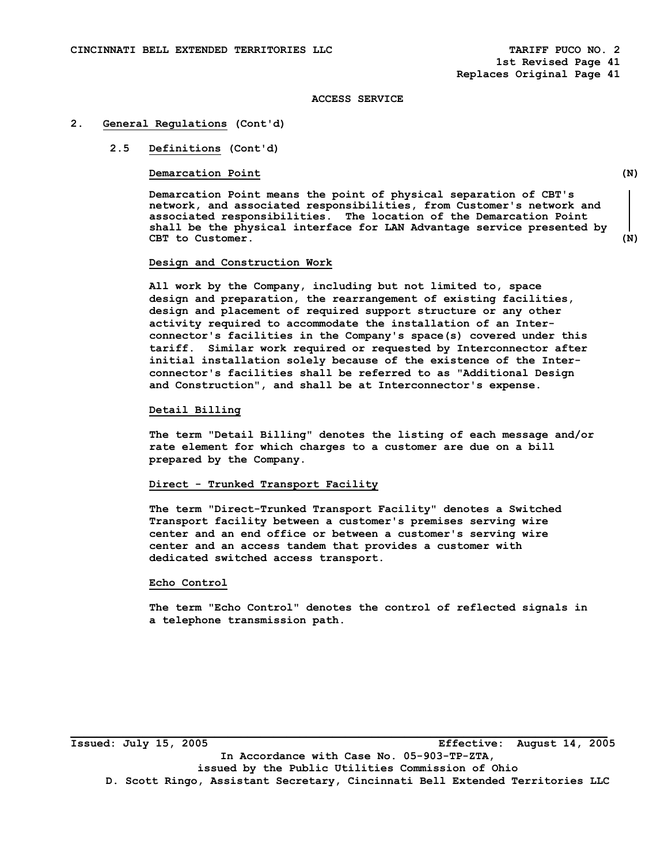#### **2. General Regulations (Cont'd)**

## **2.5 Definitions (Cont'd)**

## **Demarcation Point** (N)

 **Demarcation Point means the point of physical separation of CBT's network, and associated responsibilities, from Customer's network and associated responsibilities. The location of the Demarcation Point shall be the physical interface for LAN Advantage service presented by CBT to Customer. (N)** 

# **Design and Construction Work**

 **All work by the Company, including but not limited to, space design and preparation, the rearrangement of existing facilities, design and placement of required support structure or any other activity required to accommodate the installation of an Interconnector's facilities in the Company's space(s) covered under this tariff. Similar work required or requested by Interconnector after initial installation solely because of the existence of the Interconnector's facilities shall be referred to as "Additional Design and Construction", and shall be at Interconnector's expense.** 

#### **Detail Billing**

 **The term "Detail Billing" denotes the listing of each message and/or rate element for which charges to a customer are due on a bill prepared by the Company.** 

# **Direct - Trunked Transport Facility**

 **The term "Direct-Trunked Transport Facility" denotes a Switched Transport facility between a customer's premises serving wire center and an end office or between a customer's serving wire center and an access tandem that provides a customer with dedicated switched access transport.** 

#### **Echo Control**

 **The term "Echo Control" denotes the control of reflected signals in a telephone transmission path.** 

**\_\_\_\_\_\_\_\_\_\_\_\_\_\_\_\_\_\_\_\_\_\_\_\_\_\_\_\_\_\_\_\_\_\_\_\_\_\_\_\_\_\_\_\_\_\_\_\_\_\_\_\_\_\_\_\_\_\_\_\_\_\_\_\_\_\_\_\_\_\_\_\_\_\_\_\_\_\_\_\_\_\_ Issued: July 15, 2005 Effective: August 14, 2005 In Accordance with Case No. 05-903-TP-ZTA, issued by the Public Utilities Commission of Ohio D. Scott Ringo, Assistant Secretary, Cincinnati Bell Extended Territories LLC**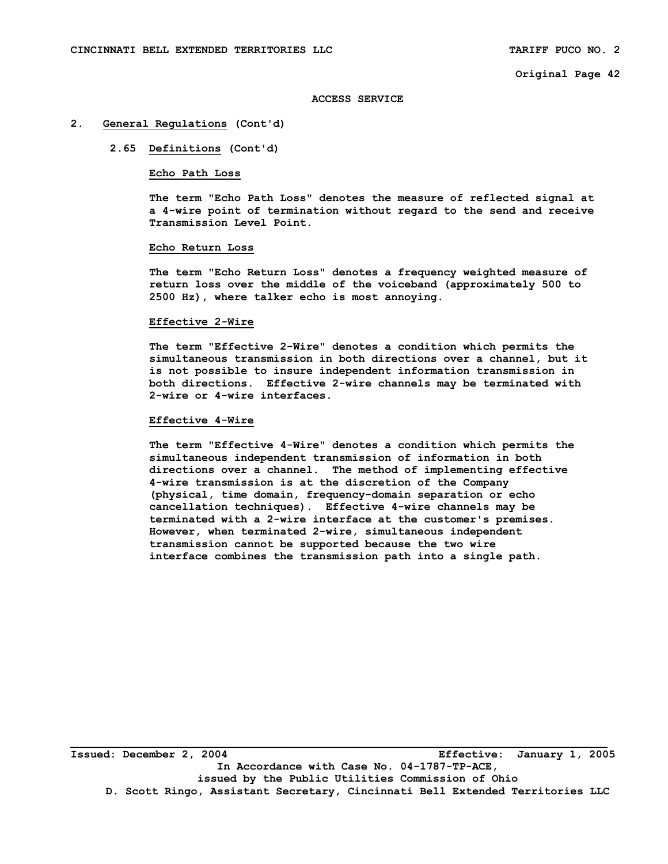#### **ACCESS SERVICE**

## **2. General Regulations (Cont'd)**

## **2.65 Definitions (Cont'd)**

## **Echo Path Loss**

 **The term "Echo Path Loss" denotes the measure of reflected signal at a 4-wire point of termination without regard to the send and receive Transmission Level Point.** 

## **Echo Return Loss**

 **The term "Echo Return Loss" denotes a frequency weighted measure of return loss over the middle of the voiceband (approximately 500 to 2500 Hz), where talker echo is most annoying.** 

#### **Effective 2-Wire**

 **The term "Effective 2-Wire" denotes a condition which permits the simultaneous transmission in both directions over a channel, but it is not possible to insure independent information transmission in both directions. Effective 2-wire channels may be terminated with 2-wire or 4-wire interfaces.** 

#### **Effective 4-Wire**

 **The term "Effective 4-Wire" denotes a condition which permits the simultaneous independent transmission of information in both directions over a channel. The method of implementing effective 4-wire transmission is at the discretion of the Company (physical, time domain, frequency-domain separation or echo cancellation techniques). Effective 4-wire channels may be terminated with a 2-wire interface at the customer's premises. However, when terminated 2-wire, simultaneous independent transmission cannot be supported because the two wire interface combines the transmission path into a single path.** 

**Issued: December 2, 2004 Effective: January 1, 2005 In Accordance with Case No. 04-1787-TP-ACE, issued by the Public Utilities Commission of Ohio D. Scott Ringo, Assistant Secretary, Cincinnati Bell Extended Territories LLC**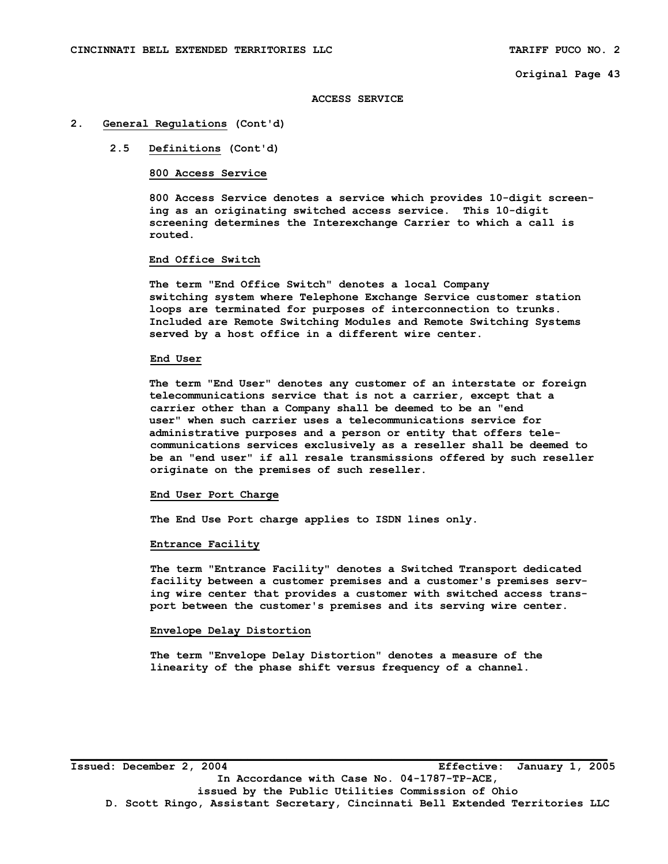#### **ACCESS SERVICE**

#### **2. General Regulations (Cont'd)**

# **2.5 Definitions (Cont'd)**

## **800 Access Service**

 **800 Access Service denotes a service which provides 10-digit screen ing as an originating switched access service. This 10-digit screening determines the Interexchange Carrier to which a call is routed.** 

#### **End Office Switch**

 **The term "End Office Switch" denotes a local Company switching system where Telephone Exchange Service customer station loops are terminated for purposes of interconnection to trunks. Included are Remote Switching Modules and Remote Switching Systems served by a host office in a different wire center.** 

#### **End User**

**The term "End User" denotes any customer of an interstate or foreign telecommunications service that is not a carrier, except that a carrier other than a Company shall be deemed to be an "end user" when such carrier uses a telecommunications service for administrative purposes and a person or entity that offers tele communications services exclusively as a reseller shall be deemed to be an "end user" if all resale transmissions offered by such reseller originate on the premises of such reseller.** 

#### **End User Port Charge**

 **The End Use Port charge applies to ISDN lines only.** 

#### **Entrance Facility**

 **The term "Entrance Facility" denotes a Switched Transport dedicated facility between a customer premises and a customer's premises serv ing wire center that provides a customer with switched access trans port between the customer's premises and its serving wire center.** 

#### **Envelope Delay Distortion**

 **The term "Envelope Delay Distortion" denotes a measure of the linearity of the phase shift versus frequency of a channel.**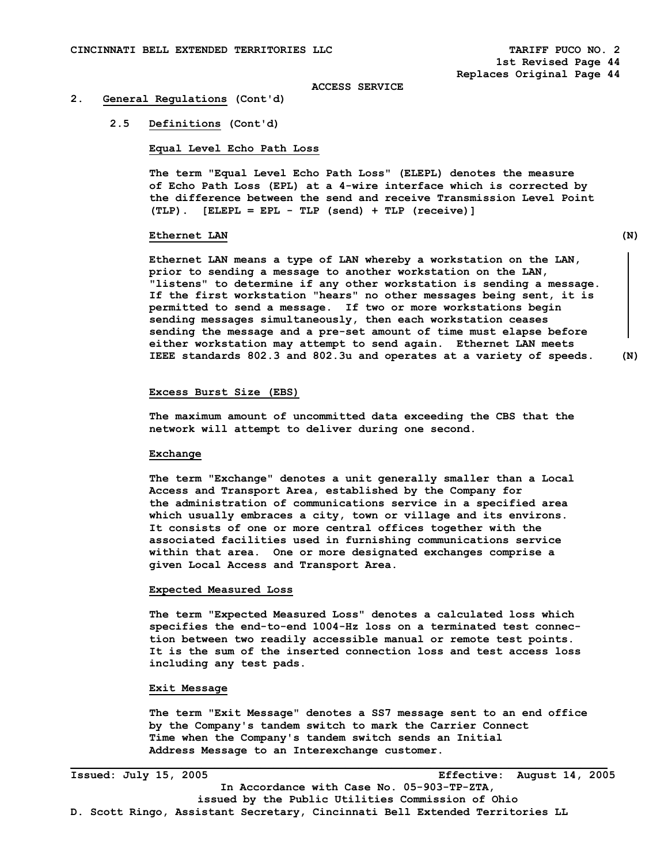#### **2. General Regulations (Cont'd)**

#### **2.5 Definitions (Cont'd)**

 **Equal Level Echo Path Loss** 

 **The term "Equal Level Echo Path Loss" (ELEPL) denotes the measure of Echo Path Loss (EPL) at a 4-wire interface which is corrected by the difference between the send and receive Transmission Level Point (TLP). [ELEPL = EPL - TLP (send) + TLP (receive)]** 

#### **Ethernet LAN** (N)

**Ethernet LAN means a type of LAN whereby a workstation on the LAN, prior to sending a message to another workstation on the LAN, "listens" to determine if any other workstation is sending a message. If the first workstation "hears" no other messages being sent, it is permitted to send a message. If two or more workstations begin sending messages simultaneously, then each workstation ceases sending the message and a pre-set amount of time must elapse before either workstation may attempt to send again. Ethernet LAN meets IEEE standards 802.3 and 802.3u and operates at a variety of speeds. (N)** 

#### **Excess Burst Size (EBS)**

 **The maximum amount of uncommitted data exceeding the CBS that the network will attempt to deliver during one second.** 

#### **Exchange**

 **The term "Exchange" denotes a unit generally smaller than a Local Access and Transport Area, established by the Company for the administration of communications service in a specified area which usually embraces a city, town or village and its environs. It consists of one or more central offices together with the associated facilities used in furnishing communications service within that area. One or more designated exchanges comprise a given Local Access and Transport Area.** 

#### **Expected Measured Loss**

 **The term "Expected Measured Loss" denotes a calculated loss which specifies the end-to-end 1004-Hz loss on a terminated test connec tion between two readily accessible manual or remote test points. It is the sum of the inserted connection loss and test access loss including any test pads.** 

## **Exit Message**

 **The term "Exit Message" denotes a SS7 message sent to an end office by the Company's tandem switch to mark the Carrier Connect Time when the Company's tandem switch sends an Initial Address Message to an Interexchange customer.** 

**Issued: July 15, 2005 Effective: August 14, 2005 In Accordance with Case No. 05-903-TP-ZTA, issued by the Public Utilities Commission of Ohio D. Scott Ringo, Assistant Secretary, Cincinnati Bell Extended Territories LL**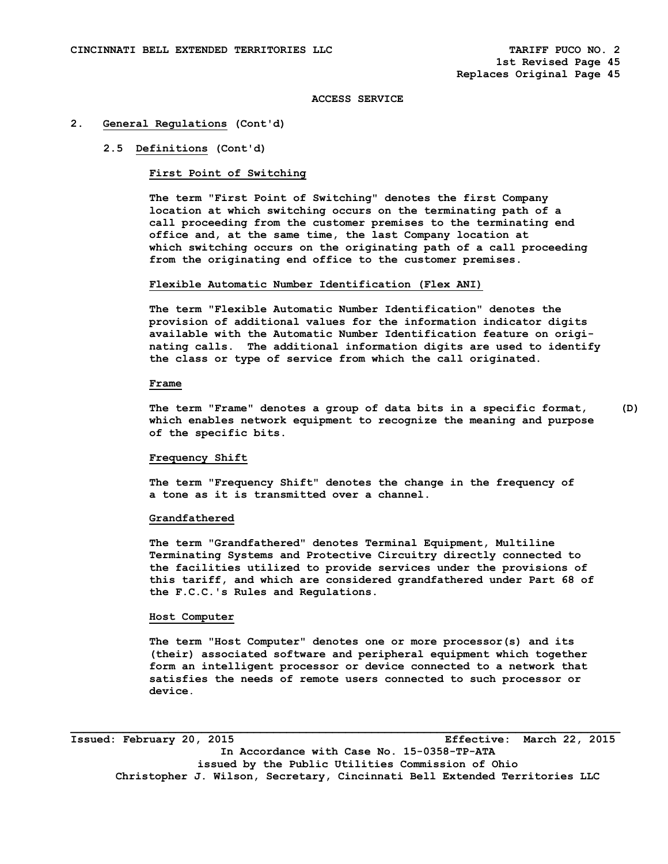## **2. General Regulations (Cont'd)**

## **2.5 Definitions (Cont'd)**

# **First Point of Switching**

 **The term "First Point of Switching" denotes the first Company location at which switching occurs on the terminating path of a call proceeding from the customer premises to the terminating end office and, at the same time, the last Company location at which switching occurs on the originating path of a call proceeding from the originating end office to the customer premises.** 

#### **Flexible Automatic Number Identification (Flex ANI)**

**The term "Flexible Automatic Number Identification" denotes the provision of additional values for the information indicator digits available with the Automatic Number Identification feature on origi nating calls. The additional information digits are used to identify the class or type of service from which the call originated.** 

#### **Frame**

 **The term "Frame" denotes a group of data bits in a specific format, (D) which enables network equipment to recognize the meaning and purpose of the specific bits.** 

#### **Frequency Shift**

 **The term "Frequency Shift" denotes the change in the frequency of a tone as it is transmitted over a channel.** 

#### **Grandfathered**

 **The term "Grandfathered" denotes Terminal Equipment, Multiline Terminating Systems and Protective Circuitry directly connected to the facilities utilized to provide services under the provisions of this tariff, and which are considered grandfathered under Part 68 of the F.C.C.'s Rules and Regulations.** 

## **Host Computer**

 **The term "Host Computer" denotes one or more processor(s) and its (their) associated software and peripheral equipment which together form an intelligent processor or device connected to a network that satisfies the needs of remote users connected to such processor or device.** 

**Issued: February 20, 2015 Effective: March 22, 2015 In Accordance with Case No. 15-0358-TP-ATA issued by the Public Utilities Commission of Ohio Christopher J. Wilson, Secretary, Cincinnati Bell Extended Territories LLC**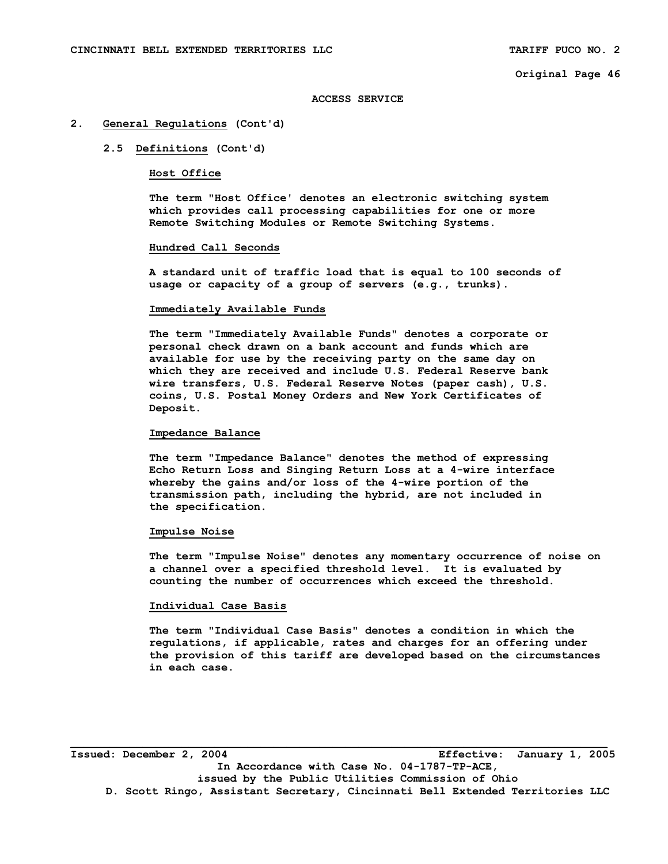## **ACCESS SERVICE**

#### **2. General Regulations (Cont'd)**

## **2.5 Definitions (Cont'd)**

## **Host Office**

 **The term "Host Office' denotes an electronic switching system which provides call processing capabilities for one or more Remote Switching Modules or Remote Switching Systems.** 

#### **Hundred Call Seconds**

 **A standard unit of traffic load that is equal to 100 seconds of usage or capacity of a group of servers (e.g., trunks).** 

#### **Immediately Available Funds**

 **The term "Immediately Available Funds" denotes a corporate or personal check drawn on a bank account and funds which are available for use by the receiving party on the same day on which they are received and include U.S. Federal Reserve bank wire transfers, U.S. Federal Reserve Notes (paper cash), U.S. coins, U.S. Postal Money Orders and New York Certificates of Deposit.** 

#### **Impedance Balance**

 **The term "Impedance Balance" denotes the method of expressing Echo Return Loss and Singing Return Loss at a 4-wire interface whereby the gains and/or loss of the 4-wire portion of the transmission path, including the hybrid, are not included in the specification.** 

#### **Impulse Noise**

 **The term "Impulse Noise" denotes any momentary occurrence of noise on a channel over a specified threshold level. It is evaluated by counting the number of occurrences which exceed the threshold.** 

## **Individual Case Basis**

 **The term "Individual Case Basis" denotes a condition in which the regulations, if applicable, rates and charges for an offering under the provision of this tariff are developed based on the circumstances in each case.** 

**Issued: December 2, 2004 Effective: January 1, 2005 In Accordance with Case No. 04-1787-TP-ACE, issued by the Public Utilities Commission of Ohio D. Scott Ringo, Assistant Secretary, Cincinnati Bell Extended Territories LLC**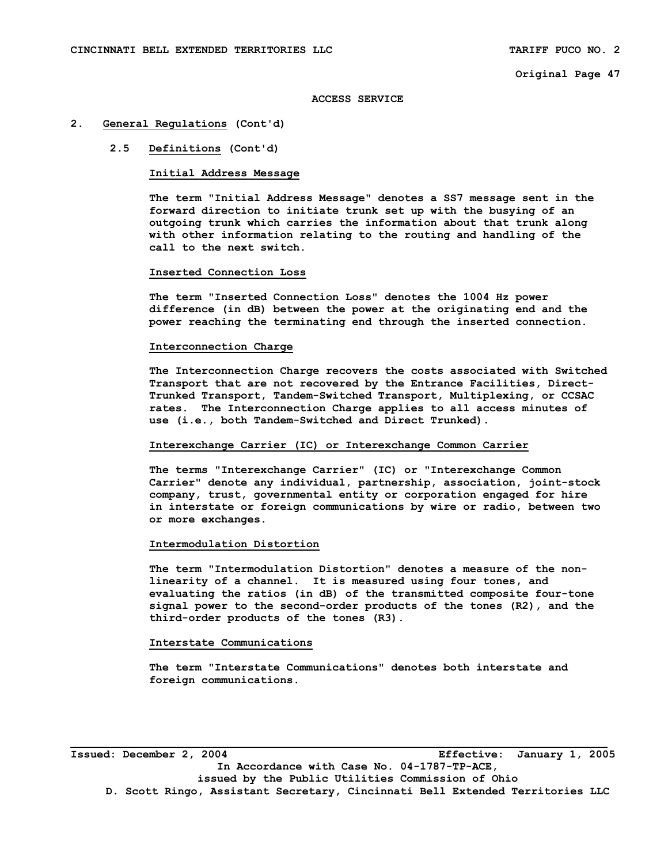#### **ACCESS SERVICE**

## **2. General Regulations (Cont'd)**

## **2.5 Definitions (Cont'd)**

## **Initial Address Message**

 **The term "Initial Address Message" denotes a SS7 message sent in the forward direction to initiate trunk set up with the busying of an outgoing trunk which carries the information about that trunk along with other information relating to the routing and handling of the call to the next switch.** 

#### **Inserted Connection Loss**

 **The term "Inserted Connection Loss" denotes the 1004 Hz power difference (in dB) between the power at the originating end and the power reaching the terminating end through the inserted connection.** 

## **Interconnection Charge**

 **The Interconnection Charge recovers the costs associated with Switched Transport that are not recovered by the Entrance Facilities, Direct- Trunked Transport, Tandem-Switched Transport, Multiplexing, or CCSAC rates. The Interconnection Charge applies to all access minutes of use (i.e., both Tandem-Switched and Direct Trunked).** 

## **Interexchange Carrier (IC) or Interexchange Common Carrier**

 **The terms "Interexchange Carrier" (IC) or "Interexchange Common Carrier" denote any individual, partnership, association, joint-stock company, trust, governmental entity or corporation engaged for hire in interstate or foreign communications by wire or radio, between two or more exchanges.** 

#### **Intermodulation Distortion**

 **The term "Intermodulation Distortion" denotes a measure of the non linearity of a channel. It is measured using four tones, and evaluating the ratios (in dB) of the transmitted composite four-tone signal power to the second-order products of the tones (R2), and the third-order products of the tones (R3).** 

#### **Interstate Communications**

 **The term "Interstate Communications" denotes both interstate and foreign communications.** 

**Issued: December 2, 2004 Effective: January 1, 2005 In Accordance with Case No. 04-1787-TP-ACE, issued by the Public Utilities Commission of Ohio D. Scott Ringo, Assistant Secretary, Cincinnati Bell Extended Territories LLC**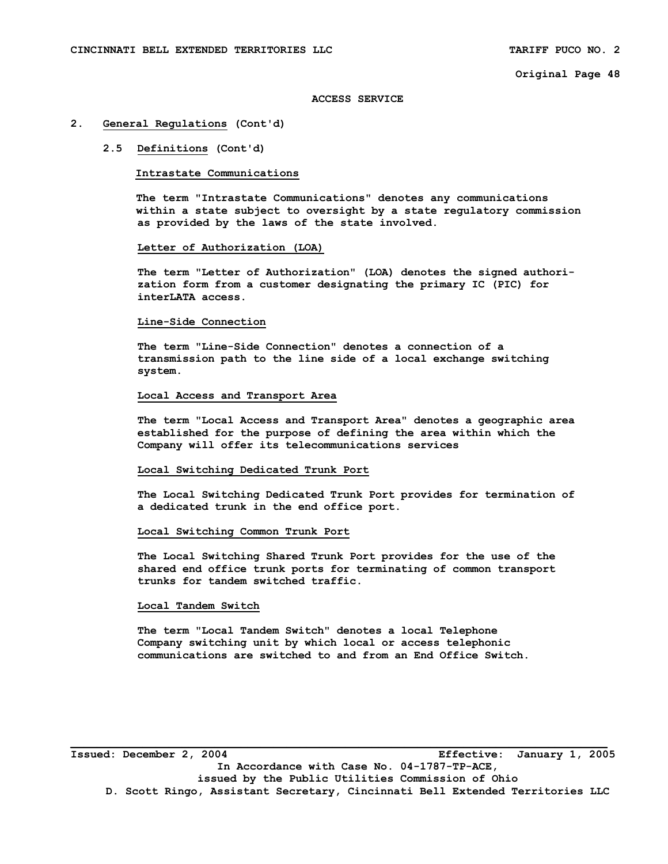## **ACCESS SERVICE**

## **2. General Regulations (Cont'd)**

## **2.5 Definitions (Cont'd)**

## **Intrastate Communications**

 **The term "Intrastate Communications" denotes any communications within a state subject to oversight by a state regulatory commission as provided by the laws of the state involved.** 

#### **Letter of Authorization (LOA)**

 **The term "Letter of Authorization" (LOA) denotes the signed authori zation form from a customer designating the primary IC (PIC) for interLATA access.** 

#### **Line-Side Connection**

 **The term "Line-Side Connection" denotes a connection of a transmission path to the line side of a local exchange switching system.** 

## **Local Access and Transport Area**

 **The term "Local Access and Transport Area" denotes a geographic area established for the purpose of defining the area within which the Company will offer its telecommunications services** 

#### **Local Switching Dedicated Trunk Port**

 **The Local Switching Dedicated Trunk Port provides for termination of a dedicated trunk in the end office port.** 

#### **Local Switching Common Trunk Port**

 **The Local Switching Shared Trunk Port provides for the use of the shared end office trunk ports for terminating of common transport trunks for tandem switched traffic.** 

## **Local Tandem Switch**

 **The term "Local Tandem Switch" denotes a local Telephone Company switching unit by which local or access telephonic communications are switched to and from an End Office Switch.** 

**Issued: December 2, 2004 Effective: January 1, 2005 In Accordance with Case No. 04-1787-TP-ACE, issued by the Public Utilities Commission of Ohio D. Scott Ringo, Assistant Secretary, Cincinnati Bell Extended Territories LLC**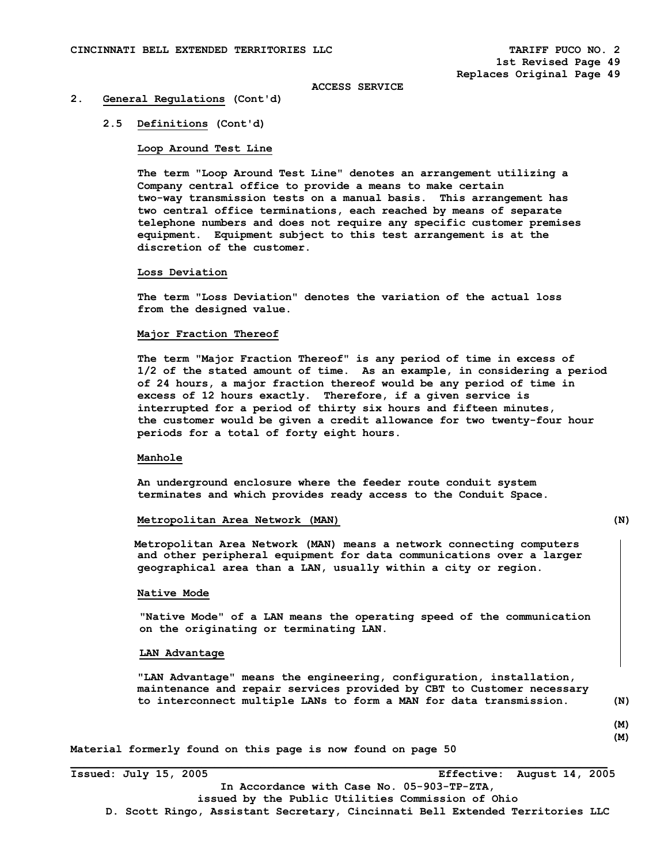#### **2. General Regulations (Cont'd)**

#### **2.5 Definitions (Cont'd)**

#### **Loop Around Test Line**

 **The term "Loop Around Test Line" denotes an arrangement utilizing a Company central office to provide a means to make certain two-way transmission tests on a manual basis. This arrangement has two central office terminations, each reached by means of separate telephone numbers and does not require any specific customer premises equipment. Equipment subject to this test arrangement is at the discretion of the customer.** 

#### **Loss Deviation**

 **The term "Loss Deviation" denotes the variation of the actual loss from the designed value.** 

## **Major Fraction Thereof**

 **The term "Major Fraction Thereof" is any period of time in excess of 1/2 of the stated amount of time. As an example, in considering a period of 24 hours, a major fraction thereof would be any period of time in excess of 12 hours exactly. Therefore, if a given service is interrupted for a period of thirty six hours and fifteen minutes, the customer would be given a credit allowance for two twenty-four hour periods for a total of forty eight hours.** 

## **Manhole**

 **An underground enclosure where the feeder route conduit system terminates and which provides ready access to the Conduit Space.** 

## **Metropolitan Area Network (MAN) (N)**

 **Metropolitan Area Network (MAN) means a network connecting computers and other peripheral equipment for data communications over a larger geographical area than a LAN, usually within a city or region.** 

## **Native Mode**

 **"Native Mode" of a LAN means the operating speed of the communication on the originating or terminating LAN.** 

#### **LAN Advantage**

 **"LAN Advantage" means the engineering, configuration, installation, maintenance and repair services provided by CBT to Customer necessary to interconnect multiple LANs to form a MAN for data transmission. (N)** 

 **(M) (M)** 

**Material formerly found on this page is now found on page 50** 

**Issued: July 15, 2005 Effective: August 14, 2005 In Accordance with Case No. 05-903-TP-ZTA, issued by the Public Utilities Commission of Ohio D. Scott Ringo, Assistant Secretary, Cincinnati Bell Extended Territories LLC**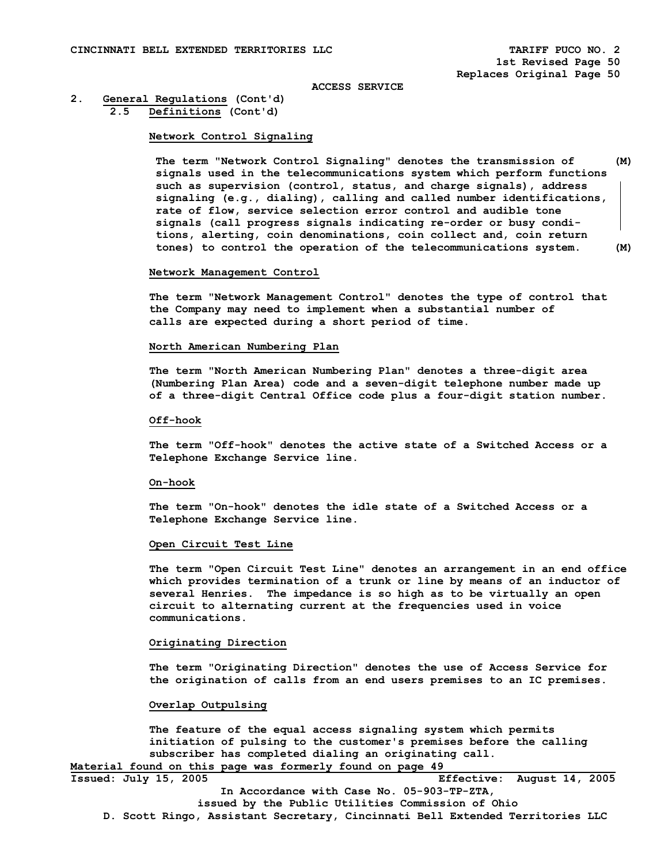# **2. General Regulations (Cont'd)**

 **2.5 Definitions (Cont'd)** 

## **Network Control Signaling**

 **The term "Network Control Signaling" denotes the transmission of (M) signals used in the telecommunications system which perform functions such as supervision (control, status, and charge signals), address signaling (e.g., dialing), calling and called number identifications, rate of flow, service selection error control and audible tone signals (call progress signals indicating re-order or busy condi tions, alerting, coin denominations, coin collect and, coin return tones) to control the operation of the telecommunications system. (M)** 

#### **Network Management Control**

 **The term "Network Management Control" denotes the type of control that the Company may need to implement when a substantial number of calls are expected during a short period of time.** 

## **North American Numbering Plan**

 **The term "North American Numbering Plan" denotes a three-digit area (Numbering Plan Area) code and a seven-digit telephone number made up of a three-digit Central Office code plus a four-digit station number.** 

#### **Off-hook**

 **The term "Off-hook" denotes the active state of a Switched Access or a Telephone Exchange Service line.** 

#### **On-hook**

 **The term "On-hook" denotes the idle state of a Switched Access or a Telephone Exchange Service line.** 

# **Open Circuit Test Line**

 **The term "Open Circuit Test Line" denotes an arrangement in an end office which provides termination of a trunk or line by means of an inductor of several Henries. The impedance is so high as to be virtually an open circuit to alternating current at the frequencies used in voice communications.** 

## **Originating Direction**

 **The term "Originating Direction" denotes the use of Access Service for the origination of calls from an end users premises to an IC premises.** 

#### **Overlap Outpulsing**

 **The feature of the equal access signaling system which permits initiation of pulsing to the customer's premises before the calling subscriber has completed dialing an originating call. Material found on this page was formerly found on page 49** 

| Issued: July 15, 2005                             |  |  |  |  |                                            |  |  | Effective: August 14, 2005                                                    |  |
|---------------------------------------------------|--|--|--|--|--------------------------------------------|--|--|-------------------------------------------------------------------------------|--|
|                                                   |  |  |  |  | In Accordance with Case No. 05-903-TP-ZTA, |  |  |                                                                               |  |
| issued by the Public Utilities Commission of Ohio |  |  |  |  |                                            |  |  |                                                                               |  |
|                                                   |  |  |  |  |                                            |  |  | D. Scott Ringo, Assistant Secretary, Cincinnati Bell Extended Territories LLC |  |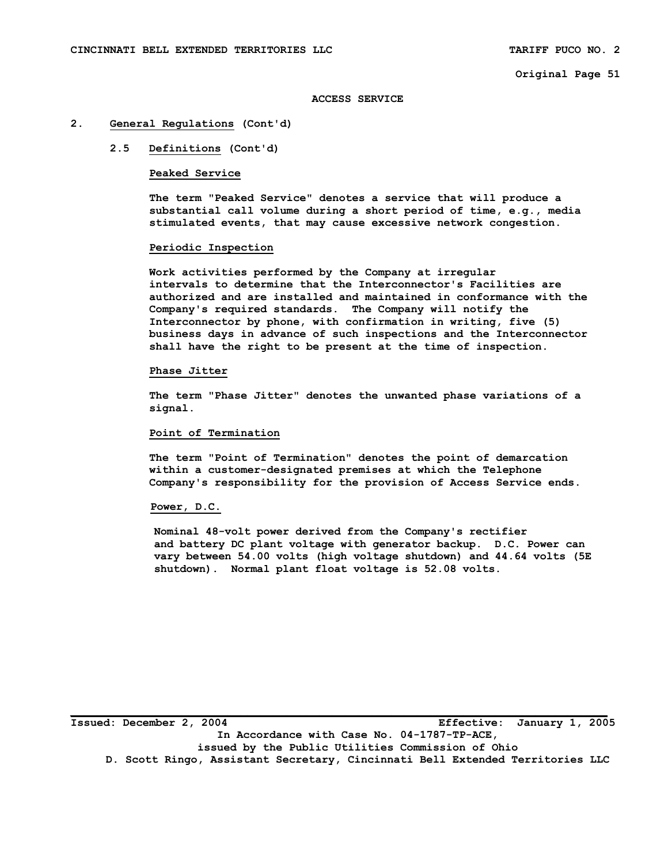#### **ACCESS SERVICE**

## **2. General Regulations (Cont'd)**

# **2.5 Definitions (Cont'd)**

## **Peaked Service**

 **The term "Peaked Service" denotes a service that will produce a substantial call volume during a short period of time, e.g., media stimulated events, that may cause excessive network congestion.** 

#### **Periodic Inspection**

 **Work activities performed by the Company at irregular intervals to determine that the Interconnector's Facilities are authorized and are installed and maintained in conformance with the Company's required standards. The Company will notify the Interconnector by phone, with confirmation in writing, five (5) business days in advance of such inspections and the Interconnector shall have the right to be present at the time of inspection.** 

## **Phase Jitter**

 **The term "Phase Jitter" denotes the unwanted phase variations of a signal.** 

# **Point of Termination**

 **The term "Point of Termination" denotes the point of demarcation within a customer-designated premises at which the Telephone Company's responsibility for the provision of Access Service ends.** 

#### **Power, D.C.**

 **Nominal 48-volt power derived from the Company's rectifier and battery DC plant voltage with generator backup. D.C. Power can vary between 54.00 volts (high voltage shutdown) and 44.64 volts (5E shutdown). Normal plant float voltage is 52.08 volts.**

**Issued: December 2, 2004 Effective: January 1, 2005 In Accordance with Case No. 04-1787-TP-ACE, issued by the Public Utilities Commission of Ohio D. Scott Ringo, Assistant Secretary, Cincinnati Bell Extended Territories LLC**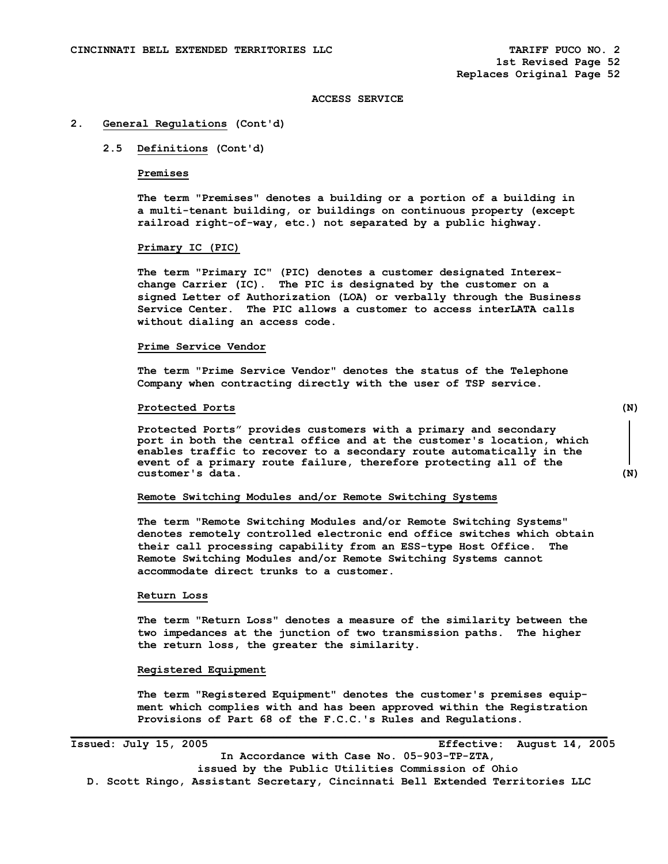#### **2. General Regulations (Cont'd)**

## **2.5 Definitions (Cont'd)**

#### **Premises**

 **The term "Premises" denotes a building or a portion of a building in a multi-tenant building, or buildings on continuous property (except railroad right-of-way, etc.) not separated by a public highway.** 

# **Primary IC (PIC)**

 **The term "Primary IC" (PIC) denotes a customer designated Interex change Carrier (IC). The PIC is designated by the customer on a signed Letter of Authorization (LOA) or verbally through the Business Service Center. The PIC allows a customer to access interLATA calls without dialing an access code.** 

## **Prime Service Vendor**

 **The term "Prime Service Vendor" denotes the status of the Telephone Company when contracting directly with the user of TSP service.** 

## **Protected Ports (N)**

**Protected Ports" provides customers with a primary and secondary port in both the central office and at the customer's location, which enables traffic to recover to a secondary route automatically in the event of a primary route failure, therefore protecting all of the customer's data. (N)** 

#### **Remote Switching Modules and/or Remote Switching Systems**

 **The term "Remote Switching Modules and/or Remote Switching Systems" denotes remotely controlled electronic end office switches which obtain their call processing capability from an ESS-type Host Office. The Remote Switching Modules and/or Remote Switching Systems cannot accommodate direct trunks to a customer.** 

#### **Return Loss**

 **The term "Return Loss" denotes a measure of the similarity between the two impedances at the junction of two transmission paths. The higher the return loss, the greater the similarity.** 

#### **Registered Equipment**

 **The term "Registered Equipment" denotes the customer's premises equip ment which complies with and has been approved within the Registration Provisions of Part 68 of the F.C.C.'s Rules and Regulations.** 

**Issued: July 15, 2005 Effective: August 14, 2005** 

**In Accordance with Case No. 05-903-TP-ZTA,** 

**issued by the Public Utilities Commission of Ohio D. Scott Ringo, Assistant Secretary, Cincinnati Bell Extended Territories LLC**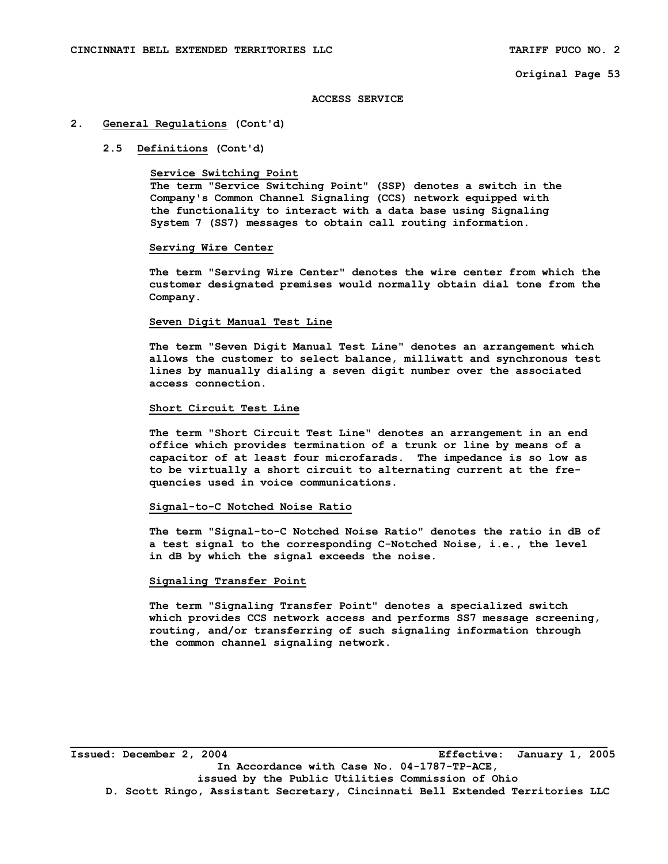## **ACCESS SERVICE**

#### **2. General Regulations (Cont'd)**

## **2.5 Definitions (Cont'd)**

#### **Service Switching Point**

 **The term "Service Switching Point" (SSP) denotes a switch in the Company's Common Channel Signaling (CCS) network equipped with the functionality to interact with a data base using Signaling System 7 (SS7) messages to obtain call routing information.** 

#### **Serving Wire Center**

 **The term "Serving Wire Center" denotes the wire center from which the customer designated premises would normally obtain dial tone from the Company.** 

## **Seven Digit Manual Test Line**

 **The term "Seven Digit Manual Test Line" denotes an arrangement which allows the customer to select balance, milliwatt and synchronous test lines by manually dialing a seven digit number over the associated access connection.** 

#### **Short Circuit Test Line**

 **The term "Short Circuit Test Line" denotes an arrangement in an end office which provides termination of a trunk or line by means of a capacitor of at least four microfarads. The impedance is so low as to be virtually a short circuit to alternating current at the fre quencies used in voice communications.** 

## **Signal-to-C Notched Noise Ratio**

 **The term "Signal-to-C Notched Noise Ratio" denotes the ratio in dB of a test signal to the corresponding C-Notched Noise, i.e., the level in dB by which the signal exceeds the noise.** 

## **Signaling Transfer Point**

 **The term "Signaling Transfer Point" denotes a specialized switch which provides CCS network access and performs SS7 message screening, routing, and/or transferring of such signaling information through the common channel signaling network.** 

**\_\_\_\_\_\_\_\_\_\_\_\_\_\_\_\_\_\_\_\_\_\_\_\_\_\_\_\_\_\_\_\_\_\_\_\_\_\_\_\_\_\_\_\_\_\_\_\_\_\_\_\_\_\_\_\_\_\_\_\_\_\_\_\_\_\_\_\_\_\_\_\_\_\_\_\_\_\_\_\_\_\_ Issued: December 2, 2004 Effective: January 1, 2005 In Accordance with Case No. 04-1787-TP-ACE, issued by the Public Utilities Commission of Ohio D. Scott Ringo, Assistant Secretary, Cincinnati Bell Extended Territories LLC**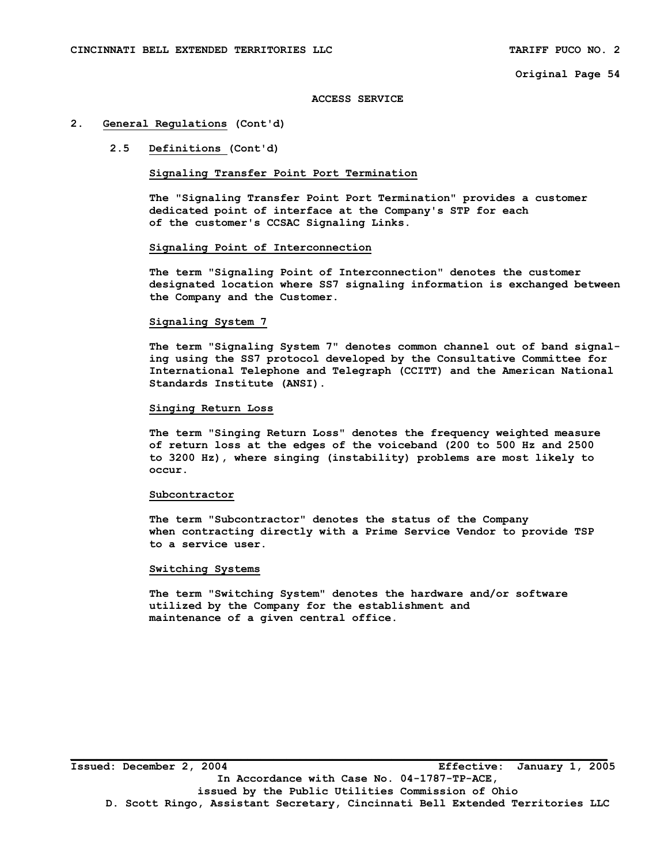#### **ACCESS SERVICE**

## **2. General Regulations (Cont'd)**

## **2.5 Definitions (Cont'd)**

## **Signaling Transfer Point Port Termination**

 **The "Signaling Transfer Point Port Termination" provides a customer dedicated point of interface at the Company's STP for each of the customer's CCSAC Signaling Links.** 

## **Signaling Point of Interconnection**

 **The term "Signaling Point of Interconnection" denotes the customer designated location where SS7 signaling information is exchanged between the Company and the Customer.** 

## **Signaling System 7**

 **The term "Signaling System 7" denotes common channel out of band signal ing using the SS7 protocol developed by the Consultative Committee for International Telephone and Telegraph (CCITT) and the American National Standards Institute (ANSI).** 

## **Singing Return Loss**

 **The term "Singing Return Loss" denotes the frequency weighted measure of return loss at the edges of the voiceband (200 to 500 Hz and 2500 to 3200 Hz), where singing (instability) problems are most likely to occur.** 

#### **Subcontractor**

 **The term "Subcontractor" denotes the status of the Company when contracting directly with a Prime Service Vendor to provide TSP to a service user.** 

#### **Switching Systems**

 **The term "Switching System" denotes the hardware and/or software utilized by the Company for the establishment and maintenance of a given central office.**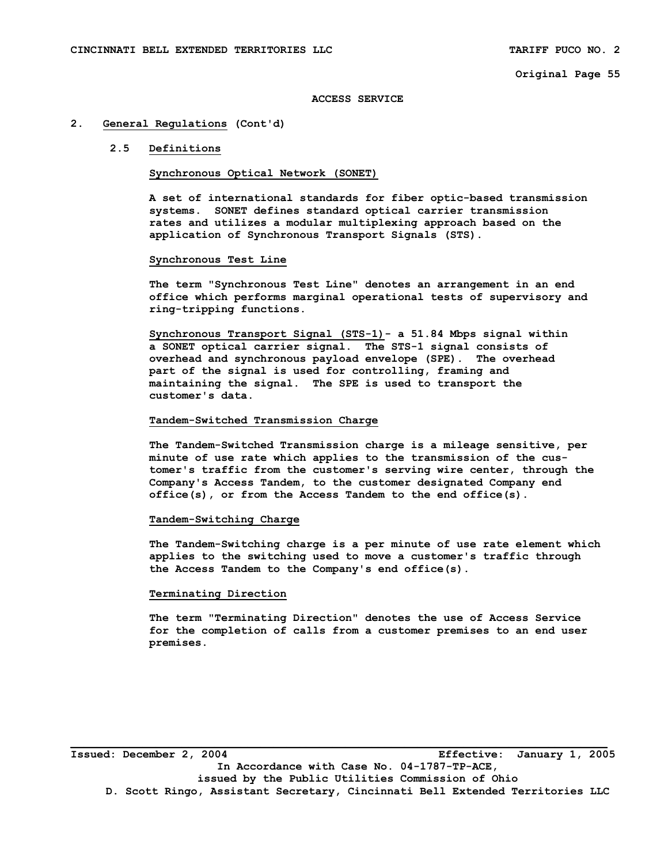#### **ACCESS SERVICE**

#### **2. General Regulations (Cont'd)**

## **2.5 Definitions**

## **Synchronous Optical Network (SONET)**

**A set of international standards for fiber optic-based transmission systems. SONET defines standard optical carrier transmission rates and utilizes a modular multiplexing approach based on the application of Synchronous Transport Signals (STS).** 

#### **Synchronous Test Line**

 **The term "Synchronous Test Line" denotes an arrangement in an end office which performs marginal operational tests of supervisory and ring-tripping functions.** 

 **Synchronous Transport Signal (STS-1)- a 51.84 Mbps signal within a SONET optical carrier signal. The STS-1 signal consists of overhead and synchronous payload envelope (SPE). The overhead part of the signal is used for controlling, framing and maintaining the signal. The SPE is used to transport the customer's data.** 

#### **Tandem-Switched Transmission Charge**

 **The Tandem-Switched Transmission charge is a mileage sensitive, per minute of use rate which applies to the transmission of the cus tomer's traffic from the customer's serving wire center, through the Company's Access Tandem, to the customer designated Company end office(s), or from the Access Tandem to the end office(s).** 

#### **Tandem-Switching Charge**

 **The Tandem-Switching charge is a per minute of use rate element which applies to the switching used to move a customer's traffic through the Access Tandem to the Company's end office(s).** 

## **Terminating Direction**

 **The term "Terminating Direction" denotes the use of Access Service for the completion of calls from a customer premises to an end user premises.** 

**Issued: December 2, 2004 Effective: January 1, 2005 In Accordance with Case No. 04-1787-TP-ACE, issued by the Public Utilities Commission of Ohio D. Scott Ringo, Assistant Secretary, Cincinnati Bell Extended Territories LLC**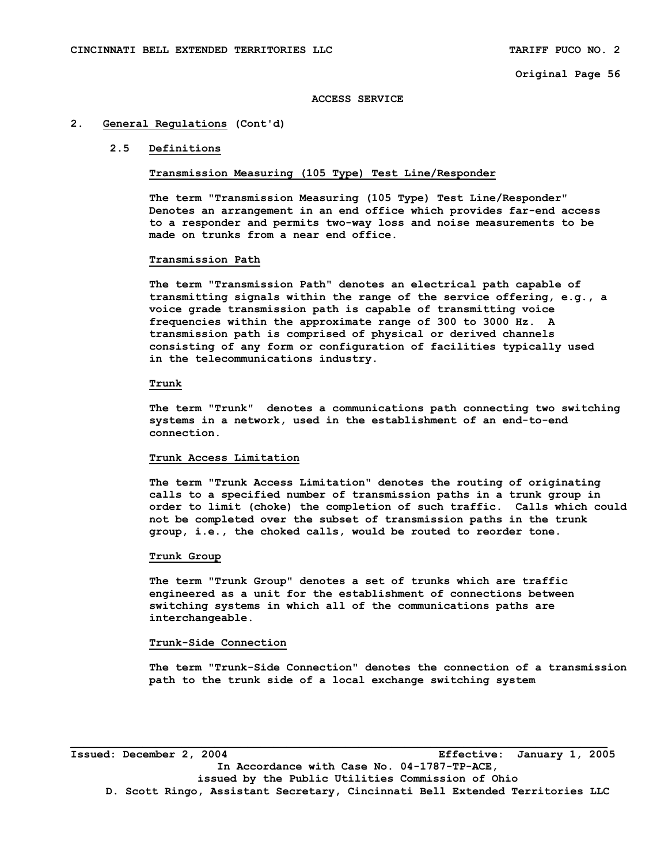## **ACCESS SERVICE**

#### **2. General Regulations (Cont'd)**

#### **2.5 Definitions**

## **Transmission Measuring (105 Type) Test Line/Responder**

**The term "Transmission Measuring (105 Type) Test Line/Responder" Denotes an arrangement in an end office which provides far-end access to a responder and permits two-way loss and noise measurements to be made on trunks from a near end office.** 

#### **Transmission Path**

 **The term "Transmission Path" denotes an electrical path capable of transmitting signals within the range of the service offering, e.g., a voice grade transmission path is capable of transmitting voice frequencies within the approximate range of 300 to 3000 Hz. A transmission path is comprised of physical or derived channels consisting of any form or configuration of facilities typically used in the telecommunications industry.** 

#### **Trunk**

 **The term "Trunk" denotes a communications path connecting two switching systems in a network, used in the establishment of an end-to-end connection.** 

#### **Trunk Access Limitation**

 **The term "Trunk Access Limitation" denotes the routing of originating calls to a specified number of transmission paths in a trunk group in order to limit (choke) the completion of such traffic. Calls which could not be completed over the subset of transmission paths in the trunk group, i.e., the choked calls, would be routed to reorder tone.** 

## **Trunk Group**

 **The term "Trunk Group" denotes a set of trunks which are traffic engineered as a unit for the establishment of connections between switching systems in which all of the communications paths are interchangeable.** 

#### **Trunk-Side Connection**

 **The term "Trunk-Side Connection" denotes the connection of a transmission path to the trunk side of a local exchange switching system** 

**Issued: December 2, 2004 Effective: January 1, 2005 In Accordance with Case No. 04-1787-TP-ACE, issued by the Public Utilities Commission of Ohio D. Scott Ringo, Assistant Secretary, Cincinnati Bell Extended Territories LLC**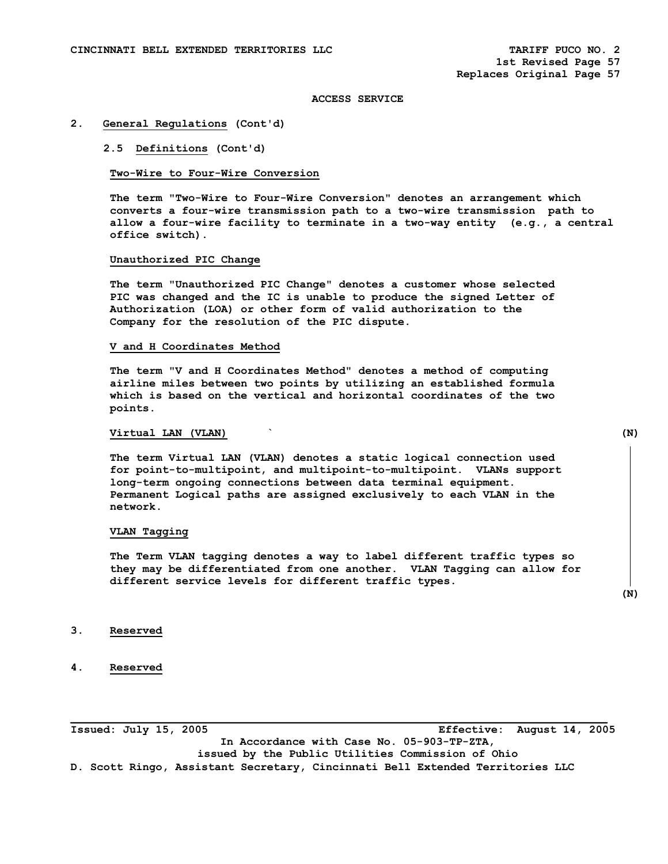#### **2. General Regulations (Cont'd)**

## **2.5 Definitions (Cont'd)**

## **Two-Wire to Four-Wire Conversion**

 **The term "Two-Wire to Four-Wire Conversion" denotes an arrangement which converts a four-wire transmission path to a two-wire transmission path to allow a four-wire facility to terminate in a two-way entity (e.g., a central office switch).** 

## **Unauthorized PIC Change**

 **The term "Unauthorized PIC Change" denotes a customer whose selected PIC was changed and the IC is unable to produce the signed Letter of Authorization (LOA) or other form of valid authorization to the Company for the resolution of the PIC dispute.** 

## **V and H Coordinates Method**

 **The term "V and H Coordinates Method" denotes a method of computing airline miles between two points by utilizing an established formula which is based on the vertical and horizontal coordinates of the two points.** 

## **Virtual LAN (VLAN) ` (N)**

 **The term Virtual LAN (VLAN) denotes a static logical connection used for point-to-multipoint, and multipoint-to-multipoint. VLANs support long-term ongoing connections between data terminal equipment. Permanent Logical paths are assigned exclusively to each VLAN in the network.** 

#### **VLAN Tagging**

**The Term VLAN tagging denotes a way to label different traffic types so they may be differentiated from one another. VLAN Tagging can allow for different service levels for different traffic types.** 

 **(N)** 

- **3. Reserved**
- **4. Reserved**

**Issued: July 15, 2005 Effective: August 14, 2005 In Accordance with Case No. 05-903-TP-ZTA, issued by the Public Utilities Commission of Ohio D. Scott Ringo, Assistant Secretary, Cincinnati Bell Extended Territories LLC**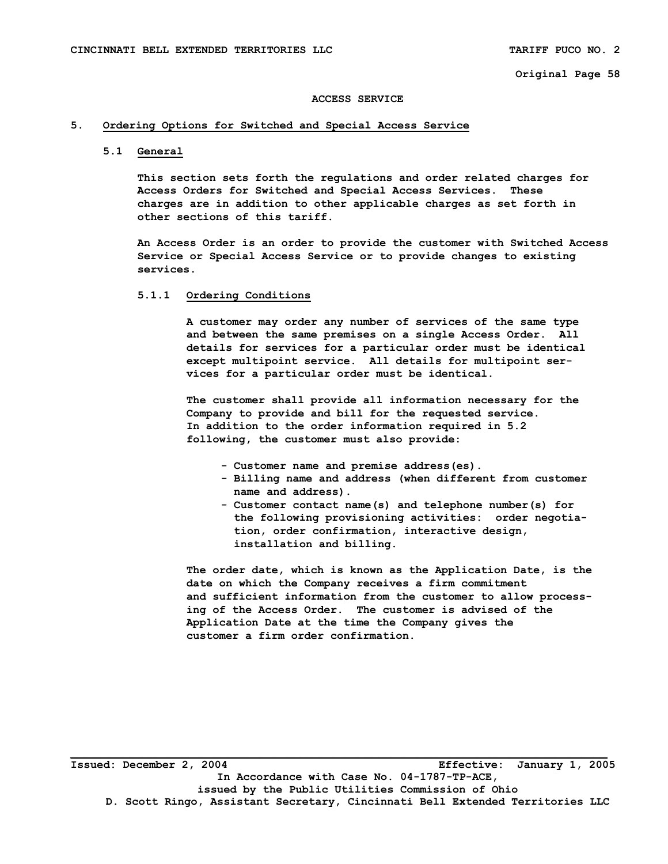#### **ACCESS SERVICE**

# **5. Ordering Options for Switched and Special Access Service**

#### **5.1 General**

 **This section sets forth the regulations and order related charges for Access Orders for Switched and Special Access Services. These charges are in addition to other applicable charges as set forth in other sections of this tariff.** 

 **An Access Order is an order to provide the customer with Switched Access Service or Special Access Service or to provide changes to existing services.** 

# **5.1.1 Ordering Conditions**

 **A customer may order any number of services of the same type and between the same premises on a single Access Order. All details for services for a particular order must be identical except multipoint service. All details for multipoint ser vices for a particular order must be identical.** 

 **The customer shall provide all information necessary for the Company to provide and bill for the requested service. In addition to the order information required in 5.2 following, the customer must also provide:** 

- **Customer name and premise address(es).**
- **Billing name and address (when different from customer name and address).**
- **Customer contact name(s) and telephone number(s) for the following provisioning activities: order negotia tion, order confirmation, interactive design, installation and billing.**

 **The order date, which is known as the Application Date, is the date on which the Company receives a firm commitment and sufficient information from the customer to allow process ing of the Access Order. The customer is advised of the Application Date at the time the Company gives the customer a firm order confirmation.**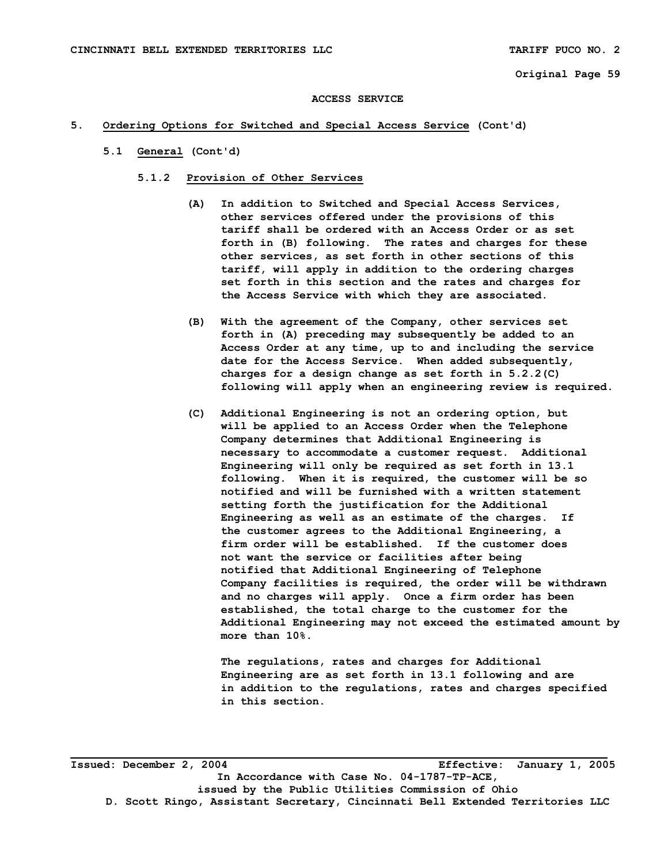#### **ACCESS SERVICE**

# **5. Ordering Options for Switched and Special Access Service (Cont'd)**

- **5.1 General (Cont'd)** 
	- **5.1.2 Provision of Other Services** 
		- **(A) In addition to Switched and Special Access Services, other services offered under the provisions of this tariff shall be ordered with an Access Order or as set forth in (B) following. The rates and charges for these other services, as set forth in other sections of this tariff, will apply in addition to the ordering charges set forth in this section and the rates and charges for the Access Service with which they are associated.**
		- **(B) With the agreement of the Company, other services set forth in (A) preceding may subsequently be added to an Access Order at any time, up to and including the service date for the Access Service. When added subsequently, charges for a design change as set forth in 5.2.2(C) following will apply when an engineering review is required.**
		- **(C) Additional Engineering is not an ordering option, but will be applied to an Access Order when the Telephone Company determines that Additional Engineering is necessary to accommodate a customer request. Additional Engineering will only be required as set forth in 13.1 following. When it is required, the customer will be so notified and will be furnished with a written statement setting forth the justification for the Additional Engineering as well as an estimate of the charges. If the customer agrees to the Additional Engineering, a firm order will be established. If the customer does not want the service or facilities after being notified that Additional Engineering of Telephone Company facilities is required, the order will be withdrawn and no charges will apply. Once a firm order has been established, the total charge to the customer for the Additional Engineering may not exceed the estimated amount by more than 10%.**

 **The regulations, rates and charges for Additional Engineering are as set forth in 13.1 following and are in addition to the regulations, rates and charges specified in this section.** 

**Issued: December 2, 2004 Effective: January 1, 2005 In Accordance with Case No. 04-1787-TP-ACE, issued by the Public Utilities Commission of Ohio D. Scott Ringo, Assistant Secretary, Cincinnati Bell Extended Territories LLC**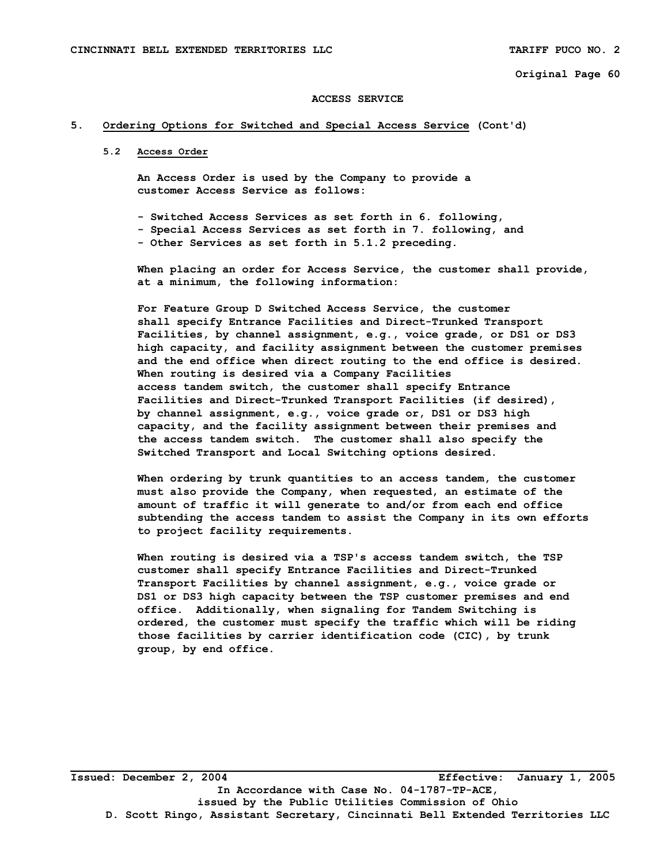#### **ACCESS SERVICE**

# **5. Ordering Options for Switched and Special Access Service (Cont'd)**

**5.2 Access Order** 

 **An Access Order is used by the Company to provide a customer Access Service as follows:** 

- **Switched Access Services as set forth in 6. following,**
- **Special Access Services as set forth in 7. following, and - Other Services as set forth in 5.1.2 preceding.**

 **When placing an order for Access Service, the customer shall provide, at a minimum, the following information:** 

 **For Feature Group D Switched Access Service, the customer shall specify Entrance Facilities and Direct-Trunked Transport Facilities, by channel assignment, e.g., voice grade, or DS1 or DS3 high capacity, and facility assignment between the customer premises and the end office when direct routing to the end office is desired. When routing is desired via a Company Facilities access tandem switch, the customer shall specify Entrance Facilities and Direct-Trunked Transport Facilities (if desired), by channel assignment, e.g., voice grade or, DS1 or DS3 high capacity, and the facility assignment between their premises and the access tandem switch. The customer shall also specify the Switched Transport and Local Switching options desired.** 

 **When ordering by trunk quantities to an access tandem, the customer must also provide the Company, when requested, an estimate of the amount of traffic it will generate to and/or from each end office subtending the access tandem to assist the Company in its own efforts to project facility requirements.** 

 **When routing is desired via a TSP's access tandem switch, the TSP customer shall specify Entrance Facilities and Direct-Trunked Transport Facilities by channel assignment, e.g., voice grade or DS1 or DS3 high capacity between the TSP customer premises and end office. Additionally, when signaling for Tandem Switching is ordered, the customer must specify the traffic which will be riding those facilities by carrier identification code (CIC), by trunk group, by end office.**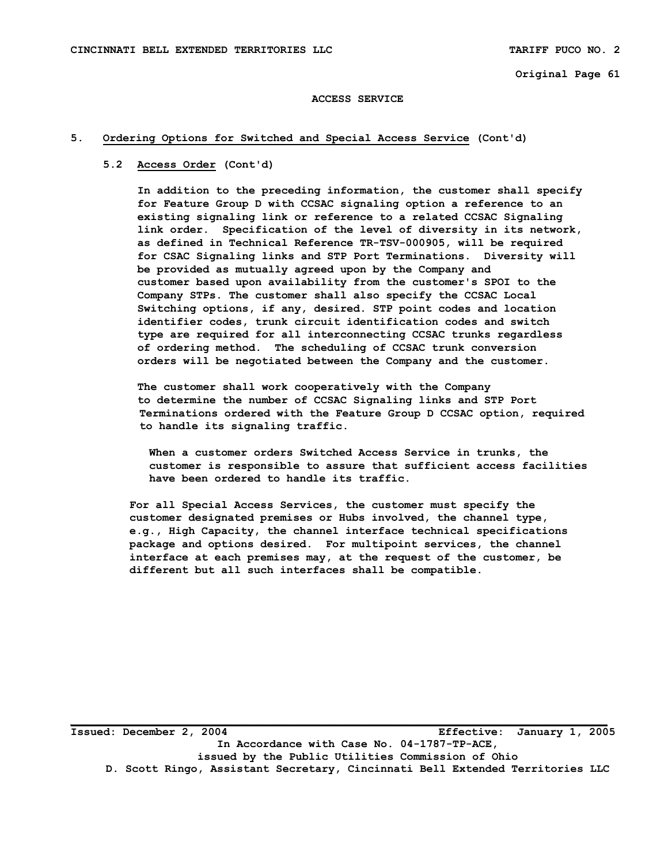#### **ACCESS SERVICE**

# **5. Ordering Options for Switched and Special Access Service (Cont'd)**

## **5.2 Access Order (Cont'd)**

 **In addition to the preceding information, the customer shall specify for Feature Group D with CCSAC signaling option a reference to an existing signaling link or reference to a related CCSAC Signaling link order. Specification of the level of diversity in its network, as defined in Technical Reference TR-TSV-000905, will be required for CSAC Signaling links and STP Port Terminations. Diversity will be provided as mutually agreed upon by the Company and customer based upon availability from the customer's SPOI to the Company STPs. The customer shall also specify the CCSAC Local Switching options, if any, desired. STP point codes and location identifier codes, trunk circuit identification codes and switch type are required for all interconnecting CCSAC trunks regardless of ordering method. The scheduling of CCSAC trunk conversion orders will be negotiated between the Company and the customer.** 

 **The customer shall work cooperatively with the Company to determine the number of CCSAC Signaling links and STP Port Terminations ordered with the Feature Group D CCSAC option, required to handle its signaling traffic.** 

 **When a customer orders Switched Access Service in trunks, the customer is responsible to assure that sufficient access facilities have been ordered to handle its traffic.** 

 **For all Special Access Services, the customer must specify the customer designated premises or Hubs involved, the channel type, e.g., High Capacity, the channel interface technical specifications package and options desired. For multipoint services, the channel interface at each premises may, at the request of the customer, be different but all such interfaces shall be compatible.** 

**Issued: December 2, 2004 Effective: January 1, 2005 In Accordance with Case No. 04-1787-TP-ACE, issued by the Public Utilities Commission of Ohio D. Scott Ringo, Assistant Secretary, Cincinnati Bell Extended Territories LLC**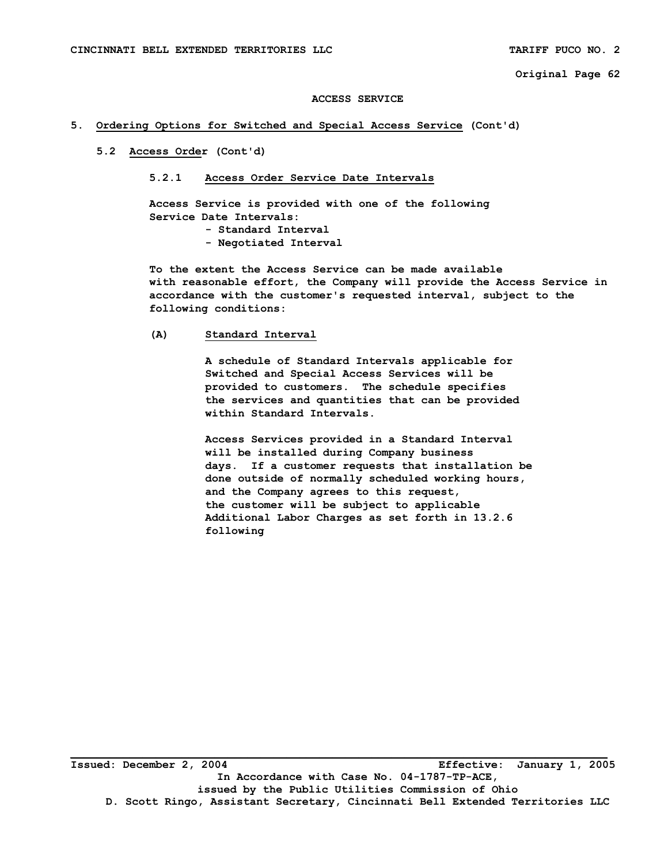#### **ACCESS SERVICE**

# **5. Ordering Options for Switched and Special Access Service (Cont'd)**

 **5.2 Access Order (Cont'd)** 

#### **5.2.1 Access Order Service Date Intervals**

 **Access Service is provided with one of the following Service Date Intervals:** 

- **Standard Interval**
- **Negotiated Interval**

 **To the extent the Access Service can be made available with reasonable effort, the Company will provide the Access Service in accordance with the customer's requested interval, subject to the following conditions:** 

# **(A) Standard Interval**

 **A schedule of Standard Intervals applicable for Switched and Special Access Services will be provided to customers. The schedule specifies the services and quantities that can be provided within Standard Intervals.** 

 **Access Services provided in a Standard Interval will be installed during Company business days. If a customer requests that installation be done outside of normally scheduled working hours, and the Company agrees to this request, the customer will be subject to applicable Additional Labor Charges as set forth in 13.2.6 following**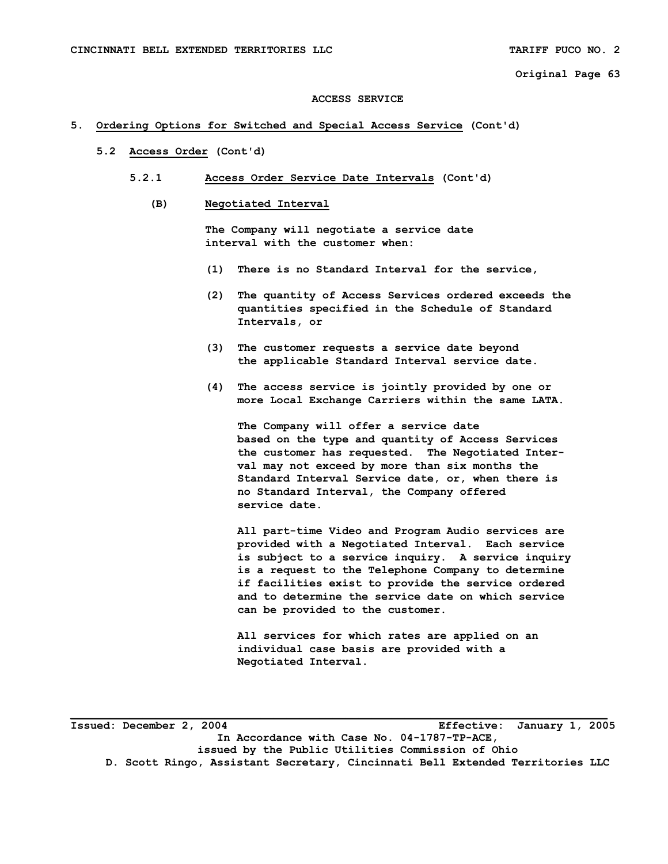#### **ACCESS SERVICE**

# **5. Ordering Options for Switched and Special Access Service (Cont'd)**

- **5.2 Access Order (Cont'd)** 
	- **5.2.1 Access Order Service Date Intervals (Cont'd)** 
		- **(B) Negotiated Interval**

 **The Company will negotiate a service date interval with the customer when:** 

- **(1) There is no Standard Interval for the service,**
- **(2) The quantity of Access Services ordered exceeds the quantities specified in the Schedule of Standard Intervals, or**
- **(3) The customer requests a service date beyond the applicable Standard Interval service date.**
- **(4) The access service is jointly provided by one or more Local Exchange Carriers within the same LATA.**

 **The Company will offer a service date based on the type and quantity of Access Services the customer has requested. The Negotiated Inter val may not exceed by more than six months the Standard Interval Service date, or, when there is no Standard Interval, the Company offered service date.** 

 **All part-time Video and Program Audio services are provided with a Negotiated Interval. Each service is subject to a service inquiry. A service inquiry is a request to the Telephone Company to determine if facilities exist to provide the service ordered and to determine the service date on which service can be provided to the customer.** 

 **All services for which rates are applied on an individual case basis are provided with a Negotiated Interval.** 

**Issued: December 2, 2004 Effective: January 1, 2005 In Accordance with Case No. 04-1787-TP-ACE, issued by the Public Utilities Commission of Ohio D. Scott Ringo, Assistant Secretary, Cincinnati Bell Extended Territories LLC**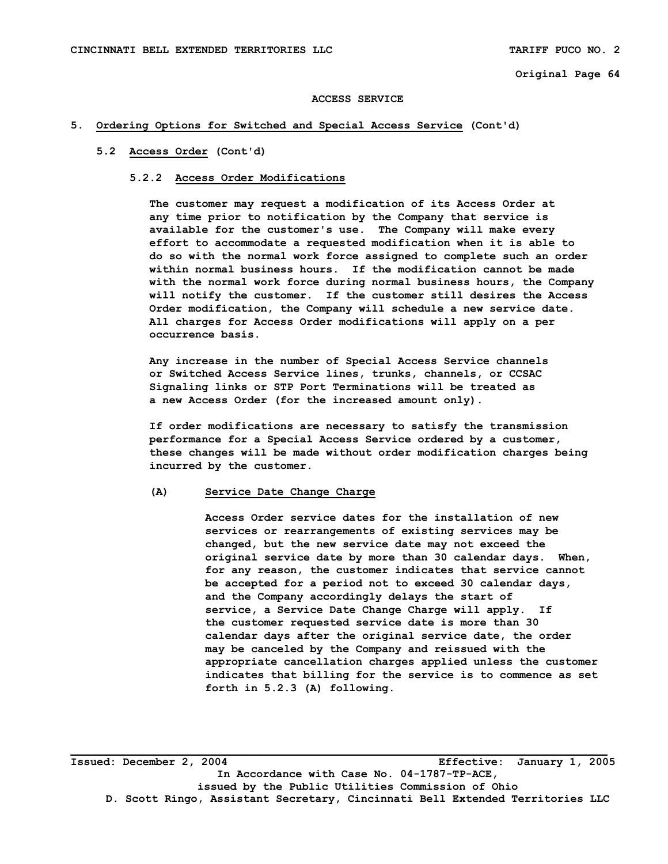#### **ACCESS SERVICE**

# **5. Ordering Options for Switched and Special Access Service (Cont'd)**

#### **5.2 Access Order (Cont'd)**

# **5.2.2 Access Order Modifications**

 **The customer may request a modification of its Access Order at any time prior to notification by the Company that service is available for the customer's use. The Company will make every effort to accommodate a requested modification when it is able to do so with the normal work force assigned to complete such an order within normal business hours. If the modification cannot be made with the normal work force during normal business hours, the Company will notify the customer. If the customer still desires the Access Order modification, the Company will schedule a new service date. All charges for Access Order modifications will apply on a per occurrence basis.** 

 **Any increase in the number of Special Access Service channels or Switched Access Service lines, trunks, channels, or CCSAC Signaling links or STP Port Terminations will be treated as a new Access Order (for the increased amount only).** 

 **If order modifications are necessary to satisfy the transmission performance for a Special Access Service ordered by a customer, these changes will be made without order modification charges being incurred by the customer.** 

#### **(A) Service Date Change Charge**

 **Access Order service dates for the installation of new services or rearrangements of existing services may be changed, but the new service date may not exceed the original service date by more than 30 calendar days. When, for any reason, the customer indicates that service cannot be accepted for a period not to exceed 30 calendar days, and the Company accordingly delays the start of service, a Service Date Change Charge will apply. If the customer requested service date is more than 30 calendar days after the original service date, the order may be canceled by the Company and reissued with the appropriate cancellation charges applied unless the customer indicates that billing for the service is to commence as set forth in 5.2.3 (A) following.** 

**Issued: December 2, 2004 Effective: January 1, 2005 In Accordance with Case No. 04-1787-TP-ACE, issued by the Public Utilities Commission of Ohio D. Scott Ringo, Assistant Secretary, Cincinnati Bell Extended Territories LLC**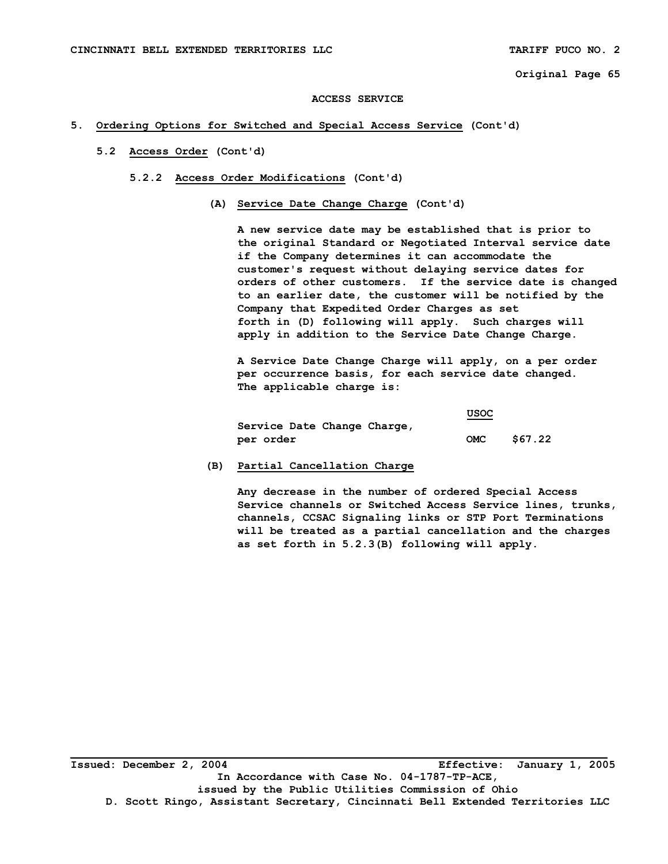#### **ACCESS SERVICE**

# **5. Ordering Options for Switched and Special Access Service (Cont'd)**

 **5.2 Access Order (Cont'd)** 

#### **5.2.2 Access Order Modifications (Cont'd)**

 **(A) Service Date Change Charge (Cont'd)** 

 **A new service date may be established that is prior to the original Standard or Negotiated Interval service date if the Company determines it can accommodate the customer's request without delaying service dates for orders of other customers. If the service date is changed to an earlier date, the customer will be notified by the Company that Expedited Order Charges as set forth in (D) following will apply. Such charges will apply in addition to the Service Date Change Charge.** 

 **A Service Date Change Charge will apply, on a per order per occurrence basis, for each service date changed. The applicable charge is:** 

|                             | <b>USOC</b> |         |
|-----------------------------|-------------|---------|
| Service Date Change Charge, |             |         |
| per order                   | <b>OMC</b>  | \$67.22 |

## **(B) Partial Cancellation Charge**

 **Any decrease in the number of ordered Special Access Service channels or Switched Access Service lines, trunks, channels, CCSAC Signaling links or STP Port Terminations will be treated as a partial cancellation and the charges as set forth in 5.2.3(B) following will apply.**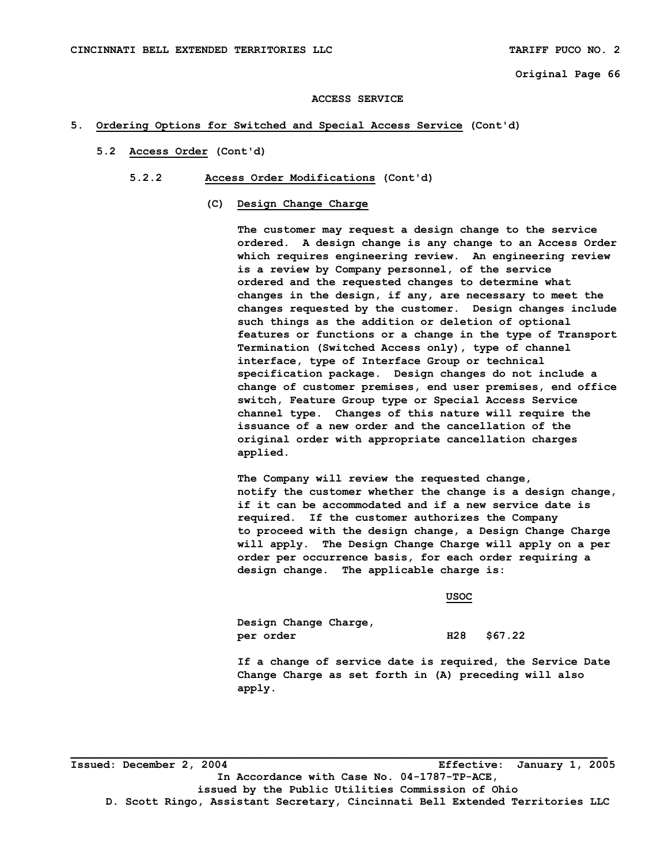#### **ACCESS SERVICE**

# **5. Ordering Options for Switched and Special Access Service (Cont'd)**

 **5.2 Access Order (Cont'd)** 

#### **5.2.2 Access Order Modifications (Cont'd)**

 **(C) Design Change Charge** 

 **The customer may request a design change to the service ordered. A design change is any change to an Access Order which requires engineering review. An engineering review is a review by Company personnel, of the service ordered and the requested changes to determine what changes in the design, if any, are necessary to meet the changes requested by the customer. Design changes include such things as the addition or deletion of optional features or functions or a change in the type of Transport Termination (Switched Access only), type of channel interface, type of Interface Group or technical specification package. Design changes do not include a change of customer premises, end user premises, end office switch, Feature Group type or Special Access Service channel type. Changes of this nature will require the issuance of a new order and the cancellation of the original order with appropriate cancellation charges applied.** 

 **The Company will review the requested change, notify the customer whether the change is a design change, if it can be accommodated and if a new service date is required. If the customer authorizes the Company to proceed with the design change, a Design Change Charge will apply. The Design Change Charge will apply on a per order per occurrence basis, for each order requiring a design change. The applicable charge is:** 

**Example 2008 USOC 2008 USOC 2008 USOC** 

 **Design Change Charge, per order H28 \$67.22** 

 **If a change of service date is required, the Service Date Change Charge as set forth in (A) preceding will also apply.** 

**Issued: December 2, 2004 Effective: January 1, 2005 In Accordance with Case No. 04-1787-TP-ACE, issued by the Public Utilities Commission of Ohio D. Scott Ringo, Assistant Secretary, Cincinnati Bell Extended Territories LLC**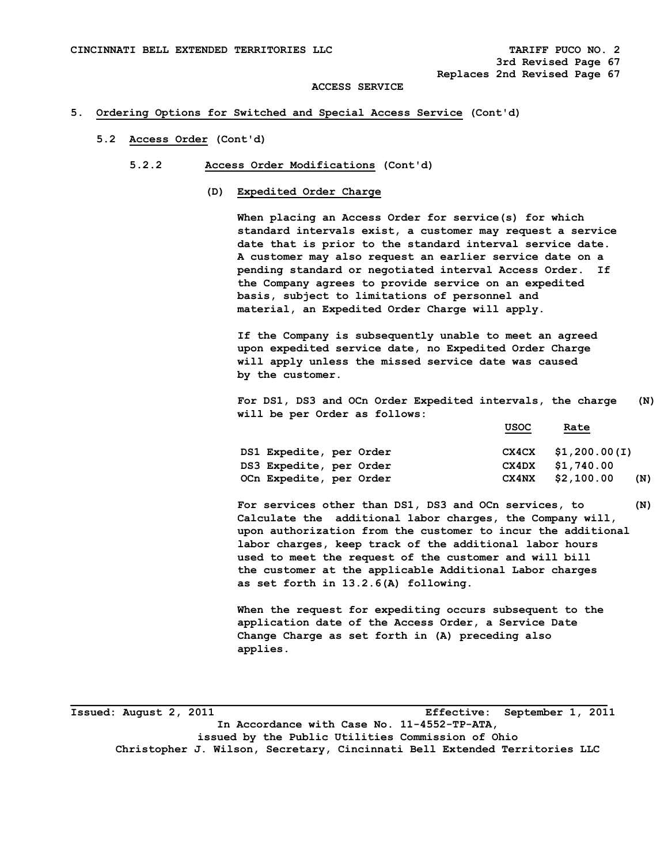# **5. Ordering Options for Switched and Special Access Service (Cont'd)**

- **5.2 Access Order (Cont'd)** 
	- **5.2.2 Access Order Modifications (Cont'd)** 
		- **(D) Expedited Order Charge**

 **When placing an Access Order for service(s) for which standard intervals exist, a customer may request a service date that is prior to the standard interval service date. A customer may also request an earlier service date on a pending standard or negotiated interval Access Order. If the Company agrees to provide service on an expedited basis, subject to limitations of personnel and material, an Expedited Order Charge will apply.** 

 **If the Company is subsequently unable to meet an agreed upon expedited service date, no Expedited Order Charge will apply unless the missed service date was caused by the customer.** 

 **For DS1, DS3 and OCn Order Expedited intervals, the charge (N) will be per Order as follows:** 

| DS1 Expedite, per Order |       | $CX4CX$ \$1,200.00(I) |
|-------------------------|-------|-----------------------|
| DS3 Expedite, per Order |       | CX4DX \$1,740.00      |
| OCn Expedite, per Order | CX4NX | \$2,100.00<br>(N)     |

**For services other than DS1, DS3 and OCn services, to (N) Calculate the additional labor charges, the Company will, upon authorization from the customer to incur the additional labor charges, keep track of the additional labor hours used to meet the request of the customer and will bill the customer at the applicable Additional Labor charges as set forth in 13.2.6(A) following.** 

 **When the request for expediting occurs subsequent to the application date of the Access Order, a Service Date Change Charge as set forth in (A) preceding also applies.** 

**Issued: August 2, 2011 Effective: September 1, 2011 In Accordance with Case No. 11-4552-TP-ATA, issued by the Public Utilities Commission of Ohio Christopher J. Wilson, Secretary, Cincinnati Bell Extended Territories LLC** 

**\_\_\_\_\_\_\_\_\_\_\_\_\_\_\_\_\_\_\_\_\_\_\_\_\_\_\_\_\_\_\_\_\_\_\_\_\_\_\_\_\_\_\_\_\_\_\_\_\_\_\_\_\_\_\_\_\_\_\_\_\_\_\_\_\_\_\_\_\_\_\_\_\_\_\_\_\_\_\_\_\_\_** 

 **USOC** Rate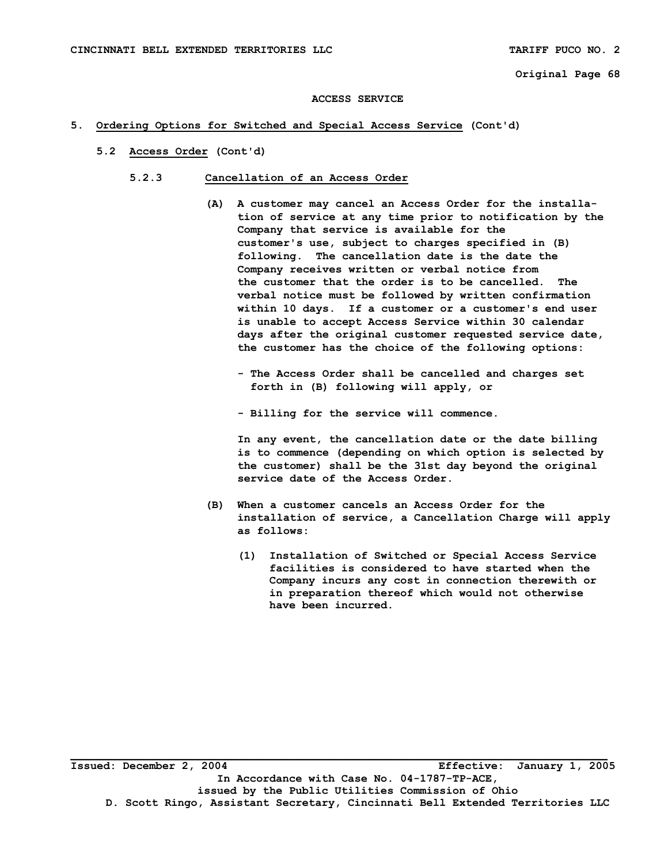#### **ACCESS SERVICE**

# **5. Ordering Options for Switched and Special Access Service (Cont'd)**

- **5.2 Access Order (Cont'd)** 
	- **5.2.3 Cancellation of an Access Order** 
		- **(A) A customer may cancel an Access Order for the installa tion of service at any time prior to notification by the Company that service is available for the customer's use, subject to charges specified in (B) following. The cancellation date is the date the Company receives written or verbal notice from the customer that the order is to be cancelled. The verbal notice must be followed by written confirmation within 10 days. If a customer or a customer's end user is unable to accept Access Service within 30 calendar days after the original customer requested service date, the customer has the choice of the following options:** 
			- **The Access Order shall be cancelled and charges set forth in (B) following will apply, or**
			- **Billing for the service will commence.**

 **In any event, the cancellation date or the date billing is to commence (depending on which option is selected by the customer) shall be the 31st day beyond the original service date of the Access Order.** 

- **(B) When a customer cancels an Access Order for the installation of service, a Cancellation Charge will apply as follows:** 
	- **(1) Installation of Switched or Special Access Service facilities is considered to have started when the Company incurs any cost in connection therewith or in preparation thereof which would not otherwise have been incurred.**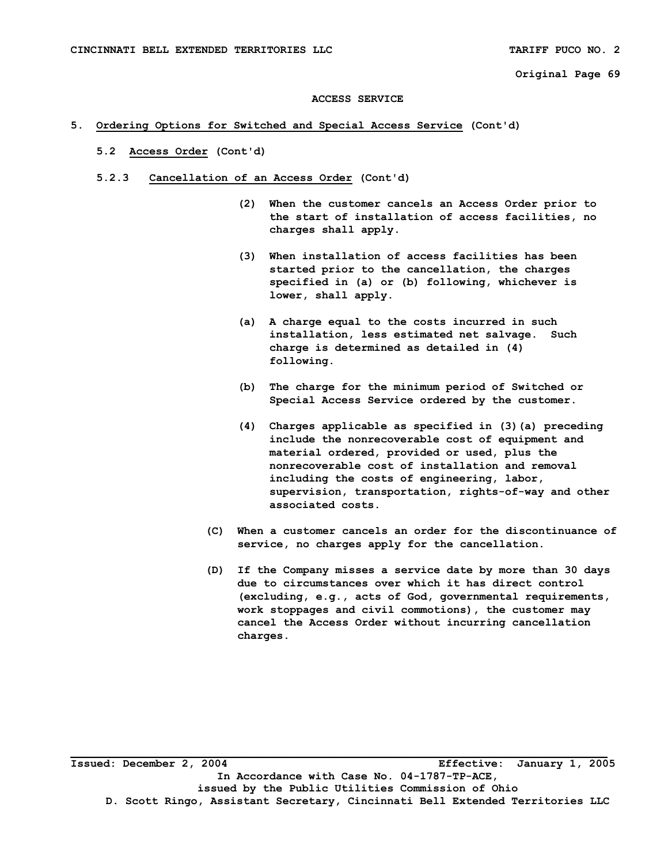#### **ACCESS SERVICE**

# **5. Ordering Options for Switched and Special Access Service (Cont'd)**

- **5.2 Access Order (Cont'd)**
- **5.2.3 Cancellation of an Access Order (Cont'd)** 
	- **(2) When the customer cancels an Access Order prior to the start of installation of access facilities, no charges shall apply.**
	- **(3) When installation of access facilities has been started prior to the cancellation, the charges specified in (a) or (b) following, whichever is lower, shall apply.**
	- **(a) A charge equal to the costs incurred in such installation, less estimated net salvage. Such charge is determined as detailed in (4) following.**
	- **(b) The charge for the minimum period of Switched or Special Access Service ordered by the customer.**
	- **(4) Charges applicable as specified in (3)(a) preceding include the nonrecoverable cost of equipment and material ordered, provided or used, plus the nonrecoverable cost of installation and removal including the costs of engineering, labor, supervision, transportation, rights-of-way and other associated costs.**
	- **(C) When a customer cancels an order for the discontinuance of service, no charges apply for the cancellation.**
	- **(D) If the Company misses a service date by more than 30 days due to circumstances over which it has direct control (excluding, e.g., acts of God, governmental requirements, work stoppages and civil commotions), the customer may cancel the Access Order without incurring cancellation charges.**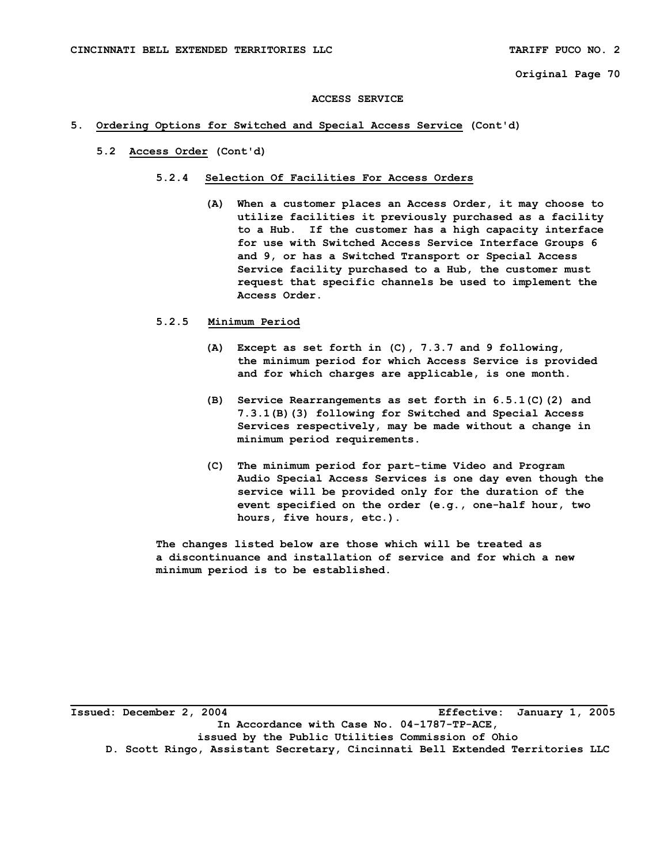#### **ACCESS SERVICE**

## **5. Ordering Options for Switched and Special Access Service (Cont'd)**

 **5.2 Access Order (Cont'd)** 

#### **5.2.4 Selection Of Facilities For Access Orders**

 **(A) When a customer places an Access Order, it may choose to utilize facilities it previously purchased as a facility to a Hub. If the customer has a high capacity interface for use with Switched Access Service Interface Groups 6 and 9, or has a Switched Transport or Special Access Service facility purchased to a Hub, the customer must request that specific channels be used to implement the Access Order.** 

## **5.2.5 Minimum Period**

- **(A) Except as set forth in (C), 7.3.7 and 9 following, the minimum period for which Access Service is provided and for which charges are applicable, is one month.**
- **(B) Service Rearrangements as set forth in 6.5.1(C)(2) and 7.3.1(B)(3) following for Switched and Special Access Services respectively, may be made without a change in minimum period requirements.**
- **(C) The minimum period for part-time Video and Program Audio Special Access Services is one day even though the service will be provided only for the duration of the event specified on the order (e.g., one-half hour, two hours, five hours, etc.).**

 **The changes listed below are those which will be treated as a discontinuance and installation of service and for which a new minimum period is to be established.**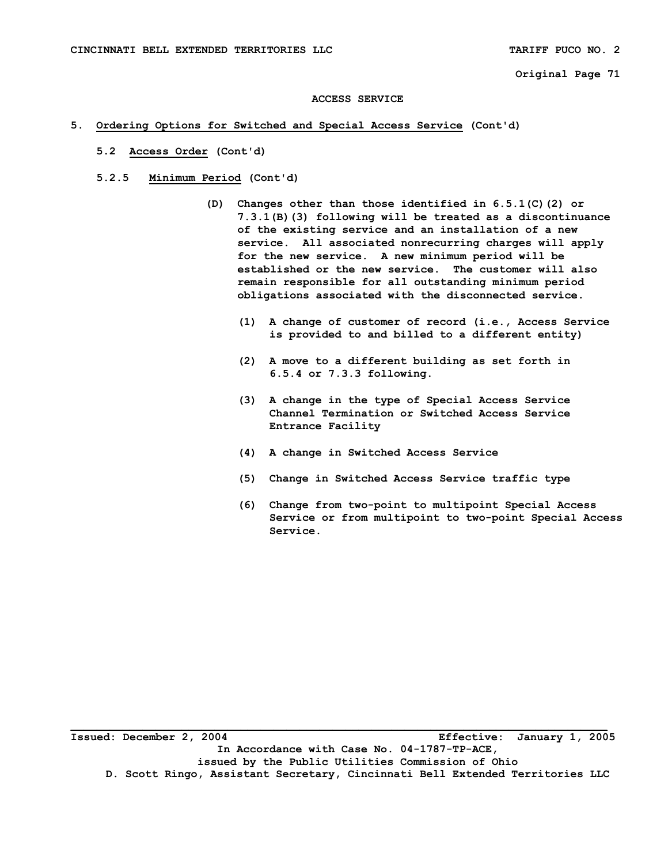#### **ACCESS SERVICE**

## **5. Ordering Options for Switched and Special Access Service (Cont'd)**

- **5.2 Access Order (Cont'd)**
- **5.2.5 Minimum Period (Cont'd)** 
	- **(D) Changes other than those identified in 6.5.1(C)(2) or 7.3.1(B)(3) following will be treated as a discontinuance of the existing service and an installation of a new service. All associated nonrecurring charges will apply for the new service. A new minimum period will be established or the new service. The customer will also remain responsible for all outstanding minimum period obligations associated with the disconnected service.** 
		- **(1) A change of customer of record (i.e., Access Service is provided to and billed to a different entity)**
		- **(2) A move to a different building as set forth in 6.5.4 or 7.3.3 following.**
		- **(3) A change in the type of Special Access Service Channel Termination or Switched Access Service Entrance Facility**
		- **(4) A change in Switched Access Service**
		- **(5) Change in Switched Access Service traffic type**
		- **(6) Change from two-point to multipoint Special Access Service or from multipoint to two-point Special Access Service.**

**Issued: December 2, 2004 Effective: January 1, 2005 In Accordance with Case No. 04-1787-TP-ACE, issued by the Public Utilities Commission of Ohio D. Scott Ringo, Assistant Secretary, Cincinnati Bell Extended Territories LLC**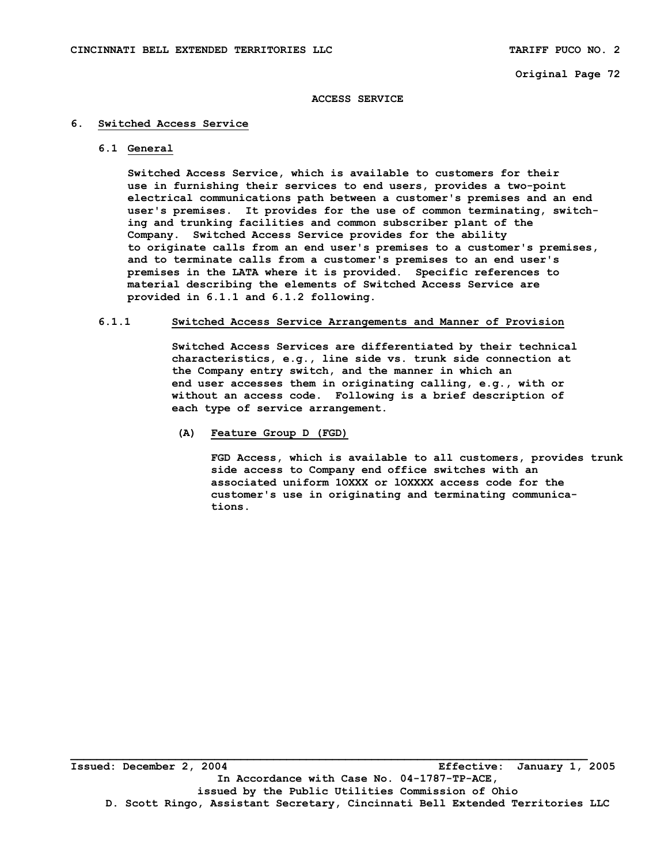#### **ACCESS SERVICE**

## **6. Switched Access Service**

 **6.1 General** 

 **Switched Access Service, which is available to customers for their use in furnishing their services to end users, provides a two-point electrical communications path between a customer's premises and an end user's premises. It provides for the use of common terminating, switch ing and trunking facilities and common subscriber plant of the Company. Switched Access Service provides for the ability to originate calls from an end user's premises to a customer's premises, and to terminate calls from a customer's premises to an end user's premises in the LATA where it is provided. Specific references to material describing the elements of Switched Access Service are provided in 6.1.1 and 6.1.2 following.** 

#### **6.1.1 Switched Access Service Arrangements and Manner of Provision**

 **Switched Access Services are differentiated by their technical characteristics, e.g., line side vs. trunk side connection at the Company entry switch, and the manner in which an end user accesses them in originating calling, e.g., with or without an access code. Following is a brief description of each type of service arrangement.** 

 **(A) Feature Group D (FGD)** 

 **FGD Access, which is available to all customers, provides trunk side access to Company end office switches with an associated uniform 1OXXX or lOXXXX access code for the customer's use in originating and terminating communica tions.**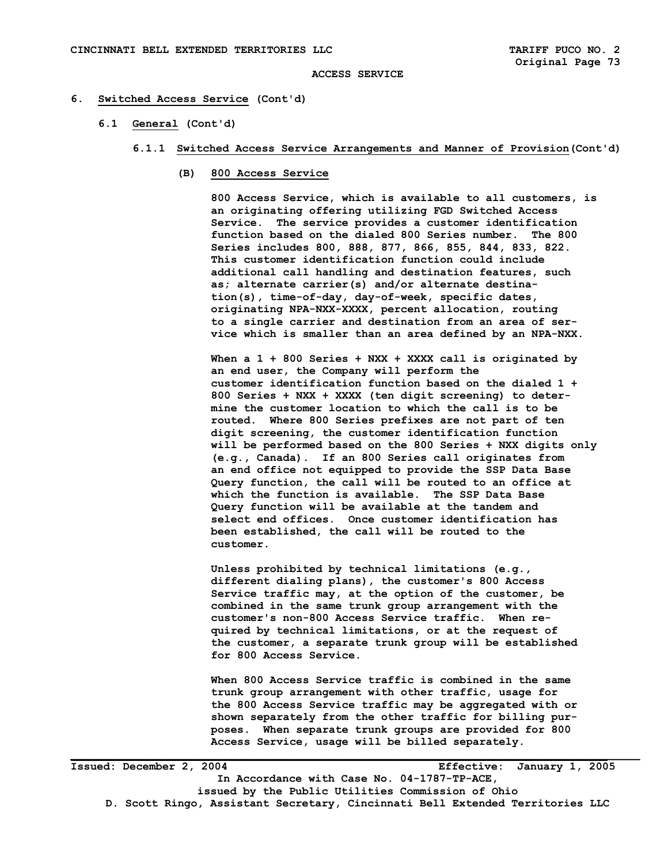## **ACCESS SERVICE**

#### **6. Switched Access Service (Cont'd)**

 **6.1 General (Cont'd)** 

## **6.1.1 Switched Access Service Arrangements and Manner of Provision(Cont'd)**

 **(B) 800 Access Service** 

 **800 Access Service, which is available to all customers, is an originating offering utilizing FGD Switched Access Service. The service provides a customer identification function based on the dialed 800 Series number. The 800 Series includes 800, 888, 877, 866, 855, 844, 833, 822. This customer identification function could include additional call handling and destination features, such as; alternate carrier(s) and/or alternate destina tion(s), time-of-day, day-of-week, specific dates, originating NPA-NXX-XXXX, percent allocation, routing to a single carrier and destination from an area of ser vice which is smaller than an area defined by an NPA-NXX.** 

 **When a 1 + 800 Series + NXX + XXXX call is originated by an end user, the Company will perform the customer identification function based on the dialed 1 + 800 Series + NXX + XXXX (ten digit screening) to deter mine the customer location to which the call is to be routed. Where 800 Series prefixes are not part of ten digit screening, the customer identification function will be performed based on the 800 Series + NXX digits only (e.g., Canada). If an 800 Series call originates from an end office not equipped to provide the SSP Data Base Query function, the call will be routed to an office at which the function is available. The SSP Data Base Query function will be available at the tandem and select end offices. Once customer identification has been established, the call will be routed to the customer.** 

 **Unless prohibited by technical limitations (e.g., different dialing plans), the customer's 800 Access Service traffic may, at the option of the customer, be combined in the same trunk group arrangement with the customer's non-800 Access Service traffic. When re quired by technical limitations, or at the request of the customer, a separate trunk group will be established for 800 Access Service.** 

 **When 800 Access Service traffic is combined in the same trunk group arrangement with other traffic, usage for the 800 Access Service traffic may be aggregated with or shown separately from the other traffic for billing pur poses. When separate trunk groups are provided for 800 Access Service, usage will be billed separately.**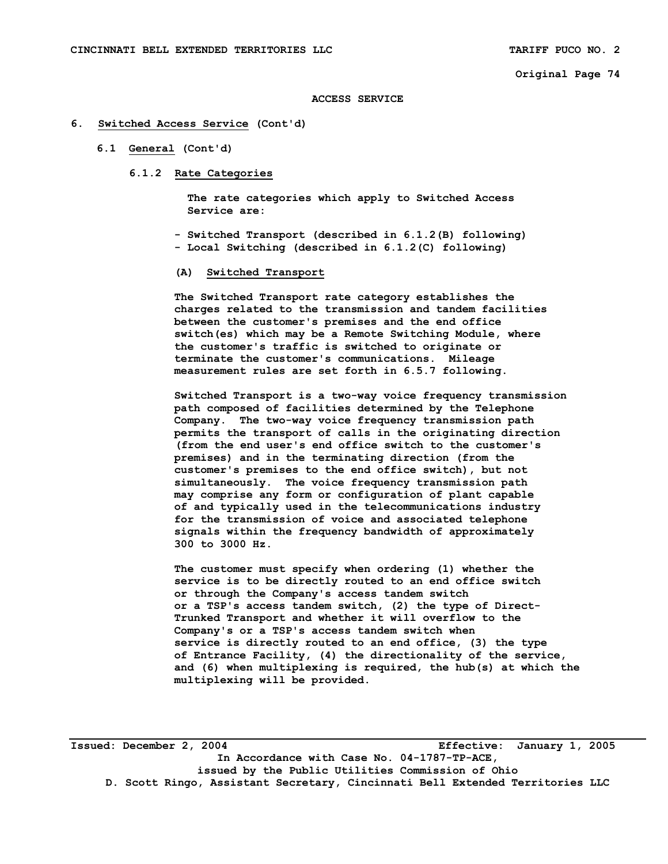#### **ACCESS SERVICE**

## **6. Switched Access Service (Cont'd)**

- **6.1 General (Cont'd)** 
	- **6.1.2 Rate Categories**

 **The rate categories which apply to Switched Access Service are:** 

- **Switched Transport (described in 6.1.2(B) following)**
- **Local Switching (described in 6.1.2(C) following)**
- **(A) Switched Transport**

 **The Switched Transport rate category establishes the charges related to the transmission and tandem facilities between the customer's premises and the end office switch(es) which may be a Remote Switching Module, where the customer's traffic is switched to originate or terminate the customer's communications. Mileage measurement rules are set forth in 6.5.7 following.** 

 **Switched Transport is a two-way voice frequency transmission path composed of facilities determined by the Telephone Company. The two-way voice frequency transmission path permits the transport of calls in the originating direction (from the end user's end office switch to the customer's premises) and in the terminating direction (from the customer's premises to the end office switch), but not simultaneously. The voice frequency transmission path may comprise any form or configuration of plant capable of and typically used in the telecommunications industry for the transmission of voice and associated telephone signals within the frequency bandwidth of approximately 300 to 3000 Hz.** 

 **The customer must specify when ordering (1) whether the service is to be directly routed to an end office switch or through the Company's access tandem switch or a TSP's access tandem switch, (2) the type of Direct- Trunked Transport and whether it will overflow to the Company's or a TSP's access tandem switch when service is directly routed to an end office, (3) the type of Entrance Facility, (4) the directionality of the service, and (6) when multiplexing is required, the hub(s) at which the multiplexing will be provided.** 

**Issued: December 2, 2004 Effective: January 1, 2005 In Accordance with Case No. 04-1787-TP-ACE, issued by the Public Utilities Commission of Ohio D. Scott Ringo, Assistant Secretary, Cincinnati Bell Extended Territories LLC**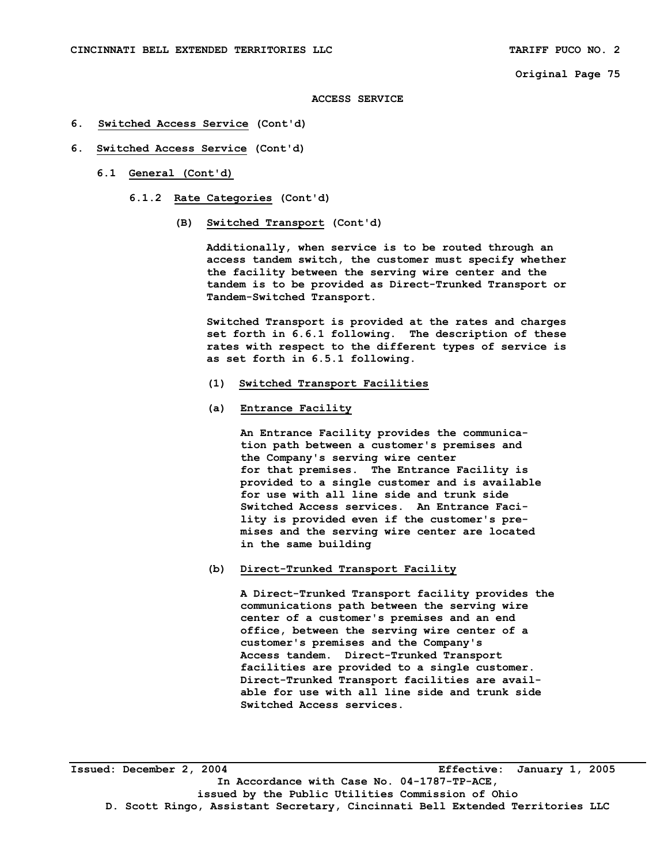#### **ACCESS SERVICE**

- **6. Switched Access Service (Cont'd)**
- **6. Switched Access Service (Cont'd)** 
	- **6.1 General (Cont'd)** 
		- **6.1.2 Rate Categories (Cont'd)** 
			- **(B) Switched Transport (Cont'd)**

 **Additionally, when service is to be routed through an access tandem switch, the customer must specify whether the facility between the serving wire center and the tandem is to be provided as Direct-Trunked Transport or Tandem-Switched Transport.** 

 **Switched Transport is provided at the rates and charges set forth in 6.6.1 following. The description of these rates with respect to the different types of service is as set forth in 6.5.1 following.** 

- **(1) Switched Transport Facilities**
- **(a) Entrance Facility**

 **An Entrance Facility provides the communica tion path between a customer's premises and the Company's serving wire center for that premises. The Entrance Facility is provided to a single customer and is available for use with all line side and trunk side Switched Access services. An Entrance Faci lity is provided even if the customer's pre mises and the serving wire center are located in the same building** 

 **(b) Direct-Trunked Transport Facility** 

 **A Direct-Trunked Transport facility provides the communications path between the serving wire center of a customer's premises and an end office, between the serving wire center of a customer's premises and the Company's Access tandem. Direct-Trunked Transport facilities are provided to a single customer. Direct-Trunked Transport facilities are avail able for use with all line side and trunk side Switched Access services.** 

**Issued: December 2, 2004 Effective: January 1, 2005 In Accordance with Case No. 04-1787-TP-ACE, issued by the Public Utilities Commission of Ohio D. Scott Ringo, Assistant Secretary, Cincinnati Bell Extended Territories LLC**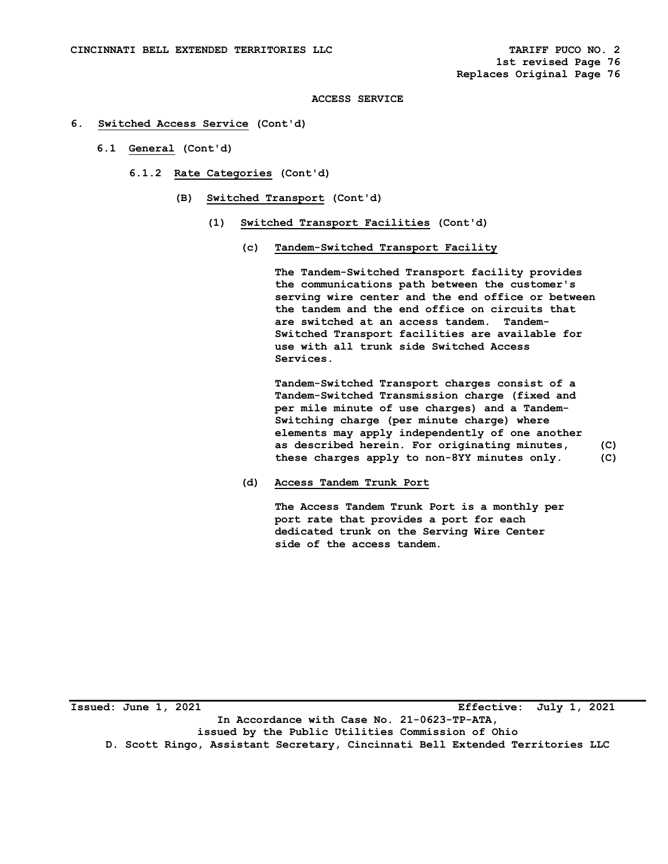## **ACCESS SERVICE**

## **6. Switched Access Service (Cont'd)**

- **6.1 General (Cont'd)** 
	- **6.1.2 Rate Categories (Cont'd)** 
		- **(B) Switched Transport (Cont'd)** 
			- **(1) Switched Transport Facilities (Cont'd)** 
				- **(c) Tandem-Switched Transport Facility**

 **The Tandem-Switched Transport facility provides the communications path between the customer's serving wire center and the end office or between the tandem and the end office on circuits that are switched at an access tandem. Tandem- Switched Transport facilities are available for use with all trunk side Switched Access Services.** 

 **Tandem-Switched Transport charges consist of a Tandem-Switched Transmission charge (fixed and per mile minute of use charges) and a Tandem- Switching charge (per minute charge) where elements may apply independently of one another as described herein. For originating minutes, (C) these charges apply to non-8YY minutes only. (C)** 

 **(d) Access Tandem Trunk Port** 

 **The Access Tandem Trunk Port is a monthly per port rate that provides a port for each dedicated trunk on the Serving Wire Center side of the access tandem.** 

**Issued: June 1, 2021 Effective: July 1, 2021 In Accordance with Case No. 21-0623-TP-ATA, issued by the Public Utilities Commission of Ohio D. Scott Ringo, Assistant Secretary, Cincinnati Bell Extended Territories LLC**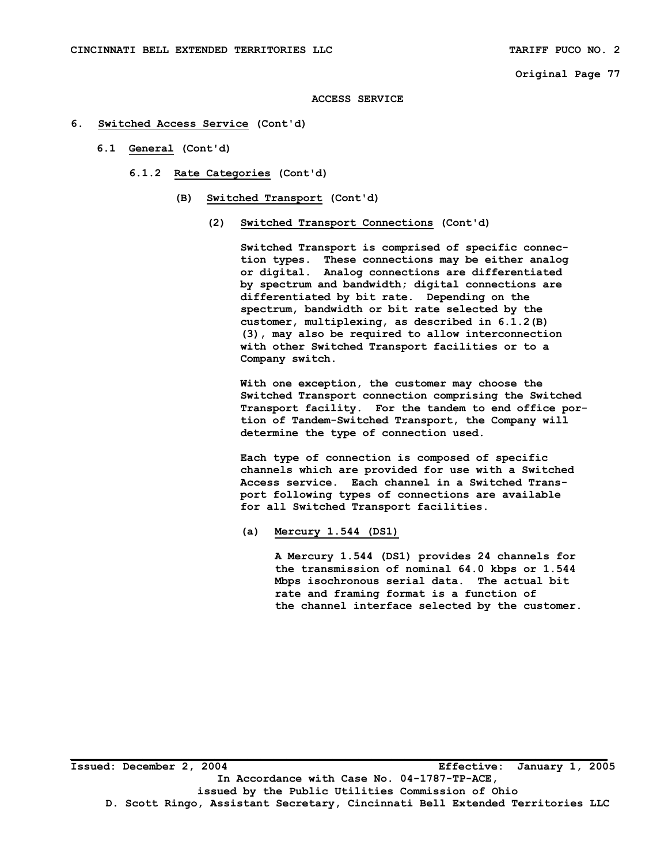**ACCESS SERVICE** 

- **6. Switched Access Service (Cont'd)** 
	- **6.1 General (Cont'd)**

 **6.1.2 Rate Categories (Cont'd)** 

- **(B) Switched Transport (Cont'd)** 
	- **(2) Switched Transport Connections (Cont'd)**

 **Switched Transport is comprised of specific connec tion types. These connections may be either analog or digital. Analog connections are differentiated by spectrum and bandwidth; digital connections are differentiated by bit rate. Depending on the spectrum, bandwidth or bit rate selected by the customer, multiplexing, as described in 6.1.2(B) (3), may also be required to allow interconnection with other Switched Transport facilities or to a Company switch.** 

 **With one exception, the customer may choose the Switched Transport connection comprising the Switched Transport facility. For the tandem to end office por tion of Tandem-Switched Transport, the Company will determine the type of connection used.** 

 **Each type of connection is composed of specific channels which are provided for use with a Switched Access service. Each channel in a Switched Trans port following types of connections are available for all Switched Transport facilities.** 

 **(a) Mercury 1.544 (DS1)** 

 **A Mercury 1.544 (DS1) provides 24 channels for the transmission of nominal 64.0 kbps or 1.544 Mbps isochronous serial data. The actual bit rate and framing format is a function of the channel interface selected by the customer.**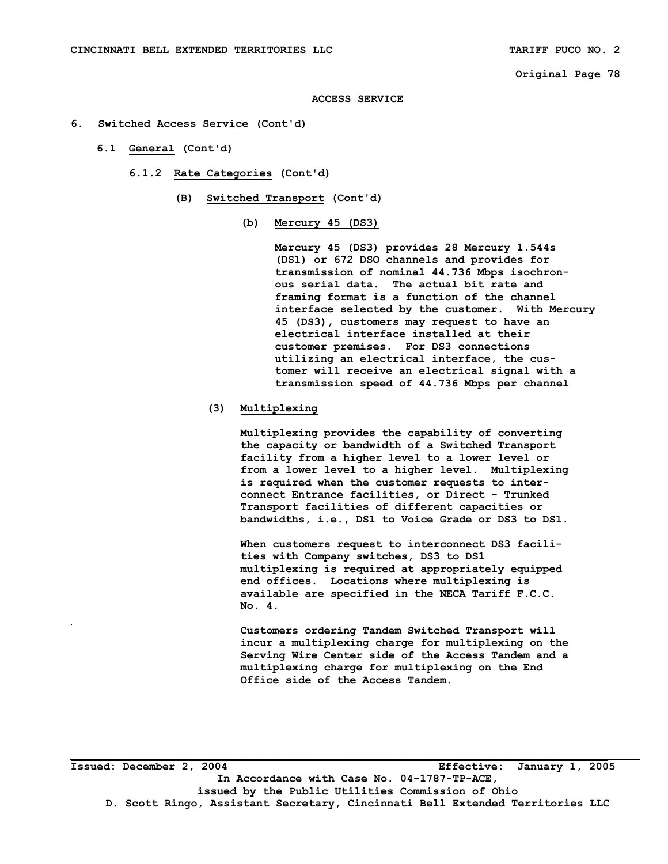#### **ACCESS SERVICE**

- **6. Switched Access Service (Cont'd)** 
	- **6.1 General (Cont'd)** 
		- **6.1.2 Rate Categories (Cont'd)** 
			- **(B) Switched Transport (Cont'd)** 
				- **(b) Mercury 45 (DS3)**

 **Mercury 45 (DS3) provides 28 Mercury 1.544s (DS1) or 672 DSO channels and provides for transmission of nominal 44.736 Mbps isochron ous serial data. The actual bit rate and framing format is a function of the channel interface selected by the customer. With Mercury 45 (DS3), customers may request to have an electrical interface installed at their customer premises. For DS3 connections utilizing an electrical interface, the cus tomer will receive an electrical signal with a transmission speed of 44.736 Mbps per channel** 

## **(3) Multiplexing**

 **Multiplexing provides the capability of converting the capacity or bandwidth of a Switched Transport facility from a higher level to a lower level or from a lower level to a higher level. Multiplexing is required when the customer requests to inter connect Entrance facilities, or Direct - Trunked Transport facilities of different capacities or bandwidths, i.e., DS1 to Voice Grade or DS3 to DS1.** 

 **When customers request to interconnect DS3 facili ties with Company switches, DS3 to DS1 multiplexing is required at appropriately equipped end offices. Locations where multiplexing is available are specified in the NECA Tariff F.C.C. No. 4.** 

 **Customers ordering Tandem Switched Transport will incur a multiplexing charge for multiplexing on the Serving Wire Center side of the Access Tandem and a multiplexing charge for multiplexing on the End Office side of the Access Tandem.**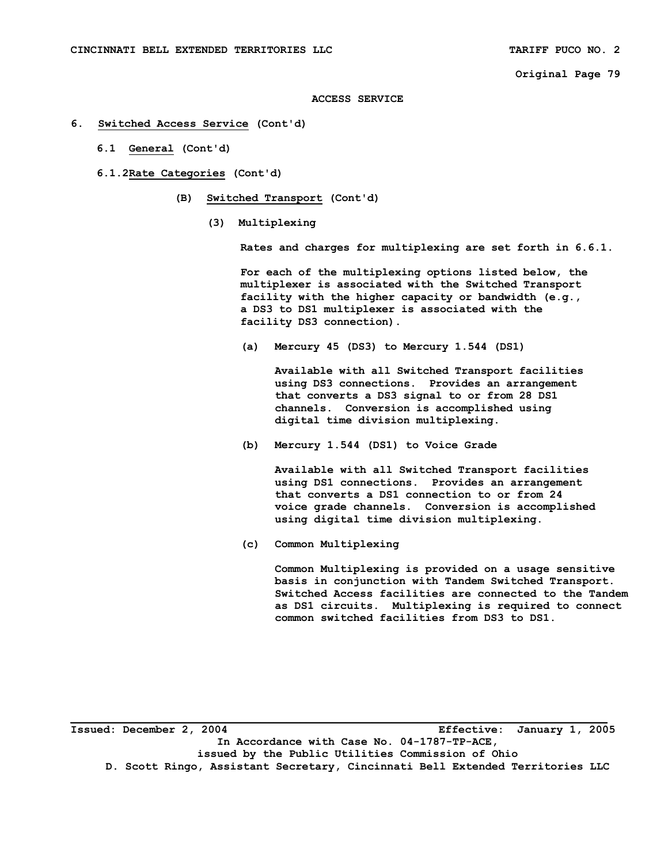#### **ACCESS SERVICE**

- **6. Switched Access Service (Cont'd)** 
	- **6.1 General (Cont'd)**
	- **6.1.2 Rate Categories (Cont'd)** 
		- **(B) Switched Transport (Cont'd)** 
			- **(3) Multiplexing**

 **Rates and charges for multiplexing are set forth in 6.6.1.** 

 **For each of the multiplexing options listed below, the multiplexer is associated with the Switched Transport facility with the higher capacity or bandwidth (e.g., a DS3 to DS1 multiplexer is associated with the facility DS3 connection).** 

 **(a) Mercury 45 (DS3) to Mercury 1.544 (DS1)** 

 **Available with all Switched Transport facilities using DS3 connections. Provides an arrangement that converts a DS3 signal to or from 28 DS1 channels. Conversion is accomplished using digital time division multiplexing.** 

 **(b) Mercury 1.544 (DS1) to Voice Grade** 

 **Available with all Switched Transport facilities using DS1 connections. Provides an arrangement that converts a DS1 connection to or from 24 voice grade channels. Conversion is accomplished using digital time division multiplexing.** 

 **(c) Common Multiplexing** 

 **Common Multiplexing is provided on a usage sensitive basis in conjunction with Tandem Switched Transport. Switched Access facilities are connected to the Tandem as DS1 circuits. Multiplexing is required to connect common switched facilities from DS3 to DS1.** 

**Issued: December 2, 2004 Effective: January 1, 2005 In Accordance with Case No. 04-1787-TP-ACE, issued by the Public Utilities Commission of Ohio D. Scott Ringo, Assistant Secretary, Cincinnati Bell Extended Territories LLC**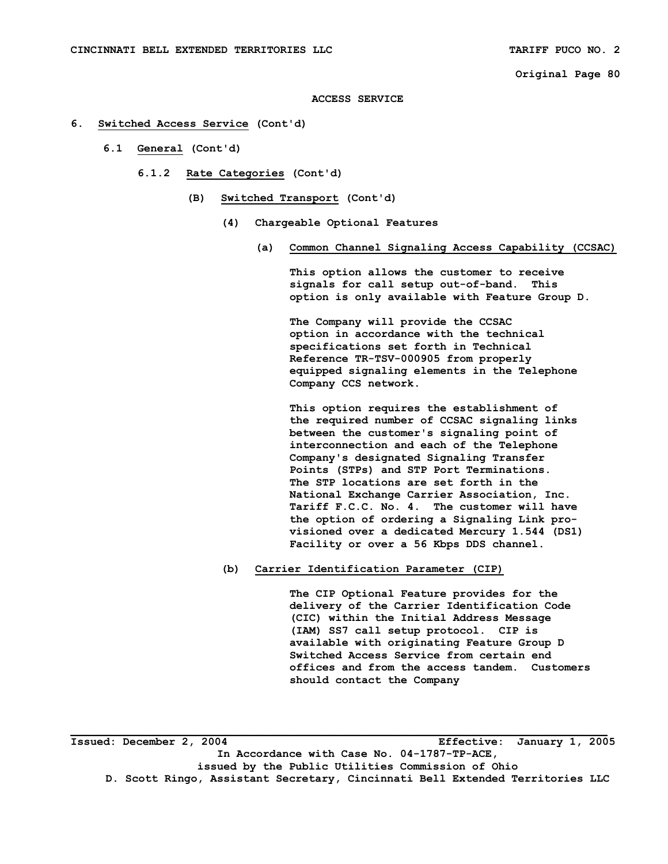#### **ACCESS SERVICE**

- **6. Switched Access Service (Cont'd)** 
	- **6.1 General (Cont'd)** 
		- **6.1.2 Rate Categories (Cont'd)** 
			- **(B) Switched Transport (Cont'd)** 
				- **(4) Chargeable Optional Features** 
					- **(a) Common Channel Signaling Access Capability (CCSAC)**

 **This option allows the customer to receive signals for call setup out-of-band. This option is only available with Feature Group D.** 

 **The Company will provide the CCSAC option in accordance with the technical specifications set forth in Technical Reference TR-TSV-000905 from properly equipped signaling elements in the Telephone Company CCS network.** 

 **This option requires the establishment of the required number of CCSAC signaling links between the customer's signaling point of interconnection and each of the Telephone Company's designated Signaling Transfer Points (STPs) and STP Port Terminations. The STP locations are set forth in the National Exchange Carrier Association, Inc. Tariff F.C.C. No. 4. The customer will have the option of ordering a Signaling Link pro visioned over a dedicated Mercury 1.544 (DS1) Facility or over a 56 Kbps DDS channel.** 

 **(b) Carrier Identification Parameter (CIP)** 

 **The CIP Optional Feature provides for the delivery of the Carrier Identification Code (CIC) within the Initial Address Message (IAM) SS7 call setup protocol. CIP is available with originating Feature Group D Switched Access Service from certain end offices and from the access tandem. Customers should contact the Company**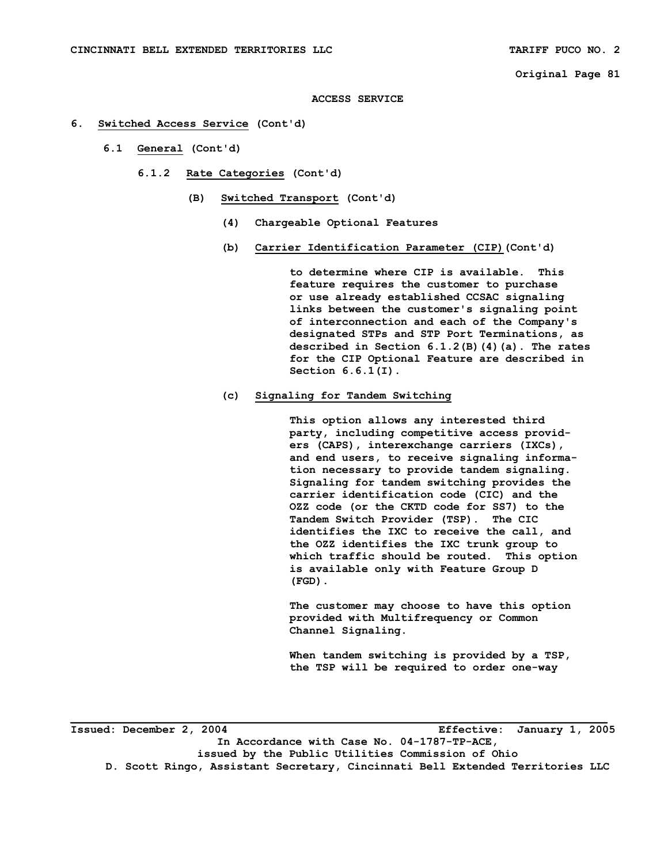#### **ACCESS SERVICE**

- **6. Switched Access Service (Cont'd)** 
	- **6.1 General (Cont'd)** 
		- **6.1.2 Rate Categories (Cont'd)** 
			- **(B) Switched Transport (Cont'd)** 
				- **(4) Chargeable Optional Features**
				- **(b) Carrier Identification Parameter (CIP)(Cont'd)**

 **to determine where CIP is available. This feature requires the customer to purchase or use already established CCSAC signaling links between the customer's signaling point of interconnection and each of the Company's designated STPs and STP Port Terminations, as described in Section 6.1.2(B)(4)(a). The rates for the CIP Optional Feature are described in Section 6.6.1(I).** 

 **(c) Signaling for Tandem Switching** 

 **This option allows any interested third party, including competitive access provid ers (CAPS), interexchange carriers (IXCs), and end users, to receive signaling informa tion necessary to provide tandem signaling. Signaling for tandem switching provides the carrier identification code (CIC) and the OZZ code (or the CKTD code for SS7) to the Tandem Switch Provider (TSP). The CIC identifies the IXC to receive the call, and the OZZ identifies the IXC trunk group to which traffic should be routed. This option is available only with Feature Group D (FGD).** 

 **The customer may choose to have this option provided with Multifrequency or Common Channel Signaling.** 

 **When tandem switching is provided by a TSP, the TSP will be required to order one-way** 

**Issued: December 2, 2004 Effective: January 1, 2005 In Accordance with Case No. 04-1787-TP-ACE, issued by the Public Utilities Commission of Ohio D. Scott Ringo, Assistant Secretary, Cincinnati Bell Extended Territories LLC**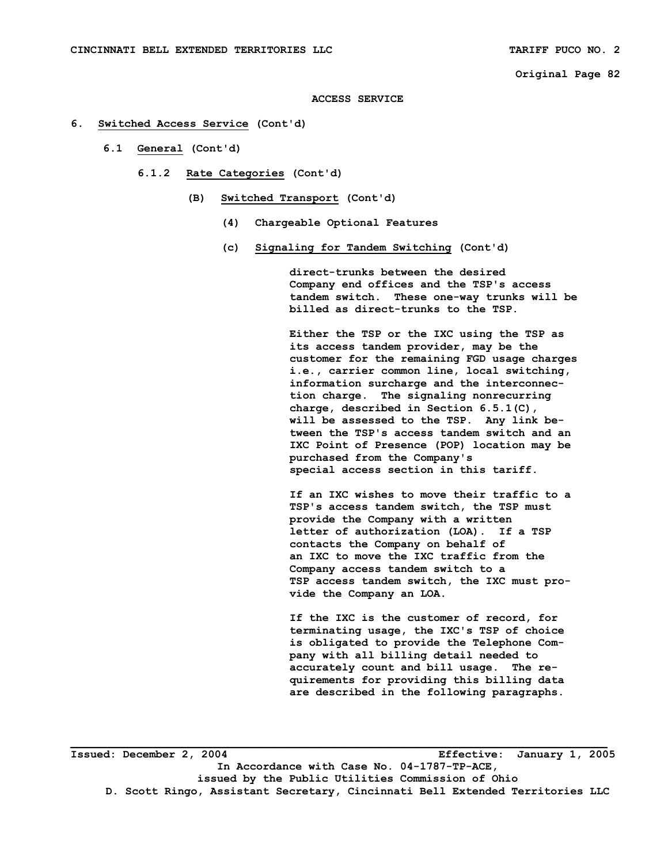#### **ACCESS SERVICE**

## **6. Switched Access Service (Cont'd)**

- **6.1 General (Cont'd)** 
	- **6.1.2 Rate Categories (Cont'd)** 
		- **(B) Switched Transport (Cont'd)** 
			- **(4) Chargeable Optional Features**
			- **(c) Signaling for Tandem Switching (Cont'd)**

 **direct-trunks between the desired Company end offices and the TSP's access tandem switch. These one-way trunks will be billed as direct-trunks to the TSP.** 

 **Either the TSP or the IXC using the TSP as its access tandem provider, may be the customer for the remaining FGD usage charges i.e., carrier common line, local switching, information surcharge and the interconnec tion charge. The signaling nonrecurring charge, described in Section 6.5.1(C), will be assessed to the TSP. Any link be tween the TSP's access tandem switch and an IXC Point of Presence (POP) location may be purchased from the Company's special access section in this tariff.** 

 **If an IXC wishes to move their traffic to a TSP's access tandem switch, the TSP must provide the Company with a written letter of authorization (LOA). If a TSP contacts the Company on behalf of an IXC to move the IXC traffic from the Company access tandem switch to a TSP access tandem switch, the IXC must pro vide the Company an LOA.** 

 **If the IXC is the customer of record, for terminating usage, the IXC's TSP of choice is obligated to provide the Telephone Com pany with all billing detail needed to accurately count and bill usage. The re quirements for providing this billing data are described in the following paragraphs.** 

**Issued: December 2, 2004 Effective: January 1, 2005 In Accordance with Case No. 04-1787-TP-ACE, issued by the Public Utilities Commission of Ohio D. Scott Ringo, Assistant Secretary, Cincinnati Bell Extended Territories LLC**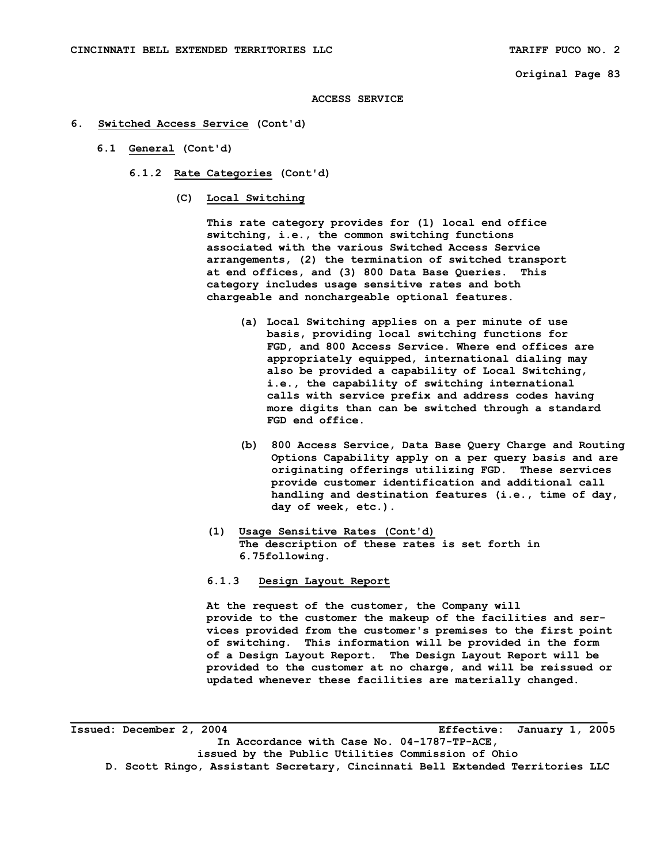#### **ACCESS SERVICE**

- **6. Switched Access Service (Cont'd)** 
	- **6.1 General (Cont'd)** 
		- **6.1.2 Rate Categories (Cont'd)** 
			- **(C) Local Switching**

 **This rate category provides for (1) local end office switching, i.e., the common switching functions associated with the various Switched Access Service arrangements, (2) the termination of switched transport at end offices, and (3) 800 Data Base Queries. This category includes usage sensitive rates and both chargeable and nonchargeable optional features.** 

- **(a) Local Switching applies on a per minute of use basis, providing local switching functions for FGD, and 800 Access Service. Where end offices are appropriately equipped, international dialing may also be provided a capability of Local Switching, i.e., the capability of switching international calls with service prefix and address codes having more digits than can be switched through a standard FGD end office.**
- **(b) 800 Access Service, Data Base Query Charge and Routing Options Capability apply on a per query basis and are originating offerings utilizing FGD. These services provide customer identification and additional call handling and destination features (i.e., time of day, day of week, etc.).**
- **(1) Usage Sensitive Rates (Cont'd) The description of these rates is set forth in 6.75following.**
- **6.1.3 Design Layout Report**

 **At the request of the customer, the Company will provide to the customer the makeup of the facilities and ser vices provided from the customer's premises to the first point of switching. This information will be provided in the form of a Design Layout Report. The Design Layout Report will be provided to the customer at no charge, and will be reissued or updated whenever these facilities are materially changed.** 

**Issued: December 2, 2004 Effective: January 1, 2005 In Accordance with Case No. 04-1787-TP-ACE, issued by the Public Utilities Commission of Ohio D. Scott Ringo, Assistant Secretary, Cincinnati Bell Extended Territories LLC**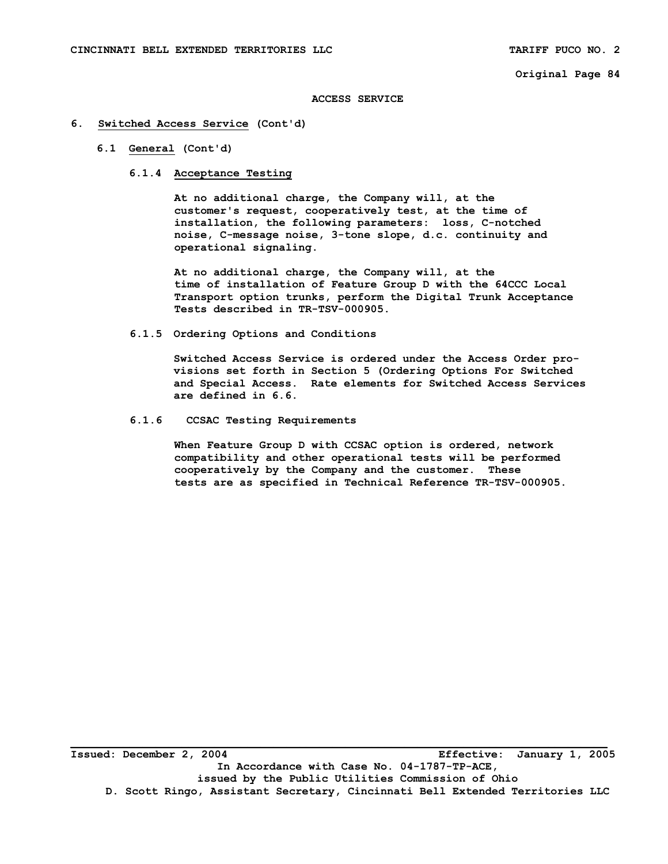#### **ACCESS SERVICE**

## **6. Switched Access Service (Cont'd)**

## **6.1 General (Cont'd)**

# **6.1.4 Acceptance Testing**

 **At no additional charge, the Company will, at the customer's request, cooperatively test, at the time of installation, the following parameters: loss, C-notched noise, C-message noise, 3-tone slope, d.c. continuity and operational signaling.** 

 **At no additional charge, the Company will, at the time of installation of Feature Group D with the 64CCC Local Transport option trunks, perform the Digital Trunk Acceptance Tests described in TR-TSV-000905.** 

#### **6.1.5 Ordering Options and Conditions**

 **Switched Access Service is ordered under the Access Order pro visions set forth in Section 5 (Ordering Options For Switched and Special Access. Rate elements for Switched Access Services are defined in 6.6.** 

## **6.1.6 CCSAC Testing Requirements**

 **When Feature Group D with CCSAC option is ordered, network compatibility and other operational tests will be performed cooperatively by the Company and the customer. These tests are as specified in Technical Reference TR-TSV-000905.**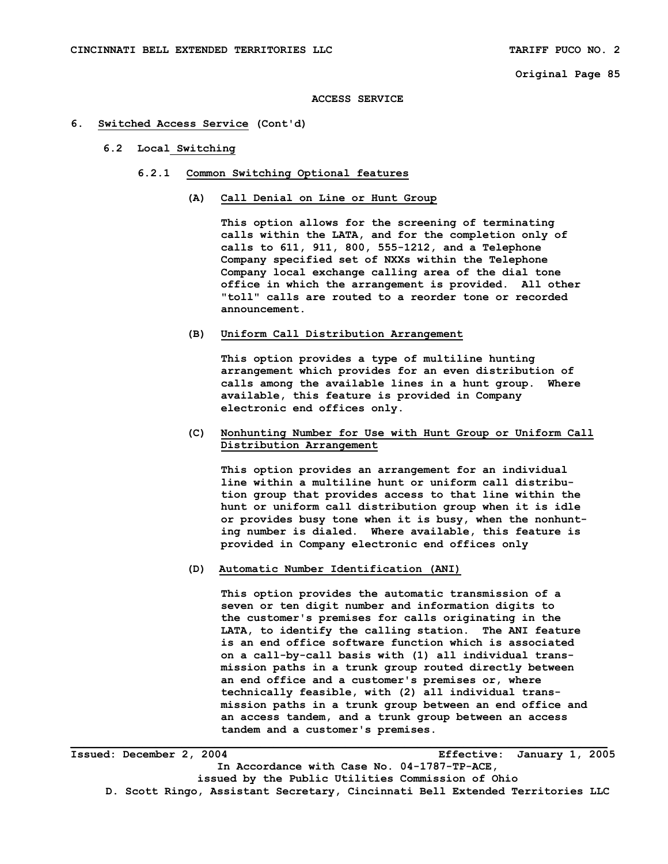#### **ACCESS SERVICE**

## **6. Switched Access Service (Cont'd)**

## **6.2 Local Switching**

- **6.2.1 Common Switching Optional features** 
	- **(A) Call Denial on Line or Hunt Group**

 **This option allows for the screening of terminating calls within the LATA, and for the completion only of calls to 611, 911, 800, 555-1212, and a Telephone Company specified set of NXXs within the Telephone Company local exchange calling area of the dial tone office in which the arrangement is provided. All other "toll" calls are routed to a reorder tone or recorded announcement.** 

## **(B) Uniform Call Distribution Arrangement**

 **This option provides a type of multiline hunting arrangement which provides for an even distribution of calls among the available lines in a hunt group. Where available, this feature is provided in Company electronic end offices only.** 

## **(C) Nonhunting Number for Use with Hunt Group or Uniform Call Distribution Arrangement**

 **This option provides an arrangement for an individual line within a multiline hunt or uniform call distribu tion group that provides access to that line within the hunt or uniform call distribution group when it is idle or provides busy tone when it is busy, when the nonhunt ing number is dialed. Where available, this feature is provided in Company electronic end offices only** 

 **(D) Automatic Number Identification (ANI)** 

 **This option provides the automatic transmission of a seven or ten digit number and information digits to the customer's premises for calls originating in the LATA, to identify the calling station. The ANI feature is an end office software function which is associated on a call-by-call basis with (1) all individual trans mission paths in a trunk group routed directly between an end office and a customer's premises or, where technically feasible, with (2) all individual trans mission paths in a trunk group between an end office and an access tandem, and a trunk group between an access tandem and a customer's premises.** 

**Issued: December 2, 2004 Effective: January 1, 2005 In Accordance with Case No. 04-1787-TP-ACE, issued by the Public Utilities Commission of Ohio D. Scott Ringo, Assistant Secretary, Cincinnati Bell Extended Territories LLC**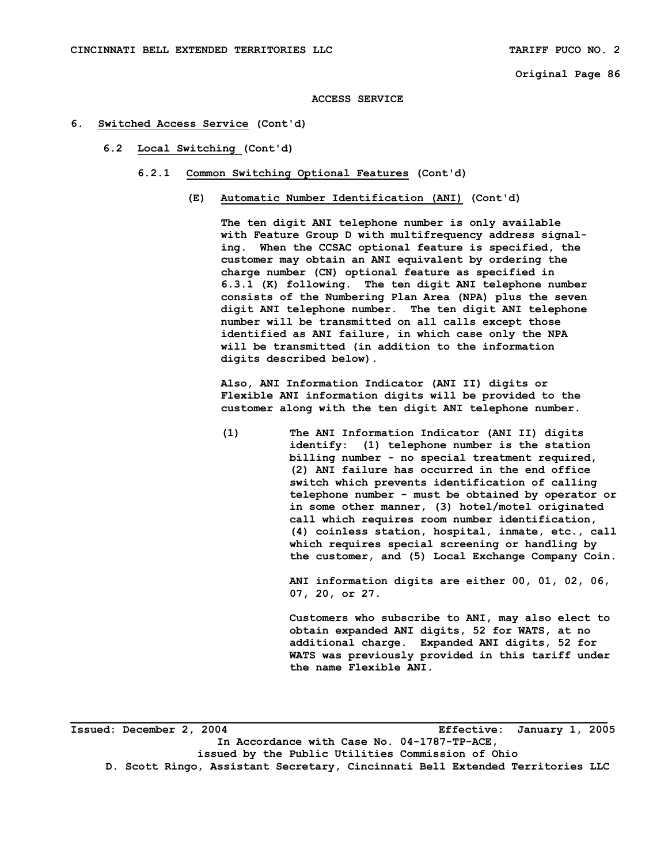```
Original Page 86
```
**ACCESS SERVICE** 

## **6. Switched Access Service (Cont'd)**

- **6.2 Local Switching (Cont'd)** 
	- **6.2.1 Common Switching Optional Features (Cont'd)** 
		- **(E) Automatic Number Identification (ANI) (Cont'd)**

 **The ten digit ANI telephone number is only available with Feature Group D with multifrequency address signal ing. When the CCSAC optional feature is specified, the customer may obtain an ANI equivalent by ordering the charge number (CN) optional feature as specified in 6.3.1 (K) following. The ten digit ANI telephone number consists of the Numbering Plan Area (NPA) plus the seven digit ANI telephone number. The ten digit ANI telephone number will be transmitted on all calls except those identified as ANI failure, in which case only the NPA will be transmitted (in addition to the information digits described below).** 

 **Also, ANI Information Indicator (ANI II) digits or Flexible ANI information digits will be provided to the customer along with the ten digit ANI telephone number.** 

 **(1) The ANI Information Indicator (ANI II) digits identify: (1) telephone number is the station billing number - no special treatment required, (2) ANI failure has occurred in the end office switch which prevents identification of calling telephone number - must be obtained by operator or in some other manner, (3) hotel/motel originated call which requires room number identification, (4) coinless station, hospital, inmate, etc., call which requires special screening or handling by the customer, and (5) Local Exchange Company Coin.** 

> **ANI information digits are either 00, 01, 02, 06, 07, 20, or 27.**

> **Customers who subscribe to ANI, may also elect to obtain expanded ANI digits, 52 for WATS, at no additional charge. Expanded ANI digits, 52 for WATS was previously provided in this tariff under the name Flexible ANI.**

**Issued: December 2, 2004 Effective: January 1, 2005 In Accordance with Case No. 04-1787-TP-ACE, issued by the Public Utilities Commission of Ohio D. Scott Ringo, Assistant Secretary, Cincinnati Bell Extended Territories LLC**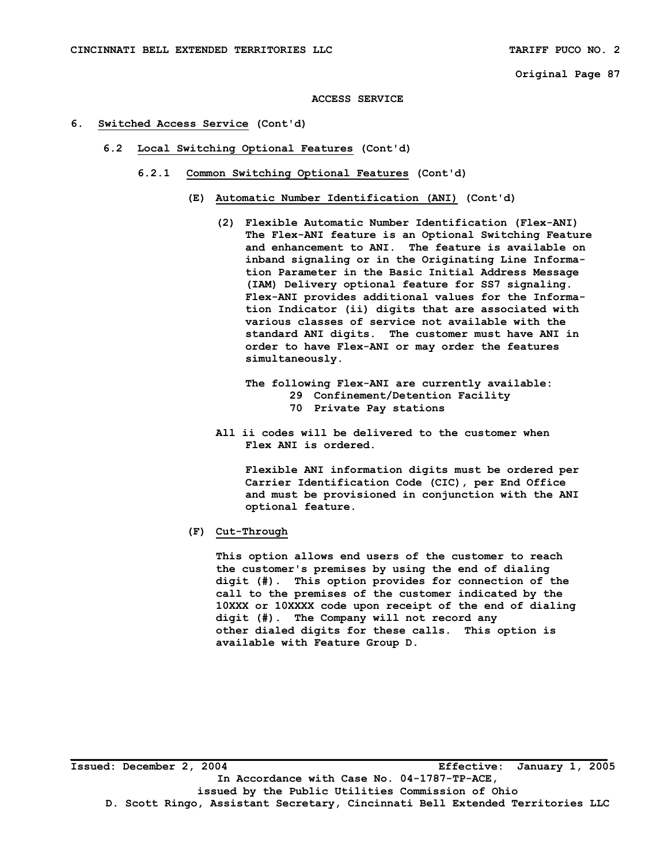#### **ACCESS SERVICE**

## **6. Switched Access Service (Cont'd)**

- **6.2 Local Switching Optional Features (Cont'd)** 
	- **6.2.1 Common Switching Optional Features (Cont'd)** 
		- **(E) Automatic Number Identification (ANI) (Cont'd)** 
			- **(2) Flexible Automatic Number Identification (Flex-ANI) The Flex-ANI feature is an Optional Switching Feature and enhancement to ANI. The feature is available on inband signaling or in the Originating Line Informa tion Parameter in the Basic Initial Address Message (IAM) Delivery optional feature for SS7 signaling. Flex-ANI provides additional values for the Informa tion Indicator (ii) digits that are associated with various classes of service not available with the standard ANI digits. The customer must have ANI in order to have Flex-ANI or may order the features simultaneously.**

# **The following Flex-ANI are currently available: 29 Confinement/Detention Facility 70 Private Pay stations**

 **All ii codes will be delivered to the customer when Flex ANI is ordered.** 

 **Flexible ANI information digits must be ordered per Carrier Identification Code (CIC), per End Office and must be provisioned in conjunction with the ANI optional feature.** 

 **(F) Cut-Through** 

 **This option allows end users of the customer to reach the customer's premises by using the end of dialing digit (#). This option provides for connection of the call to the premises of the customer indicated by the 10XXX or 10XXXX code upon receipt of the end of dialing digit (#). The Company will not record any other dialed digits for these calls. This option is available with Feature Group D.**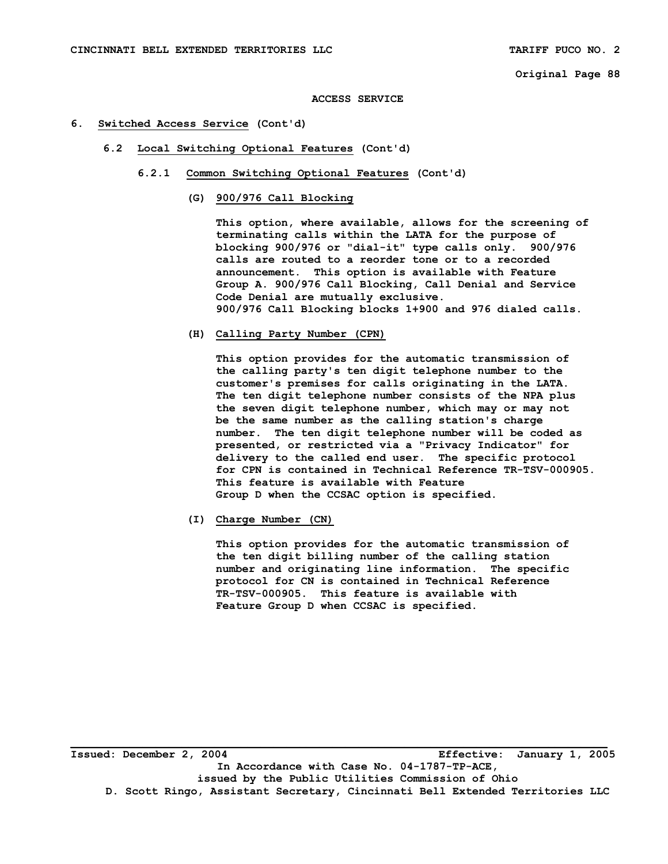**ACCESS SERVICE** 

## **6. Switched Access Service (Cont'd)**

- **6.2 Local Switching Optional Features (Cont'd)** 
	- **6.2.1 Common Switching Optional Features (Cont'd)** 
		- **(G) 900/976 Call Blocking**

 **This option, where available, allows for the screening of terminating calls within the LATA for the purpose of blocking 900/976 or "dial-it" type calls only. 900/976 calls are routed to a reorder tone or to a recorded announcement. This option is available with Feature Group A. 900/976 Call Blocking, Call Denial and Service Code Denial are mutually exclusive. 900/976 Call Blocking blocks 1+900 and 976 dialed calls.** 

 **(H) Calling Party Number (CPN)** 

 **This option provides for the automatic transmission of the calling party's ten digit telephone number to the customer's premises for calls originating in the LATA. The ten digit telephone number consists of the NPA plus the seven digit telephone number, which may or may not be the same number as the calling station's charge number. The ten digit telephone number will be coded as presented, or restricted via a "Privacy Indicator" for delivery to the called end user. The specific protocol for CPN is contained in Technical Reference TR-TSV-000905. This feature is available with Feature Group D when the CCSAC option is specified.** 

 **(I) Charge Number (CN)** 

 **This option provides for the automatic transmission of the ten digit billing number of the calling station number and originating line information. The specific protocol for CN is contained in Technical Reference TR-TSV-000905. This feature is available with Feature Group D when CCSAC is specified.** 

**Issued: December 2, 2004 Effective: January 1, 2005 In Accordance with Case No. 04-1787-TP-ACE, issued by the Public Utilities Commission of Ohio D. Scott Ringo, Assistant Secretary, Cincinnati Bell Extended Territories LLC**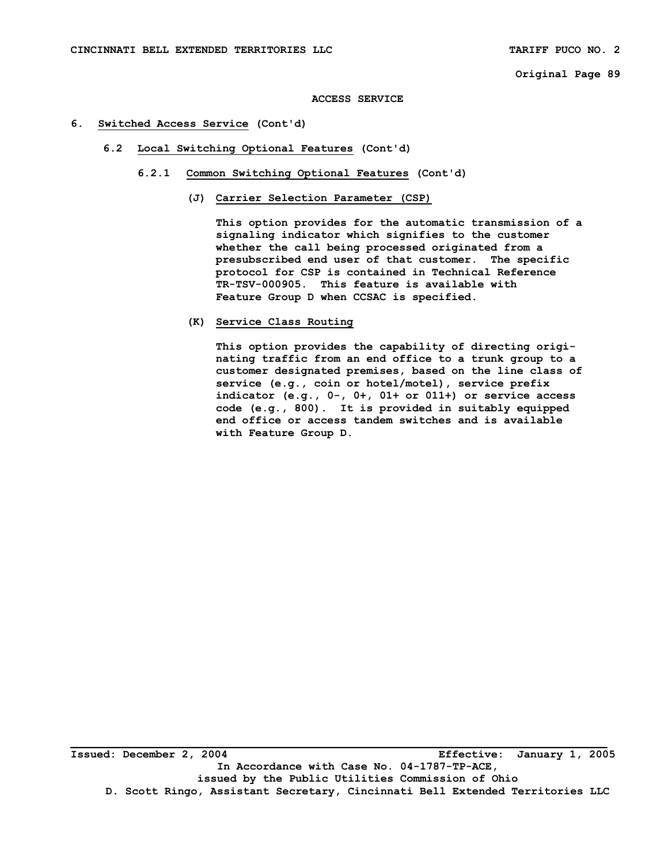```
Original Page 89
```
**ACCESS SERVICE** 

- **6. Switched Access Service (Cont'd)** 
	- **6.2 Local Switching Optional Features (Cont'd)** 
		- **6.2.1 Common Switching Optional Features (Cont'd)** 
			- **(J) Carrier Selection Parameter (CSP)**

 **This option provides for the automatic transmission of a signaling indicator which signifies to the customer whether the call being processed originated from a presubscribed end user of that customer. The specific protocol for CSP is contained in Technical Reference TR-TSV-000905. This feature is available with Feature Group D when CCSAC is specified.** 

 **(K) Service Class Routing** 

 **This option provides the capability of directing origi nating traffic from an end office to a trunk group to a customer designated premises, based on the line class of service (e.g., coin or hotel/motel), service prefix indicator (e.g., 0-, 0+, 01+ or 011+) or service access code (e.g., 800). It is provided in suitably equipped end office or access tandem switches and is available with Feature Group D.**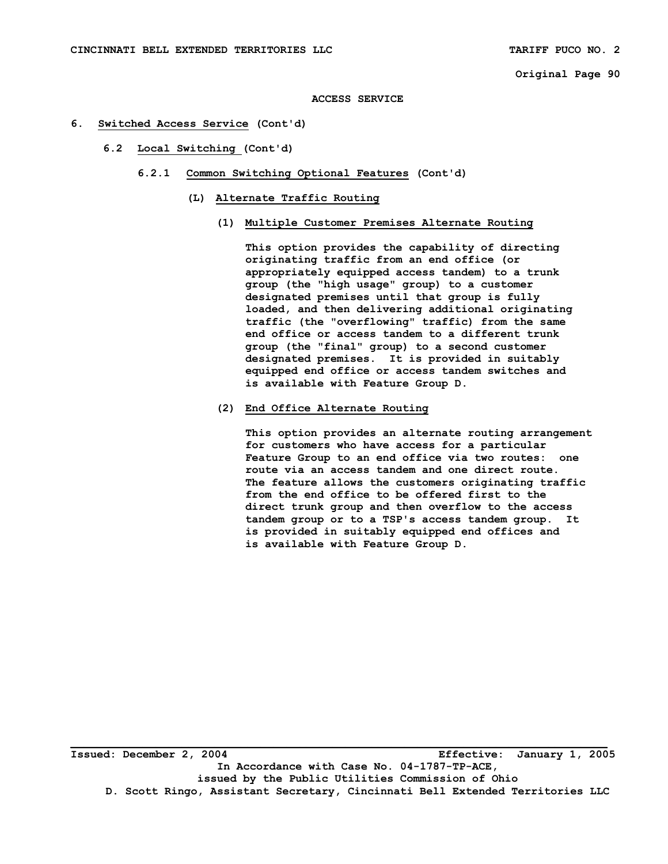#### **ACCESS SERVICE**

- **6. Switched Access Service (Cont'd)** 
	- **6.2 Local Switching (Cont'd)** 
		- **6.2.1 Common Switching Optional Features (Cont'd)** 
			- **(L) Alternate Traffic Routing** 
				- **(1) Multiple Customer Premises Alternate Routing**

 **This option provides the capability of directing originating traffic from an end office (or appropriately equipped access tandem) to a trunk group (the "high usage" group) to a customer designated premises until that group is fully loaded, and then delivering additional originating traffic (the "overflowing" traffic) from the same end office or access tandem to a different trunk group (the "final" group) to a second customer designated premises. It is provided in suitably equipped end office or access tandem switches and is available with Feature Group D.** 

## **(2) End Office Alternate Routing**

 **This option provides an alternate routing arrangement for customers who have access for a particular Feature Group to an end office via two routes: one route via an access tandem and one direct route. The feature allows the customers originating traffic from the end office to be offered first to the direct trunk group and then overflow to the access tandem group or to a TSP's access tandem group. It is provided in suitably equipped end offices and is available with Feature Group D.**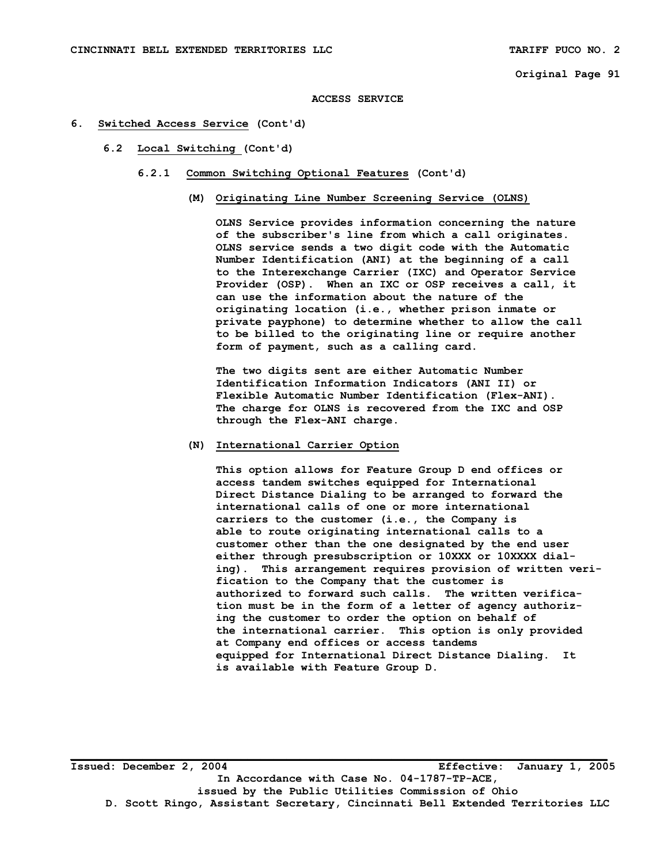#### **ACCESS SERVICE**

## **6. Switched Access Service (Cont'd)**

## **6.2 Local Switching (Cont'd)**

- **6.2.1 Common Switching Optional Features (Cont'd)** 
	- **(M) Originating Line Number Screening Service (OLNS)**

 **OLNS Service provides information concerning the nature of the subscriber's line from which a call originates. OLNS service sends a two digit code with the Automatic Number Identification (ANI) at the beginning of a call to the Interexchange Carrier (IXC) and Operator Service Provider (OSP). When an IXC or OSP receives a call, it can use the information about the nature of the originating location (i.e., whether prison inmate or private payphone) to determine whether to allow the call to be billed to the originating line or require another form of payment, such as a calling card.** 

 **The two digits sent are either Automatic Number Identification Information Indicators (ANI II) or Flexible Automatic Number Identification (Flex-ANI). The charge for OLNS is recovered from the IXC and OSP through the Flex-ANI charge.** 

## **(N) International Carrier Option**

 **This option allows for Feature Group D end offices or access tandem switches equipped for International Direct Distance Dialing to be arranged to forward the international calls of one or more international carriers to the customer (i.e., the Company is able to route originating international calls to a customer other than the one designated by the end user either through presubscription or 10XXX or 10XXXX dial ing). This arrangement requires provision of written veri fication to the Company that the customer is authorized to forward such calls. The written verifica tion must be in the form of a letter of agency authoriz ing the customer to order the option on behalf of the international carrier. This option is only provided at Company end offices or access tandems equipped for International Direct Distance Dialing. It is available with Feature Group D.** 

**Issued: December 2, 2004 Effective: January 1, 2005 In Accordance with Case No. 04-1787-TP-ACE, issued by the Public Utilities Commission of Ohio D. Scott Ringo, Assistant Secretary, Cincinnati Bell Extended Territories LLC**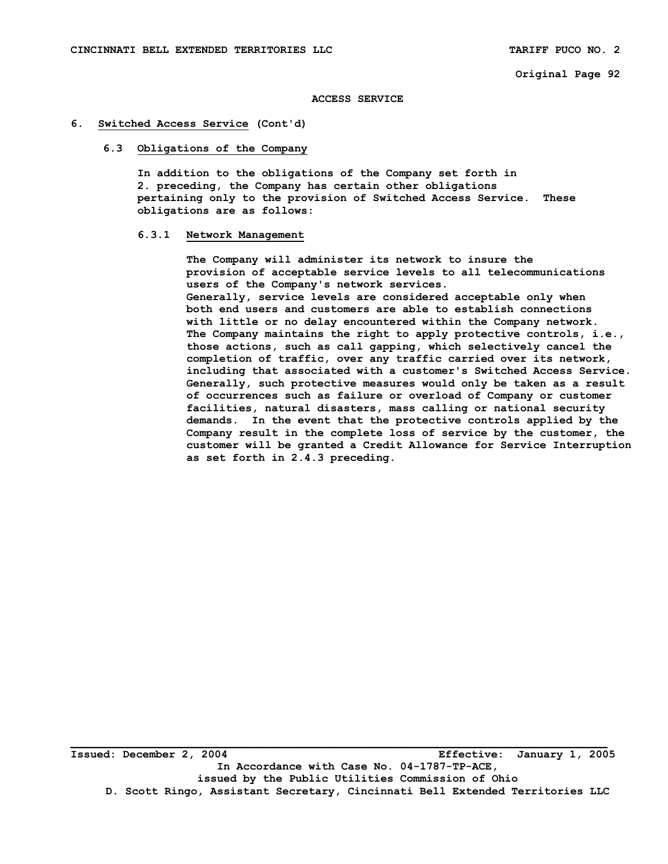#### **ACCESS SERVICE**

## **6. Switched Access Service (Cont'd)**

## **6.3 Obligations of the Company**

 **In addition to the obligations of the Company set forth in 2. preceding, the Company has certain other obligations pertaining only to the provision of Switched Access Service. These obligations are as follows:** 

#### **6.3.1 Network Management**

 **The Company will administer its network to insure the provision of acceptable service levels to all telecommunications users of the Company's network services. Generally, service levels are considered acceptable only when both end users and customers are able to establish connections with little or no delay encountered within the Company network. The Company maintains the right to apply protective controls, i.e., those actions, such as call gapping, which selectively cancel the completion of traffic, over any traffic carried over its network, including that associated with a customer's Switched Access Service. Generally, such protective measures would only be taken as a result of occurrences such as failure or overload of Company or customer facilities, natural disasters, mass calling or national security demands. In the event that the protective controls applied by the Company result in the complete loss of service by the customer, the customer will be granted a Credit Allowance for Service Interruption as set forth in 2.4.3 preceding.**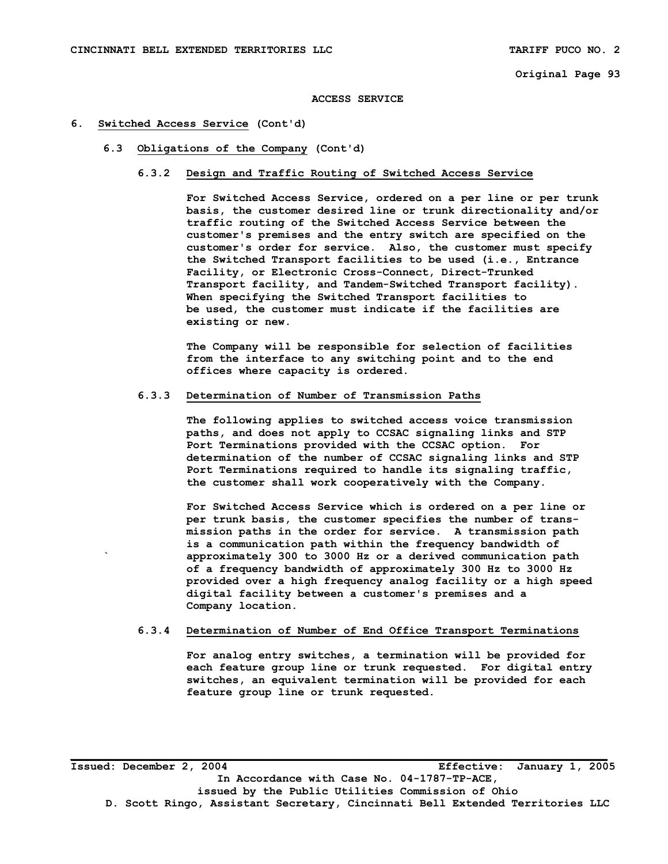#### **ACCESS SERVICE**

## **6. Switched Access Service (Cont'd)**

 **6.3 Obligations of the Company (Cont'd)** 

## **6.3.2 Design and Traffic Routing of Switched Access Service**

 **For Switched Access Service, ordered on a per line or per trunk basis, the customer desired line or trunk directionality and/or traffic routing of the Switched Access Service between the customer's premises and the entry switch are specified on the customer's order for service. Also, the customer must specify the Switched Transport facilities to be used (i.e., Entrance Facility, or Electronic Cross-Connect, Direct-Trunked Transport facility, and Tandem-Switched Transport facility). When specifying the Switched Transport facilities to be used, the customer must indicate if the facilities are existing or new.** 

 **The Company will be responsible for selection of facilities from the interface to any switching point and to the end offices where capacity is ordered.** 

## **6.3.3 Determination of Number of Transmission Paths**

 **The following applies to switched access voice transmission paths, and does not apply to CCSAC signaling links and STP Port Terminations provided with the CCSAC option. For determination of the number of CCSAC signaling links and STP Port Terminations required to handle its signaling traffic, the customer shall work cooperatively with the Company.** 

 **For Switched Access Service which is ordered on a per line or per trunk basis, the customer specifies the number of trans mission paths in the order for service. A transmission path is a communication path within the frequency bandwidth of ` approximately 300 to 3000 Hz or a derived communication path of a frequency bandwidth of approximately 300 Hz to 3000 Hz provided over a high frequency analog facility or a high speed digital facility between a customer's premises and a Company location.** 

## **6.3.4 Determination of Number of End Office Transport Terminations**

 **For analog entry switches, a termination will be provided for each feature group line or trunk requested. For digital entry switches, an equivalent termination will be provided for each feature group line or trunk requested.** 

**Issued: December 2, 2004 Effective: January 1, 2005 In Accordance with Case No. 04-1787-TP-ACE, issued by the Public Utilities Commission of Ohio D. Scott Ringo, Assistant Secretary, Cincinnati Bell Extended Territories LLC**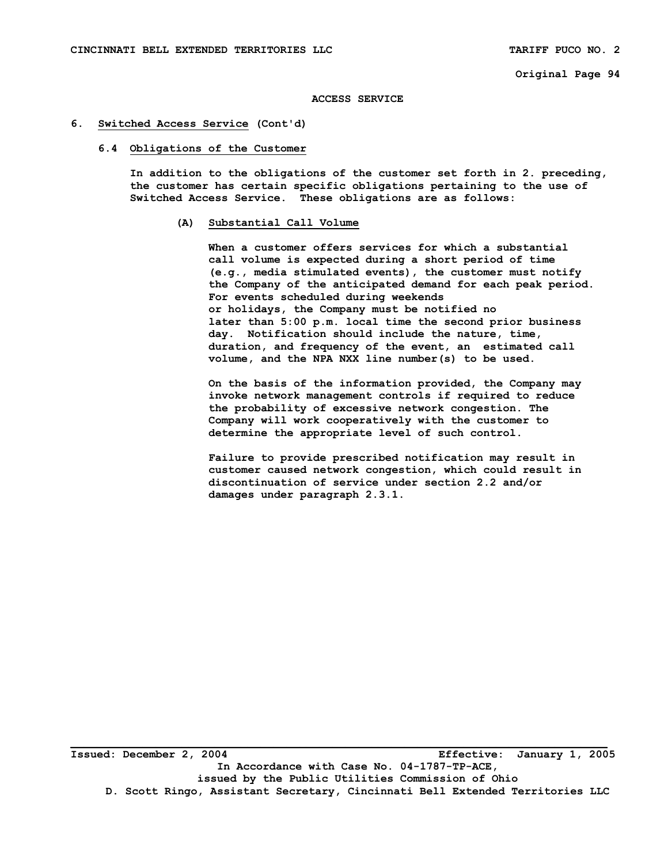#### **ACCESS SERVICE**

## **6. Switched Access Service (Cont'd)**

#### **6.4 Obligations of the Customer**

 **In addition to the obligations of the customer set forth in 2. preceding, the customer has certain specific obligations pertaining to the use of Switched Access Service. These obligations are as follows:** 

## **(A) Substantial Call Volume**

 **When a customer offers services for which a substantial call volume is expected during a short period of time (e.g., media stimulated events), the customer must notify the Company of the anticipated demand for each peak period. For events scheduled during weekends or holidays, the Company must be notified no later than 5:00 p.m. local time the second prior business day. Notification should include the nature, time, duration, and frequency of the event, an estimated call volume, and the NPA NXX line number(s) to be used.** 

 **On the basis of the information provided, the Company may invoke network management controls if required to reduce the probability of excessive network congestion. The Company will work cooperatively with the customer to determine the appropriate level of such control.** 

 **Failure to provide prescribed notification may result in customer caused network congestion, which could result in discontinuation of service under section 2.2 and/or damages under paragraph 2.3.1.**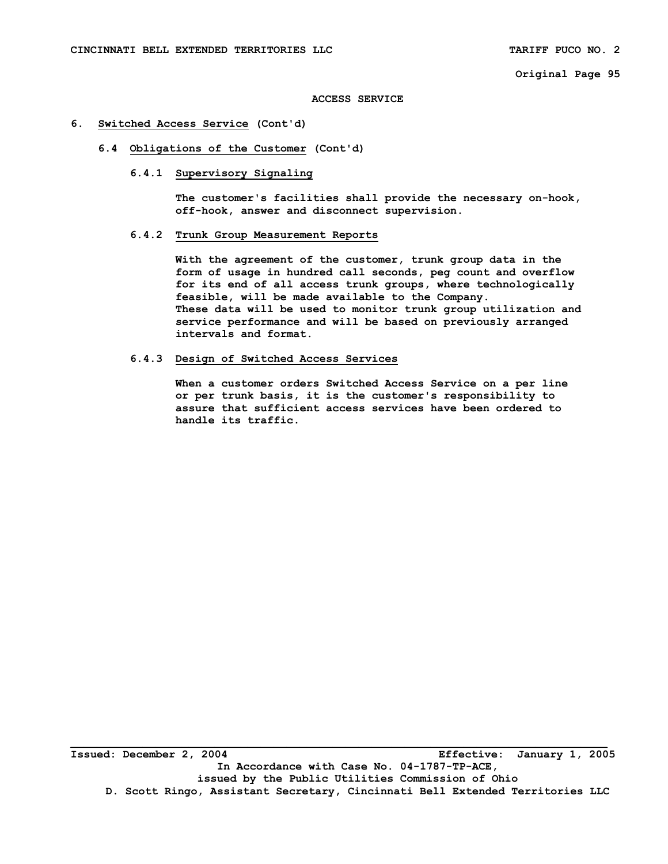#### **ACCESS SERVICE**

## **6. Switched Access Service (Cont'd)**

 **6.4 Obligations of the Customer (Cont'd)** 

## **6.4.1 Supervisory Signaling**

 **The customer's facilities shall provide the necessary on-hook, off-hook, answer and disconnect supervision.** 

# **6.4.2 Trunk Group Measurement Reports**

 **With the agreement of the customer, trunk group data in the form of usage in hundred call seconds, peg count and overflow for its end of all access trunk groups, where technologically feasible, will be made available to the Company. These data will be used to monitor trunk group utilization and service performance and will be based on previously arranged intervals and format.** 

## **6.4.3 Design of Switched Access Services**

 **When a customer orders Switched Access Service on a per line or per trunk basis, it is the customer's responsibility to assure that sufficient access services have been ordered to handle its traffic.**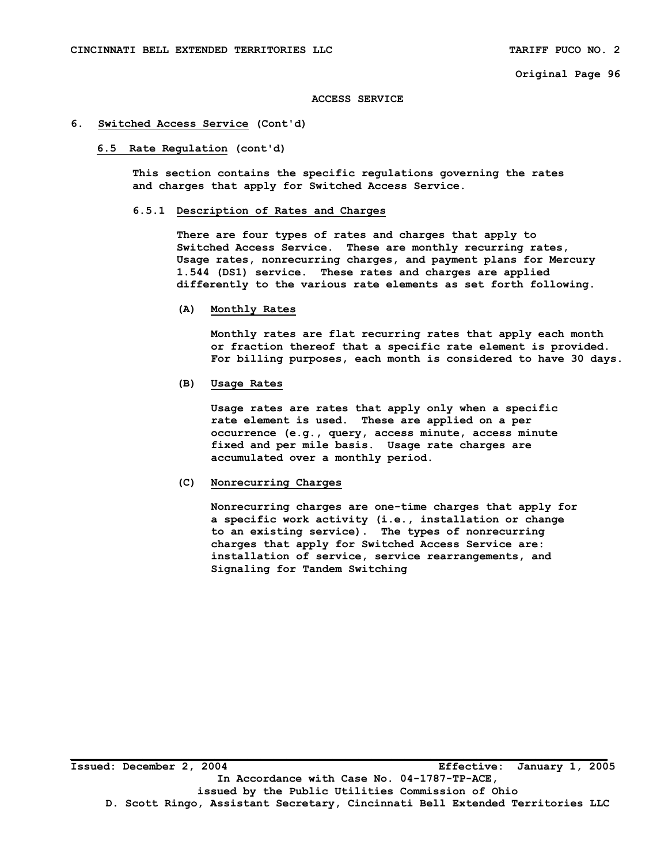#### **ACCESS SERVICE**

## **6. Switched Access Service (Cont'd)**

#### **6.5 Rate Regulation (cont'd)**

 **This section contains the specific regulations governing the rates and charges that apply for Switched Access Service.** 

## **6.5.1 Description of Rates and Charges**

 **There are four types of rates and charges that apply to Switched Access Service. These are monthly recurring rates, Usage rates, nonrecurring charges, and payment plans for Mercury 1.544 (DS1) service. These rates and charges are applied differently to the various rate elements as set forth following.** 

 **(A) Monthly Rates** 

 **Monthly rates are flat recurring rates that apply each month or fraction thereof that a specific rate element is provided. For billing purposes, each month is considered to have 30 days.** 

## **(B) Usage Rates**

 **Usage rates are rates that apply only when a specific rate element is used. These are applied on a per occurrence (e.g., query, access minute, access minute fixed and per mile basis. Usage rate charges are accumulated over a monthly period.** 

## **(C) Nonrecurring Charges**

 **Nonrecurring charges are one-time charges that apply for a specific work activity (i.e., installation or change to an existing service). The types of nonrecurring charges that apply for Switched Access Service are: installation of service, service rearrangements, and Signaling for Tandem Switching**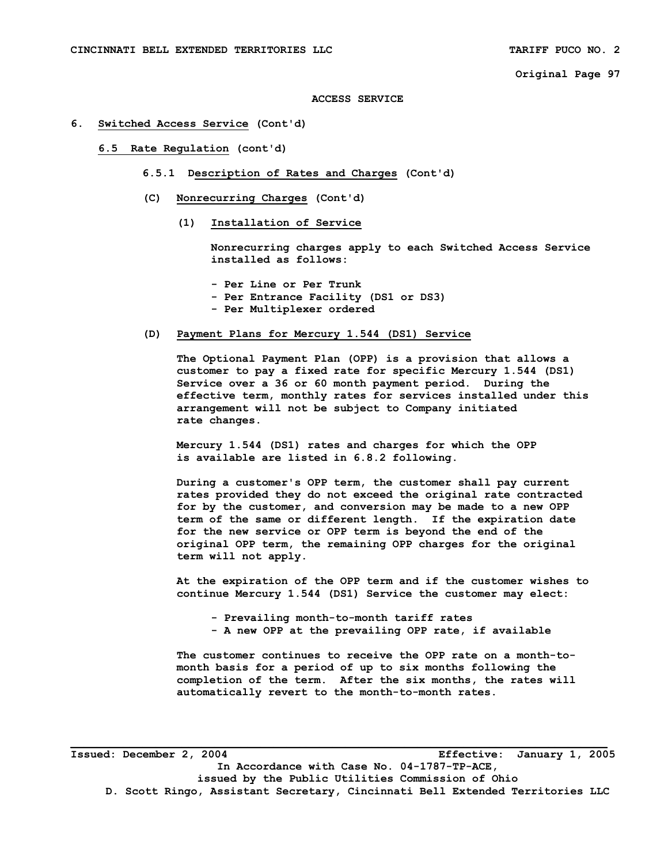#### **ACCESS SERVICE**

## **6. Switched Access Service (Cont'd)**

- **6.5 Rate Regulation (cont'd)** 
	- **6.5.1 Description of Rates and Charges (Cont'd)**
	- **(C) Nonrecurring Charges (Cont'd)** 
		- **(1) Installation of Service**

 **Nonrecurring charges apply to each Switched Access Service installed as follows:** 

- **Per Line or Per Trunk**
- **Per Entrance Facility (DS1 or DS3)**
- **Per Multiplexer ordered**

## **(D) Payment Plans for Mercury 1.544 (DS1) Service**

 **The Optional Payment Plan (OPP) is a provision that allows a customer to pay a fixed rate for specific Mercury 1.544 (DS1) Service over a 36 or 60 month payment period. During the effective term, monthly rates for services installed under this arrangement will not be subject to Company initiated rate changes.** 

 **Mercury 1.544 (DS1) rates and charges for which the OPP is available are listed in 6.8.2 following.** 

 **During a customer's OPP term, the customer shall pay current rates provided they do not exceed the original rate contracted for by the customer, and conversion may be made to a new OPP term of the same or different length. If the expiration date for the new service or OPP term is beyond the end of the original OPP term, the remaining OPP charges for the original term will not apply.** 

 **At the expiration of the OPP term and if the customer wishes to continue Mercury 1.544 (DS1) Service the customer may elect:** 

- **Prevailing month-to-month tariff rates**
- **A new OPP at the prevailing OPP rate, if available**

 **The customer continues to receive the OPP rate on a month-to month basis for a period of up to six months following the completion of the term. After the six months, the rates will automatically revert to the month-to-month rates.** 

**Issued: December 2, 2004 Effective: January 1, 2005 In Accordance with Case No. 04-1787-TP-ACE, issued by the Public Utilities Commission of Ohio D. Scott Ringo, Assistant Secretary, Cincinnati Bell Extended Territories LLC**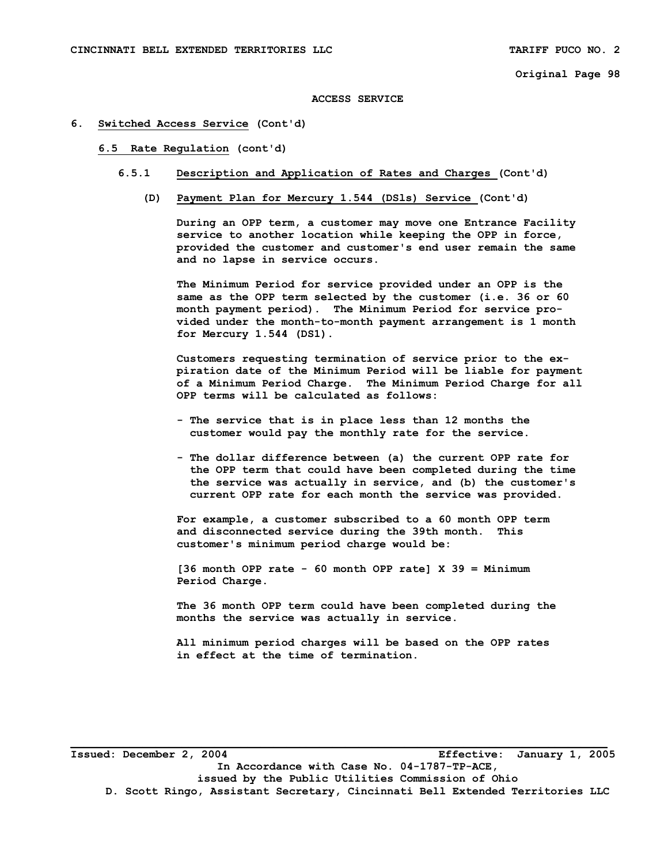#### **ACCESS SERVICE**

## **6. Switched Access Service (Cont'd)**

#### **6.5 Rate Regulation (cont'd)**

- **6.5.1 Description and Application of Rates and Charges (Cont'd)** 
	- **(D) Payment Plan for Mercury 1.544 (DSls) Service (Cont'd)**

 **During an OPP term, a customer may move one Entrance Facility service to another location while keeping the OPP in force, provided the customer and customer's end user remain the same and no lapse in service occurs.** 

 **The Minimum Period for service provided under an OPP is the same as the OPP term selected by the customer (i.e. 36 or 60 month payment period). The Minimum Period for service pro vided under the month-to-month payment arrangement is 1 month for Mercury 1.544 (DS1).** 

 **Customers requesting termination of service prior to the ex piration date of the Minimum Period will be liable for payment of a Minimum Period Charge. The Minimum Period Charge for all OPP terms will be calculated as follows:** 

- **The service that is in place less than 12 months the customer would pay the monthly rate for the service.**
- **The dollar difference between (a) the current OPP rate for the OPP term that could have been completed during the time the service was actually in service, and (b) the customer's current OPP rate for each month the service was provided.**

 **For example, a customer subscribed to a 60 month OPP term and disconnected service during the 39th month. This customer's minimum period charge would be:** 

 **[36 month OPP rate - 60 month OPP rate] X 39 = Minimum Period Charge.** 

 **The 36 month OPP term could have been completed during the months the service was actually in service.** 

 **All minimum period charges will be based on the OPP rates in effect at the time of termination.** 

**Issued: December 2, 2004 Effective: January 1, 2005 In Accordance with Case No. 04-1787-TP-ACE, issued by the Public Utilities Commission of Ohio D. Scott Ringo, Assistant Secretary, Cincinnati Bell Extended Territories LLC**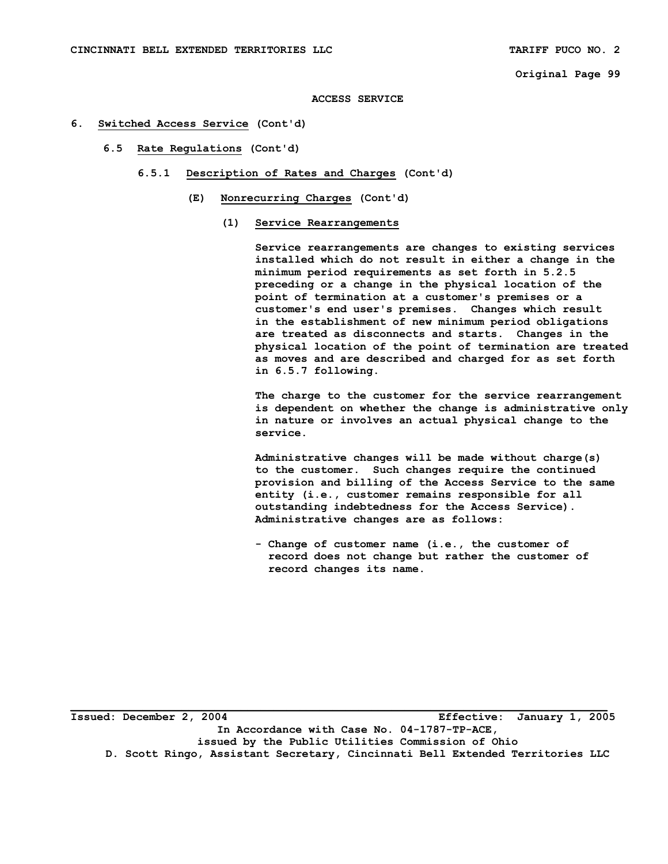```
Original Page 99
```
**ACCESS SERVICE** 

- **6. Switched Access Service (Cont'd)** 
	- **6.5 Rate Regulations (Cont'd)** 
		- **6.5.1 Description of Rates and Charges (Cont'd)** 
			- **(E) Nonrecurring Charges (Cont'd)** 
				- **(1) Service Rearrangements**

 **Service rearrangements are changes to existing services installed which do not result in either a change in the minimum period requirements as set forth in 5.2.5 preceding or a change in the physical location of the point of termination at a customer's premises or a customer's end user's premises. Changes which result in the establishment of new minimum period obligations are treated as disconnects and starts. Changes in the physical location of the point of termination are treated as moves and are described and charged for as set forth in 6.5.7 following.** 

 **The charge to the customer for the service rearrangement is dependent on whether the change is administrative only in nature or involves an actual physical change to the service.** 

 **Administrative changes will be made without charge(s) to the customer. Such changes require the continued provision and billing of the Access Service to the same entity (i.e., customer remains responsible for all outstanding indebtedness for the Access Service). Administrative changes are as follows:** 

 **- Change of customer name (i.e., the customer of record does not change but rather the customer of record changes its name.**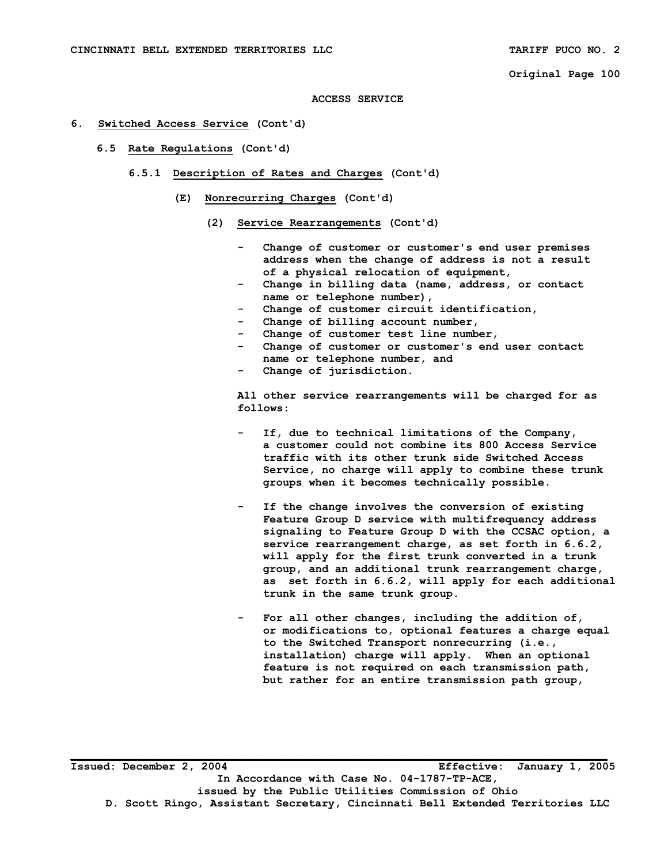```
Original Page 100
```
#### **ACCESS SERVICE**

## **6. Switched Access Service (Cont'd)**

- **6.5 Rate Regulations (Cont'd)** 
	- **6.5.1 Description of Rates and Charges (Cont'd)** 
		- **(E) Nonrecurring Charges (Cont'd)** 
			- **(2) Service Rearrangements (Cont'd)** 
				- Change of customer or customer's end user premises  **address when the change of address is not a result of a physical relocation of equipment,**
				- Change in billing data (name, address, or contact  **name or telephone number),**
				- Change of customer circuit identification,
				- Change of billing account number,
				- Change of customer test line number,
				- Change of customer or customer's end user contact  **name or telephone number, and**
				- **Change of jurisdiction.**

 **All other service rearrangements will be charged for as follows:** 

- If, due to technical limitations of the Company,  **a customer could not combine its 800 Access Service traffic with its other trunk side Switched Access Service, no charge will apply to combine these trunk groups when it becomes technically possible.**
- If the change involves the conversion of existing  **Feature Group D service with multifrequency address signaling to Feature Group D with the CCSAC option, a service rearrangement charge, as set forth in 6.6.2, will apply for the first trunk converted in a trunk group, and an additional trunk rearrangement charge, as set forth in 6.6.2, will apply for each additional trunk in the same trunk group.**
- For all other changes, including the addition of,  **or modifications to, optional features a charge equal to the Switched Transport nonrecurring (i.e., installation) charge will apply. When an optional feature is not required on each transmission path, but rather for an entire transmission path group,**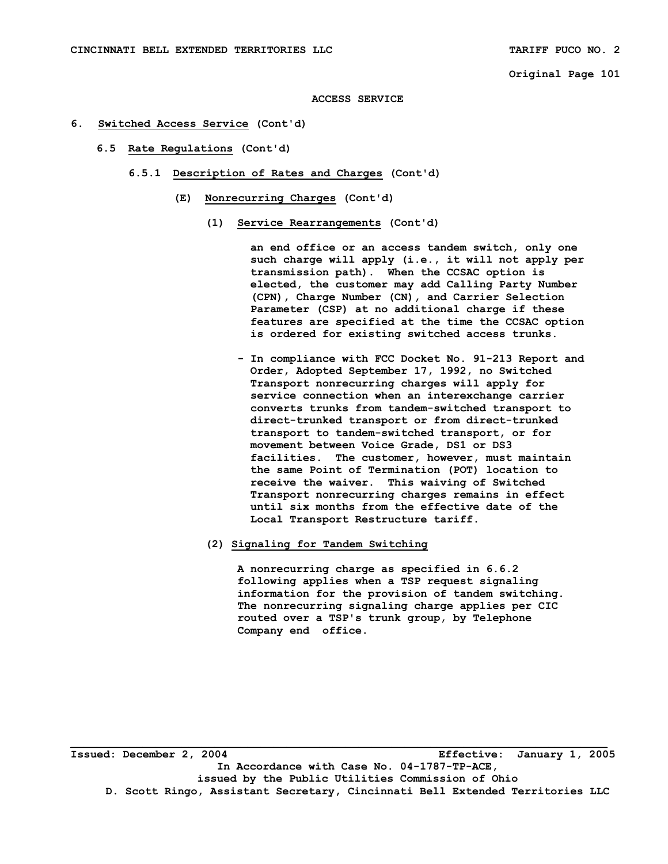**ACCESS SERVICE** 

- **6. Switched Access Service (Cont'd)** 
	- **6.5 Rate Regulations (Cont'd)** 
		- **6.5.1 Description of Rates and Charges (Cont'd)** 
			- **(E) Nonrecurring Charges (Cont'd)** 
				- **(1) Service Rearrangements (Cont'd)**

 **an end office or an access tandem switch, only one such charge will apply (i.e., it will not apply per transmission path). When the CCSAC option is elected, the customer may add Calling Party Number (CPN), Charge Number (CN), and Carrier Selection Parameter (CSP) at no additional charge if these features are specified at the time the CCSAC option is ordered for existing switched access trunks.** 

- **In compliance with FCC Docket No. 91-213 Report and Order, Adopted September 17, 1992, no Switched Transport nonrecurring charges will apply for service connection when an interexchange carrier converts trunks from tandem-switched transport to direct-trunked transport or from direct-trunked transport to tandem-switched transport, or for movement between Voice Grade, DS1 or DS3 facilities. The customer, however, must maintain the same Point of Termination (POT) location to receive the waiver. This waiving of Switched Transport nonrecurring charges remains in effect until six months from the effective date of the Local Transport Restructure tariff.**
- **(2) Signaling for Tandem Switching**

 **A nonrecurring charge as specified in 6.6.2 following applies when a TSP request signaling information for the provision of tandem switching. The nonrecurring signaling charge applies per CIC routed over a TSP's trunk group, by Telephone Company end office.**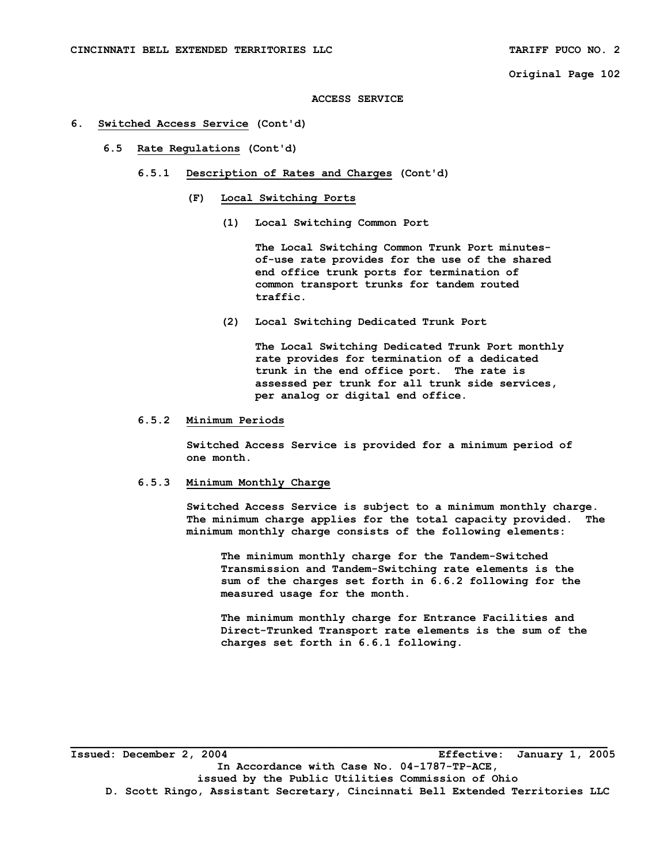#### **ACCESS SERVICE**

## **6. Switched Access Service (Cont'd)**

- **6.5 Rate Regulations (Cont'd)** 
	- **6.5.1 Description of Rates and Charges (Cont'd)** 
		- **(F) Local Switching Ports** 
			- **(1) Local Switching Common Port**

 **The Local Switching Common Trunk Port minutes of-use rate provides for the use of the shared end office trunk ports for termination of common transport trunks for tandem routed traffic.** 

 **(2) Local Switching Dedicated Trunk Port** 

 **The Local Switching Dedicated Trunk Port monthly rate provides for termination of a dedicated trunk in the end office port. The rate is assessed per trunk for all trunk side services, per analog or digital end office.** 

## **6.5.2 Minimum Periods**

 **Switched Access Service is provided for a minimum period of one month.** 

## **6.5.3 Minimum Monthly Charge**

 **Switched Access Service is subject to a minimum monthly charge. The minimum charge applies for the total capacity provided. The minimum monthly charge consists of the following elements:** 

 **The minimum monthly charge for the Tandem-Switched Transmission and Tandem-Switching rate elements is the sum of the charges set forth in 6.6.2 following for the measured usage for the month.** 

 **The minimum monthly charge for Entrance Facilities and Direct-Trunked Transport rate elements is the sum of the charges set forth in 6.6.1 following.** 

**Issued: December 2, 2004 Effective: January 1, 2005 In Accordance with Case No. 04-1787-TP-ACE, issued by the Public Utilities Commission of Ohio D. Scott Ringo, Assistant Secretary, Cincinnati Bell Extended Territories LLC**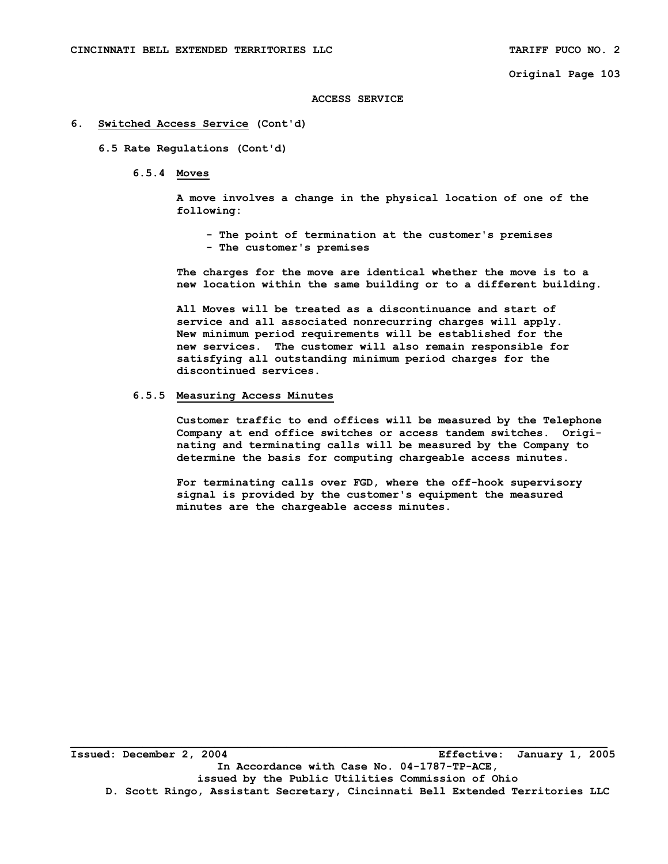#### **ACCESS SERVICE**

## **6. Switched Access Service (Cont'd)**

 **6.5 Rate Regulations (Cont'd)** 

 **6.5.4 Moves** 

 **A move involves a change in the physical location of one of the following:** 

 **- The point of termination at the customer's premises - The customer's premises** 

 **The charges for the move are identical whether the move is to a new location within the same building or to a different building.** 

 **All Moves will be treated as a discontinuance and start of service and all associated nonrecurring charges will apply. New minimum period requirements will be established for the new services. The customer will also remain responsible for satisfying all outstanding minimum period charges for the discontinued services.** 

# **6.5.5 Measuring Access Minutes**

 **Customer traffic to end offices will be measured by the Telephone Company at end office switches or access tandem switches. Origi nating and terminating calls will be measured by the Company to determine the basis for computing chargeable access minutes.** 

 **For terminating calls over FGD, where the off-hook supervisory signal is provided by the customer's equipment the measured minutes are the chargeable access minutes.**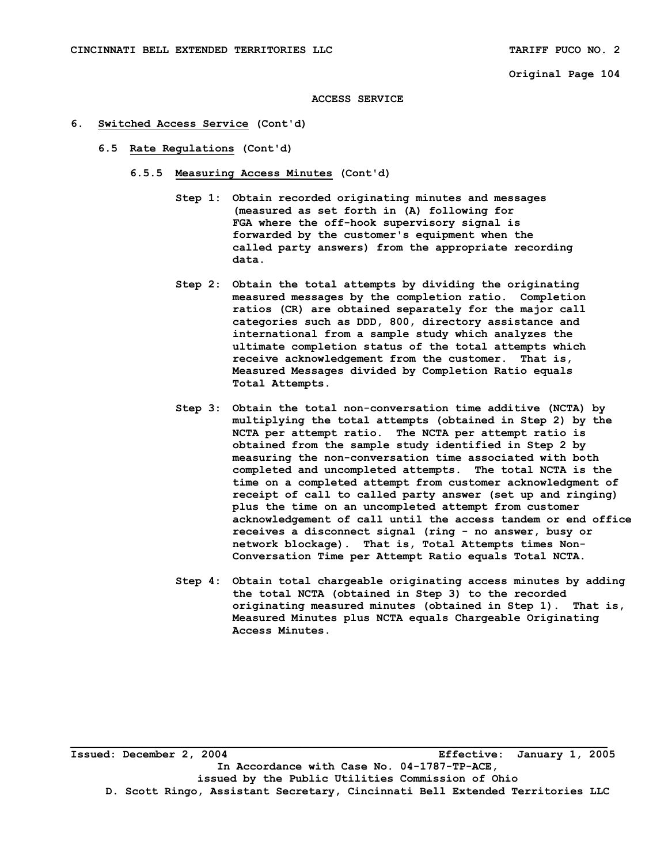#### **ACCESS SERVICE**

- **6. Switched Access Service (Cont'd)** 
	- **6.5 Rate Regulations (Cont'd)** 
		- **6.5.5 Measuring Access Minutes (Cont'd)** 
			- **Step 1: Obtain recorded originating minutes and messages (measured as set forth in (A) following for FGA where the off-hook supervisory signal is forwarded by the customer's equipment when the called party answers) from the appropriate recording data.**
			- **Step 2: Obtain the total attempts by dividing the originating measured messages by the completion ratio. Completion ratios (CR) are obtained separately for the major call categories such as DDD, 800, directory assistance and international from a sample study which analyzes the ultimate completion status of the total attempts which receive acknowledgement from the customer. That is, Measured Messages divided by Completion Ratio equals Total Attempts.**
			- **Step 3: Obtain the total non-conversation time additive (NCTA) by multiplying the total attempts (obtained in Step 2) by the NCTA per attempt ratio. The NCTA per attempt ratio is obtained from the sample study identified in Step 2 by measuring the non-conversation time associated with both completed and uncompleted attempts. The total NCTA is the time on a completed attempt from customer acknowledgment of receipt of call to called party answer (set up and ringing) plus the time on an uncompleted attempt from customer acknowledgement of call until the access tandem or end office receives a disconnect signal (ring - no answer, busy or network blockage). That is, Total Attempts times Non- Conversation Time per Attempt Ratio equals Total NCTA.**
			- **Step 4: Obtain total chargeable originating access minutes by adding the total NCTA (obtained in Step 3) to the recorded originating measured minutes (obtained in Step 1). That is, Measured Minutes plus NCTA equals Chargeable Originating Access Minutes.**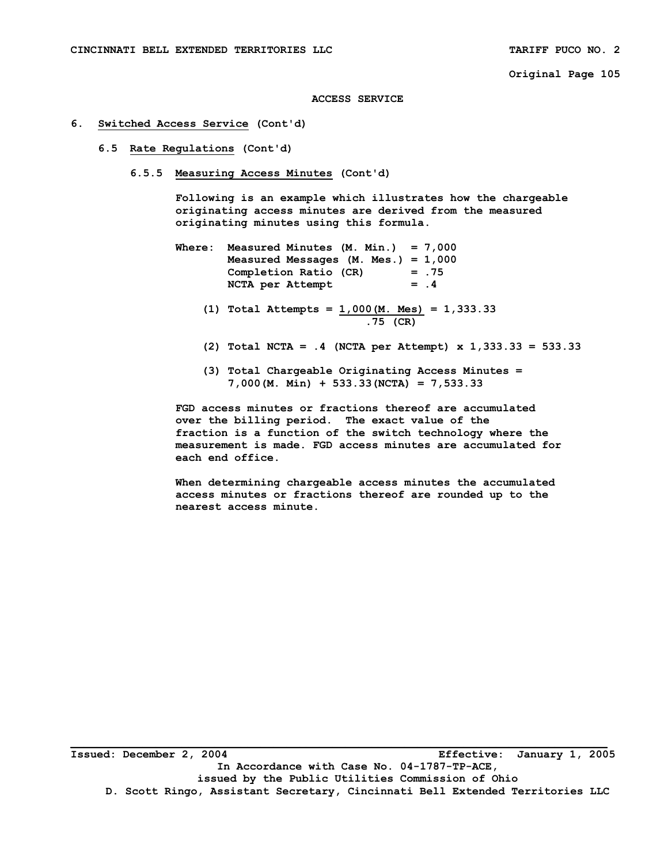**ACCESS SERVICE** 

## **6. Switched Access Service (Cont'd)**

- **6.5 Rate Regulations (Cont'd)** 
	- **6.5.5 Measuring Access Minutes (Cont'd)**

 **Following is an example which illustrates how the chargeable originating access minutes are derived from the measured originating minutes using this formula.** 

- **Where: Measured Minutes (M. Min.) = 7,000 Measured Messages (M. Mes.) = 1,000 Completion Ratio (CR) = .75**  NCTA per Attempt = .4
	- **(1) Total Attempts = 1,000(M. Mes) = 1,333.33 .75 (CR)**
	- **(2) Total NCTA = .4 (NCTA per Attempt) x 1,333.33 = 533.33**
	- **(3) Total Chargeable Originating Access Minutes = 7,000(M. Min) + 533.33(NCTA) = 7,533.33**

 **FGD access minutes or fractions thereof are accumulated over the billing period. The exact value of the fraction is a function of the switch technology where the measurement is made. FGD access minutes are accumulated for each end office.** 

 **When determining chargeable access minutes the accumulated access minutes or fractions thereof are rounded up to the nearest access minute.**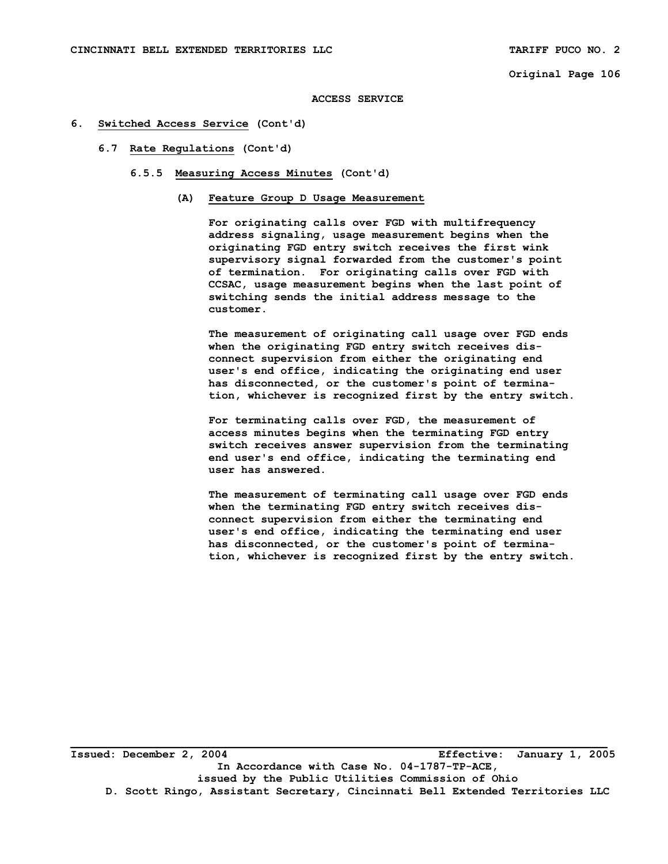#### **ACCESS SERVICE**

#### **6. Switched Access Service (Cont'd)**

- **6.7 Rate Regulations (Cont'd)** 
	- **6.5.5 Measuring Access Minutes (Cont'd)** 
		- **(A) Feature Group D Usage Measurement**

 **For originating calls over FGD with multifrequency address signaling, usage measurement begins when the originating FGD entry switch receives the first wink supervisory signal forwarded from the customer's point of termination. For originating calls over FGD with CCSAC, usage measurement begins when the last point of switching sends the initial address message to the customer.** 

 **The measurement of originating call usage over FGD ends when the originating FGD entry switch receives dis connect supervision from either the originating end user's end office, indicating the originating end user has disconnected, or the customer's point of termina tion, whichever is recognized first by the entry switch.** 

 **For terminating calls over FGD, the measurement of access minutes begins when the terminating FGD entry switch receives answer supervision from the terminating end user's end office, indicating the terminating end user has answered.** 

 **The measurement of terminating call usage over FGD ends when the terminating FGD entry switch receives dis connect supervision from either the terminating end user's end office, indicating the terminating end user has disconnected, or the customer's point of termina tion, whichever is recognized first by the entry switch.** 

**Issued: December 2, 2004 Effective: January 1, 2005 In Accordance with Case No. 04-1787-TP-ACE, issued by the Public Utilities Commission of Ohio D. Scott Ringo, Assistant Secretary, Cincinnati Bell Extended Territories LLC**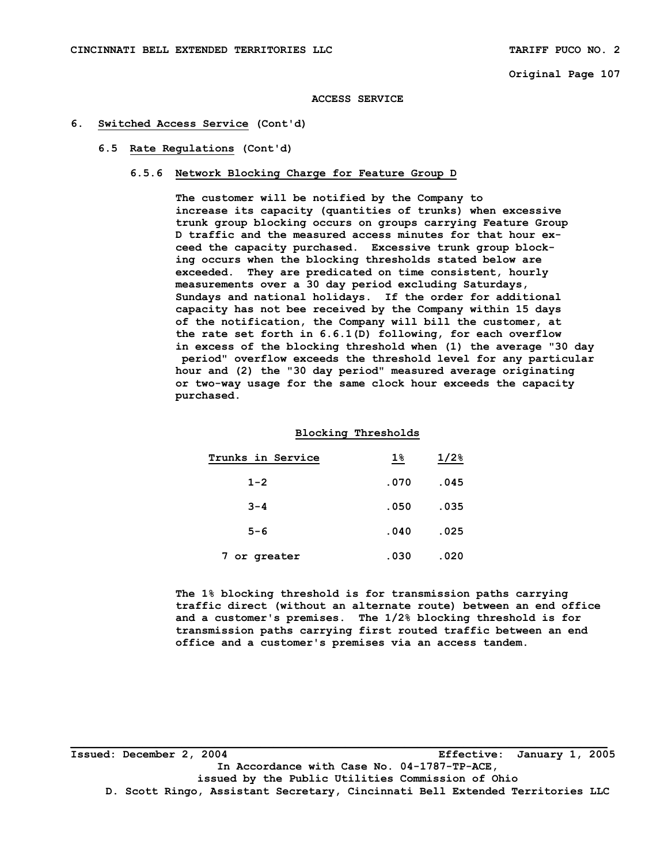#### **ACCESS SERVICE**

### **6. Switched Access Service (Cont'd)**

#### **6.5 Rate Regulations (Cont'd)**

# **6.5.6 Network Blocking Charge for Feature Group D**

 **The customer will be notified by the Company to increase its capacity (quantities of trunks) when excessive trunk group blocking occurs on groups carrying Feature Group D traffic and the measured access minutes for that hour ex ceed the capacity purchased. Excessive trunk group block ing occurs when the blocking thresholds stated below are exceeded. They are predicated on time consistent, hourly measurements over a 30 day period excluding Saturdays, Sundays and national holidays. If the order for additional capacity has not bee received by the Company within 15 days of the notification, the Company will bill the customer, at the rate set forth in 6.6.1(D) following, for each overflow in excess of the blocking threshold when (1) the average "30 day period" overflow exceeds the threshold level for any particular hour and (2) the "30 day period" measured average originating or two-way usage for the same clock hour exceeds the capacity purchased.** 

### **Blocking Thresholds**

| Trunks in Service | $1\%$ | $1/2$ <sup>8</sup> |
|-------------------|-------|--------------------|
| $1 - 2$           | .070  | .045               |
| $3 - 4$           | .050  | .035               |
| $5 - 6$           | .040  | .025               |
| 7 or greater      | .030  | .020               |

 **The 1% blocking threshold is for transmission paths carrying traffic direct (without an alternate route) between an end office and a customer's premises. The 1/2% blocking threshold is for transmission paths carrying first routed traffic between an end office and a customer's premises via an access tandem.** 

**Issued: December 2, 2004 Effective: January 1, 2005 In Accordance with Case No. 04-1787-TP-ACE, issued by the Public Utilities Commission of Ohio D. Scott Ringo, Assistant Secretary, Cincinnati Bell Extended Territories LLC**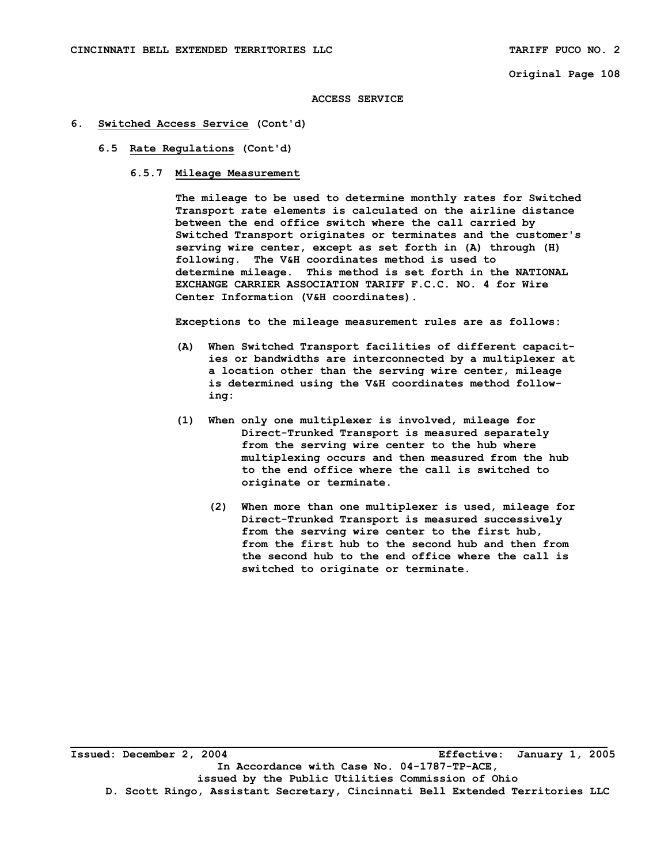#### **ACCESS SERVICE**

### **6. Switched Access Service (Cont'd)**

#### **6.5 Rate Regulations (Cont'd)**

# **6.5.7 Mileage Measurement**

 **The mileage to be used to determine monthly rates for Switched Transport rate elements is calculated on the airline distance between the end office switch where the call carried by Switched Transport originates or terminates and the customer's serving wire center, except as set forth in (A) through (H) following. The V&H coordinates method is used to determine mileage. This method is set forth in the NATIONAL EXCHANGE CARRIER ASSOCIATION TARIFF F.C.C. NO. 4 for Wire Center Information (V&H coordinates).** 

 **Exceptions to the mileage measurement rules are as follows:** 

- **(A) When Switched Transport facilities of different capacit ies or bandwidths are interconnected by a multiplexer at a location other than the serving wire center, mileage is determined using the V&H coordinates method follow ing:**
- **(1) When only one multiplexer is involved, mileage for Direct-Trunked Transport is measured separately from the serving wire center to the hub where multiplexing occurs and then measured from the hub to the end office where the call is switched to originate or terminate.** 
	- **(2) When more than one multiplexer is used, mileage for Direct-Trunked Transport is measured successively from the serving wire center to the first hub, from the first hub to the second hub and then from the second hub to the end office where the call is switched to originate or terminate.**

**\_\_\_\_\_\_\_\_\_\_\_\_\_\_\_\_\_\_\_\_\_\_\_\_\_\_\_\_\_\_\_\_\_\_\_\_\_\_\_\_\_\_\_\_\_\_\_\_\_\_\_\_\_\_\_\_\_\_\_\_\_\_\_\_\_\_\_\_\_\_\_\_\_\_\_\_\_\_\_\_\_\_ Issued: December 2, 2004 Effective: January 1, 2005 In Accordance with Case No. 04-1787-TP-ACE, issued by the Public Utilities Commission of Ohio D. Scott Ringo, Assistant Secretary, Cincinnati Bell Extended Territories LLC**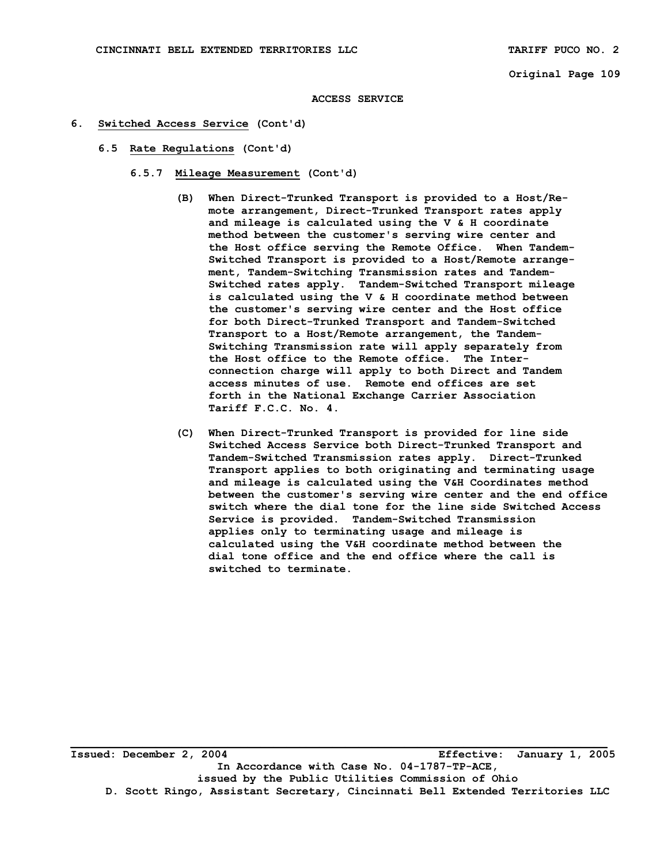#### **ACCESS SERVICE**

### **6. Switched Access Service (Cont'd)**

- **6.5 Rate Regulations (Cont'd)** 
	- **6.5.7 Mileage Measurement (Cont'd)** 
		- **(B) When Direct-Trunked Transport is provided to a Host/Re mote arrangement, Direct-Trunked Transport rates apply and mileage is calculated using the V & H coordinate method between the customer's serving wire center and the Host office serving the Remote Office. When Tandem- Switched Transport is provided to a Host/Remote arrange ment, Tandem-Switching Transmission rates and Tandem- Switched rates apply. Tandem-Switched Transport mileage is calculated using the V & H coordinate method between the customer's serving wire center and the Host office for both Direct-Trunked Transport and Tandem-Switched Transport to a Host/Remote arrangement, the Tandem- Switching Transmission rate will apply separately from the Host office to the Remote office. The Inter connection charge will apply to both Direct and Tandem access minutes of use. Remote end offices are set forth in the National Exchange Carrier Association Tariff F.C.C. No. 4.**
		- **(C) When Direct-Trunked Transport is provided for line side Switched Access Service both Direct-Trunked Transport and Tandem-Switched Transmission rates apply. Direct-Trunked Transport applies to both originating and terminating usage and mileage is calculated using the V&H Coordinates method between the customer's serving wire center and the end office switch where the dial tone for the line side Switched Access Service is provided. Tandem-Switched Transmission applies only to terminating usage and mileage is calculated using the V&H coordinate method between the dial tone office and the end office where the call is switched to terminate.**

**Issued: December 2, 2004 Effective: January 1, 2005 In Accordance with Case No. 04-1787-TP-ACE, issued by the Public Utilities Commission of Ohio D. Scott Ringo, Assistant Secretary, Cincinnati Bell Extended Territories LLC**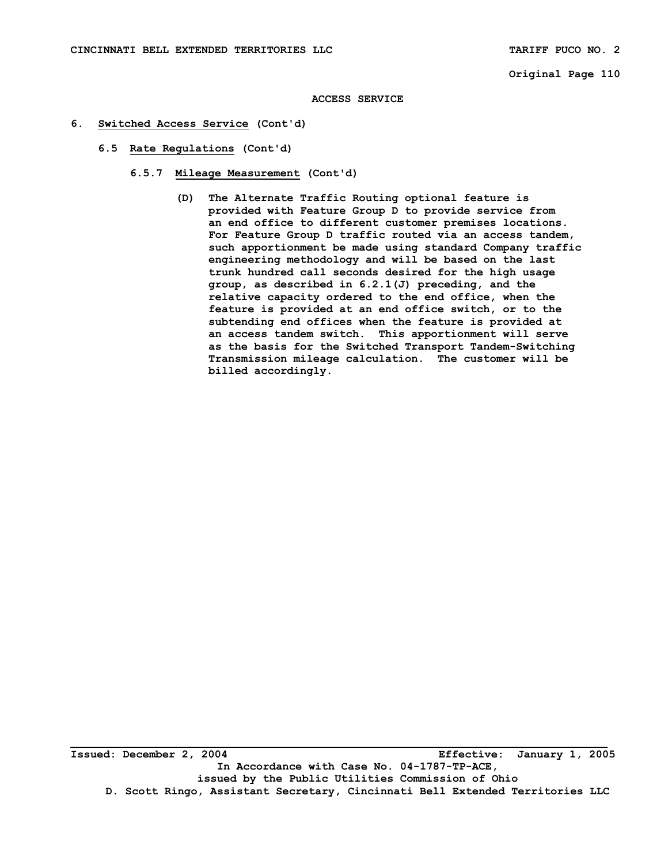#### **ACCESS SERVICE**

- **6. Switched Access Service (Cont'd)** 
	- **6.5 Rate Regulations (Cont'd)** 
		- **6.5.7 Mileage Measurement (Cont'd)** 
			- **(D) The Alternate Traffic Routing optional feature is provided with Feature Group D to provide service from an end office to different customer premises locations. For Feature Group D traffic routed via an access tandem, such apportionment be made using standard Company traffic engineering methodology and will be based on the last trunk hundred call seconds desired for the high usage group, as described in 6.2.1(J) preceding, and the relative capacity ordered to the end office, when the feature is provided at an end office switch, or to the subtending end offices when the feature is provided at an access tandem switch. This apportionment will serve as the basis for the Switched Transport Tandem-Switching Transmission mileage calculation. The customer will be billed accordingly.**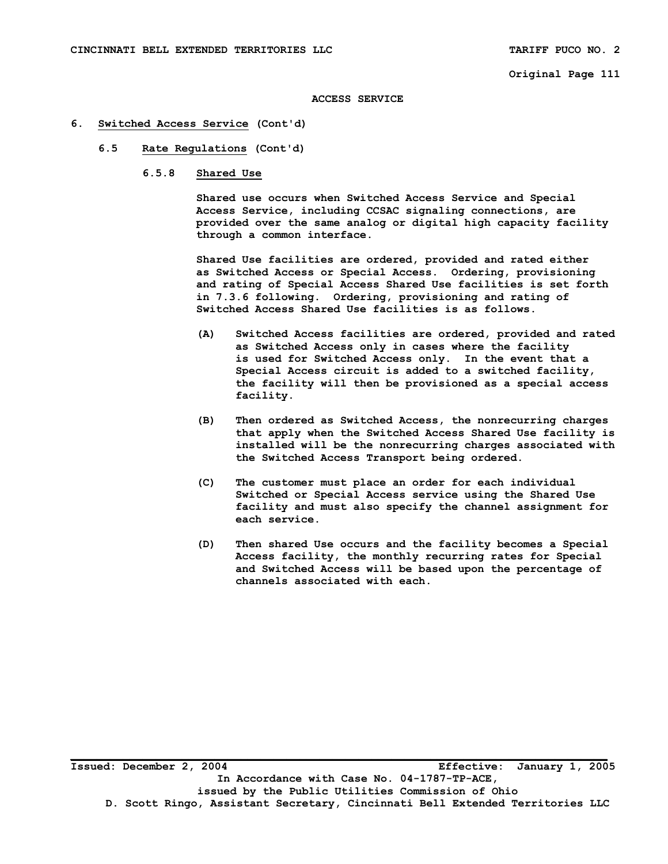#### **ACCESS SERVICE**

#### **6. Switched Access Service (Cont'd)**

- **6.5 Rate Regulations (Cont'd)** 
	- **6.5.8 Shared Use**

 **Shared use occurs when Switched Access Service and Special Access Service, including CCSAC signaling connections, are provided over the same analog or digital high capacity facility through a common interface.** 

 **Shared Use facilities are ordered, provided and rated either as Switched Access or Special Access. Ordering, provisioning and rating of Special Access Shared Use facilities is set forth in 7.3.6 following. Ordering, provisioning and rating of Switched Access Shared Use facilities is as follows.** 

- **(A) Switched Access facilities are ordered, provided and rated as Switched Access only in cases where the facility is used for Switched Access only. In the event that a Special Access circuit is added to a switched facility, the facility will then be provisioned as a special access facility.**
- **(B) Then ordered as Switched Access, the nonrecurring charges that apply when the Switched Access Shared Use facility is installed will be the nonrecurring charges associated with the Switched Access Transport being ordered.**
- **(C) The customer must place an order for each individual Switched or Special Access service using the Shared Use facility and must also specify the channel assignment for each service.**
- **(D) Then shared Use occurs and the facility becomes a Special Access facility, the monthly recurring rates for Special and Switched Access will be based upon the percentage of channels associated with each.**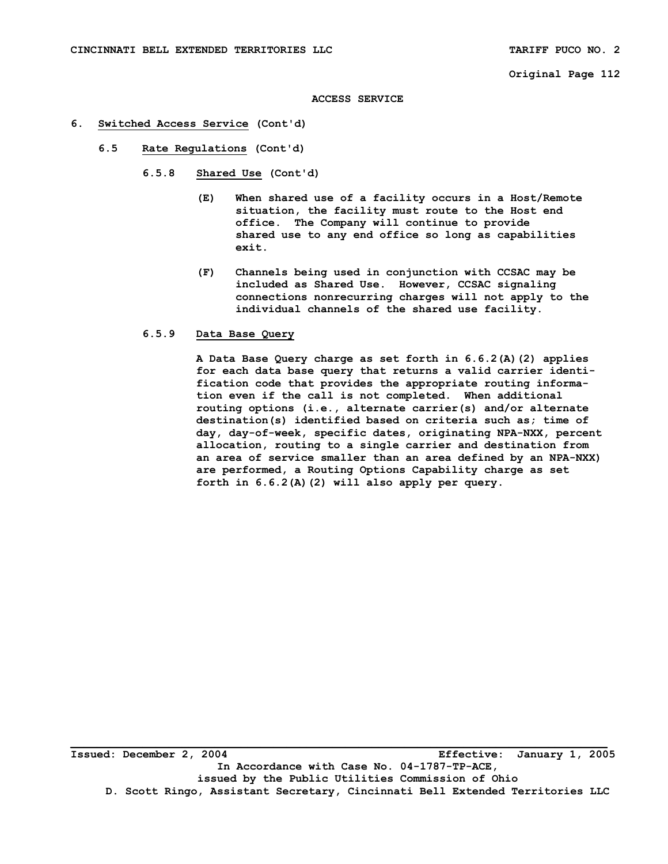#### **ACCESS SERVICE**

#### **6. Switched Access Service (Cont'd)**

- **6.5 Rate Regulations (Cont'd)** 
	- **6.5.8 Shared Use (Cont'd)** 
		- **(E) When shared use of a facility occurs in a Host/Remote situation, the facility must route to the Host end office. The Company will continue to provide shared use to any end office so long as capabilities exit.**
		- **(F) Channels being used in conjunction with CCSAC may be included as Shared Use. However, CCSAC signaling connections nonrecurring charges will not apply to the individual channels of the shared use facility.**

#### **6.5.9 Data Base Query**

 **A Data Base Query charge as set forth in 6.6.2(A)(2) applies for each data base query that returns a valid carrier identi fication code that provides the appropriate routing informa tion even if the call is not completed. When additional routing options (i.e., alternate carrier(s) and/or alternate destination(s) identified based on criteria such as; time of day, day-of-week, specific dates, originating NPA-NXX, percent allocation, routing to a single carrier and destination from an area of service smaller than an area defined by an NPA-NXX) are performed, a Routing Options Capability charge as set forth in 6.6.2(A)(2) will also apply per query.**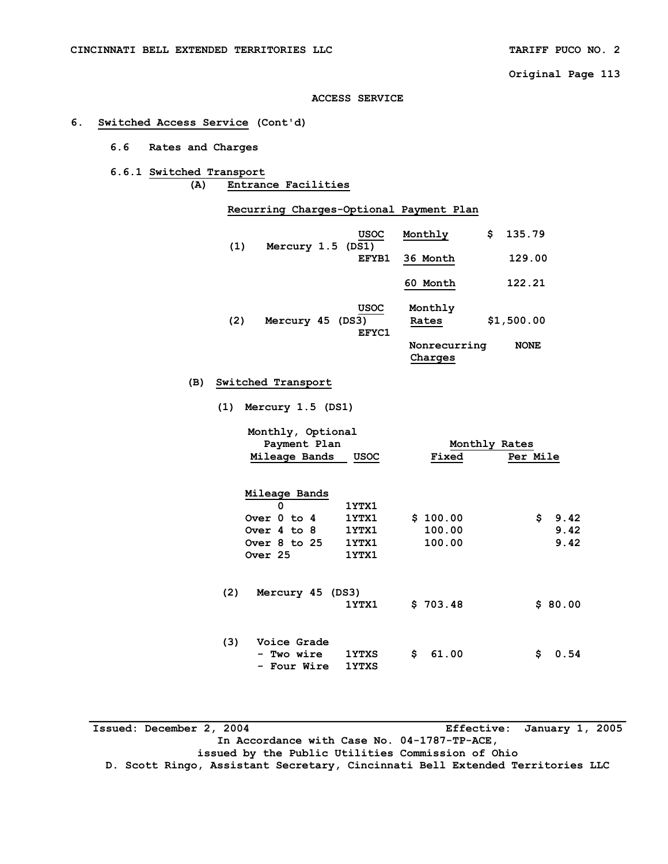#### **ACCESS SERVICE**

# **6. Switched Access Service (Cont'd)**

 **6.6 Rates and Charges** 

# **6.6.1 Switched Transport (A) Entrance Facilities**

 **Recurring Charges-Optional Payment Plan** 

| (1) | Mercury 1.5 (DS1) | <b>USOC</b> | Monthly                   | \$.    | 135.79           |
|-----|-------------------|-------------|---------------------------|--------|------------------|
|     |                   | EFYB1       | 36 Month                  | 129.00 |                  |
|     |                   |             | 60 Month                  |        | 122.21           |
| ハつい | M <sub>OM</sub>   | <b>USOC</b> | Monthly<br>$D = + \wedge$ |        | <b>41 500 00</b> |

| (2) | Mercury 45 (DS3) | EFYC1 | Rates                   | \$1,500.00  |
|-----|------------------|-------|-------------------------|-------------|
|     |                  |       | Nonrecurring<br>Charges | <b>NONE</b> |

# **(B) Switched Transport**

 **(1) Mercury 1.5 (DS1)** 

|     | Monthly, Optional<br>Payment Plan<br>Mileage Bands                          | <b>USOC</b>                               | Monthly Rates<br>Fixed<br>Per Mile |    |                      |  |  |  |
|-----|-----------------------------------------------------------------------------|-------------------------------------------|------------------------------------|----|----------------------|--|--|--|
|     | Mileage Bands<br>0<br>Over 0 to 4<br>Over 4 to 8<br>Over 8 to 25<br>Over 25 | 1YTX1<br>1YTX1<br>1YTX1<br>1YTX1<br>1YTX1 | \$100.00<br>100.00<br>100.00       | \$ | 9.42<br>9.42<br>9.42 |  |  |  |
| (2) | Mercury 45 (DS3)                                                            | 1YTX1                                     | \$703.48                           |    | \$80.00              |  |  |  |
| (3) | Voice Grade<br>- Two wire<br><b>Four Wire</b><br>Ξ.                         | <b>1YTXS</b><br><b>1YTXS</b>              | \$<br>61.00                        | \$ | 0.54                 |  |  |  |

| Issued: December 2, 2004                                                      |  | Effective: January 1, 2005 |  |  |  |  |  |  |
|-------------------------------------------------------------------------------|--|----------------------------|--|--|--|--|--|--|
| In Accordance with Case No. 04-1787-TP-ACE,                                   |  |                            |  |  |  |  |  |  |
| issued by the Public Utilities Commission of Ohio                             |  |                            |  |  |  |  |  |  |
| D. Scott Ringo, Assistant Secretary, Cincinnati Bell Extended Territories LLC |  |                            |  |  |  |  |  |  |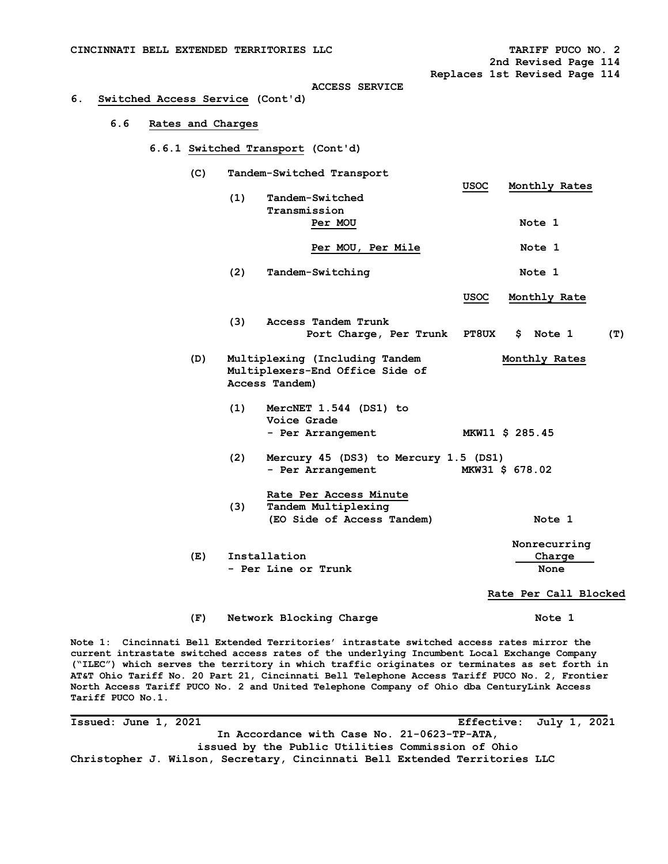| CINCINNATI BELL EXTENDED TERRITORIES LLC |                   |     |                                   |             | TARIFF PUCO NO. 2<br>2nd Revised Page 114 |
|------------------------------------------|-------------------|-----|-----------------------------------|-------------|-------------------------------------------|
| 6.<br>Switched Access Service (Cont'd)   |                   |     | <b>ACCESS SERVICE</b>             |             | Replaces 1st Revised Page 114             |
| 6.6                                      | Rates and Charges |     |                                   |             |                                           |
|                                          |                   |     | 6.6.1 Switched Transport (Cont'd) |             |                                           |
|                                          | (C)               |     | Tandem-Switched Transport         |             |                                           |
|                                          |                   | (1) | Tandem-Switched<br>Transmission   | <b>USOC</b> | Monthly Rates                             |
|                                          |                   |     | Per MOU                           |             | Note 1                                    |
|                                          |                   |     | Per MOU, Per Mile                 |             | Note 1                                    |
|                                          |                   | (2) | Tandem-Switching                  |             | Note 1                                    |
|                                          |                   |     |                                   | <b>USOC</b> | Monthly Rate                              |

- **(3) Access Tandem Trunk**  Port Charge, Per Trunk PT8UX \$ Note 1 (T)
- **(D) Multiplexing (Including Tandem Monthly Rates Multiplexers-End Office Side of Access Tandem)** 
	- **(1) MercNET 1.544 (DS1) to Voice Grade - Per Arrangement MKW11 \$ 285.45**
	- **(2) Mercury 45 (DS3) to Mercury 1.5 (DS1) - Per Arrangement MKW31 \$ 678.02**
	- **Rate Per Access Minute (3) Tandem Multiplexing (EO Side of Access Tandem) Note 1**
- **Nonrecurring (E) Installation Charge - Per Line or Trunk None**

 **Rate Per Call Blocked** 

#### **(F) Network Blocking Charge Note 1**

**Note 1: Cincinnati Bell Extended Territories' intrastate switched access rates mirror the current intrastate switched access rates of the underlying Incumbent Local Exchange Company ("ILEC") which serves the territory in which traffic originates or terminates as set forth in AT&T Ohio Tariff No. 20 Part 21, Cincinnati Bell Telephone Access Tariff PUCO No. 2, Frontier North Access Tariff PUCO No. 2 and United Telephone Company of Ohio dba CenturyLink Access Tariff PUCO No.1.** 

**Issued: June 1, 2021 Effective: July 1, 2021 In Accordance with Case No. 21-0623-TP-ATA, issued by the Public Utilities Commission of Ohio Christopher J. Wilson, Secretary, Cincinnati Bell Extended Territories LLC**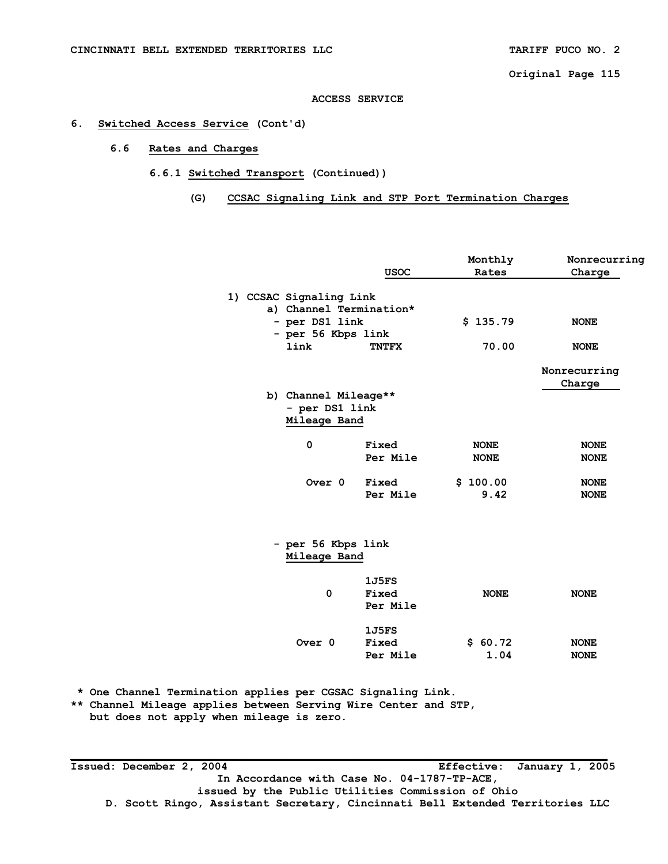# **6. Switched Access Service (Cont'd)**

# **6.6 Rates and Charges**

# **6.6.1 Switched Transport (Continued))**

# **(G) CCSAC Signaling Link and STP Port Termination Charges**

|  |                            | <b>USOC</b>  | Monthly<br>Rates | Nonrecurring<br>Charge |
|--|----------------------------|--------------|------------------|------------------------|
|  | 1) CCSAC Signaling Link    |              |                  |                        |
|  | a) Channel Termination*    |              |                  |                        |
|  | - per DS1 link             |              | \$135.79         | <b>NONE</b>            |
|  | - per 56 Kbps link<br>link | <b>TNTFX</b> | 70.00            | <b>NONE</b>            |
|  |                            |              |                  |                        |
|  |                            |              |                  | Nonrecurring           |
|  |                            |              |                  | Charge                 |
|  | b) Channel Mileage**       |              |                  |                        |
|  | - per DS1 link             |              |                  |                        |
|  | Mileage Band               |              |                  |                        |
|  | 0                          | Fixed        | <b>NONE</b>      | <b>NONE</b>            |
|  |                            | Per Mile     | <b>NONE</b>      | <b>NONE</b>            |
|  |                            |              |                  |                        |
|  | Over 0                     | Fixed        | \$100.00         | <b>NONE</b>            |
|  |                            | Per Mile     | 9.42             | <b>NONE</b>            |
|  |                            |              |                  |                        |
|  | - per 56 Kbps link         |              |                  |                        |
|  | Mileage Band               |              |                  |                        |
|  |                            | 1J5FS        |                  |                        |
|  | 0                          | Fixed        | <b>NONE</b>      | <b>NONE</b>            |
|  |                            | Per Mile     |                  |                        |
|  |                            |              |                  |                        |
|  |                            | 1J5FS        |                  |                        |
|  | Over 0                     | Fixed        | \$60.72          | <b>NONE</b>            |
|  |                            | Per Mile     | 1.04             | <b>NONE</b>            |
|  |                            |              |                  |                        |

 **\* One Channel Termination applies per CGSAC Signaling Link.** 

**\*\* Channel Mileage applies between Serving Wire Center and STP,** 

 **but does not apply when mileage is zero.** 

**Issued: December 2, 2004 Effective: January 1, 2005 In Accordance with Case No. 04-1787-TP-ACE, issued by the Public Utilities Commission of Ohio D. Scott Ringo, Assistant Secretary, Cincinnati Bell Extended Territories LLC**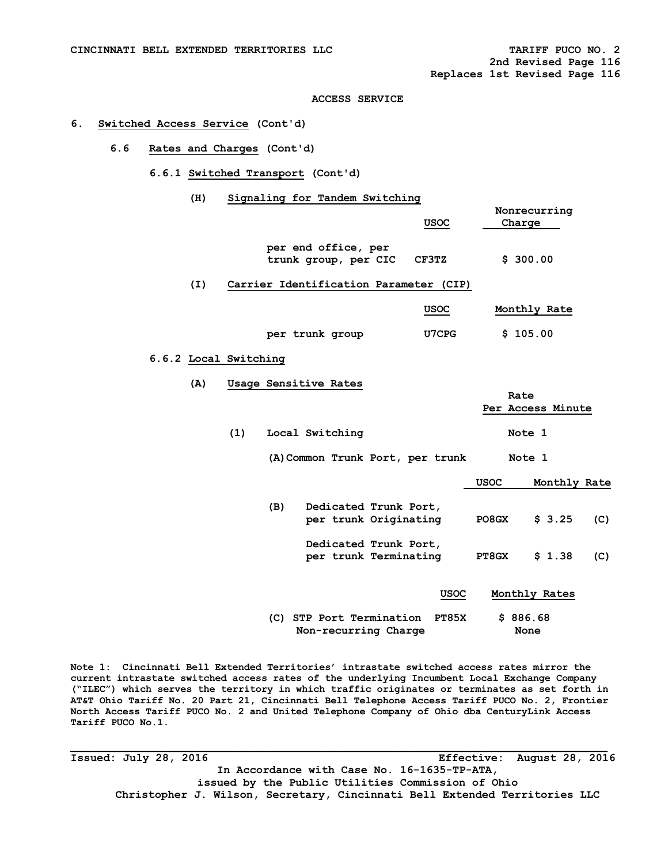#### **6. Switched Access Service (Cont'd)**

- **6.6 Rates and Charges (Cont'd)** 
	- **6.6.1 Switched Transport (Cont'd)** 
		- **(H) Signaling for Tandem Switching**

|     |                       |     |                                                |  | USOC                                   |              | Nonrecurring<br>Charge    |     |
|-----|-----------------------|-----|------------------------------------------------|--|----------------------------------------|--------------|---------------------------|-----|
|     |                       |     | per end office, per<br>trunk group, per CIC    |  | CF3TZ                                  |              | \$300.00                  |     |
| (I) |                       |     |                                                |  | Carrier Identification Parameter (CIP) |              |                           |     |
|     |                       |     |                                                |  | USOC                                   |              | Monthly Rate              |     |
|     |                       |     | per trunk group                                |  | U7CPG                                  |              | \$105.00                  |     |
|     | 6.6.2 Local Switching |     |                                                |  |                                        |              |                           |     |
| (A) | Usage Sensitive Rates |     |                                                |  |                                        |              |                           |     |
|     |                       |     |                                                |  |                                        |              | Rate<br>Per Access Minute |     |
|     | (1)                   |     | Local Switching                                |  |                                        |              | Note 1                    |     |
|     |                       |     | (A) Common Trunk Port, per trunk               |  |                                        |              | Note 1                    |     |
|     |                       |     |                                                |  |                                        | <b>USOC</b>  | Monthly Rate              |     |
|     |                       | (B) | Dedicated Trunk Port,<br>per trunk Originating |  |                                        | PO8GX        | \$3.25                    | (C) |
|     |                       |     | Dedicated Trunk Port,<br>per trunk Terminating |  |                                        | <b>PT8GX</b> | \$1.38                    | (C) |
|     |                       |     |                                                |  | <b>USOC</b>                            |              | Monthly Rates             |     |
|     |                       |     | (C) STP Port Termination                       |  | <b>PT85X</b>                           |              | \$886.68                  |     |

**Non-recurring Charge 61 Mone** 

**Note 1: Cincinnati Bell Extended Territories' intrastate switched access rates mirror the current intrastate switched access rates of the underlying Incumbent Local Exchange Company ("ILEC") which serves the territory in which traffic originates or terminates as set forth in AT&T Ohio Tariff No. 20 Part 21, Cincinnati Bell Telephone Access Tariff PUCO No. 2, Frontier North Access Tariff PUCO No. 2 and United Telephone Company of Ohio dba CenturyLink Access Tariff PUCO No.1.** 

**Issued: July 28, 2016 Effective: August 28, 2016 In Accordance with Case No. 16-1635-TP-ATA, issued by the Public Utilities Commission of Ohio Christopher J. Wilson, Secretary, Cincinnati Bell Extended Territories LLC**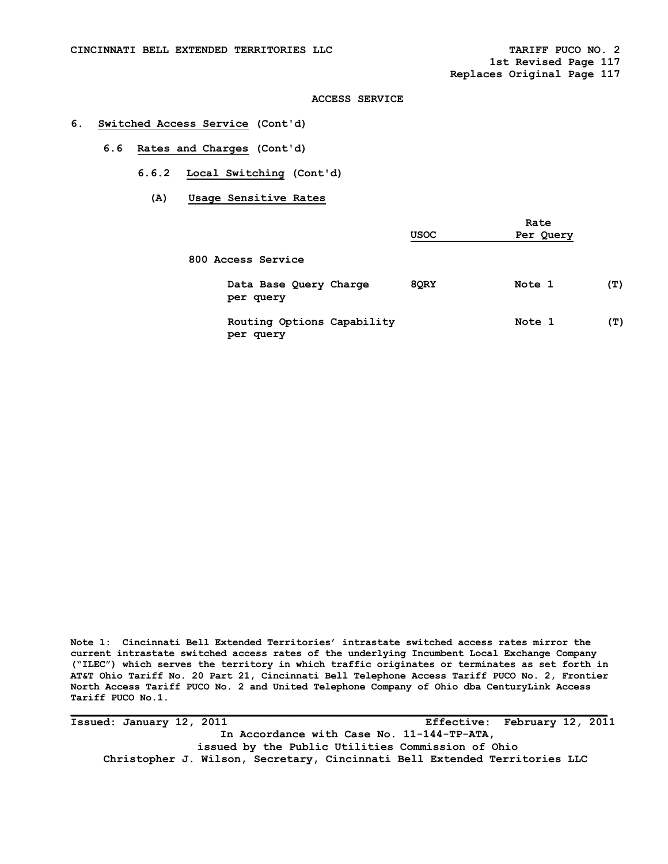### **6. Switched Access Service (Cont'd)**

- **6.6 Rates and Charges (Cont'd)** 
	- **6.6.2 Local Switching (Cont'd)** 
		- **(A) Usage Sensitive Rates**

|                                         | <b>USOC</b> | Rate<br>Per Query |     |
|-----------------------------------------|-------------|-------------------|-----|
| 800 Access Service                      |             |                   |     |
| Data Base Query Charge<br>per query     | 8QRY        | Note 1            | (T) |
| Routing Options Capability<br>per query |             | Note 1            | (T) |

**Note 1: Cincinnati Bell Extended Territories' intrastate switched access rates mirror the current intrastate switched access rates of the underlying Incumbent Local Exchange Company ("ILEC") which serves the territory in which traffic originates or terminates as set forth in AT&T Ohio Tariff No. 20 Part 21, Cincinnati Bell Telephone Access Tariff PUCO No. 2, Frontier North Access Tariff PUCO No. 2 and United Telephone Company of Ohio dba CenturyLink Access Tariff PUCO No.1.** 

**Issued: January 12, 2011 Effective: February 12, 2011 In Accordance with Case No. 11-144-TP-ATA, issued by the Public Utilities Commission of Ohio Christopher J. Wilson, Secretary, Cincinnati Bell Extended Territories LLC**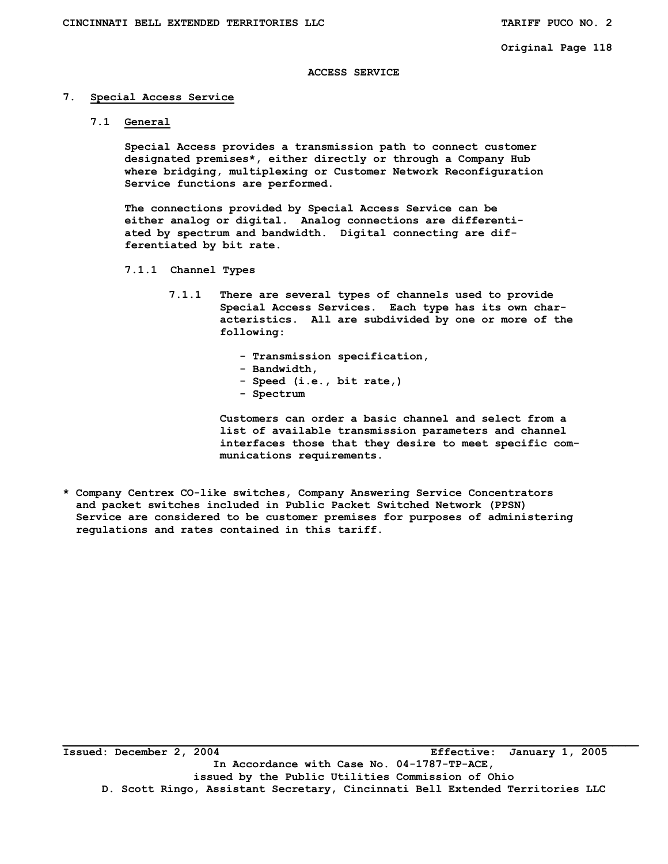### **ACCESS SERVICE**

#### **7. Special Access Service**

 **7.1 General** 

 **Special Access provides a transmission path to connect customer designated premises\*, either directly or through a Company Hub where bridging, multiplexing or Customer Network Reconfiguration Service functions are performed.** 

 **The connections provided by Special Access Service can be either analog or digital. Analog connections are differenti ated by spectrum and bandwidth. Digital connecting are dif ferentiated by bit rate.** 

- **7.1.1 Channel Types** 
	- **7.1.1 There are several types of channels used to provide Special Access Services. Each type has its own char acteristics. All are subdivided by one or more of the following:** 
		- **Transmission specification,**
		- **Bandwidth,**
		- **Speed (i.e., bit rate,)**
		- **Spectrum**

 **Customers can order a basic channel and select from a list of available transmission parameters and channel interfaces those that they desire to meet specific com munications requirements.** 

**\* Company Centrex CO-like switches, Company Answering Service Concentrators and packet switches included in Public Packet Switched Network (PPSN) Service are considered to be customer premises for purposes of administering regulations and rates contained in this tariff.** 

**\_\_\_\_\_\_\_\_\_\_\_\_\_\_\_\_\_\_\_\_\_\_\_\_\_\_\_\_\_\_\_\_\_\_\_\_\_\_\_\_\_\_\_\_\_\_\_\_\_\_\_\_\_\_\_\_\_\_\_\_\_\_\_\_\_\_\_\_\_\_\_\_\_\_\_\_\_\_\_\_\_\_\_\_\_\_\_\_ Issued: December 2, 2004 Effective: January 1, 2005 In Accordance with Case No. 04-1787-TP-ACE, issued by the Public Utilities Commission of Ohio D. Scott Ringo, Assistant Secretary, Cincinnati Bell Extended Territories LLC**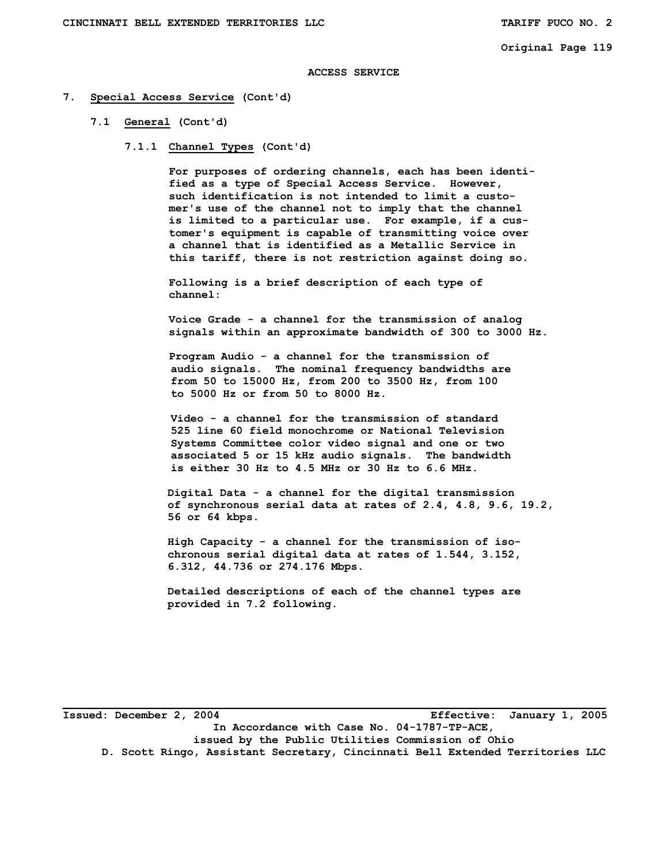#### **ACCESS SERVICE**

- **7. Special Access Service (Cont'd)** 
	- **7.1 General (Cont'd)** 
		- **7.1.1 Channel Types (Cont'd)**

 **For purposes of ordering channels, each has been identi fied as a type of Special Access Service. However, such identification is not intended to limit a custo mer's use of the channel not to imply that the channel is limited to a particular use. For example, if a cus tomer's equipment is capable of transmitting voice over a channel that is identified as a Metallic Service in this tariff, there is not restriction against doing so.** 

 **Following is a brief description of each type of channel:** 

 **Voice Grade - a channel for the transmission of analog signals within an approximate bandwidth of 300 to 3000 Hz.** 

 **Program Audio - a channel for the transmission of audio signals. The nominal frequency bandwidths are from 50 to 15000 Hz, from 200 to 3500 Hz, from 100 to 5000 Hz or from 50 to 8000 Hz.** 

 **Video - a channel for the transmission of standard 525 line 60 field monochrome or National Television Systems Committee color video signal and one or two associated 5 or 15 kHz audio signals. The bandwidth is either 30 Hz to 4.5 MHz or 30 Hz to 6.6 MHz.** 

 **Digital Data - a channel for the digital transmission of synchronous serial data at rates of 2.4, 4.8, 9.6, 19.2, 56 or 64 kbps.** 

 **High Capacity - a channel for the transmission of iso chronous serial digital data at rates of 1.544, 3.152, 6.312, 44.736 or 274.176 Mbps.** 

 **Detailed descriptions of each of the channel types are provided in 7.2 following.** 

**Issued: December 2, 2004 Effective: January 1, 2005 In Accordance with Case No. 04-1787-TP-ACE, issued by the Public Utilities Commission of Ohio D. Scott Ringo, Assistant Secretary, Cincinnati Bell Extended Territories LLC**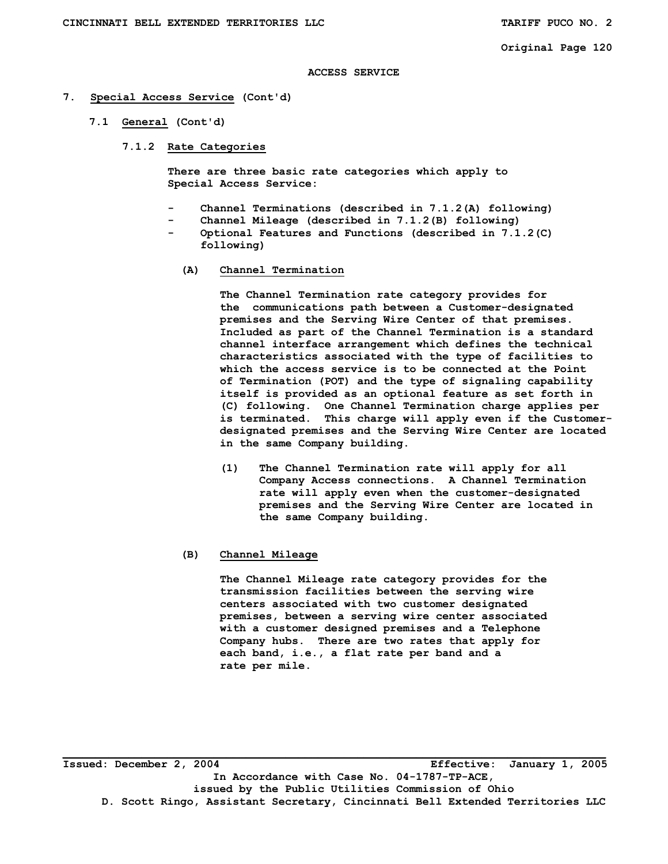#### **ACCESS SERVICE**

- **7. Special Access Service (Cont'd)** 
	- **7.1 General (Cont'd)** 
		- **7.1.2 Rate Categories**

 **There are three basic rate categories which apply to Special Access Service:** 

- Channel Terminations (described in 7.1.2(A) following)
- Channel Mileage (described in 7.1.2(B) following)  **- Optional Features and Functions (described in 7.1.2(C)** 
	- **following)**
	- **(A) Channel Termination**

**The Channel Termination rate category provides for the communications path between a Customer-designated premises and the Serving Wire Center of that premises. Included as part of the Channel Termination is a standard channel interface arrangement which defines the technical characteristics associated with the type of facilities to which the access service is to be connected at the Point of Termination (POT) and the type of signaling capability itself is provided as an optional feature as set forth in (C) following. One Channel Termination charge applies per is terminated. This charge will apply even if the Customerdesignated premises and the Serving Wire Center are located in the same Company building.** 

**(1) The Channel Termination rate will apply for all Company Access connections. A Channel Termination rate will apply even when the customer-designated premises and the Serving Wire Center are located in the same Company building.** 

### **(B) Channel Mileage**

 **The Channel Mileage rate category provides for the transmission facilities between the serving wire centers associated with two customer designated premises, between a serving wire center associated with a customer designed premises and a Telephone Company hubs. There are two rates that apply for each band, i.e., a flat rate per band and a rate per mile.** 

**\_\_\_\_\_\_\_\_\_\_\_\_\_\_\_\_\_\_\_\_\_\_\_\_\_\_\_\_\_\_\_\_\_\_\_\_\_\_\_\_\_\_\_\_\_\_\_\_\_\_\_\_\_\_\_\_\_\_\_\_\_\_\_\_\_\_\_\_\_\_\_\_\_\_\_\_\_\_\_\_\_\_\_ Issued: December 2, 2004 Effective: January 1, 2005 In Accordance with Case No. 04-1787-TP-ACE, issued by the Public Utilities Commission of Ohio D. Scott Ringo, Assistant Secretary, Cincinnati Bell Extended Territories LLC**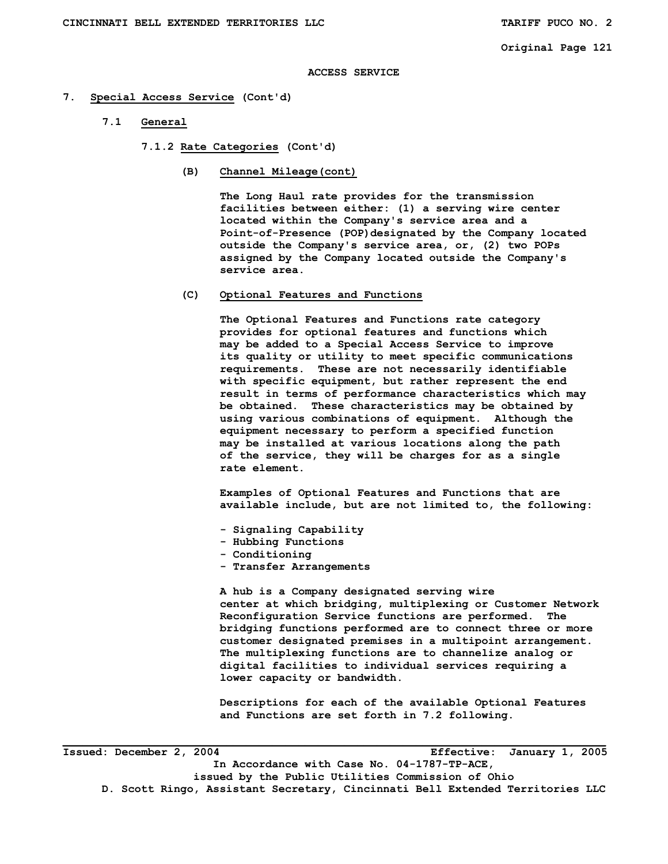### **ACCESS SERVICE**

#### **7. Special Access Service (Cont'd)**

**7.1 General** 

**7.1.2 Rate Categories (Cont'd)** 

**(B) Channel Mileage(cont)** 

 **The Long Haul rate provides for the transmission facilities between either: (1) a serving wire center located within the Company's service area and a Point-of-Presence (POP)designated by the Company located outside the Company's service area, or, (2) two POPs assigned by the Company located outside the Company's service area.** 

**(C) Optional Features and Functions** 

**The Optional Features and Functions rate category provides for optional features and functions which may be added to a Special Access Service to improve its quality or utility to meet specific communications requirements. These are not necessarily identifiable with specific equipment, but rather represent the end result in terms of performance characteristics which may be obtained. These characteristics may be obtained by using various combinations of equipment. Although the equipment necessary to perform a specified function may be installed at various locations along the path of the service, they will be charges for as a single rate element.** 

 **Examples of Optional Features and Functions that are available include, but are not limited to, the following:** 

- **Signaling Capability**
- **Hubbing Functions**
- **Conditioning**
- **Transfer Arrangements**

 **A hub is a Company designated serving wire center at which bridging, multiplexing or Customer Network Reconfiguration Service functions are performed. The bridging functions performed are to connect three or more customer designated premises in a multipoint arrangement. The multiplexing functions are to channelize analog or digital facilities to individual services requiring a lower capacity or bandwidth.** 

 **Descriptions for each of the available Optional Features and Functions are set forth in 7.2 following.** 

**Issued: December 2, 2004 Effective: January 1, 2005 In Accordance with Case No. 04-1787-TP-ACE, issued by the Public Utilities Commission of Ohio D. Scott Ringo, Assistant Secretary, Cincinnati Bell Extended Territories LLC**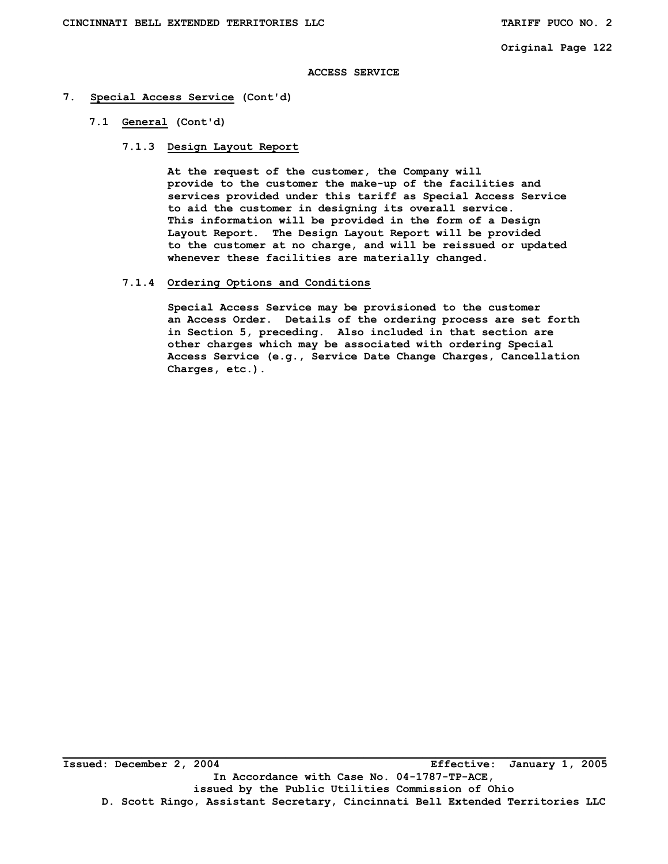# **ACCESS SERVICE**

# **7. Special Access Service (Cont'd)**

 **7.1 General (Cont'd)** 

### **7.1.3 Design Layout Report**

 **At the request of the customer, the Company will provide to the customer the make-up of the facilities and services provided under this tariff as Special Access Service to aid the customer in designing its overall service. This information will be provided in the form of a Design Layout Report. The Design Layout Report will be provided to the customer at no charge, and will be reissued or updated whenever these facilities are materially changed.** 

# **7.1.4 Ordering Options and Conditions**

 **Special Access Service may be provisioned to the customer an Access Order. Details of the ordering process are set forth in Section 5, preceding. Also included in that section are other charges which may be associated with ordering Special Access Service (e.g., Service Date Change Charges, Cancellation Charges, etc.).**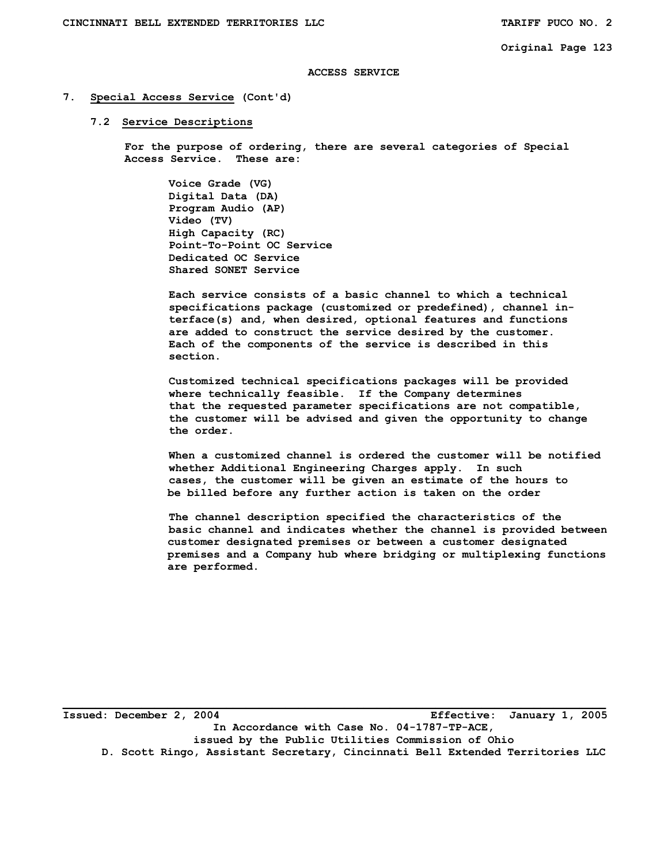### **ACCESS SERVICE**

# **7. Special Access Service (Cont'd)**

#### **7.2 Service Descriptions**

 **For the purpose of ordering, there are several categories of Special Access Service. These are:** 

 **Voice Grade (VG) Digital Data (DA) Program Audio (AP) Video (TV) High Capacity (RC) Point-To-Point OC Service Dedicated OC Service Shared SONET Service** 

 **Each service consists of a basic channel to which a technical specifications package (customized or predefined), channel in terface(s) and, when desired, optional features and functions are added to construct the service desired by the customer. Each of the components of the service is described in this section.** 

 **Customized technical specifications packages will be provided where technically feasible. If the Company determines that the requested parameter specifications are not compatible, the customer will be advised and given the opportunity to change the order.** 

 **When a customized channel is ordered the customer will be notified whether Additional Engineering Charges apply. In such cases, the customer will be given an estimate of the hours to be billed before any further action is taken on the order** 

 **The channel description specified the characteristics of the basic channel and indicates whether the channel is provided between customer designated premises or between a customer designated premises and a Company hub where bridging or multiplexing functions are performed.** 

**Issued: December 2, 2004 Effective: January 1, 2005 In Accordance with Case No. 04-1787-TP-ACE, issued by the Public Utilities Commission of Ohio D. Scott Ringo, Assistant Secretary, Cincinnati Bell Extended Territories LLC**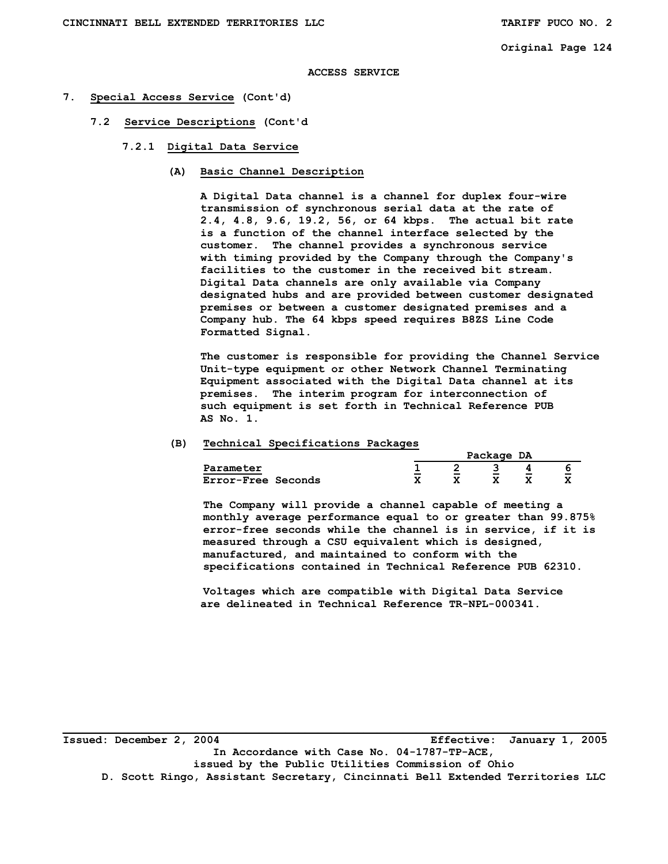### **ACCESS SERVICE**

# **7. Special Access Service (Cont'd)**

- **7.2 Service Descriptions (Cont'd** 
	- **7.2.1 Digital Data Service** 
		- **(A) Basic Channel Description**

 **A Digital Data channel is a channel for duplex four-wire transmission of synchronous serial data at the rate of 2.4, 4.8, 9.6, 19.2, 56, or 64 kbps. The actual bit rate is a function of the channel interface selected by the customer. The channel provides a synchronous service with timing provided by the Company through the Company's facilities to the customer in the received bit stream. Digital Data channels are only available via Company designated hubs and are provided between customer designated premises or between a customer designated premises and a Company hub. The 64 kbps speed requires B8ZS Line Code Formatted Signal.** 

 **The customer is responsible for providing the Channel Service Unit-type equipment or other Network Channel Terminating Equipment associated with the Digital Data channel at its premises. The interim program for interconnection of such equipment is set forth in Technical Reference PUB AS No. 1.** 

### **(B) Technical Specifications Packages**

|                           |                           |              | Package | DA      |                    |
|---------------------------|---------------------------|--------------|---------|---------|--------------------|
| Parameter                 | -<br>$\sim$               | است          | است     | -       |                    |
| <b>Error-Free Seconds</b> | $\bullet$<br>$\mathbf{r}$ | $\mathbf{A}$ | 77<br>́ | v<br>́^ | -<br>$\rightarrow$ |

 **The Company will provide a channel capable of meeting a monthly average performance equal to or greater than 99.875% error-free seconds while the channel is in service, if it is measured through a CSU equivalent which is designed, manufactured, and maintained to conform with the specifications contained in Technical Reference PUB 62310.** 

 **Voltages which are compatible with Digital Data Service are delineated in Technical Reference TR-NPL-000341.** 

**\_\_\_\_\_\_\_\_\_\_\_\_\_\_\_\_\_\_\_\_\_\_\_\_\_\_\_\_\_\_\_\_\_\_\_\_\_\_\_\_\_\_\_\_\_\_\_\_\_\_\_\_\_\_\_\_\_\_\_\_\_\_\_\_\_\_\_\_\_\_\_\_\_\_\_\_\_\_\_\_\_\_\_ Issued: December 2, 2004 Effective: January 1, 2005 In Accordance with Case No. 04-1787-TP-ACE, issued by the Public Utilities Commission of Ohio D. Scott Ringo, Assistant Secretary, Cincinnati Bell Extended Territories LLC**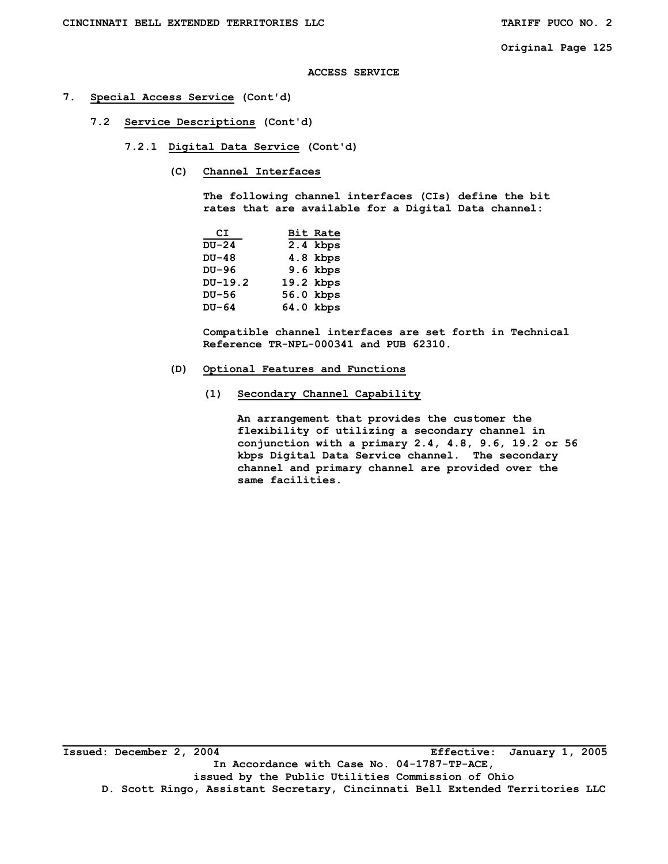# **ACCESS SERVICE**

# **7. Special Access Service (Cont'd)**

- **7.2 Service Descriptions (Cont'd)** 
	- **7.2.1 Digital Data Service (Cont'd)** 
		- **(C) Channel Interfaces**

 **The following channel interfaces (CIs) define the bit rates that are available for a Digital Data channel:** 

| СI      | Bit Rate   |
|---------|------------|
| $DU-24$ | 2.4 kbps   |
| $DU-48$ | 4.8 kbps   |
| DU-96   | $9.6$ kbps |
| DU-19.2 | 19.2 kbps  |
| DU-56   | 56.0 kbps  |
| $DU-64$ | 64.0 kbps  |

 **Compatible channel interfaces are set forth in Technical Reference TR-NPL-000341 and PUB 62310.** 

- **(D) Optional Features and Functions** 
	- **(1) Secondary Channel Capability**

 **An arrangement that provides the customer the flexibility of utilizing a secondary channel in conjunction with a primary 2.4, 4.8, 9.6, 19.2 or 56 kbps Digital Data Service channel. The secondary channel and primary channel are provided over the same facilities.**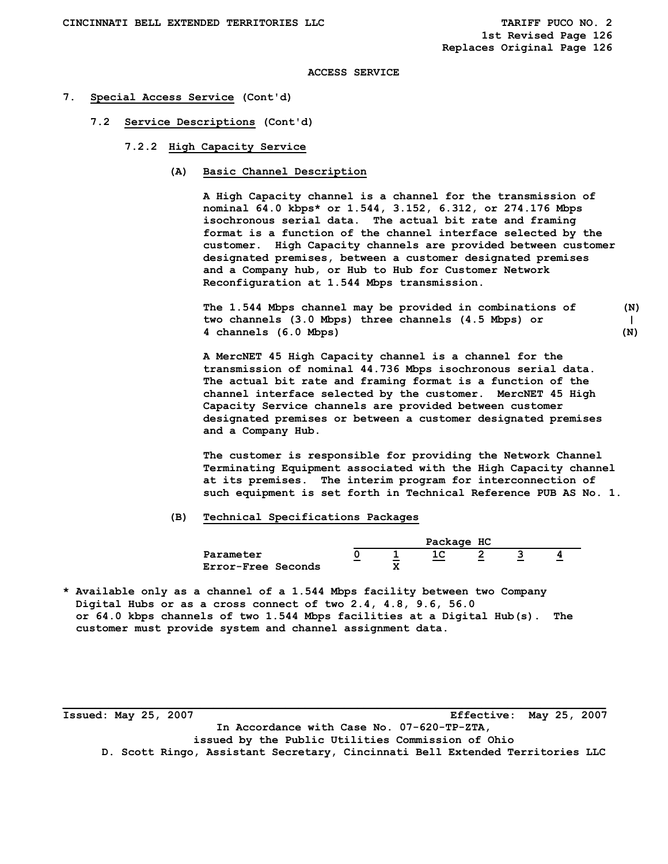**1st Revised Page 126 Replaces Original Page 126** 

### **ACCESS SERVICE**

#### **7. Special Access Service (Cont'd)**

- **7.2 Service Descriptions (Cont'd)** 
	- **7.2.2 High Capacity Service** 
		- **(A) Basic Channel Description**

 **A High Capacity channel is a channel for the transmission of nominal 64.0 kbps\* or 1.544, 3.152, 6.312, or 274.176 Mbps isochronous serial data. The actual bit rate and framing format is a function of the channel interface selected by the customer. High Capacity channels are provided between customer designated premises, between a customer designated premises and a Company hub, or Hub to Hub for Customer Network Reconfiguration at 1.544 Mbps transmission.** 

**The 1.544 Mbps channel may be provided in combinations of (N) two channels (3.0 Mbps) three channels (4.5 Mbps) or | 4 channels (6.0 Mbps) (N)** 

 **A MercNET 45 High Capacity channel is a channel for the transmission of nominal 44.736 Mbps isochronous serial data. The actual bit rate and framing format is a function of the channel interface selected by the customer. MercNET 45 High Capacity Service channels are provided between customer designated premises or between a customer designated premises and a Company Hub.** 

 **The customer is responsible for providing the Network Channel Terminating Equipment associated with the High Capacity channel at its premises. The interim program for interconnection of such equipment is set forth in Technical Reference PUB AS No. 1.** 

#### **(B) Technical Specifications Packages**

|                    |        |         | Package HC |                               |             |    |
|--------------------|--------|---------|------------|-------------------------------|-------------|----|
| Parameter          | $\sim$ | $\sim$  | ᅩ          | ∼<br><b>START OF BUILDING</b> | -<br>$\sim$ | m. |
| Error-Free Seconds |        | 77<br>́ |            |                               |             |    |

**\* Available only as a channel of a 1.544 Mbps facility between two Company Digital Hubs or as a cross connect of two 2.4, 4.8, 9.6, 56.0 or 64.0 kbps channels of two 1.544 Mbps facilities at a Digital Hub(s). The customer must provide system and channel assignment data.** 

**\_\_\_\_\_\_\_\_\_\_\_\_\_\_\_\_\_\_\_\_\_\_\_\_\_\_\_\_\_\_\_\_\_\_\_\_\_\_\_\_\_\_\_\_\_\_\_\_\_\_\_\_\_\_\_\_\_\_\_\_\_\_\_\_\_\_\_\_\_\_\_\_\_\_\_\_\_\_\_\_\_\_\_ Issued: May 25, 2007 Effective: May 25, 2007 In Accordance with Case No. 07-620-TP-ZTA, issued by the Public Utilities Commission of Ohio D. Scott Ringo, Assistant Secretary, Cincinnati Bell Extended Territories LLC**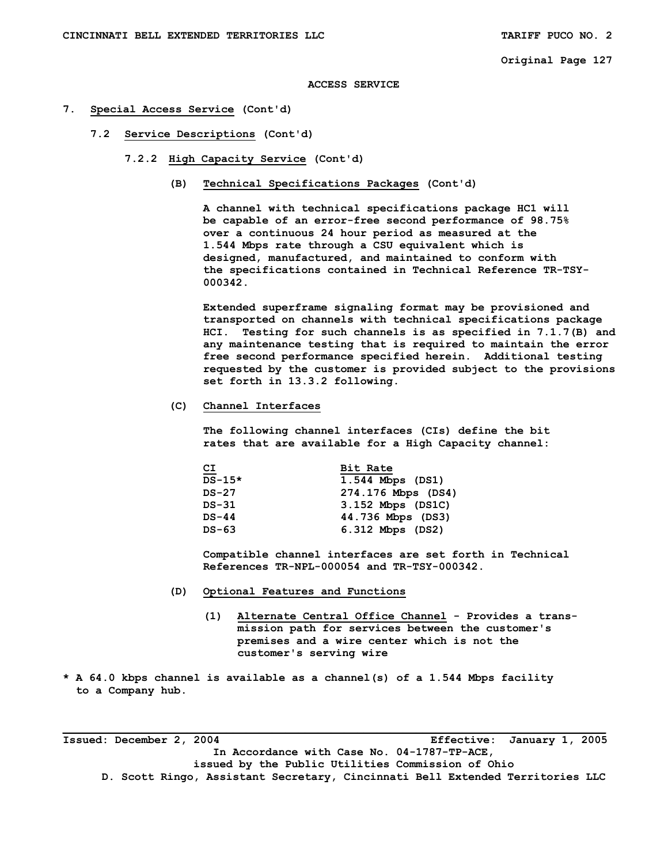### **ACCESS SERVICE**

- **7. Special Access Service (Cont'd)** 
	- **7.2 Service Descriptions (Cont'd)** 
		- **7.2.2 High Capacity Service (Cont'd)** 
			- **(B) Technical Specifications Packages (Cont'd)**

 **A channel with technical specifications package HC1 will be capable of an error-free second performance of 98.75% over a continuous 24 hour period as measured at the 1.544 Mbps rate through a CSU equivalent which is designed, manufactured, and maintained to conform with the specifications contained in Technical Reference TR-TSY- 000342.** 

 **Extended superframe signaling format may be provisioned and transported on channels with technical specifications package HCI. Testing for such channels is as specified in 7.1.7(B) and any maintenance testing that is required to maintain the error free second performance specified herein. Additional testing requested by the customer is provided subject to the provisions set forth in 13.3.2 following.** 

 **(C) Channel Interfaces** 

 **The following channel interfaces (CIs) define the bit rates that are available for a High Capacity channel:** 

| $\overline{c}$ | Bit Rate           |
|----------------|--------------------|
| $DS-15*$       | 1.544 Mbps (DS1)   |
| $DS-27$        | 274.176 Mbps (DS4) |
| DS-31          | 3.152 Mbps (DS1C)  |
| $DS-44$        | 44.736 Mbps (DS3)  |
| DS-63          | 6.312 Mbps (DS2)   |

 **Compatible channel interfaces are set forth in Technical References TR-NPL-000054 and TR-TSY-000342.** 

- **(D) Optional Features and Functions** 
	- **(1) Alternate Central Office Channel Provides a trans mission path for services between the customer's premises and a wire center which is not the customer's serving wire**
- **\* A 64.0 kbps channel is available as a channel(s) of a 1.544 Mbps facility to a Company hub.**

**\_\_\_\_\_\_\_\_\_\_\_\_\_\_\_\_\_\_\_\_\_\_\_\_\_\_\_\_\_\_\_\_\_\_\_\_\_\_\_\_\_\_\_\_\_\_\_\_\_\_\_\_\_\_\_\_\_\_\_\_\_\_\_\_\_\_\_\_\_\_\_\_\_\_\_\_\_\_\_\_\_\_\_ Issued: December 2, 2004 Effective: January 1, 2005 In Accordance with Case No. 04-1787-TP-ACE, issued by the Public Utilities Commission of Ohio D. Scott Ringo, Assistant Secretary, Cincinnati Bell Extended Territories LLC**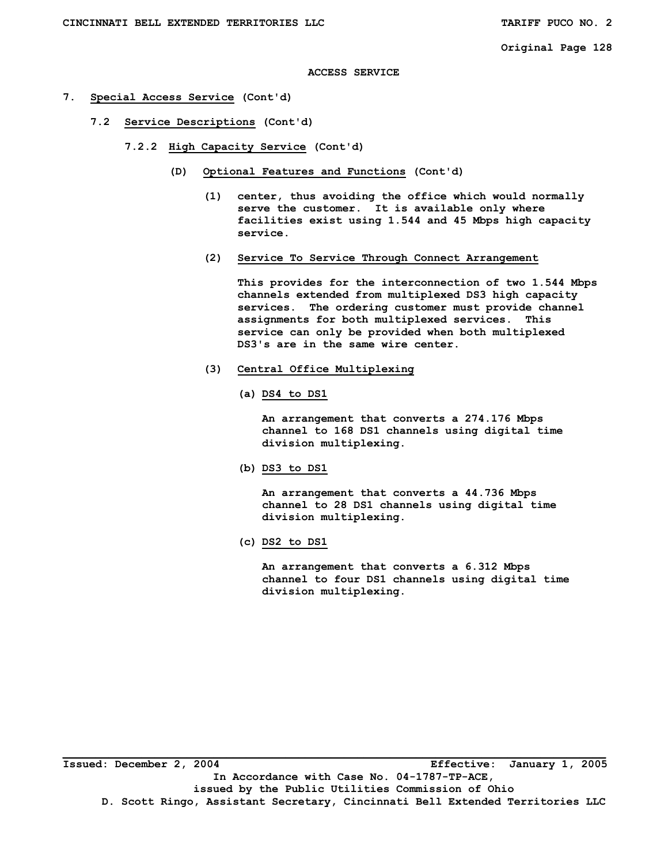### **ACCESS SERVICE**

- **7. Special Access Service (Cont'd)** 
	- **7.2 Service Descriptions (Cont'd)** 
		- **7.2.2 High Capacity Service (Cont'd)** 
			- **(D) Optional Features and Functions (Cont'd)** 
				- **(1) center, thus avoiding the office which would normally serve the customer. It is available only where facilities exist using 1.544 and 45 Mbps high capacity service.**
				- **(2) Service To Service Through Connect Arrangement**

 **This provides for the interconnection of two 1.544 Mbps channels extended from multiplexed DS3 high capacity services. The ordering customer must provide channel assignments for both multiplexed services. This service can only be provided when both multiplexed DS3's are in the same wire center.** 

- **(3) Central Office Multiplexing** 
	- **(a) DS4 to DS1**

 **An arrangement that converts a 274.176 Mbps channel to 168 DS1 channels using digital time division multiplexing.** 

 **(b) DS3 to DS1** 

 **An arrangement that converts a 44.736 Mbps channel to 28 DS1 channels using digital time division multiplexing.** 

 **(c) DS2 to DS1** 

 **An arrangement that converts a 6.312 Mbps channel to four DS1 channels using digital time division multiplexing.**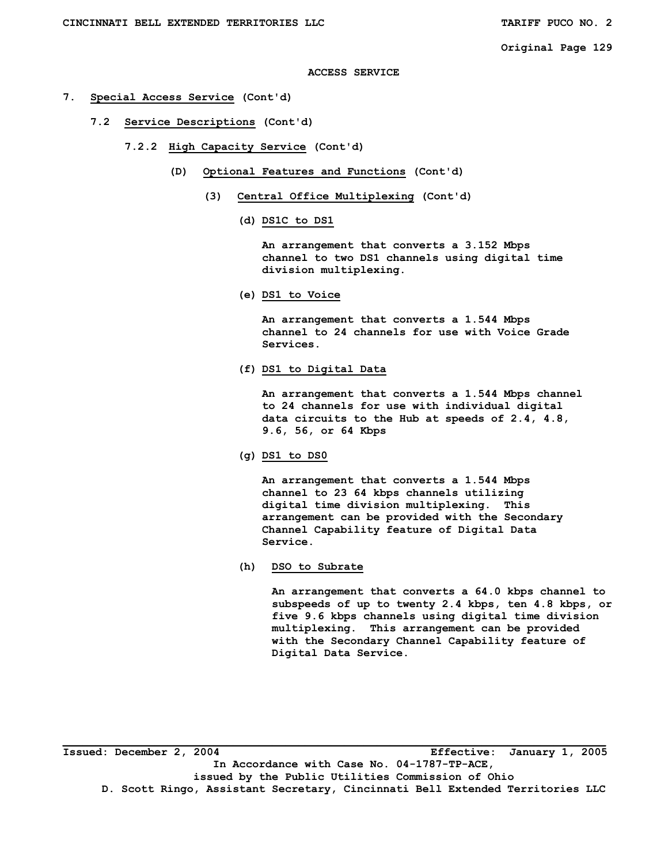### **ACCESS SERVICE**

- **7. Special Access Service (Cont'd)** 
	- **7.2 Service Descriptions (Cont'd)** 
		- **7.2.2 High Capacity Service (Cont'd)** 
			- **(D) Optional Features and Functions (Cont'd)** 
				- **(3) Central Office Multiplexing (Cont'd)** 
					- **(d) DS1C to DS1**

 **An arrangement that converts a 3.152 Mbps channel to two DS1 channels using digital time division multiplexing.** 

 **(e) DS1 to Voice** 

 **An arrangement that converts a 1.544 Mbps channel to 24 channels for use with Voice Grade Services.** 

 **(f) DS1 to Digital Data** 

 **An arrangement that converts a 1.544 Mbps channel to 24 channels for use with individual digital data circuits to the Hub at speeds of 2.4, 4.8, 9.6, 56, or 64 Kbps** 

 **(g) DS1 to DS0** 

 **An arrangement that converts a 1.544 Mbps channel to 23 64 kbps channels utilizing digital time division multiplexing. This arrangement can be provided with the Secondary Channel Capability feature of Digital Data Service.** 

 **(h) DSO to Subrate** 

 **An arrangement that converts a 64.0 kbps channel to subspeeds of up to twenty 2.4 kbps, ten 4.8 kbps, or five 9.6 kbps channels using digital time division multiplexing. This arrangement can be provided with the Secondary Channel Capability feature of Digital Data Service.** 

**\_\_\_\_\_\_\_\_\_\_\_\_\_\_\_\_\_\_\_\_\_\_\_\_\_\_\_\_\_\_\_\_\_\_\_\_\_\_\_\_\_\_\_\_\_\_\_\_\_\_\_\_\_\_\_\_\_\_\_\_\_\_\_\_\_\_\_\_\_\_\_\_\_\_\_\_\_\_\_\_\_\_\_ Issued: December 2, 2004 Effective: January 1, 2005 In Accordance with Case No. 04-1787-TP-ACE, issued by the Public Utilities Commission of Ohio D. Scott Ringo, Assistant Secretary, Cincinnati Bell Extended Territories LLC**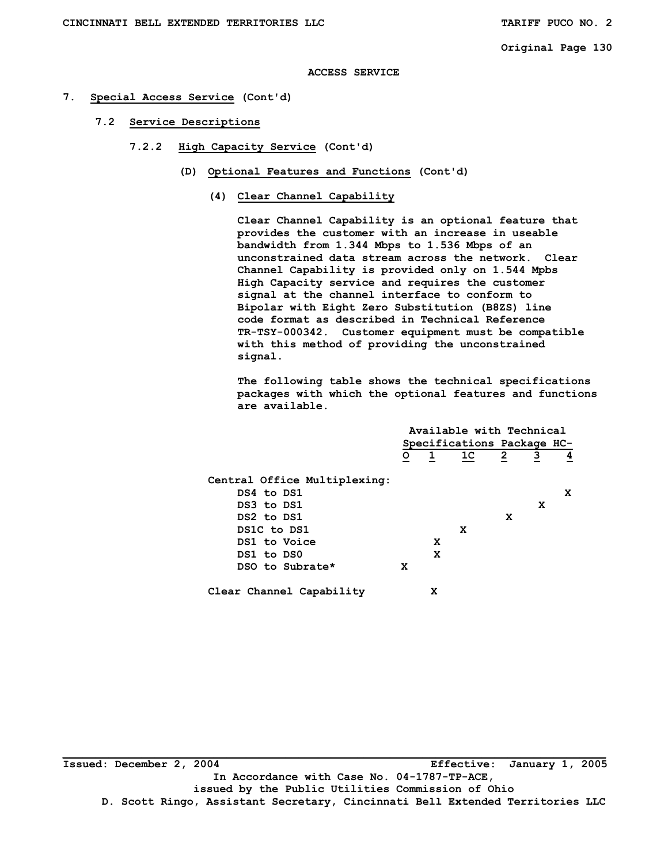# **ACCESS SERVICE**

# **7. Special Access Service (Cont'd)**

- **7.2 Service Descriptions** 
	- **7.2.2 High Capacity Service (Cont'd)** 
		- **(D) Optional Features and Functions (Cont'd)** 
			- **(4) Clear Channel Capability**

 **Clear Channel Capability is an optional feature that provides the customer with an increase in useable bandwidth from 1.344 Mbps to 1.536 Mbps of an unconstrained data stream across the network. Clear Channel Capability is provided only on 1.544 Mpbs High Capacity service and requires the customer signal at the channel interface to conform to Bipolar with Eight Zero Substitution (B8ZS) line code format as described in Technical Reference TR-TSY-000342. Customer equipment must be compatible with this method of providing the unconstrained signal.** 

**The following table shows the technical specifications packages with which the optional features and functions are available.** 

|                              | Available with Technical   |              |                |                |                |   |
|------------------------------|----------------------------|--------------|----------------|----------------|----------------|---|
|                              | Specifications Package HC- |              |                |                |                |   |
|                              | $\overline{\circ}$         | $\mathbf{1}$ | 1 <sup>C</sup> | $\overline{2}$ | $\overline{3}$ | 4 |
| Central Office Multiplexing: |                            |              |                |                |                |   |
| DS4 to DS1                   |                            |              |                |                |                | x |
| DS3 to DS1                   |                            |              |                |                | x              |   |
| DS2 to DS1                   |                            |              |                | X              |                |   |
| DS1C to DS1                  |                            |              | x              |                |                |   |
| DS1 to Voice                 |                            | X            |                |                |                |   |
| DS1 to DS0                   |                            | X            |                |                |                |   |
| DSO to Subrate*              | X                          |              |                |                |                |   |
| Clear Channel Capability     |                            | x            |                |                |                |   |

**\_\_\_\_\_\_\_\_\_\_\_\_\_\_\_\_\_\_\_\_\_\_\_\_\_\_\_\_\_\_\_\_\_\_\_\_\_\_\_\_\_\_\_\_\_\_\_\_\_\_\_\_\_\_\_\_\_\_\_\_\_\_\_\_\_\_\_\_\_\_\_\_\_\_\_\_\_\_\_\_\_\_\_ Issued: December 2, 2004 Effective: January 1, 2005 In Accordance with Case No. 04-1787-TP-ACE, issued by the Public Utilities Commission of Ohio D. Scott Ringo, Assistant Secretary, Cincinnati Bell Extended Territories LLC**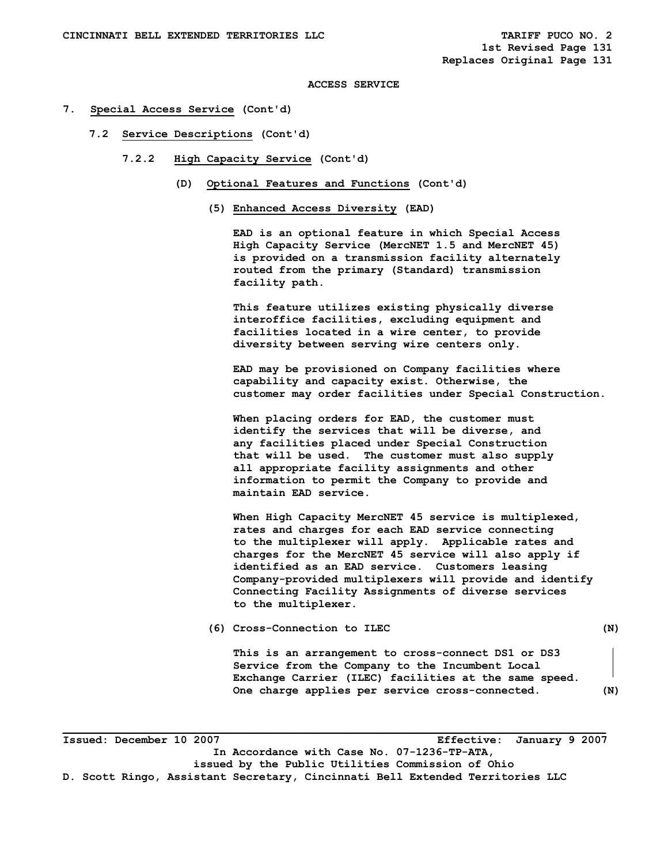- **7. Special Access Service (Cont'd)** 
	- **7.2 Service Descriptions (Cont'd)** 
		- **7.2.2 High Capacity Service (Cont'd)** 
			- **(D) Optional Features and Functions (Cont'd)** 
				- **(5) Enhanced Access Diversity (EAD)**

 **EAD is an optional feature in which Special Access High Capacity Service (MercNET 1.5 and MercNET 45) is provided on a transmission facility alternately routed from the primary (Standard) transmission facility path.** 

 **This feature utilizes existing physically diverse interoffice facilities, excluding equipment and facilities located in a wire center, to provide diversity between serving wire centers only.** 

 **EAD may be provisioned on Company facilities where capability and capacity exist. Otherwise, the customer may order facilities under Special Construction.** 

 **When placing orders for EAD, the customer must identify the services that will be diverse, and any facilities placed under Special Construction that will be used. The customer must also supply all appropriate facility assignments and other information to permit the Company to provide and maintain EAD service.** 

 **When High Capacity MercNET 45 service is multiplexed, rates and charges for each EAD service connecting to the multiplexer will apply. Applicable rates and charges for the MercNET 45 service will also apply if identified as an EAD service. Customers leasing Company-provided multiplexers will provide and identify Connecting Facility Assignments of diverse services to the multiplexer.** 

 **(6) Cross-Connection to ILEC (N)** 

**This is an arrangement to cross-connect DS1 or DS3 Service from the Company to the Incumbent Local Exchange Carrier (ILEC) facilities at the same speed. One charge applies per service cross-connected. (N)** 

**\_\_\_\_\_\_\_\_\_\_\_\_\_\_\_\_\_\_\_\_\_\_\_\_\_\_\_\_\_\_\_\_\_\_\_\_\_\_\_\_\_\_\_\_\_\_\_\_\_\_\_\_\_\_\_\_\_\_\_\_\_\_\_\_\_\_\_\_\_\_\_\_\_\_\_\_\_\_\_\_\_\_\_ Issued: December 10 2007 Effective: January 9 2007 In Accordance with Case No. 07-1236-TP-ATA, issued by the Public Utilities Commission of Ohio D. Scott Ringo, Assistant Secretary, Cincinnati Bell Extended Territories LLC**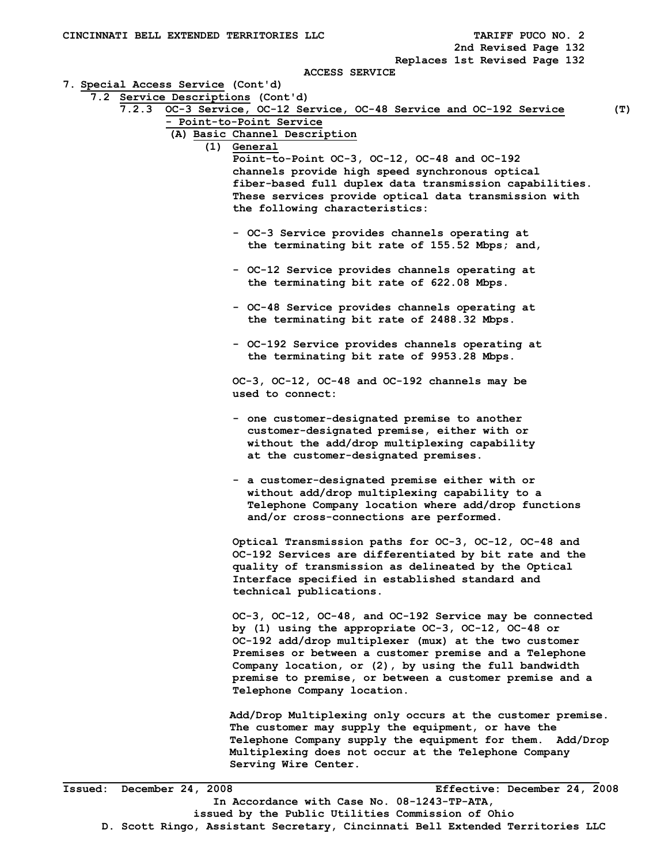| CINCINNATI BELL EXTENDED TERRITORIES LLC |                                                                                                                  | TARIFF PUCO NO. 2<br>2nd Revised Page 132 |
|------------------------------------------|------------------------------------------------------------------------------------------------------------------|-------------------------------------------|
|                                          |                                                                                                                  | Replaces 1st Revised Page 132             |
|                                          | <b>ACCESS SERVICE</b>                                                                                            |                                           |
| 7. Special Access Service (Cont'd)       |                                                                                                                  |                                           |
| 7.2 Service Descriptions (Cont'd)        |                                                                                                                  |                                           |
|                                          | 7.2.3 OC-3 Service, OC-12 Service, OC-48 Service and OC-192 Service                                              | (T)                                       |
|                                          | - Point-to-Point Service                                                                                         |                                           |
|                                          | (A) Basic Channel Description                                                                                    |                                           |
|                                          | (1) General                                                                                                      |                                           |
|                                          | Point-to-Point OC-3, OC-12, OC-48 and OC-192                                                                     |                                           |
|                                          | channels provide high speed synchronous optical                                                                  |                                           |
|                                          | fiber-based full duplex data transmission capabilities.                                                          |                                           |
|                                          | These services provide optical data transmission with                                                            |                                           |
|                                          | the following characteristics:                                                                                   |                                           |
|                                          | - OC-3 Service provides channels operating at                                                                    |                                           |
|                                          | the terminating bit rate of 155.52 Mbps; and,                                                                    |                                           |
|                                          |                                                                                                                  |                                           |
|                                          | - OC-12 Service provides channels operating at                                                                   |                                           |
|                                          | the terminating bit rate of 622.08 Mbps.                                                                         |                                           |
|                                          |                                                                                                                  |                                           |
|                                          | - OC-48 Service provides channels operating at                                                                   |                                           |
|                                          | the terminating bit rate of 2488.32 Mbps.                                                                        |                                           |
|                                          |                                                                                                                  |                                           |
|                                          | - OC-192 Service provides channels operating at                                                                  |                                           |
|                                          | the terminating bit rate of 9953.28 Mbps.                                                                        |                                           |
|                                          |                                                                                                                  |                                           |
|                                          | OC-3, OC-12, OC-48 and OC-192 channels may be                                                                    |                                           |
|                                          | used to connect:                                                                                                 |                                           |
|                                          |                                                                                                                  |                                           |
|                                          | - one customer-designated premise to another<br>customer-designated premise, either with or                      |                                           |
|                                          | without the add/drop multiplexing capability                                                                     |                                           |
|                                          | at the customer-designated premises.                                                                             |                                           |
|                                          |                                                                                                                  |                                           |
|                                          | - a customer-designated premise either with or                                                                   |                                           |
|                                          | without add/drop multiplexing capability to a                                                                    |                                           |
|                                          | Telephone Company location where add/drop functions                                                              |                                           |
|                                          | and/or cross-connections are performed.                                                                          |                                           |
|                                          |                                                                                                                  |                                           |
|                                          | Optical Transmission paths for OC-3, OC-12, OC-48 and                                                            |                                           |
|                                          | OC-192 Services are differentiated by bit rate and the                                                           |                                           |
|                                          | quality of transmission as delineated by the Optical                                                             |                                           |
|                                          | Interface specified in established standard and                                                                  |                                           |
|                                          | technical publications.                                                                                          |                                           |
|                                          |                                                                                                                  |                                           |
|                                          | OC-3, OC-12, OC-48, and OC-192 Service may be connected                                                          |                                           |
|                                          | by (1) using the appropriate OC-3, OC-12, OC-48 or                                                               |                                           |
|                                          | OC-192 add/drop multiplexer (mux) at the two customer                                                            |                                           |
|                                          | Premises or between a customer premise and a Telephone                                                           |                                           |
|                                          | Company location, or (2), by using the full bandwidth                                                            |                                           |
|                                          | premise to premise, or between a customer premise and a                                                          |                                           |
|                                          | Telephone Company location.                                                                                      |                                           |
|                                          |                                                                                                                  |                                           |
|                                          | Add/Drop Multiplexing only occurs at the customer premise.<br>The customer may supply the equipment, or have the |                                           |
|                                          | Telephone Company supply the equipment for them. Add/Drop                                                        |                                           |
|                                          | Multiplexing does not occur at the Telephone Company                                                             |                                           |
|                                          | Serving Wire Center.                                                                                             |                                           |
|                                          |                                                                                                                  |                                           |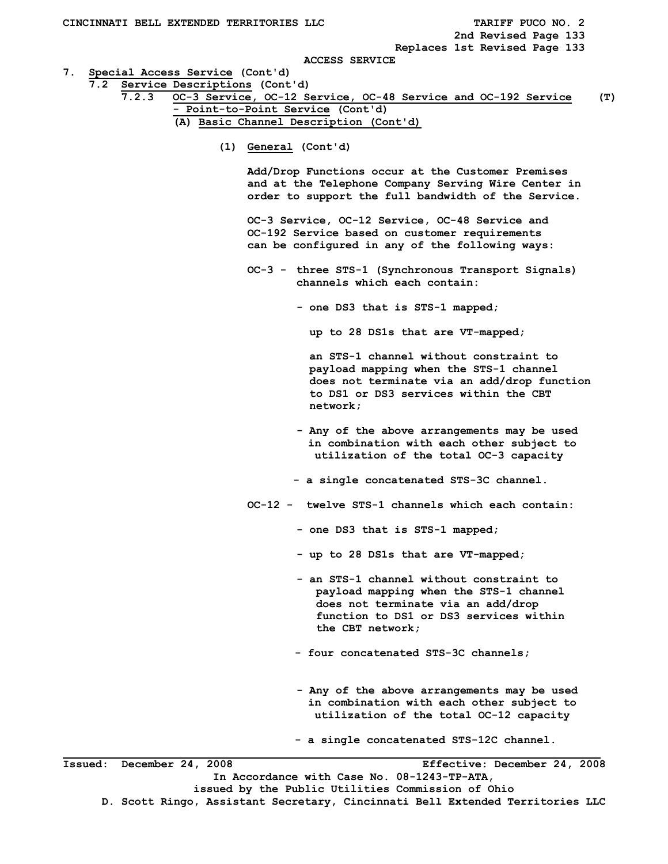**Replaces 1st Revised Page 133** 

#### **ACCESS SERVICE**

**7. Special Access Service (Cont'd)** 

 **7.2 Service Descriptions (Cont'd)** 

 **7.2.3 OC-3 Service, OC-12 Service, OC-48 Service and OC-192 Service (T) - Point-to-Point Service (Cont'd) (A) Basic Channel Description (Cont'd)** 

 **(1) General (Cont'd)** 

 **Add/Drop Functions occur at the Customer Premises and at the Telephone Company Serving Wire Center in order to support the full bandwidth of the Service.** 

 **OC-3 Service, OC-12 Service, OC-48 Service and OC-192 Service based on customer requirements can be configured in any of the following ways:** 

 **OC-3 - three STS-1 (Synchronous Transport Signals) channels which each contain:** 

 **- one DS3 that is STS-1 mapped;** 

 **up to 28 DS1s that are VT-mapped;** 

 **an STS-1 channel without constraint to payload mapping when the STS-1 channel does not terminate via an add/drop function to DS1 or DS3 services within the CBT network;** 

 **- Any of the above arrangements may be used in combination with each other subject to utilization of the total OC-3 capacity** 

- **a single concatenated STS-3C channel.**
- **OC-12 twelve STS-1 channels which each contain:** 
	- **one DS3 that is STS-1 mapped;**
	- **up to 28 DS1s that are VT-mapped;**
	- **an STS-1 channel without constraint to payload mapping when the STS-1 channel does not terminate via an add/drop function to DS1 or DS3 services within the CBT network;**
	- **four concatenated STS-3C channels;**
	- **Any of the above arrangements may be used in combination with each other subject to utilization of the total OC-12 capacity**

 **- a single concatenated STS-12C channel.**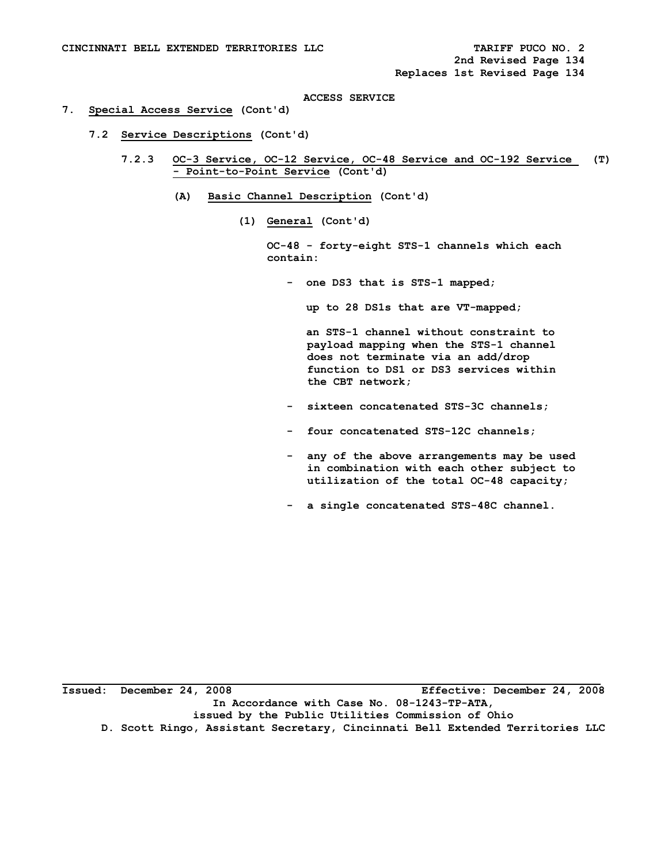### **7. Special Access Service (Cont'd)**

- **7.2 Service Descriptions (Cont'd)** 
	- **7.2.3 OC-3 Service, OC-12 Service, OC-48 Service and OC-192 Service (T) - Point-to-Point Service (Cont'd)** 
		- **(A) Basic Channel Description (Cont'd)** 
			- **(1) General (Cont'd)**

 **OC-48 - forty-eight STS-1 channels which each contain:** 

 **- one DS3 that is STS-1 mapped;** 

 **up to 28 DS1s that are VT-mapped;** 

 **an STS-1 channel without constraint to payload mapping when the STS-1 channel does not terminate via an add/drop function to DS1 or DS3 services within the CBT network;** 

- **sixteen concatenated STS-3C channels;**
- **four concatenated STS-12C channels;**
- **any of the above arrangements may be used in combination with each other subject to utilization of the total OC-48 capacity;**
- **a single concatenated STS-48C channel.**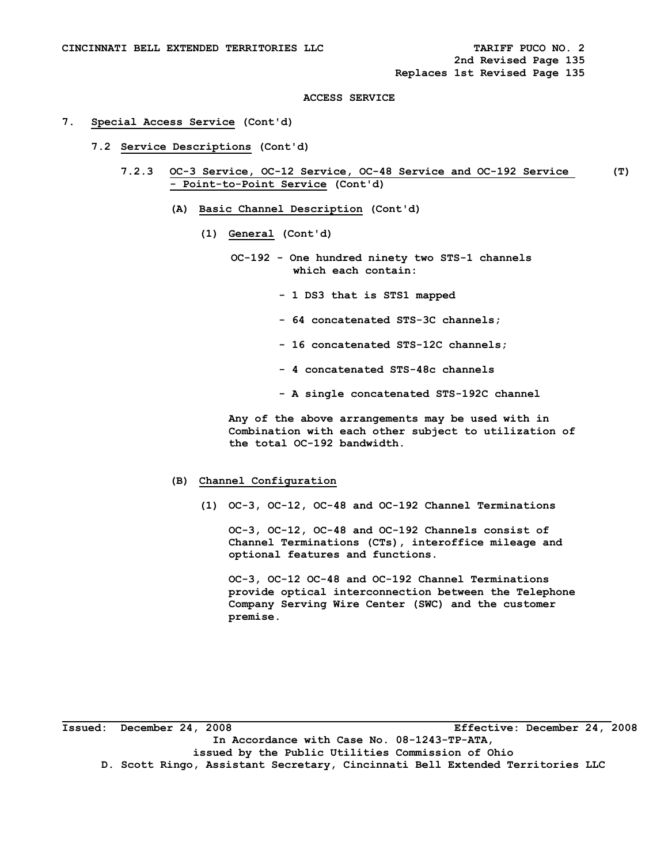# **7. Special Access Service (Cont'd)**

- **7.2 Service Descriptions (Cont'd)** 
	- **7.2.3 OC-3 Service, OC-12 Service, OC-48 Service and OC-192 Service (T) - Point-to-Point Service (Cont'd)** 
		- **(A) Basic Channel Description (Cont'd)** 
			- **(1) General (Cont'd)** 
				- **OC-192 One hundred ninety two STS-1 channels which each contain:** 
					- **1 DS3 that is STS1 mapped**
					- **64 concatenated STS-3C channels;**
					- **16 concatenated STS-12C channels;**
					- **4 concatenated STS-48c channels**
					- **A single concatenated STS-192C channel**

 **Any of the above arrangements may be used with in Combination with each other subject to utilization of the total OC-192 bandwidth.** 

### **(B) Channel Configuration**

 **(1) OC-3, OC-12, OC-48 and OC-192 Channel Terminations** 

 **OC-3, OC-12, OC-48 and OC-192 Channels consist of Channel Terminations (CTs), interoffice mileage and optional features and functions.** 

 **OC-3, OC-12 OC-48 and OC-192 Channel Terminations provide optical interconnection between the Telephone Company Serving Wire Center (SWC) and the customer premise.**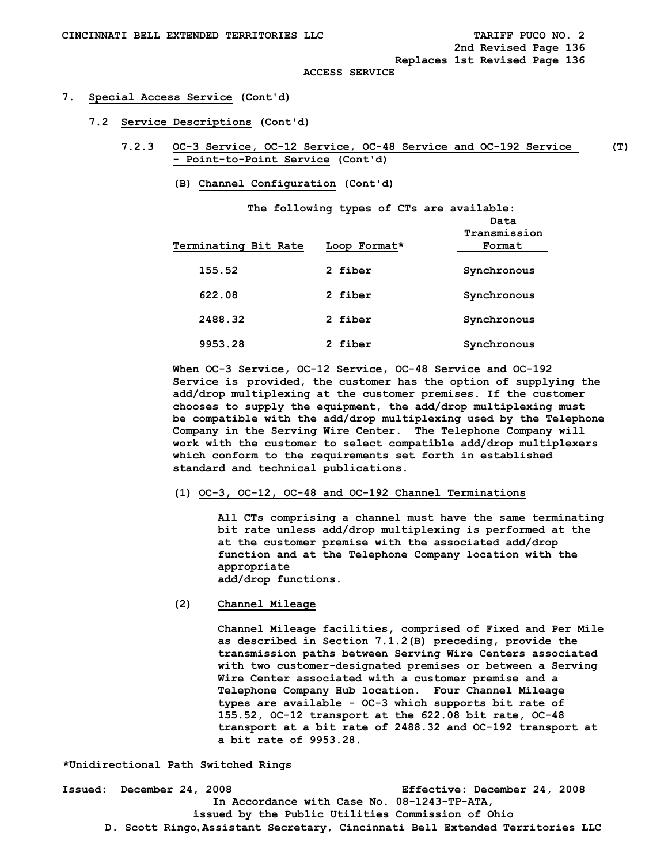**Replaces 1st Revised Page 136** 

 **ACCESS SERVICE** 

#### **7. Special Access Service (Cont'd)**

- **7.2 Service Descriptions (Cont'd)** 
	- **7.2.3 OC-3 Service, OC-12 Service, OC-48 Service and OC-192 Service (T) - Point-to-Point Service (Cont'd)** 
		- **(B) Channel Configuration (Cont'd)**

| Terminating Bit Rate | The following types of CTs are available:<br>Loop Format* | Data<br>Transmission<br>Format |
|----------------------|-----------------------------------------------------------|--------------------------------|
| 155.52               | 2 fiber                                                   | Synchronous                    |
| 622.08               | 2 fiber                                                   | Synchronous                    |
| 2488.32              | 2 fiber                                                   | Synchronous                    |
| 9953.28              | 2 fiber                                                   | Synchronous                    |

**When OC-3 Service, OC-12 Service, OC-48 Service and OC-192 Service is provided, the customer has the option of supplying the add/drop multiplexing at the customer premises. If the customer chooses to supply the equipment, the add/drop multiplexing must be compatible with the add/drop multiplexing used by the Telephone Company in the Serving Wire Center. The Telephone Company will work with the customer to select compatible add/drop multiplexers which conform to the requirements set forth in established standard and technical publications.** 

# **(1) OC-3, OC-12, OC-48 and OC-192 Channel Terminations**

 **All CTs comprising a channel must have the same terminating bit rate unless add/drop multiplexing is performed at the at the customer premise with the associated add/drop function and at the Telephone Company location with the appropriate add/drop functions.** 

 **(2) Channel Mileage** 

 **Channel Mileage facilities, comprised of Fixed and Per Mile as described in Section 7.1.2(B) preceding, provide the transmission paths between Serving Wire Centers associated with two customer-designated premises or between a Serving Wire Center associated with a customer premise and a Telephone Company Hub location. Four Channel Mileage types are available - OC-3 which supports bit rate of 155.52, OC-12 transport at the 622.08 bit rate, OC-48 transport at a bit rate of 2488.32 and OC-192 transport at a bit rate of 9953.28.** 

**\*Unidirectional Path Switched Rings**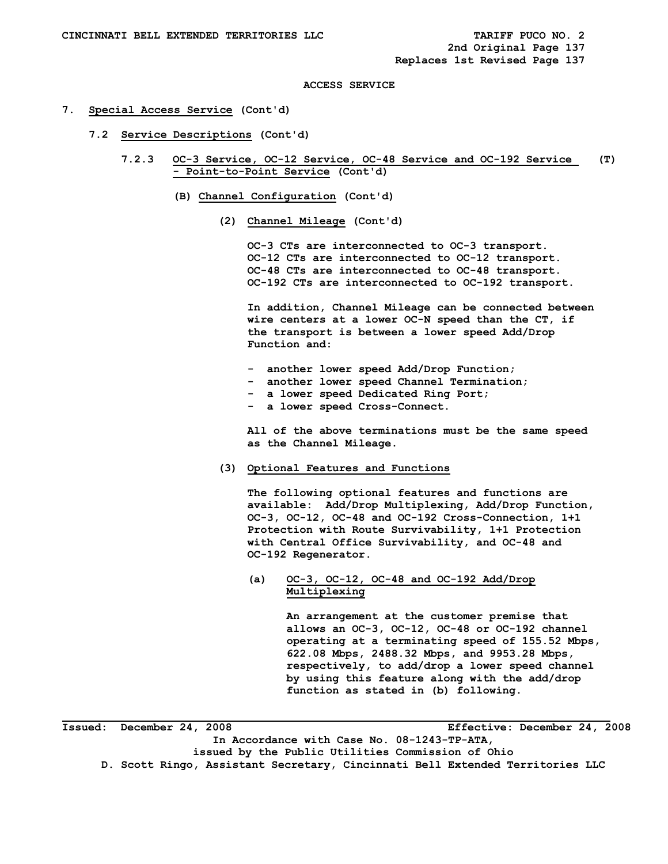#### **7. Special Access Service (Cont'd)**

- **7.2 Service Descriptions (Cont'd)** 
	- **7.2.3 OC-3 Service, OC-12 Service, OC-48 Service and OC-192 Service (T) - Point-to-Point Service (Cont'd)** 
		- **(B) Channel Configuration (Cont'd)** 
			- **(2) Channel Mileage (Cont'd)**

 **OC-3 CTs are interconnected to OC-3 transport. OC-12 CTs are interconnected to OC-12 transport. OC-48 CTs are interconnected to OC-48 transport. OC-192 CTs are interconnected to OC-192 transport.** 

 **In addition, Channel Mileage can be connected between wire centers at a lower OC-N speed than the CT, if the transport is between a lower speed Add/Drop Function and:** 

- **another lower speed Add/Drop Function;**
- **another lower speed Channel Termination;**
- **a lower speed Dedicated Ring Port;**
- **a lower speed Cross-Connect.**

 **All of the above terminations must be the same speed as the Channel Mileage.** 

 **(3) Optional Features and Functions** 

 **The following optional features and functions are available: Add/Drop Multiplexing, Add/Drop Function, OC-3, OC-12, OC-48 and OC-192 Cross-Connection, 1+1 Protection with Route Survivability, 1+1 Protection with Central Office Survivability, and OC-48 and OC-192 Regenerator.** 

 **(a) OC-3, OC-12, OC-48 and OC-192 Add/Drop Multiplexing** 

> **An arrangement at the customer premise that allows an OC-3, OC-12, OC-48 or OC-192 channel operating at a terminating speed of 155.52 Mbps, 622.08 Mbps, 2488.32 Mbps, and 9953.28 Mbps, respectively, to add/drop a lower speed channel by using this feature along with the add/drop function as stated in (b) following.**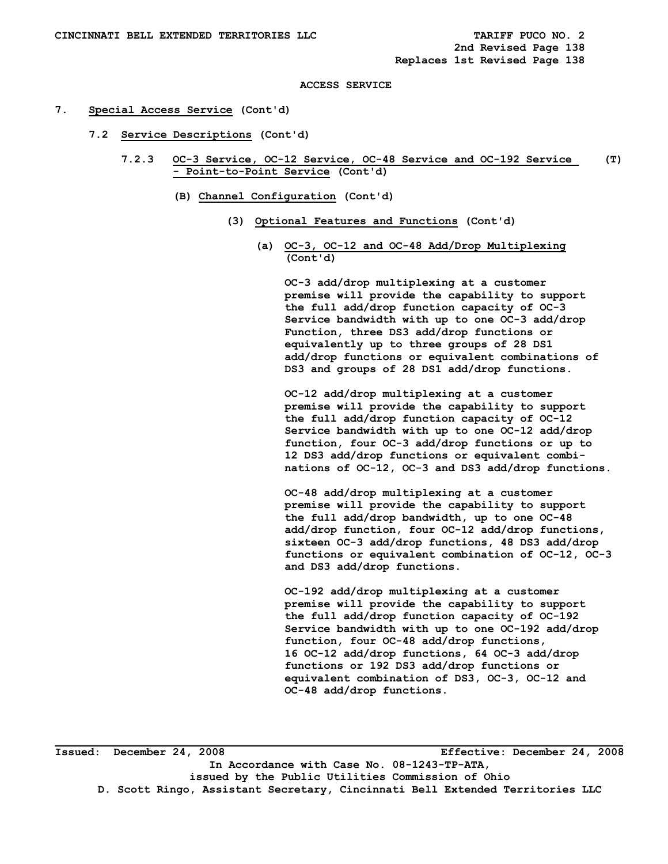#### **7. Special Access Service (Cont'd)**

- **7.2 Service Descriptions (Cont'd)** 
	- **7.2.3 OC-3 Service, OC-12 Service, OC-48 Service and OC-192 Service (T) - Point-to-Point Service (Cont'd)** 
		- **(B) Channel Configuration (Cont'd)** 
			- **(3) Optional Features and Functions (Cont'd)** 
				- **(a) OC-3, OC-12 and OC-48 Add/Drop Multiplexing (Cont'd)**

 **OC-3 add/drop multiplexing at a customer premise will provide the capability to support the full add/drop function capacity of OC-3 Service bandwidth with up to one OC-3 add/drop Function, three DS3 add/drop functions or equivalently up to three groups of 28 DS1 add/drop functions or equivalent combinations of DS3 and groups of 28 DS1 add/drop functions.** 

 **OC-12 add/drop multiplexing at a customer premise will provide the capability to support the full add/drop function capacity of OC-12 Service bandwidth with up to one OC-12 add/drop function, four OC-3 add/drop functions or up to 12 DS3 add/drop functions or equivalent combi nations of OC-12, OC-3 and DS3 add/drop functions.** 

 **OC-48 add/drop multiplexing at a customer premise will provide the capability to support the full add/drop bandwidth, up to one OC-48 add/drop function, four OC-12 add/drop functions, sixteen OC-3 add/drop functions, 48 DS3 add/drop functions or equivalent combination of OC-12, OC-3 and DS3 add/drop functions.** 

 **OC-192 add/drop multiplexing at a customer premise will provide the capability to support the full add/drop function capacity of OC-192 Service bandwidth with up to one OC-192 add/drop function, four OC-48 add/drop functions, 16 OC-12 add/drop functions, 64 OC-3 add/drop functions or 192 DS3 add/drop functions or equivalent combination of DS3, OC-3, OC-12 and OC-48 add/drop functions.**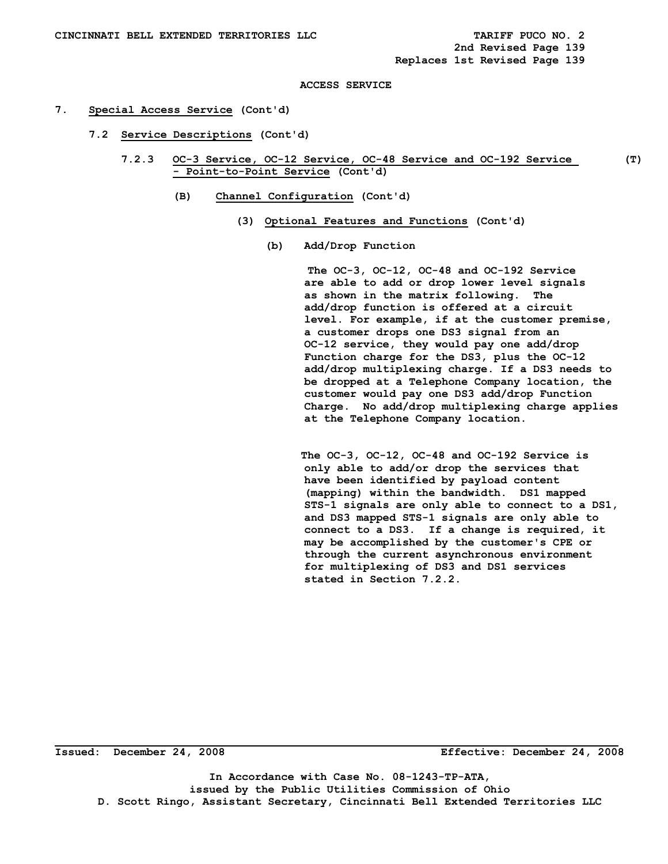#### **7. Special Access Service (Cont'd)**

- **7.2 Service Descriptions (Cont'd)** 
	- **7.2.3 OC-3 Service, OC-12 Service, OC-48 Service and OC-192 Service (T) - Point-to-Point Service (Cont'd)** 
		- **(B) Channel Configuration (Cont'd)** 
			- **(3) Optional Features and Functions (Cont'd)** 
				- **(b) Add/Drop Function**

 **The OC-3, OC-12, OC-48 and OC-192 Service are able to add or drop lower level signals as shown in the matrix following. The add/drop function is offered at a circuit level. For example, if at the customer premise, a customer drops one DS3 signal from an OC-12 service, they would pay one add/drop Function charge for the DS3, plus the OC-12 add/drop multiplexing charge. If a DS3 needs to be dropped at a Telephone Company location, the customer would pay one DS3 add/drop Function Charge. No add/drop multiplexing charge applies at the Telephone Company location.** 

 **The OC-3, OC-12, OC-48 and OC-192 Service is only able to add/or drop the services that have been identified by payload content (mapping) within the bandwidth. DS1 mapped STS-1 signals are only able to connect to a DS1, and DS3 mapped STS-1 signals are only able to connect to a DS3. If a change is required, it may be accomplished by the customer's CPE or through the current asynchronous environment for multiplexing of DS3 and DS1 services stated in Section 7.2.2.** 

**Issued: December 24, 2008 Effective: December 24, 2008** 

**In Accordance with Case No. 08-1243-TP-ATA, issued by the Public Utilities Commission of Ohio D. Scott Ringo, Assistant Secretary, Cincinnati Bell Extended Territories LLC**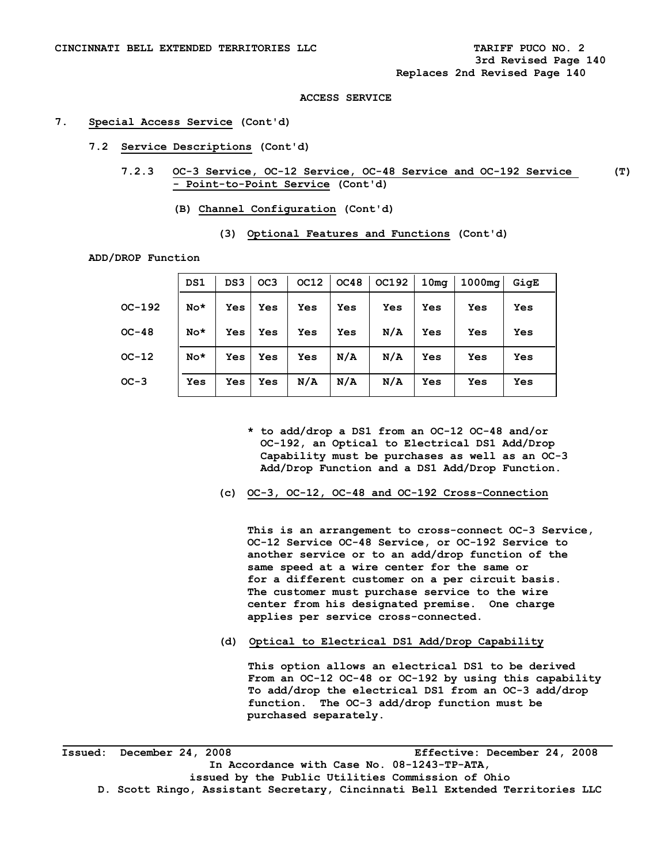### **7. Special Access Service (Cont'd)**

- **7.2 Service Descriptions (Cont'd)** 
	- **7.2.3 OC-3 Service, OC-12 Service, OC-48 Service and OC-192 Service (T) - Point-to-Point Service (Cont'd)** 
		- **(B) Channel Configuration (Cont'd)**

|          | DS1   | DS3        | OC <sub>3</sub> | OC12 | OC48 | <b>OC192</b> | 10 <sub>mq</sub> | 1000 <sub>ma</sub> | GigE |  |
|----------|-------|------------|-----------------|------|------|--------------|------------------|--------------------|------|--|
| $OC-192$ | $No*$ | <b>Yes</b> | <b>Yes</b>      | Yes  | Yes  | Yes          | Yes              | Yes                | Yes  |  |
| $OC-48$  | $No*$ | Yes        | <b>Yes</b>      | Yes  | Yes  | N/A          | Yes              | Yes                | Yes  |  |
| $OC-12$  | $No*$ | Yes        | <b>Yes</b>      | Yes  | N/A  | N/A          | Yes              | Yes                | Yes  |  |
| $OC-3$   | Yes   | Yes        | Yes             | N/A  | N/A  | N/A          | Yes              | Yes                | Yes  |  |

 **(3) Optional Features and Functions (Cont'd)**

**ADD/DROP Function** 

- **\* to add/drop a DS1 from an OC-12 OC-48 and/or OC-192, an Optical to Electrical DS1 Add/Drop Capability must be purchases as well as an OC-3 Add/Drop Function and a DS1 Add/Drop Function.**
- **(c) OC-3, OC-12, OC-48 and OC-192 Cross-Connection**

 **This is an arrangement to cross-connect OC-3 Service, OC-12 Service OC-48 Service, or OC-192 Service to another service or to an add/drop function of the same speed at a wire center for the same or for a different customer on a per circuit basis. The customer must purchase service to the wire center from his designated premise. One charge applies per service cross-connected.** 

**(d) Optical to Electrical DS1 Add/Drop Capability** 

**This option allows an electrical DS1 to be derived From an OC-12 OC-48 or OC-192 by using this capability To add/drop the electrical DS1 from an OC-3 add/drop function. The OC-3 add/drop function must be purchased separately.**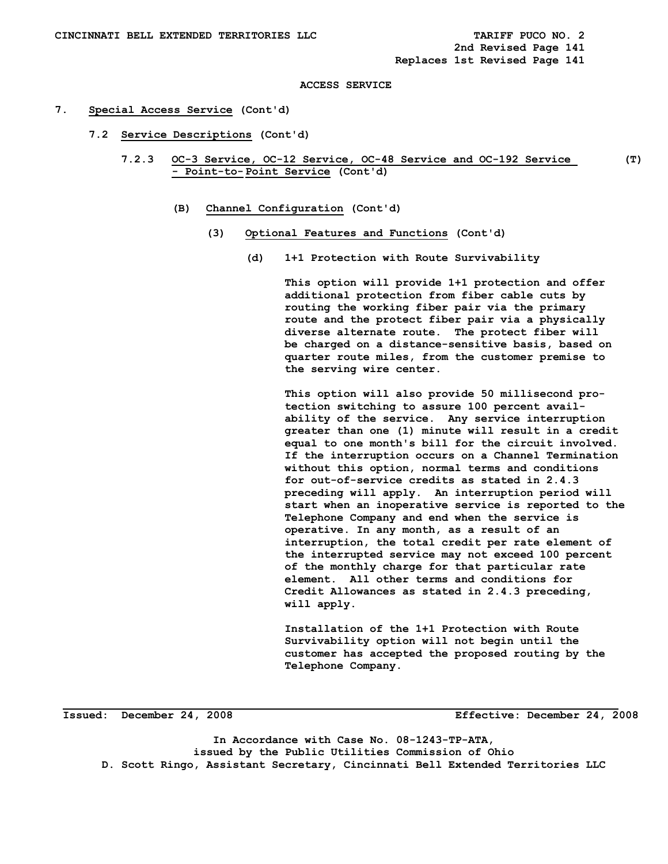#### **7. Special Access Service (Cont'd)**

- **7.2 Service Descriptions (Cont'd)** 
	- **7.2.3 OC-3 Service, OC-12 Service, OC-48 Service and OC-192 Service (T) - Point-to- Point Service (Cont'd)** 
		- **(B) Channel Configuration (Cont'd)** 
			- **(3) Optional Features and Functions (Cont'd)** 
				- **(d) 1+1 Protection with Route Survivability**

 **This option will provide 1+1 protection and offer additional protection from fiber cable cuts by routing the working fiber pair via the primary route and the protect fiber pair via a physically diverse alternate route. The protect fiber will be charged on a distance-sensitive basis, based on quarter route miles, from the customer premise to the serving wire center.** 

 **This option will also provide 50 millisecond pro tection switching to assure 100 percent avail ability of the service. Any service interruption greater than one (1) minute will result in a credit equal to one month's bill for the circuit involved. If the interruption occurs on a Channel Termination without this option, normal terms and conditions for out-of-service credits as stated in 2.4.3 preceding will apply. An interruption period will start when an inoperative service is reported to the Telephone Company and end when the service is operative. In any month, as a result of an interruption, the total credit per rate element of the interrupted service may not exceed 100 percent of the monthly charge for that particular rate element. All other terms and conditions for Credit Allowances as stated in 2.4.3 preceding, will apply.** 

 **Installation of the 1+1 Protection with Route Survivability option will not begin until the customer has accepted the proposed routing by the Telephone Company.** 

**Issued: December 24, 2008 Effective: December 24, 2008** 

**In Accordance with Case No. 08-1243-TP-ATA, issued by the Public Utilities Commission of Ohio D. Scott Ringo, Assistant Secretary, Cincinnati Bell Extended Territories LLC**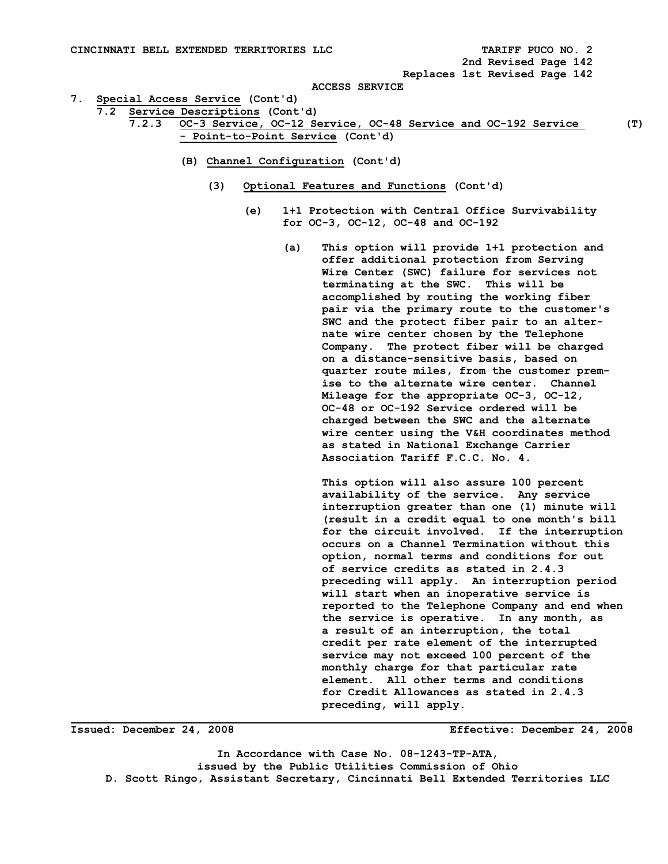**2nd Revised Page 142** 

 **Replaces 1st Revised Page 142** 

**ACCESS SERVICE** 

- **7. Special Access Service (Cont'd)** 
	- **7.2 Service Descriptions (Cont'd)** 
		- **7.2.3 OC-3 Service, OC-12 Service, OC-48 Service and OC-192 Service (T) - Point-to-Point Service (Cont'd)** 
			- **(B) Channel Configuration (Cont'd)** 
				- **(3) Optional Features and Functions (Cont'd)** 
					- **(e) 1+1 Protection with Central Office Survivability for OC-3, OC-12, OC-48 and OC-192** 
						- **(a) This option will provide 1+1 protection and offer additional protection from Serving Wire Center (SWC) failure for services not terminating at the SWC. This will be accomplished by routing the working fiber pair via the primary route to the customer's SWC and the protect fiber pair to an alter nate wire center chosen by the Telephone Company. The protect fiber will be charged on a distance-sensitive basis, based on quarter route miles, from the customer prem ise to the alternate wire center. Channel Mileage for the appropriate OC-3, OC-12, OC-48 or OC-192 Service ordered will be charged between the SWC and the alternate wire center using the V&H coordinates method as stated in National Exchange Carrier Association Tariff F.C.C. No. 4.**

 **This option will also assure 100 percent availability of the service. Any service interruption greater than one (1) minute will (result in a credit equal to one month's bill for the circuit involved. If the interruption occurs on a Channel Termination without this option, normal terms and conditions for out of service credits as stated in 2.4.3 preceding will apply. An interruption period will start when an inoperative service is reported to the Telephone Company and end when the service is operative. In any month, as a result of an interruption, the total credit per rate element of the interrupted service may not exceed 100 percent of the monthly charge for that particular rate element. All other terms and conditions for Credit Allowances as stated in 2.4.3 preceding, will apply.** 

**Issued: December 24, 2008 Effective: December 24, 2008**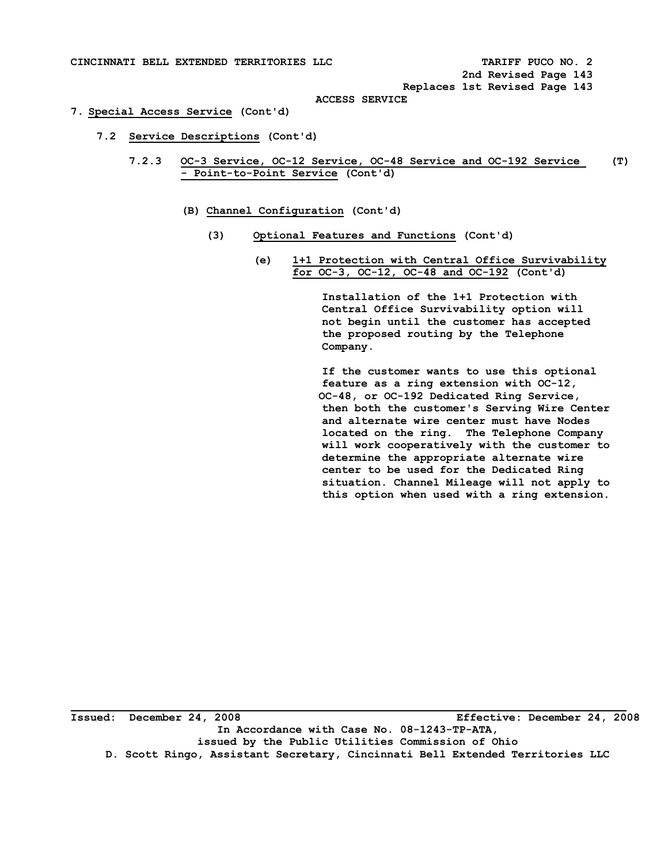#### **7. Special Access Service (Cont'd)**

- **7.2 Service Descriptions (Cont'd)** 
	- **7.2.3 OC-3 Service, OC-12 Service, OC-48 Service and OC-192 Service (T) - Point-to-Point Service (Cont'd)** 
		- **(B) Channel Configuration (Cont'd)** 
			- **(3) Optional Features and Functions (Cont'd)** 
				- **(e) 1+1 Protection with Central Office Survivability for OC-3, OC-12, OC-48 and OC-192 (Cont'd)**

 **Installation of the 1+1 Protection with Central Office Survivability option will not begin until the customer has accepted the proposed routing by the Telephone Company.** 

 **If the customer wants to use this optional feature as a ring extension with OC-12, OC-48, or OC-192 Dedicated Ring Service, then both the customer's Serving Wire Center and alternate wire center must have Nodes located on the ring. The Telephone Company will work cooperatively with the customer to determine the appropriate alternate wire center to be used for the Dedicated Ring situation. Channel Mileage will not apply to this option when used with a ring extension.**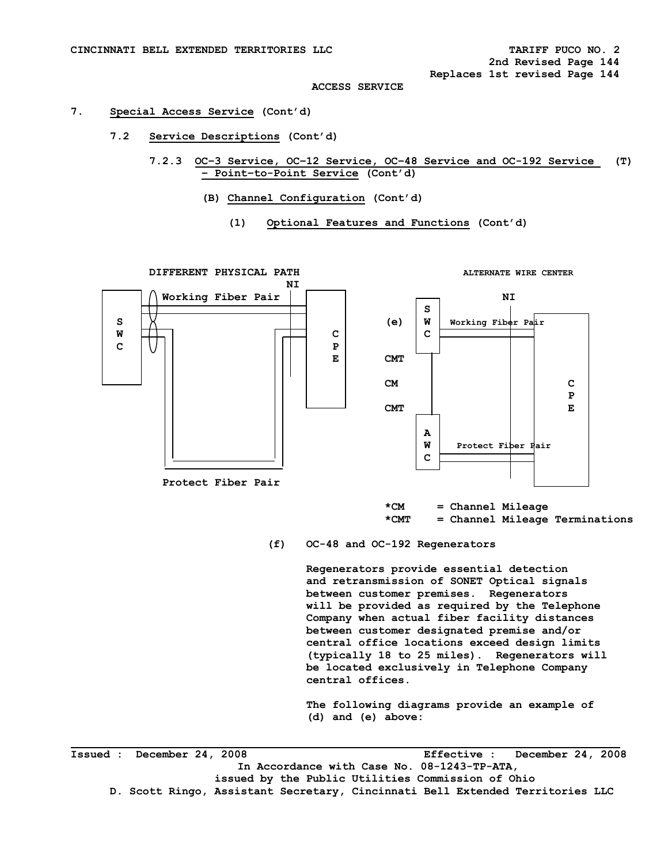#### **7. Special Access Service (Cont'd)**

- **7.2 Service Descriptions (Cont'd)** 
	- **7.2.3 OC–3 Service, OC–12 Service, OC–48 Service and OC-192 Service (T) – Point–to-Point Service (Cont'd)** 
		- **(B) Channel Configuration (Cont'd)** 
			- **(1) Optional Features and Functions (Cont'd)**

**DIFFERENT PHYSICAL PATH ALTERNATE WIRE CENTER NI**  $\overline{M}$  **Working Fiber Pair NI S S (e) W Working Fiber Pair W** H C C C C C  **C P E CMT CM C P CMT E A A A A A A A A A W Protect Fiber Pair C C C C Protect Fiber Pair** 

> **\*CM = Channel Mileage \*CMT = Channel Mileage Terminations**

**(f) OC-48 and OC-192 Regenerators** 

**Regenerators provide essential detection and retransmission of SONET Optical signals between customer premises. Regenerators will be provided as required by the Telephone Company when actual fiber facility distances between customer designated premise and/or central office locations exceed design limits (typically 18 to 25 miles). Regenerators will be located exclusively in Telephone Company central offices.** 

**The following diagrams provide an example of (d) and (e) above:** 

**Issued : December 24, 2008 Effective : December 24, 2008 In Accordance with Case No. 08-1243-TP-ATA, issued by the Public Utilities Commission of Ohio D. Scott Ringo, Assistant Secretary, Cincinnati Bell Extended Territories LLC**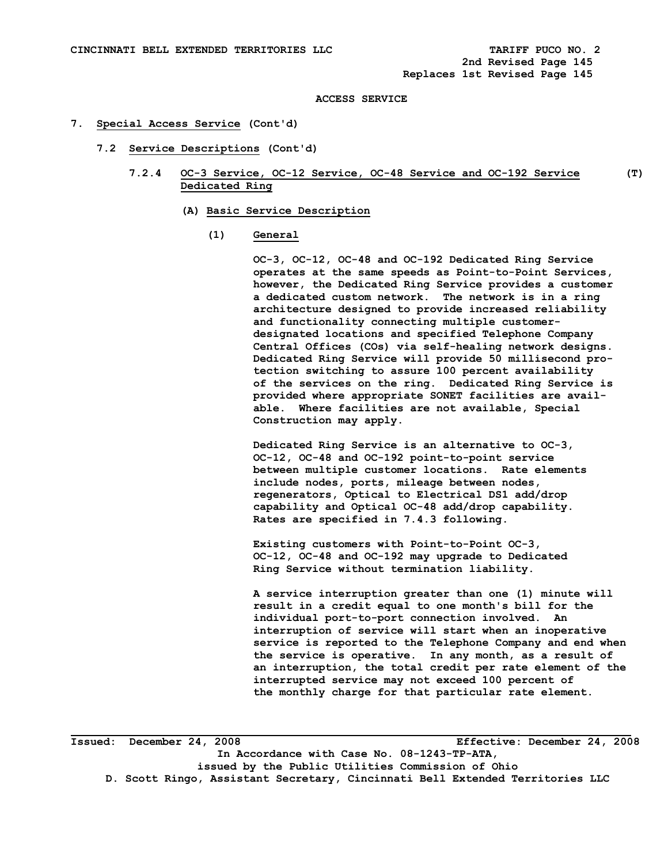#### **7. Special Access Service (Cont'd)**

- **7.2 Service Descriptions (Cont'd)** 
	- **7.2.4 OC-3 Service, OC-12 Service, OC-48 Service and OC-192 Service (T) Dedicated Ring** 
		- **(A) Basic Service Description**

#### **(1) General**

 **OC-3, OC-12, OC-48 and OC-192 Dedicated Ring Service operates at the same speeds as Point-to-Point Services, however, the Dedicated Ring Service provides a customer a dedicated custom network. The network is in a ring architecture designed to provide increased reliability and functionality connecting multiple customer designated locations and specified Telephone Company Central Offices (COs) via self-healing network designs. Dedicated Ring Service will provide 50 millisecond pro tection switching to assure 100 percent availability of the services on the ring. Dedicated Ring Service is provided where appropriate SONET facilities are avail able. Where facilities are not available, Special Construction may apply.** 

 **Dedicated Ring Service is an alternative to OC-3, OC-12, OC-48 and OC-192 point-to-point service between multiple customer locations. Rate elements include nodes, ports, mileage between nodes, regenerators, Optical to Electrical DS1 add/drop capability and Optical OC-48 add/drop capability. Rates are specified in 7.4.3 following.** 

 **Existing customers with Point-to-Point OC-3, OC-12, OC-48 and OC-192 may upgrade to Dedicated Ring Service without termination liability.** 

 **A service interruption greater than one (1) minute will result in a credit equal to one month's bill for the individual port-to-port connection involved. An interruption of service will start when an inoperative service is reported to the Telephone Company and end when the service is operative. In any month, as a result of an interruption, the total credit per rate element of the interrupted service may not exceed 100 percent of the monthly charge for that particular rate element.**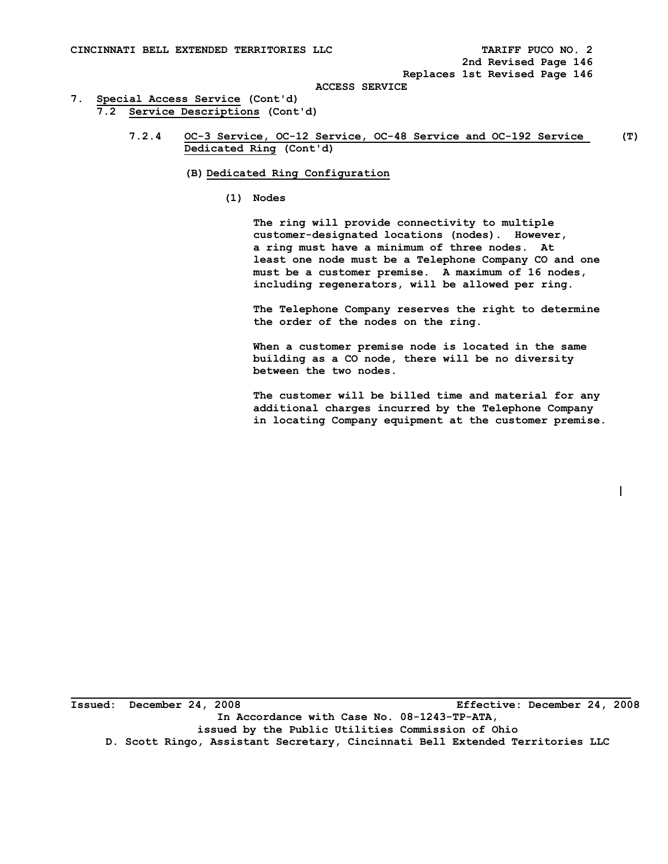$\overline{\phantom{a}}$ 

 **ACCESS SERVICE** 

- **7. Special Access Service (Cont'd) 7.2 Service Descriptions (Cont'd)** 
	- **7.2.4 OC-3 Service, OC-12 Service, OC-48 Service and OC-192 Service (T) Dedicated Ring (Cont'd)** 
		- **(B) Dedicated Ring Configuration** 
			- **(1) Nodes**

 **The ring will provide connectivity to multiple customer-designated locations (nodes). However, a ring must have a minimum of three nodes. At least one node must be a Telephone Company CO and one must be a customer premise. A maximum of 16 nodes, including regenerators, will be allowed per ring.** 

 **The Telephone Company reserves the right to determine the order of the nodes on the ring.** 

 **When a customer premise node is located in the same building as a CO node, there will be no diversity between the two nodes.** 

 **The customer will be billed time and material for any additional charges incurred by the Telephone Company in locating Company equipment at the customer premise.**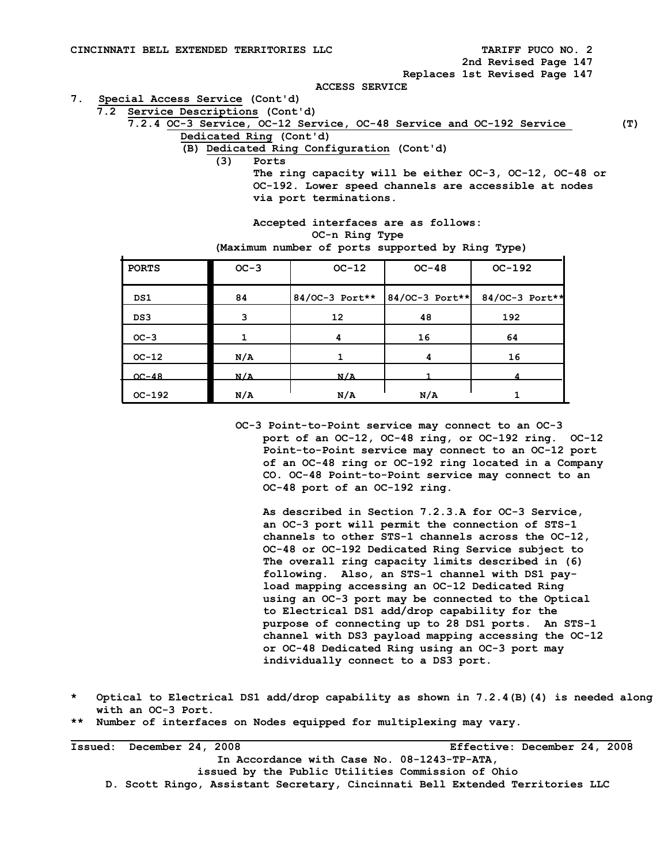**2nd Revised Page 147** 

 **Replaces 1st Revised Page 147** 

 **ACCESS SERVICE** 

- **7. Special Access Service (Cont'd)** 
	- **7.2 Service Descriptions (Cont'd)**

 **7.2.4 OC-3 Service, OC-12 Service, OC-48 Service and OC-192 Service (T) Dedicated Ring (Cont'd)** 

- - **(B) Dedicated Ring Configuration (Cont'd)**

 **(3) Ports** 

 **The ring capacity will be either OC-3, OC-12, OC-48 or OC-192. Lower speed channels are accessible at nodes via port terminations.** 

|                | Accepted interfaces are as follows:              |
|----------------|--------------------------------------------------|
| OC-n Ring Type |                                                  |
|                | (Maximum number of ports supported by Ring Type) |

| <b>PORTS</b> | $OC-3$ | $OC-12$ | $OC-48$ | $OC-192$                                         |
|--------------|--------|---------|---------|--------------------------------------------------|
| DS1          | 84     |         |         | 84/OC-3 Port**   84/OC-3 Port**   84/OC-3 Port** |
| DS3          | 3      | 12      | 48      | 192                                              |
| $OC-3$       |        | 4       | 16      | 64                                               |
| $OC-12$      | N/A    |         | 4       | 16                                               |
| $OC-48$      | N/A    | N/A     |         |                                                  |
| $OC-192$     | N/A    | N/A     | N/A     |                                                  |

 **OC-3 Point-to-Point service may connect to an OC-3 port of an OC-12, OC-48 ring, or OC-192 ring. OC-12 Point-to-Point service may connect to an OC-12 port of an OC-48 ring or OC-192 ring located in a Company CO. OC-48 Point-to-Point service may connect to an OC-48 port of an OC-192 ring.** 

 **As described in Section 7.2.3.A for OC-3 Service, an OC-3 port will permit the connection of STS-1 channels to other STS-1 channels across the OC-12, OC-48 or OC-192 Dedicated Ring Service subject to The overall ring capacity limits described in (6) following. Also, an STS-1 channel with DS1 pay load mapping accessing an OC-12 Dedicated Ring using an OC-3 port may be connected to the Optical to Electrical DS1 add/drop capability for the purpose of connecting up to 28 DS1 ports. An STS-1 channel with DS3 payload mapping accessing the OC-12 or OC-48 Dedicated Ring using an OC-3 port may individually connect to a DS3 port.** 

- **\* Optical to Electrical DS1 add/drop capability as shown in 7.2.4(B)(4) is needed along with an OC-3 Port.**
- **\*\* Number of interfaces on Nodes equipped for multiplexing may vary.**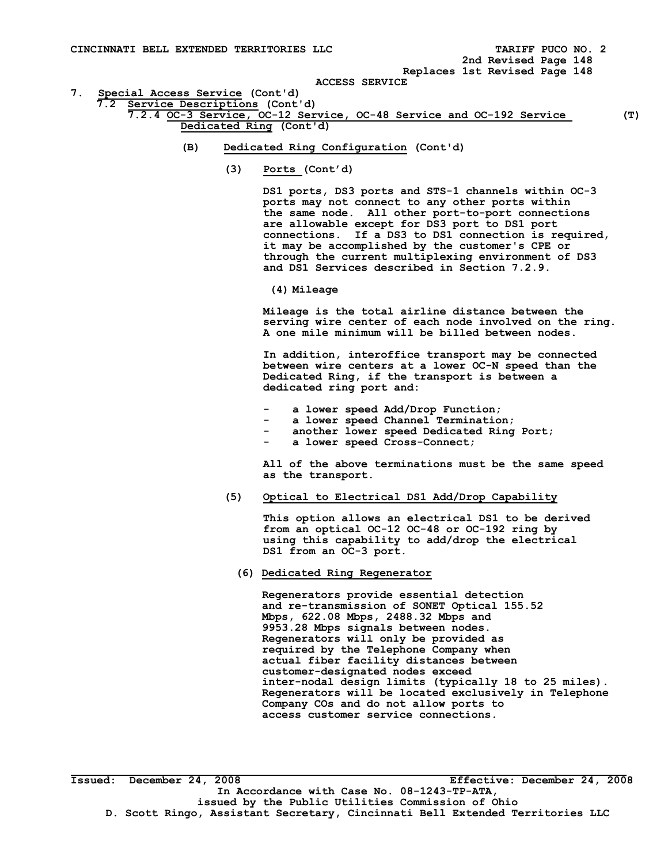**2nd Revised Page 148 Replaces 1st Revised Page 148** 

 **ACCESS SERVICE** 

- **7. Special Access Service (Cont'd)**
- **7.2 Service Descriptions (Cont'd)**

 **7.2.4 OC-3 Service, OC-12 Service, OC-48 Service and OC-192 Service (T) Dedicated Ring (Cont'd)** 

- **(B) Dedicated Ring Configuration (Cont'd)** 
	- **(3) Ports (Cont'd)**

 **DS1 ports, DS3 ports and STS-1 channels within OC-3 ports may not connect to any other ports within the same node. All other port-to-port connections are allowable except for DS3 port to DS1 port connections. If a DS3 to DS1 connection is required, it may be accomplished by the customer's CPE or through the current multiplexing environment of DS3 and DS1 Services described in Section 7.2.9.** 

 **(4) Mileage** 

 **Mileage is the total airline distance between the serving wire center of each node involved on the ring. A one mile minimum will be billed between nodes.** 

 **In addition, interoffice transport may be connected between wire centers at a lower OC-N speed than the Dedicated Ring, if the transport is between a dedicated ring port and:** 

- a lower speed Add/Drop Function;
- a lower speed Channel Termination;
	- another lower speed Dedicated Ring Port;
	- a lower speed Cross-Connect;

 **All of the above terminations must be the same speed as the transport.** 

 **(5) Optical to Electrical DS1 Add/Drop Capability** 

 **This option allows an electrical DS1 to be derived from an optical OC-12 OC-48 or OC-192 ring by using this capability to add/drop the electrical DS1 from an OC-3 port.** 

 **(6) Dedicated Ring Regenerator** 

 **Regenerators provide essential detection and re-transmission of SONET Optical 155.52 Mbps, 622.08 Mbps, 2488.32 Mbps and 9953.28 Mbps signals between nodes. Regenerators will only be provided as required by the Telephone Company when actual fiber facility distances between customer-designated nodes exceed inter-nodal design limits (typically 18 to 25 miles). Regenerators will be located exclusively in Telephone Company COs and do not allow ports to access customer service connections.**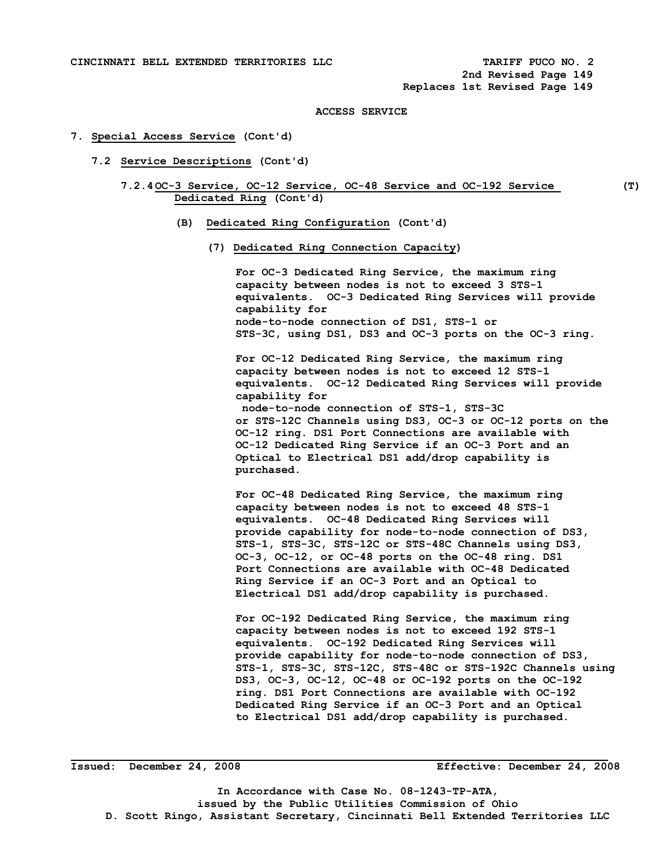### **7. Special Access Service (Cont'd)**

- **7.2 Service Descriptions (Cont'd)** 
	- **7.2.4 OC-3 Service, OC-12 Service, OC-48 Service and OC-192 Service (T) Dedicated Ring (Cont'd)**

- **(B) Dedicated Ring Configuration (Cont'd)** 
	- **(7) Dedicated Ring Connection Capacity)**

**For OC-3 Dedicated Ring Service, the maximum ring capacity between nodes is not to exceed 3 STS-1 equivalents. OC-3 Dedicated Ring Services will provide capability for node-to-node connection of DS1, STS-1 or STS-3C, using DS1, DS3 and OC-3 ports on the OC-3 ring.** 

**For OC-12 Dedicated Ring Service, the maximum ring capacity between nodes is not to exceed 12 STS-1 equivalents. OC-12 Dedicated Ring Services will provide capability for node-to-node connection of STS-1, STS-3C or STS-12C Channels using DS3, OC-3 or OC-12 ports on the OC-12 ring. DS1 Port Connections are available with OC-12 Dedicated Ring Service if an OC-3 Port and an Optical to Electrical DS1 add/drop capability is purchased.** 

**For OC-48 Dedicated Ring Service, the maximum ring capacity between nodes is not to exceed 48 STS-1 equivalents. OC-48 Dedicated Ring Services will provide capability for node-to-node connection of DS3, STS-1, STS-3C, STS-12C or STS-48C Channels using DS3, OC-3, OC-12, or OC-48 ports on the OC-48 ring. DS1 Port Connections are available with OC-48 Dedicated Ring Service if an OC-3 Port and an Optical to Electrical DS1 add/drop capability is purchased.** 

**For OC-192 Dedicated Ring Service, the maximum ring capacity between nodes is not to exceed 192 STS-1 equivalents. OC-192 Dedicated Ring Services will provide capability for node-to-node connection of DS3, STS-1, STS-3C, STS-12C, STS-48C or STS-192C Channels using DS3, OC-3, OC-12, OC-48 or OC-192 ports on the OC-192 ring. DS1 Port Connections are available with OC-192 Dedicated Ring Service if an OC-3 Port and an Optical to Electrical DS1 add/drop capability is purchased.** 

**Issued: December 24, 2008 Effective: December 24, 2008**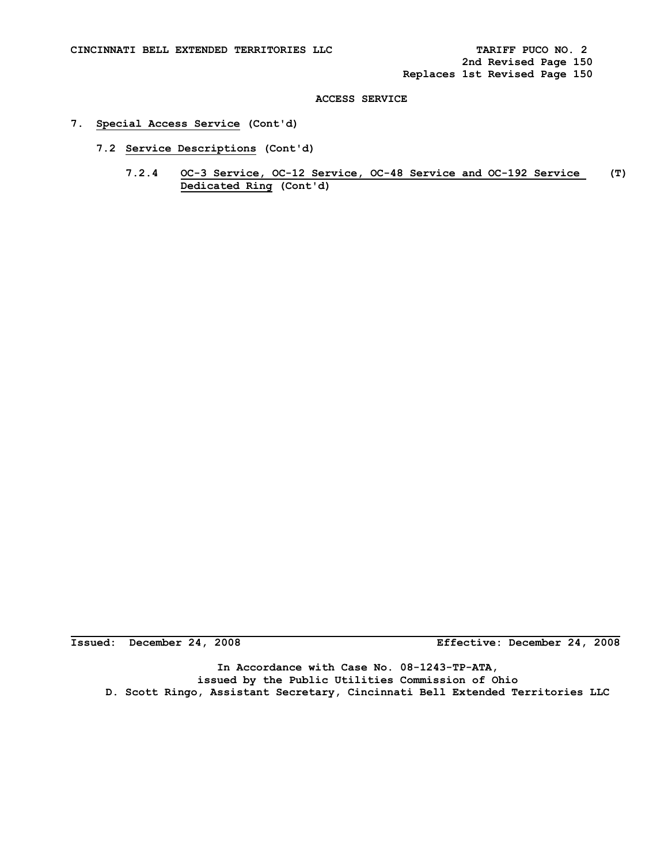## **7. Special Access Service (Cont'd)**

- **7.2 Service Descriptions (Cont'd)** 
	- **7.2.4 OC-3 Service, OC-12 Service, OC-48 Service and OC-192 Service (T) Dedicated Ring (Cont'd)**

**Issued: December 24, 2008 Effective: December 24, 2008**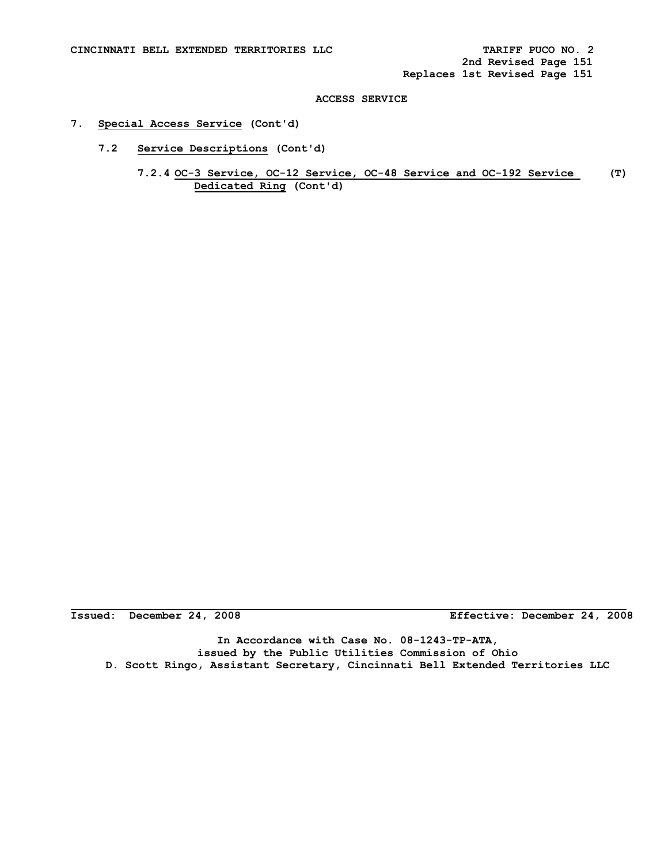## **7. Special Access Service (Cont'd)**

- **7.2 Service Descriptions (Cont'd)** 
	- **7.2.4 OC-3 Service, OC-12 Service, OC-48 Service and OC-192 Service (T) Dedicated Ring (Cont'd)**

**Issued: December 24, 2008 Effective: December 24, 2008**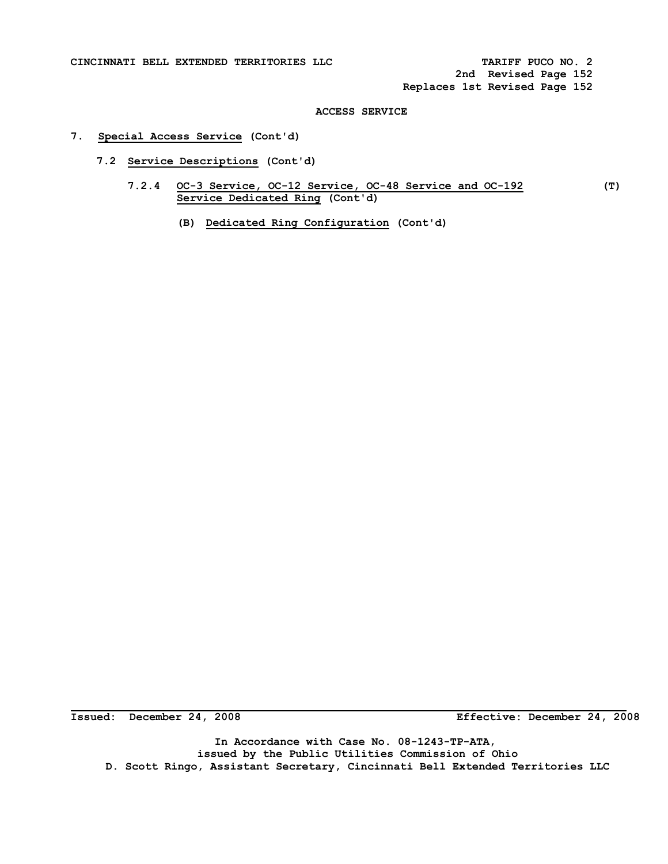**2nd Revised Page 152 Replaces 1st Revised Page 152** 

## **ACCESS SERVICE**

## **7. Special Access Service (Cont'd)**

- **7.2 Service Descriptions (Cont'd)** 
	- **7.2.4 OC-3 Service, OC-12 Service, OC-48 Service and OC-192 (T) Service Dedicated Ring (Cont'd)** 
		- **(B) Dedicated Ring Configuration (Cont'd)**

Issued: December 24, 2008

**Issued: December 24, 2008 Effective: December 24, 2008**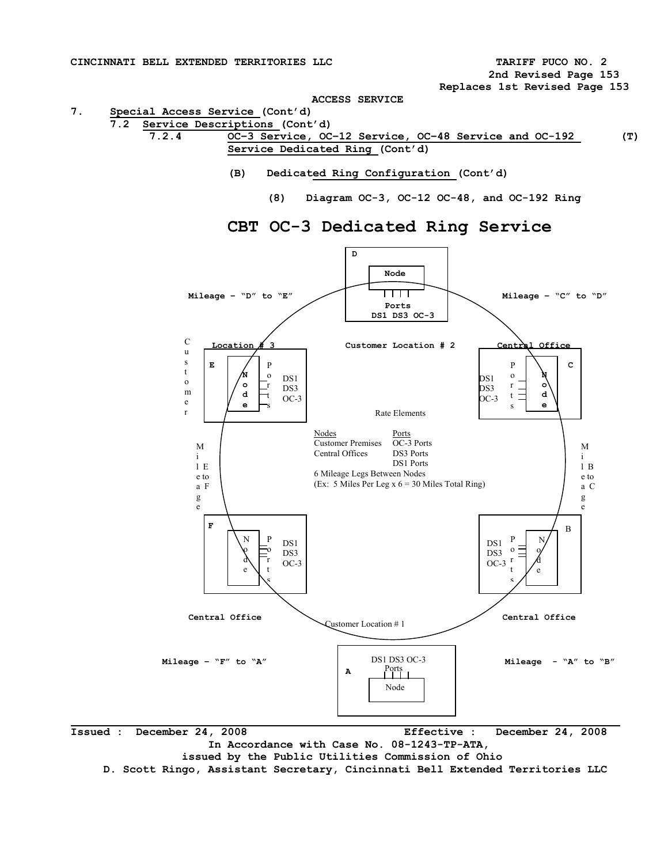**2nd Revised Page 153 Replaces 1st Revised Page 153** 

**ACCESS SERVICE** 

**7. Special Access Service (Cont'd)** 

- **7.2 Service Descriptions (Cont'd) 7.2.4 OC–3 Service, OC–12 Service, OC–48 Service and OC-192 (T) Service Dedicated Ring (Cont'd)** 
	- **(B) Dedicated Ring Configuration (Cont'd)** 
		- **(8) Diagram OC-3, OC-12 OC-48, and OC-192 Ring**



# **CBT OC-3 Dedicated Ring Service**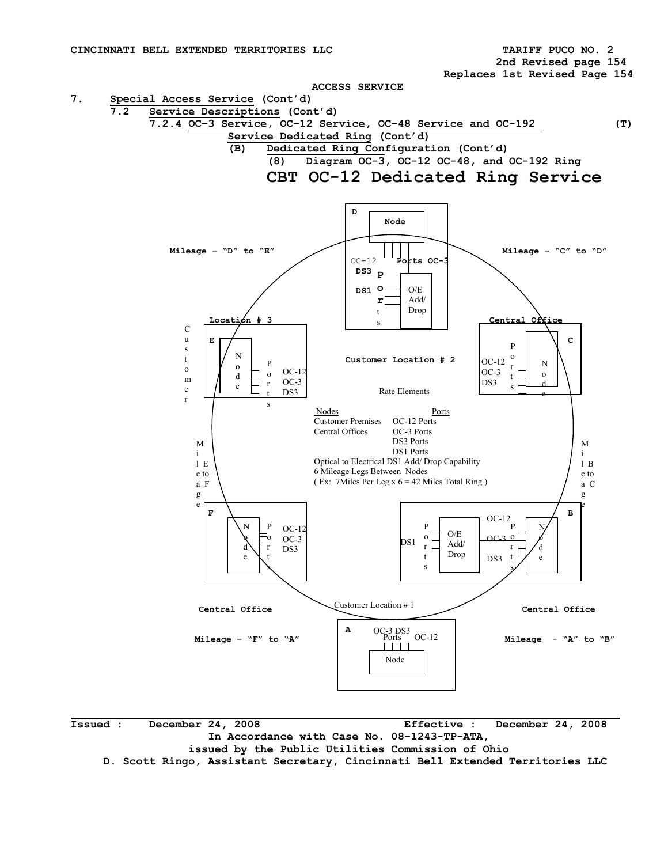**2nd Revised page 154** 

 **Replaces 1st Revised Page 154** 

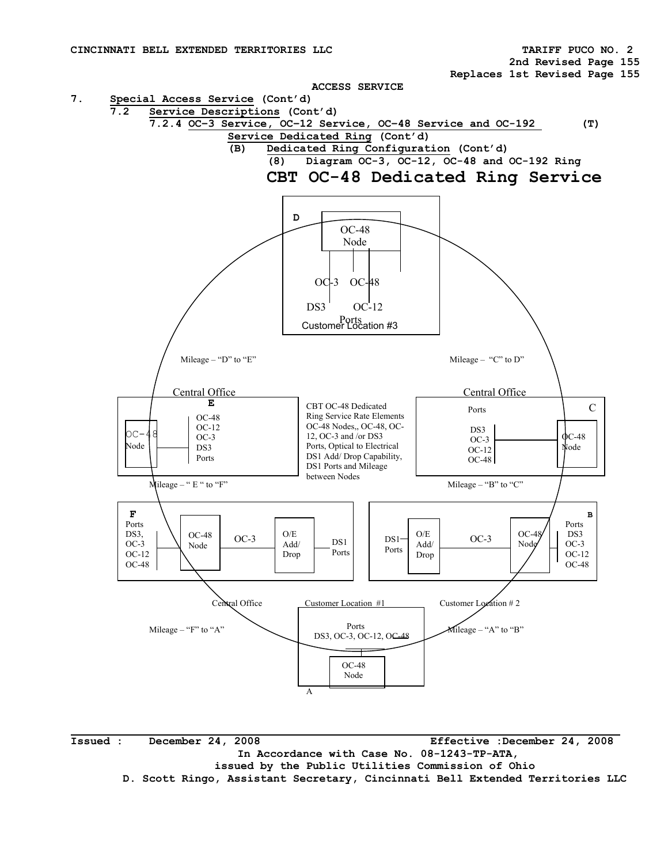**2nd Revised Page 155** 

 **Replaces 1st Revised Page 155** 

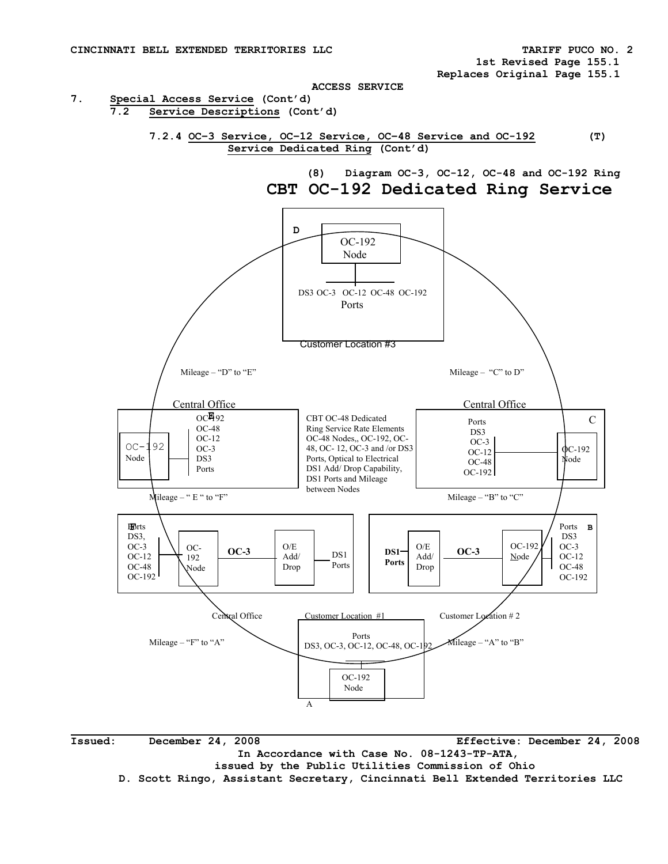

 **Issued: December 24, 2008 Effective: December 24, 2008 In Accordance with Case No. 08-1243-TP-ATA, issued by the Public Utilities Commission of Ohio D. Scott Ringo, Assistant Secretary, Cincinnati Bell Extended Territories LLC** 

 **1st Revised Page 155.1 Replaces Original Page 155.1**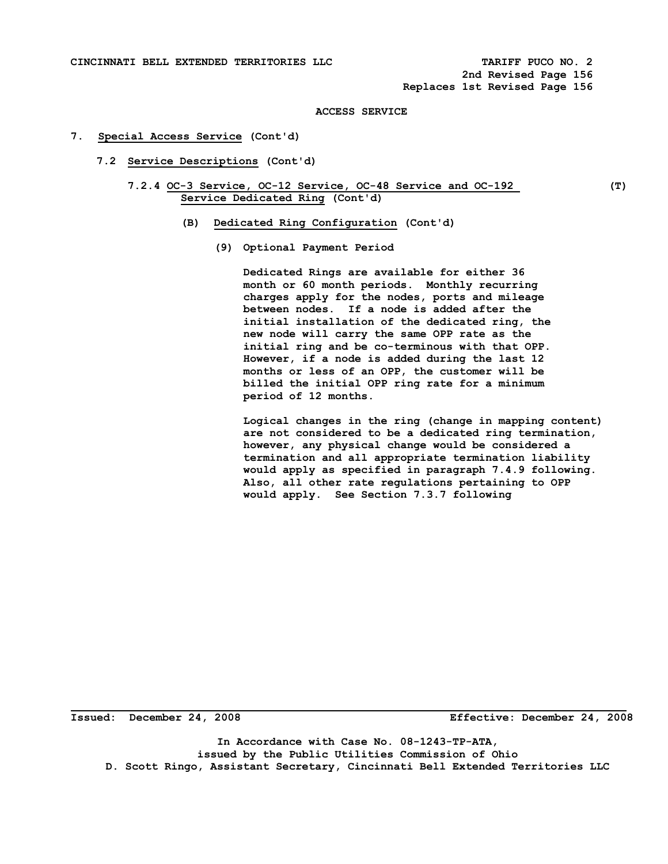### **7. Special Access Service (Cont'd)**

- **7.2 Service Descriptions (Cont'd)** 
	- **7.2.4 OC-3 Service, OC-12 Service, OC-48 Service and OC-192 (T) Service Dedicated Ring (Cont'd)** 
		- **(B) Dedicated Ring Configuration (Cont'd)** 
			- **(9) Optional Payment Period**

 **Dedicated Rings are available for either 36 month or 60 month periods. Monthly recurring charges apply for the nodes, ports and mileage between nodes. If a node is added after the initial installation of the dedicated ring, the new node will carry the same OPP rate as the initial ring and be co-terminous with that OPP. However, if a node is added during the last 12 months or less of an OPP, the customer will be billed the initial OPP ring rate for a minimum period of 12 months.** 

 **Logical changes in the ring (change in mapping content) are not considered to be a dedicated ring termination, however, any physical change would be considered a termination and all appropriate termination liability would apply as specified in paragraph 7.4.9 following. Also, all other rate regulations pertaining to OPP would apply. See Section 7.3.7 following** 

**Issued: December 24, 2008 Effective: December 24, 2008**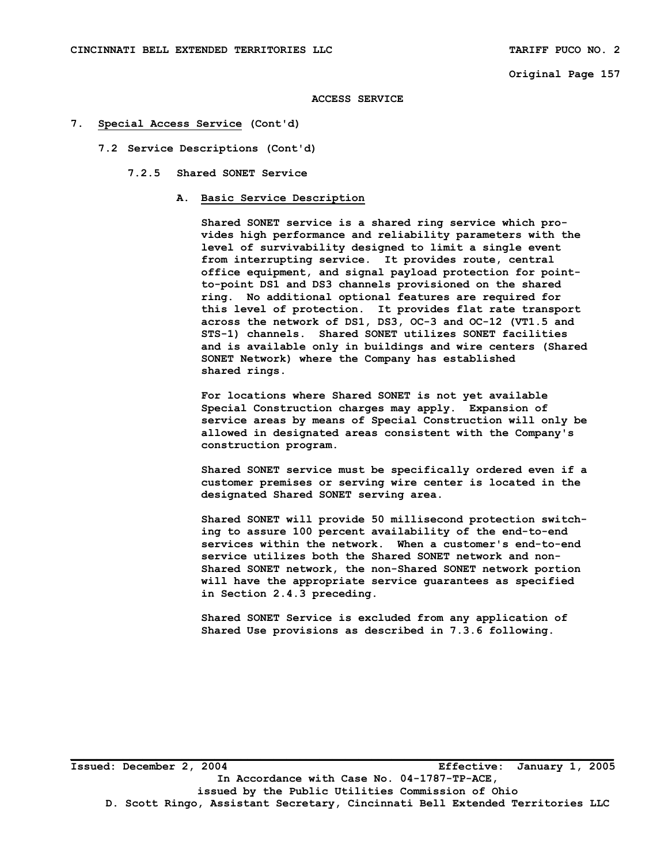**Original Page 157** 

#### **ACCESS SERVICE**

#### **7. Special Access Service (Cont'd)**

- **7.2 Service Descriptions (Cont'd)** 
	- **7.2.5 Shared SONET Service** 
		- **A. Basic Service Description**

 **Shared SONET service is a shared ring service which pro vides high performance and reliability parameters with the level of survivability designed to limit a single event from interrupting service. It provides route, central office equipment, and signal payload protection for point to-point DS1 and DS3 channels provisioned on the shared ring. No additional optional features are required for this level of protection. It provides flat rate transport across the network of DS1, DS3, OC-3 and OC-12 (VT1.5 and STS-1) channels. Shared SONET utilizes SONET facilities and is available only in buildings and wire centers (Shared SONET Network) where the Company has established shared rings.** 

 **For locations where Shared SONET is not yet available Special Construction charges may apply. Expansion of service areas by means of Special Construction will only be allowed in designated areas consistent with the Company's construction program.** 

 **Shared SONET service must be specifically ordered even if a customer premises or serving wire center is located in the designated Shared SONET serving area.** 

 **Shared SONET will provide 50 millisecond protection switch ing to assure 100 percent availability of the end-to-end services within the network. When a customer's end-to-end service utilizes both the Shared SONET network and non- Shared SONET network, the non-Shared SONET network portion will have the appropriate service guarantees as specified in Section 2.4.3 preceding.** 

 **Shared SONET Service is excluded from any application of Shared Use provisions as described in 7.3.6 following.**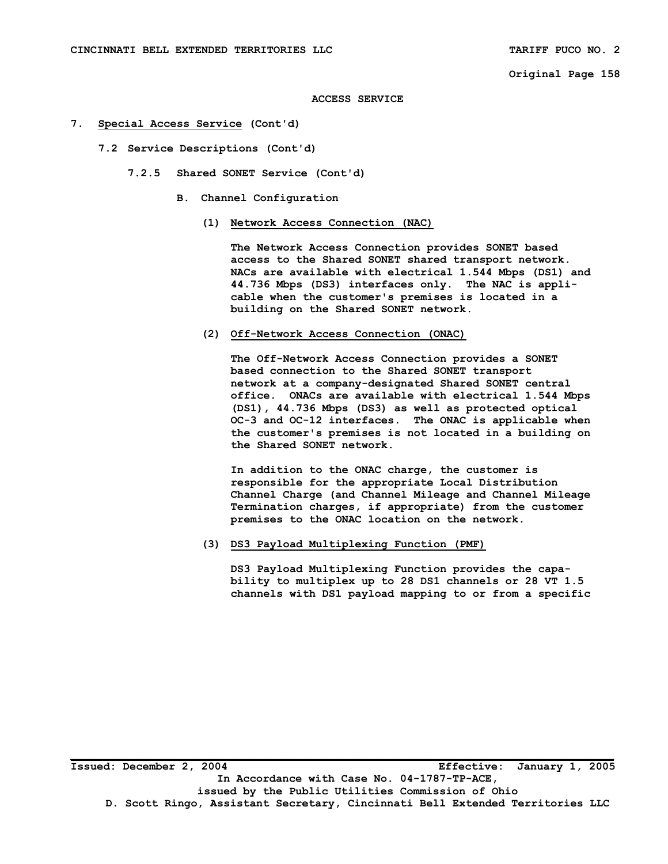**Original Page 158** 

**ACCESS SERVICE** 

- **7. Special Access Service (Cont'd)** 
	- **7.2 Service Descriptions (Cont'd)** 
		- **7.2.5 Shared SONET Service (Cont'd)** 
			- **B. Channel Configuration** 
				- **(1) Network Access Connection (NAC)**

 **The Network Access Connection provides SONET based access to the Shared SONET shared transport network. NACs are available with electrical 1.544 Mbps (DS1) and 44.736 Mbps (DS3) interfaces only. The NAC is appli cable when the customer's premises is located in a building on the Shared SONET network.** 

 **(2) Off-Network Access Connection (ONAC)** 

 **The Off-Network Access Connection provides a SONET based connection to the Shared SONET transport network at a company-designated Shared SONET central office. ONACs are available with electrical 1.544 Mbps (DS1), 44.736 Mbps (DS3) as well as protected optical OC-3 and OC-12 interfaces. The ONAC is applicable when the customer's premises is not located in a building on the Shared SONET network.** 

 **In addition to the ONAC charge, the customer is responsible for the appropriate Local Distribution Channel Charge (and Channel Mileage and Channel Mileage Termination charges, if appropriate) from the customer premises to the ONAC location on the network.** 

 **(3) DS3 Payload Multiplexing Function (PMF)** 

 **DS3 Payload Multiplexing Function provides the capa bility to multiplex up to 28 DS1 channels or 28 VT 1.5 channels with DS1 payload mapping to or from a specific**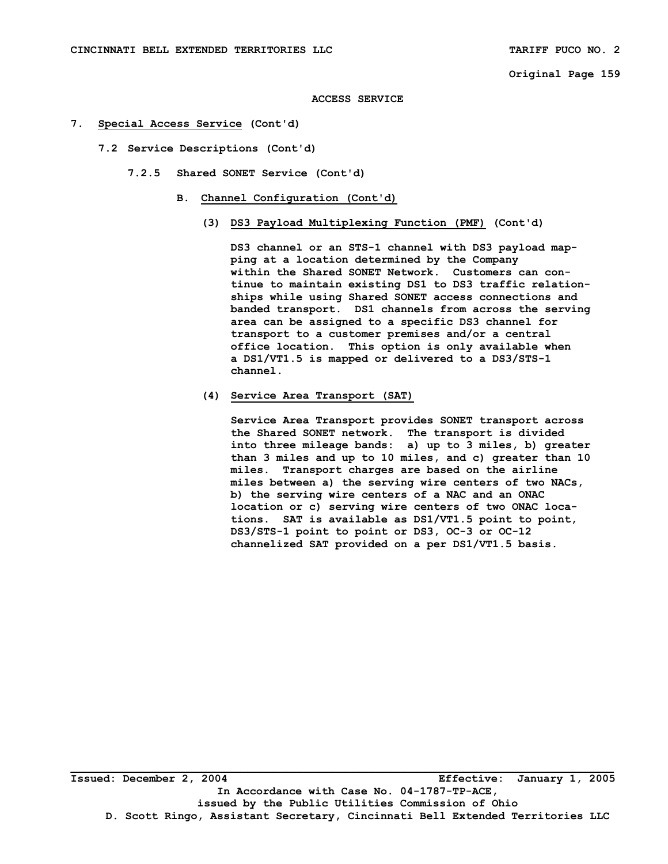- **7. Special Access Service (Cont'd)** 
	- **7.2 Service Descriptions (Cont'd)** 
		- **7.2.5 Shared SONET Service (Cont'd)** 
			- **B. Channel Configuration (Cont'd)** 
				- **(3) DS3 Payload Multiplexing Function (PMF) (Cont'd)**

 **DS3 channel or an STS-1 channel with DS3 payload map ping at a location determined by the Company within the Shared SONET Network. Customers can con tinue to maintain existing DS1 to DS3 traffic relation ships while using Shared SONET access connections and banded transport. DS1 channels from across the serving area can be assigned to a specific DS3 channel for transport to a customer premises and/or a central office location. This option is only available when a DS1/VT1.5 is mapped or delivered to a DS3/STS-1 channel.** 

## **(4) Service Area Transport (SAT)**

 **Service Area Transport provides SONET transport across the Shared SONET network. The transport is divided into three mileage bands: a) up to 3 miles, b) greater than 3 miles and up to 10 miles, and c) greater than 10 miles. Transport charges are based on the airline miles between a) the serving wire centers of two NACs, b) the serving wire centers of a NAC and an ONAC location or c) serving wire centers of two ONAC loca tions. SAT is available as DS1/VT1.5 point to point, DS3/STS-1 point to point or DS3, OC-3 or OC-12 channelized SAT provided on a per DS1/VT1.5 basis.**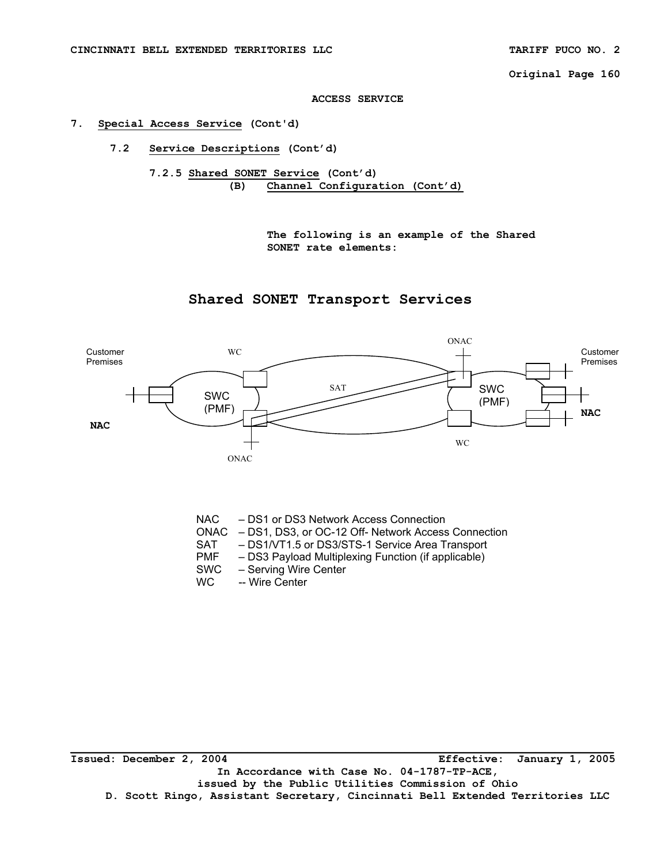**Original Page 160** 

#### **ACCESS SERVICE**

#### **7. Special Access Service (Cont'd)**

**7.2 Service Descriptions (Cont'd)** 

**7.2.5 Shared SONET Service (Cont'd) (B) Channel Configuration (Cont'd)** 

> **The following is an example of the Shared SONET rate elements:**

## **Shared SONET Transport Services**



NAC – DS1 or DS3 Network Access Connection

- ONAC DS1, DS3, or OC-12 Off- Network Access Connection
- SAT DS1/VT1.5 or DS3/STS-1 Service Area Transport
- PMF DS3 Payload Multiplexing Function (if applicable)
- SWC Serving Wire Center<br>WC Wire Center
- -- Wire Center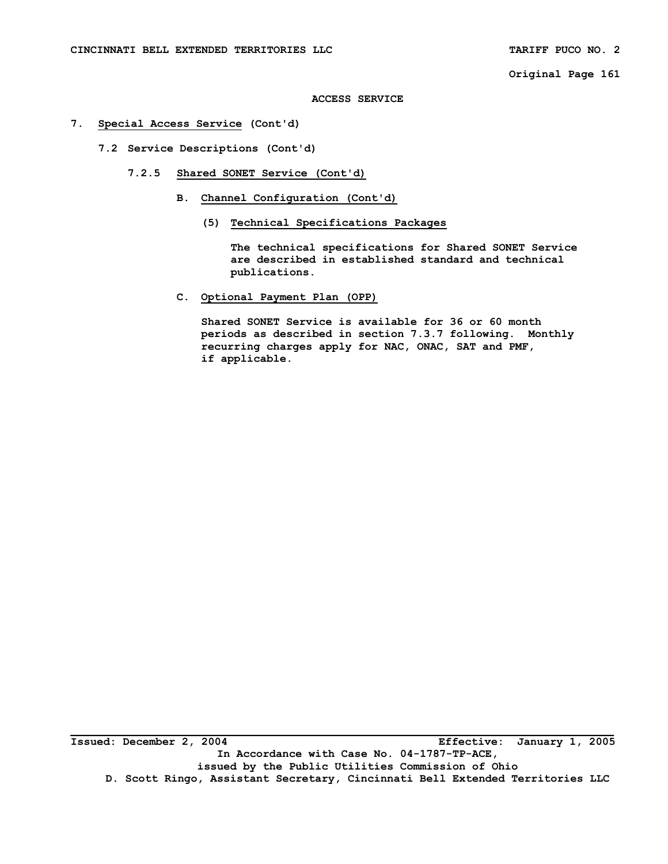**Original Page 161** 

#### **ACCESS SERVICE**

#### **7. Special Access Service (Cont'd)**

- **7.2 Service Descriptions (Cont'd)** 
	- **7.2.5 Shared SONET Service (Cont'd)** 
		- **B. Channel Configuration (Cont'd)** 
			- **(5) Technical Specifications Packages**

 **The technical specifications for Shared SONET Service are described in established standard and technical publications.** 

 **C. Optional Payment Plan (OPP)** 

 **Shared SONET Service is available for 36 or 60 month periods as described in section 7.3.7 following. Monthly recurring charges apply for NAC, ONAC, SAT and PMF, if applicable.**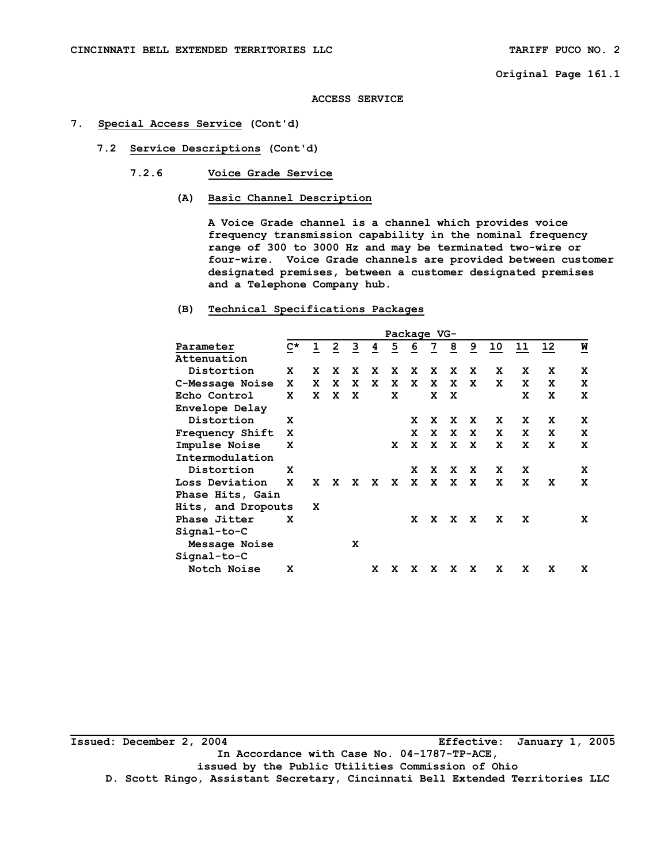**ACCESS SERVICE** 

#### **7. Special Access Service (Cont'd)**

- **7.2 Service Descriptions (Cont'd)** 
	- **7.2.6 Voice Grade Service** 
		- **(A) Basic Channel Description**

 **A Voice Grade channel is a channel which provides voice frequency transmission capability in the nominal frequency range of 300 to 3000 Hz and may be terminated two-wire or four-wire. Voice Grade channels are provided between customer designated premises, between a customer designated premises and a Telephone Company hub.** 

## **(B) Technical Specifications Packages**

|                    |             |   |    |    |   |   | Package VG- |                |                |                |    |              |    |   |
|--------------------|-------------|---|----|----|---|---|-------------|----------------|----------------|----------------|----|--------------|----|---|
| Parameter          | $C^{\star}$ | ı | 2  | 3  | 4 | 5 | 6           | $\overline{1}$ | $\overline{8}$ | $\overline{9}$ | 10 | <u>11</u>    | 12 | W |
| Attenuation        |             |   |    |    |   |   |             |                |                |                |    |              |    |   |
| Distortion         | x           | X | x  | x  | X | x | x           | x              | x              | x              | x  | x            | x  | x |
| C-Message Noise    | x           | x | x  | x  | x | x | x           | x              | X              | x              | x  | x            | x  | x |
| Echo Control       | x           | X | x  | x  |   | x |             | x              | x              |                |    | x            | x  | x |
| Envelope Delay     |             |   |    |    |   |   |             |                |                |                |    |              |    |   |
| Distortion         | x           |   |    |    |   |   | x           | x              | x              | x              | x  | x            | x  | x |
| Frequency Shift    | x           |   |    |    |   |   | x           |                |                | x x x          | X  | x            | x  | x |
| Impulse Noise      | x           |   |    |    |   | X |             | x x x x        |                |                | X  | $\mathbf{x}$ | x  | X |
| Intermodulation    |             |   |    |    |   |   |             |                |                |                |    |              |    |   |
| Distortion         | x           |   |    |    |   |   | x           | X              | x              | X              | x  | x            |    | x |
| Loss Deviation     | x           | x | X. | X. | X | X | x           | X              | x              | X              | x  | x            | x  | x |
| Phase Hits, Gain   |             |   |    |    |   |   |             |                |                |                |    |              |    |   |
| Hits, and Dropouts |             | x |    |    |   |   |             |                |                |                |    |              |    |   |
| Phase Jitter       | x           |   |    |    |   |   | x           | X              | x              | x              | x  | x            |    | x |
| $Signal-to-C$      |             |   |    |    |   |   |             |                |                |                |    |              |    |   |
| Message Noise      |             |   |    | x  |   |   |             |                |                |                |    |              |    |   |
| $Signal-to-C$      |             |   |    |    |   |   |             |                |                |                |    |              |    |   |
| Notch Noise        | x           |   |    |    | x | x | x           | x              | x              | x              | x  | x            | x  | x |
|                    |             |   |    |    |   |   |             |                |                |                |    |              |    |   |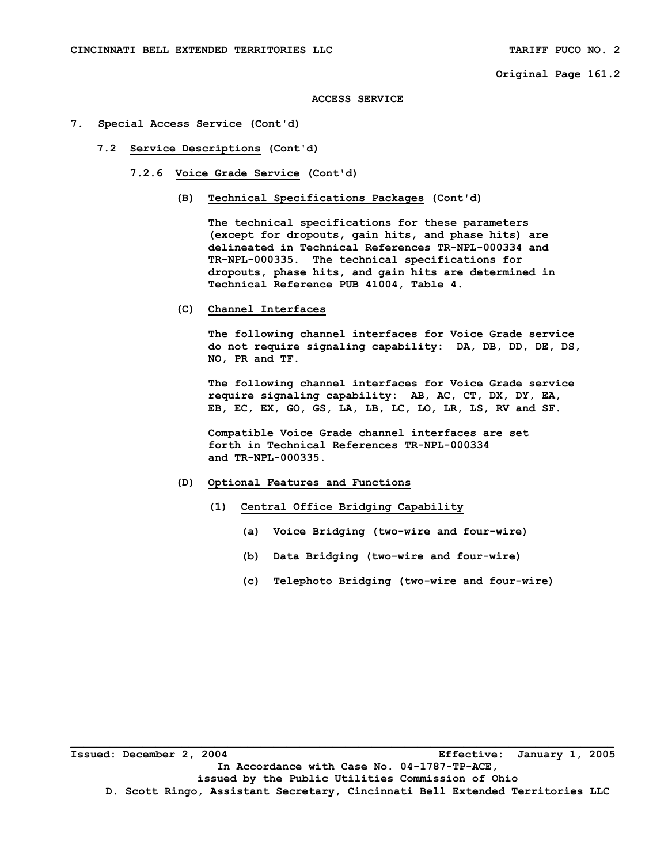**ACCESS SERVICE** 

- **7. Special Access Service (Cont'd)** 
	- **7.2 Service Descriptions (Cont'd)** 
		- **7.2.6 Voice Grade Service (Cont'd)** 
			- **(B) Technical Specifications Packages (Cont'd)**

 **The technical specifications for these parameters (except for dropouts, gain hits, and phase hits) are delineated in Technical References TR-NPL-000334 and TR-NPL-000335. The technical specifications for dropouts, phase hits, and gain hits are determined in Technical Reference PUB 41004, Table 4.** 

 **(C) Channel Interfaces** 

 **The following channel interfaces for Voice Grade service do not require signaling capability: DA, DB, DD, DE, DS, NO, PR and TF.** 

 **The following channel interfaces for Voice Grade service require signaling capability: AB, AC, CT, DX, DY, EA, EB, EC, EX, GO, GS, LA, LB, LC, LO, LR, LS, RV and SF.** 

 **Compatible Voice Grade channel interfaces are set forth in Technical References TR-NPL-000334 and TR-NPL-000335.** 

- **(D) Optional Features and Functions** 
	- **(1) Central Office Bridging Capability** 
		- **(a) Voice Bridging (two-wire and four-wire)**
		- **(b) Data Bridging (two-wire and four-wire)**
		- **(c) Telephoto Bridging (two-wire and four-wire)**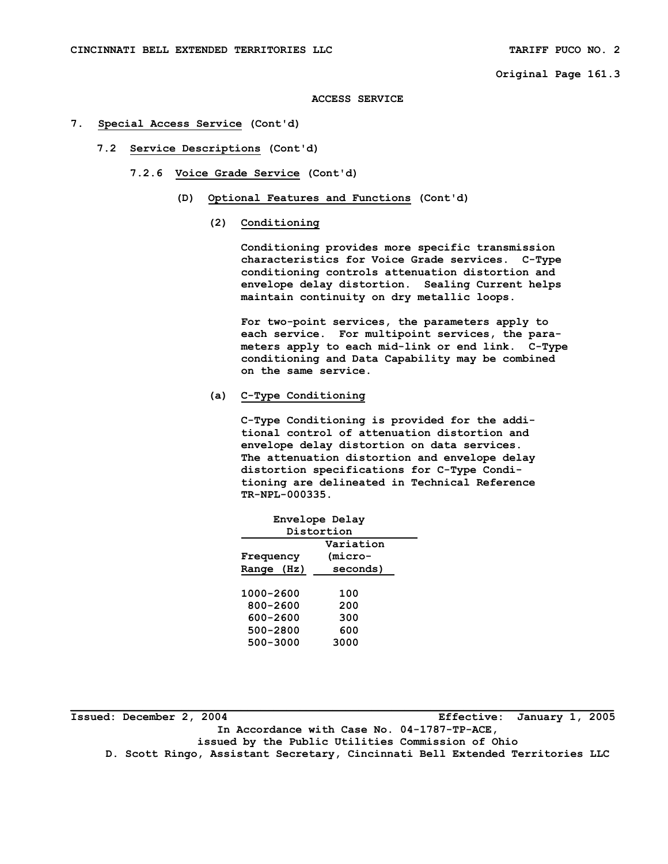**ACCESS SERVICE** 

- **7. Special Access Service (Cont'd)** 
	- **7.2 Service Descriptions (Cont'd)** 
		- **7.2.6 Voice Grade Service (Cont'd)** 
			- **(D) Optional Features and Functions (Cont'd)** 
				- **(2) Conditioning**

 **Conditioning provides more specific transmission characteristics for Voice Grade services. C-Type conditioning controls attenuation distortion and envelope delay distortion. Sealing Current helps maintain continuity on dry metallic loops.** 

 **For two-point services, the parameters apply to each service. For multipoint services, the para meters apply to each mid-link or end link. C-Type conditioning and Data Capability may be combined on the same service.** 

 **(a) C-Type Conditioning** 

 **C-Type Conditioning is provided for the addi tional control of attenuation distortion and envelope delay distortion on data services. The attenuation distortion and envelope delay distortion specifications for C-Type Condi tioning are delineated in Technical Reference TR-NPL-000335.** 

| Envelope Delay |          |  |  |  |
|----------------|----------|--|--|--|
| Distortion     |          |  |  |  |
| Variation      |          |  |  |  |
| Frequency      | (micro-  |  |  |  |
| (Hz)<br>Range  | seconds) |  |  |  |
|                |          |  |  |  |
| 1000-2600      | 100      |  |  |  |
| 800-2600       | 200      |  |  |  |
| 600-2600       | 300      |  |  |  |
| 500-2800       | 600      |  |  |  |
| 500-3000       | 3000     |  |  |  |
|                |          |  |  |  |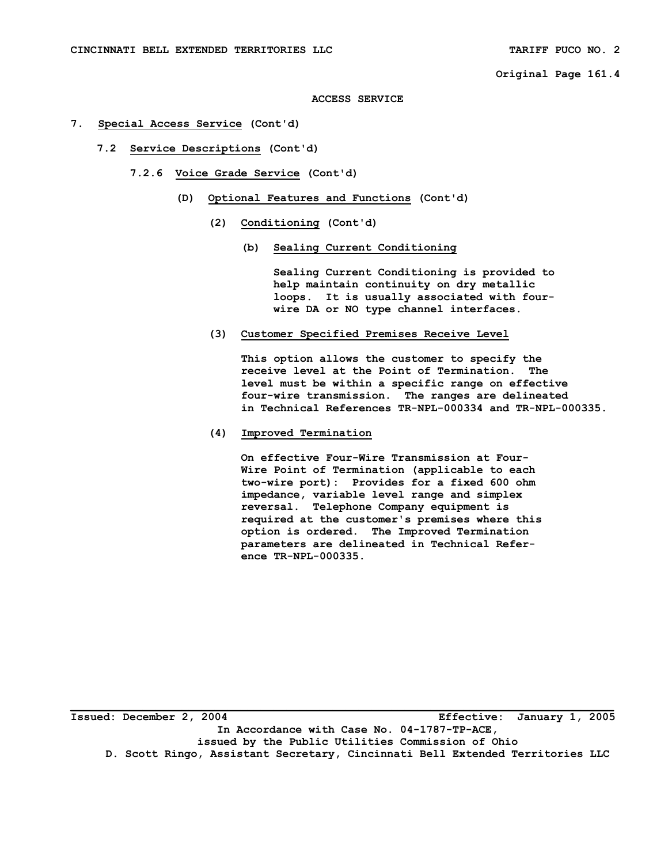#### **ACCESS SERVICE**

- **7. Special Access Service (Cont'd)** 
	- **7.2 Service Descriptions (Cont'd)** 
		- **7.2.6 Voice Grade Service (Cont'd)** 
			- **(D) Optional Features and Functions (Cont'd)** 
				- **(2) Conditioning (Cont'd)** 
					- **(b) Sealing Current Conditioning**

 **Sealing Current Conditioning is provided to help maintain continuity on dry metallic loops. It is usually associated with four wire DA or NO type channel interfaces.** 

 **(3) Customer Specified Premises Receive Level** 

 **This option allows the customer to specify the receive level at the Point of Termination. The level must be within a specific range on effective four-wire transmission. The ranges are delineated in Technical References TR-NPL-000334 and TR-NPL-000335.** 

 **(4) Improved Termination** 

 **On effective Four-Wire Transmission at Four- Wire Point of Termination (applicable to each two-wire port): Provides for a fixed 600 ohm impedance, variable level range and simplex reversal. Telephone Company equipment is required at the customer's premises where this option is ordered. The Improved Termination parameters are delineated in Technical Refer ence TR-NPL-000335.** 

**Issued: December 2, 2004 Effective: January 1, 2005 In Accordance with Case No. 04-1787-TP-ACE, issued by the Public Utilities Commission of Ohio D. Scott Ringo, Assistant Secretary, Cincinnati Bell Extended Territories LLC**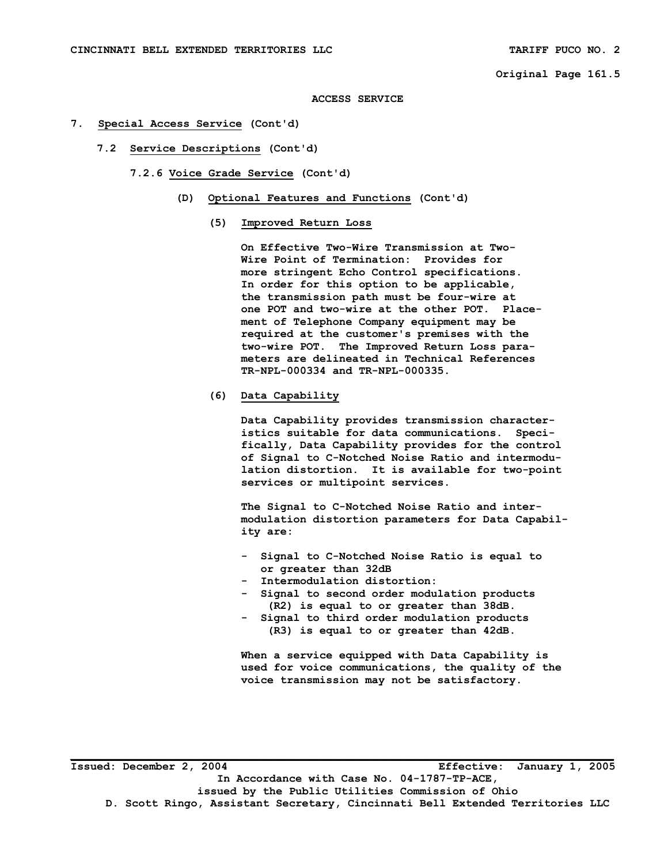**ACCESS SERVICE** 

- **7. Special Access Service (Cont'd)** 
	- **7.2 Service Descriptions (Cont'd)**

 **7.2.6 Voice Grade Service (Cont'd)** 

- **(D) Optional Features and Functions (Cont'd)** 
	- **(5) Improved Return Loss**

 **On Effective Two-Wire Transmission at Two- Wire Point of Termination: Provides for more stringent Echo Control specifications. In order for this option to be applicable, the transmission path must be four-wire at one POT and two-wire at the other POT. Place ment of Telephone Company equipment may be required at the customer's premises with the two-wire POT. The Improved Return Loss para meters are delineated in Technical References TR-NPL-000334 and TR-NPL-000335.** 

 **(6) Data Capability** 

 **Data Capability provides transmission character istics suitable for data communications. Speci fically, Data Capability provides for the control of Signal to C-Notched Noise Ratio and intermodu lation distortion. It is available for two-point services or multipoint services.** 

 **The Signal to C-Notched Noise Ratio and inter modulation distortion parameters for Data Capabil ity are:** 

- **Signal to C-Notched Noise Ratio is equal to or greater than 32dB**
- **Intermodulation distortion:**
- **Signal to second order modulation products (R2) is equal to or greater than 38dB.**
- **Signal to third order modulation products (R3) is equal to or greater than 42dB.**

 **When a service equipped with Data Capability is used for voice communications, the quality of the voice transmission may not be satisfactory.**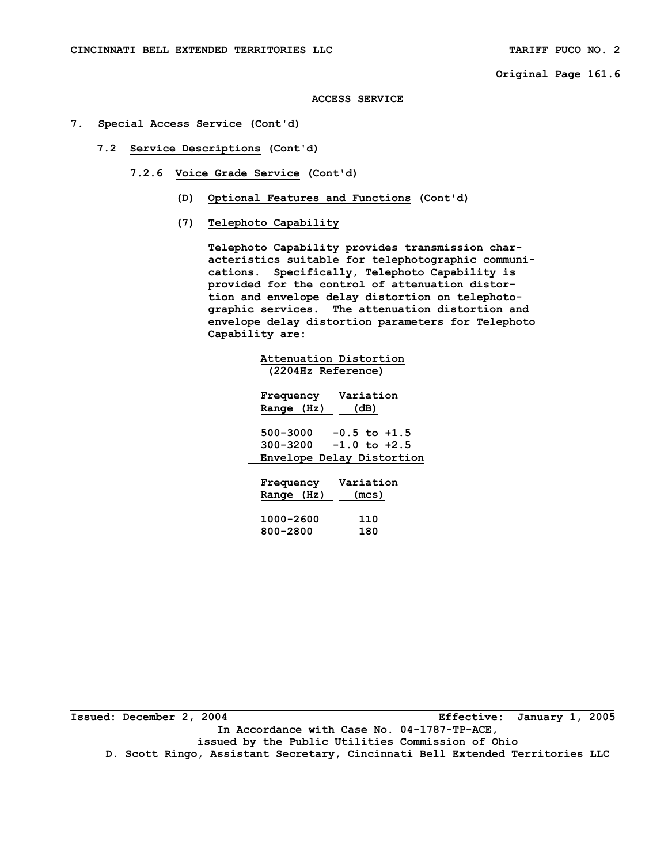**ACCESS SERVICE** 

- **7. Special Access Service (Cont'd)** 
	- **7.2 Service Descriptions (Cont'd)** 
		- **7.2.6 Voice Grade Service (Cont'd)** 
			- **(D) Optional Features and Functions (Cont'd)**
			- **(7) Telephoto Capability**

 **Telephoto Capability provides transmission char acteristics suitable for telephotographic communi cations. Specifically, Telephoto Capability is provided for the control of attenuation distor tion and envelope delay distortion on telephoto graphic services. The attenuation distortion and envelope delay distortion parameters for Telephoto Capability are:** 

| Attenuation Distortion       |  |
|------------------------------|--|
| (2204Hz Reference)           |  |
| Variation<br>Frequency       |  |
| (dB)<br>Range (Hz)           |  |
| 500-3000<br>$-0.5$ to $+1.5$ |  |
| $300 - 3200 - 1.0$ to $+2.5$ |  |
| Envelope Delay Distortion    |  |
| Variation<br>Frequency       |  |
| Range (Hz)<br>(mcs)          |  |
| 1000-2600<br>110             |  |
| 800-2800<br>180              |  |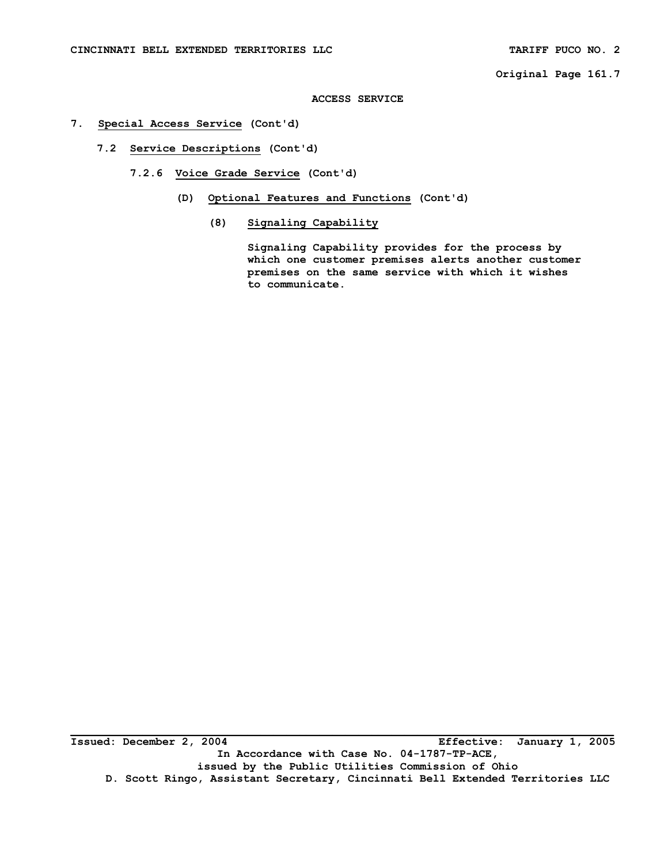### **ACCESS SERVICE**

## **7. Special Access Service (Cont'd)**

 **7.2 Service Descriptions (Cont'd)** 

 **7.2.6 Voice Grade Service (Cont'd)** 

- **(D) Optional Features and Functions (Cont'd)** 
	- **(8) Signaling Capability**

 **Signaling Capability provides for the process by which one customer premises alerts another customer premises on the same service with which it wishes to communicate.**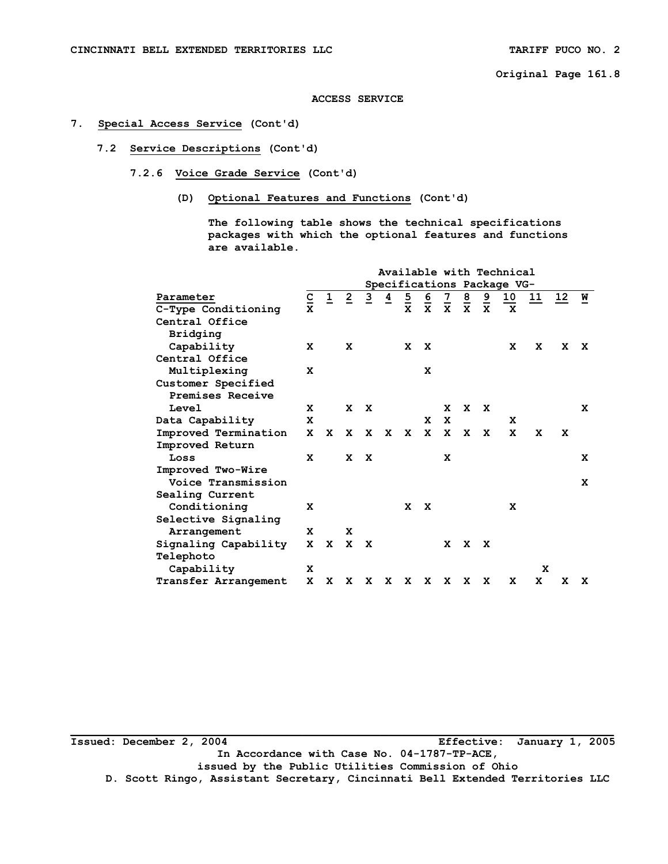**ACCESS SERVICE** 

## **7. Special Access Service (Cont'd)**

## **7.2 Service Descriptions (Cont'd)**

- **7.2.6 Voice Grade Service (Cont'd)** 
	- **(D) Optional Features and Functions (Cont'd)**

 **The following table shows the technical specifications packages with which the optional features and functions are available.** 

|                      |                          |                |                |                |                |               |                |                |                |                | Available with Technical   |    |      |   |
|----------------------|--------------------------|----------------|----------------|----------------|----------------|---------------|----------------|----------------|----------------|----------------|----------------------------|----|------|---|
|                      |                          |                |                |                |                |               |                |                |                |                | Specifications Package VG- |    |      |   |
| Parameter            | $\underline{\texttt{C}}$ | $\overline{1}$ | $\overline{2}$ | $\overline{3}$ | $\overline{4}$ | $\frac{5}{x}$ | $\overline{6}$ | $\overline{z}$ | $\overline{8}$ | $\overline{a}$ | <u>10</u>                  | 11 | 12 W |   |
| C-Type Conditioning  | $\mathbf{x}$             |                |                |                |                |               | $\mathbf{x}$   | $\mathbf{x}$   | $\mathbf{x}$   | $\mathbf{x}$   | X                          |    |      |   |
| Central Office       |                          |                |                |                |                |               |                |                |                |                |                            |    |      |   |
| Bridging             |                          |                |                |                |                |               |                |                |                |                |                            |    |      |   |
| Capability           | x                        |                | x              |                |                | x             | X              |                |                |                | x                          | X  | x    | x |
| Central Office       |                          |                |                |                |                |               |                |                |                |                |                            |    |      |   |
| Multiplexing         | x                        |                |                |                |                |               | x              |                |                |                |                            |    |      |   |
| Customer Specified   |                          |                |                |                |                |               |                |                |                |                |                            |    |      |   |
| Premises Receive     |                          |                |                |                |                |               |                |                |                |                |                            |    |      |   |
| Level                | X                        |                | $\mathbf{x}$   | $\mathbf{x}$   |                |               |                | x              | $\mathbf{x}$   | X              |                            |    |      | X |
| Data Capability      | X                        |                |                |                |                |               | x              | $\mathbf x$    |                |                | x                          |    |      |   |
| Improved Termination | X                        | X              | X.             | $\mathbf{x}$   | X.             | X             | $\mathbf{x}$   | $\mathbf{x}$   | X              | X              | X                          | X  | x    |   |
| Improved Return      |                          |                |                |                |                |               |                |                |                |                |                            |    |      |   |
| Loss                 | X                        |                | x              | $\mathbf{x}$   |                |               |                | x              |                |                |                            |    |      | x |
| Improved Two-Wire    |                          |                |                |                |                |               |                |                |                |                |                            |    |      |   |
| Voice Transmission   |                          |                |                |                |                |               |                |                |                |                |                            |    |      | x |
| Sealing Current      |                          |                |                |                |                |               |                |                |                |                |                            |    |      |   |
| Conditioning         | X                        |                |                |                |                | $\mathbf{x}$  | $\mathbf{x}$   |                |                |                | x                          |    |      |   |
| Selective Signaling  |                          |                |                |                |                |               |                |                |                |                |                            |    |      |   |
| Arrangement          | X                        |                | x              |                |                |               |                |                |                |                |                            |    |      |   |
| Signaling Capability | x                        | X              | X              | $\mathbf{x}$   |                |               |                | x              | $\mathbf{x}$   | <b>X</b>       |                            |    |      |   |
| Telephoto            |                          |                |                |                |                |               |                |                |                |                |                            |    |      |   |
| Capability           | x                        |                |                |                |                |               |                |                |                |                |                            | X  |      |   |
| Transfer Arrangement | x                        | x              | x              | x              | x              | x             | X              | X              | x              | x              | x                          | x  | x    | x |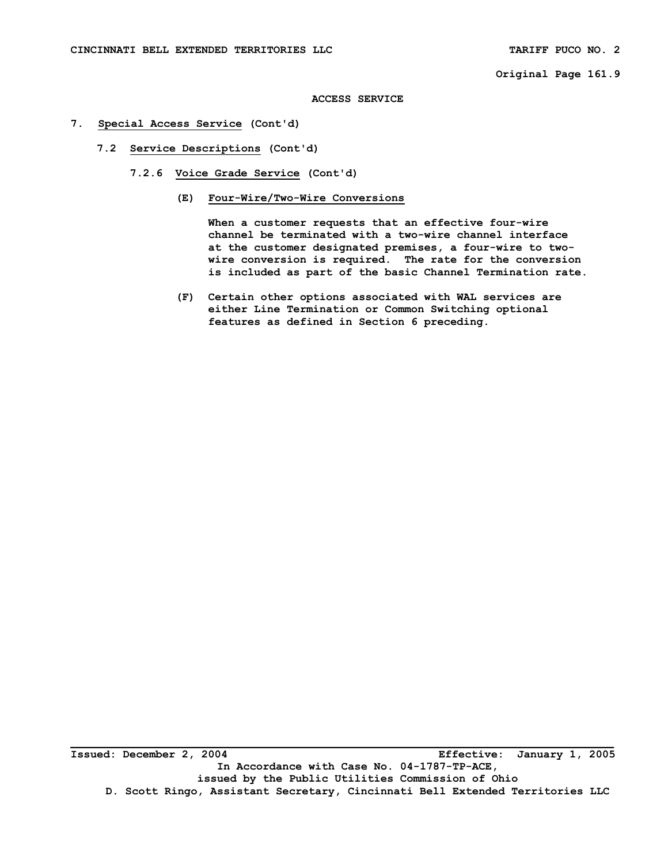#### **ACCESS SERVICE**

- **7. Special Access Service (Cont'd)** 
	- **7.2 Service Descriptions (Cont'd)** 
		- **7.2.6 Voice Grade Service (Cont'd)** 
			- **(E) Four-Wire/Two-Wire Conversions**

 **When a customer requests that an effective four-wire channel be terminated with a two-wire channel interface at the customer designated premises, a four-wire to two wire conversion is required. The rate for the conversion is included as part of the basic Channel Termination rate.** 

 **(F) Certain other options associated with WAL services are either Line Termination or Common Switching optional features as defined in Section 6 preceding.** 

**Issued: December 2, 2004 Effective: January 1, 2005 In Accordance with Case No. 04-1787-TP-ACE, issued by the Public Utilities Commission of Ohio D. Scott Ringo, Assistant Secretary, Cincinnati Bell Extended Territories LLC**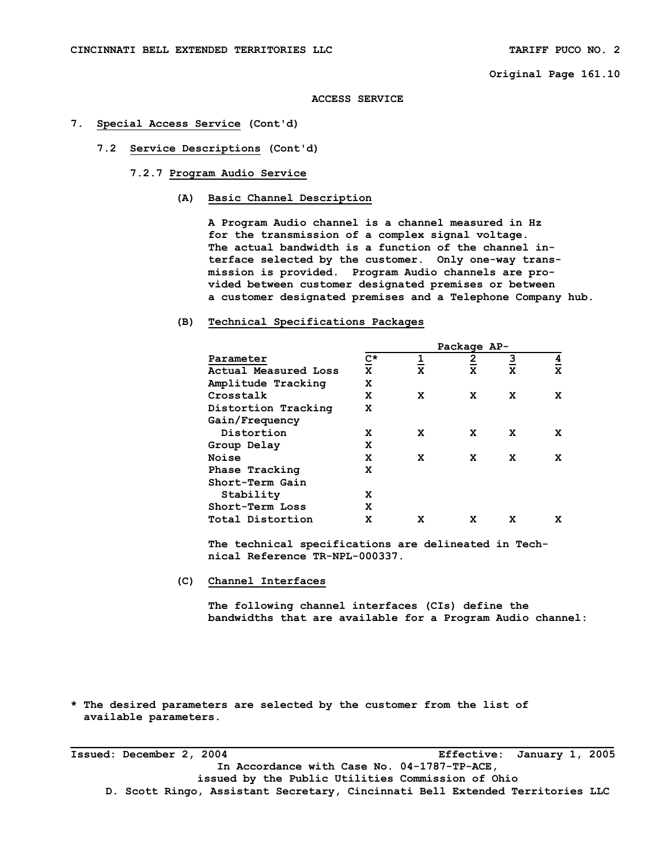#### **ACCESS SERVICE**

#### **7. Special Access Service (Cont'd)**

- **7.2 Service Descriptions (Cont'd)** 
	- **7.2.7 Program Audio Service** 
		- **(A) Basic Channel Description**

 **A Program Audio channel is a channel measured in Hz for the transmission of a complex signal voltage. The actual bandwidth is a function of the channel in terface selected by the customer. Only one-way trans mission is provided. Program Audio channels are pro vided between customer designated premises or between a customer designated premises and a Telephone Company hub.** 

#### **(B) Technical Specifications Packages**

|       |                      |             |   | Package AP-    |   |                |
|-------|----------------------|-------------|---|----------------|---|----------------|
|       | Parameter            | <u>ሮ</u> *  |   | $\overline{2}$ | 3 | $\overline{a}$ |
|       | Actual Measured Loss | $\mathbf x$ | X | X              | X | $\mathbf x$    |
|       | Amplitude Tracking   | X           |   |                |   |                |
|       | Crosstalk            | X           | x | x              | x | x              |
|       | Distortion Tracking  | X           |   |                |   |                |
|       | Gain/Frequency       |             |   |                |   |                |
|       | Distortion           | x           | x | x              | x | x              |
|       | Group Delay          | x           |   |                |   |                |
| Noise |                      | X           | x | x              | x | x              |
|       | Phase Tracking       | x           |   |                |   |                |
|       | Short-Term Gain      |             |   |                |   |                |
|       | Stability            | x           |   |                |   |                |
|       | Short-Term Loss      | X           |   |                |   |                |
|       | Total Distortion     | X           | x | x              | X | X              |

 **The technical specifications are delineated in Tech nical Reference TR-NPL-000337.** 

 **(C) Channel Interfaces** 

 **The following channel interfaces (CIs) define the bandwidths that are available for a Program Audio channel:** 

**\* The desired parameters are selected by the customer from the list of available parameters.** 

**Issued: December 2, 2004 Effective: January 1, 2005 In Accordance with Case No. 04-1787-TP-ACE, issued by the Public Utilities Commission of Ohio D. Scott Ringo, Assistant Secretary, Cincinnati Bell Extended Territories LLC**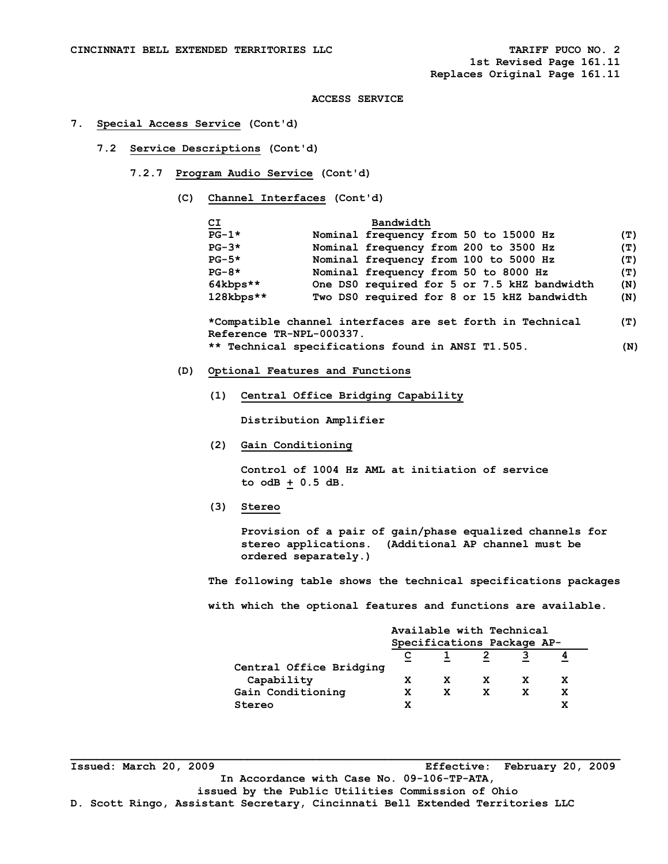#### **7. Special Access Service (Cont'd)**

- **7.2 Service Descriptions (Cont'd)** 
	- **7.2.7 Program Audio Service (Cont'd)** 
		- **(C) Channel Interfaces (Cont'd)**

| C <sub>I</sub> | Bandwidth                                          |
|----------------|----------------------------------------------------|
| $PG-1*$        | Nominal frequency from 50 to 15000 Hz<br>(T)       |
| $PG-3*$        | Nominal frequency from 200 to 3500 Hz<br>(T)       |
| $PG-5*$        | Nominal frequency from 100 to 5000 Hz<br>(T)       |
| $PG-8*$        | Nominal frequency from 50 to 8000 Hz<br>(T)        |
| $64k$ bps**    | One DS0 required for 5 or 7.5 kHZ bandwidth<br>(N) |
| $128kbps**$    | Two DS0 required for 8 or 15 kHZ bandwidth<br>(N)  |

 **\*Compatible channel interfaces are set forth in Technical (T) Reference TR-NPL-000337. \*\* Technical specifications found in ANSI T1.505. (N)** 

- **(D) Optional Features and Functions** 
	- **(1) Central Office Bridging Capability**

 **Distribution Amplifier** 

 **(2) Gain Conditioning** 

 **Control of 1004 Hz AML at initiation of service to odB + 0.5 dB.** 

 **(3) Stereo** 

 **Provision of a pair of gain/phase equalized channels for stereo applications. (Additional AP channel must be ordered separately.)** 

 **The following table shows the technical specifications packages**

 **with which the optional features and functions are available.** 

|                         |   | Available with Technical   |   |   |  |
|-------------------------|---|----------------------------|---|---|--|
|                         |   | Specifications Package AP- |   |   |  |
|                         | С |                            |   |   |  |
| Central Office Bridging |   |                            |   |   |  |
| Capability              |   |                            |   | x |  |
| Gain Conditioning       |   | x                          | x | x |  |
| Stereo                  |   |                            |   | x |  |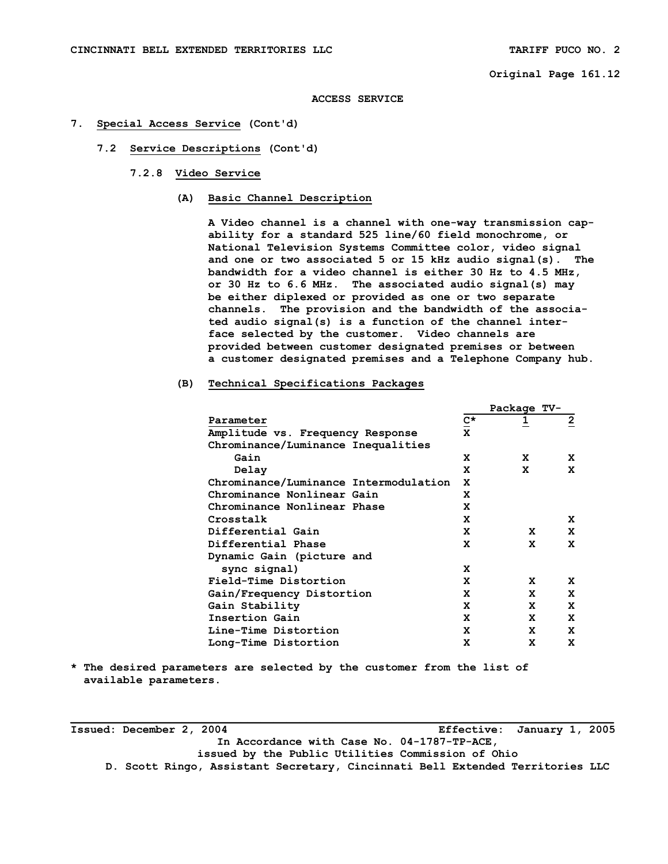**ACCESS SERVICE** 

#### **7. Special Access Service (Cont'd)**

- **7.2 Service Descriptions (Cont'd)** 
	- **7.2.8 Video Service** 
		- **(A) Basic Channel Description**

 **A Video channel is a channel with one-way transmission cap ability for a standard 525 line/60 field monochrome, or National Television Systems Committee color, video signal and one or two associated 5 or 15 kHz audio signal(s). The bandwidth for a video channel is either 30 Hz to 4.5 MHz, or 30 Hz to 6.6 MHz. The associated audio signal(s) may be either diplexed or provided as one or two separate channels. The provision and the bandwidth of the associa ted audio signal(s) is a function of the channel inter face selected by the customer. Video channels are provided between customer designated premises or between a customer designated premises and a Telephone Company hub.** 

## **(B) Technical Specifications Packages**

|                                       |      | Package TV- |                |
|---------------------------------------|------|-------------|----------------|
| Parameter                             | $c*$ | 1           | $\overline{2}$ |
| Amplitude vs. Frequency Response      | X    |             |                |
| Chrominance/Luminance Inequalities    |      |             |                |
| Gain                                  | x    | x           | x              |
| Delay                                 | x    | x           | x              |
| Chrominance/Luminance Intermodulation | x    |             |                |
| Chrominance Nonlinear Gain            | x    |             |                |
| Chrominance Nonlinear Phase           | X    |             |                |
| Crosstalk                             | x    |             | x              |
| Differential Gain                     | x    | x           | X              |
| Differential Phase                    | x    | x           | x              |
| Dynamic Gain (picture and             |      |             |                |
| sync signal)                          | x    |             |                |
| Field-Time Distortion                 | x    | x           | x              |
| Gain/Frequency Distortion             | X    | X           | X              |
| Gain Stability                        | x    | X           | X              |
| Insertion Gain                        | x    | X           | X              |
| Line-Time Distortion                  | x    | x           | X              |
| Long-Time Distortion                  | X    | X           | X              |
|                                       |      |             |                |

**\* The desired parameters are selected by the customer from the list of available parameters.** 

**Issued: December 2, 2004 Effective: January 1, 2005 In Accordance with Case No. 04-1787-TP-ACE, issued by the Public Utilities Commission of Ohio D. Scott Ringo, Assistant Secretary, Cincinnati Bell Extended Territories LLC**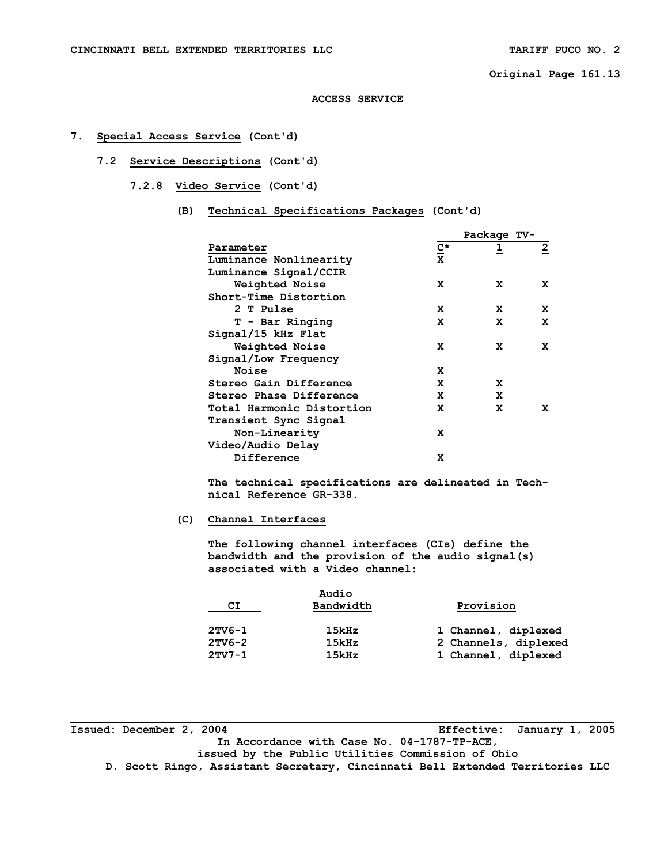#### **ACCESS SERVICE**

## **7. Special Access Service (Cont'd)**

 **7.2 Service Descriptions (Cont'd)** 

 **7.2.8 Video Service (Cont'd)** 

 **(B) Technical Specifications Packages (Cont'd)** 

|                           |             | Package TV- |              |
|---------------------------|-------------|-------------|--------------|
| Parameter                 | C*          |             | $\mathbf{2}$ |
| Luminance Nonlinearity    | $\mathbf x$ |             |              |
| Luminance Signal/CCIR     |             |             |              |
| Weighted Noise            | x           | x           | x            |
| Short-Time Distortion     |             |             |              |
| 2 T Pulse                 | x           | x           | x            |
| T - Bar Ringing           | x           | x           | x            |
| Signal/15 kHz Flat        |             |             |              |
| Weighted Noise            | x           | x           | x            |
| Signal/Low Frequency      |             |             |              |
| Noise                     | x           |             |              |
| Stereo Gain Difference    | x           | x           |              |
| Stereo Phase Difference   | x           | x           |              |
| Total Harmonic Distortion | x           | x           | x            |
| Transient Sync Signal     |             |             |              |
| Non-Linearity             | x           |             |              |
| Video/Audio Delay         |             |             |              |
| Difference                | x           |             |              |

 **The technical specifications are delineated in Tech nical Reference GR-338.** 

## **(C) Channel Interfaces**

 **The following channel interfaces (CIs) define the bandwidth and the provision of the audio signal(s) associated with a Video channel:** 

|          | Audio     |                      |
|----------|-----------|----------------------|
| СI       | Bandwidth | Provision            |
| $2TV6-1$ | 15kHz     | 1 Channel, diplexed  |
| $2TV6-2$ | 15kHz     | 2 Channels, diplexed |
| $2TVI-1$ | 15kHz     | 1 Channel, diplexed  |

**Issued: December 2, 2004 Effective: January 1, 2005 In Accordance with Case No. 04-1787-TP-ACE, issued by the Public Utilities Commission of Ohio D. Scott Ringo, Assistant Secretary, Cincinnati Bell Extended Territories LLC**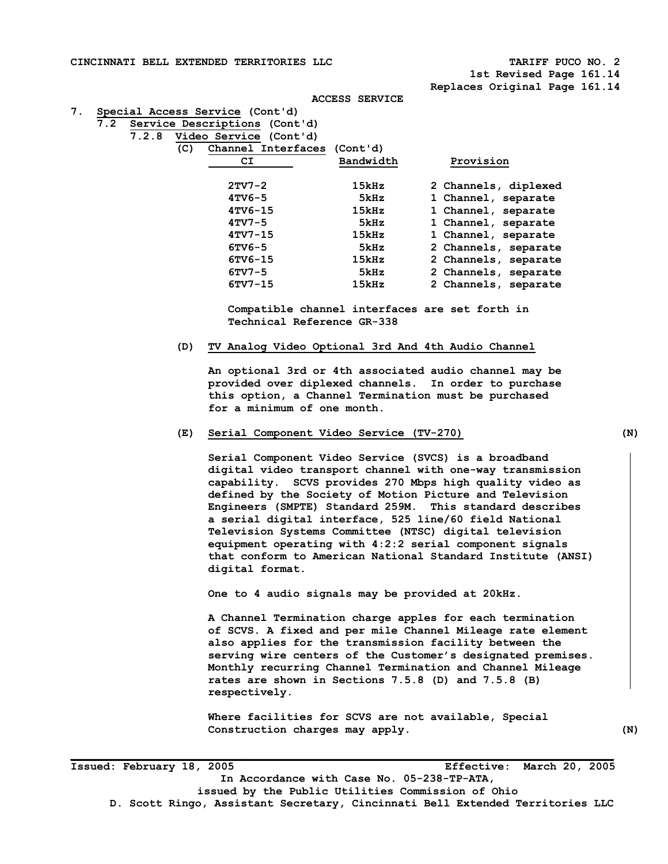**CINCINNATI BELL EXTENDED TERRITORIES LLC TARIFF PUCO NO. 2** 

 **1st Revised Page 161.14 Replaces Original Page 161.14** 

```
ACCESS SERVICE
```
**7. Special Access Service (Cont'd)** 

| 7.2 Service Descriptions (Cont'd) |  |
|-----------------------------------|--|
|-----------------------------------|--|

 **7.2.8 Video Service (Cont'd)** 

| Bandwidth<br>Provision<br>СI<br>$2TV7-2$<br>15kHz<br>2 Channels, diplexed<br>$4TV6-5$<br>1 Channel, separate<br>5kHz<br>$4TV6-15$<br>15kHz<br>1 Channel, separate |  |
|-------------------------------------------------------------------------------------------------------------------------------------------------------------------|--|
|                                                                                                                                                                   |  |
|                                                                                                                                                                   |  |
|                                                                                                                                                                   |  |
|                                                                                                                                                                   |  |
| $4TV7-5$<br>1 Channel, separate<br>5kHz                                                                                                                           |  |
| $4TV7 - 15$<br>15kHz<br>1 Channel, separate                                                                                                                       |  |
| $6TVC-5$<br>2 Channels, separate<br>5kHz                                                                                                                          |  |
| 6TV6-15<br>15kHz<br>2 Channels, separate                                                                                                                          |  |
| $6TV7-5$<br>2 Channels, separate<br>5kHz                                                                                                                          |  |
| $6TV7-15$<br>2 Channels, separate<br>15kHz                                                                                                                        |  |

 **Compatible channel interfaces are set forth in Technical Reference GR-338** 

**(D) TV Analog Video Optional 3rd And 4th Audio Channel** 

 **An optional 3rd or 4th associated audio channel may be provided over diplexed channels. In order to purchase this option, a Channel Termination must be purchased for a minimum of one month.** 

**(E) Serial Component Video Service (TV-270) (N)** 

**Serial Component Video Service (SVCS) is a broadband digital video transport channel with one-way transmission capability. SCVS provides 270 Mbps high quality video as defined by the Society of Motion Picture and Television Engineers (SMPTE) Standard 259M. This standard describes a serial digital interface, 525 line/60 field National Television Systems Committee (NTSC) digital television equipment operating with 4:2:2 serial component signals that conform to American National Standard Institute (ANSI) digital format.** 

**One to 4 audio signals may be provided at 20kHz.** 

**A Channel Termination charge apples for each termination of SCVS. A fixed and per mile Channel Mileage rate element also applies for the transmission facility between the serving wire centers of the Customer's designated premises. Monthly recurring Channel Termination and Channel Mileage rates are shown in Sections 7.5.8 (D) and 7.5.8 (B) respectively.** 

**Where facilities for SCVS are not available, Special Construction charges may apply. (N)**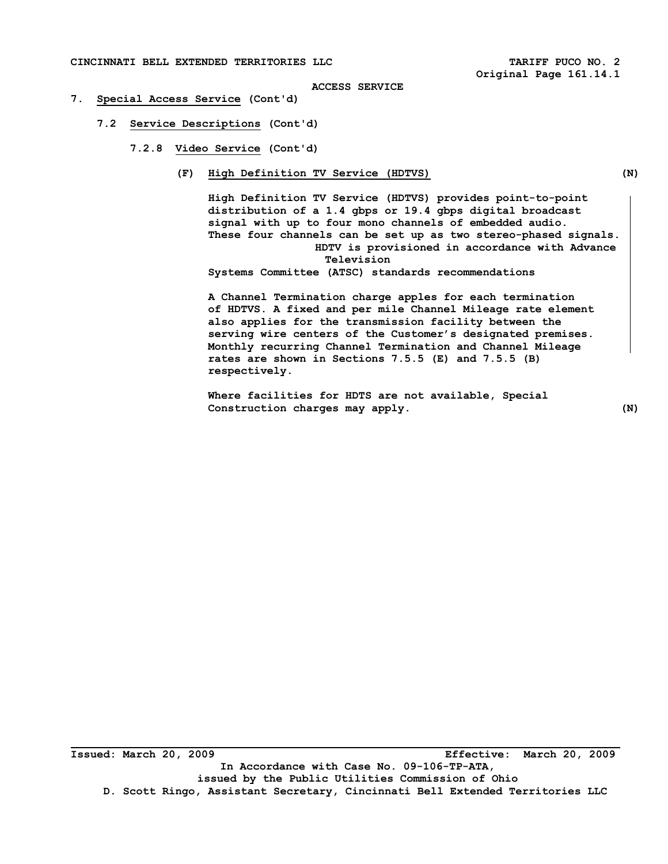#### **CINCINNATI BELL EXTENDED TERRITORIES LLC TARIFF PUCO NO. 2**

#### **ACCESS SERVICE**

#### **7. Special Access Service (Cont'd)**

 **7.2 Service Descriptions (Cont'd)** 

 **7.2.8 Video Service (Cont'd)** 

 **(F) High Definition TV Service (HDTVS) (N)** 

**High Definition TV Service (HDTVS) provides point-to-point distribution of a 1.4 gbps or 19.4 gbps digital broadcast signal with up to four mono channels of embedded audio. These four channels can be set up as two stereo-phased signals. HDTV is provisioned in accordance with Advance Television** 

**Systems Committee (ATSC) standards recommendations** 

**A Channel Termination charge apples for each termination of HDTVS. A fixed and per mile Channel Mileage rate element also applies for the transmission facility between the serving wire centers of the Customer's designated premises. Monthly recurring Channel Termination and Channel Mileage rates are shown in Sections 7.5.5 (E) and 7.5.5 (B) respectively.** 

**Where facilities for HDTS are not available, Special Construction charges may apply. (N)**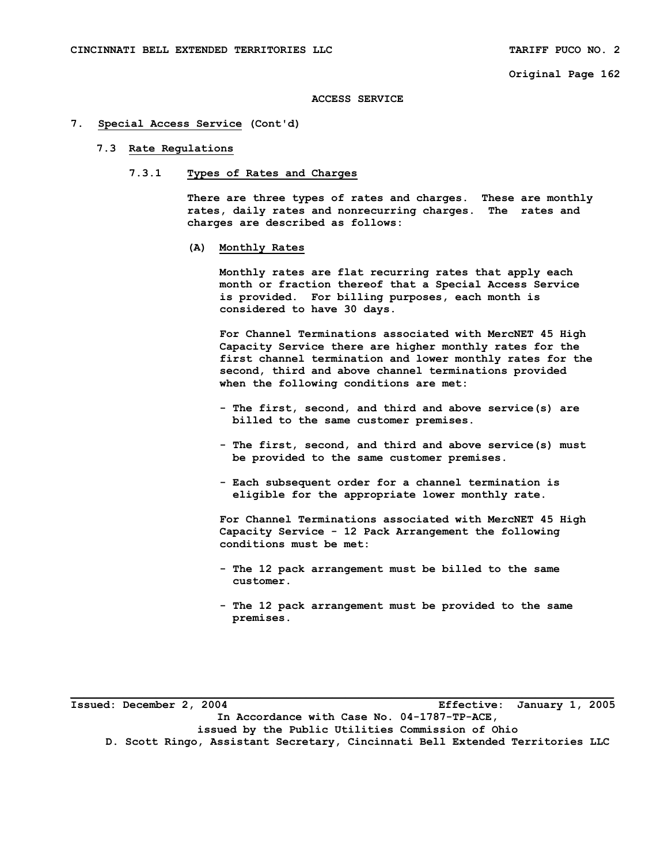#### **ACCESS SERVICE**

### **7. Special Access Service (Cont'd)**

#### **7.3 Rate Regulations**

# **7.3.1 Types of Rates and Charges**

 **There are three types of rates and charges. These are monthly rates, daily rates and nonrecurring charges. The rates and charges are described as follows:** 

#### **(A) Monthly Rates**

 **Monthly rates are flat recurring rates that apply each month or fraction thereof that a Special Access Service is provided. For billing purposes, each month is considered to have 30 days.** 

 **For Channel Terminations associated with MercNET 45 High Capacity Service there are higher monthly rates for the first channel termination and lower monthly rates for the second, third and above channel terminations provided when the following conditions are met:** 

- **The first, second, and third and above service(s) are billed to the same customer premises.**
- **The first, second, and third and above service(s) must be provided to the same customer premises.**
- **Each subsequent order for a channel termination is eligible for the appropriate lower monthly rate.**

 **For Channel Terminations associated with MercNET 45 High Capacity Service - 12 Pack Arrangement the following conditions must be met:** 

- **The 12 pack arrangement must be billed to the same customer.**
- **The 12 pack arrangement must be provided to the same premises.**

**\_\_\_\_\_\_\_\_\_\_\_\_\_\_\_\_\_\_\_\_\_\_\_\_\_\_\_\_\_\_\_\_\_\_\_\_\_\_\_\_\_\_\_\_\_\_\_\_\_\_\_\_\_\_\_\_\_\_\_\_\_\_\_\_\_\_\_\_\_\_\_\_\_\_\_\_\_\_\_\_\_\_\_ Issued: December 2, 2004 Effective: January 1, 2005 In Accordance with Case No. 04-1787-TP-ACE, issued by the Public Utilities Commission of Ohio D. Scott Ringo, Assistant Secretary, Cincinnati Bell Extended Territories LLC**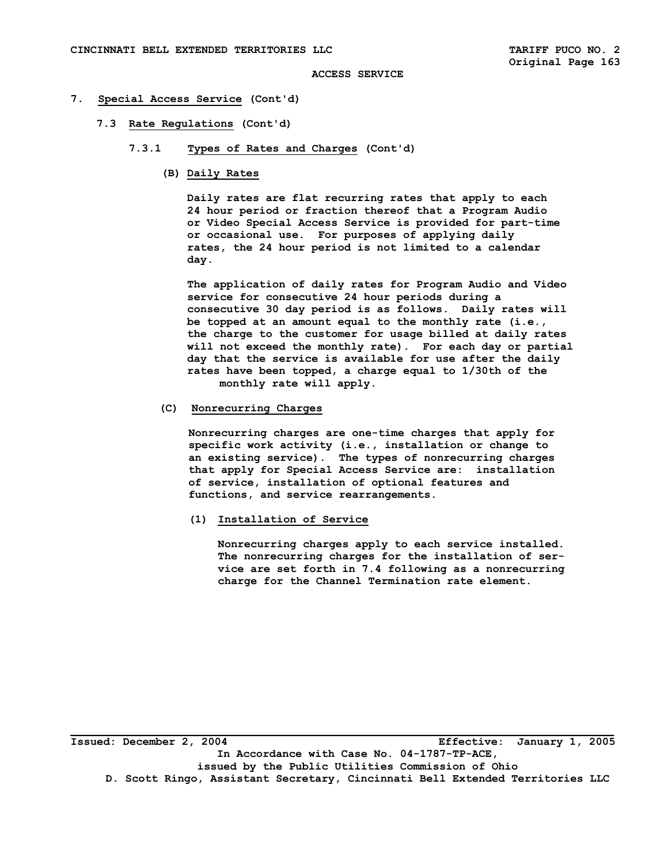#### **7. Special Access Service (Cont'd)**

- **7.3 Rate Regulations (Cont'd)** 
	- **7.3.1 Types of Rates and Charges (Cont'd)** 
		- **(B) Daily Rates**

 **Daily rates are flat recurring rates that apply to each 24 hour period or fraction thereof that a Program Audio or Video Special Access Service is provided for part-time or occasional use. For purposes of applying daily rates, the 24 hour period is not limited to a calendar day.** 

 **The application of daily rates for Program Audio and Video service for consecutive 24 hour periods during a consecutive 30 day period is as follows. Daily rates will be topped at an amount equal to the monthly rate (i.e., the charge to the customer for usage billed at daily rates will not exceed the monthly rate). For each day or partial day that the service is available for use after the daily rates have been topped, a charge equal to 1/30th of the monthly rate will apply.** 

### **(C) Nonrecurring Charges**

 **Nonrecurring charges are one-time charges that apply for specific work activity (i.e., installation or change to an existing service). The types of nonrecurring charges that apply for Special Access Service are: installation of service, installation of optional features and functions, and service rearrangements.** 

 **(1) Installation of Service** 

 **Nonrecurring charges apply to each service installed. The nonrecurring charges for the installation of ser vice are set forth in 7.4 following as a nonrecurring charge for the Channel Termination rate element.** 

**\_\_\_\_\_\_\_\_\_\_\_\_\_\_\_\_\_\_\_\_\_\_\_\_\_\_\_\_\_\_\_\_\_\_\_\_\_\_\_\_\_\_\_\_\_\_\_\_\_\_\_\_\_\_\_\_\_\_\_\_\_\_\_\_\_\_\_\_\_\_\_\_\_\_\_\_\_\_\_\_\_\_\_ Issued: December 2, 2004 Effective: January 1, 2005 In Accordance with Case No. 04-1787-TP-ACE, issued by the Public Utilities Commission of Ohio D. Scott Ringo, Assistant Secretary, Cincinnati Bell Extended Territories LLC**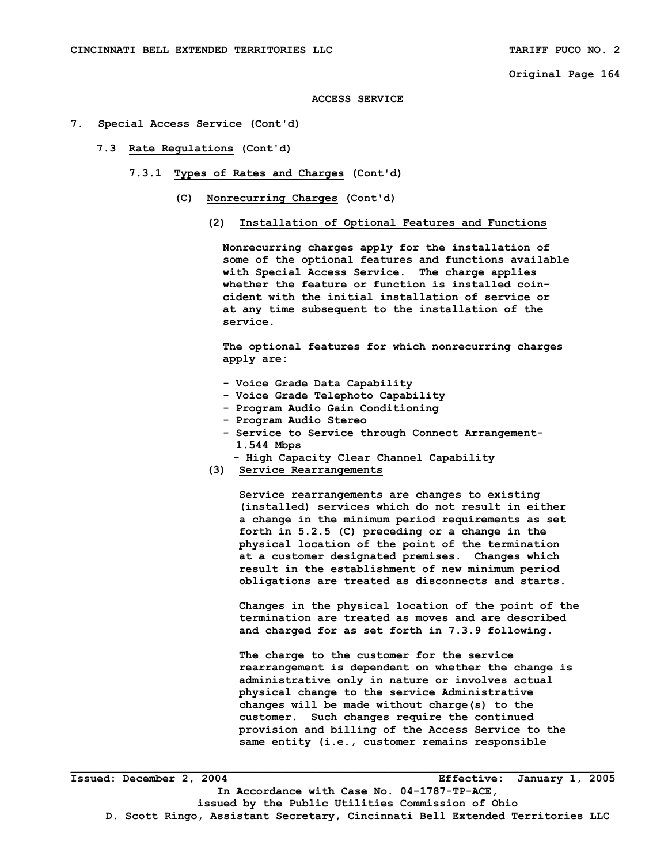**ACCESS SERVICE** 

- **7. Special Access Service (Cont'd)** 
	- **7.3 Rate Regulations (Cont'd)** 
		- **7.3.1 Types of Rates and Charges (Cont'd)** 
			- **(C) Nonrecurring Charges (Cont'd)** 
				- **(2) Installation of Optional Features and Functions**

 **Nonrecurring charges apply for the installation of some of the optional features and functions available with Special Access Service. The charge applies whether the feature or function is installed coin cident with the initial installation of service or at any time subsequent to the installation of the service.** 

 **The optional features for which nonrecurring charges apply are:** 

- **Voice Grade Data Capability**
- **Voice Grade Telephoto Capability**
- **Program Audio Gain Conditioning**
- **Program Audio Stereo**
- **Service to Service through Connect Arrangement- 1.544 Mbps** 
	- **High Capacity Clear Channel Capability**
- **(3) Service Rearrangements**

 **Service rearrangements are changes to existing (installed) services which do not result in either a change in the minimum period requirements as set forth in 5.2.5 (C) preceding or a change in the physical location of the point of the termination at a customer designated premises. Changes which result in the establishment of new minimum period obligations are treated as disconnects and starts.** 

 **Changes in the physical location of the point of the termination are treated as moves and are described and charged for as set forth in 7.3.9 following.** 

 **The charge to the customer for the service rearrangement is dependent on whether the change is administrative only in nature or involves actual physical change to the service Administrative changes will be made without charge(s) to the customer. Such changes require the continued provision and billing of the Access Service to the same entity (i.e., customer remains responsible**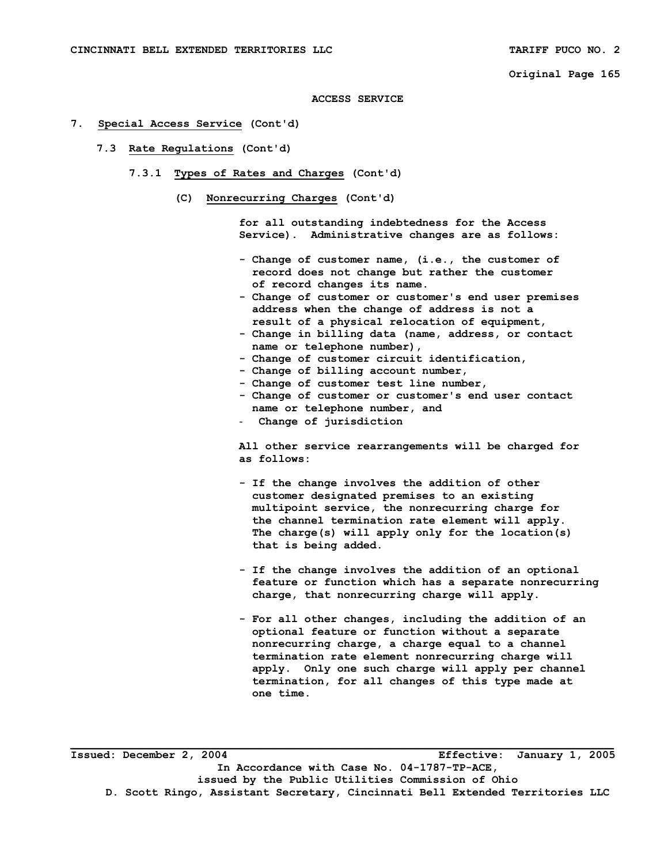#### **ACCESS SERVICE**

### **7. Special Access Service (Cont'd)**

- **7.3 Rate Regulations (Cont'd)** 
	- **7.3.1 Types of Rates and Charges (Cont'd)** 
		- **(C) Nonrecurring Charges (Cont'd)**

 **for all outstanding indebtedness for the Access Service). Administrative changes are as follows:** 

- **Change of customer name, (i.e., the customer of record does not change but rather the customer of record changes its name.**
- **Change of customer or customer's end user premises address when the change of address is not a result of a physical relocation of equipment,**
- **Change in billing data (name, address, or contact name or telephone number),**
- **Change of customer circuit identification,**
- **Change of billing account number,**
- **Change of customer test line number,**
- **Change of customer or customer's end user contact name or telephone number, and**
- **Change of jurisdiction**

 **All other service rearrangements will be charged for as follows:** 

- **If the change involves the addition of other customer designated premises to an existing multipoint service, the nonrecurring charge for the channel termination rate element will apply. The charge(s) will apply only for the location(s) that is being added.**
- **If the change involves the addition of an optional feature or function which has a separate nonrecurring charge, that nonrecurring charge will apply.**
- **For all other changes, including the addition of an optional feature or function without a separate nonrecurring charge, a charge equal to a channel termination rate element nonrecurring charge will apply. Only one such charge will apply per channel termination, for all changes of this type made at one time.**

**\_\_\_\_\_\_\_\_\_\_\_\_\_\_\_\_\_\_\_\_\_\_\_\_\_\_\_\_\_\_\_\_\_\_\_\_\_\_\_\_\_\_\_\_\_\_\_\_\_\_\_\_\_\_\_\_\_\_\_\_\_\_\_\_\_\_\_\_\_\_\_\_\_\_\_\_\_\_\_\_\_\_\_ Issued: December 2, 2004 Effective: January 1, 2005 In Accordance with Case No. 04-1787-TP-ACE, issued by the Public Utilities Commission of Ohio D. Scott Ringo, Assistant Secretary, Cincinnati Bell Extended Territories LLC**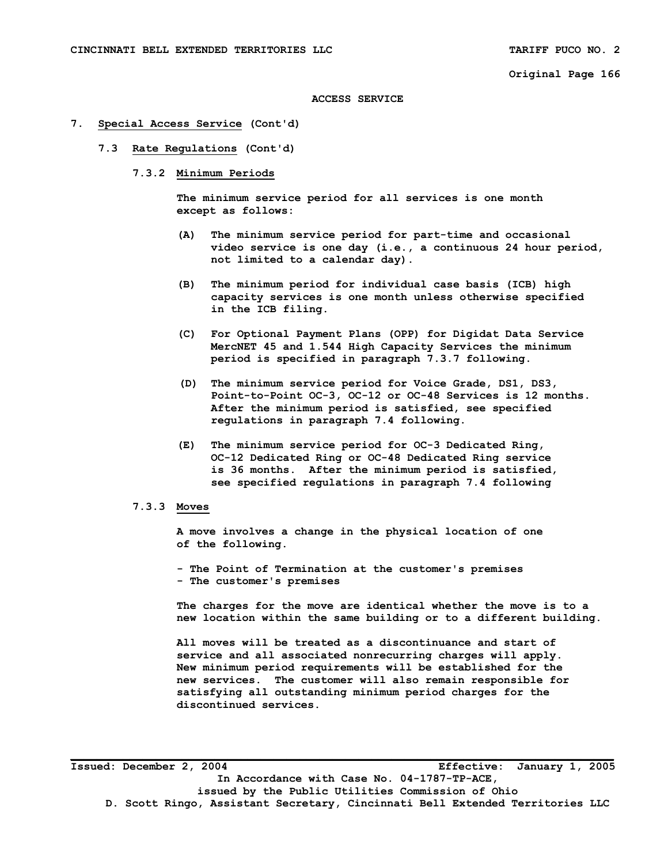#### **ACCESS SERVICE**

### **7. Special Access Service (Cont'd)**

- **7.3 Rate Regulations (Cont'd)** 
	- **7.3.2 Minimum Periods**

 **The minimum service period for all services is one month except as follows:** 

- **(A) The minimum service period for part-time and occasional video service is one day (i.e., a continuous 24 hour period, not limited to a calendar day).**
- **(B) The minimum period for individual case basis (ICB) high capacity services is one month unless otherwise specified in the ICB filing.**
- **(C) For Optional Payment Plans (OPP) for Digidat Data Service MercNET 45 and 1.544 High Capacity Services the minimum period is specified in paragraph 7.3.7 following.**
- **(D) The minimum service period for Voice Grade, DS1, DS3, Point-to-Point OC-3, OC-12 or OC-48 Services is 12 months. After the minimum period is satisfied, see specified regulations in paragraph 7.4 following.**
- **(E) The minimum service period for OC-3 Dedicated Ring, OC-12 Dedicated Ring or OC-48 Dedicated Ring service is 36 months. After the minimum period is satisfied, see specified regulations in paragraph 7.4 following**

### **7.3.3 Moves**

 **A move involves a change in the physical location of one of the following.** 

 **- The Point of Termination at the customer's premises - The customer's premises** 

 **The charges for the move are identical whether the move is to a new location within the same building or to a different building.** 

 **All moves will be treated as a discontinuance and start of service and all associated nonrecurring charges will apply. New minimum period requirements will be established for the new services. The customer will also remain responsible for satisfying all outstanding minimum period charges for the discontinued services.** 

**Issued: December 2, 2004 Effective: January 1, 2005 In Accordance with Case No. 04-1787-TP-ACE, issued by the Public Utilities Commission of Ohio D. Scott Ringo, Assistant Secretary, Cincinnati Bell Extended Territories LLC**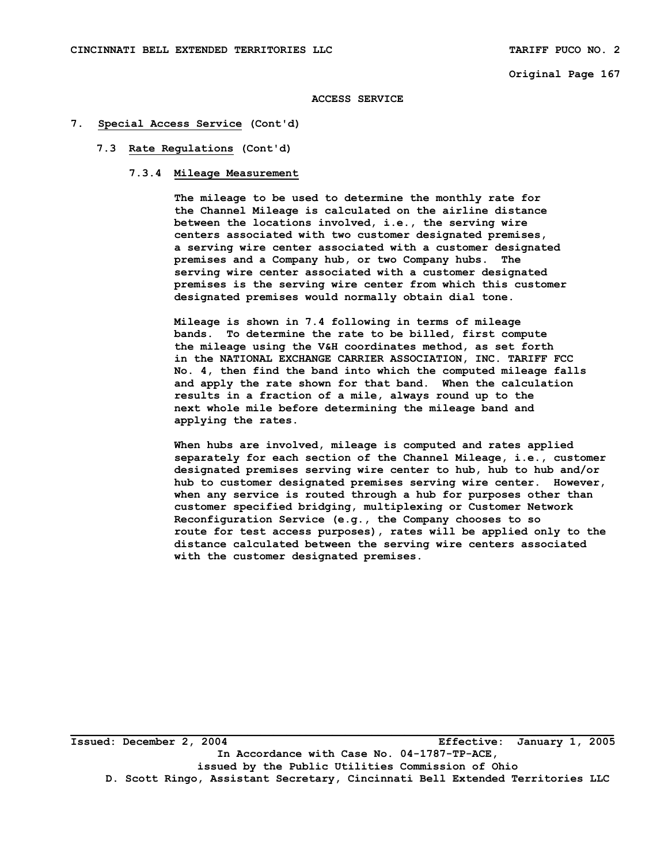#### **ACCESS SERVICE**

## **7. Special Access Service (Cont'd)**

### **7.3 Rate Regulations (Cont'd)**

# **7.3.4 Mileage Measurement**

 **The mileage to be used to determine the monthly rate for the Channel Mileage is calculated on the airline distance between the locations involved, i.e., the serving wire centers associated with two customer designated premises, a serving wire center associated with a customer designated premises and a Company hub, or two Company hubs. The serving wire center associated with a customer designated premises is the serving wire center from which this customer designated premises would normally obtain dial tone.** 

 **Mileage is shown in 7.4 following in terms of mileage bands. To determine the rate to be billed, first compute the mileage using the V&H coordinates method, as set forth in the NATIONAL EXCHANGE CARRIER ASSOCIATION, INC. TARIFF FCC No. 4, then find the band into which the computed mileage falls and apply the rate shown for that band. When the calculation results in a fraction of a mile, always round up to the next whole mile before determining the mileage band and applying the rates.** 

 **When hubs are involved, mileage is computed and rates applied separately for each section of the Channel Mileage, i.e., customer designated premises serving wire center to hub, hub to hub and/or hub to customer designated premises serving wire center. However, when any service is routed through a hub for purposes other than customer specified bridging, multiplexing or Customer Network Reconfiguration Service (e.g., the Company chooses to so route for test access purposes), rates will be applied only to the distance calculated between the serving wire centers associated with the customer designated premises.** 

**\_\_\_\_\_\_\_\_\_\_\_\_\_\_\_\_\_\_\_\_\_\_\_\_\_\_\_\_\_\_\_\_\_\_\_\_\_\_\_\_\_\_\_\_\_\_\_\_\_\_\_\_\_\_\_\_\_\_\_\_\_\_\_\_\_\_\_\_\_\_\_\_\_\_\_\_\_\_\_\_\_\_\_ Issued: December 2, 2004 Effective: January 1, 2005 In Accordance with Case No. 04-1787-TP-ACE, issued by the Public Utilities Commission of Ohio D. Scott Ringo, Assistant Secretary, Cincinnati Bell Extended Territories LLC**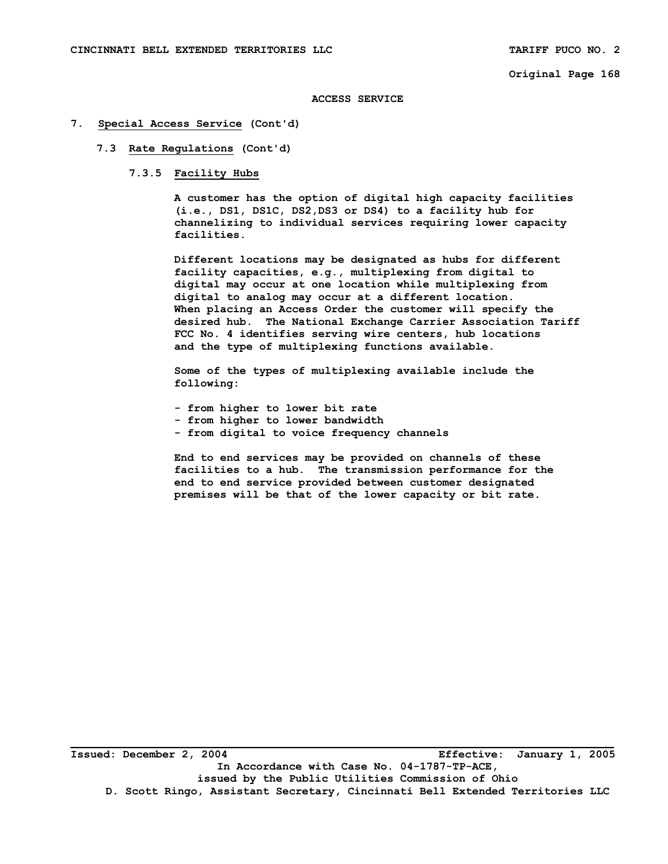#### **ACCESS SERVICE**

## **7. Special Access Service (Cont'd)**

### **7.3 Rate Regulations (Cont'd)**

# **7.3.5 Facility Hubs**

 **A customer has the option of digital high capacity facilities (i.e., DS1, DS1C, DS2,DS3 or DS4) to a facility hub for channelizing to individual services requiring lower capacity facilities.** 

 **Different locations may be designated as hubs for different facility capacities, e.g., multiplexing from digital to digital may occur at one location while multiplexing from digital to analog may occur at a different location. When placing an Access Order the customer will specify the desired hub. The National Exchange Carrier Association Tariff FCC No. 4 identifies serving wire centers, hub locations and the type of multiplexing functions available.** 

 **Some of the types of multiplexing available include the following:** 

- **from higher to lower bit rate**
- **from higher to lower bandwidth**
- **from digital to voice frequency channels**

 **End to end services may be provided on channels of these facilities to a hub. The transmission performance for the end to end service provided between customer designated premises will be that of the lower capacity or bit rate.**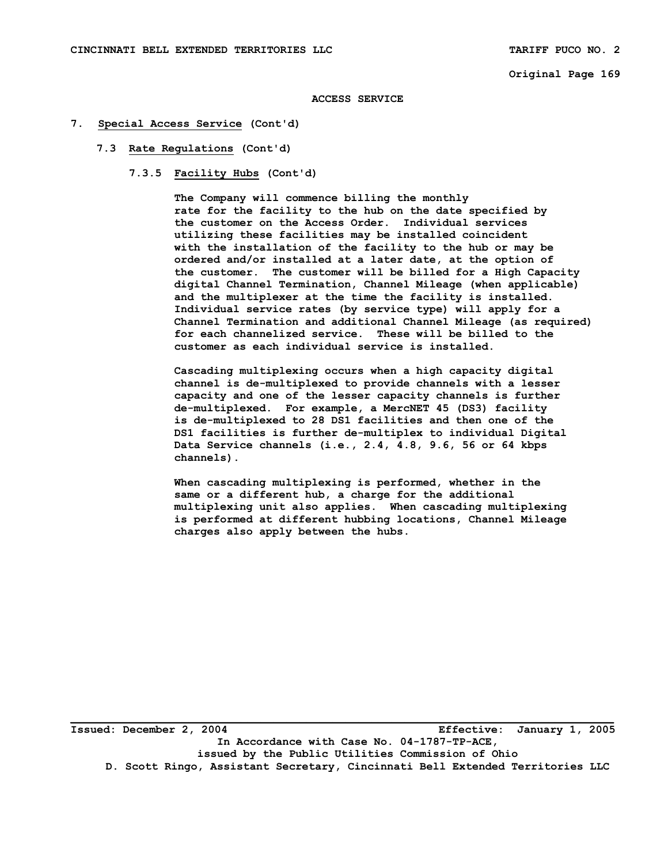#### **ACCESS SERVICE**

## **7. Special Access Service (Cont'd)**

## **7.3 Rate Regulations (Cont'd)**

 **7.3.5 Facility Hubs (Cont'd)** 

 **The Company will commence billing the monthly rate for the facility to the hub on the date specified by the customer on the Access Order. Individual services utilizing these facilities may be installed coincident with the installation of the facility to the hub or may be ordered and/or installed at a later date, at the option of the customer. The customer will be billed for a High Capacity digital Channel Termination, Channel Mileage (when applicable) and the multiplexer at the time the facility is installed. Individual service rates (by service type) will apply for a Channel Termination and additional Channel Mileage (as required) for each channelized service. These will be billed to the customer as each individual service is installed.** 

 **Cascading multiplexing occurs when a high capacity digital channel is de-multiplexed to provide channels with a lesser capacity and one of the lesser capacity channels is further de-multiplexed. For example, a MercNET 45 (DS3) facility is de-multiplexed to 28 DS1 facilities and then one of the DS1 facilities is further de-multiplex to individual Digital Data Service channels (i.e., 2.4, 4.8, 9.6, 56 or 64 kbps channels).** 

 **When cascading multiplexing is performed, whether in the same or a different hub, a charge for the additional multiplexing unit also applies. When cascading multiplexing is performed at different hubbing locations, Channel Mileage charges also apply between the hubs.** 

**Issued: December 2, 2004 Effective: January 1, 2005 In Accordance with Case No. 04-1787-TP-ACE, issued by the Public Utilities Commission of Ohio D. Scott Ringo, Assistant Secretary, Cincinnati Bell Extended Territories LLC**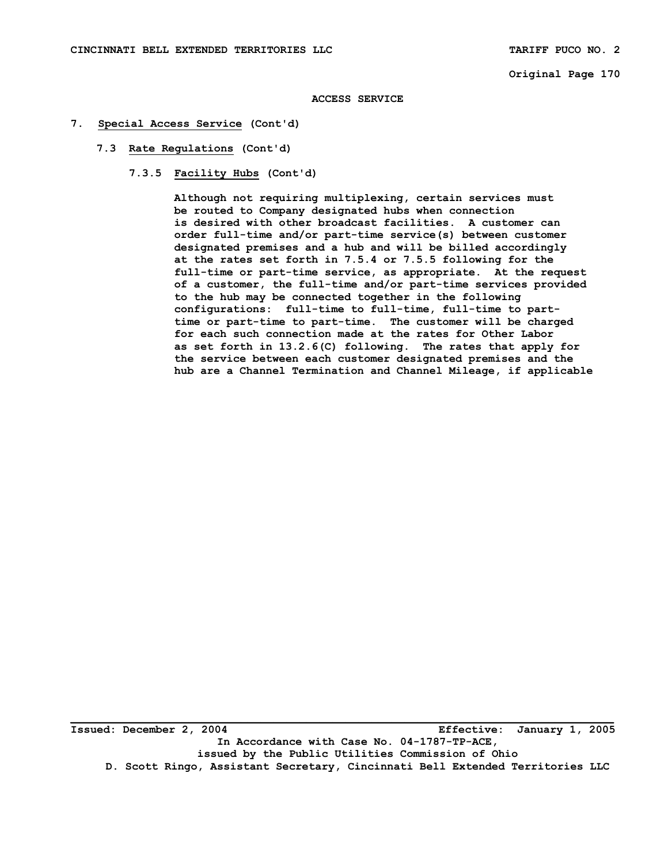#### **ACCESS SERVICE**

### **7. Special Access Service (Cont'd)**

- **7.3 Rate Regulations (Cont'd)** 
	- **7.3.5 Facility Hubs (Cont'd)**

 **Although not requiring multiplexing, certain services must be routed to Company designated hubs when connection is desired with other broadcast facilities. A customer can order full-time and/or part-time service(s) between customer designated premises and a hub and will be billed accordingly at the rates set forth in 7.5.4 or 7.5.5 following for the full-time or part-time service, as appropriate. At the request of a customer, the full-time and/or part-time services provided to the hub may be connected together in the following configurations: full-time to full-time, full-time to part time or part-time to part-time. The customer will be charged for each such connection made at the rates for Other Labor as set forth in 13.2.6(C) following. The rates that apply for the service between each customer designated premises and the hub are a Channel Termination and Channel Mileage, if applicable** 

**Issued: December 2, 2004 Effective: January 1, 2005 In Accordance with Case No. 04-1787-TP-ACE, issued by the Public Utilities Commission of Ohio D. Scott Ringo, Assistant Secretary, Cincinnati Bell Extended Territories LLC**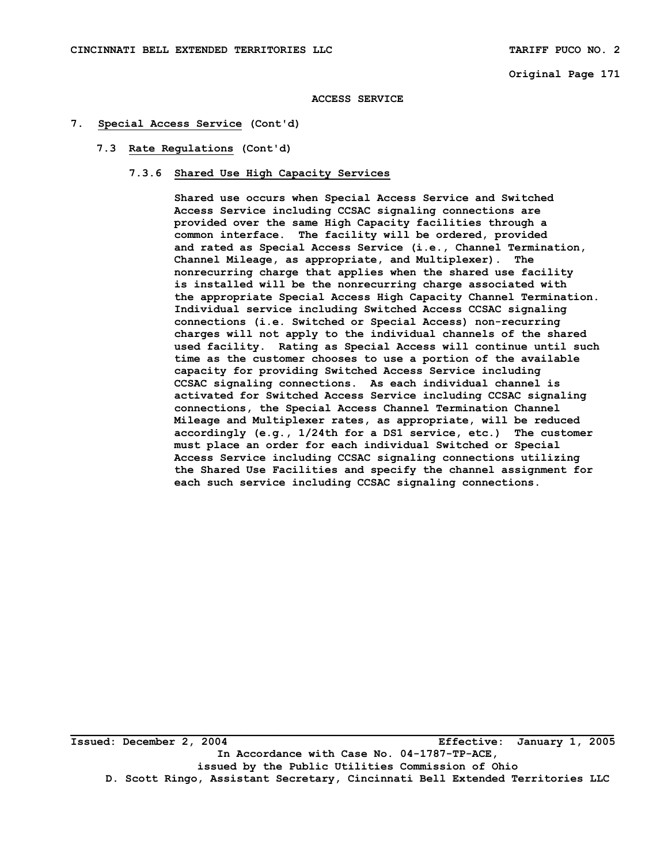#### **ACCESS SERVICE**

### **7. Special Access Service (Cont'd)**

### **7.3 Rate Regulations (Cont'd)**

 **7.3.6 Shared Use High Capacity Services** 

 **Shared use occurs when Special Access Service and Switched Access Service including CCSAC signaling connections are provided over the same High Capacity facilities through a common interface. The facility will be ordered, provided and rated as Special Access Service (i.e., Channel Termination, Channel Mileage, as appropriate, and Multiplexer). The nonrecurring charge that applies when the shared use facility is installed will be the nonrecurring charge associated with the appropriate Special Access High Capacity Channel Termination. Individual service including Switched Access CCSAC signaling connections (i.e. Switched or Special Access) non-recurring charges will not apply to the individual channels of the shared used facility. Rating as Special Access will continue until such time as the customer chooses to use a portion of the available capacity for providing Switched Access Service including CCSAC signaling connections. As each individual channel is activated for Switched Access Service including CCSAC signaling connections, the Special Access Channel Termination Channel Mileage and Multiplexer rates, as appropriate, will be reduced accordingly (e.g., 1/24th for a DS1 service, etc.) The customer must place an order for each individual Switched or Special Access Service including CCSAC signaling connections utilizing the Shared Use Facilities and specify the channel assignment for each such service including CCSAC signaling connections.** 

**\_\_\_\_\_\_\_\_\_\_\_\_\_\_\_\_\_\_\_\_\_\_\_\_\_\_\_\_\_\_\_\_\_\_\_\_\_\_\_\_\_\_\_\_\_\_\_\_\_\_\_\_\_\_\_\_\_\_\_\_\_\_\_\_\_\_\_\_\_\_\_\_\_\_\_\_\_\_\_\_\_\_\_ Issued: December 2, 2004 Effective: January 1, 2005 In Accordance with Case No. 04-1787-TP-ACE, issued by the Public Utilities Commission of Ohio D. Scott Ringo, Assistant Secretary, Cincinnati Bell Extended Territories LLC**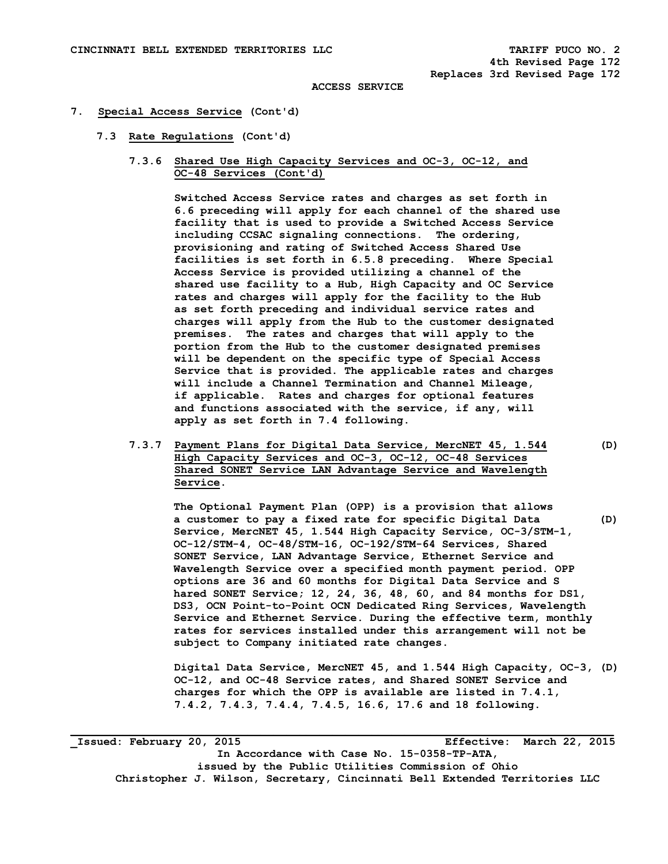#### **7. Special Access Service (Cont'd)**

- **7.3 Rate Regulations (Cont'd)** 
	- **7.3.6 Shared Use High Capacity Services and OC-3, OC-12, and OC-48 Services (Cont'd)**

 **Switched Access Service rates and charges as set forth in 6.6 preceding will apply for each channel of the shared use facility that is used to provide a Switched Access Service including CCSAC signaling connections. The ordering, provisioning and rating of Switched Access Shared Use facilities is set forth in 6.5.8 preceding. Where Special Access Service is provided utilizing a channel of the shared use facility to a Hub, High Capacity and OC Service rates and charges will apply for the facility to the Hub as set forth preceding and individual service rates and charges will apply from the Hub to the customer designated premises. The rates and charges that will apply to the portion from the Hub to the customer designated premises will be dependent on the specific type of Special Access Service that is provided. The applicable rates and charges will include a Channel Termination and Channel Mileage, if applicable. Rates and charges for optional features and functions associated with the service, if any, will apply as set forth in 7.4 following.** 

 **7.3.7 Payment Plans for Digital Data Service, MercNET 45, 1.544 (D) High Capacity Services and OC-3, OC-12, OC-48 Services Shared SONET Service LAN Advantage Service and Wavelength Service.** 

 **The Optional Payment Plan (OPP) is a provision that allows a customer to pay a fixed rate for specific Digital Data (D) Service, MercNET 45, 1.544 High Capacity Service, OC-3/STM-1, OC-12/STM-4, OC-48/STM-16, OC-192/STM-64 Services, Shared SONET Service, LAN Advantage Service, Ethernet Service and Wavelength Service over a specified month payment period. OPP options are 36 and 60 months for Digital Data Service and S hared SONET Service; 12, 24, 36, 48, 60, and 84 months for DS1, DS3, OCN Point-to-Point OCN Dedicated Ring Services, Wavelength Service and Ethernet Service. During the effective term, monthly rates for services installed under this arrangement will not be subject to Company initiated rate changes.** 

 **Digital Data Service, MercNET 45, and 1.544 High Capacity, OC-3, (D) OC-12, and OC-48 Service rates, and Shared SONET Service and charges for which the OPP is available are listed in 7.4.1, 7.4.2, 7.4.3, 7.4.4, 7.4.5, 16.6, 17.6 and 18 following.** 

**\_Issued: February 20, 2015 Effective: March 22, 2015 In Accordance with Case No. 15-0358-TP-ATA, issued by the Public Utilities Commission of Ohio Christopher J. Wilson, Secretary, Cincinnati Bell Extended Territories LLC**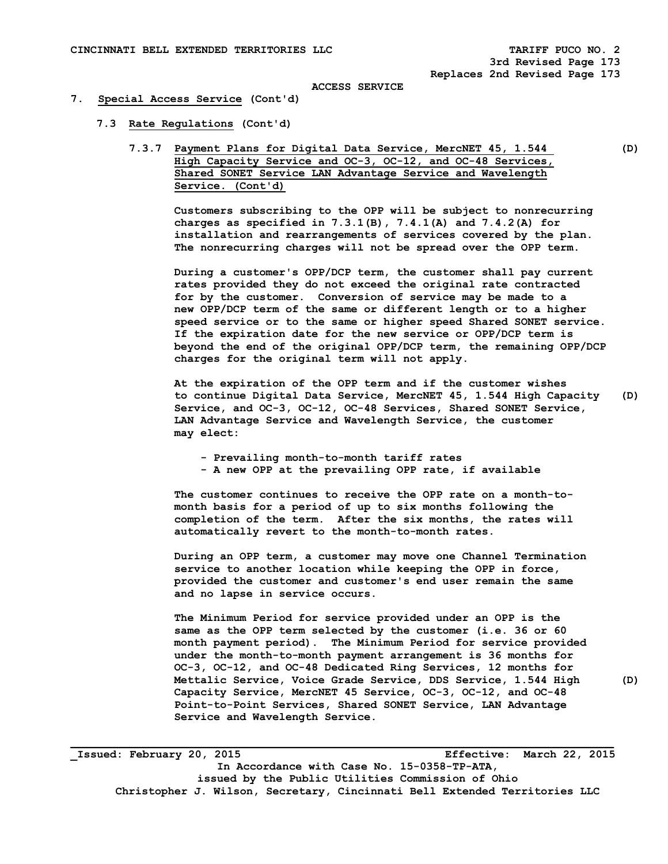#### **7. Special Access Service (Cont'd)**

- **7.3 Rate Regulations (Cont'd)** 
	- **7.3.7 Payment Plans for Digital Data Service, MercNET 45, 1.544 (D) High Capacity Service and OC-3, OC-12, and OC-48 Services, Shared SONET Service LAN Advantage Service and Wavelength Service. (Cont'd)**

 **Customers subscribing to the OPP will be subject to nonrecurring charges as specified in 7.3.1(B), 7.4.1(A) and 7.4.2(A) for installation and rearrangements of services covered by the plan. The nonrecurring charges will not be spread over the OPP term.** 

 **During a customer's OPP/DCP term, the customer shall pay current rates provided they do not exceed the original rate contracted for by the customer. Conversion of service may be made to a new OPP/DCP term of the same or different length or to a higher speed service or to the same or higher speed Shared SONET service. If the expiration date for the new service or OPP/DCP term is beyond the end of the original OPP/DCP term, the remaining OPP/DCP charges for the original term will not apply.** 

 **At the expiration of the OPP term and if the customer wishes to continue Digital Data Service, MercNET 45, 1.544 High Capacity (D) Service, and OC-3, OC-12, OC-48 Services, Shared SONET Service, LAN Advantage Service and Wavelength Service, the customer may elect:** 

- **Prevailing month-to-month tariff rates**
- **A new OPP at the prevailing OPP rate, if available**

 **The customer continues to receive the OPP rate on a month-to month basis for a period of up to six months following the completion of the term. After the six months, the rates will automatically revert to the month-to-month rates.** 

 **During an OPP term, a customer may move one Channel Termination service to another location while keeping the OPP in force, provided the customer and customer's end user remain the same and no lapse in service occurs.** 

 **The Minimum Period for service provided under an OPP is the same as the OPP term selected by the customer (i.e. 36 or 60 month payment period). The Minimum Period for service provided under the month-to-month payment arrangement is 36 months for OC-3, OC-12, and OC-48 Dedicated Ring Services, 12 months for Mettalic Service, Voice Grade Service, DDS Service, 1.544 High (D) Capacity Service, MercNET 45 Service, OC-3, OC-12, and OC-48 Point-to-Point Services, Shared SONET Service, LAN Advantage Service and Wavelength Service.** 

**\_Issued: February 20, 2015 Effective: March 22, 2015 In Accordance with Case No. 15-0358-TP-ATA, issued by the Public Utilities Commission of Ohio Christopher J. Wilson, Secretary, Cincinnati Bell Extended Territories LLC**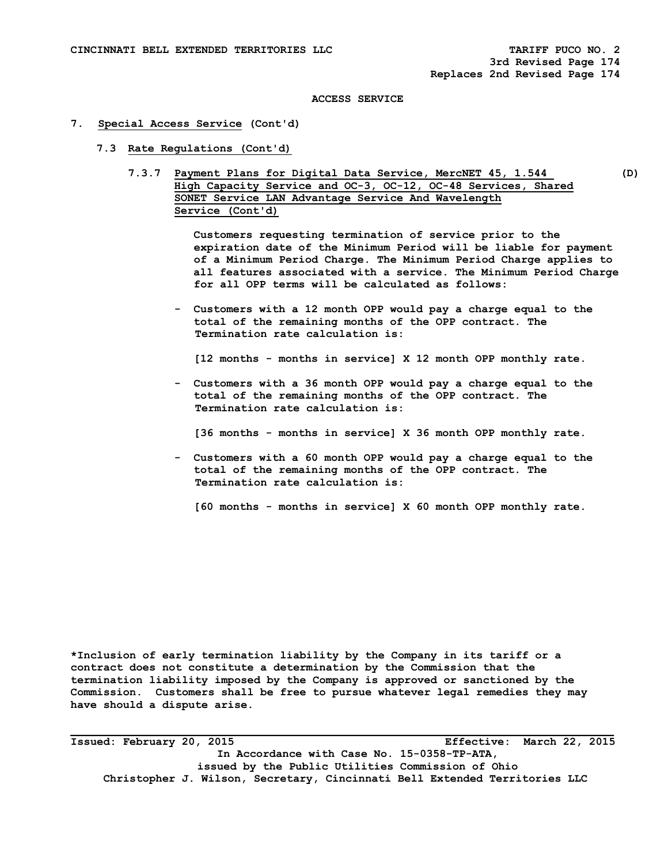## **7. Special Access Service (Cont'd)**

- **7.3 Rate Regulations (Cont'd)** 
	- **7.3.7 Payment Plans for Digital Data Service, MercNET 45, 1.544 (D) High Capacity Service and OC-3, OC-12, OC-48 Services, Shared SONET Service LAN Advantage Service And Wavelength Service (Cont'd)**

 **Customers requesting termination of service prior to the expiration date of the Minimum Period will be liable for payment of a Minimum Period Charge. The Minimum Period Charge applies to all features associated with a service. The Minimum Period Charge for all OPP terms will be calculated as follows:** 

 **- Customers with a 12 month OPP would pay a charge equal to the total of the remaining months of the OPP contract. The Termination rate calculation is:** 

 **[12 months - months in service] X 12 month OPP monthly rate.** 

 **- Customers with a 36 month OPP would pay a charge equal to the total of the remaining months of the OPP contract. The Termination rate calculation is:** 

 **[36 months - months in service] X 36 month OPP monthly rate.** 

 **- Customers with a 60 month OPP would pay a charge equal to the total of the remaining months of the OPP contract. The Termination rate calculation is:** 

 **[60 months - months in service] X 60 month OPP monthly rate.** 

**\*Inclusion of early termination liability by the Company in its tariff or a contract does not constitute a determination by the Commission that the termination liability imposed by the Company is approved or sanctioned by the Commission. Customers shall be free to pursue whatever legal remedies they may have should a dispute arise.** 

**Issued: February 20, 2015 Effective: March 22, 2015 In Accordance with Case No. 15-0358-TP-ATA, issued by the Public Utilities Commission of Ohio Christopher J. Wilson, Secretary, Cincinnati Bell Extended Territories LLC**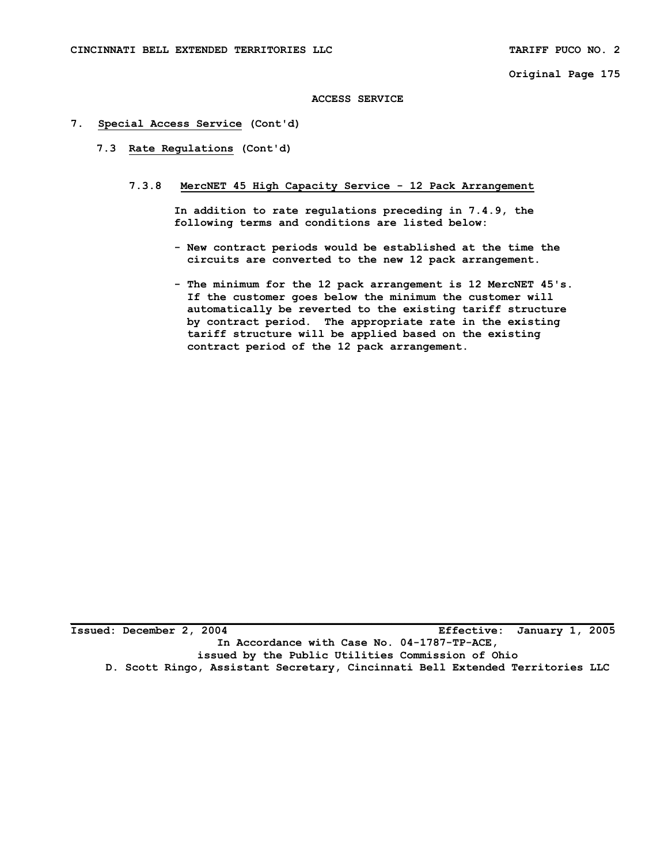## **ACCESS SERVICE**

## **7. Special Access Service (Cont'd)**

- **7.3 Rate Regulations (Cont'd)** 
	- **7.3.8 MercNET 45 High Capacity Service 12 Pack Arrangement**

 **In addition to rate regulations preceding in 7.4.9, the following terms and conditions are listed below:** 

- **New contract periods would be established at the time the circuits are converted to the new 12 pack arrangement.**
- **The minimum for the 12 pack arrangement is 12 MercNET 45's. If the customer goes below the minimum the customer will automatically be reverted to the existing tariff structure by contract period. The appropriate rate in the existing tariff structure will be applied based on the existing contract period of the 12 pack arrangement.**

**Issued: December 2, 2004 Effective: January 1, 2005 In Accordance with Case No. 04-1787-TP-ACE, issued by the Public Utilities Commission of Ohio D. Scott Ringo, Assistant Secretary, Cincinnati Bell Extended Territories LLC**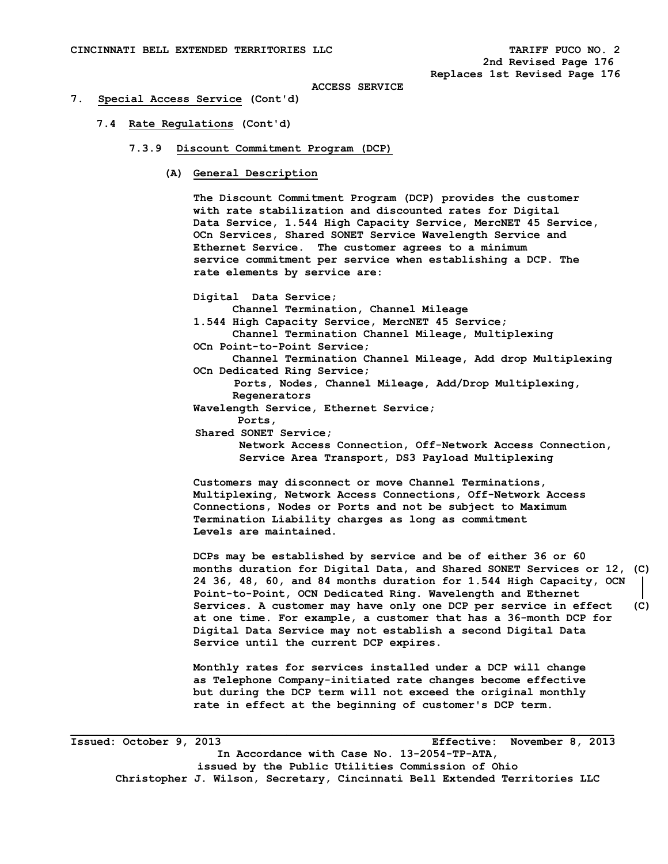#### **7. Special Access Service (Cont'd)**

- **7.4 Rate Regulations (Cont'd)** 
	- **7.3.9 Discount Commitment Program (DCP)** 
		- **(A) General Description**

 **The Discount Commitment Program (DCP) provides the customer with rate stabilization and discounted rates for Digital Data Service, 1.544 High Capacity Service, MercNET 45 Service, OCn Services, Shared SONET Service Wavelength Service and Ethernet Service. The customer agrees to a minimum service commitment per service when establishing a DCP. The rate elements by service are:** 

 **Digital Data Service;** 

 **Channel Termination, Channel Mileage** 

 **1.544 High Capacity Service, MercNET 45 Service; Channel Termination Channel Mileage, Multiplexing** 

- **OCn Point-to-Point Service;**
- **Channel Termination Channel Mileage, Add drop Multiplexing OCn Dedicated Ring Service;**

 **Ports, Nodes, Channel Mileage, Add/Drop Multiplexing, Regenerators** 

- **Wavelength Service, Ethernet Service;** 
	- **Ports,**

 **Shared SONET Service;** 

 **Network Access Connection, Off-Network Access Connection, Service Area Transport, DS3 Payload Multiplexing** 

 **Customers may disconnect or move Channel Terminations, Multiplexing, Network Access Connections, Off-Network Access Connections, Nodes or Ports and not be subject to Maximum Termination Liability charges as long as commitment Levels are maintained.** 

 **DCPs may be established by service and be of either 36 or 60 months duration for Digital Data, and Shared SONET Services or 12, (C) 24 36, 48, 60, and 84 months duration for 1.544 High Capacity, OCN Point-to-Point, OCN Dedicated Ring. Wavelength and Ethernet Services. A customer may have only one DCP per service in effect (C) at one time. For example, a customer that has a 36-month DCP for Digital Data Service may not establish a second Digital Data Service until the current DCP expires.** 

 **Monthly rates for services installed under a DCP will change as Telephone Company-initiated rate changes become effective but during the DCP term will not exceed the original monthly rate in effect at the beginning of customer's DCP term.** 

**\_\_\_\_\_\_\_\_\_\_\_\_\_\_\_\_\_\_\_\_\_\_\_\_\_\_\_\_\_\_\_\_\_\_\_\_\_\_\_\_\_\_\_\_\_\_\_\_\_\_\_\_\_\_\_\_\_\_\_\_\_\_\_\_\_\_\_\_\_\_\_\_\_\_\_\_\_\_\_\_\_\_\_ Issued: October 9, 2013 Effective: November 8, 2013 In Accordance with Case No. 13-2054-TP-ATA, issued by the Public Utilities Commission of Ohio Christopher J. Wilson, Secretary, Cincinnati Bell Extended Territories LLC**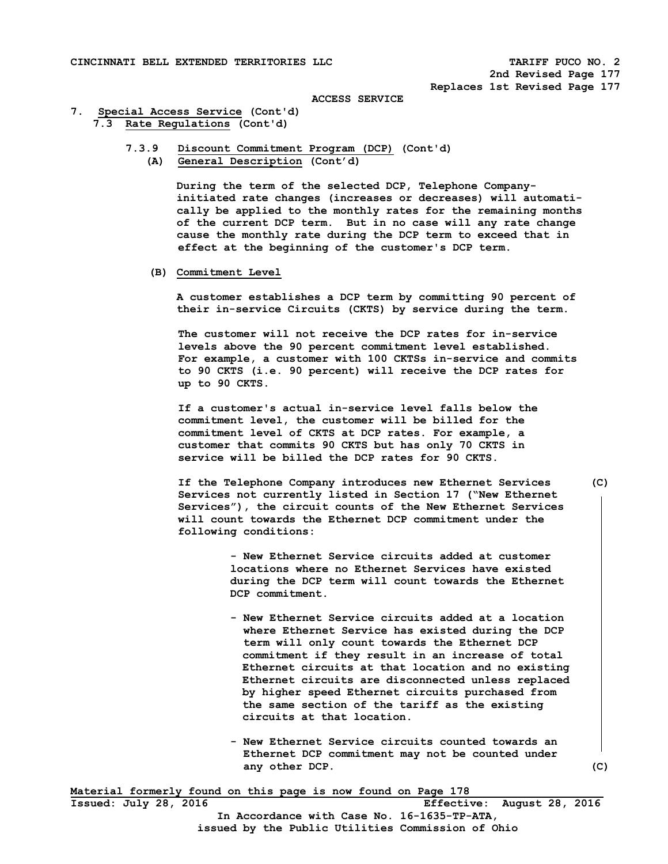# **7. Special Access Service (Cont'd) 7.3 Rate Regulations (Cont'd)**

 **7.3.9 Discount Commitment Program (DCP) (Cont'd) (A) General Description (Cont'd)** 

> **During the term of the selected DCP, Telephone Company initiated rate changes (increases or decreases) will automati cally be applied to the monthly rates for the remaining months of the current DCP term. But in no case will any rate change cause the monthly rate during the DCP term to exceed that in effect at the beginning of the customer's DCP term.**

 **(B) Commitment Level** 

 **A customer establishes a DCP term by committing 90 percent of their in-service Circuits (CKTS) by service during the term.** 

 **The customer will not receive the DCP rates for in-service levels above the 90 percent commitment level established. For example, a customer with 100 CKTSs in-service and commits to 90 CKTS (i.e. 90 percent) will receive the DCP rates for up to 90 CKTS.** 

 **If a customer's actual in-service level falls below the commitment level, the customer will be billed for the commitment level of CKTS at DCP rates. For example, a customer that commits 90 CKTS but has only 70 CKTS in service will be billed the DCP rates for 90 CKTS.** 

 **If the Telephone Company introduces new Ethernet Services (C) Services not currently listed in Section 17 ("New Ethernet Services"), the circuit counts of the New Ethernet Services will count towards the Ethernet DCP commitment under the following conditions:** 

> **- New Ethernet Service circuits added at customer locations where no Ethernet Services have existed during the DCP term will count towards the Ethernet DCP commitment.**

- **New Ethernet Service circuits added at a location where Ethernet Service has existed during the DCP term will only count towards the Ethernet DCP commitment if they result in an increase of total Ethernet circuits at that location and no existing Ethernet circuits are disconnected unless replaced by higher speed Ethernet circuits purchased from the same section of the tariff as the existing circuits at that location.**
- **New Ethernet Service circuits counted towards an Ethernet DCP commitment may not be counted under**  any other DCP. (C)

**Material formerly found on this page is now found on Page 178 Issued: July 28, 2016 Effective: August 28, 2016** 

**In Accordance with Case No. 16-1635-TP-ATA, issued by the Public Utilities Commission of Ohio**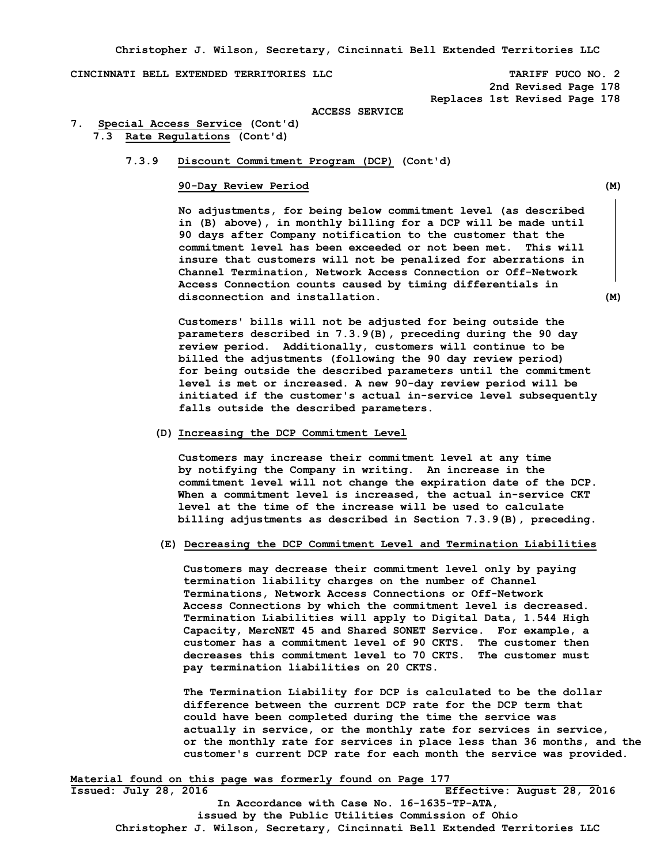**Christopher J. Wilson, Secretary, Cincinnati Bell Extended Territories LLC** 

**CINCINNATI BELL EXTENDED TERRITORIES LLC TARIFF PUCO NO. 2** 

 **2nd Revised Page 178 Replaces 1st Revised Page 178** 

#### **ACCESS SERVICE**

**7. Special Access Service (Cont'd) 7.3 Rate Regulations (Cont'd)** 

# **7.3.9 Discount Commitment Program (DCP) (Cont'd)**

# **90-Day Review Period (M)**

 **No adjustments, for being below commitment level (as described in (B) above), in monthly billing for a DCP will be made until 90 days after Company notification to the customer that the commitment level has been exceeded or not been met. This will insure that customers will not be penalized for aberrations in Channel Termination, Network Access Connection or Off-Network Access Connection counts caused by timing differentials in disconnection and installation. (M)** 

 **Customers' bills will not be adjusted for being outside the parameters described in 7.3.9(B), preceding during the 90 day review period. Additionally, customers will continue to be billed the adjustments (following the 90 day review period) for being outside the described parameters until the commitment level is met or increased. A new 90-day review period will be initiated if the customer's actual in-service level subsequently falls outside the described parameters.** 

# **(D) Increasing the DCP Commitment Level**

 **Customers may increase their commitment level at any time by notifying the Company in writing. An increase in the commitment level will not change the expiration date of the DCP. When a commitment level is increased, the actual in-service CKT level at the time of the increase will be used to calculate billing adjustments as described in Section 7.3.9(B), preceding.** 

#### **(E) Decreasing the DCP Commitment Level and Termination Liabilities**

**Customers may decrease their commitment level only by paying termination liability charges on the number of Channel Terminations, Network Access Connections or Off-Network Access Connections by which the commitment level is decreased. Termination Liabilities will apply to Digital Data, 1.544 High Capacity, MercNET 45 and Shared SONET Service. For example, a customer has a commitment level of 90 CKTS. The customer then decreases this commitment level to 70 CKTS. The customer must pay termination liabilities on 20 CKTS.** 

**The Termination Liability for DCP is calculated to be the dollar difference between the current DCP rate for the DCP term that could have been completed during the time the service was actually in service, or the monthly rate for services in service, or the monthly rate for services in place less than 36 months, and the customer's current DCP rate for each month the service was provided.** 

**Material found on this page was formerly found on Page 177 Issued: July 28, 2016 Effective: August 28, 2016 In Accordance with Case No. 16-1635-TP-ATA, issued by the Public Utilities Commission of Ohio Christopher J. Wilson, Secretary, Cincinnati Bell Extended Territories LLC**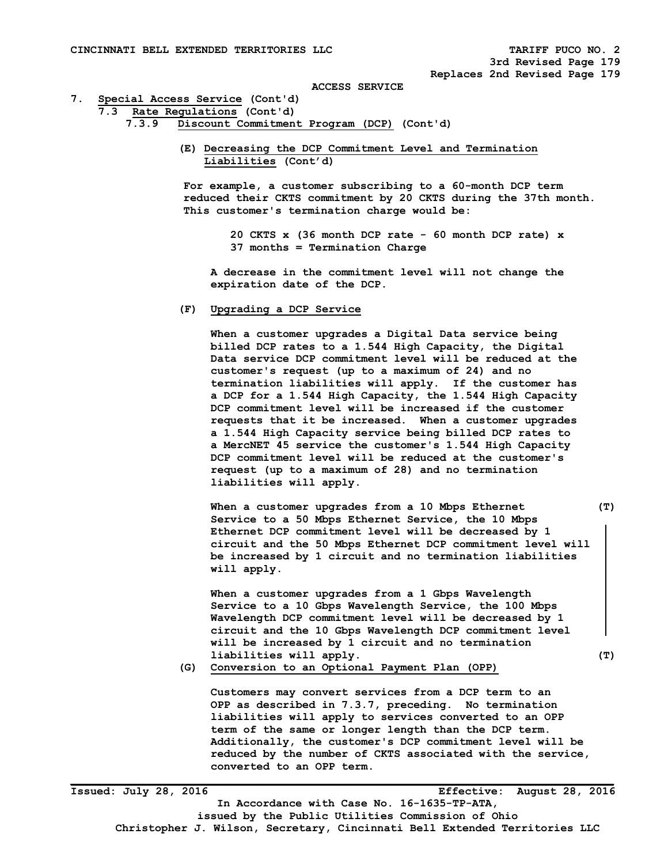#### **7. Special Access Service (Cont'd)**

```
 7.3 Rate Regulations (Cont'd)
```
- **7.3.9 Discount Commitment Program (DCP) (Cont'd)** 
	- **(E) Decreasing the DCP Commitment Level and Termination Liabilities (Cont'd)**

 **For example, a customer subscribing to a 60-month DCP term reduced their CKTS commitment by 20 CKTS during the 37th month. This customer's termination charge would be:** 

> **20 CKTS x (36 month DCP rate - 60 month DCP rate) x 37 months = Termination Charge**

 **A decrease in the commitment level will not change the expiration date of the DCP.** 

# **(F) Upgrading a DCP Service**

 **When a customer upgrades a Digital Data service being billed DCP rates to a 1.544 High Capacity, the Digital Data service DCP commitment level will be reduced at the customer's request (up to a maximum of 24) and no termination liabilities will apply. If the customer has a DCP for a 1.544 High Capacity, the 1.544 High Capacity DCP commitment level will be increased if the customer requests that it be increased. When a customer upgrades a 1.544 High Capacity service being billed DCP rates to a MercNET 45 service the customer's 1.544 High Capacity DCP commitment level will be reduced at the customer's request (up to a maximum of 28) and no termination liabilities will apply.** 

 **When a customer upgrades from a 10 Mbps Ethernet (T) Service to a 50 Mbps Ethernet Service, the 10 Mbps Ethernet DCP commitment level will be decreased by 1 circuit and the 50 Mbps Ethernet DCP commitment level will be increased by 1 circuit and no termination liabilities will apply.** 

 **When a customer upgrades from a 1 Gbps Wavelength Service to a 10 Gbps Wavelength Service, the 100 Mbps Wavelength DCP commitment level will be decreased by 1 circuit and the 10 Gbps Wavelength DCP commitment level will be increased by 1 circuit and no termination liabilities will apply. (T)**

 **(G) Conversion to an Optional Payment Plan (OPP)** 

 **Customers may convert services from a DCP term to an OPP as described in 7.3.7, preceding. No termination liabilities will apply to services converted to an OPP term of the same or longer length than the DCP term. Additionally, the customer's DCP commitment level will be reduced by the number of CKTS associated with the service, converted to an OPP term.** 

**Issued: July 28, 2016 Effective: August 28, 2016 In Accordance with Case No. 16-1635-TP-ATA, issued by the Public Utilities Commission of Ohio Christopher J. Wilson, Secretary, Cincinnati Bell Extended Territories LLC**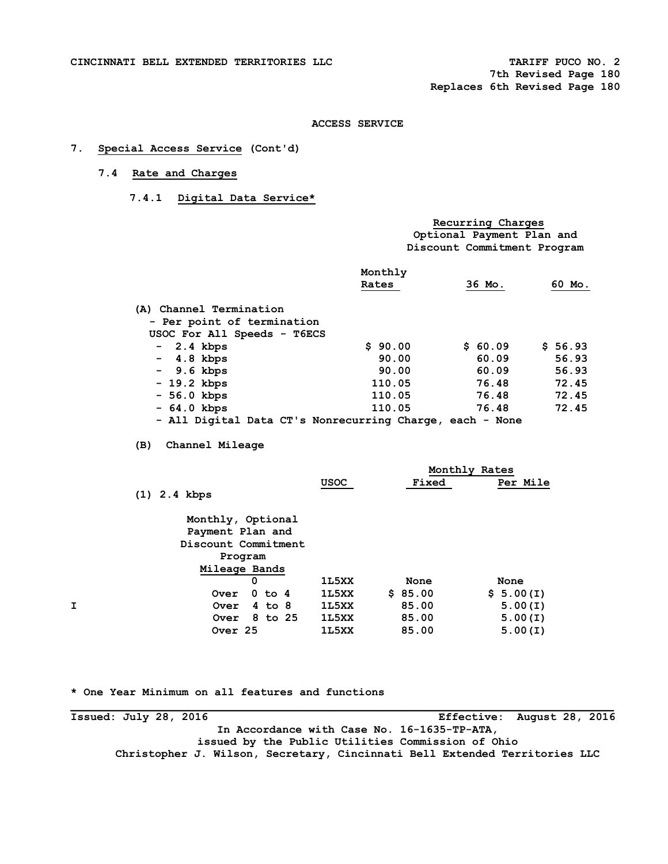# **7. Special Access Service (Cont'd)**

# **7.4 Rate and Charges**

 **7.4.1 Digital Data Service\*** 

| Recurring Charges           |
|-----------------------------|
| Optional Payment Plan and   |
| Discount Commitment Program |

|                                                          | Monthly |         |         |
|----------------------------------------------------------|---------|---------|---------|
|                                                          | Rates   | 36 Mo.  | 60 Mo.  |
| (A) Channel Termination                                  |         |         |         |
| - Per point of termination                               |         |         |         |
| USOC For All Speeds - T6ECS                              |         |         |         |
| 2.4 kbps<br>$\sim$                                       | \$90.00 | \$60.09 | \$56.93 |
| $-4.8$ kbps                                              | 90.00   | 60.09   | 56.93   |
| $-9.6$ kbps                                              | 90.00   | 60.09   | 56.93   |
| $-19.2$ kbps                                             | 110.05  | 76.48   | 72.45   |
| $-56.0$ kbps                                             | 110.05  | 76.48   | 72.45   |
| $-64.0$ kbps                                             | 110.05  | 76.48   | 72.45   |
| - All Digital Data CT's Nonrecurring Charge, each - None |         |         |         |

 **(B) Channel Mileage** 

|   |                     |             |         | Monthly Rates |
|---|---------------------|-------------|---------|---------------|
|   |                     | <b>USOC</b> | Fixed   | Per Mile      |
|   | $(1)$ 2.4 kbps      |             |         |               |
|   | Monthly, Optional   |             |         |               |
|   | Payment Plan and    |             |         |               |
|   | Discount Commitment |             |         |               |
|   | Program             |             |         |               |
|   | Mileage Bands       |             |         |               |
|   | 0                   | 1L5XX       | None    | None          |
|   | $0$ to $4$<br>Over  | 1L5XX       | \$85.00 | \$5.00(I)     |
| I | $4$ to $8$<br>Over  | 1L5XX       | 85.00   | 5.00(I)       |
|   | 8 to 25<br>Over     | 1L5XX       | 85.00   | 5.00(I)       |
|   | Over <sub>25</sub>  | 1L5XX       | 85.00   | 5.00(I)       |
|   |                     |             |         |               |

**\* One Year Minimum on all features and functions** 

**Issued: July 28, 2016 Effective: August 28, 2016 In Accordance with Case No. 16-1635-TP-ATA, issued by the Public Utilities Commission of Ohio Christopher J. Wilson, Secretary, Cincinnati Bell Extended Territories LLC**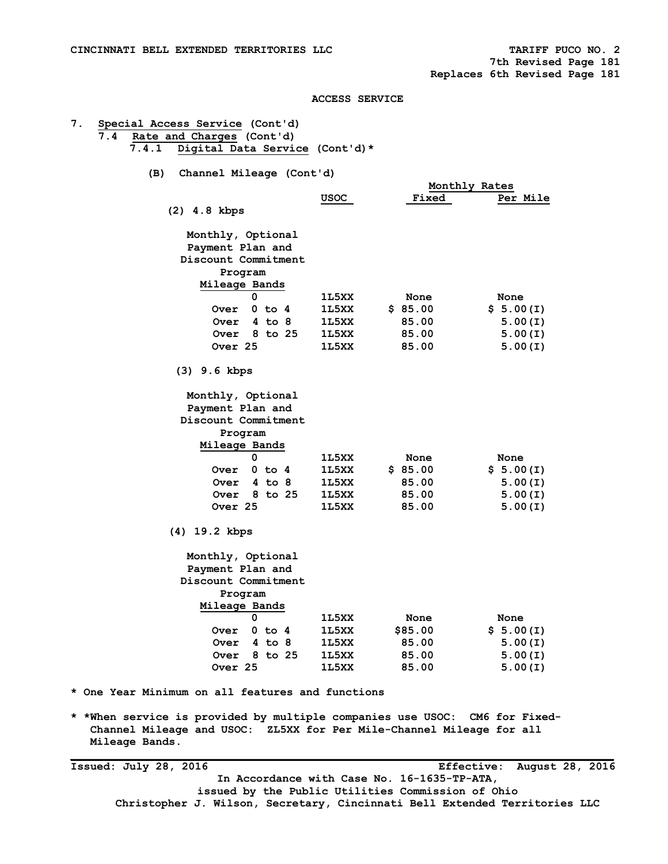**Mileage Bands.** 

# **ACCESS SERVICE**

| (B)<br>Channel Mileage (Cont'd) |       |              |               |
|---------------------------------|-------|--------------|---------------|
|                                 |       |              | Monthly Rates |
|                                 | usoc  | <b>Fixed</b> | Per Mile      |
| $(2)$ 4.8 kbps                  |       |              |               |
| Monthly, Optional               |       |              |               |
| Payment Plan and                |       |              |               |
| Discount Commitment             |       |              |               |
| Program                         |       |              |               |
| Mileage Bands                   |       |              |               |
| 0                               | 1L5XX | None         | None          |
| $0$ to $4$<br><b>Over</b>       | 1L5XX | \$85.00      | \$5.00(I)     |
| $4$ to $8$<br><b>Over</b>       | 1L5XX | 85.00        | 5.00(I)       |
| 8 to 25<br><b>Over</b>          | 1L5XX | 85.00        | 5.00(I)       |
| Over 25                         | 1L5XX | 85.00        | 5.00(I)       |
| $(3)$ 9.6 kbps                  |       |              |               |
| Monthly, Optional               |       |              |               |
| Payment Plan and                |       |              |               |
| Discount Commitment             |       |              |               |
| Program                         |       |              |               |
| Mileage Bands                   |       |              |               |
| 0                               | 1L5XX | None         | None          |
| 0 to 4<br><b>Over</b>           | 1L5XX | \$85.00      | \$5.00(I)     |
| <b>Over</b><br>4 to 8           | 1L5XX | 85.00        | 5.00(I)       |
| 8 to 25<br><b>Over</b>          | 1L5XX | 85.00        | 5.00(I)       |
| Over 25                         | 1L5XX | 85.00        | 5.00(I)       |
| $(4)$ 19.2 kbps                 |       |              |               |
| Monthly, Optional               |       |              |               |
| Payment Plan and                |       |              |               |
| Discount Commitment             |       |              |               |
| Program                         |       |              |               |
| Mileage Bands                   |       |              |               |
| 0                               | 1L5XX | None         | None          |
| $0$ to $4$<br><b>Over</b>       | 1L5XX | \$85.00      | \$5.00(I)     |
| $4$ to $8$<br><b>Over</b>       | 1L5XX | 85.00        | 5.00(I)       |
| 8 to 25<br>Over                 | 1L5XX | 85.00        | 5.00(I)       |
| Over 25                         | 1L5XX | 85.00        | 5.00(I)       |
|                                 |       |              |               |

**Issued: July 28, 2016 Effective: August 28, 2016 In Accordance with Case No. 16-1635-TP-ATA, issued by the Public Utilities Commission of Ohio Christopher J. Wilson, Secretary, Cincinnati Bell Extended Territories LLC**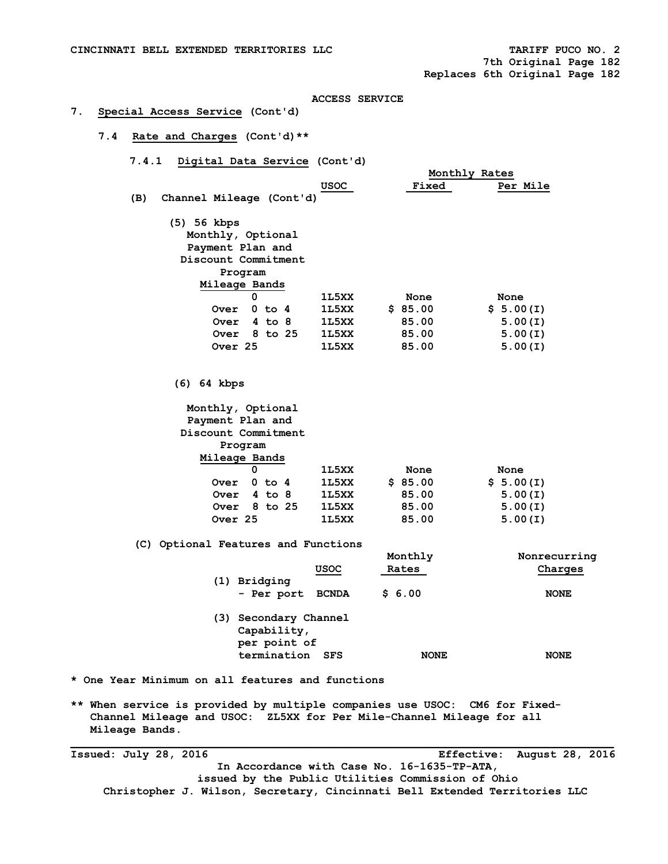# **7. Special Access Service (Cont'd)**

- **7.4 Rate and Charges (Cont'd)\*\*** 
	- **7.4.1 Digital Data Service (Cont'd)**

|                                 |       | Monthly Rates |           |
|---------------------------------|-------|---------------|-----------|
|                                 | USOC  | <b>Fixed</b>  | Per Mile  |
| (B)<br>Channel Mileage (Cont'd) |       |               |           |
| (5) 56 kbps                     |       |               |           |
| Monthly, Optional               |       |               |           |
| Payment Plan and                |       |               |           |
| Discount Commitment             |       |               |           |
| Program                         |       |               |           |
| Mileage Bands                   |       |               |           |
| 0                               | 1L5XX | None          | None      |
| $0$ to $4$<br><b>Over</b>       | 1L5XX | \$85.00       | \$5.00(I) |
| $4$ to $8$<br>Over              | 1L5XX | 85.00         | 5.00(I)   |
| 8 to 25<br>Over                 | 1L5XX | 85.00         | 5.00(I)   |
| Over <sub>25</sub>              | 1L5XX | 85.00         | 5.00(I)   |
|                                 |       |               |           |
|                                 |       |               |           |
| (6)<br>64 kbps                  |       |               |           |
| Monthly, Optional               |       |               |           |
| Payment Plan and                |       |               |           |
| Discount Commitment             |       |               |           |
| Program                         |       |               |           |
| Mileage Bands                   |       |               |           |
| 0                               | 1L5XX | None          | None      |
| $0$ to $4$<br>Over              | 1L5XX | \$85.00       | \$5.00(I) |
| $4$ to $8$<br>Over              | 1L5XX | 85.00         | 5.00(I)   |

 **(C) Optional Features and Functions** 

|     | <u>USOC</u>                                                            | Monthly<br>Rates | Nonrecurring<br>Charges |
|-----|------------------------------------------------------------------------|------------------|-------------------------|
| (1) | Bridging<br>- Per port BCNDA                                           | \$6.00           | <b>NONE</b>             |
| (3) | Secondary Channel<br>Capability,<br>per point of<br>termination<br>SFS | <b>NONE</b>      | <b>NONE</b>             |

- **\* One Year Minimum on all features and functions**
- **\*\* When service is provided by multiple companies use USOC: CM6 for Fixed- Channel Mileage and USOC: ZL5XX for Per Mile-Channel Mileage for all Mileage Bands.**

 **Over 8 to 25 1L5XX 85.00 5.00(I) Over 25 1L5XX 85.00 5.00(I)** 

**Issued: July 28, 2016 Effective: August 28, 2016 In Accordance with Case No. 16-1635-TP-ATA, issued by the Public Utilities Commission of Ohio Christopher J. Wilson, Secretary, Cincinnati Bell Extended Territories LLC**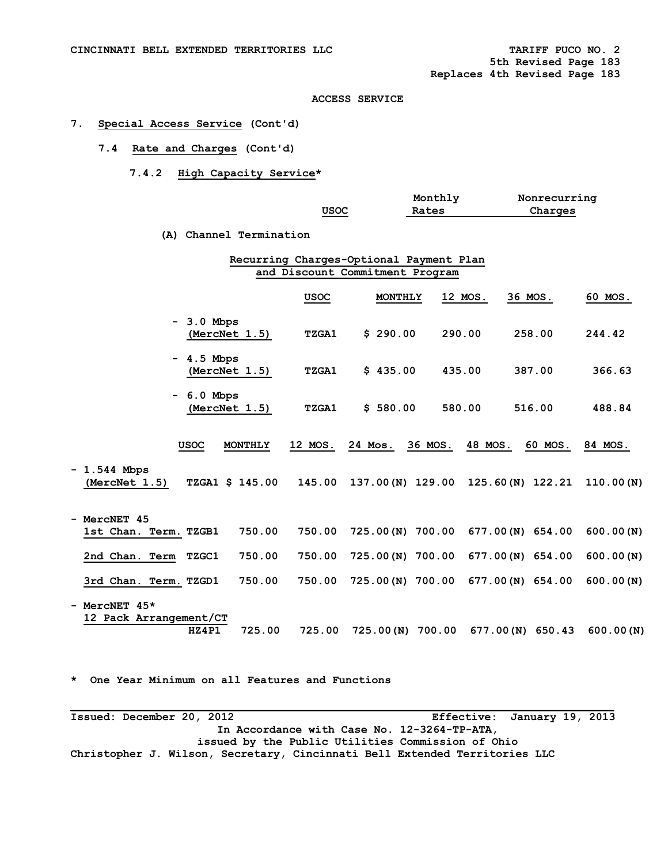# **7. Special Access Service (Cont'd)**

# **7.4 Rate and Charges (Cont'd)**

# **7.4.2 High Capacity Service\***

|                                           |                         |              | Monthly                                 |         | Nonrecurring     |           |
|-------------------------------------------|-------------------------|--------------|-----------------------------------------|---------|------------------|-----------|
|                                           |                         | <b>USOC</b>  | Rates                                   |         | Charges          |           |
|                                           |                         |              |                                         |         |                  |           |
|                                           | (A) Channel Termination |              |                                         |         |                  |           |
|                                           |                         |              | Recurring Charges-Optional Payment Plan |         |                  |           |
|                                           |                         |              | and Discount Commitment Program         |         |                  |           |
|                                           |                         |              |                                         |         |                  |           |
|                                           |                         | USOC         | MONTHLY                                 | 12 MOS. | 36 MOS.          | 60 MOS.   |
| $-3.0$ Mbps                               |                         |              |                                         |         |                  |           |
|                                           | (MercNet 1.5)           | <b>TZGA1</b> | \$290.00                                | 290.00  | 258.00           | 244.42    |
|                                           |                         |              |                                         |         |                  |           |
| - 4.5 Mbps                                | (MercNet 1.5)           | <b>TZGA1</b> | \$435.00                                | 435.00  | 387.00           | 366.63    |
|                                           |                         |              |                                         |         |                  |           |
| $-6.0$ Mbps                               |                         |              |                                         |         |                  |           |
|                                           | (MercNet 1.5)           | TZGA1        | \$580.00                                | 580.00  | 516.00           | 488.84    |
|                                           |                         |              |                                         |         |                  |           |
| <b>USOC</b>                               | <b>MONTHLY</b>          | 12 MOS.      | 36 MOS.<br>24 Mos.                      | 48 MOS. | 60 MOS.          | 84 MOS.   |
|                                           |                         |              |                                         |         |                  |           |
| $-1.544$ Mbps                             |                         |              |                                         |         |                  |           |
| (MercNet 1.5)                             | TZGA1 \$ 145.00         | 145.00       | 137.00(N) 129.00 125.60(N) 122.21       |         |                  | 110.00(N) |
|                                           |                         |              |                                         |         |                  |           |
| - MercNET 45                              |                         |              |                                         |         |                  |           |
| 1st Chan. Term. TZGB1                     | 750.00                  | 750.00       | 725.00(N) 700.00 677.00(N) 654.00       |         |                  | 600.00(N) |
| 2nd Chan. Term<br>TZGC1                   | 750.00                  | 750.00       | 725.00(N) 700.00                        |         | 677.00(N) 654.00 | 600.00(N) |
|                                           |                         |              |                                         |         |                  |           |
| 3rd Chan. Term. TZGD1                     | 750.00                  | 750.00       | 725.00(N) 700.00 677.00(N) 654.00       |         |                  | 600.00(N) |
|                                           |                         |              |                                         |         |                  |           |
| - MercNET $45*$<br>12 Pack Arrangement/CT |                         |              |                                         |         |                  |           |
| HZ4P1                                     | 725.00                  | 725.00       | 725.00(N) 700.00 677.00(N) 650.43       |         |                  | 600.00(N) |
|                                           |                         |              |                                         |         |                  |           |

**\* One Year Minimum on all Features and Functions** 

**\_\_\_\_\_\_\_\_\_\_\_\_\_\_\_\_\_\_\_\_\_\_\_\_\_\_\_\_\_\_\_\_\_\_\_\_\_\_\_\_\_\_\_\_\_\_\_\_\_\_\_\_\_\_\_\_\_\_\_\_\_\_\_\_\_\_\_\_\_\_\_\_\_\_\_\_\_\_\_\_\_\_\_ Issued: December 20, 2012 Effective: January 19, 2013 In Accordance with Case No. 12-3264-TP-ATA, issued by the Public Utilities Commission of Ohio Christopher J. Wilson, Secretary, Cincinnati Bell Extended Territories LLC**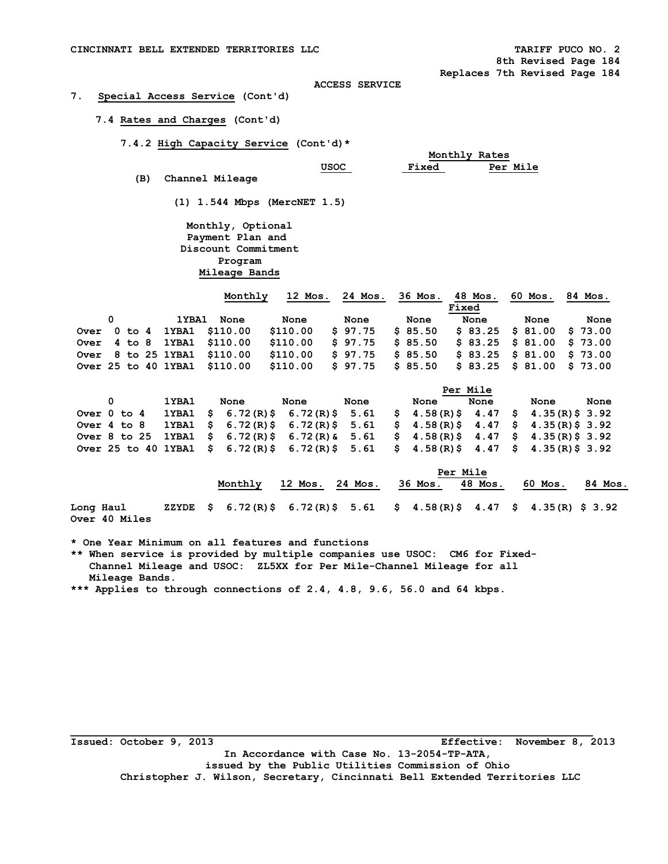# **7. Special Access Service (Cont'd)**

# **7.4 Rates and Charges (Cont'd)**

 **7.4.2 High Capacity Service (Cont'd)\*** 

|     |                 |      |              | Monthly Rates   |
|-----|-----------------|------|--------------|-----------------|
|     |                 | usoc | <b>Fixed</b> | <b>Per Mile</b> |
| (B) | Channel Mileage |      |              |                 |

 **(1) 1.544 Mbps (MercNET 1.5)** 

 **Monthly, Optional Payment Plan and Discount Commitment Program Mileage Bands** 

|  |  |       | Monthly                      | 12 Mos.  | 24 Mos. | 36 Mos.  |       | 48 Mos. | 60 Mos.                    | 84 Mos. |
|--|--|-------|------------------------------|----------|---------|----------|-------|---------|----------------------------|---------|
|  |  |       |                              |          |         |          | Fixed |         |                            |         |
|  |  | 1YBA1 | None                         | None     | None    | None     |       | None    | None                       | None    |
|  |  |       | Over 0 to 4 1YBA1 \$110.00   | \$110.00 | \$97.75 | \$85.50  |       |         | $$83.25$ $$81.00$ $$73.00$ |         |
|  |  |       | Over 4 to 8 1YBA1 \$110.00   | \$110.00 | \$97.75 | \$85.50  |       |         | $$83.25$ $$81.00$ $$73.00$ |         |
|  |  |       | Over 8 to 25 1YBA1 \$110.00  | \$110.00 | \$97.75 | \$85.50  |       |         | $$83.25$ $$81.00$ $$73.00$ |         |
|  |  |       | Over 25 to 40 1YBA1 \$110.00 | \$110.00 | \$97.75 | \$ 85.50 |       |         | $$83.25 \$81.00 \$73.00$   |         |

|                                                                                     |       |      |      |      |      | Per Mile |      |      |
|-------------------------------------------------------------------------------------|-------|------|------|------|------|----------|------|------|
|                                                                                     | 1YBA1 | None | None | None | None | None     | None | None |
| Over 0 to 4 1YBA1 \$ 6.72(R)\$ 6.72(R)\$ 5.61 \$ 4.58(R)\$ 4.47 \$ 4.35(R)\$ 3.92   |       |      |      |      |      |          |      |      |
| Over 4 to 8 1YBA1 \$ 6.72(R)\$ 6.72(R)\$ 5.61 \$ 4.58(R)\$ 4.47 \$ 4.35(R)\$ 3.92   |       |      |      |      |      |          |      |      |
| Over 8 to 25 1YBA1 \$ 6.72(R)\$ 6.72(R)& 5.61 \$ 4.58(R)\$ 4.47 \$ 4.35(R)\$ 3.92   |       |      |      |      |      |          |      |      |
| Over 25 to 40 1YBA1 \$ 6.72(R)\$ 6.72(R)\$ 5.61 \$ 4.58(R)\$ 4.47 \$ 4.35(R)\$ 3.92 |       |      |      |      |      |          |      |      |

|                                   |         | Per Mile        |  |                                                                                                                                                        |         |         |         |
|-----------------------------------|---------|-----------------|--|--------------------------------------------------------------------------------------------------------------------------------------------------------|---------|---------|---------|
|                                   | Monthly | 12 Mos. 24 Mos. |  | 36 Mos.                                                                                                                                                | 48 Mos. | 60 Mos. | 84 Mos. |
| Long Haul<br><b>Over 40 Miles</b> |         |                 |  | ZZYDE $\frac{1}{5}$ 6.72(R) $\frac{2}{5}$ 6.72(R) $\frac{2}{5}$ 5.61 $\frac{1}{5}$ 4.58(R) $\frac{2}{5}$ 4.47 $\frac{1}{5}$ 4.35(R) $\frac{2}{5}$ 3.92 |         |         |         |

**\* One Year Minimum on all features and functions** 

**\*\* When service is provided by multiple companies use USOC: CM6 for Fixed- Channel Mileage and USOC: ZL5XX for Per Mile-Channel Mileage for all Mileage Bands.** 

**\*\*\* Applies to through connections of 2.4, 4.8, 9.6, 56.0 and 64 kbps.** 

**\_\_\_\_\_\_\_\_\_\_\_\_\_\_\_\_\_\_\_\_\_\_\_\_\_\_\_\_\_\_\_\_\_\_\_\_\_\_\_\_\_\_\_\_\_\_\_\_\_\_\_\_\_\_\_\_\_\_\_\_\_\_\_\_\_\_\_\_\_\_\_\_\_\_\_\_\_\_\_\_\_\_\_\_ Issued: October 9, 2013 Effective: November 8, 2013 In Accordance with Case No. 13-2054-TP-ATA, issued by the Public Utilities Commission of Ohio Christopher J. Wilson, Secretary, Cincinnati Bell Extended Territories LLC**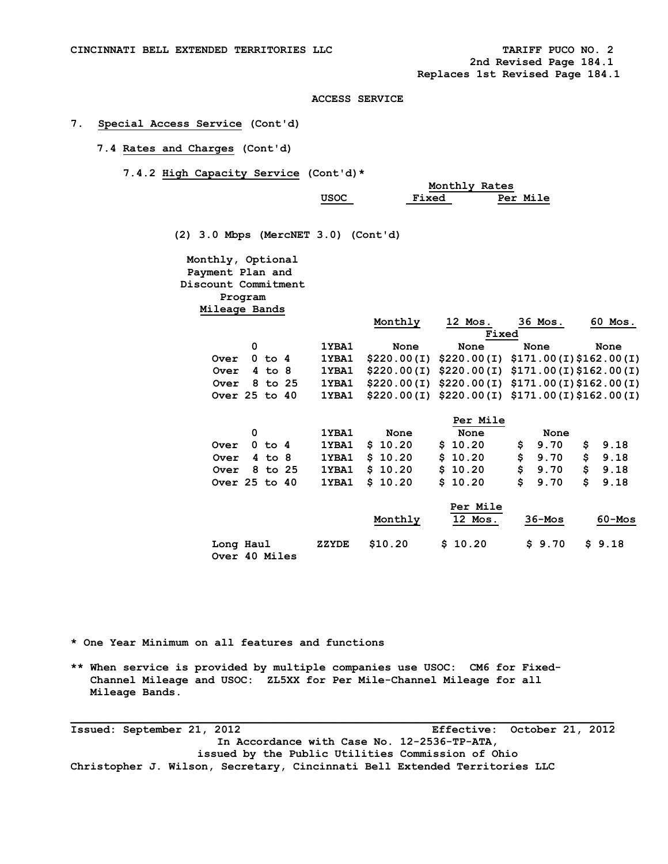## **7. Special Access Service (Cont'd)**

# **7.4 Rates and Charges (Cont'd)**

 **7.4.2 High Capacity Service (Cont'd)\*** 

|  |      | Monthly Rates |          |
|--|------|---------------|----------|
|  | USOC | <b>Fixed</b>  | Per Mile |

 **(2) 3.0 Mbps (MercNET 3.0) (Cont'd)** 

 **Monthly, Optional Payment Plan and Discount Commitment Program Mileage Bands** 

|               |            |             | Monthly | 12 Mos.                                       | 36 Mos.    | 60 Mos. |
|---------------|------------|-------------|---------|-----------------------------------------------|------------|---------|
|               |            |             |         | Fixed                                         |            |         |
|               | 0          | 1YBA1       | None    | None                                          | None       | None    |
| Over          | $0$ to $4$ | 1YBA1       |         | $$220.00(I) $220.00(I) $171.00(I) $162.00(I)$ |            |         |
| Over          | $4$ to $8$ | 1YBA1       |         | $$220.00(I) $220.00(I) $171.00(I) $162.00(I)$ |            |         |
| Over          | 8 to 25    | 1YBA1       |         | $$220.00(I) $220.00(I) $171.00(I) $162.00(I)$ |            |         |
| Over 25 to 40 |            | 1YBA1       |         | $$220.00(I) $220.00(I) $171.00(I) $162.00(I)$ |            |         |
|               |            |             |         | Per Mile                                      |            |         |
|               | 0          | 1YBA1       | None    | None                                          | None       |         |
| ntrar.        | $0 + 4$    | $1$ VR $21$ | \$10.20 | \$10.20                                       | 9.70<br>s. |         |

| Over 0 to 4   |  |  |                         | 1YBA1 $$10.20$ $$10.20$ $$9.70$ $$9.18$ |               |  |
|---------------|--|--|-------------------------|-----------------------------------------|---------------|--|
| Over 4 to 8   |  |  | 1YBA1 \$ 10.20          | \$10.20                                 | \$9.70 \$9.18 |  |
| Over 8 to 25  |  |  | 1YBA1 \$10.20           | \$10.20                                 | \$9.70 \$9.18 |  |
| Over 25 to 40 |  |  | 1YBA1 \$ 10.20 \$ 10.20 |                                         | \$9.70 \$9.18 |  |

|                            |       | Monthly | Per Mile<br>12 Mos. | $36 - Mos$ | $60 - Mos$ |
|----------------------------|-------|---------|---------------------|------------|------------|
| Long Haul<br>Over 40 Miles | ZZYDE | \$10.20 | \$10.20             | \$9.70     | \$9.18     |

**\* One Year Minimum on all features and functions** 

**\*\* When service is provided by multiple companies use USOC: CM6 for Fixed- Channel Mileage and USOC: ZL5XX for Per Mile-Channel Mileage for all Mileage Bands.** 

**Issued: September 21, 2012 Effective: October 21, 2012 In Accordance with Case No. 12-2536-TP-ATA, issued by the Public Utilities Commission of Ohio Christopher J. Wilson, Secretary, Cincinnati Bell Extended Territories LLC**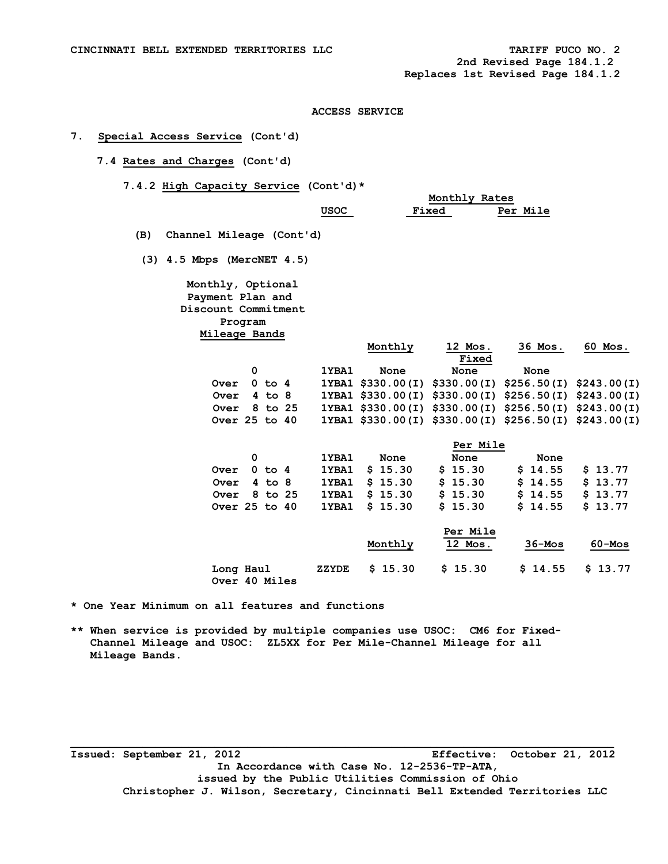**2nd Revised Page 184.1.2 Replaces 1st Revised Page 184.1.2** 

## **ACCESS SERVICE**

# **7. Special Access Service (Cont'd)**

- **7.4 Rates and Charges (Cont'd)** 
	- **7.4.2 High Capacity Service (Cont'd)\***

|                              |                          |       |                               | Monthly Rates |                                                       |                   |
|------------------------------|--------------------------|-------|-------------------------------|---------------|-------------------------------------------------------|-------------------|
|                              |                          | USOC  |                               | Fixed         | Per Mile                                              |                   |
|                              |                          |       |                               |               |                                                       |                   |
| (B)                          | Channel Mileage (Cont'd) |       |                               |               |                                                       |                   |
| $(3)$ 4.5 Mbps (MercNET 4.5) |                          |       |                               |               |                                                       |                   |
|                              | Monthly, Optional        |       |                               |               |                                                       |                   |
|                              | Payment Plan and         |       |                               |               |                                                       |                   |
|                              | Discount Commitment      |       |                               |               |                                                       |                   |
|                              | Program                  |       |                               |               |                                                       |                   |
|                              | Mileage Bands            |       |                               |               |                                                       |                   |
|                              |                          |       | Monthly                       | 12 Mos.       | 36 Mos.                                               | 60 Mos.           |
|                              |                          |       |                               | <b>Fixed</b>  |                                                       |                   |
|                              | 0                        | 1YBA1 | None                          | None          | None                                                  |                   |
| Over                         | $0$ to $4$               |       | 1YBA1 \$330.00(I) \$330.00(I) |               | \$256.50(I) \$243.00(I)                               |                   |
| Over                         | $4$ to $8$               |       | 1YBA1 \$330.00(I) \$330.00(I) |               | \$256.50(I) \$243.00(I)                               |                   |
| Over                         | 8 to 25                  |       |                               |               | 1YBA1 \$330.00(I) \$330.00(I) \$256.50(I) \$243.00(I) |                   |
|                              | Over 25 to 40            |       |                               |               | 1YBA1 \$330.00(I) \$330.00(I) \$256.50(I) \$243.00(I) |                   |
|                              |                          |       |                               |               |                                                       |                   |
|                              |                          |       |                               | Per Mile      |                                                       |                   |
|                              | 0                        | 1YBA1 | None                          | None          | None                                                  |                   |
| Over                         | $0$ to $4$               | 1YBA1 | \$15.30                       | \$15.30       | \$14.55                                               | \$13.77           |
| Over                         | $4$ to $8$               | 1YBA1 | \$15.30                       | \$15.30       | \$14.55                                               | \$13.77           |
| Over                         | 8 to 25                  | 1YBA1 | \$15.30                       | \$15.30       | \$14.55                                               | \$13.77           |
|                              | Over 25 to 40            | 1YBA1 | \$15.30                       | \$15.30       | \$14.55                                               | \$13.77           |
|                              |                          |       |                               |               |                                                       |                   |
|                              |                          |       |                               | Per Mile      |                                                       |                   |
|                              |                          |       | Monthly                       | 12 Mos.       | $36 - Mos$                                            | $60 - \text{MOS}$ |
|                              | Long Haul                | ZZYDE | \$15.30                       | \$15.30       | \$14.55                                               | \$13.77           |

 **Over 40 Miles** 

**\* One Year Minimum on all features and functions** 

**\*\* When service is provided by multiple companies use USOC: CM6 for Fixed- Channel Mileage and USOC: ZL5XX for Per Mile-Channel Mileage for all Mileage Bands.** 

**Issued: September 21, 2012 Effective: October 21, 2012 In Accordance with Case No. 12-2536-TP-ATA, issued by the Public Utilities Commission of Ohio Christopher J. Wilson, Secretary, Cincinnati Bell Extended Territories LLC**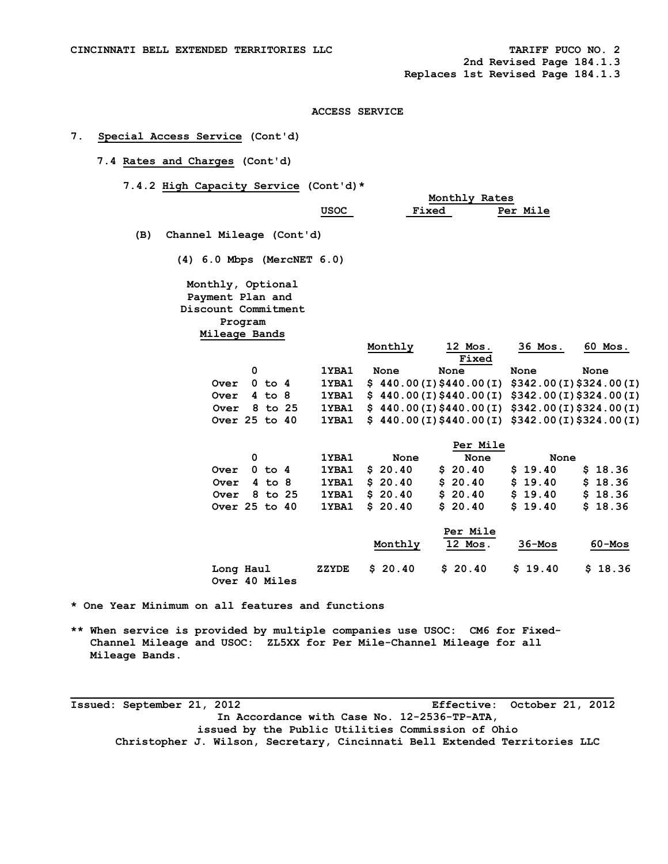**2nd Revised Page 184.1.3** 

 **Replaces 1st Revised Page 184.1.3** 

### **ACCESS SERVICE**

# **7. Special Access Service (Cont'd)**

# **7.4 Rates and Charges (Cont'd)**

 **7.4.2 High Capacity Service (Cont'd)\*** 

|                                 |             |                                               | Monthly Rates |                           |            |
|---------------------------------|-------------|-----------------------------------------------|---------------|---------------------------|------------|
|                                 | <b>USOC</b> | Fixed                                         |               | Per Mile                  |            |
| Channel Mileage (Cont'd)<br>(B) |             |                                               |               |                           |            |
| $(4)$ 6.0 Mbps (MercNET 6.0)    |             |                                               |               |                           |            |
| Monthly, Optional               |             |                                               |               |                           |            |
| Payment Plan and                |             |                                               |               |                           |            |
| Discount Commitment             |             |                                               |               |                           |            |
| Program                         |             |                                               |               |                           |            |
| Mileage Bands                   |             |                                               |               |                           |            |
|                                 |             | Monthly                                       | 12 Mos.       | 36 Mos.                   | 60 Mos.    |
|                                 |             |                                               | <b>Fixed</b>  |                           |            |
| 0                               | 1YBA1       | None                                          | None          | None                      | None       |
| $0$ to $4$<br>Over              | 1YBA1       | \$440.00(I) \$440.00(I)                       |               | $$342.00(I)$$ \$324.00(I) |            |
| $4$ to $8$<br>Over              | 1YBA1       | $$440.00(I) $440.00(I) $342.00(I) $324.00(I)$ |               |                           |            |
| 8 to 25<br>Over                 | 1YBA1       | $$440.00(I) $440.00(I) $342.00(I) $324.00(I)$ |               |                           |            |
| Over 25 to 40                   | 1YBA1       | $$440.00(I) $440.00(I) $342.00(I) $324.00(I)$ |               |                           |            |
|                                 |             |                                               | Per Mile      |                           |            |
| 0                               | 1YBA1       | None                                          | None          | None                      |            |
| $0$ to $4$<br>Over              | 1YBA1       | \$20.40                                       | 20.40<br>s    | \$19.40                   | \$18.36    |
| $4$ to $8$<br>Over              | 1YBA1       | \$20.40                                       | 20.40<br>S    | \$19.40                   | \$18.36    |
| 8 to 25<br>Over                 | 1YBA1       | \$20.40                                       | 20.40<br>\$   | \$19.40                   | \$18.36    |
| Over 25 to 40                   | 1YBA1       | \$20.40                                       | \$20.40       | \$19.40                   | \$18.36    |
|                                 |             |                                               |               |                           |            |
|                                 |             |                                               | Per Mile      |                           |            |
|                                 |             | Monthly                                       | 12 Mos.       | $36 - Mos$                | $60 - Mos$ |
| Long Haul                       | ZZYDE       | \$20.40                                       | \$20.40       | \$19.40                   | \$18.36    |

 **Over 40 Miles** 

**\* One Year Minimum on all features and functions** 

**\*\* When service is provided by multiple companies use USOC: CM6 for Fixed- Channel Mileage and USOC: ZL5XX for Per Mile-Channel Mileage for all Mileage Bands.** 

**Issued: September 21, 2012 Effective: October 21, 2012 In Accordance with Case No. 12-2536-TP-ATA, issued by the Public Utilities Commission of Ohio Christopher J. Wilson, Secretary, Cincinnati Bell Extended Territories LLC**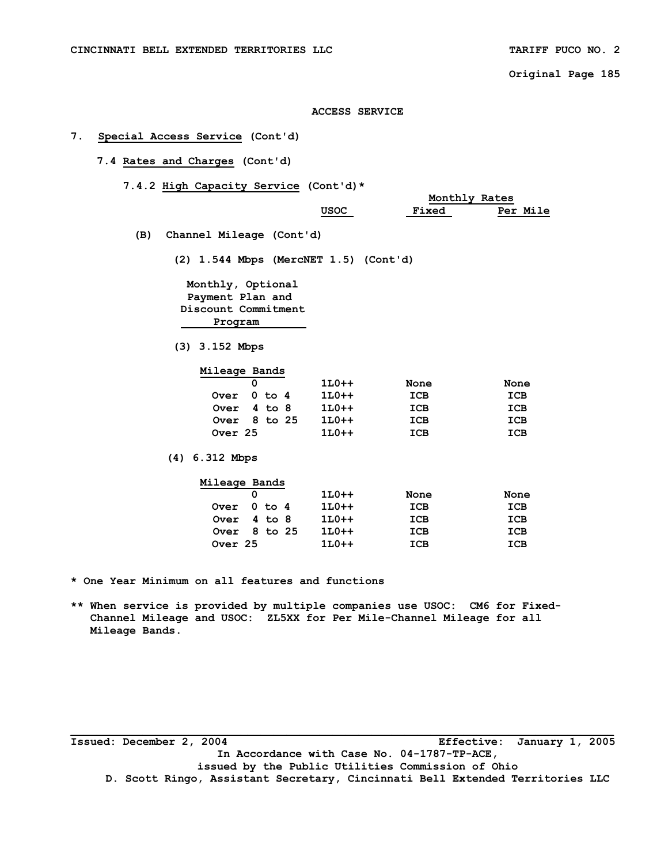# **ACCESS SERVICE**

# **7. Special Access Service (Cont'd)**

- **7.4 Rates and Charges (Cont'd)** 
	- **7.4.2 High Capacity Service (Cont'd)\***

|     |                                                                                             |                       |              | Monthly Rates |
|-----|---------------------------------------------------------------------------------------------|-----------------------|--------------|---------------|
|     |                                                                                             | USOC                  | <b>Fixed</b> | Per Mile      |
| (B) | Channel Mileage (Cont'd)                                                                    |                       |              |               |
|     | $(2)$ 1.544 Mbps (MercNET 1.5) (Cont'd)                                                     |                       |              |               |
|     | Monthly, Optional<br>Payment Plan and<br>Discount Commitment<br>Program<br>$(3)$ 3.152 Mbps |                       |              |               |
|     | Mileage Bands<br>0                                                                          | $1L0++$               |              |               |
|     | $0$ to $4$<br>Over                                                                          | $1L0++$               | None<br>ICB  | None<br>ICB   |
|     | Over                                                                                        | $4$ to $8$<br>$1L0++$ | ICB          | ICB           |
|     | Over $8$ to $25$                                                                            | $1L0++$               | ICB          | ICB           |
|     | Over 25                                                                                     | $1L0++$               | ICB          | ICB           |
|     | $(4)$ 6.312 Mbps                                                                            |                       |              |               |

| Mileage Bands    |  |         |      |      |
|------------------|--|---------|------|------|
|                  |  | $1L0++$ | None | None |
| Over $0$ to $4$  |  | $1L0++$ | ICB  | ICB  |
| Over $4$ to $8$  |  | $1L0++$ | ICB  | ICB  |
| Over $8$ to $25$ |  | $1L0++$ | ICB  | ICB  |
| Over 25          |  | $1L0++$ | ICB  | ICB  |

**\* One Year Minimum on all features and functions** 

**\*\* When service is provided by multiple companies use USOC: CM6 for Fixed- Channel Mileage and USOC: ZL5XX for Per Mile-Channel Mileage for all Mileage Bands.** 

**\_\_\_\_\_\_\_\_\_\_\_\_\_\_\_\_\_\_\_\_\_\_\_\_\_\_\_\_\_\_\_\_\_\_\_\_\_\_\_\_\_\_\_\_\_\_\_\_\_\_\_\_\_\_\_\_\_\_\_\_\_\_\_\_\_\_\_\_\_\_\_\_\_\_\_\_\_\_\_\_\_\_\_ Issued: December 2, 2004 Effective: January 1, 2005 In Accordance with Case No. 04-1787-TP-ACE, issued by the Public Utilities Commission of Ohio D. Scott Ringo, Assistant Secretary, Cincinnati Bell Extended Territories LLC**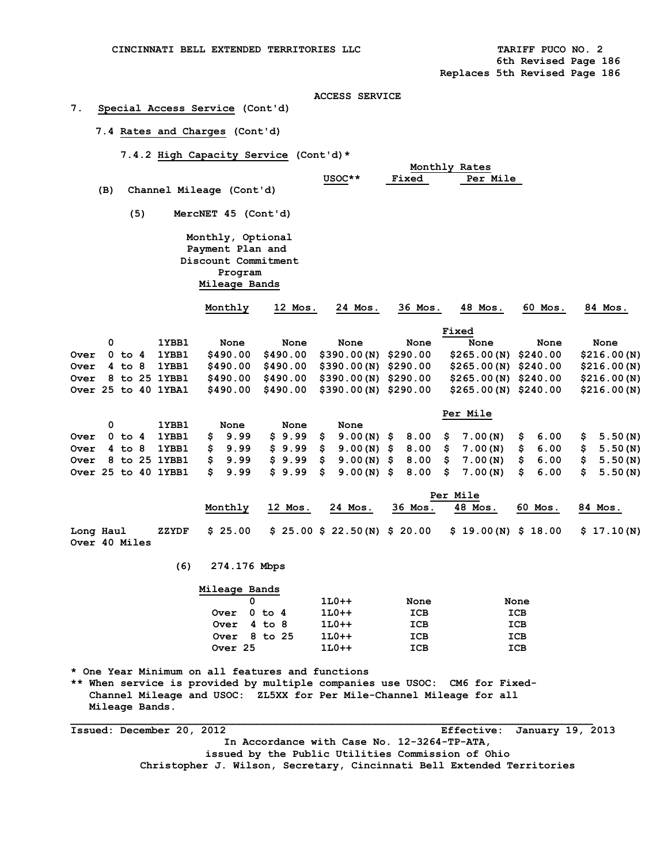# **7. Special Access Service (Cont'd)**

 **7.4 Rates and Charges (Cont'd)** 

 **7.4.2 High Capacity Service (Cont'd)\*** 

|             |     |            |     |                            | Monthly Rates            |          |                       |              |                       |          |             |  |  |  |
|-------------|-----|------------|-----|----------------------------|--------------------------|----------|-----------------------|--------------|-----------------------|----------|-------------|--|--|--|
|             |     |            |     |                            |                          |          | USOC**                | <b>Fixed</b> | <b>Per Mile</b>       |          |             |  |  |  |
|             | (B) |            |     |                            | Channel Mileage (Cont'd) |          |                       |              |                       |          |             |  |  |  |
|             |     |            | (5) |                            | MercNET 45 (Cont'd)      |          |                       |              |                       |          |             |  |  |  |
|             |     |            |     |                            | Monthly, Optional        |          |                       |              |                       |          |             |  |  |  |
|             |     |            |     |                            | Payment Plan and         |          |                       |              |                       |          |             |  |  |  |
|             |     |            |     |                            | Discount Commitment      |          |                       |              |                       |          |             |  |  |  |
|             |     |            |     |                            | Program                  |          |                       |              |                       |          |             |  |  |  |
|             |     |            |     |                            | Mileage Bands            |          |                       |              |                       |          |             |  |  |  |
|             |     |            |     |                            | Monthly                  | 12 Mos.  | 24 Mos.               | 36 Mos.      | 48 Mos.               | 60 Mos.  | 84 Mos.     |  |  |  |
|             |     |            |     |                            |                          |          |                       |              | Fixed                 |          |             |  |  |  |
|             | 0   |            |     | 1YBB1                      | None                     | None     | None                  | None         | None                  | None     | None        |  |  |  |
| <b>Over</b> |     | $0$ to $4$ |     | 1YBB1                      | \$490.00                 | \$490.00 | \$390.00(N)           | \$290.00     | \$265.00(N)           | \$240.00 | \$216.00(N) |  |  |  |
| <b>Over</b> |     | $4$ to $8$ |     | 1YBB1                      | \$490.00                 | \$490.00 | \$390.00(N)           | \$290.00     | \$265.00(N)           | \$240.00 | \$216.00(N) |  |  |  |
| <b>Over</b> |     |            |     | 8 to 25 1YBB1              | \$490.00                 | \$490.00 | $$390.00(N)$ \$290.00 |              | $$265.00(N)$ \$240.00 |          | \$216.00(N) |  |  |  |
|             |     |            |     | <b>Over 25 to 40 1YBA1</b> | \$490.00                 | \$490.00 | $$390.00(N)$ \$290.00 |              | $$265.00(N)$ \$240.00 |          | \$216.00(N) |  |  |  |

|  |  |       |      |      |      |  | Per Mile                                                                             |  |  |
|--|--|-------|------|------|------|--|--------------------------------------------------------------------------------------|--|--|
|  |  | 1YBB1 | None | None | None |  |                                                                                      |  |  |
|  |  |       |      |      |      |  | Over 0 to 4 1YBB1 \$ 9.99 \$ 9.99 \$ 9.00(N) \$ 8.00 \$ 7.00(N) \$ 6.00 \$ 5.50(N)   |  |  |
|  |  |       |      |      |      |  | Over 4 to 8 1YBB1 \$ 9.99 \$ 9.99 \$ 9.00(N) \$ 8.00 \$ 7.00(N) \$ 6.00 \$ 5.50(N)   |  |  |
|  |  |       |      |      |      |  | Over 8 to 25 1YBB1 \$ 9.99 \$ 9.99 \$ 9.00(N) \$ 8.00 \$ 7.00(N) \$ 6.00 \$ 5.50(N)  |  |  |
|  |  |       |      |      |      |  | Over 25 to 40 1YBB1 \$ 9.99 \$ 9.99 \$ 9.00(N) \$ 8.00 \$ 7.00(N) \$ 6.00 \$ 5.50(N) |  |  |

|                            |         | Per Mile |         |         |                                                                        |         |         |  |  |  |
|----------------------------|---------|----------|---------|---------|------------------------------------------------------------------------|---------|---------|--|--|--|
|                            | Monthly | 12 Mos.  | 24 Mos. | 36 Mos. | 48 Mos.                                                                | 60 Mos. | 84 Mos. |  |  |  |
| Long Haul<br>Over 40 Miles |         |          |         |         | ZZYDF \$25.00 \$25.00 \$22.50(N) \$20.00 \$19.00(N) \$18.00 \$17.10(N) |         |         |  |  |  |

 **(6) 274.176 Mbps** 

| Mileage Bands |        |         |      |      |
|---------------|--------|---------|------|------|
|               |        | $1L0++$ | None | None |
| Over          | 0 to 4 | $1L0++$ | ICB  | ICB  |
| Over 4 to 8   |        | $1L0++$ | ICB  | ICB  |
| Over 8 to 25  |        | $1L0++$ | ICB  | ICB  |
| Over 25       |        | $1L0++$ | ICB  | ICB  |

**\* One Year Minimum on all features and functions** 

**\*\* When service is provided by multiple companies use USOC: CM6 for Fixed- Channel Mileage and USOC: ZL5XX for Per Mile-Channel Mileage for all Mileage Bands.** 

**Issued: December 20, 2012 Effective: January 19, 2013 In Accordance with Case No. 12-3264-TP-ATA, issued by the Public Utilities Commission of Ohio Christopher J. Wilson, Secretary, Cincinnati Bell Extended Territories**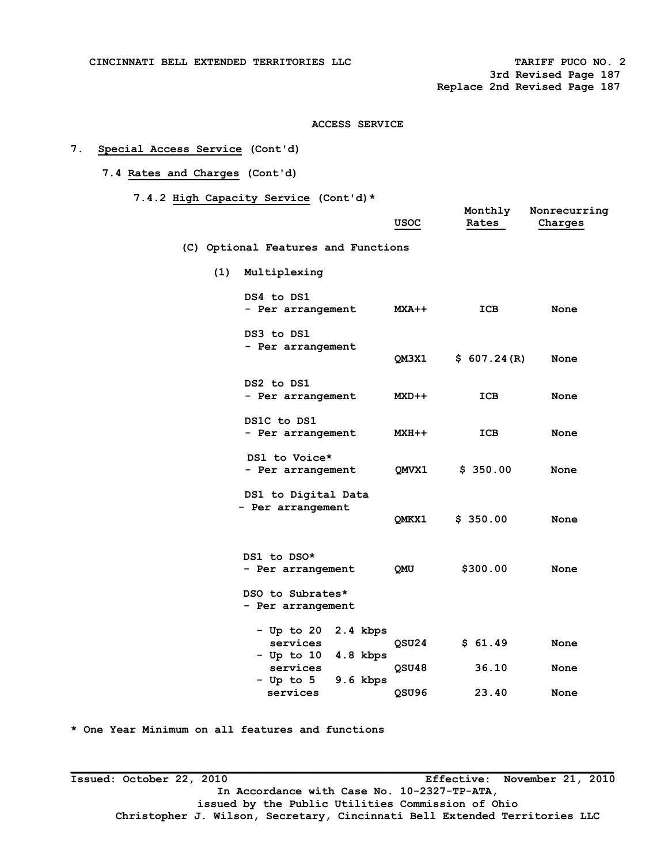**3rd Revised Page 187 Replace 2nd Revised Page 187** 

## **ACCESS SERVICE**

# **7. Special Access Service (Cont'd)**

 **7.4 Rates and Charges (Cont'd)** 

 **7.4.2 High Capacity Service (Cont'd)\*** 

|     |                                          | USOC                   | Monthly<br>Rates            | Nonrecurring<br>Charges |
|-----|------------------------------------------|------------------------|-----------------------------|-------------------------|
|     | (C) Optional Features and Functions      |                        |                             |                         |
| (1) | Multiplexing                             |                        |                             |                         |
|     | DS4 to DS1<br>- Per arrangement          |                        | ICB<br><b>MXA++</b>         | None                    |
|     | DS3 to DS1<br>- Per arrangement          |                        | \$607.24(R)<br><b>OM3X1</b> | None                    |
|     | DS2 to DS1<br>- Per arrangement          |                        | ICB<br>MXD++                | None                    |
|     | DS1C to DS1<br>- Per arrangement         |                        | ICB<br><b>MXH++</b>         | None                    |
|     | DS1 to Voice*<br>- Per arrangement       |                        | \$350.00<br><b>OMVX1</b>    | None                    |
|     | DS1 to Digital Data<br>- Per arrangement |                        | \$350.00<br><b>OMKX1</b>    | None                    |
|     | DS1 to DSO*<br>- Per arrangement         | OMU                    | \$300.00                    | None                    |
|     | DSO to Subrates*<br>- Per arrangement    |                        |                             |                         |
|     | - Up to 20<br>services<br>- Up to 10     | 2.4 kbps<br>$4.8$ kbps | \$61.49<br>QSU24            | None                    |
|     | services<br>- Up to 5                    | 9.6 kbps               | 36.10<br>QSU48              | None                    |
|     | services                                 | OSU96                  | 23.40                       | None                    |

**\* One Year Minimum on all features and functions** 

**\_\_\_\_\_\_\_\_\_\_\_\_\_\_\_\_\_\_\_\_\_\_\_\_\_\_\_\_\_\_\_\_\_\_\_\_\_\_\_\_\_\_\_\_\_\_\_\_\_\_\_\_\_\_\_\_\_\_\_\_\_\_\_\_\_\_\_\_\_\_\_\_\_\_\_\_\_\_\_\_\_\_\_ Issued: October 22, 2010 Effective: November 21, 2010 In Accordance with Case No. 10-2327-TP-ATA, issued by the Public Utilities Commission of Ohio Christopher J. Wilson, Secretary, Cincinnati Bell Extended Territories LLC**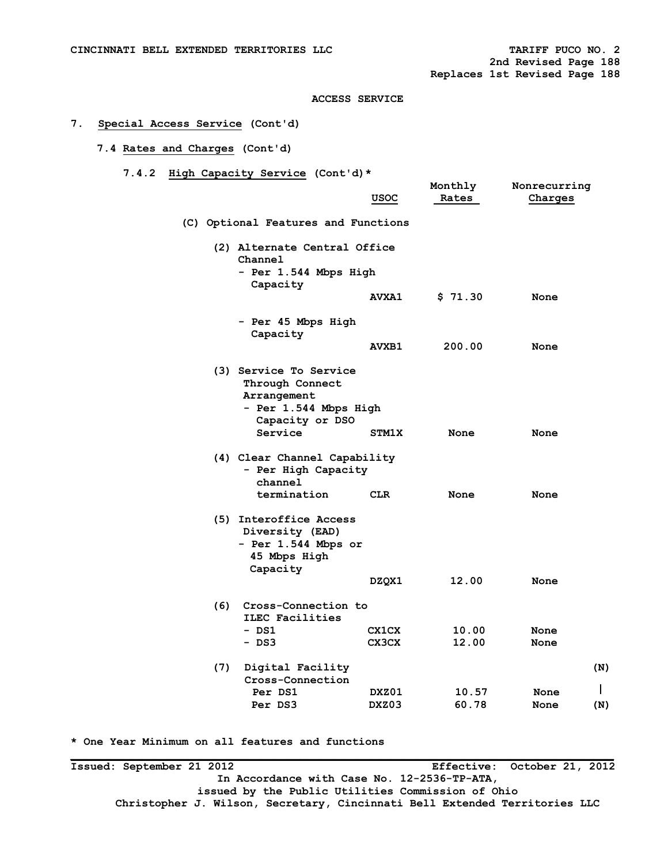# **7. Special Access Service (Cont'd)**

# **7.4 Rates and Charges (Cont'd)**

 **7.4.2 High Capacity Service (Cont'd)\*** 

|     |                                                                                                      | usoc         | Monthly<br>Rates | Nonrecurring<br>Charges |     |
|-----|------------------------------------------------------------------------------------------------------|--------------|------------------|-------------------------|-----|
|     | (C) Optional Features and Functions                                                                  |              |                  |                         |     |
|     | (2) Alternate Central Office<br>Channel                                                              |              |                  |                         |     |
|     | - Per 1.544 Mbps High<br>Capacity                                                                    |              |                  |                         |     |
|     |                                                                                                      | <b>AVXA1</b> | \$71.30          | None                    |     |
|     | - Per 45 Mbps High<br>Capacity                                                                       |              |                  |                         |     |
|     |                                                                                                      | <b>AVXB1</b> | 200.00           | None                    |     |
|     | (3) Service To Service<br>Through Connect<br>Arrangement<br>- Per 1.544 Mbps High<br>Capacity or DSO |              |                  |                         |     |
|     | Service                                                                                              | <b>STM1X</b> | None             | None                    |     |
|     | (4) Clear Channel Capability<br>- Per High Capacity<br>channel                                       |              |                  |                         |     |
|     | termination                                                                                          | CLR          | None             | None                    |     |
|     | (5) Interoffice Access<br>Diversity (EAD)<br>- Per 1.544 Mbps or<br>45 Mbps High<br>Capacity         |              |                  |                         |     |
|     |                                                                                                      | DZQX1        | 12.00            | None                    |     |
| (6) | Cross-Connection to<br>ILEC Facilities<br>- DS1                                                      | <b>CX1CX</b> | 10.00            | None                    |     |
|     | - DS3                                                                                                | CX3CX        | 12.00            | None                    |     |
|     |                                                                                                      |              |                  |                         |     |
| (7) | Digital Facility<br>Cross-Connection                                                                 |              |                  |                         | (N) |
|     | Per DS1                                                                                              | DXZ01        | 10.57            | None                    |     |
|     | Per DS3                                                                                              | DXZ03        | 60.78            | None                    | (N) |
|     |                                                                                                      |              |                  |                         |     |

**\* One Year Minimum on all features and functions** 

**Issued: September 21 2012 Effective: October 21, 2012 In Accordance with Case No. 12-2536-TP-ATA, issued by the Public Utilities Commission of Ohio Christopher J. Wilson, Secretary, Cincinnati Bell Extended Territories LLC**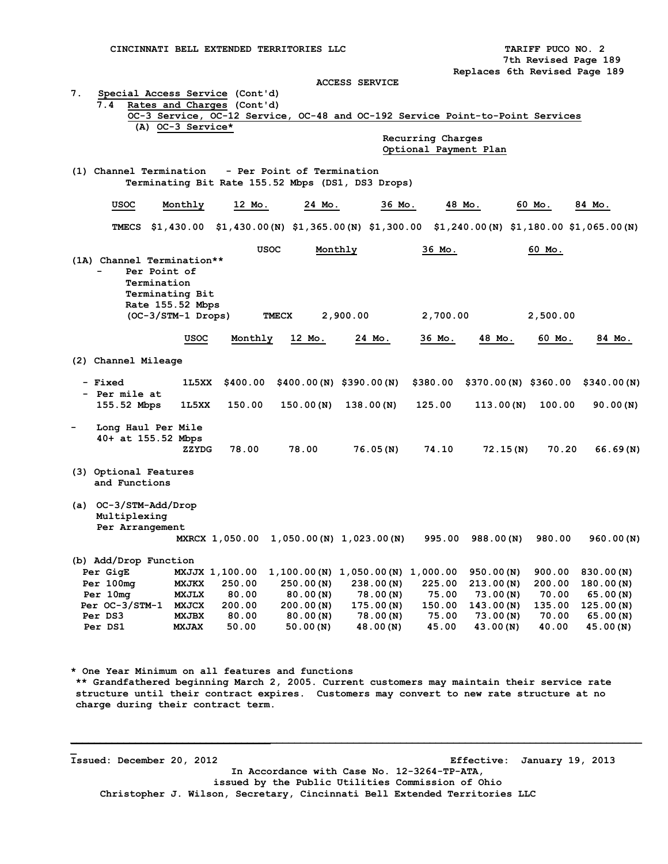| <b>ACCESS SERVICE</b>                              |                                                                               |          |            |                                                                                              |                   |                      |          |             |  |  |  |  |
|----------------------------------------------------|-------------------------------------------------------------------------------|----------|------------|----------------------------------------------------------------------------------------------|-------------------|----------------------|----------|-------------|--|--|--|--|
| 7.<br>Special Access Service (Cont'd)              |                                                                               |          |            |                                                                                              |                   |                      |          |             |  |  |  |  |
| 7.4<br>Rates and Charges (Cont'd)                  |                                                                               |          |            |                                                                                              |                   |                      |          |             |  |  |  |  |
|                                                    | OC-3 Service, OC-12 Service, OC-48 and OC-192 Service Point-to-Point Services |          |            |                                                                                              |                   |                      |          |             |  |  |  |  |
|                                                    | (A) OC-3 Service*                                                             |          |            |                                                                                              |                   |                      |          |             |  |  |  |  |
|                                                    |                                                                               |          |            |                                                                                              | Recurring Charges |                      |          |             |  |  |  |  |
| Optional Payment Plan                              |                                                                               |          |            |                                                                                              |                   |                      |          |             |  |  |  |  |
| (1) Channel Termination - Per Point of Termination |                                                                               |          |            |                                                                                              |                   |                      |          |             |  |  |  |  |
| Terminating Bit Rate 155.52 Mbps (DS1, DS3 Drops)  |                                                                               |          |            |                                                                                              |                   |                      |          |             |  |  |  |  |
|                                                    |                                                                               |          |            |                                                                                              |                   |                      |          |             |  |  |  |  |
| usoc                                               | Monthly                                                                       | 12 Mo.   | 24 Mo.     | 36 Mo.                                                                                       |                   | 48 Mo.               | 60 Mo.   | 84 Mo.      |  |  |  |  |
|                                                    |                                                                               |          |            |                                                                                              |                   |                      |          |             |  |  |  |  |
| TMECS                                              |                                                                               |          |            | \$1,430.00 \$1,430.00 (N) \$1,365.00 (N) \$1,300.00 \$1,240.00 (N) \$1,180.00 \$1,065.00 (N) |                   |                      |          |             |  |  |  |  |
|                                                    |                                                                               |          |            |                                                                                              |                   |                      |          |             |  |  |  |  |
|                                                    |                                                                               | USOC     |            | Monthly                                                                                      | 36 Mo.            |                      | 60 Mo.   |             |  |  |  |  |
| (1A) Channel Termination**                         |                                                                               |          |            |                                                                                              |                   |                      |          |             |  |  |  |  |
|                                                    | Per Point of                                                                  |          |            |                                                                                              |                   |                      |          |             |  |  |  |  |
|                                                    | Termination                                                                   |          |            |                                                                                              |                   |                      |          |             |  |  |  |  |
|                                                    | Terminating Bit<br>Rate 155.52 Mbps                                           |          |            |                                                                                              |                   |                      |          |             |  |  |  |  |
|                                                    | (OC-3/STM-1 Drops)                                                            |          | TMECX      | 2,900.00                                                                                     | 2,700.00          |                      | 2,500.00 |             |  |  |  |  |
|                                                    |                                                                               |          |            |                                                                                              |                   |                      |          |             |  |  |  |  |
|                                                    | usoc                                                                          | Monthly  | 12 Mo.     | 24 Mo.                                                                                       | 36 Мо.            | 48 Mo.               | 60 Mo.   | 84 Mo.      |  |  |  |  |
|                                                    |                                                                               |          |            |                                                                                              |                   |                      |          |             |  |  |  |  |
| (2) Channel Mileage                                |                                                                               |          |            |                                                                                              |                   |                      |          |             |  |  |  |  |
|                                                    |                                                                               |          |            |                                                                                              |                   |                      |          |             |  |  |  |  |
| - Fixed                                            | 1L5XX                                                                         | \$400.00 |            | $$400.00(N)$ \$390.00 (N)                                                                    | \$380.00          | \$370.00(N) \$360.00 |          | \$340.00(N) |  |  |  |  |
| - Per mile at                                      |                                                                               |          |            |                                                                                              |                   |                      |          |             |  |  |  |  |
| 155.52 Mbps                                        | 1L5XX                                                                         | 150.00   | 150.00 (N) | 138.00(N)                                                                                    | 125.00            | 113.00(N)            | 100.00   | 90.00 (N)   |  |  |  |  |
|                                                    |                                                                               |          |            |                                                                                              |                   |                      |          |             |  |  |  |  |
|                                                    | Long Haul Per Mile<br>40+ at 155.52 Mbps                                      |          |            |                                                                                              |                   |                      |          |             |  |  |  |  |
|                                                    | ZZYDG                                                                         | 78.00    | 78.00      | 76.05(N)                                                                                     | 74.10             | 72.15(N)             | 70.20    | 66.69(N)    |  |  |  |  |
|                                                    |                                                                               |          |            |                                                                                              |                   |                      |          |             |  |  |  |  |
| (3) Optional Features                              |                                                                               |          |            |                                                                                              |                   |                      |          |             |  |  |  |  |
| and Functions                                      |                                                                               |          |            |                                                                                              |                   |                      |          |             |  |  |  |  |
|                                                    |                                                                               |          |            |                                                                                              |                   |                      |          |             |  |  |  |  |
| (a) $OC-3/STM-Add/Drop$                            |                                                                               |          |            |                                                                                              |                   |                      |          |             |  |  |  |  |
| Multiplexing                                       |                                                                               |          |            |                                                                                              |                   |                      |          |             |  |  |  |  |
| Per Arrangement                                    |                                                                               |          |            |                                                                                              |                   |                      |          |             |  |  |  |  |
|                                                    |                                                                               |          |            | MXRCX 1,050.00 1,050.00 (N) 1,023.00 (N)                                                     |                   | 995.00 988.00 (N)    | 980.00   | 960.00(N)   |  |  |  |  |
| (b) Add/Drop Function                              |                                                                               |          |            |                                                                                              |                   |                      |          |             |  |  |  |  |
| Per GigE                                           | MXJJX 1,100.00                                                                |          |            | $1,100.00(N)$ 1,050.00(N) 1,000.00                                                           |                   | 950.00(N)            | 900.00   | 830.00(N)   |  |  |  |  |
| Per 100mg                                          | <b>MXJKX</b>                                                                  | 250.00   | 250.00(N)  | 238.00(N)                                                                                    | 225.00            | 213.00(N)            | 200.00   | 180.00(N)   |  |  |  |  |
| Per 10mg                                           | <b>MXJLX</b>                                                                  | 80.00    | 80.00(N)   | 78.00(N)                                                                                     | 75.00             | 73.00(N)             | 70.00    | 65.00(N)    |  |  |  |  |
| Per OC-3/STM-1                                     | <b>MXJCX</b>                                                                  | 200.00   | 200.00(N)  | 175.00(N)                                                                                    | 150.00            | 143.00(N)            | 135.00   | 125.00(N)   |  |  |  |  |
| Per DS3                                            | MXJBX                                                                         | 80.00    | 80.00(N)   | 78.00(N)                                                                                     | 75.00             | 73.00(N)             | 70.00    | 65.00(N)    |  |  |  |  |
| Per DS1                                            | <b>MXJAX</b>                                                                  | 50.00    | 50.00 (N)  | 48.00(N)                                                                                     | 45.00             | 43.00(N)             | 40.00    | 45.00(N)    |  |  |  |  |
|                                                    |                                                                               |          |            |                                                                                              |                   |                      |          |             |  |  |  |  |
|                                                    |                                                                               |          |            |                                                                                              |                   |                      |          |             |  |  |  |  |
|                                                    |                                                                               |          |            |                                                                                              |                   |                      |          |             |  |  |  |  |
| * One Year Minimum on all features and functions   |                                                                               |          |            |                                                                                              |                   |                      |          |             |  |  |  |  |

**\*\* Grandfathered beginning March 2, 2005. Current customers may maintain their service rate structure until their contract expires. Customers may convert to new rate structure at no charge during their contract term.** 

**\_ Issued: December 20, 2012 Effective: January 19, 2013 In Accordance with Case No. 12-3264-TP-ATA, issued by the Public Utilities Commission of Ohio Christopher J. Wilson, Secretary, Cincinnati Bell Extended Territories LLC**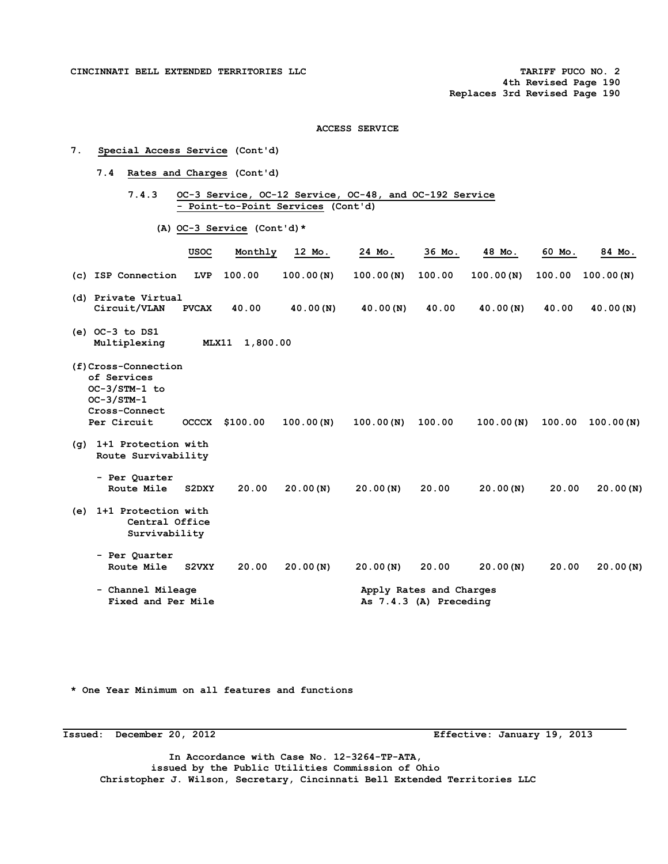# **7. Special Access Service (Cont'd)**

- **7.4 Rates and Charges (Cont'd)** 
	- **7.4.3 OC-3 Service, OC-12 Service, OC-48, and OC-192 Service - Point-to-Point Services (Cont'd)**

 **(A) OC-3 Service (Cont'd)\*** 

|     |                                                                                                     | <b>USOC</b>  | Monthly  | 12 Mo.    | 24 Mo.    | 36 Mo.                                            | 48 Mo.    | 60 Mo. | 84 Mo.    |
|-----|-----------------------------------------------------------------------------------------------------|--------------|----------|-----------|-----------|---------------------------------------------------|-----------|--------|-----------|
|     | (c) ISP Connection                                                                                  | <b>LVP</b>   | 100.00   | 100.00(N) | 100.00(N) | 100.00                                            | 100.00(N) | 100.00 | 100.00(N) |
|     | (d) Private Virtual<br>Circuit/VLAN                                                                 | <b>PVCAX</b> | 40.00    | 40.00(N)  | 40.00(N)  | 40.00                                             | 40.00(N)  | 40.00  | 40.00(N)  |
|     | $(e)$ OC-3 to DS1<br>Multiplexing                                                                   | MLX11        | 1,800.00 |           |           |                                                   |           |        |           |
|     | (f)Cross-Connection<br>of Services<br>OC-3/STM-1 to<br>$OC-3/STM-1$<br>Cross-Connect<br>Per Circuit | <b>OCCCX</b> | \$100.00 | 100.00(N) | 100.00(N) | 100.00                                            | 100.00(N) | 100.00 | 100.00(N) |
| (q) | 1+1 Protection with<br>Route Survivability                                                          |              |          |           |           |                                                   |           |        |           |
|     | - Per Quarter<br>Route Mile                                                                         | S2DXY        | 20.00    | 20.00(N)  | 20.00(N)  | 20.00                                             | 20.00(N)  | 20.00  | 20.00(N)  |
| (e) | 1+1 Protection with<br>Central Office<br>Survivability                                              |              |          |           |           |                                                   |           |        |           |
|     | - Per Quarter<br>Route Mile                                                                         | S2VXY        | 20.00    | 20.00(N)  | 20.00(N)  | 20.00                                             | 20.00(N)  | 20.00  | 20.00(N)  |
|     | - Channel Mileage<br>Fixed and Per Mile                                                             |              |          |           |           | Apply Rates and Charges<br>As 7.4.3 (A) Preceding |           |        |           |

**\* One Year Minimum on all features and functions** 

**Issued: December 20, 2012 Effective: January 19, 2013** 

 **In Accordance with Case No. 12-3264-TP-ATA, issued by the Public Utilities Commission of Ohio Christopher J. Wilson, Secretary, Cincinnati Bell Extended Territories LLC**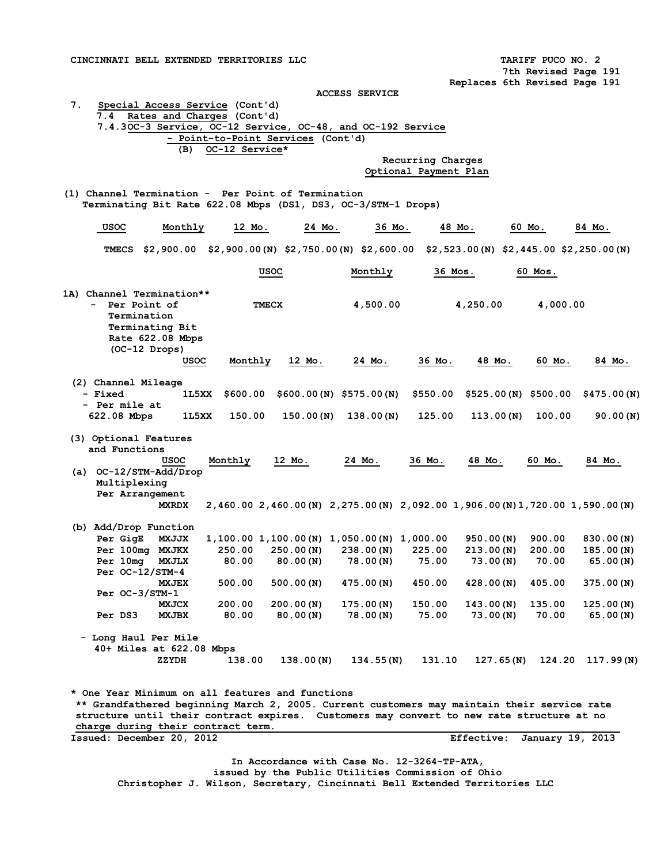**7th Revised Page 191 Replaces 6th Revised Page 191** 

**ACCESS SERVICE** 

# **7. Special Access Service (Cont'd) 7.4 Rates and Charges (Cont'd) 7.4.3OC-3 Service, OC-12 Service, OC-48, and OC-192 Service - Point-to-Point Services (Cont'd) (B) OC-12 Service\* Recurring Charges Optional Payment Plan (1) Channel Termination - Per Point of Termination Terminating Bit Rate 622.08 Mbps (DS1, DS3, OC-3/STM-1 Drops) USOC Monthly 12 Mo. 24 Mo. 36 Mo. 48 Mo. 60 Mo. 84 Mo. TMECS \$2,900.00 \$2,900.00(N) \$2,750.00(N) \$2,600.00 \$2,523.00(N) \$2,445.00 \$2,250.00(N) USOC** Monthly 36 Mos. 60 Mos. **1A) Channel Termination\*\* - Per Point of TMECX 4,500.00 4,250.00 4,000.00 Termination Terminating Bit Rate 622.08 Mbps (OC-12 Drops) USOC Monthly 12 Mo. 24 Mo. 36 Mo. 48 Mo. 60 Mo. 84 Mo.**

#### **(2) Channel Mileage - Fixed 1L5XX \$600.00 \$600.00(N) \$575.00(N) \$550.00 \$525.00(N) \$500.00 \$475.00(N) - Per mile at 622.08 Mbps 1L5XX 150.00 150.00(N) 138.00(N) 125.00 113.00(N) 100.00 90.00(N)**

 **(3) Optional Features and Functions** 

# **USOC Monthly 12 Mo. 24 Mo. 36 Mo. 48 Mo. 60 Mo. 84 Mo. (a) OC-12/STM-Add/Drop Multiplexing Per Arrangement MXRDX 2,460.00 2,460.00(N) 2,275.00(N) 2,092.00 1,906.00(N)1,720.00 1,590.00(N)**

|  |                   | (b) Add/Drop Function |        |           |                                          |          |           |        |           |
|--|-------------------|-----------------------|--------|-----------|------------------------------------------|----------|-----------|--------|-----------|
|  | Per GigE          | <b>MXJJX</b>          |        |           | $1,100.00$ $1,100.00$ (N) $1,050.00$ (N) | 1,000.00 | 950.00(N) | 900.00 | 830.00(N) |
|  | Per 100mg         | <b>MXJKX</b>          | 250.00 | 250.00(N) | 238.00(N)                                | 225.00   | 213.00(N) | 200.00 | 185.00(N) |
|  | Per 10mg          | <b>MXJLX</b>          | 80.00  | 80.00 (N) | 78.00(N)                                 | 75.00    | 73.00(N)  | 70.00  | 65.00(N)  |
|  | Per $OC-12/STM-4$ |                       |        |           |                                          |          |           |        |           |
|  |                   | <b>MXJEX</b>          | 500.00 | 500.00(N) | 475.00(N)                                | 450.00   | 428.00(N) | 405.00 | 375.00(N) |
|  | $Per OC-3/STM-1$  |                       |        |           |                                          |          |           |        |           |
|  |                   | <b>MXJCX</b>          | 200.00 | 200.00(N) | 175.00(N)                                | 150.00   | 143.00(N) | 135.00 | 125.00(N) |
|  | Per DS3           | <b>MXJBX</b>          | 80.00  | 80.00(N)  | 78.00(N)                                 | 75.00    | 73.00(N)  | 70.00  | 65.00(N)  |

 **- Long Haul Per Mile 40+ Miles at 622.08 Mbps ZZYDH 138.00 138.00(N) 134.55(N) 131.10 127.65(N) 124.20 117.99(N)** 

**\* One Year Minimum on all features and functions \*\* Grandfathered beginning March 2, 2005. Current customers may maintain their service rate structure until their contract expires. Customers may convert to new rate structure at no charge during their contract term. Issued: December 20, 2012 Effective: January 19, 2013** 

**In Accordance with Case No. 12-3264-TP-ATA,** 

**issued by the Public Utilities Commission of Ohio** 

 **Christopher J. Wilson, Secretary, Cincinnati Bell Extended Territories LLC**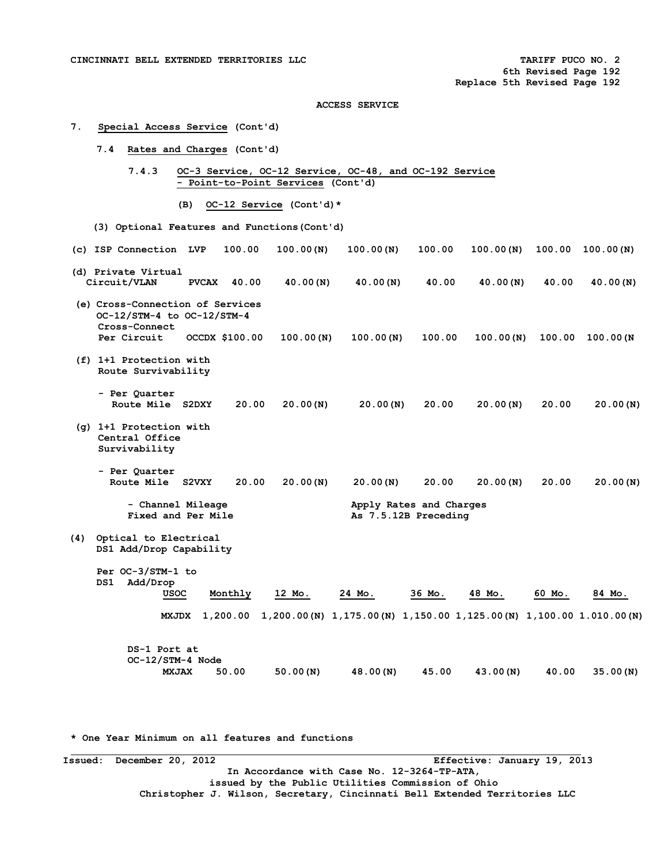#### **7. Special Access Service (Cont'd)**

- **7.4 Rates and Charges (Cont'd)** 
	- **7.4.3 OC-3 Service, OC-12 Service, OC-48, and OC-192 Service - Point-to-Point Services (Cont'd)** 
		- **(B) OC-12 Service (Cont'd)\***
- **(3) Optional Features and Functions(Cont'd)**
- **(c) ISP Connection LVP 100.00 100.00(N) 100.00(N) 100.00 100.00(N) 100.00 100.00(N) (d) Private Virtual Circuit/VLAN PVCAX 40.00 40.00(N) 40.00(N) 40.00 40.00(N) 40.00 40.00(N) (e) Cross-Connection of Services OC-12/STM-4 to OC-12/STM-4 Cross-Connect Per Circuit OCCDX \$100.00 100.00(N) 100.00(N) 100.00 100.00(N) 100.00 100.00(N (f) 1+1 Protection with**
- **Route Survivability** 
	- **Per Quarter Route Mile S2DXY 20.00 20.00(N) 20.00(N) 20.00 20.00(N) 20.00 20.00(N)**
- **(g) 1+1 Protection with Central Office Survivability** 
	- **Per Quarter**   $20.00$   $20.00(N)$   $20.00(N)$   $20.00$   $20.00(N)$   $20.00(N)$   $20.00(N)$ 
		- Channel Mileage **Apply Rates and Charges**<br> **Fixed and Per Mile As 7.5.12B Preceding**
- **(4) Optical to Electrical DS1 Add/Drop Capability**

- **Per OC-3/STM-1 to DS1 Add/Drop USOC Monthly 12 Mo. 24 Mo. 36 Mo. 48 Mo. 60 Mo. 84 Mo.** 
	- **MXJDX 1,200.00 1,200.00(N) 1,175.00(N) 1,150.00 1,125.00(N) 1,100.00 1.010.00(N)**

**As 7.5.12B Preceding** 

 **DS-1 Port at OC-12/STM-4 Node MXJAX 50.00 50.00(N) 48.00(N) 45.00 43.00(N) 40.00 35.00(N)** 

**\* One Year Minimum on all features and functions** 

**Issued: December 20, 2012 Effective: January 19, 2013 In Accordance with Case No. 12-3264-TP-ATA, issued by the Public Utilities Commission of Ohio Christopher J. Wilson, Secretary, Cincinnati Bell Extended Territories LLC**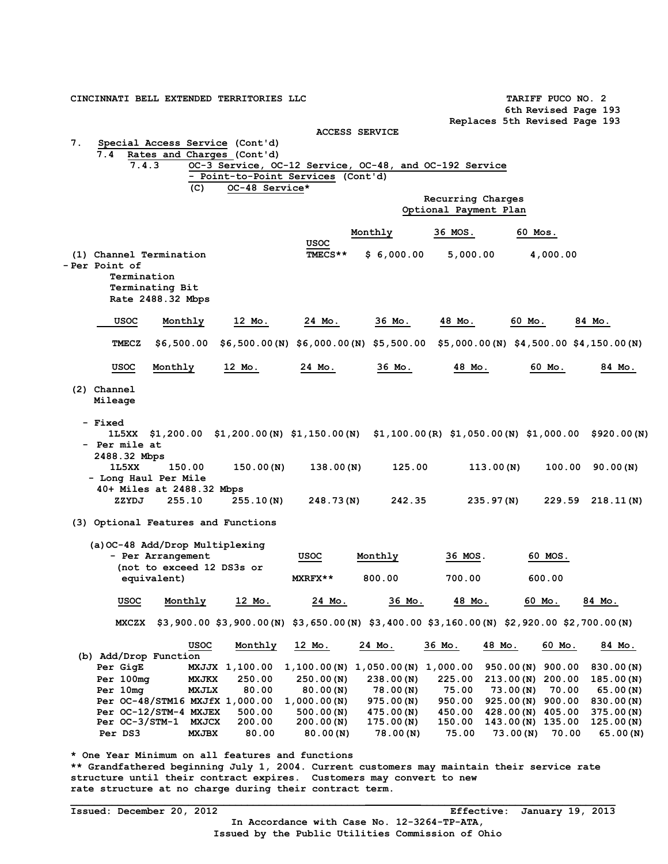| CINCINNATI BELL EXTENDED TERRITORIES LLC                                                   |                           |                                    |                |                                    |                                                        | TARIFF PUCO NO. 2<br>6th Revised Page 193                                                       |                  |  |
|--------------------------------------------------------------------------------------------|---------------------------|------------------------------------|----------------|------------------------------------|--------------------------------------------------------|-------------------------------------------------------------------------------------------------|------------------|--|
|                                                                                            |                           |                                    |                |                                    |                                                        | Replaces 5th Revised Page 193                                                                   |                  |  |
|                                                                                            |                           |                                    |                | <b>ACCESS SERVICE</b>              |                                                        |                                                                                                 |                  |  |
| 7.<br>Special Access Service (Cont'd)                                                      |                           |                                    |                |                                    |                                                        |                                                                                                 |                  |  |
| 7.4                                                                                        |                           | Rates and Charges (Cont'd)         |                |                                    |                                                        |                                                                                                 |                  |  |
| 7.4.3                                                                                      |                           |                                    |                |                                    | OC-3 Service, OC-12 Service, OC-48, and OC-192 Service |                                                                                                 |                  |  |
|                                                                                            |                           | - Point-to-Point Services (Cont'd) |                |                                    |                                                        |                                                                                                 |                  |  |
|                                                                                            | (C)                       | OC-48 Service*                     |                |                                    |                                                        |                                                                                                 |                  |  |
|                                                                                            |                           |                                    |                |                                    | Recurring Charges                                      |                                                                                                 |                  |  |
|                                                                                            |                           |                                    |                |                                    | Optional Payment Plan                                  |                                                                                                 |                  |  |
|                                                                                            |                           |                                    |                |                                    |                                                        |                                                                                                 |                  |  |
|                                                                                            |                           |                                    |                | Monthly                            | 36 MOS.                                                | 60 Mos.                                                                                         |                  |  |
|                                                                                            |                           |                                    | usoc           |                                    |                                                        |                                                                                                 |                  |  |
| (1) Channel Termination                                                                    |                           |                                    | TMECS**        | \$6,000.00                         | 5,000.00                                               | 4,000.00                                                                                        |                  |  |
| - Per Point of                                                                             |                           |                                    |                |                                    |                                                        |                                                                                                 |                  |  |
| Termination                                                                                |                           |                                    |                |                                    |                                                        |                                                                                                 |                  |  |
| Terminating Bit                                                                            |                           |                                    |                |                                    |                                                        |                                                                                                 |                  |  |
| Rate 2488.32 Mbps                                                                          |                           |                                    |                |                                    |                                                        |                                                                                                 |                  |  |
|                                                                                            |                           |                                    |                |                                    |                                                        |                                                                                                 |                  |  |
| usoc                                                                                       | Monthly                   | 12 Mo.                             | 24 Mo.         | 36 Mo.                             | 48 Mo.                                                 | 60 Mo.                                                                                          | 84 Mo.           |  |
|                                                                                            |                           |                                    |                |                                    |                                                        |                                                                                                 |                  |  |
| <b>TMECZ</b>                                                                               | \$6,500.00                |                                    |                |                                    |                                                        | $$6,500.00(N)$ $$6,000.00(N)$ $$5,500.00$ $$5,000.00(N)$ $$4,500.00$ $$4,150.00(N)$             |                  |  |
|                                                                                            |                           |                                    |                |                                    |                                                        |                                                                                                 |                  |  |
| USOC                                                                                       | Monthly                   | 12 Mo.                             | 24 Mo.         | 36 Mo.                             | 48 Mo.                                                 | 60 Mo.                                                                                          | 84 Mo.           |  |
|                                                                                            |                           |                                    |                |                                    |                                                        |                                                                                                 |                  |  |
| (2) Channel                                                                                |                           |                                    |                |                                    |                                                        |                                                                                                 |                  |  |
| Mileage                                                                                    |                           |                                    |                |                                    |                                                        |                                                                                                 |                  |  |
|                                                                                            |                           |                                    |                |                                    |                                                        |                                                                                                 |                  |  |
| - Fixed                                                                                    |                           |                                    |                |                                    |                                                        |                                                                                                 |                  |  |
|                                                                                            |                           |                                    |                |                                    |                                                        | 1L5XX \$1,200.00 \$1,200.00(N) \$1,150.00(N) \$1,100.00(R) \$1,050.00(N) \$1,000.00 \$920.00(N) |                  |  |
| - Per mile at                                                                              |                           |                                    |                |                                    |                                                        |                                                                                                 |                  |  |
| 2488.32 Mbps                                                                               |                           |                                    |                |                                    |                                                        |                                                                                                 |                  |  |
| 1L5XX                                                                                      | 150.00                    | 150.00(N)                          | 138.00(N)      | 125.00                             | 113.00(N)                                              | 100.00                                                                                          | 90.00(N)         |  |
|                                                                                            |                           |                                    |                |                                    |                                                        |                                                                                                 |                  |  |
| - Long Haul Per Mile                                                                       |                           |                                    |                |                                    |                                                        |                                                                                                 |                  |  |
| 40+ Miles at 2488.32 Mbps                                                                  |                           |                                    |                |                                    |                                                        |                                                                                                 |                  |  |
| ZZYDJ                                                                                      | 255.10                    | 255.10(N)                          | 248.73(N)      | 242.35                             | 235.97(N)                                              |                                                                                                 | 229.59 218.11(N) |  |
|                                                                                            |                           |                                    |                |                                    |                                                        |                                                                                                 |                  |  |
| (3) Optional Features and Functions                                                        |                           |                                    |                |                                    |                                                        |                                                                                                 |                  |  |
|                                                                                            |                           |                                    |                |                                    |                                                        |                                                                                                 |                  |  |
| (a) OC-48 Add/Drop Multiplexing                                                            |                           |                                    |                |                                    |                                                        |                                                                                                 |                  |  |
| - Per Arrangement                                                                          |                           |                                    | usoc           | Monthly                            | 36 MOS.                                                | 60 MOS.                                                                                         |                  |  |
|                                                                                            | (not to exceed 12 DS3s or |                                    |                |                                    |                                                        |                                                                                                 |                  |  |
|                                                                                            | equivalent)               |                                    | <b>MXRFX**</b> | 800.00                             | 700.00                                                 | 600.00                                                                                          |                  |  |
|                                                                                            |                           |                                    |                |                                    |                                                        |                                                                                                 |                  |  |
| <b>USOC</b>                                                                                | Monthly                   | 12 Mo.                             | 24 Mo.         | 36 Mo.                             | 48 Mo.                                                 | 60 Mo.                                                                                          | 84 Mo.           |  |
|                                                                                            |                           |                                    |                |                                    |                                                        |                                                                                                 |                  |  |
|                                                                                            |                           |                                    |                |                                    |                                                        | MXCZX \$3,900.00 \$3,900.00(N) \$3,650.00(N) \$3,400.00 \$3,160.00(N) \$2,920.00 \$2,700.00(N)  |                  |  |
|                                                                                            |                           |                                    |                |                                    |                                                        |                                                                                                 |                  |  |
|                                                                                            | usoc                      | Monthly                            | 12 Mo.         | 24 Mo.                             | 36 Mo.                                                 | 48 Mo.<br>60 Mo.                                                                                | 84 Mo.           |  |
| (b) Add/Drop Function                                                                      |                           |                                    |                |                                    |                                                        |                                                                                                 |                  |  |
| Per GigE                                                                                   |                           | MXJJX 1,100.00                     |                | $1,100.00(N)$ 1,050.00(N) 1,000.00 |                                                        | $950.00(N)$ 900.00                                                                              | 830.00(N)        |  |
| Per 100mg                                                                                  | MXJKX                     | 250.00                             | 250.00(N)      | 238.00(N)                          | 225.00                                                 | $213.00(N)$ 200.00                                                                              | 185.00(N)        |  |
| Per 10mg                                                                                   | MXJLX                     | 80.00                              | 80.00(N)       | 78.00(N)                           | 75.00                                                  | 70.00<br>73.00(N)                                                                               | 65.00(N)         |  |
| Per OC-48/STM16 MXJfX 1,000.00                                                             |                           |                                    | 1,000.00(N)    | 975.00(N)                          | 950.00                                                 | 925.00 (N) 900.00                                                                               | 830.00(N)        |  |
| Per OC-12/STM-4 MXJEX                                                                      |                           | 500.00                             | 500.00(N)      | 475.00(N)                          | 450.00                                                 | 428.00 (N) 405.00                                                                               | 375.00(N)        |  |
| Per OC-3/STM-1 MXJCX                                                                       |                           | 200.00                             | 200.00(N)      | 175.00(N)                          | 150.00                                                 | 143.00(N) 135.00                                                                                | 125.00(N)        |  |
| Per DS3                                                                                    | <b>MXJBX</b>              | 80.00                              | 80.00(N)       | 78.00(N)                           | 75.00                                                  | 73.00(N)<br>70.00                                                                               | 65.00(N)         |  |
|                                                                                            |                           |                                    |                |                                    |                                                        |                                                                                                 |                  |  |
| * One Year Minimum on all features and functions                                           |                           |                                    |                |                                    |                                                        |                                                                                                 |                  |  |
| ** Grandfathered beginning July 1, 2004. Current customers may maintain their service rate |                           |                                    |                |                                    |                                                        |                                                                                                 |                  |  |

**structure until their contract expires. Customers may convert to new rate structure at no charge during their contract term.**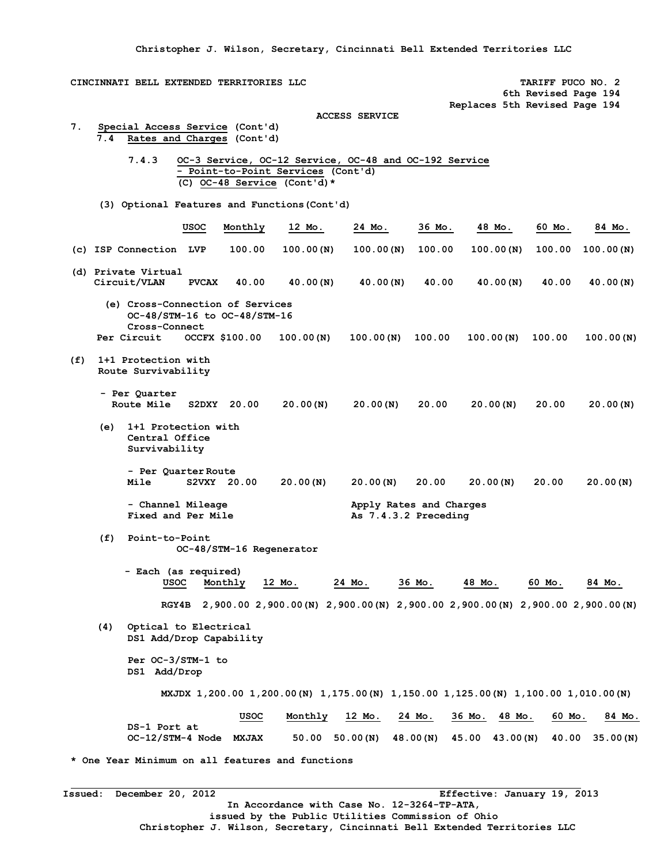**Christopher J. Wilson, Secretary, Cincinnati Bell Extended Territories LLC** 

**CINCINNATI BELL EXTENDED TERRITORIES LLC TARIFF PUCO NO. 2 6th Revised Page 194 Replaces 5th Revised Page 194 ACCESS SERVICE 7. Special Access Service (Cont'd)**  Rates and Charges (Cont'd) **7.4.3 OC-3 Service, OC-12 Service, OC-48 and OC-192 Service - Point-to-Point Services (Cont'd) (C) OC-48 Service (Cont'd)\* (3) Optional Features and Functions(Cont'd) USOC Monthly 12 Mo. 24 Mo. 36 Mo. 48 Mo. 60 Mo. 84 Mo. (c) ISP Connection LVP 100.00 100.00(N) 100.00(N) 100.00 100.00(N) 100.00 100.00(N) (d) Private Virtual Circuit/VLAN PVCAX 40.00 40.00(N) 40.00(N) 40.00 40.00(N) 40.00 40.00(N) (e) Cross-Connection of Services OC-48/STM-16 to OC-48/STM-16 Cross-Connect Per Circuit OCCFX \$100.00 100.00(N) 100.00(N) 100.00 100.00(N) 100.00 100.00(N) (f) 1+1 Protection with Route Survivability - Per Quarter Route Mile S2DXY 20.00 20.00(N) 20.00(N) 20.00 20.00(N) 20.00 20.00(N) (e) 1+1 Protection with Central Office Survivability - Per Quarter Route Mile S2VXY 20.00 20.00(N) 20.00(N) 20.00 20.00(N) 20.00 20.00(N)** - Channel Mileage **Apply Rates and Charges**<br> **Fixed and Per Mile As 7.4.3.2 Preceding** As  $7.4.3.2$  Preceding  **(f) Point-to-Point OC-48/STM-16 Regenerator - Each (as required) USOC Monthly 12 Mo. 24 Mo. 36 Mo. 48 Mo. 60 Mo. 84 Mo. RGY4B 2,900.00 2,900.00(N) 2,900.00(N) 2,900.00 2,900.00(N) 2,900.00 2,900.00(N) (4) Optical to Electrical DS1 Add/Drop Capability Per OC-3/STM-1 to DS1 Add/Drop MXJDX 1,200.00 1,200.00(N) 1,175.00(N) 1,150.00 1,125.00(N) 1,100.00 1,010.00(N) USOC Monthly 12 Mo. 24 Mo. 36 Mo. 48 Mo. 60 Mo. 84 Mo. DS-1 Port at OC-12/STM-4 Node MXJAX 50.00 50.00(N) 48.00(N) 45.00 43.00(N) 40.00 35.00(N)** 

**\* One Year Minimum on all features and functions** 

**Issued: December 20, 2012 Effective: January 19, 2013 In Accordance with Case No. 12-3264-TP-ATA, issued by the Public Utilities Commission of Ohio Christopher J. Wilson, Secretary, Cincinnati Bell Extended Territories LLC**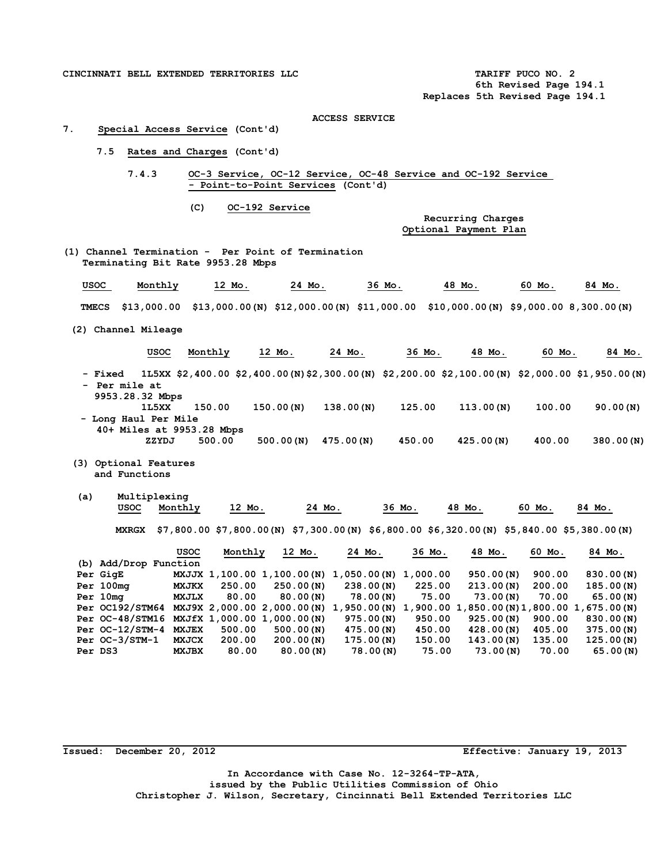CINCINNATI BELL EXTENDED TERRITORIES LLC **TARIFF PUCO NO. 2 TARIFF PUCO NO. 2** 

 **6th Revised Page 194.1 Replaces 5th Revised Page 194.1** 

#### **ACCESS SERVICE**

#### **7. Special Access Service (Cont'd)**

- **7.5 Rates and Charges (Cont'd)** 
	- **7.4.3 OC-3 Service, OC-12 Service, OC-48 Service and OC-192 Service - Point-to-Point Services (Cont'd)** 
		- **(C) OC-192 Service**

**Recurring Charges Optional Payment Plan** 

**(1) Channel Termination - Per Point of Termination Terminating Bit Rate 9953.28 Mbps** 

| usoc | Monthly | Mo.                                                                                               | 24 Мо. | 36 Мо. | 48 Mo. | 60 Mo. | 84 Mo. |
|------|---------|---------------------------------------------------------------------------------------------------|--------|--------|--------|--------|--------|
|      |         | TMECS \$13,000.00 \$13,000.00(N) \$12,000.00(N) \$11,000.00 \$10,000.00(N) \$9,000.00 8,300.00(N) |        |        |        |        |        |

**(2) Channel Mileage** 

| <b>USOC</b>                      | Monthly | 12 Mo.                                                                                             | 24 Mo.    | 36 Mo. | 48 Mo.    | 60 Mo. | 84 Mo.    |
|----------------------------------|---------|----------------------------------------------------------------------------------------------------|-----------|--------|-----------|--------|-----------|
| - Fixed                          |         | 1L5XX \$2,400.00 \$2,400.00 (N) \$2,300.00 (N) \$2,200.00 \$2,100.00 (N) \$2,000.00 \$1,950.00 (N) |           |        |           |        |           |
| - Per mile at<br>9953.28.32 Mbps |         |                                                                                                    |           |        |           |        |           |
| 1L5XX                            | 150.00  | 150.00(N)                                                                                          | 138.00(N) | 125.00 | 113.00(N) | 100.00 | 90.00(N)  |
| - Long Haul Per Mile             |         |                                                                                                    |           |        |           |        |           |
| 40+ Miles at 9953.28 Mbps        |         |                                                                                                    |           |        |           |        |           |
| ZZYDJ                            | 500.00  | 500.00(N)                                                                                          | 475.00(N) | 450.00 | 425.00(N) | 400.00 | 380.00(N) |

- **(3) Optional Features and Functions**
- **(a) Multiplexing USOC Monthly 12 Mo. 24 Mo. 36 Mo. 48 Mo. 60 Mo. 84 Mo. MXRGX \$7,800.00 \$7,800.00(N) \$7,300.00(N) \$6,800.00 \$6,320.00(N) \$5,840.00 \$5,380.00(N)**

|                       | <b>USOC</b>  | Monthly | 12 Mo.                      | 24 Mo.      | 36 Mo.   | 48 Mo.                                      | 60 Mo. | 84 Mo.    |
|-----------------------|--------------|---------|-----------------------------|-------------|----------|---------------------------------------------|--------|-----------|
| (b) Add/Drop Function |              |         |                             |             |          |                                             |        |           |
| Per GigE              |              |         | MXJJX 1,100.00 1,100.00 (N) | 1,050.00(N) | 1,000.00 | 950.00(N)                                   | 900.00 | 830.00(N) |
| Per 100mg             | <b>MXJKX</b> | 250.00  | 250.00(N)                   | 238.00(N)   | 225.00   | 213.00(N)                                   | 200.00 | 185.00(N) |
| Per 10mg              | <b>MXJLX</b> | 80.00   | 80.00(N)                    | 78.00(N)    | 75.00    | 73.00(N)                                    | 70.00  | 65.00(N)  |
| Per OC192/STM64       |              |         | MXJ9X 2,000.00 2,000.00(N)  | 1,950.00(N) |          | 1,900.00 1,850.00 (N) 1,800.00 1,675.00 (N) |        |           |
| Per OC-48/STM16       |              |         | MXJfX 1,000.00 1,000.00(N)  | 975.00(N)   | 950.00   | 925.00(N)                                   | 900.00 | 830.00(N) |
| Per $OC-12/STM-4$     | <b>MXJEX</b> | 500.00  | 500.00(N)                   | 475.00(N)   | 450.00   | 428.00(N)                                   | 405.00 | 375.00(N) |
| Per $OC-3/STM-1$      | <b>MXJCX</b> | 200.00  | 200.00(N)                   | 175.00(N)   | 150.00   | 143.00(N)                                   | 135.00 | 125.00(N) |
| Per DS3               | <b>MXJBX</b> | 80.00   | 80.00(N)                    | 78.00(N)    | 75.00    | 73.00(N)                                    | 70.00  | 65.00(N)  |

**Issued: December 20, 2012 Effective: January 19, 2013** 

**In Accordance with Case No. 12-3264-TP-ATA, issued by the Public Utilities Commission of Ohio Christopher J. Wilson, Secretary, Cincinnati Bell Extended Territories LLC**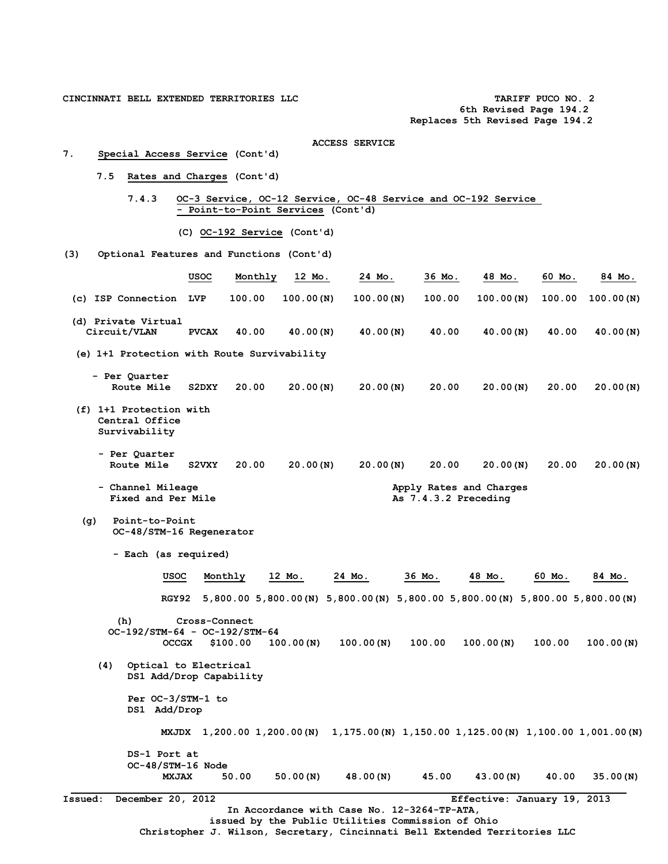**CINCINNATI BELL EXTENDED TERRITORIES LLC TARIFF PUCO NO. 2** 

 **6th Revised Page 194.2 Replaces 5th Revised Page 194.2** 

- ACCESS SERVICE<br>
7. Special Access Service (Cont'd) **7. Special Access Service (Cont'd)** 
	- **7.5 Rates and Charges (Cont'd)**

 **7.4.3 OC-3 Service, OC-12 Service, OC-48 Service and OC-192 Service - Point-to-Point Services (Cont'd)** 

 **(C) OC-192 Service (Cont'd)** 

**(3) Optional Features and Functions (Cont'd)** 

|                                                            | usoc          | Monthly  | 12 Mo.    | 24 Mo.                                                                                           | 36 Mo.               | 48 Mo.                                                                               | 60 Mo. | 84 Mo.    |
|------------------------------------------------------------|---------------|----------|-----------|--------------------------------------------------------------------------------------------------|----------------------|--------------------------------------------------------------------------------------|--------|-----------|
| (c) ISP Connection LVP                                     |               | 100.00   | 100.00(N) | 100.00(N)                                                                                        | 100.00               | 100.00(N)                                                                            | 100.00 | 100.00(N) |
| (d) Private Virtual<br>Circuit/VLAN                        | <b>PVCAX</b>  | 40.00    | 40.00(N)  | 40.00(N)                                                                                         | 40.00                | 40.00(N)                                                                             | 40.00  | 40.00(N)  |
| (e) 1+1 Protection with Route Survivability                |               |          |           |                                                                                                  |                      |                                                                                      |        |           |
| - Per Quarter<br>Route Mile                                | S2DXY         | 20.00    | 20.00(N)  | 20.00(N)                                                                                         | 20.00                | 20.00(N)                                                                             | 20.00  | 20.00(N)  |
| (f) 1+1 Protection with<br>Central Office<br>Survivability |               |          |           |                                                                                                  |                      |                                                                                      |        |           |
| - Per Quarter<br>Route Mile                                | <b>S2VXY</b>  | 20.00    | 20.00(N)  | 20.00(N)                                                                                         | 20.00                | 20.00(N)                                                                             | 20.00  | 20.00(N)  |
| - Channel Mileage<br>Fixed and Per Mile                    |               |          |           |                                                                                                  | As 7.4.3.2 Preceding | Apply Rates and Charges                                                              |        |           |
| Point-to-Point<br>(q)<br>OC-48/STM-16 Regenerator          |               |          |           |                                                                                                  |                      |                                                                                      |        |           |
| - Each (as required)                                       |               |          |           |                                                                                                  |                      |                                                                                      |        |           |
| USOC                                                       |               | Monthly  | 12 Mo.    | 24 Mo.                                                                                           | 36 Mo.               | 48 Mo.                                                                               | 60 Mo. | 84 Mo.    |
| RGY 92                                                     |               |          |           |                                                                                                  |                      | 5,800.00 5,800.00 (N) 5,800.00 (N) 5,800.00 5,800.00 (N) 5,800.00 5,800.00 (N)       |        |           |
| (h)<br>OC-192/STM-64 - OC-192/STM-64<br><b>OCCGX</b>       | Cross-Connect | \$100.00 | 100.00(N) | 100.00(N)                                                                                        | 100.00               | 100.00(N)                                                                            | 100.00 | 100.00(N) |
| (4)<br>Optical to Electrical<br>DS1 Add/Drop Capability    |               |          |           |                                                                                                  |                      |                                                                                      |        |           |
| Per OC-3/STM-1 to<br>DS1 Add/Drop                          |               |          |           |                                                                                                  |                      |                                                                                      |        |           |
|                                                            |               |          |           |                                                                                                  |                      | MXJDX 1,200.00 1,200.00 (N) 1,175.00 (N) 1,150.00 1,125.00 (N) 1,100.00 1,001.00 (N) |        |           |
| DS-1 Port at<br>OC-48/STM-16 Node<br><b>MXJAX</b>          |               | 50.00    | 50.00(N)  | 48.00(N)                                                                                         | 45.00                | 43.00(N)                                                                             | 40.00  | 35.00(N)  |
| December 20, 2012<br><b>Issued:</b>                        |               |          |           |                                                                                                  |                      | Effective: January 19, 2013                                                          |        |           |
|                                                            |               |          |           | In Accordance with Case No. 12-3264-TP-ATA,<br>issued by the Public Utilities Commission of Ohio |                      |                                                                                      |        |           |

**Christopher J. Wilson, Secretary, Cincinnati Bell Extended Territories LLC**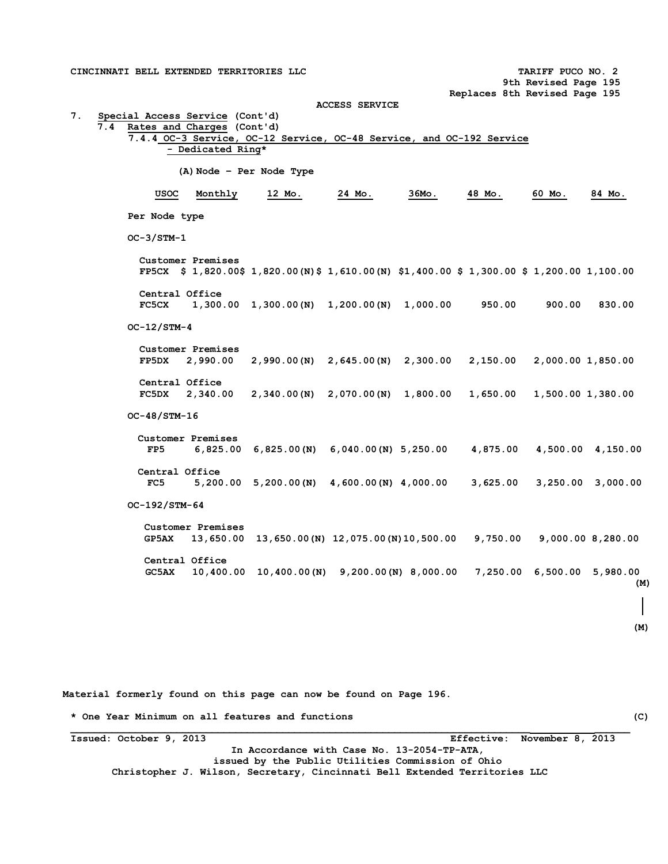**CINCINNATI BELL EXTENDED TERRITORIES LLC TARIFF PUCO NO. 2 9th Revised Page 195 Replaces 8th Revised Page 195 ACCESS SERVICE 7. Special Access Service (Cont'd) 7.4 Rates and Charges (Cont'd) 7.4.4 OC-3 Service, OC-12 Service, OC-48 Service, and OC-192 Service - Dedicated Ring\* (A)Node – Per Node Type USOC Monthly 12 Mo. 24 Mo. 36Mo. 48 Mo. 60 Mo. 84 Mo. Per Node type OC-3/STM-1 Customer Premises FP5CX \$ 1,820.00\$ 1,820.00(N)\$ 1,610.00(N) \$1,400.00 \$ 1,300.00 \$ 1,200.00 1,100.00 Central Office FC5CX 1,300.00 1,300.00(N) 1,200.00(N) 1,000.00 950.00 900.00 830.00 OC-12/STM-4 Customer Premises FP5DX 2,990.00 2,990.00(N) 2,645.00(N) 2,300.00 2,150.00 2,000.00 1,850.00 Central Office FC5DX 2,340.00 2,340.00(N) 2,070.00(N) 1,800.00 1,650.00 1,500.00 1,380.00 OC-48/STM-16 Customer Premises FP5 6,825.00 6,825.00(N) 6,040.00(N) 5,250.00 4,875.00 4,500.00 4,150.00 Central Office FC5 5,200.00 5,200.00(N) 4,600.00(N) 4,000.00 3,625.00 3,250.00 3,000.00 OC-192/STM-64 Customer Premises GP5AX 13,650.00 13,650.00(N) 12,075.00(N)10,500.00 9,750.00 9,000.00 8,280.00 Central Office GC5AX 10,400.00 10,400.00(N) 9,200.00(N) 8,000.00 7,250.00 6,500.00 5,980.00 (M) (M)**

**Material formerly found on this page can now be found on Page 196.** 

**\* One Year Minimum on all features and functions (C)** 

**Issued: October 9, 2013 Effective: November 8, 2013 In Accordance with Case No. 13-2054-TP-ATA, issued by the Public Utilities Commission of Ohio Christopher J. Wilson, Secretary, Cincinnati Bell Extended Territories LLC**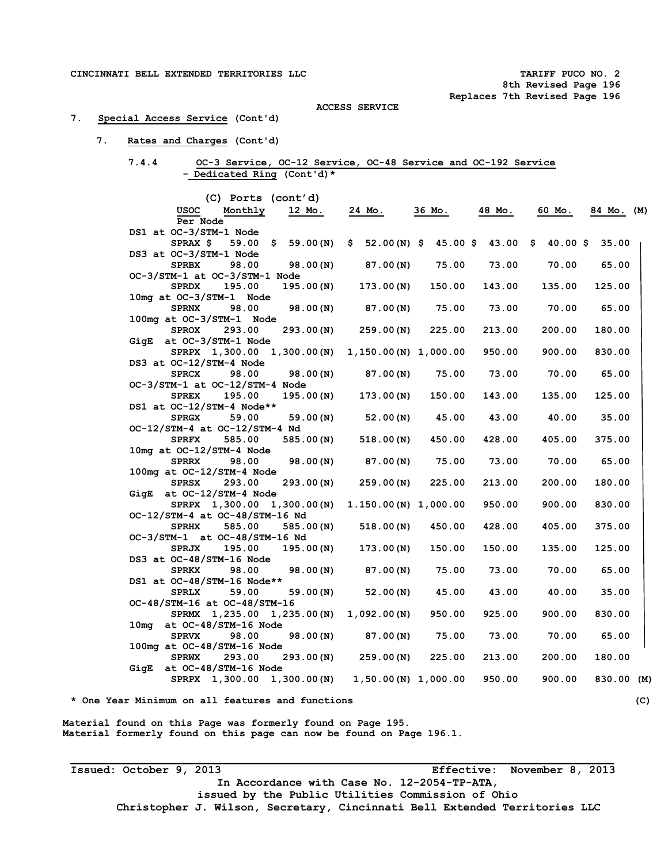#### **7. Special Access Service (Cont'd)**

#### **7. Rates and Charges (Cont'd)**

## **7.4.4 OC-3 Service, OC-12 Service, OC-48 Service and OC-192 Service - Dedicated Ring (Cont'd)\***

| (C) Ports (cont'd)                                       |                        |                        |             |            |            |
|----------------------------------------------------------|------------------------|------------------------|-------------|------------|------------|
| USOC<br>Monthly<br>12 Mo.                                | 24 Mo.                 | 36 Mo.                 | 48 Mo.      | 60 Mo.     | 84 Mo. (M) |
| Per Node                                                 |                        |                        |             |            |            |
| DS1 at OC-3/STM-1 Node                                   |                        |                        |             |            |            |
| SPRAX \$<br>59.00 \$<br>59.00 (N)                        | S.                     | $52.00(N)$ \$ 45.00 \$ | $43.00 \pm$ | $40.00$ \$ | 35.00      |
| DS3 at OC-3/STM-1 Node                                   |                        |                        |             |            |            |
| 98.00<br><b>SPRBX</b><br>98.00(N)                        | 87.00(N)               | 75.00                  | 73.00       | 70.00      | 65.00      |
| OC-3/STM-1 at OC-3/STM-1 Node                            |                        |                        |             |            |            |
| 195.00<br>195.00(N)<br><b>SPRDX</b>                      | 173.00(N)              | 150.00                 | 143.00      | 135.00     | 125.00     |
| 10mg at OC-3/STM-1 Node                                  |                        |                        |             |            |            |
| 98.00<br><b>SPRNX</b><br>98.00(N)                        | 87.00(N)               | 75.00                  | 73.00       | 70.00      | 65.00      |
| 100mg at OC-3/STM-1 Node                                 |                        |                        |             |            |            |
| <b>SPROX</b><br>293.00<br>293.00(N)                      | 259.00(N)              | 225.00                 | 213.00      | 200.00     | 180.00     |
| GigE at OC-3/STM-1 Node                                  |                        |                        |             |            |            |
| SPRPX 1,300.00 1,300.00 (N)                              | 1,150.00 (N) 1,000.00  |                        | 950.00      | 900.00     | 830.00     |
| DS3 at OC-12/STM-4 Node                                  |                        |                        |             |            |            |
| 98.00<br><b>SPRCX</b><br>98.00(N)                        | 87.00(N)               | 75.00                  | 73.00       | 70.00      | 65.00      |
| OC-3/STM-1 at OC-12/STM-4 Node<br><b>SPREX</b><br>195.00 |                        |                        |             |            |            |
| 195.00(N)<br>DS1 at OC-12/STM-4 Node**                   | 173.00(N)              | 150.00                 | 143.00      | 135.00     | 125.00     |
| <b>SPRGX</b><br>59.00<br>59.00(N)                        | 52.00(N)               | 45.00                  | 43.00       | 40.00      | 35.00      |
| OC-12/STM-4 at OC-12/STM-4 Nd                            |                        |                        |             |            |            |
| <b>SPRFX</b><br>585.00<br>585.00(N)                      | 518.00(N)              | 450.00                 | 428.00      | 405.00     | 375.00     |
| 10mg at OC-12/STM-4 Node                                 |                        |                        |             |            |            |
| <b>SPRRX</b><br>98.00<br>98.00(N)                        | 87.00(N)               | 75.00                  | 73.00       | 70.00      | 65.00      |
| 100mg at OC-12/STM-4 Node                                |                        |                        |             |            |            |
| 293.00<br><b>SPRSX</b><br>293.00(N)                      | 259.00 (N)             | 225.00                 | 213.00      | 200.00     | 180.00     |
| $GigE$ at $OC-12/STM-4$ Node                             |                        |                        |             |            |            |
| SPRPX 1,300.00 1,300.00 (N)                              | $1.150.00(N)$ 1,000.00 |                        | 950.00      | 900.00     | 830.00     |
| OC-12/STM-4 at OC-48/STM-16 Nd                           |                        |                        |             |            |            |
| <b>SPRHX</b><br>585.00<br>585.00(N)                      | 518.00(N)              | 450.00                 | 428.00      | 405.00     | 375.00     |
| OC-3/STM-1 at OC-48/STM-16 Nd                            |                        |                        |             |            |            |
| <b>SPRJX</b><br>195.00<br>195.00(N)                      | 173.00(N)              | 150.00                 | 150.00      | 135.00     | 125.00     |
| DS3 at OC-48/STM-16 Node                                 |                        |                        |             |            |            |
| 98.00<br><b>SPRKX</b><br>98.00(N)                        | 87.00(N)               | 75.00                  | 73.00       | 70.00      | 65.00      |
| DS1 at OC-48/STM-16 Node**                               |                        |                        |             |            |            |
| <b>SPRLX</b><br>59.00<br>59.00(N)                        | 52.00(N)               | 45.00                  | 43.00       | 40.00      | 35.00      |
| OC-48/STM-16 at OC-48/STM-16                             |                        |                        |             |            |            |
| SPRMX 1,235.00 1,235.00(N)                               | 1,092.00(N)            | 950.00                 | 925.00      | 900.00     | 830.00     |
| at OC-48/STM-16 Node<br>10mg                             |                        |                        |             |            |            |
| <b>SPRVX</b><br>98.00<br>98.00(N)                        | 87.00(N)               | 75.00                  | 73.00       | 70.00      | 65.00      |
| 100mg at OC-48/STM-16 Node                               |                        |                        |             |            |            |
| <b>SPRWX</b><br>293.00<br>293.00(N)                      | 259.00(N)              | 225.00                 | 213.00      | 200.00     | 180.00     |
| at OC-48/STM-16 Node<br>GigE                             |                        |                        |             |            |            |
| SPRPX 1,300.00 1,300.00 (N)                              | $1,50.00(N)$ 1,000.00  |                        | 950.00      | 900.00     | 830.00 (M) |

**Material found on this Page was formerly found on Page 195. Material formerly found on this page can now be found on Page 196.1.** 

**Issued: October 9, 2013 Effective: November 8, 2013 In Accordance with Case No. 12-2054-TP-ATA, issued by the Public Utilities Commission of Ohio Christopher J. Wilson, Secretary, Cincinnati Bell Extended Territories LLC**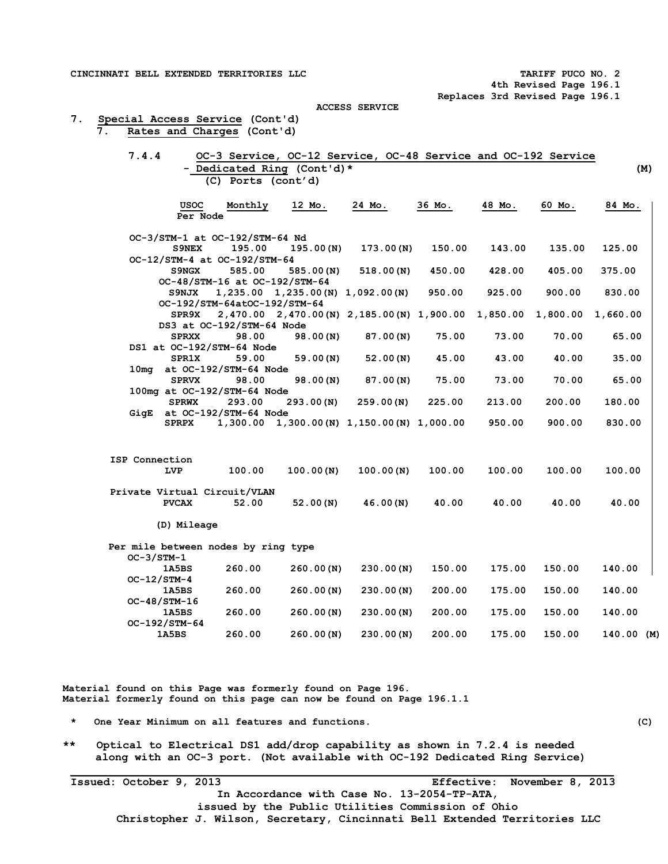**4th Revised Page 196.1 Replaces 3rd Revised Page 196.1** 

**ACCESS SERVICE** 

|  |  |  | 7. Special Access Service (Cont'd) |
|--|--|--|------------------------------------|
|  |  |  | Rates and Charges (Cont'd)         |

| 7.4.4          |                |                                     |                                          | OC-3 Service, OC-12 Service, OC-48 Service and OC-192 Service         |        |        |        |            |
|----------------|----------------|-------------------------------------|------------------------------------------|-----------------------------------------------------------------------|--------|--------|--------|------------|
|                |                |                                     | - Dedicated Ring (Cont'd)*               |                                                                       |        |        |        | (M)        |
|                |                | (C) Ports (cont'd)                  |                                          |                                                                       |        |        |        |            |
|                | USOC           | Monthly                             | 12 Mo.                                   | 24 Mo.                                                                | 36 Mo. | 48 Mo. | 60 Mo. | 84 Mo.     |
|                | Per Node       |                                     |                                          |                                                                       |        |        |        |            |
|                |                | OC-3/STM-1 at OC-192/STM-64 Nd      |                                          |                                                                       |        |        |        |            |
|                | <b>S9NEX</b>   | 195.00                              | 195.00(N)                                | 173.00(N)                                                             | 150.00 | 143.00 | 135.00 | 125.00     |
|                |                | OC-12/STM-4 at OC-192/STM-64        |                                          |                                                                       |        |        |        |            |
|                | <b>S9NGX</b>   | 585.00                              | 585.00(N)                                | 518.00(N)                                                             | 450.00 | 428.00 | 405.00 | 375.00     |
|                |                | OC-48/STM-16 at OC-192/STM-64       |                                          |                                                                       |        |        |        |            |
|                | S9NJX          |                                     | $1,235.00$ $1,235.00$ (N) $1,092.00$ (N) |                                                                       | 950.00 | 925.00 | 900.00 | 830.00     |
|                |                | OC-192/STM-64atOC-192/STM-64        |                                          |                                                                       |        |        |        |            |
|                | SPR9X          |                                     |                                          | 2,470.00 2,470.00 (N) 2,185.00 (N) 1,900.00 1,850.00 1,800.00         |        |        |        | 1,660.00   |
|                |                | DS3 at OC-192/STM-64 Node           |                                          |                                                                       |        |        |        |            |
|                | <b>SPRXX</b>   | 98.00                               | 98.00(N)                                 | 87.00(N)                                                              | 75.00  | 73.00  | 70.00  | 65.00      |
|                |                | DS1 at OC-192/STM-64 Node           |                                          |                                                                       |        |        |        |            |
|                | <b>SPR1X</b>   | 59.00                               | 59.00(N)                                 | 52.00(N)                                                              | 45.00  | 43.00  | 40.00  | 35.00      |
|                |                | 10mg at OC-192/STM-64 Node          |                                          |                                                                       |        |        |        |            |
|                | <b>SPRVX</b>   | 98.00                               | 98.00(N)                                 | 87.00(N)                                                              | 75.00  | 73.00  | 70.00  | 65.00      |
|                |                | 100mg at OC-192/STM-64 Node         |                                          |                                                                       |        |        |        |            |
|                | <b>SPRWX</b>   | 293.00                              | 293.00(N)                                | 259.00(N)                                                             | 225.00 | 213.00 | 200.00 | 180.00     |
| GigE           |                | at OC-192/STM-64 Node               |                                          |                                                                       |        |        |        |            |
|                | <b>SPRPX</b>   |                                     |                                          | $1,300.00 \quad 1,300.00 \, (N) \quad 1,150.00 \, (N) \quad 1,000.00$ |        | 950.00 | 900.00 | 830.00     |
|                |                |                                     |                                          |                                                                       |        |        |        |            |
| ISP Connection |                |                                     |                                          |                                                                       |        |        |        |            |
|                | LVP            | 100.00                              | 100.00(N)                                | 100.00(N)                                                             | 100.00 | 100.00 | 100.00 | 100.00     |
|                |                | Private Virtual Circuit/VLAN        |                                          |                                                                       |        |        |        |            |
|                | <b>PVCAX</b>   | 52.00                               | 52.00(N)                                 | 46.00(N)                                                              | 40.00  | 40.00  | 40.00  | 40.00      |
|                | (D) Mileage    |                                     |                                          |                                                                       |        |        |        |            |
|                |                | Per mile between nodes by ring type |                                          |                                                                       |        |        |        |            |
|                | OC-3/STM-1     |                                     |                                          |                                                                       |        |        |        |            |
|                | 1A5BS          | 260.00                              | 260.00(N)                                | 230.00(N)                                                             | 150.00 | 175.00 | 150.00 | 140.00     |
|                | OC-12/STM-4    |                                     |                                          |                                                                       |        |        |        |            |
|                | 1A5BS          | 260.00                              | 260.00(N)                                | 230.00(N)                                                             | 200.00 | 175.00 | 150.00 | 140.00     |
|                | $OC-48/STM-16$ |                                     |                                          |                                                                       |        |        |        |            |
|                | 1A5BS          | 260.00                              | 260.00(N)                                | 230.00(N)                                                             | 200.00 | 175.00 | 150.00 | 140.00     |
|                | OC-192/STM-64  |                                     |                                          |                                                                       |        |        |        |            |
|                | 1A5BS          | 260.00                              | 260.00(N)                                | 230.00(N)                                                             | 200.00 | 175.00 | 150.00 | 140.00 (M) |

**Material found on this Page was formerly found on Page 196. Material formerly found on this page can now be found on Page 196.1.1** 

**\* One Year Minimum on all features and functions. (C)** 

**\*\* Optical to Electrical DS1 add/drop capability as shown in 7.2.4 is needed along with an OC-3 port. (Not available with OC-192 Dedicated Ring Service)** 

**\_\_\_\_\_\_\_\_\_\_\_\_\_\_\_\_\_\_\_\_\_\_\_\_\_\_\_\_\_\_\_\_\_\_\_\_\_\_\_\_\_\_\_\_\_\_\_\_\_\_\_\_\_\_\_\_\_\_\_\_\_\_\_\_\_\_\_\_\_\_\_\_\_\_\_\_\_\_\_\_\_\_\_ Issued: October 9, 2013 Effective: November 8, 2013 In Accordance with Case No. 13-2054-TP-ATA, issued by the Public Utilities Commission of Ohio Christopher J. Wilson, Secretary, Cincinnati Bell Extended Territories LLC**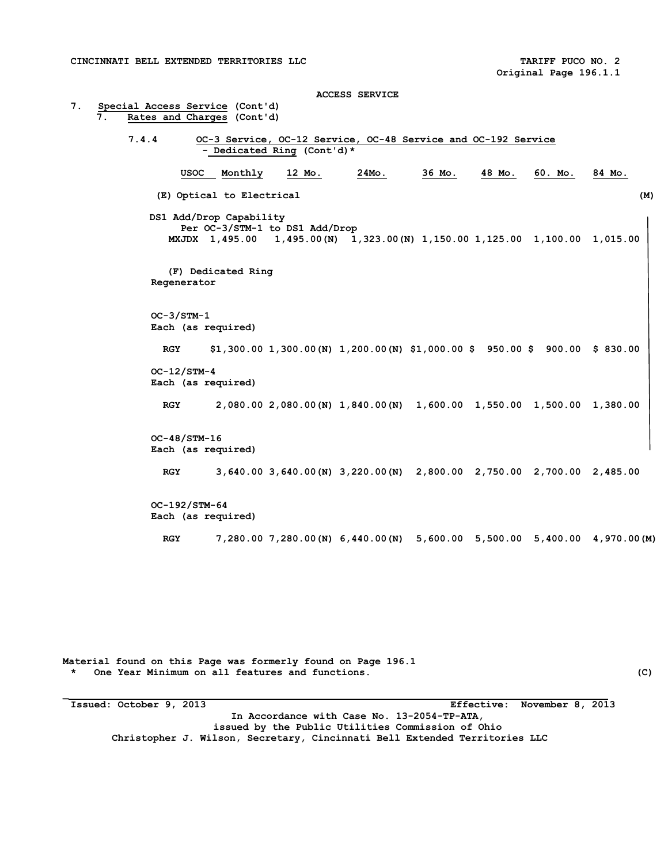**ACCESS SERVICE 7. Special Access Service (Cont'd)**  Rates and Charges (Cont'd) **7.4.4 OC-3 Service, OC-12 Service, OC-48 Service and OC-192 Service - Dedicated Ring (Cont'd)\* USOC Monthly 12 Mo. 24Mo. 36 Mo. 48 Mo. 60. Mo. 84 Mo. (E) Optical to Electrical (M) DS1 Add/Drop Capability Per OC-3/STM-1 to DS1 Add/Drop MXJDX 1,495.00 1,495.00(N) 1,323.00(N) 1,150.00 1,125.00 1,100.00 1,015.00 (F) Dedicated Ring Regenerator OC-3/STM-1 Each (as required) RGY \$1,300.00 1,300.00(N) 1,200.00(N) \$1,000.00 \$ 950.00 \$ 900.00 \$ 830.00 OC-12/STM-4 Each (as required) RGY 2,080.00 2,080.00(N) 1,840.00(N) 1,600.00 1,550.00 1,500.00 1,380.00 OC-48/STM-16 Each (as required) RGY 3,640.00 3,640.00(N) 3,220.00(N) 2,800.00 2,750.00 2,700.00 2,485.00 OC-192/STM-64 Each (as required) RGY 7,280.00 7,280.00(N) 6,440.00(N) 5,600.00 5,500.00 5,400.00 4,970.00(M)** 

**Material found on this Page was formerly found on Page 196.1 \* One Year Minimum on all features and functions. (C)** 

**\_** 

**Issued: October 9, 2013 Effective: November 8, 2013 In Accordance with Case No. 13-2054-TP-ATA, issued by the Public Utilities Commission of Ohio Christopher J. Wilson, Secretary, Cincinnati Bell Extended Territories LLC**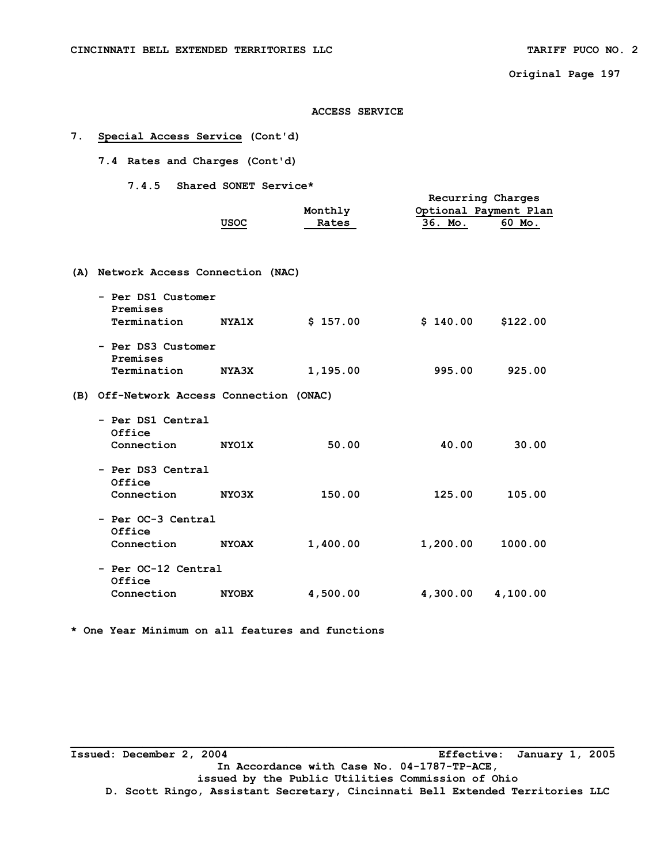**Original Page 197** 

#### **ACCESS SERVICE**

## **7. Special Access Service (Cont'd)**

 **7.4 Rates and Charges (Cont'd)** 

 **7.4.5 Shared SONET Service\*** 

|                                               | USOC         | Monthly<br>Rates | Recurring Charges<br>Optional Payment Plan<br>36. Mo. | 60 Mo.   |
|-----------------------------------------------|--------------|------------------|-------------------------------------------------------|----------|
| (A) Network Access Connection (NAC)           |              |                  |                                                       |          |
| - Per DS1 Customer<br>Premises<br>Termination | <b>NYA1X</b> | \$157.00         | \$140.00                                              | \$122.00 |
| - Per DS3 Customer<br>Premises<br>Termination | <b>NYA3X</b> | 1,195.00         | 995.00                                                | 925.00   |
| (B) Off-Network Access Connection (ONAC)      |              |                  |                                                       |          |
| - Per DS1 Central<br>Office<br>Connection     | <b>NYO1X</b> | 50.00            | 40.00                                                 | 30.00    |
| - Per DS3 Central<br>Office<br>Connection     | NYO3X        | 150.00           | 125.00                                                | 105.00   |
| - Per OC-3 Central<br>Office<br>Connection    | <b>NYOAX</b> | 1,400.00         | 1,200.00                                              | 1000.00  |
| - Per OC-12 Central<br>Office<br>Connection   | <b>NYOBX</b> | 4,500.00         | 4,300.00                                              | 4,100.00 |
|                                               |              |                  |                                                       |          |

**\* One Year Minimum on all features and functions** 

**\_\_\_\_\_\_\_\_\_\_\_\_\_\_\_\_\_\_\_\_\_\_\_\_\_\_\_\_\_\_\_\_\_\_\_\_\_\_\_\_\_\_\_\_\_\_\_\_\_\_\_\_\_\_\_\_\_\_\_\_\_\_\_\_\_\_\_\_\_\_\_\_\_\_\_\_\_\_\_\_\_\_\_ Issued: December 2, 2004 Effective: January 1, 2005 In Accordance with Case No. 04-1787-TP-ACE, issued by the Public Utilities Commission of Ohio D. Scott Ringo, Assistant Secretary, Cincinnati Bell Extended Territories LLC**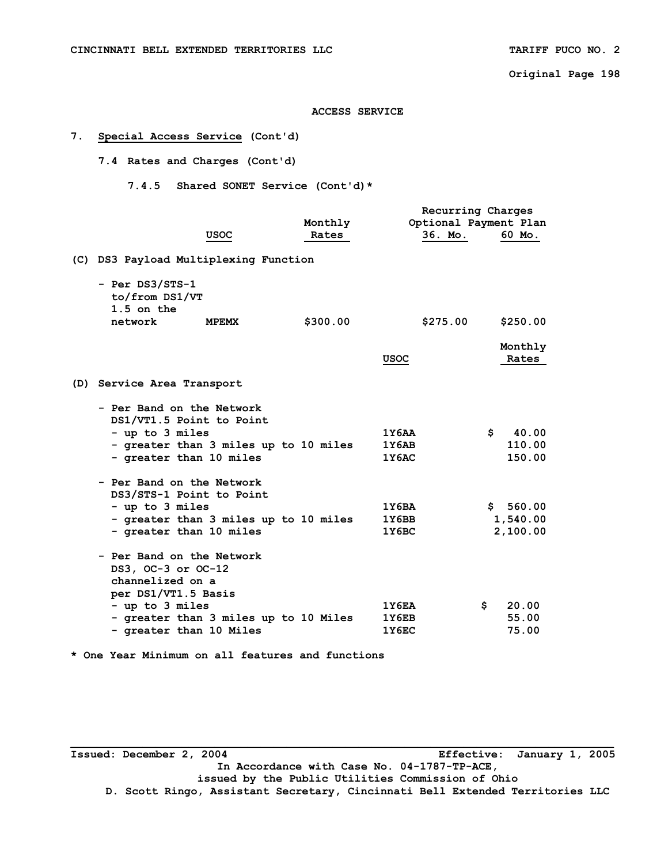**Original Page 198** 

**ACCESS SERVICE** 

## **7. Special Access Service (Cont'd)**

 **7.4 Rates and Charges (Cont'd)** 

 **7.4.5 Shared SONET Service (Cont'd)\*** 

|                                                                                            |                                       |          |          | Recurring Charges     |  |  |
|--------------------------------------------------------------------------------------------|---------------------------------------|----------|----------|-----------------------|--|--|
|                                                                                            |                                       | Monthly  |          | Optional Payment Plan |  |  |
|                                                                                            | USOC                                  | Rates    | 36. Mo.  | 60 Mo.                |  |  |
| (C) DS3 Payload Multiplexing Function                                                      |                                       |          |          |                       |  |  |
| - Per DS3/STS-1<br>to/from DS1/VT<br>1.5 on the                                            |                                       |          |          |                       |  |  |
| network                                                                                    | <b>MPEMX</b>                          | \$300.00 | \$275.00 | \$250.00              |  |  |
|                                                                                            |                                       |          |          | Monthly               |  |  |
|                                                                                            |                                       |          | USOC     | Rates                 |  |  |
| (D) Service Area Transport                                                                 |                                       |          |          |                       |  |  |
| - Per Band on the Network<br>DS1/VT1.5 Point to Point                                      |                                       |          |          |                       |  |  |
| - up to 3 miles                                                                            |                                       |          | 1Y6AA    | 40.00<br>\$           |  |  |
|                                                                                            | - greater than 3 miles up to 10 miles |          | 1Y6AB    | 110.00                |  |  |
| - greater than 10 miles                                                                    |                                       |          | 1Y6AC    | 150.00                |  |  |
| - Per Band on the Network<br>DS3/STS-1 Point to Point                                      |                                       |          |          |                       |  |  |
| - up to 3 miles                                                                            |                                       |          | 1Y6BA    | \$560.00              |  |  |
|                                                                                            | - greater than 3 miles up to 10 miles |          | 1Y6BB    | 1,540.00              |  |  |
| - greater than 10 miles                                                                    |                                       |          | 1Y6BC    | 2,100.00              |  |  |
| - Per Band on the Network<br>DS3, OC-3 or OC-12<br>channelized on a<br>per DS1/VT1.5 Basis |                                       |          |          |                       |  |  |
| - up to 3 miles                                                                            |                                       |          | 1Y6EA    | 20.00<br>\$.          |  |  |
|                                                                                            | - greater than 3 miles up to 10 Miles |          | 1Y6EB    | 55.00                 |  |  |
| - greater than 10 Miles                                                                    |                                       |          | 1Y6EC    | 75.00                 |  |  |
|                                                                                            |                                       |          |          |                       |  |  |

**\* One Year Minimum on all features and functions** 

**\_\_\_\_\_\_\_\_\_\_\_\_\_\_\_\_\_\_\_\_\_\_\_\_\_\_\_\_\_\_\_\_\_\_\_\_\_\_\_\_\_\_\_\_\_\_\_\_\_\_\_\_\_\_\_\_\_\_\_\_\_\_\_\_\_\_\_\_\_\_\_\_\_\_\_\_\_\_\_\_\_\_\_ Issued: December 2, 2004 Effective: January 1, 2005 In Accordance with Case No. 04-1787-TP-ACE, issued by the Public Utilities Commission of Ohio D. Scott Ringo, Assistant Secretary, Cincinnati Bell Extended Territories LLC**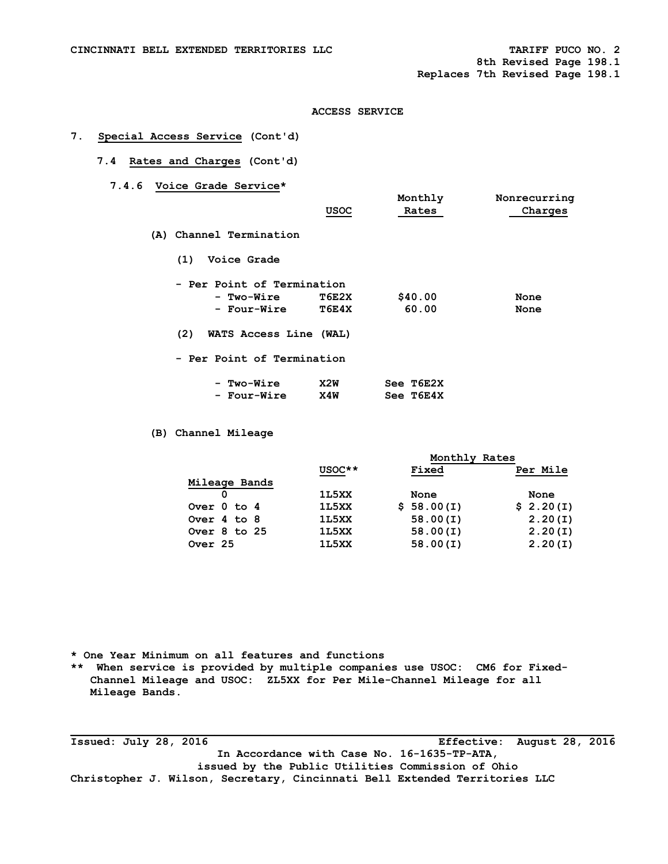**8th Revised Page 198.1 Replaces 7th Revised Page 198.1**

## **ACCESS SERVICE**

## **7. Special Access Service (Cont'd)**

# **7.4 Rates and Charges (Cont'd)**

 **7.4.6 Voice Grade Service\*** 

|                         | USOC                       | Monthly<br>Rates | Nonrecurring<br>Charges |
|-------------------------|----------------------------|------------------|-------------------------|
| (A) Channel Termination |                            |                  |                         |
| Voice Grade<br>(1)      |                            |                  |                         |
|                         | - Per Point of Termination |                  |                         |
| - Two-Wire              | T6E2X                      | \$40.00          | None                    |
| - Four-Wire             | T6E4X                      | 60.00            | None                    |
| (2)                     | WATS Access Line (WAL)     |                  |                         |
|                         | - Per Point of Termination |                  |                         |
| - Two-Wire              | X2W                        | See T6E2X        |                         |
| - Four-Wire             | X4W                        | See T6E4X        |                         |

 **(B) Channel Mileage** 

|                  | Monthly Rates |            |           |  |  |  |
|------------------|---------------|------------|-----------|--|--|--|
|                  | USOC**        | Fixed      | Per Mile  |  |  |  |
| Mileage Bands    |               |            |           |  |  |  |
|                  | 1L5XX         | None       | None      |  |  |  |
| Over 0 to 4      | 1L5XX         | \$58.00(I) | \$2.20(I) |  |  |  |
| Over 4 to 8      | 1L5XX         | 58.00(I)   | 2.20(I)   |  |  |  |
| Over $8$ to $25$ | 1L5XX         | 58.00(I)   | 2.20(I)   |  |  |  |
| Over 25          | 1L5XX         | 58.00(I)   | 2.20(I)   |  |  |  |
|                  |               |            |           |  |  |  |

**\* One Year Minimum on all features and functions** 

**\*\* When service is provided by multiple companies use USOC: CM6 for Fixed-Channel Mileage and USOC: ZL5XX for Per Mile-Channel Mileage for all Mileage Bands.** 

**\_\_\_\_\_\_\_\_\_\_\_\_\_\_\_\_\_\_\_\_\_\_\_\_\_\_\_\_\_\_\_\_\_\_\_\_\_\_\_\_\_\_\_\_\_\_\_\_\_\_\_\_\_\_\_\_\_\_\_\_\_\_\_\_\_\_\_\_\_\_\_\_\_\_\_\_\_\_\_\_\_\_\_ Issued: July 28, 2016 Effective: August 28, 2016 In Accordance with Case No. 16-1635-TP-ATA, issued by the Public Utilities Commission of Ohio Christopher J. Wilson, Secretary, Cincinnati Bell Extended Territories LLC**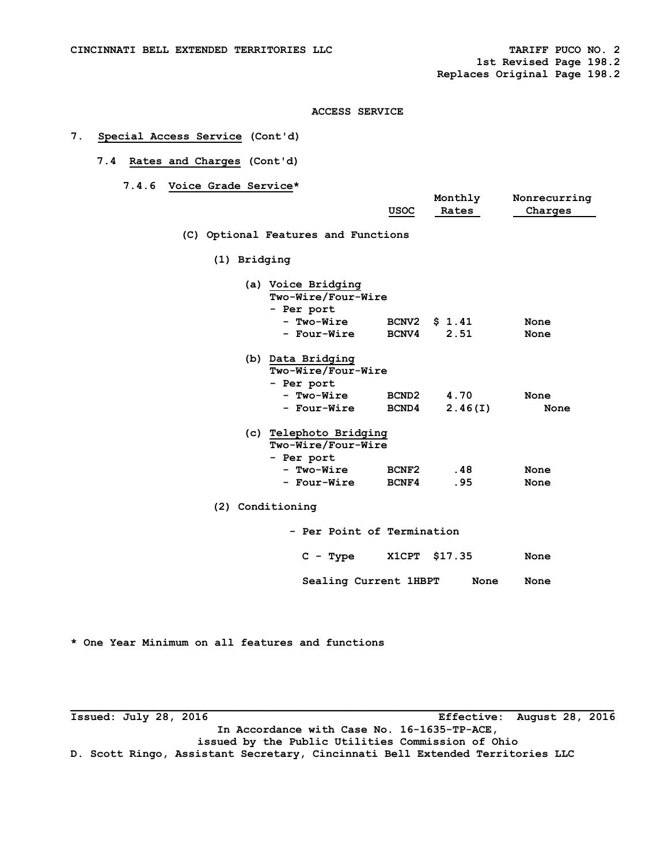## **7. Special Access Service (Cont'd)**

# **7.4 Rates and Charges (Cont'd)**

 **7.4.6 Voice Grade Service\*** 

|                  |                                     | USOC              | Monthly<br>Rates | Nonrecurring<br>Charges |
|------------------|-------------------------------------|-------------------|------------------|-------------------------|
|                  |                                     |                   |                  |                         |
|                  | (C) Optional Features and Functions |                   |                  |                         |
| (1) Bridging     |                                     |                   |                  |                         |
|                  | (a) Voice Bridging                  |                   |                  |                         |
|                  | Two-Wire/Four-Wire                  |                   |                  |                         |
|                  | - Per port                          |                   |                  |                         |
|                  | - Two-Wire                          | <b>BCNV2</b>      | \$1.41           | None                    |
|                  | - Four-Wire                         | <b>BCNV4</b>      | 2.51             | None                    |
|                  | (b) Data Bridging                   |                   |                  |                         |
|                  | Two-Wire/Four-Wire                  |                   |                  |                         |
|                  | - Per port                          |                   |                  |                         |
|                  | - Two-Wire                          | BCND <sub>2</sub> | 4.70             | None                    |
|                  | - Four-Wire                         | <b>BCND4</b>      | 2.46(I)          | None                    |
|                  | (c) Telephoto Bridging              |                   |                  |                         |
|                  | Two-Wire/Four-Wire                  |                   |                  |                         |
|                  | - Per port                          |                   |                  |                         |
|                  | - Two-Wire                          | BCNF2             | .48              | None                    |
|                  | - Four-Wire                         | BCNF4             | .95              | None                    |
| (2) Conditioning |                                     |                   |                  |                         |
|                  | - Per Point of Termination          |                   |                  |                         |
|                  | $C - Type$                          |                   | X1CPT \$17.35    | None                    |
|                  | Sealing Current 1HBPT               |                   | None             | None                    |

**\* One Year Minimum on all features and functions** 

**Issued: July 28, 2016 Effective: August 28, 2016 In Accordance with Case No. 16-1635-TP-ACE, issued by the Public Utilities Commission of Ohio D. Scott Ringo, Assistant Secretary, Cincinnati Bell Extended Territories LLC**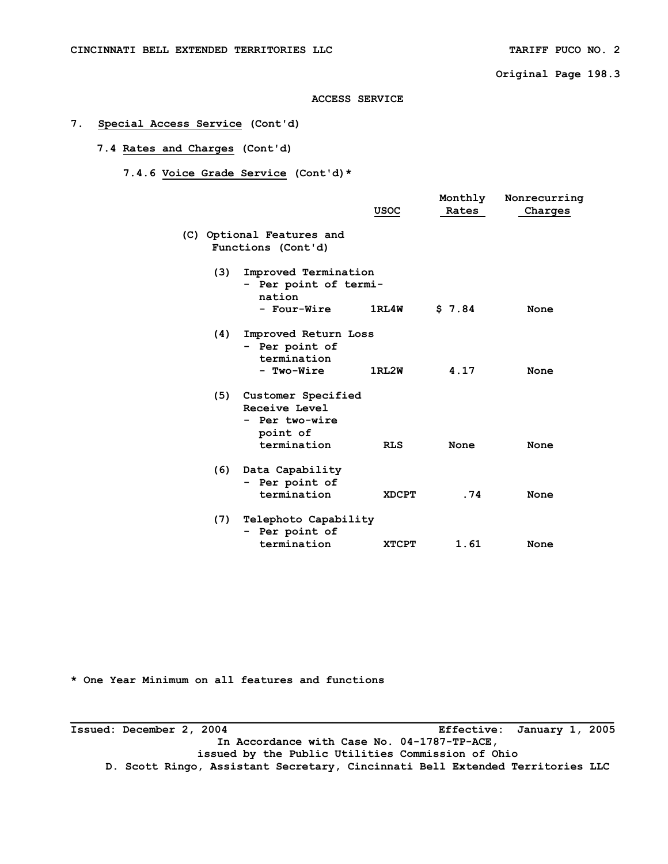**Original Page 198.3** 

#### **ACCESS SERVICE**

# **7. Special Access Service (Cont'd)**

# **7.4 Rates and Charges (Cont'd)**

# **7.4.6 Voice Grade Service (Cont'd)\***

|     |                                                                                  | <b>USOC</b>  | Monthly<br>Rates | Nonrecurring<br>Charges |
|-----|----------------------------------------------------------------------------------|--------------|------------------|-------------------------|
|     | (C) Optional Features and<br>Functions (Cont'd)                                  |              |                  |                         |
| (3) | Improved Termination<br>- Per point of termi-<br>nation                          |              |                  |                         |
|     | - Four-Wire                                                                      | 1RL4W        | \$7.84           | None                    |
| (4) | Improved Return Loss<br>- Per point of<br>termination<br>- Two-Wire              | 1RL2W        | 4.17             | None                    |
| (5) | Customer Specified<br>Receive Level<br>- Per two-wire<br>point of<br>termination | <b>RLS</b>   | None             | None                    |
| (6) | Data Capability<br>- Per point of<br>termination                                 | <b>XDCPT</b> | .74              | None                    |
| (7) | Telephoto Capability<br>- Per point of                                           |              |                  |                         |
|     | termination                                                                      | <b>XTCPT</b> | 1.61             | None                    |

**\* One Year Minimum on all features and functions** 

**Issued: December 2, 2004 Effective: January 1, 2005 In Accordance with Case No. 04-1787-TP-ACE, issued by the Public Utilities Commission of Ohio D. Scott Ringo, Assistant Secretary, Cincinnati Bell Extended Territories LLC**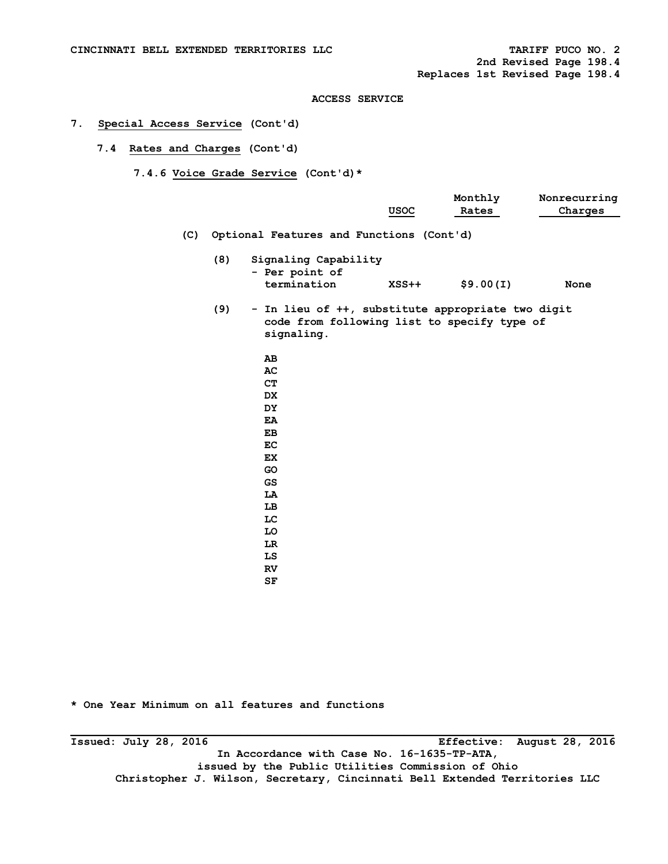**2nd Revised Page 198.4 Replaces 1st Revised Page 198.4** 

## **ACCESS SERVICE**

# **7. Special Access Service (Cont'd)**

 **7.4 Rates and Charges (Cont'd)** 

 **7.4.6 Voice Grade Service (Cont'd)\*** 

|     |     |                                                                                                                | <b>USOC</b> | Monthly<br>Rates | Nonrecurring<br>Charges |
|-----|-----|----------------------------------------------------------------------------------------------------------------|-------------|------------------|-------------------------|
| (C) |     | Optional Features and Functions (Cont'd)                                                                       |             |                  |                         |
|     | (8) | Signaling Capability<br>- Per point of<br>termination                                                          | $XSS++$     | \$9.00(I)        | None                    |
|     | (9) | - In lieu of ++, substitute appropriate two digit<br>code from following list to specify type of<br>signaling. |             |                  |                         |
|     |     | AВ<br>AC<br>CT<br><b>DX</b><br><b>DY</b><br>EA<br>EB<br>EC                                                     |             |                  |                         |
|     |     | <b>EX</b><br>GO<br>GS<br>LA                                                                                    |             |                  |                         |
|     |     | LB<br>LC<br>LO<br>LR                                                                                           |             |                  |                         |
|     |     | LS<br>RV                                                                                                       |             |                  |                         |

**SF** SERVICE SERVICE SERVICE SERVICE SERVICE SERVICE SERVICE SERVICE SERVICE SERVICE SERVICE SERVICE SERVICE SERVICE SERVICE SERVICE SERVICE SERVICE SERVICE SERVICE SERVICE SERVICE SERVICE SERVICE SERVICE SERVICE SERVICE S

**\* One Year Minimum on all features and functions** 

**\_\_\_\_\_\_\_\_\_\_\_\_\_\_\_\_\_\_\_\_\_\_\_\_\_\_\_\_\_\_\_\_\_\_\_\_\_\_\_\_\_\_\_\_\_\_\_\_\_\_\_\_\_\_\_\_\_\_\_\_\_\_\_\_\_\_\_\_\_\_\_\_\_\_\_\_\_\_\_\_\_\_\_ Issued: July 28, 2016 Effective: August 28, 2016 In Accordance with Case No. 16-1635-TP-ATA, issued by the Public Utilities Commission of Ohio Christopher J. Wilson, Secretary, Cincinnati Bell Extended Territories LLC**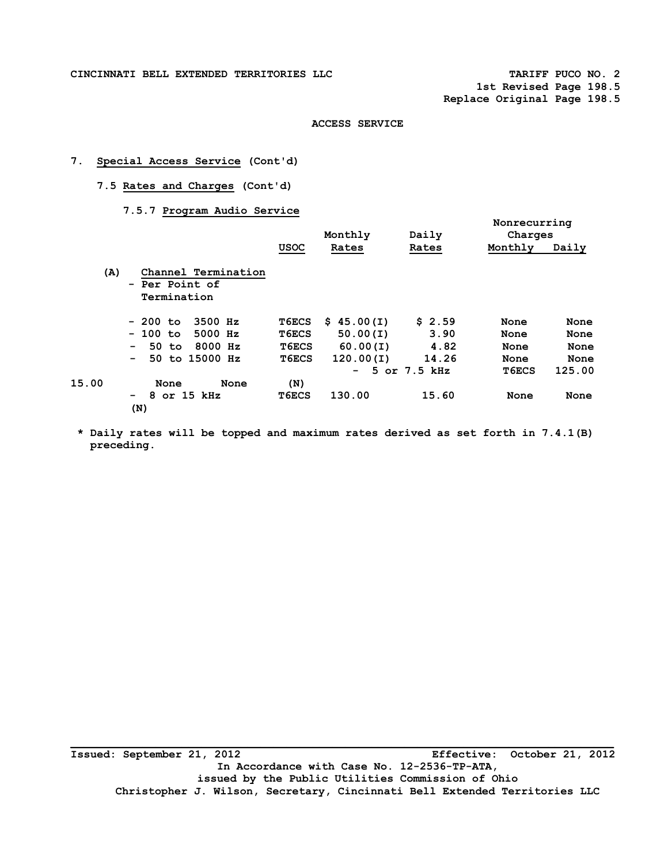**CINCINNATI BELL EXTENDED TERRITORIES LLC TARIFF PUCO NO. 2** 

**1st Revised Page 198.5 Replace Original Page 198.5** 

 **Nonrecurring** 

#### **ACCESS SERVICE**

# **7. Special Access Service (Cont'd)**

 **7.5 Rates and Charges (Cont'd)** 

 **7.5.7 Program Audio Service** 

|       |                                                      |              | Monthly    | Daily             | Charges |        |
|-------|------------------------------------------------------|--------------|------------|-------------------|---------|--------|
|       |                                                      | <b>USOC</b>  | Rates      | Rates             | Monthly | Daily  |
| (A)   | Channel Termination<br>- Per Point of<br>Termination |              |            |                   |         |        |
|       | 3500 Hz<br>- 200 to                                  | <b>T6ECS</b> | \$45.00(I) | \$2.59            | None    | None   |
|       | $-100$ to<br>5000 Hz                                 | T6ECS        | 50.00(I)   | 3.90              | None    | None   |
|       | 8000 Hz<br>50 to<br>$\sim$                           | T6ECS        | 60.00(1)   | 4.82              | None    | None   |
|       | 50 to 15000 Hz<br>$\sim$                             | <b>T6ECS</b> | 120.00(1)  | 14.26             | None    | None   |
|       |                                                      |              |            | $-5$ or $7.5$ kHz | T6ECS   | 125.00 |
| 15.00 | None<br>None                                         | (N)          |            |                   |         |        |
|       | 8 or 15 kHz<br>$\overline{\phantom{0}}$<br>(N)       | T6ECS        | 130.00     | 15.60             | None    | None   |

 **\* Daily rates will be topped and maximum rates derived as set forth in 7.4.1(B) preceding.** 

**\_\_\_\_\_\_\_\_\_\_\_\_\_\_\_\_\_\_\_\_\_\_\_\_\_\_\_\_\_\_\_\_\_\_\_\_\_\_\_\_\_\_\_\_\_\_\_\_\_\_\_\_\_\_\_\_\_\_\_\_\_\_\_\_\_\_\_\_\_\_\_\_\_\_\_\_\_\_\_\_\_\_\_ Issued: September 21, 2012 Effective: October 21, 2012 In Accordance with Case No. 12-2536-TP-ATA, issued by the Public Utilities Commission of Ohio Christopher J. Wilson, Secretary, Cincinnati Bell Extended Territories LLC**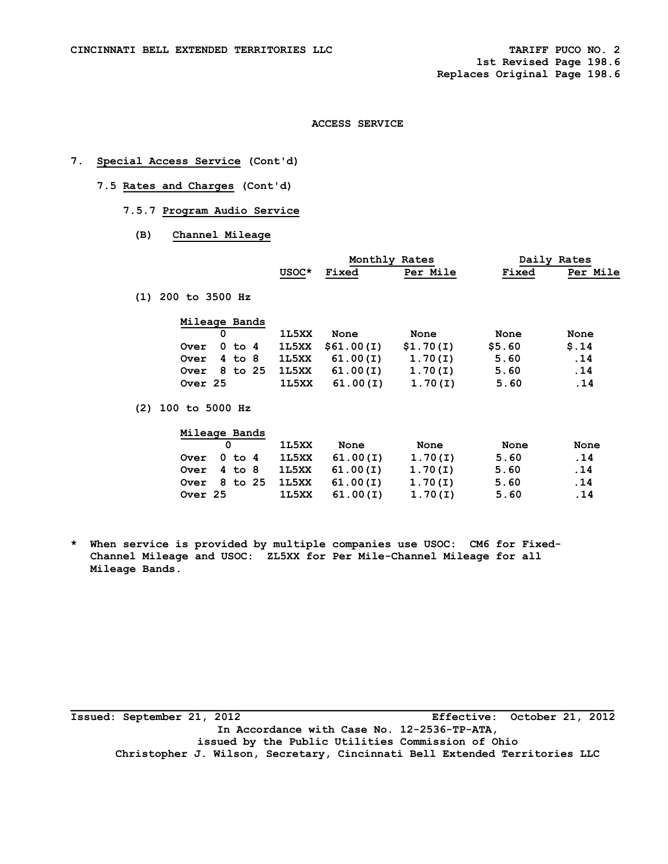# **7. Special Access Service (Cont'd)**

- **7.5 Rates and Charges (Cont'd)** 
	- **7.5.7 Program Audio Service** 
		- **(B) Channel Mileage**

|                           |       | Monthly Rates |           | Daily Rates |          |
|---------------------------|-------|---------------|-----------|-------------|----------|
|                           | USOC* | Fixed         | Per Mile  | Fixed       | Per Mile |
| $(1)$ 200 to 3500 Hz      |       |               |           |             |          |
| Mileage Bands             |       |               |           |             |          |
| 0                         | 1L5XX | None          | None      | None        | None     |
| $0$ to $4$<br><b>Over</b> | 1L5XX | \$61.00(I)    | \$1.70(I) | \$5.60      | \$.14    |
| $4$ to $8$<br><b>Over</b> | 1L5XX | 61.00(I)      | 1.70(I)   | 5.60        | .14      |
| 8 to 25<br><b>Over</b>    | 1L5XX | 61.00(I)      | 1.70(I)   | 5.60        | .14      |
| Over 25                   | 1L5XX | 61.00(I)      | 1.70(I)   | 5.60        | .14      |
| $(2)$ 100 to 5000 Hz      |       |               |           |             |          |
| Mileage Bands             |       |               |           |             |          |

|             |  | 1L5XX | None                        | None    | None | None |
|-------------|--|-------|-----------------------------|---------|------|------|
| Over 0 to 4 |  |       | 1L5XX 61.00(I)              | 1.70(1) | 5.60 | .14  |
| Over 4 to 8 |  |       | 1L5XX 61.00(I)              | 1.70(1) | 5.60 | . 14 |
|             |  |       | Over 8 to 25 1L5XX 61.00(I) | 1.70(1) | 5.60 | .14  |
| Over 25     |  | 1L5XX | 61.00(I)                    | 1.70(1) | 5.60 | .14  |

**\* When service is provided by multiple companies use USOC: CM6 for Fixed- Channel Mileage and USOC: ZL5XX for Per Mile-Channel Mileage for all Mileage Bands.** 

**Issued: September 21, 2012 Effective: October 21, 2012 In Accordance with Case No. 12-2536-TP-ATA, issued by the Public Utilities Commission of Ohio Christopher J. Wilson, Secretary, Cincinnati Bell Extended Territories LLC**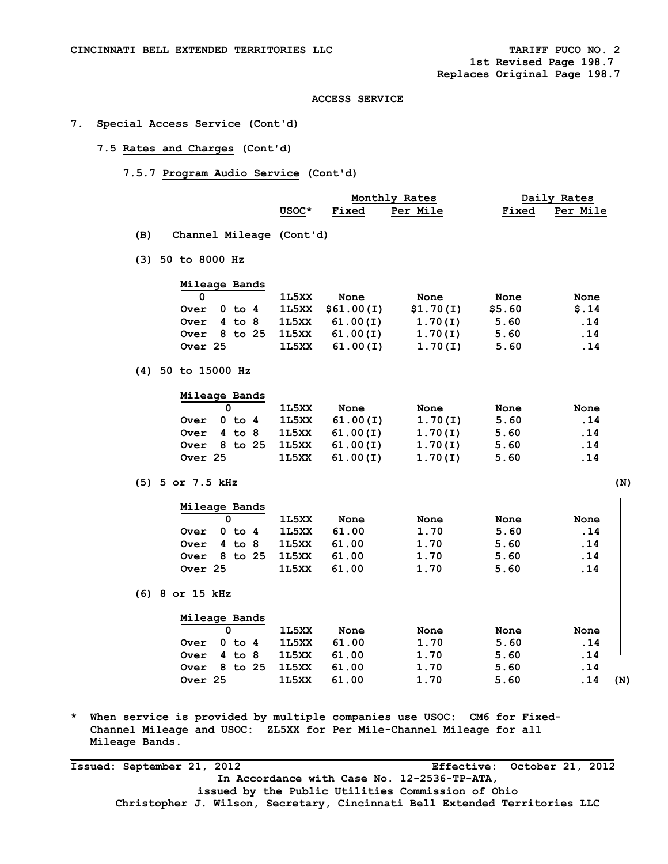# **7. Special Access Service (Cont'd)**

- **7.5 Rates and Charges (Cont'd)** 
	- **7.5.7 Program Audio Service (Cont'd)**

|                                 |       |              | Monthly Rates | Daily Rates |          |  |
|---------------------------------|-------|--------------|---------------|-------------|----------|--|
|                                 | USOC* | <b>Fixed</b> | Per Mile      | Fixed       | Per Mile |  |
| Channel Mileage (Cont'd)<br>(B) |       |              |               |             |          |  |
|                                 |       |              |               |             |          |  |
| $(3)$ 50 to 8000 Hz             |       |              |               |             |          |  |
| Mileage Bands                   |       |              |               |             |          |  |

|             |  | 1L5XX | None                        | None      | None   | None |
|-------------|--|-------|-----------------------------|-----------|--------|------|
| Over 0 to 4 |  |       | $1L5XX$ \$61.00(I)          | \$1.70(I) | \$5.60 | S.14 |
| Over 4 to 8 |  |       | 1L5XX 61.00(I)              | 1.70(1)   | 5.60   | .14  |
|             |  |       | Over 8 to 25 1L5XX 61.00(I) | 1.70(1)   | 5.60   | .14  |
| Over 25     |  | 1L5XX | 61.00(I)                    | 1.70(1)   | 5.60   | .14  |

 **(4) 50 to 15000 Hz** 

|                 | Mileage Bands    |       |          |         |      |      |
|-----------------|------------------|-------|----------|---------|------|------|
|                 |                  | 1L5XX | None     | None    | None | None |
| Over            | 0 to 4           | 1L5XX | 61.00(I) | 1.70(1) | 5.60 | .14  |
| Over $4$ to $8$ |                  | 1L5XX | 61.00(I) | 1.70(1) | 5.60 | .14  |
|                 | Over $8$ to $25$ | 1L5XX | 61.00(1) | 1.70(I) | 5.60 | .14  |
| Over 25         |                  | 1L5XX | 61.00(1) | 1.70(I) | 5.60 | .14  |

 **(5) 5 or 7.5 kHz (N)** 

|         | 0 |            |  | 1L5XX | None  | None | None | None |
|---------|---|------------|--|-------|-------|------|------|------|
| Over    | 0 | to 4       |  | 1L5XX | 61.00 | 1.70 | 5.60 | .14  |
| Over    |   | $4$ to $8$ |  | 1L5XX | 61.00 | 1.70 | 5.60 | .14  |
| Over    |   | 8 to 25    |  | 1L5XX | 61.00 | 1.70 | 5.60 | .14  |
| Over 25 |   |            |  | 1L5XX | 61.00 | 1.70 | 5.60 | .14  |

|             | Mileage Bands |       |       |      |      |            |
|-------------|---------------|-------|-------|------|------|------------|
|             |               | 1L5XX | None  | None | None | None       |
| Over        | $0$ to $4$    | 1L5XX | 61.00 | 1.70 | 5.60 | .14        |
| <b>Over</b> | 4 to 8        | 1L5XX | 61.00 | 1.70 | 5.60 | .14        |
| <b>Over</b> | 8 to 25       | 1L5XX | 61.00 | 1.70 | 5.60 | .14        |
| Over 25     |               | 1L5XX | 61.00 | 1.70 | 5.60 | .14<br>(N) |

**\* When service is provided by multiple companies use USOC: CM6 for Fixed- Channel Mileage and USOC: ZL5XX for Per Mile-Channel Mileage for all Mileage Bands.** 

**Issued: September 21, 2012 Effective: October 21, 2012 In Accordance with Case No. 12-2536-TP-ATA, issued by the Public Utilities Commission of Ohio Christopher J. Wilson, Secretary, Cincinnati Bell Extended Territories LLC**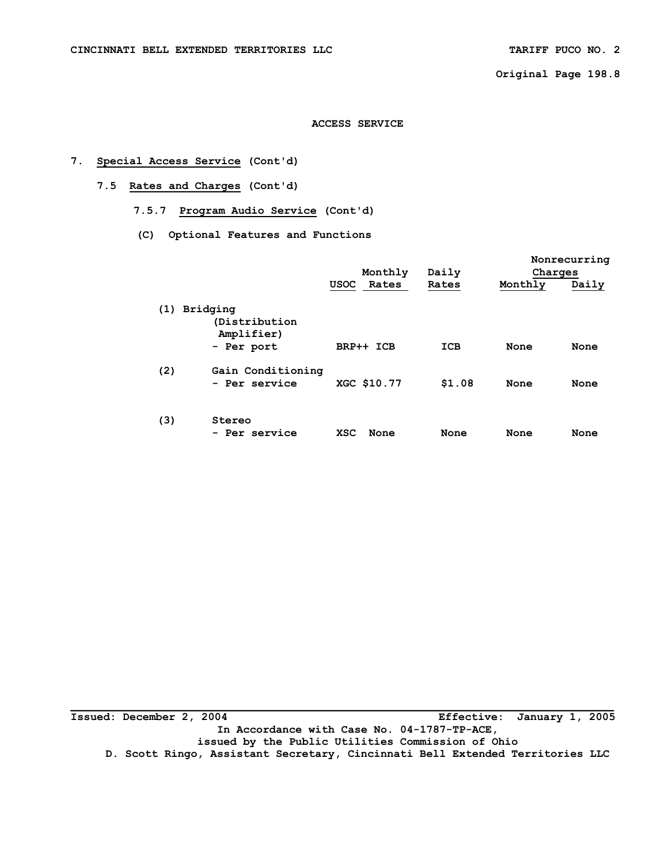**Original Page 198.8** 

#### **ACCESS SERVICE**

# **7. Special Access Service (Cont'd)**

- **7.5 Rates and Charges (Cont'd)** 
	- **7.5.7 Program Audio Service (Cont'd)**
	- **(C) Optional Features and Functions**

|     |                                             |                      |        |         | Nonrecurring |
|-----|---------------------------------------------|----------------------|--------|---------|--------------|
|     |                                             | Monthly              | Daily  | Charges |              |
|     |                                             | Rates<br><b>USOC</b> | Rates  | Monthly | Daily        |
|     | (1) Bridging<br>(Distribution<br>Amplifier) |                      |        |         |              |
|     | - Per port                                  | BRP++ ICB            | ICB    | None    | None         |
| (2) | Gain Conditioning<br>- Per service          | XGC \$10.77          | \$1.08 | None    | None         |
| (3) | Stereo<br>- Per service                     | <b>XSC</b><br>None   | None   | None    | None         |

**Issued: December 2, 2004 Effective: January 1, 2005 In Accordance with Case No. 04-1787-TP-ACE, issued by the Public Utilities Commission of Ohio D. Scott Ringo, Assistant Secretary, Cincinnati Bell Extended Territories LLC**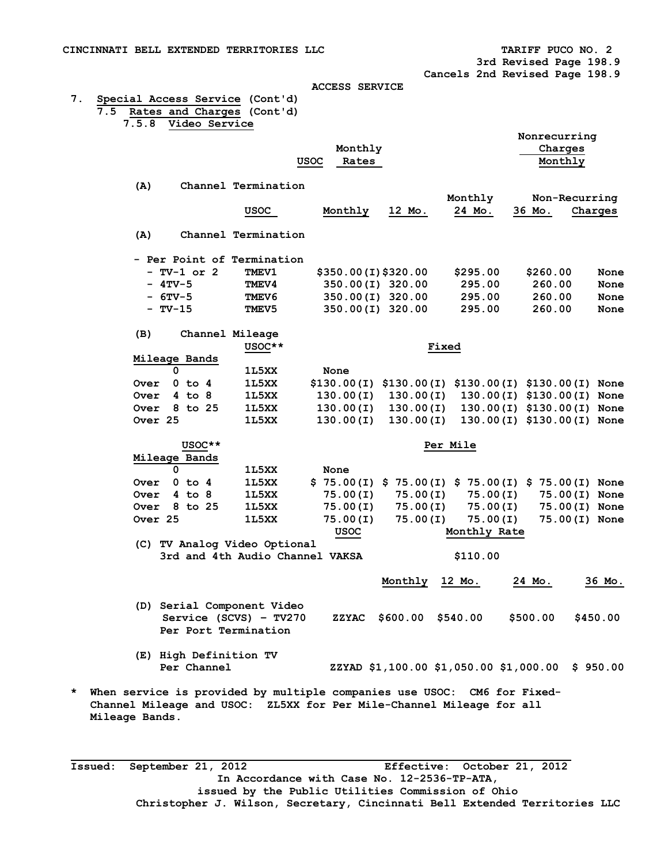**3rd Revised Page 198.9** 

 **Cancels 2nd Revised Page 198.9** 

#### **ACCESS SERVICE**

**7. Special Access Service (Cont'd) 7.5 Rates and Charges (Cont'd)** 

 **7.5.8 Video Service** 

|   |                |                    |           |                 |                                                                         | <b>USOC</b> | Monthly<br>Rates                                      |         |           |                                                  |                    | Nonrecurring<br>Charges<br>Monthly |          |
|---|----------------|--------------------|-----------|-----------------|-------------------------------------------------------------------------|-------------|-------------------------------------------------------|---------|-----------|--------------------------------------------------|--------------------|------------------------------------|----------|
|   |                | (A)                |           |                 | Channel Termination<br><b>USOC</b>                                      |             | Monthly                                               | 12 Mo.  |           | Monthly<br>24 Mo.                                | 36 Mo.             | Non-Recurring                      | Charges  |
|   |                | (A)                |           |                 | Channel Termination                                                     |             |                                                       |         |           |                                                  |                    |                                    |          |
|   |                |                    |           |                 |                                                                         |             |                                                       |         |           |                                                  |                    |                                    |          |
|   |                |                    |           | $- TV-1$ or $2$ | - Per Point of Termination<br><b>TMEV1</b>                              |             |                                                       |         |           |                                                  |                    |                                    | None     |
|   |                |                    | $-4$ TV-5 |                 | <b>TMEV4</b>                                                            |             | \$350.00(I)\$320.00<br>350.00(I) 320.00               |         |           | \$295.00<br>295.00                               | \$260.00<br>260.00 |                                    | None     |
|   |                |                    | $-6$ TV-5 |                 | <b>TMEV6</b>                                                            |             | 350.00(I) 320.00                                      |         |           | 295.00                                           | 260.00             |                                    | None     |
|   |                |                    | $- TV-15$ |                 | <b>TMEV5</b>                                                            |             | 350.00(I) 320.00                                      |         |           | 295.00                                           | 260.00             |                                    | None     |
|   |                | (B)                |           |                 | Channel Mileage<br>USOC**                                               |             |                                                       |         | Fixed     |                                                  |                    |                                    |          |
|   |                | Mileage Bands      |           |                 |                                                                         |             |                                                       |         |           |                                                  |                    |                                    |          |
|   |                |                    | 0         |                 | 1L5XX                                                                   |             | None                                                  |         |           |                                                  |                    |                                    |          |
|   |                | Over               |           | $0$ to $4$      | 1L5XX                                                                   |             | \$130.00(I) \$130.00(I)                               |         |           | \$130.00(I) \$130.00(I) None                     |                    |                                    |          |
|   |                | Over               |           | $4$ to $8$      | 1L5XX                                                                   |             | 130.00(I)                                             |         | 130.00(I) |                                                  |                    | 130.00(I) \$130.00(I) None         |          |
|   |                | Over               |           | 8 to 25         | 1L5XX                                                                   |             | 130.00(I)                                             |         | 130.00(I) |                                                  |                    | 130.00(I) \$130.00(I) None         |          |
|   |                | Over <sub>25</sub> |           |                 | 1L5XX                                                                   |             | 130.00(I)                                             |         | 130.00(I) |                                                  |                    | 130.00(I) \$130.00(I) None         |          |
|   |                |                    |           | USOC**          |                                                                         |             |                                                       |         |           | Per Mile                                         |                    |                                    |          |
|   |                | Mileage Bands      |           |                 |                                                                         |             |                                                       |         |           |                                                  |                    |                                    |          |
|   |                |                    | 0         |                 | 1L5XX                                                                   |             | None                                                  |         |           |                                                  |                    |                                    |          |
|   |                | Over               |           | $0$ to $4$      | 1L5XX                                                                   |             | $$75.00(I) $75.00(I) $75.00(I) 00(I) $75.00(I) 00(I)$ |         |           |                                                  |                    |                                    |          |
|   |                | Over               |           | $4$ to $8$      | 1L5XX                                                                   |             | 75.00(I)                                              |         | 75.00(I)  | 75.00(I)                                         |                    | 75.00(I) None                      |          |
|   |                | <b>Over</b>        |           | 8 to 25         | 1L5XX                                                                   |             | 75.00(I)                                              |         | 75.00(I)  | 75.00(I)                                         |                    | 75.00(I) None                      |          |
|   |                | Over 25            |           |                 | 1L5XX                                                                   |             | 75.00(I)<br><b>USOC</b>                               |         | 75.00(I)  | 75.00(I)<br>Monthly Rate                         |                    | 75.00(I) None                      |          |
|   |                |                    |           |                 | (C) TV Analog Video Optional                                            |             |                                                       |         |           |                                                  |                    |                                    |          |
|   |                |                    |           |                 | 3rd and 4th Audio Channel VAKSA                                         |             |                                                       |         |           | \$110.00                                         |                    |                                    |          |
|   |                |                    |           |                 |                                                                         |             |                                                       | Monthly |           | 12 Mo.                                           | 24 Mo.             |                                    | 36 Mo.   |
|   |                |                    |           |                 | (D) Serial Component Video                                              |             |                                                       |         |           |                                                  |                    |                                    |          |
|   |                |                    |           |                 | Service (SCVS) - TV270                                                  |             |                                                       |         |           | ZZYAC \$600.00 \$540.00                          | \$500.00           |                                    | \$450.00 |
|   |                |                    |           |                 | Per Port Termination                                                    |             |                                                       |         |           |                                                  |                    |                                    |          |
|   |                |                    |           |                 | (E) High Definition TV                                                  |             |                                                       |         |           |                                                  |                    |                                    |          |
|   |                |                    |           | Per Channel     |                                                                         |             |                                                       |         |           | ZZYAD \$1,100.00 \$1,050.00 \$1,000.00 \$ 950.00 |                    |                                    |          |
| * |                |                    |           |                 | When service is provided by multiple companies use USOC: CM6 for Fixed- |             |                                                       |         |           |                                                  |                    |                                    |          |
|   |                |                    |           |                 | Channel Mileage and USOC: ZL5XX for Per Mile-Channel Mileage for all    |             |                                                       |         |           |                                                  |                    |                                    |          |
|   | Mileage Bands. |                    |           |                 |                                                                         |             |                                                       |         |           |                                                  |                    |                                    |          |

**Issued: September 21, 2012 Effective: October 21, 2012 In Accordance with Case No. 12-2536-TP-ATA, issued by the Public Utilities Commission of Ohio Christopher J. Wilson, Secretary, Cincinnati Bell Extended Territories LLC**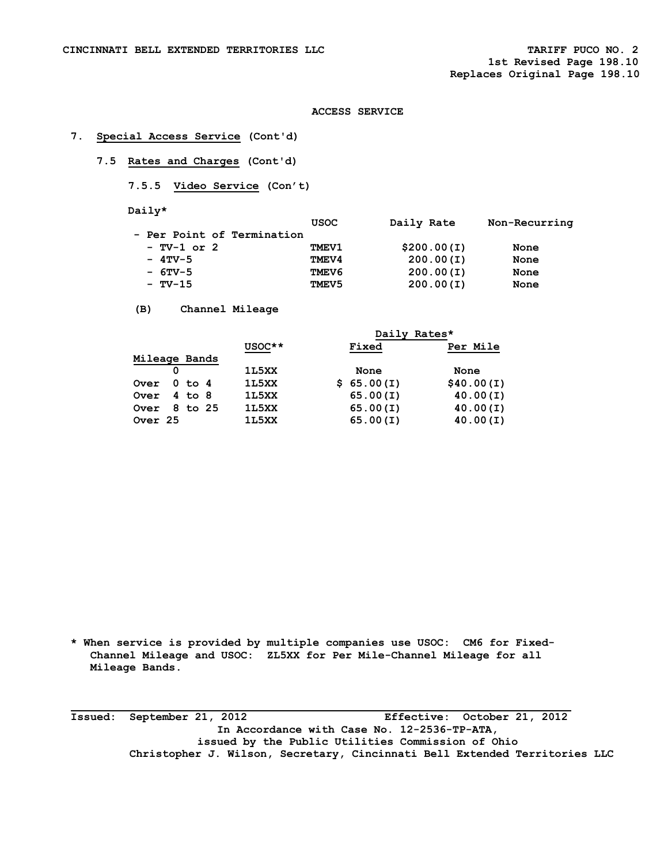## **7. Special Access Service (Cont'd)**

 **7.5 Rates and Charges (Cont'd)** 

 **7.5.5 Video Service (Con't)** 

 **Daily\*** 

|                                                        | Non-Recurring |
|--------------------------------------------------------|---------------|
|                                                        |               |
| \$200.00(I)                                            | None          |
| 200.00(I)                                              | None          |
| 200.00(I)                                              | None          |
| 200.00(I)                                              | None          |
| <b>USOC</b><br><b>TMEV1</b><br>TMEV4<br>TMEV6<br>TMEV5 | Daily Rate    |

 **(B) Channel Mileage** 

|               |   |            | Daily Rates* |  |            |  |            |
|---------------|---|------------|--------------|--|------------|--|------------|
|               |   |            | $USOC**$     |  | Fixed      |  | Per Mile   |
| Mileage Bands |   |            |              |  |            |  |            |
|               | 0 |            | 1L5XX        |  | None       |  | None       |
| <b>Over</b>   |   | $0$ to $4$ | 1L5XX        |  | \$65.00(I) |  | \$40.00(I) |
| <b>Over</b>   |   | $4$ to $8$ | 1L5XX        |  | 65.00(I)   |  | 40.00(1)   |
| Over          |   | 8 to 25    | 1L5XX        |  | 65.00(I)   |  | 40.00(1)   |
| Over 25       |   |            | 1L5XX        |  | 65.00(I)   |  | 40.00(1)   |
|               |   |            |              |  |            |  |            |

**\* When service is provided by multiple companies use USOC: CM6 for Fixed- Channel Mileage and USOC: ZL5XX for Per Mile-Channel Mileage for all Mileage Bands.** 

**Issued: September 21, 2012 Effective: October 21, 2012 In Accordance with Case No. 12-2536-TP-ATA, issued by the Public Utilities Commission of Ohio Christopher J. Wilson, Secretary, Cincinnati Bell Extended Territories LLC**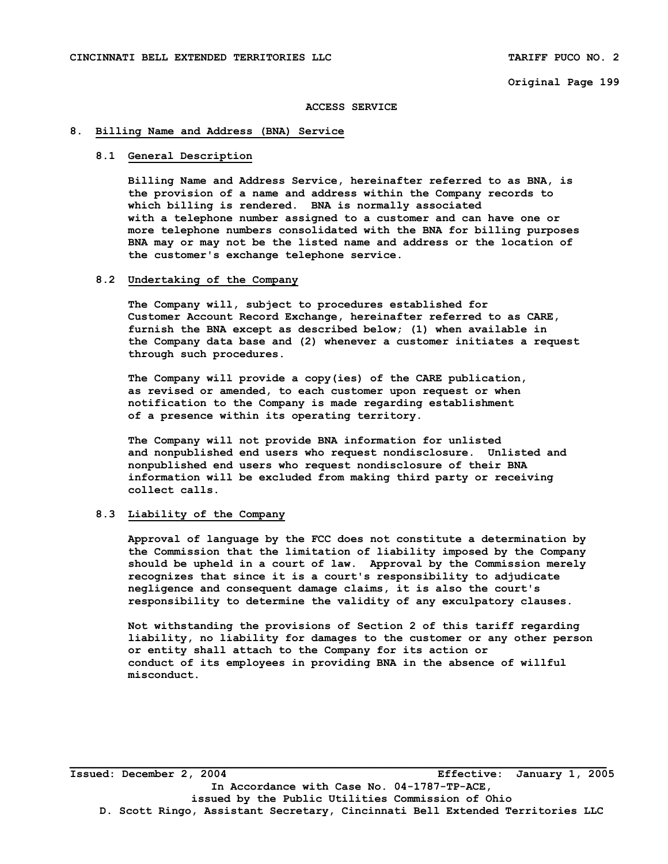**Original Page 199** 

#### **ACCESS SERVICE**

#### **8. Billing Name and Address (BNA) Service**

## **8.1 General Description**

 **Billing Name and Address Service, hereinafter referred to as BNA, is the provision of a name and address within the Company records to which billing is rendered. BNA is normally associated with a telephone number assigned to a customer and can have one or more telephone numbers consolidated with the BNA for billing purposes BNA may or may not be the listed name and address or the location of the customer's exchange telephone service.** 

#### **8.2 Undertaking of the Company**

 **The Company will, subject to procedures established for Customer Account Record Exchange, hereinafter referred to as CARE, furnish the BNA except as described below; (1) when available in the Company data base and (2) whenever a customer initiates a request through such procedures.** 

 **The Company will provide a copy(ies) of the CARE publication, as revised or amended, to each customer upon request or when notification to the Company is made regarding establishment of a presence within its operating territory.** 

 **The Company will not provide BNA information for unlisted and nonpublished end users who request nondisclosure. Unlisted and nonpublished end users who request nondisclosure of their BNA information will be excluded from making third party or receiving collect calls.** 

### **8.3 Liability of the Company**

 **Approval of language by the FCC does not constitute a determination by the Commission that the limitation of liability imposed by the Company should be upheld in a court of law. Approval by the Commission merely recognizes that since it is a court's responsibility to adjudicate negligence and consequent damage claims, it is also the court's responsibility to determine the validity of any exculpatory clauses.** 

 **Not withstanding the provisions of Section 2 of this tariff regarding liability, no liability for damages to the customer or any other person or entity shall attach to the Company for its action or conduct of its employees in providing BNA in the absence of willful misconduct.** 

**Issued: December 2, 2004 Effective: January 1, 2005 In Accordance with Case No. 04-1787-TP-ACE, issued by the Public Utilities Commission of Ohio D. Scott Ringo, Assistant Secretary, Cincinnati Bell Extended Territories LLC**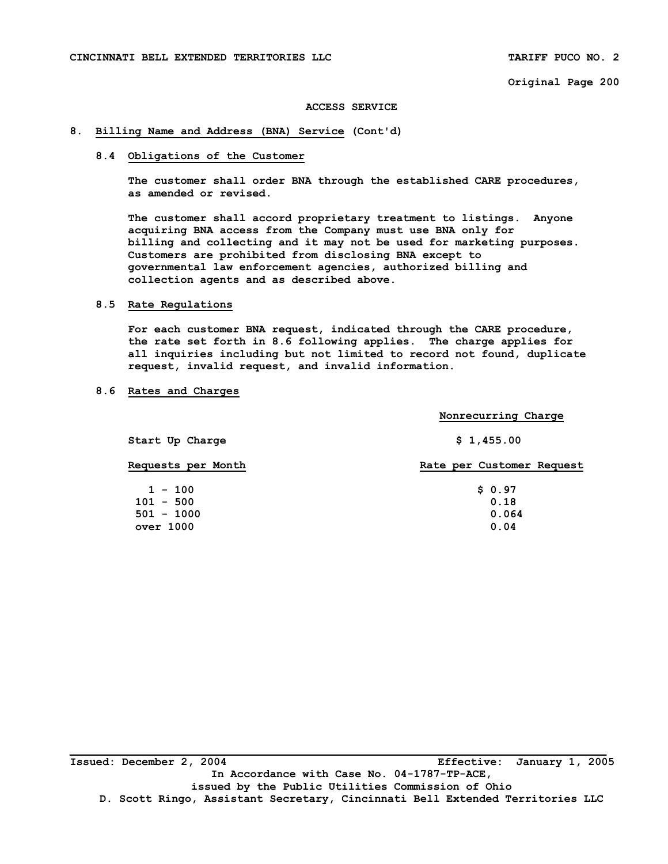**Original Page 200** 

#### **ACCESS SERVICE**

#### **8. Billing Name and Address (BNA) Service (Cont'd)**

## **8.4 Obligations of the Customer**

 **The customer shall order BNA through the established CARE procedures, as amended or revised.** 

 **The customer shall accord proprietary treatment to listings. Anyone acquiring BNA access from the Company must use BNA only for billing and collecting and it may not be used for marketing purposes. Customers are prohibited from disclosing BNA except to governmental law enforcement agencies, authorized billing and collection agents and as described above.** 

## **8.5 Rate Regulations**

 **For each customer BNA request, indicated through the CARE procedure, the rate set forth in 8.6 following applies. The charge applies for all inquiries including but not limited to record not found, duplicate request, invalid request, and invalid information.** 

### **8.6 Rates and Charges**

|                             | Nonrecurring Charge       |  |  |  |  |
|-----------------------------|---------------------------|--|--|--|--|
| Start Up Charge             | \$1,455.00                |  |  |  |  |
| Requests per Month          | Rate per Customer Request |  |  |  |  |
| $1 - 100$                   | \$0.97                    |  |  |  |  |
| $101 - 500$<br>$501 - 1000$ | 0.18<br>0.064             |  |  |  |  |
| over 1000                   | 0.04                      |  |  |  |  |

**Issued: December 2, 2004 Effective: January 1, 2005 In Accordance with Case No. 04-1787-TP-ACE, issued by the Public Utilities Commission of Ohio D. Scott Ringo, Assistant Secretary, Cincinnati Bell Extended Territories LLC**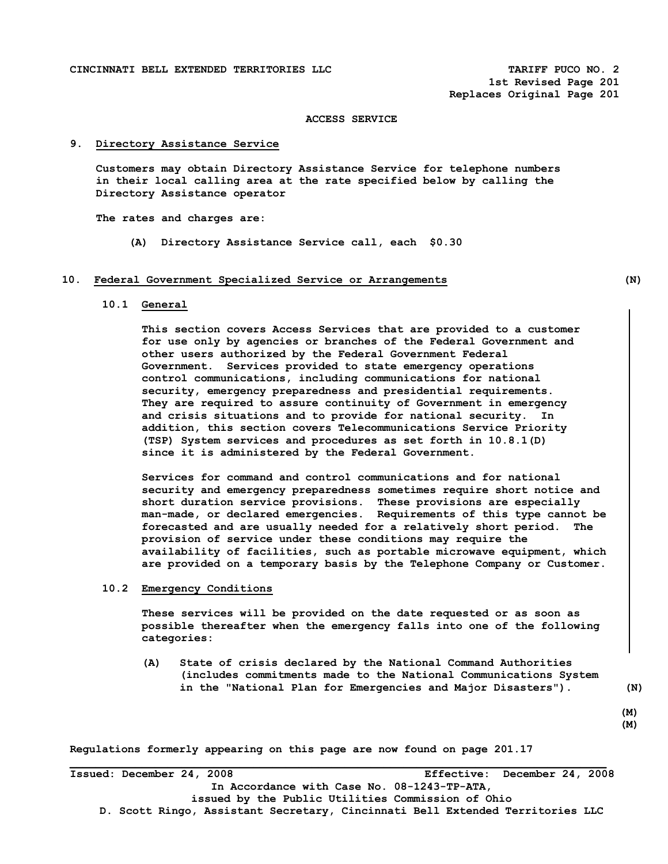**1st Revised Page 201 Replaces Original Page 201** 

## **ACCESS SERVICE**

# **9. Directory Assistance Service**

 **Customers may obtain Directory Assistance Service for telephone numbers in their local calling area at the rate specified below by calling the Directory Assistance operator** 

 **The rates and charges are:** 

 **(A) Directory Assistance Service call, each \$0.30** 

#### **10. Federal Government Specialized Service or Arrangements (N)**

## **10.1 General**

 **This section covers Access Services that are provided to a customer for use only by agencies or branches of the Federal Government and other users authorized by the Federal Government Federal Government. Services provided to state emergency operations control communications, including communications for national security, emergency preparedness and presidential requirements. They are required to assure continuity of Government in emergency and crisis situations and to provide for national security. In addition, this section covers Telecommunications Service Priority (TSP) System services and procedures as set forth in 10.8.1(D) since it is administered by the Federal Government.** 

 **Services for command and control communications and for national security and emergency preparedness sometimes require short notice and short duration service provisions. These provisions are especially man-made, or declared emergencies. Requirements of this type cannot be forecasted and are usually needed for a relatively short period. The provision of service under these conditions may require the availability of facilities, such as portable microwave equipment, which are provided on a temporary basis by the Telephone Company or Customer.** 

#### **10.2 Emergency Conditions**

 **These services will be provided on the date requested or as soon as possible thereafter when the emergency falls into one of the following categories:** 

 **(A) State of crisis declared by the National Command Authorities (includes commitments made to the National Communications System in the "National Plan for Emergencies and Major Disasters"). (N)** 

 **(M)** 

**(M)** 

**Regulations formerly appearing on this page are now found on page 201.17** 

**\_\_\_\_\_\_\_\_\_\_\_\_\_\_\_\_\_\_\_\_\_\_\_\_\_\_\_\_\_\_\_\_\_\_\_\_\_\_\_\_\_\_\_\_\_\_\_\_\_\_\_\_\_\_\_\_\_\_\_\_\_\_\_\_\_\_\_\_\_\_\_\_\_\_\_\_\_\_\_\_\_\_ Issued: December 24, 2008 Effective: December 24, 2008 In Accordance with Case No. 08-1243-TP-ATA, issued by the Public Utilities Commission of Ohio D. Scott Ringo, Assistant Secretary, Cincinnati Bell Extended Territories LLC**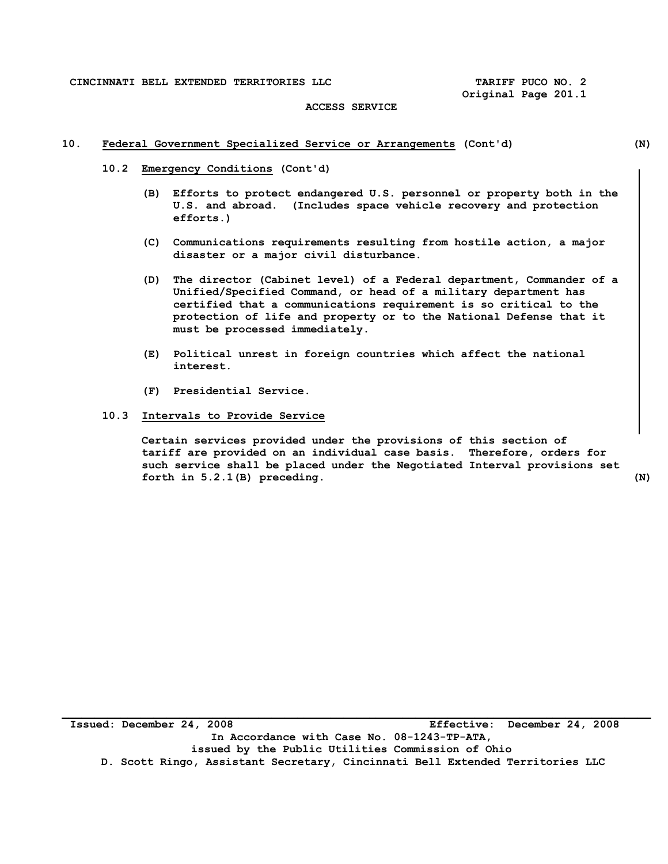## **ACCESS SERVICE**

## **10. Federal Government Specialized Service or Arrangements (Cont'd) (N)**

- **10.2 Emergency Conditions (Cont'd)** 
	- **(B) Efforts to protect endangered U.S. personnel or property both in the U.S. and abroad. (Includes space vehicle recovery and protection efforts.)**
	- **(C) Communications requirements resulting from hostile action, a major disaster or a major civil disturbance.**
	- **(D) The director (Cabinet level) of a Federal department, Commander of a Unified/Specified Command, or head of a military department has certified that a communications requirement is so critical to the protection of life and property or to the National Defense that it must be processed immediately.**
	- **(E) Political unrest in foreign countries which affect the national interest.**
	- **(F) Presidential Service.**
- **10.3 Intervals to Provide Service**

 **Certain services provided under the provisions of this section of tariff are provided on an individual case basis. Therefore, orders for such service shall be placed under the Negotiated Interval provisions set forth in 5.2.1(B) preceding. (N)** 

**Issued: December 24, 2008 Effective: December 24, 2008 In Accordance with Case No. 08-1243-TP-ATA, issued by the Public Utilities Commission of Ohio D. Scott Ringo, Assistant Secretary, Cincinnati Bell Extended Territories LLC**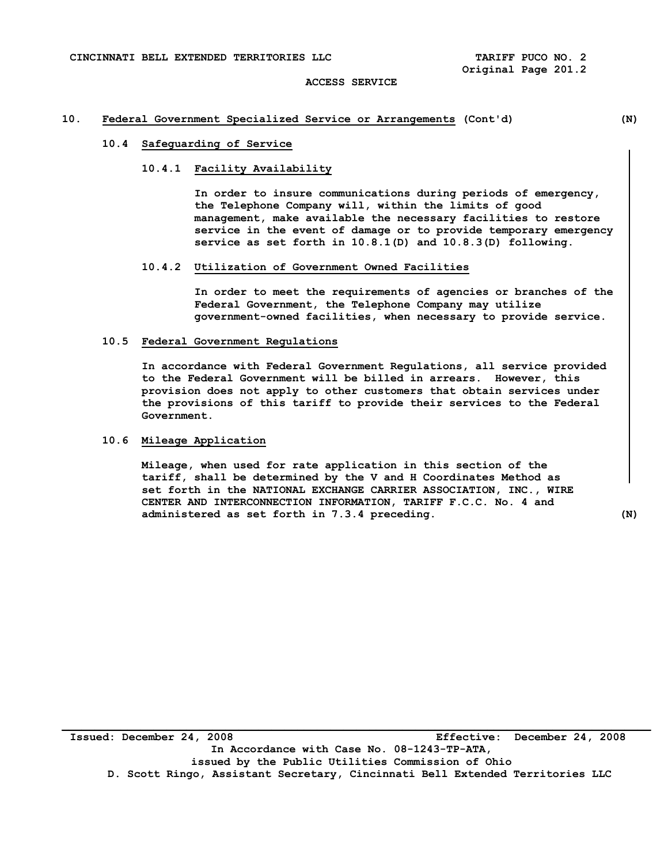## **10. Federal Government Specialized Service or Arrangements (Cont'd) (N)**

# **10.4 Safeguarding of Service**

## **10.4.1 Facility Availability**

 **In order to insure communications during periods of emergency, the Telephone Company will, within the limits of good management, make available the necessary facilities to restore service in the event of damage or to provide temporary emergency service as set forth in 10.8.1(D) and 10.8.3(D) following.** 

#### **10.4.2 Utilization of Government Owned Facilities**

 **In order to meet the requirements of agencies or branches of the Federal Government, the Telephone Company may utilize government-owned facilities, when necessary to provide service.** 

#### **10.5 Federal Government Regulations**

 **In accordance with Federal Government Regulations, all service provided to the Federal Government will be billed in arrears. However, this provision does not apply to other customers that obtain services under the provisions of this tariff to provide their services to the Federal Government.** 

#### **10.6 Mileage Application**

 **Mileage, when used for rate application in this section of the tariff, shall be determined by the V and H Coordinates Method as set forth in the NATIONAL EXCHANGE CARRIER ASSOCIATION, INC., WIRE CENTER AND INTERCONNECTION INFORMATION, TARIFF F.C.C. No. 4 and administered as set forth in 7.3.4 preceding. (N)**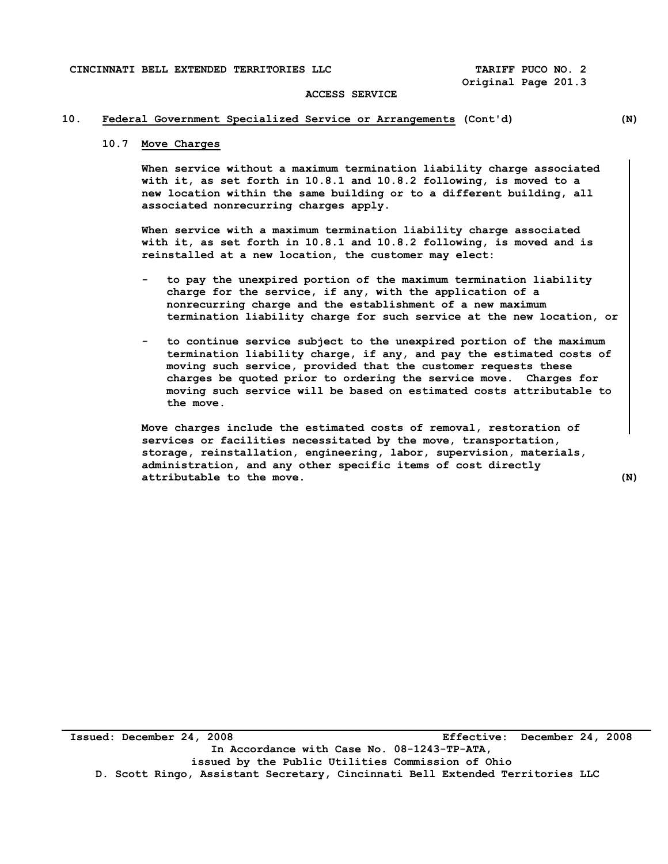#### **ACCESS SERVICE**

## **10. Federal Government Specialized Service or Arrangements (Cont'd) (N)**

# **10.7 Move Charges**

 **When service without a maximum termination liability charge associated with it, as set forth in 10.8.1 and 10.8.2 following, is moved to a new location within the same building or to a different building, all associated nonrecurring charges apply.** 

 **When service with a maximum termination liability charge associated with it, as set forth in 10.8.1 and 10.8.2 following, is moved and is reinstalled at a new location, the customer may elect:** 

- **to pay the unexpired portion of the maximum termination liability charge for the service, if any, with the application of a nonrecurring charge and the establishment of a new maximum termination liability charge for such service at the new location, or**
- **to continue service subject to the unexpired portion of the maximum termination liability charge, if any, and pay the estimated costs of moving such service, provided that the customer requests these charges be quoted prior to ordering the service move. Charges for moving such service will be based on estimated costs attributable to the move.**

 **Move charges include the estimated costs of removal, restoration of services or facilities necessitated by the move, transportation, storage, reinstallation, engineering, labor, supervision, materials, administration, and any other specific items of cost directly attributable to the move. (N)**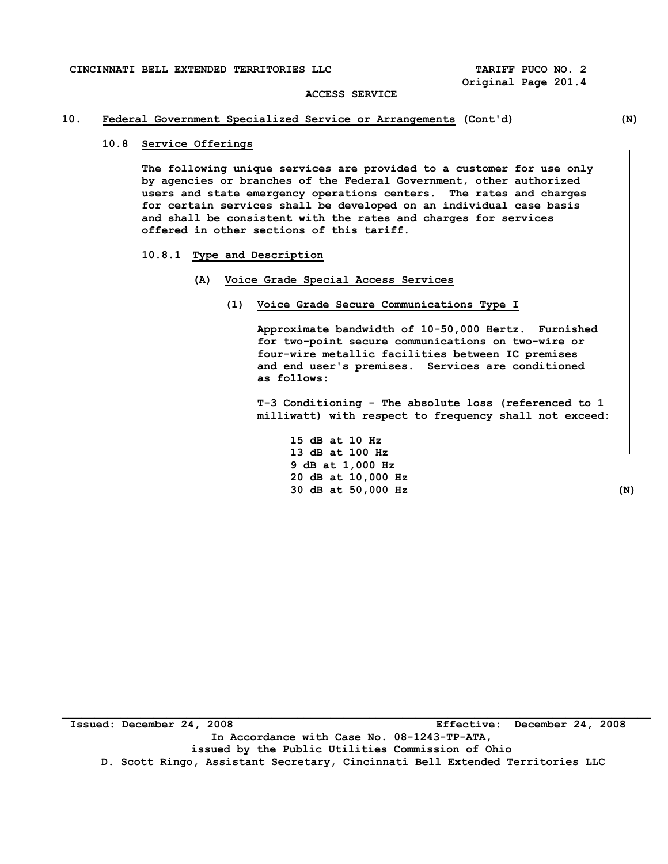#### **ACCESS SERVICE**

# **10. Federal Government Specialized Service or Arrangements (Cont'd) (N)**

# **10.8 Service Offerings**

 **The following unique services are provided to a customer for use only by agencies or branches of the Federal Government, other authorized users and state emergency operations centers. The rates and charges for certain services shall be developed on an individual case basis and shall be consistent with the rates and charges for services offered in other sections of this tariff.** 

#### **10.8.1 Type and Description**

#### **(A) Voice Grade Special Access Services**

 **(1) Voice Grade Secure Communications Type I** 

 **Approximate bandwidth of 10-50,000 Hertz. Furnished for two-point secure communications on two-wire or four-wire metallic facilities between IC premises and end user's premises. Services are conditioned as follows:** 

 **T-3 Conditioning - The absolute loss (referenced to 1 milliwatt) with respect to frequency shall not exceed:** 

 **15 dB at 10 Hz 13 dB at 100 Hz 9 dB at 1,000 Hz 20 dB at 10,000 Hz 30 dB at 50,000 Hz (N)** 

**Issued: December 24, 2008 Effective: December 24, 2008 In Accordance with Case No. 08-1243-TP-ATA, issued by the Public Utilities Commission of Ohio D. Scott Ringo, Assistant Secretary, Cincinnati Bell Extended Territories LLC**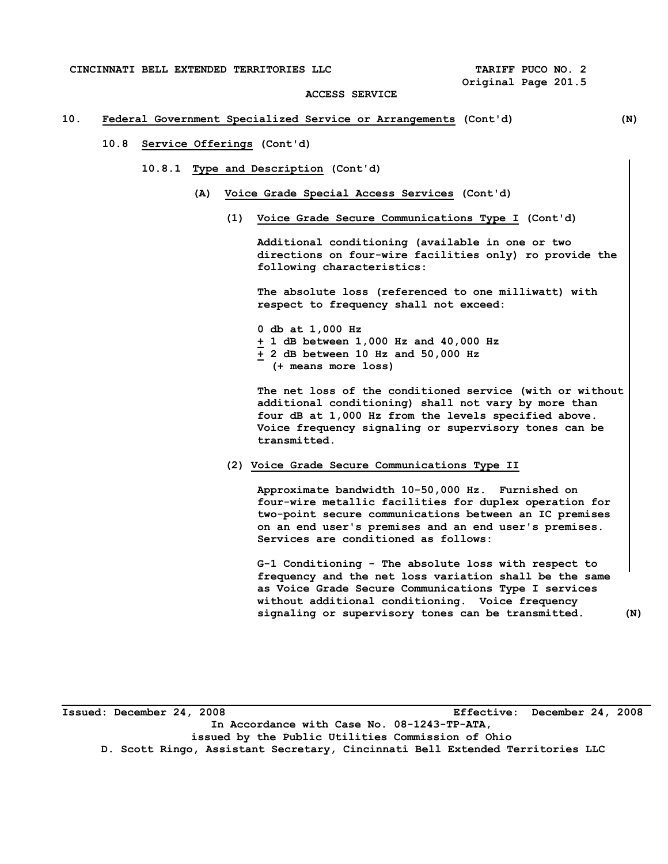#### **ACCESS SERVICE**

## **10. Federal Government Specialized Service or Arrangements (Cont'd) (N)**

# **10.8 Service Offerings (Cont'd)**

- **10.8.1 Type and Description (Cont'd)** 
	- **(A) Voice Grade Special Access Services (Cont'd)** 
		- **(1) Voice Grade Secure Communications Type I (Cont'd)**

 **Additional conditioning (available in one or two directions on four-wire facilities only) ro provide the following characteristics:** 

 **The absolute loss (referenced to one milliwatt) with respect to frequency shall not exceed:** 

 **0 db at 1,000 Hz + 1 dB between 1,000 Hz and 40,000 Hz + 2 dB between 10 Hz and 50,000 Hz (+ means more loss)** 

 **The net loss of the conditioned service (with or without additional conditioning) shall not vary by more than four dB at 1,000 Hz from the levels specified above. Voice frequency signaling or supervisory tones can be transmitted.** 

#### **(2) Voice Grade Secure Communications Type II**

 **Approximate bandwidth 10-50,000 Hz. Furnished on four-wire metallic facilities for duplex operation for two-point secure communications between an IC premises on an end user's premises and an end user's premises. Services are conditioned as follows:** 

 **G-1 Conditioning - The absolute loss with respect to frequency and the net loss variation shall be the same as Voice Grade Secure Communications Type I services without additional conditioning. Voice frequency signaling or supervisory tones can be transmitted. (N)** 

**\_\_\_\_\_\_\_\_\_\_\_\_\_\_\_\_\_\_\_\_\_\_\_\_\_\_\_\_\_\_\_\_\_\_\_\_\_\_\_\_\_\_\_\_\_\_\_\_\_\_\_\_\_\_\_\_\_\_\_\_\_\_\_\_\_\_\_\_\_\_\_\_\_\_\_\_\_\_\_\_\_\_\_\_\_\_\_\_\_\_ Issued: December 24, 2008 Effective: December 24, 2008 In Accordance with Case No. 08-1243-TP-ATA, issued by the Public Utilities Commission of Ohio D. Scott Ringo, Assistant Secretary, Cincinnati Bell Extended Territories LLC**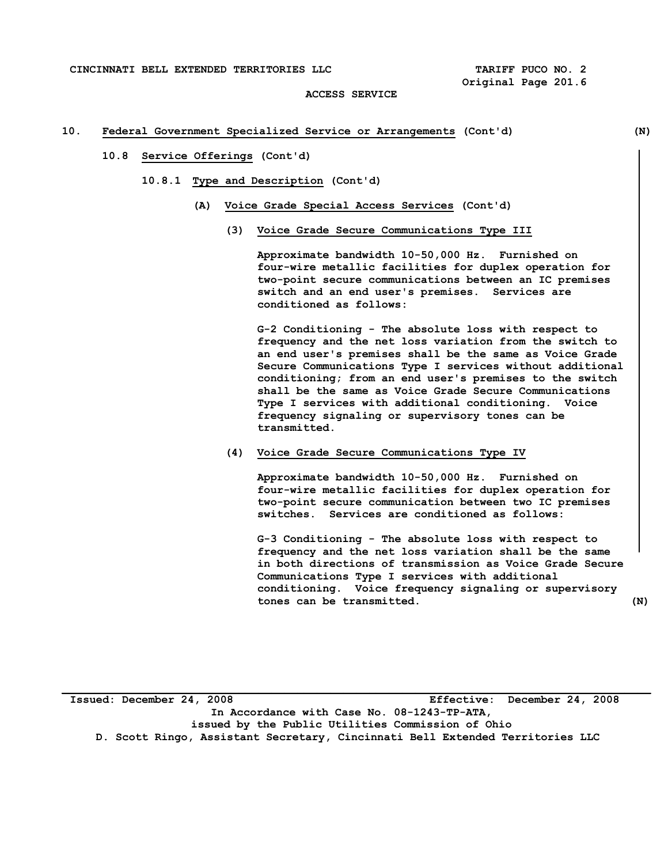**CINCINNATI BELL EXTENDED TERRITORIES LLC TARIFF PUCO NO. 2** 

 **Original Page 201.6** 

#### **ACCESS SERVICE**

#### **10. Federal Government Specialized Service or Arrangements (Cont'd) (N)**

## **10.8 Service Offerings (Cont'd)**

- **10.8.1 Type and Description (Cont'd)** 
	- **(A) Voice Grade Special Access Services (Cont'd)** 
		- **(3) Voice Grade Secure Communications Type III**

 **Approximate bandwidth 10-50,000 Hz. Furnished on four-wire metallic facilities for duplex operation for two-point secure communications between an IC premises switch and an end user's premises. Services are conditioned as follows:** 

 **G-2 Conditioning - The absolute loss with respect to frequency and the net loss variation from the switch to an end user's premises shall be the same as Voice Grade Secure Communications Type I services without additional conditioning; from an end user's premises to the switch shall be the same as Voice Grade Secure Communications Type I services with additional conditioning. Voice frequency signaling or supervisory tones can be transmitted.** 

 **(4) Voice Grade Secure Communications Type IV** 

 **Approximate bandwidth 10-50,000 Hz. Furnished on four-wire metallic facilities for duplex operation for two-point secure communication between two IC premises switches. Services are conditioned as follows:** 

 **G-3 Conditioning - The absolute loss with respect to frequency and the net loss variation shall be the same in both directions of transmission as Voice Grade Secure Communications Type I services with additional conditioning. Voice frequency signaling or supervisory tones can be transmitted. (N)** 

**Issued: December 24, 2008 Effective: December 24, 2008 In Accordance with Case No. 08-1243-TP-ATA, issued by the Public Utilities Commission of Ohio D. Scott Ringo, Assistant Secretary, Cincinnati Bell Extended Territories LLC**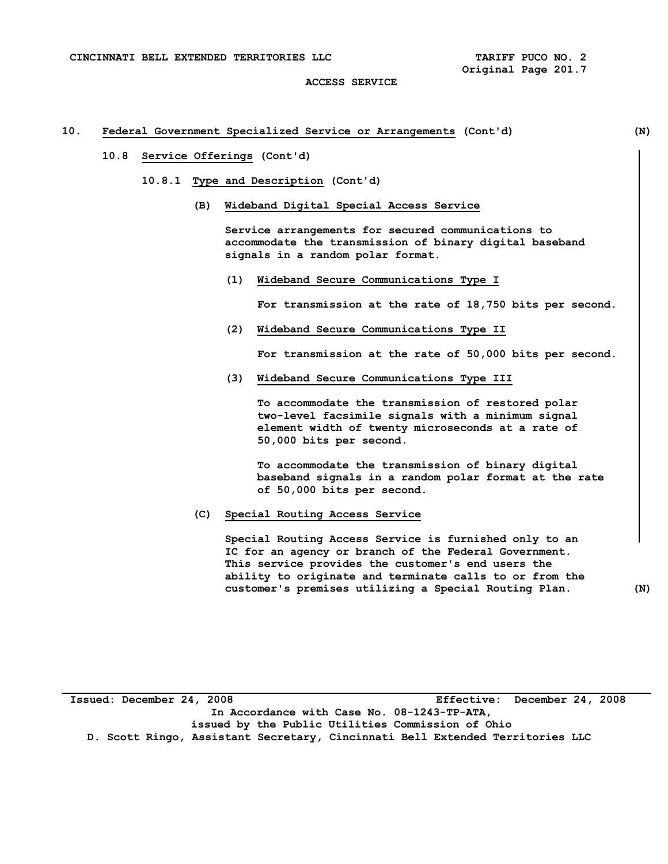#### **10. Federal Government Specialized Service or Arrangements (Cont'd) (N)**

## **10.8 Service Offerings (Cont'd)**

- **10.8.1 Type and Description (Cont'd)** 
	- **(B) Wideband Digital Special Access Service**

 **Service arrangements for secured communications to accommodate the transmission of binary digital baseband signals in a random polar format.** 

 **(1) Wideband Secure Communications Type I** 

 **For transmission at the rate of 18,750 bits per second.** 

 **(2) Wideband Secure Communications Type II** 

 **For transmission at the rate of 50,000 bits per second.** 

 **(3) Wideband Secure Communications Type III** 

 **To accommodate the transmission of restored polar two-level facsimile signals with a minimum signal element width of twenty microseconds at a rate of 50,000 bits per second.** 

 **To accommodate the transmission of binary digital baseband signals in a random polar format at the rate of 50,000 bits per second.** 

 **(C) Special Routing Access Service** 

 **Special Routing Access Service is furnished only to an IC for an agency or branch of the Federal Government. This service provides the customer's end users the ability to originate and terminate calls to or from the customer's premises utilizing a Special Routing Plan. (N)** 

**Issued: December 24, 2008 Effective: December 24, 2008 In Accordance with Case No. 08-1243-TP-ATA, issued by the Public Utilities Commission of Ohio D. Scott Ringo, Assistant Secretary, Cincinnati Bell Extended Territories LLC**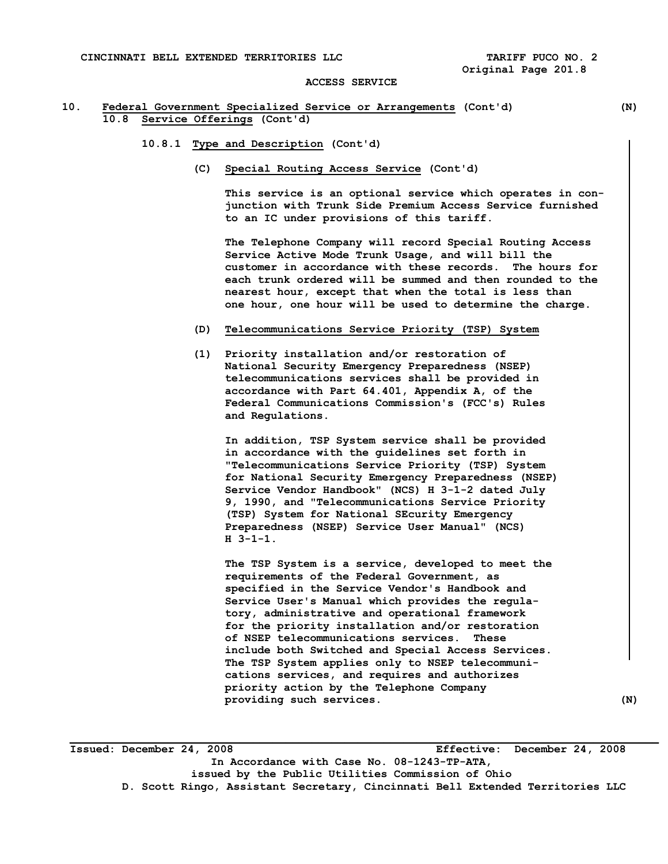## **10. Federal Government Specialized Service or Arrangements (Cont'd) (N) 10.8 Service Offerings (Cont'd)**

- **10.8.1 Type and Description (Cont'd)** 
	- **(C) Special Routing Access Service (Cont'd)**

 **This service is an optional service which operates in con junction with Trunk Side Premium Access Service furnished to an IC under provisions of this tariff.** 

 **The Telephone Company will record Special Routing Access Service Active Mode Trunk Usage, and will bill the customer in accordance with these records. The hours for each trunk ordered will be summed and then rounded to the nearest hour, except that when the total is less than one hour, one hour will be used to determine the charge.** 

- **(D) Telecommunications Service Priority (TSP) System**
- **(1) Priority installation and/or restoration of National Security Emergency Preparedness (NSEP) telecommunications services shall be provided in accordance with Part 64.401, Appendix A, of the Federal Communications Commission's (FCC's) Rules and Regulations.**

 **In addition, TSP System service shall be provided in accordance with the guidelines set forth in "Telecommunications Service Priority (TSP) System for National Security Emergency Preparedness (NSEP) Service Vendor Handbook" (NCS) H 3-1-2 dated July 9, 1990, and "Telecommunications Service Priority (TSP) System for National SEcurity Emergency Preparedness (NSEP) Service User Manual" (NCS) H 3-1-1.** 

 **The TSP System is a service, developed to meet the requirements of the Federal Government, as specified in the Service Vendor's Handbook and Service User's Manual which provides the regula tory, administrative and operational framework for the priority installation and/or restoration of NSEP telecommunications services. These include both Switched and Special Access Services. The TSP System applies only to NSEP telecommuni cations services, and requires and authorizes priority action by the Telephone Company providing such services. (N)** 

**\_\_\_\_\_\_\_\_\_\_\_\_\_\_\_\_\_\_\_\_\_\_\_\_\_\_\_\_\_\_\_\_\_\_\_\_\_\_\_\_\_\_\_\_\_\_\_\_\_\_\_\_\_\_\_\_\_\_\_\_\_\_\_\_\_\_\_\_\_\_\_\_\_\_\_\_\_\_\_\_\_\_\_\_\_\_\_\_\_\_ Issued: December 24, 2008 Effective: December 24, 2008 In Accordance with Case No. 08-1243-TP-ATA, issued by the Public Utilities Commission of Ohio D. Scott Ringo, Assistant Secretary, Cincinnati Bell Extended Territories LLC**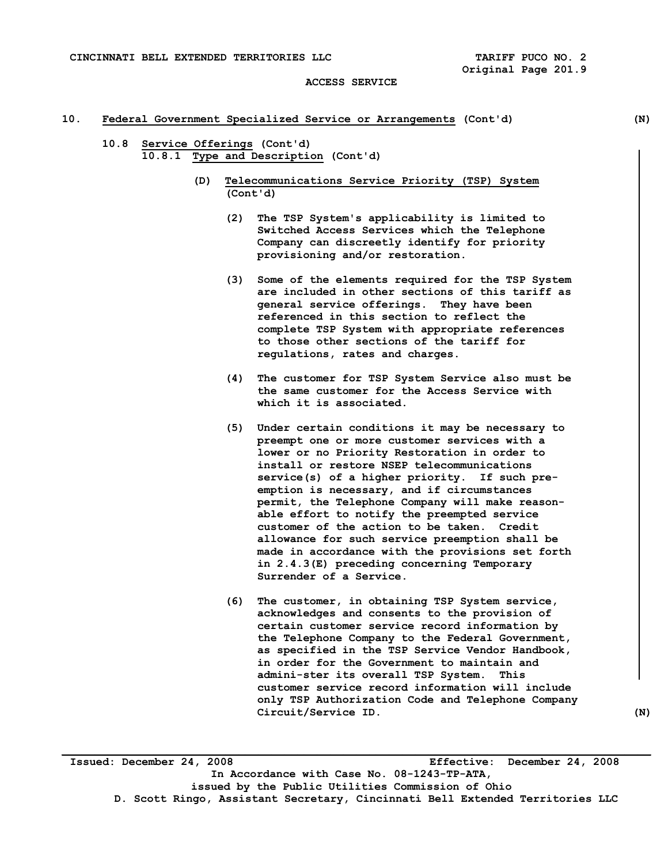## **10. Federal Government Specialized Service or Arrangements (Cont'd) (N)**

- **10.8 Service Offerings (Cont'd) 10.8.1 Type and Description (Cont'd)** 
	- **(D) Telecommunications Service Priority (TSP) System (Cont'd)** 
		- **(2) The TSP System's applicability is limited to Switched Access Services which the Telephone Company can discreetly identify for priority provisioning and/or restoration.**
		- **(3) Some of the elements required for the TSP System are included in other sections of this tariff as general service offerings. They have been referenced in this section to reflect the complete TSP System with appropriate references to those other sections of the tariff for regulations, rates and charges.**
		- **(4) The customer for TSP System Service also must be the same customer for the Access Service with which it is associated.**
		- **(5) Under certain conditions it may be necessary to preempt one or more customer services with a lower or no Priority Restoration in order to install or restore NSEP telecommunications service(s) of a higher priority. If such pre emption is necessary, and if circumstances permit, the Telephone Company will make reason able effort to notify the preempted service customer of the action to be taken. Credit allowance for such service preemption shall be made in accordance with the provisions set forth in 2.4.3(E) preceding concerning Temporary Surrender of a Service.**
		- **(6) The customer, in obtaining TSP System service, acknowledges and consents to the provision of certain customer service record information by the Telephone Company to the Federal Government, as specified in the TSP Service Vendor Handbook, in order for the Government to maintain and admini-ster its overall TSP System. This customer service record information will include only TSP Authorization Code and Telephone Company Circuit/Service ID. (N)**

**Issued: December 24, 2008 Effective: December 24, 2008 In Accordance with Case No. 08-1243-TP-ATA, issued by the Public Utilities Commission of Ohio D. Scott Ringo, Assistant Secretary, Cincinnati Bell Extended Territories LLC**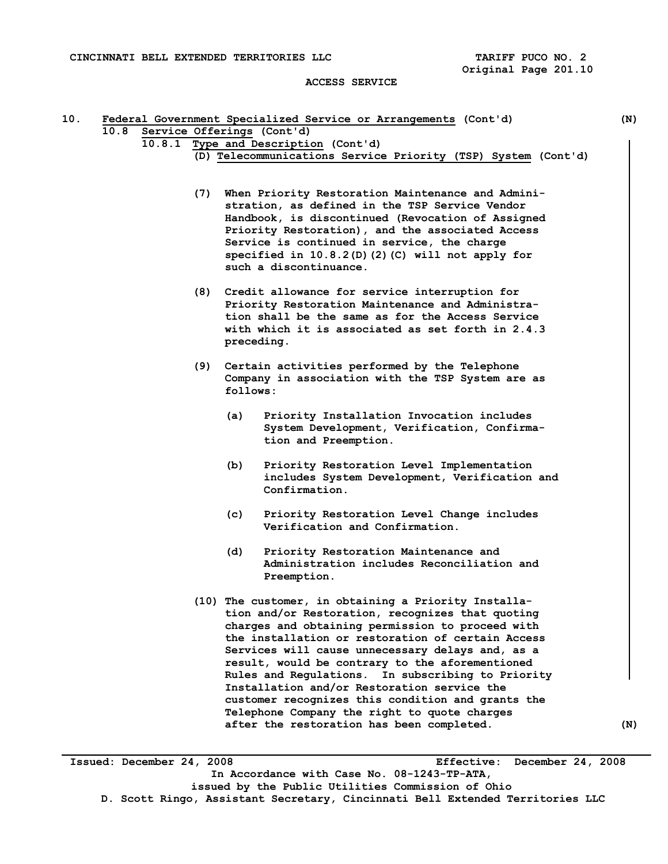## **ACCESS SERVICE**

| 10.8 |                           |     |            | Service Offerings (Cont'd)                                                                          |     |
|------|---------------------------|-----|------------|-----------------------------------------------------------------------------------------------------|-----|
|      |                           |     |            | 10.8.1 Type and Description (Cont'd)                                                                |     |
|      |                           |     |            | (D) Telecommunications Service Priority (TSP) System (Cont'd)                                       |     |
|      |                           |     |            | (7) When Priority Restoration Maintenance and Admini-                                               |     |
|      |                           |     |            | stration, as defined in the TSP Service Vendor                                                      |     |
|      |                           |     |            | Handbook, is discontinued (Revocation of Assigned                                                   |     |
|      |                           |     |            | Priority Restoration), and the associated Access                                                    |     |
|      |                           |     |            | Service is continued in service, the charge                                                         |     |
|      |                           |     |            | specified in 10.8.2(D)(2)(C) will not apply for                                                     |     |
|      |                           |     |            | such a discontinuance.                                                                              |     |
|      |                           |     |            | (8) Credit allowance for service interruption for                                                   |     |
|      |                           |     |            | Priority Restoration Maintenance and Administra-                                                    |     |
|      |                           |     |            | tion shall be the same as for the Access Service                                                    |     |
|      |                           |     | preceding. | with which it is associated as set forth in 2.4.3                                                   |     |
|      |                           | (9) |            | Certain activities performed by the Telephone                                                       |     |
|      |                           |     |            | Company in association with the TSP System are as                                                   |     |
|      |                           |     | follows:   |                                                                                                     |     |
|      |                           |     | (a)        | Priority Installation Invocation includes                                                           |     |
|      |                           |     |            | System Development, Verification, Confirma-                                                         |     |
|      |                           |     |            | tion and Preemption.                                                                                |     |
|      |                           |     | (b)        | Priority Restoration Level Implementation                                                           |     |
|      |                           |     |            | includes System Development, Verification and                                                       |     |
|      |                           |     |            | Confirmation.                                                                                       |     |
|      |                           |     | (c)        | Priority Restoration Level Change includes                                                          |     |
|      |                           |     |            | Verification and Confirmation.                                                                      |     |
|      |                           |     | (d)        | Priority Restoration Maintenance and                                                                |     |
|      |                           |     |            | Administration includes Reconciliation and                                                          |     |
|      |                           |     |            | Preemption.                                                                                         |     |
|      |                           |     |            | (10) The customer, in obtaining a Priority Installa-                                                |     |
|      |                           |     |            | tion and/or Restoration, recognizes that quoting                                                    |     |
|      |                           |     |            | charges and obtaining permission to proceed with                                                    |     |
|      |                           |     |            | the installation or restoration of certain Access                                                   |     |
|      |                           |     |            | Services will cause unnecessary delays and, as a<br>result, would be contrary to the aforementioned |     |
|      |                           |     |            | Rules and Regulations. In subscribing to Priority                                                   |     |
|      |                           |     |            | Installation and/or Restoration service the                                                         |     |
|      |                           |     |            | customer recognizes this condition and grants the                                                   |     |
|      |                           |     |            | Telephone Company the right to quote charges                                                        |     |
|      |                           |     |            | after the restoration has been completed.                                                           | (N) |
|      |                           |     |            |                                                                                                     |     |
|      | Issued: December 24, 2008 |     |            | Effective: December 24, 2008                                                                        |     |
|      |                           |     |            | In Accordance with Case No. 08-1243-TP-ATA,                                                         |     |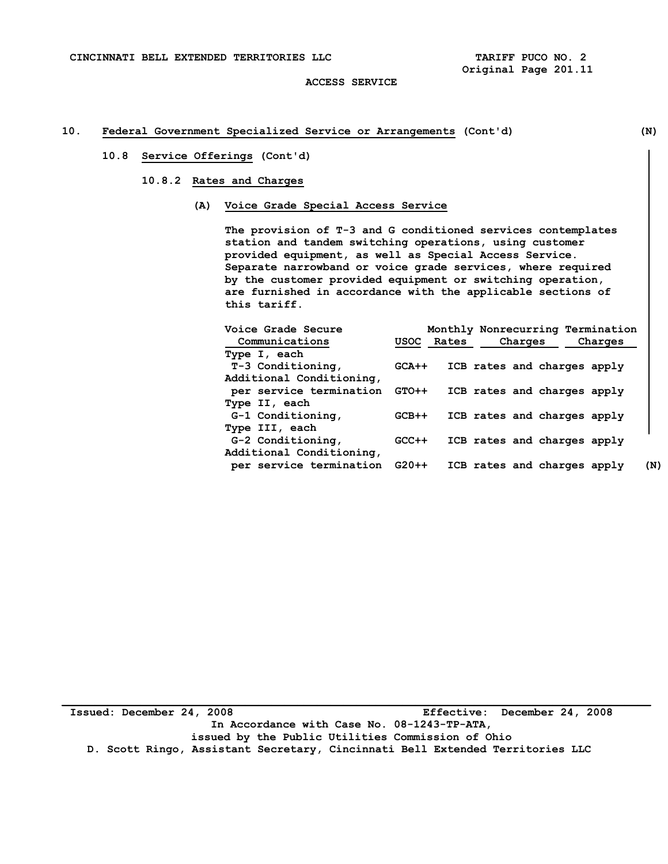# **10. Federal Government Specialized Service or Arrangements (Cont'd) (N)**

## **10.8 Service Offerings (Cont'd)**

## **10.8.2 Rates and Charges**

 **(A) Voice Grade Special Access Service** 

 **The provision of T-3 and G conditioned services contemplates station and tandem switching operations, using customer provided equipment, as well as Special Access Service. Separate narrowband or voice grade services, where required by the customer provided equipment or switching operation, are furnished in accordance with the applicable sections of this tariff.** 

| Voice Grade Secure                            |         |            | Monthly Nonrecurring Termination |         |     |
|-----------------------------------------------|---------|------------|----------------------------------|---------|-----|
| Communications                                |         | USOC Rates | Charges                          | Charges |     |
| Type I, each                                  |         |            |                                  |         |     |
| T-3 Conditioning,<br>Additional Conditioning, | $GCA++$ |            | ICB rates and charges apply      |         |     |
| per service termination                       | GTO++   |            | ICB rates and charges apply      |         |     |
| Type II, each                                 |         |            |                                  |         |     |
| G-1 Conditioning,                             | $GCB++$ |            | ICB rates and charges apply      |         |     |
| Type III, each                                |         |            |                                  |         |     |
| G-2 Conditioning,                             | $GCC++$ |            | ICB rates and charges apply      |         |     |
| Additional Conditioning,                      |         |            |                                  |         |     |
| per service termination G20++                 |         |            | ICB rates and charges apply      |         | (N) |

**Issued: December 24, 2008 Effective: December 24, 2008 In Accordance with Case No. 08-1243-TP-ATA, issued by the Public Utilities Commission of Ohio D. Scott Ringo, Assistant Secretary, Cincinnati Bell Extended Territories LLC**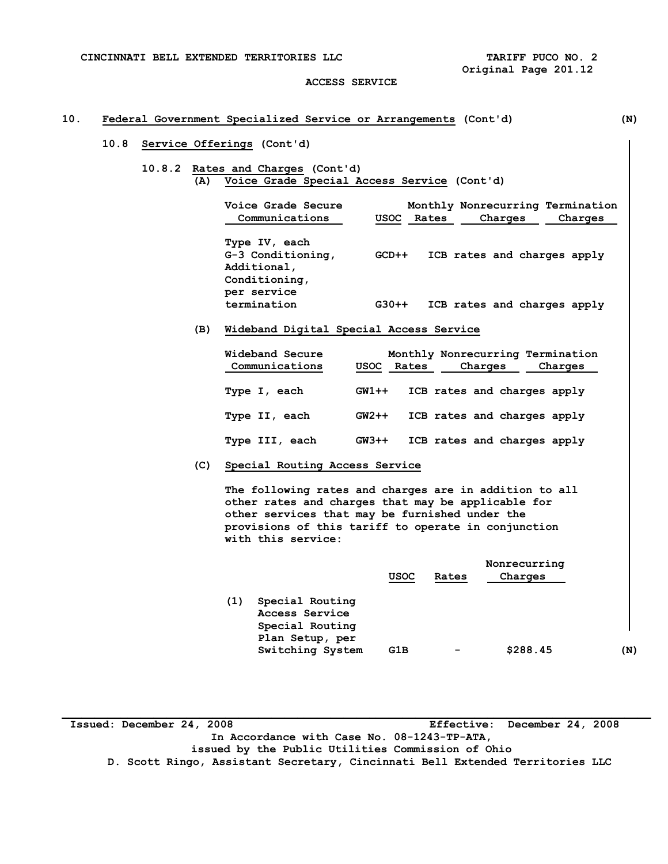**CINCINNATI BELL EXTENDED TERRITORIES LLC TARIFF PUCO NO. 2** 

#### **ACCESS SERVICE**

# **10. Federal Government Specialized Service or Arrangements (Cont'd) (N)**

## **10.8 Service Offerings (Cont'd)**

 **10.8.2 Rates and Charges (Cont'd) (A) Voice Grade Special Access Service (Cont'd)** 

| Voice Grade Secure<br>Communications                               |         | USOC Rates | Charges | Monthly Nonrecurring Termination<br>Charges |
|--------------------------------------------------------------------|---------|------------|---------|---------------------------------------------|
| Type IV, each<br>G-3 Conditioning,<br>Additional,<br>Conditioning, | $GCD++$ |            |         | ICB rates and charges apply                 |
| per service<br>termination                                         | $G30++$ |            |         | ICB rates and charges apply                 |

## **(B) Wideband Digital Special Access Service**

| Wideband Secure<br>Communications | USOC Rates | Charges | Monthly Nonrecurring Termination<br>Charges |
|-----------------------------------|------------|---------|---------------------------------------------|
| Type I, each                      | $GW1++$    |         | ICB rates and charges apply                 |
| Type II, each                     | $GW2++$    |         | ICB rates and charges apply                 |
| Type III, each                    | $GW3++$    |         | ICB rates and charges apply                 |

 **(C) Special Routing Access Service** 

 **The following rates and charges are in addition to all other rates and charges that may be applicable for other services that may be furnished under the provisions of this tariff to operate in conjunction with this service:** 

|     |                  | Nonrecurring |                              |          |     |  |
|-----|------------------|--------------|------------------------------|----------|-----|--|
|     |                  | <b>USOC</b>  | Rates                        | Charges  |     |  |
| (1) | Special Routing  |              |                              |          |     |  |
|     | Access Service   |              |                              |          |     |  |
|     | Special Routing  |              |                              |          |     |  |
|     | Plan Setup, per  |              |                              |          |     |  |
|     | Switching System | G1B          | $\qquad \qquad \blacksquare$ | \$288.45 | (N) |  |
|     |                  |              |                              |          |     |  |

**Issued: December 24, 2008 Effective: December 24, 2008 In Accordance with Case No. 08-1243-TP-ATA, issued by the Public Utilities Commission of Ohio D. Scott Ringo, Assistant Secretary, Cincinnati Bell Extended Territories LLC**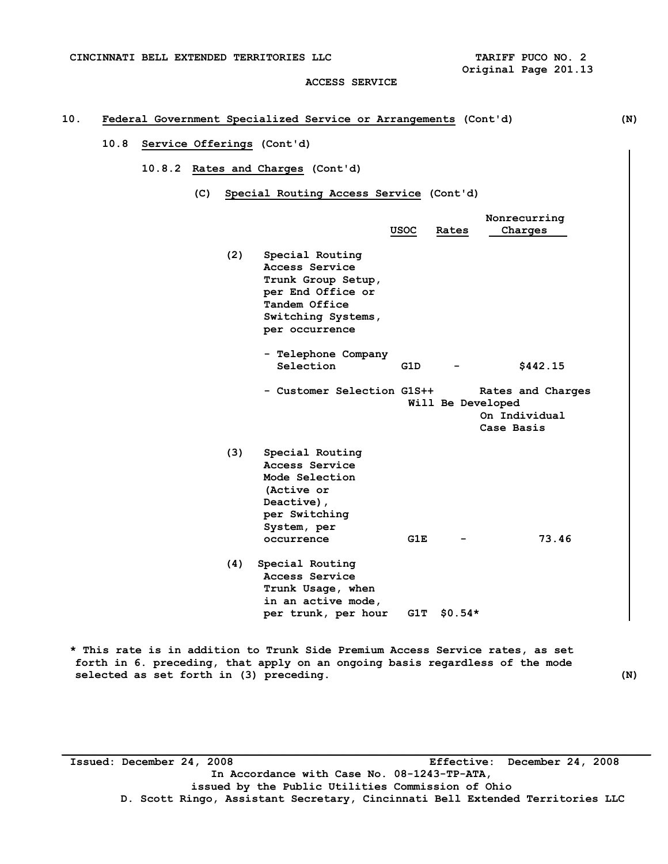**ACCESS SERVICE** 

# **10. Federal Government Specialized Service or Arrangements (Cont'd) (N)**

## **10.8 Service Offerings (Cont'd)**

 **10.8.2 Rates and Charges (Cont'd)** 

 **(C) Special Routing Access Service (Cont'd)** 

|     |                                                                                                                                       | <b>USOC</b> | Rates    | Nonrecurring<br>Charges                                               |
|-----|---------------------------------------------------------------------------------------------------------------------------------------|-------------|----------|-----------------------------------------------------------------------|
| (2) | Special Routing<br>Access Service<br>Trunk Group Setup,<br>per End Office or<br>Tandem Office<br>Switching Systems,<br>per occurrence |             |          |                                                                       |
|     | - Telephone Company<br>Selection                                                                                                      | G1D         |          | \$442.15                                                              |
|     | - Customer Selection G1S++                                                                                                            |             |          | Rates and Charges<br>Will Be Developed<br>On Individual<br>Case Basis |
| (3) | Special Routing<br>Access Service<br>Mode Selection<br>(Active or<br>Deactive),<br>per Switching<br>System, per<br>occurrence         | G1E         |          | 73.46                                                                 |
| (4) | Special Routing<br>Access Service<br>Trunk Usage, when<br>in an active mode,<br>per trunk, per hour                                   | G1T         | $$0.54*$ |                                                                       |

**\* This rate is in addition to Trunk Side Premium Access Service rates, as set forth in 6. preceding, that apply on an ongoing basis regardless of the mode selected as set forth in (3) preceding. (N)** 

**Issued: December 24, 2008 Effective: December 24, 2008 In Accordance with Case No. 08-1243-TP-ATA, issued by the Public Utilities Commission of Ohio D. Scott Ringo, Assistant Secretary, Cincinnati Bell Extended Territories LLC**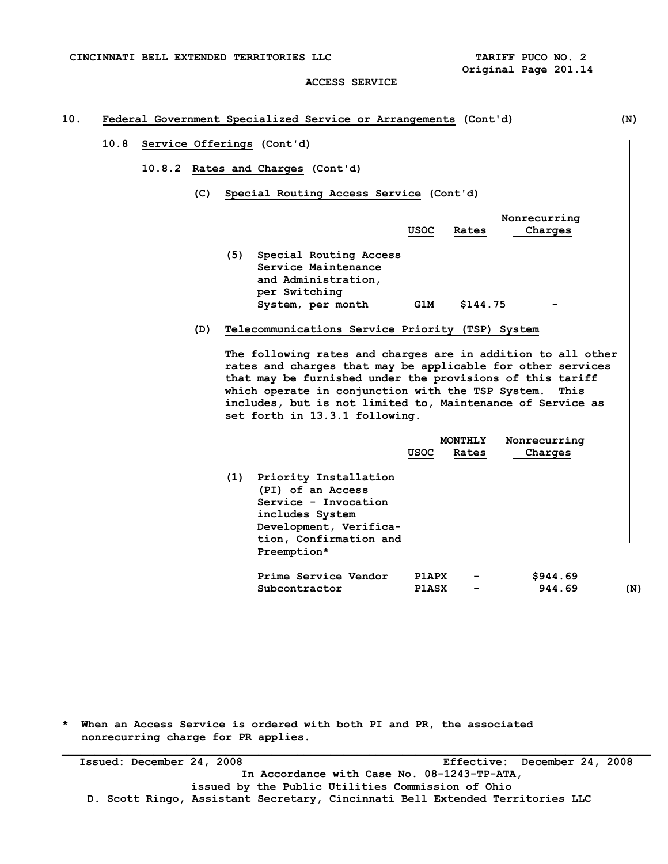**CINCINNATI BELL EXTENDED TERRITORIES LLC TARIFF PUCO NO. 2** 

 **Original Page 201.14** 

#### **ACCESS SERVICE**

# **10. Federal Government Specialized Service or Arrangements (Cont'd) (N)**

## **10.8 Service Offerings (Cont'd)**

- **10.8.2 Rates and Charges (Cont'd)** 
	- **(C) Special Routing Access Service (Cont'd)**

|     |                                                                                                            | <b>USOC</b> | Rates    | Nonrecurring<br>Charges |
|-----|------------------------------------------------------------------------------------------------------------|-------------|----------|-------------------------|
| (5) | Special Routing Access<br>Service Maintenance<br>and Administration,<br>per Switching<br>System, per month | G1M         | \$144.75 | -                       |

 **(D) Telecommunications Service Priority (TSP) System** 

 **The following rates and charges are in addition to all other rates and charges that may be applicable for other services that may be furnished under the provisions of this tariff which operate in conjunction with the TSP System. This includes, but is not limited to, Maintenance of Service as set forth in 13.3.1 following.** 

|     |                        |              | MONTHLY | Nonrecurring |     |
|-----|------------------------|--------------|---------|--------------|-----|
|     |                        | USOC         | Rates   | Charges      |     |
| (1) | Priority Installation  |              |         |              |     |
|     | (PI) of an Access      |              |         |              |     |
|     | Service - Invocation   |              |         |              |     |
|     | includes System        |              |         |              |     |
|     | Development, Verifica- |              |         |              |     |
|     | tion, Confirmation and |              |         |              |     |
|     | Preemption*            |              |         |              |     |
|     | Prime Service Vendor   | <b>P1APX</b> | -       | \$944.69     |     |
|     | Subcontractor          | <b>PlaSX</b> | -       | 944.69       | (N) |

**\* When an Access Service is ordered with both PI and PR, the associated nonrecurring charge for PR applies.** 

**\_\_\_\_\_\_\_\_\_\_\_\_\_\_\_\_\_\_\_\_\_\_\_\_\_\_\_\_\_\_\_\_\_\_\_\_\_\_\_\_\_\_\_\_\_\_\_\_\_\_\_\_\_\_\_\_\_\_\_\_\_\_\_\_\_\_\_\_\_\_\_\_\_\_\_\_\_\_\_\_\_\_\_\_\_\_\_\_\_\_ Issued: December 24, 2008 Effective: December 24, 2008 In Accordance with Case No. 08-1243-TP-ATA, issued by the Public Utilities Commission of Ohio D. Scott Ringo, Assistant Secretary, Cincinnati Bell Extended Territories LLC**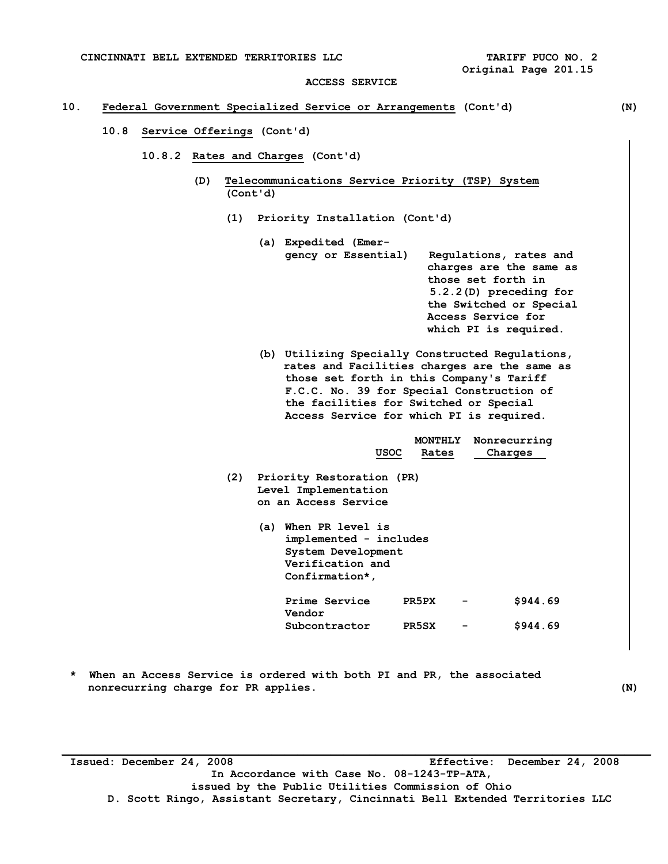## **10. Federal Government Specialized Service or Arrangements (Cont'd) (N)**

- **10.8 Service Offerings (Cont'd)** 
	- **10.8.2 Rates and Charges (Cont'd)** 
		- **(D) Telecommunications Service Priority (TSP) System (Cont'd)** 
			- **(1) Priority Installation (Cont'd)** 
				- **(a) Expedited (Emer gency or Essential) Regulations, rates and charges are the same as those set forth in 5.2.2(D) preceding for the Switched or Special Access Service for which PI is required.**
				- **(b) Utilizing Specially Constructed Regulations, rates and Facilities charges are the same as those set forth in this Company's Tariff F.C.C. No. 39 for Special Construction of the facilities for Switched or Special Access Service for which PI is required.**

|     | <b>USOC</b>                                                                                                   | MONTHLY<br>Rates | Nonrecurring<br>Charges |
|-----|---------------------------------------------------------------------------------------------------------------|------------------|-------------------------|
| (2) | Priority Restoration (PR)<br>Level Implementation<br>on an Access Service                                     |                  |                         |
|     | When PR level is<br>(a)<br>implemented - includes<br>System Development<br>Verification and<br>Confirmation*, |                  |                         |
|     | Prime Service<br>Vendor                                                                                       | PR5PX            | \$944.69                |
|     | Subcontractor                                                                                                 | PR5SX            | \$944.69                |

**\* When an Access Service is ordered with both PI and PR, the associated nonrecurring charge for PR applies.** (N)

**Issued: December 24, 2008 Effective: December 24, 2008 In Accordance with Case No. 08-1243-TP-ATA, issued by the Public Utilities Commission of Ohio D. Scott Ringo, Assistant Secretary, Cincinnati Bell Extended Territories LLC**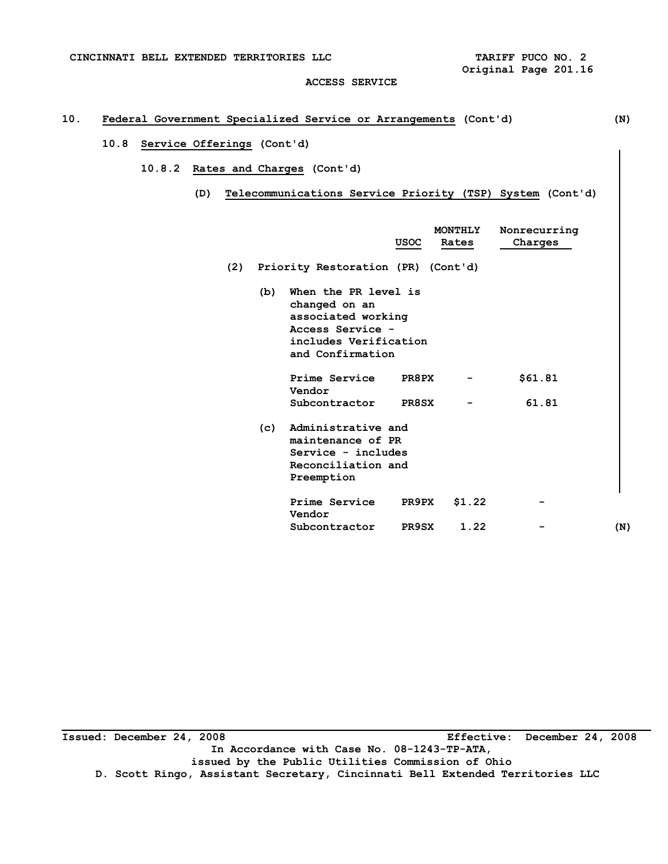**CINCINNATI BELL EXTENDED TERRITORIES LLC TARIFF PUCO NO. 2** 

 **Original Page 201.16** 

# **ACCESS SERVICE**

# **10. Federal Government Specialized Service or Arrangements (Cont'd) (N)**

# **10.8 Service Offerings (Cont'd)**

- **10.8.2 Rates and Charges (Cont'd)** 
	- **(D) Telecommunications Service Priority (TSP) System (Cont'd)**

|     |                                                                                                                              | USOC         | <b>MONTHLY</b><br>Rates | Nonrecurring<br>Charges |     |
|-----|------------------------------------------------------------------------------------------------------------------------------|--------------|-------------------------|-------------------------|-----|
|     | (2) Priority Restoration (PR) (Cont'd)                                                                                       |              |                         |                         |     |
| (b) | When the PR level is<br>changed on an<br>associated working<br>Access Service -<br>includes Verification<br>and Confirmation |              |                         |                         |     |
|     | Prime Service<br>Vendor                                                                                                      | PR8PX        | -                       | \$61.81                 |     |
|     | Subcontractor                                                                                                                | <b>PR8SX</b> | -                       | 61.81                   |     |
| (c) | Administrative and<br>maintenance of PR<br>Service - includes<br>Reconciliation and<br>Preemption                            |              |                         |                         |     |
|     | Prime Service<br>Vendor                                                                                                      | PR9PX        | \$1.22                  |                         |     |
|     | Subcontractor                                                                                                                | <b>PR9SX</b> | 1.22                    |                         | (N) |

**Issued: December 24, 2008 Effective: December 24, 2008 In Accordance with Case No. 08-1243-TP-ATA, issued by the Public Utilities Commission of Ohio D. Scott Ringo, Assistant Secretary, Cincinnati Bell Extended Territories LLC**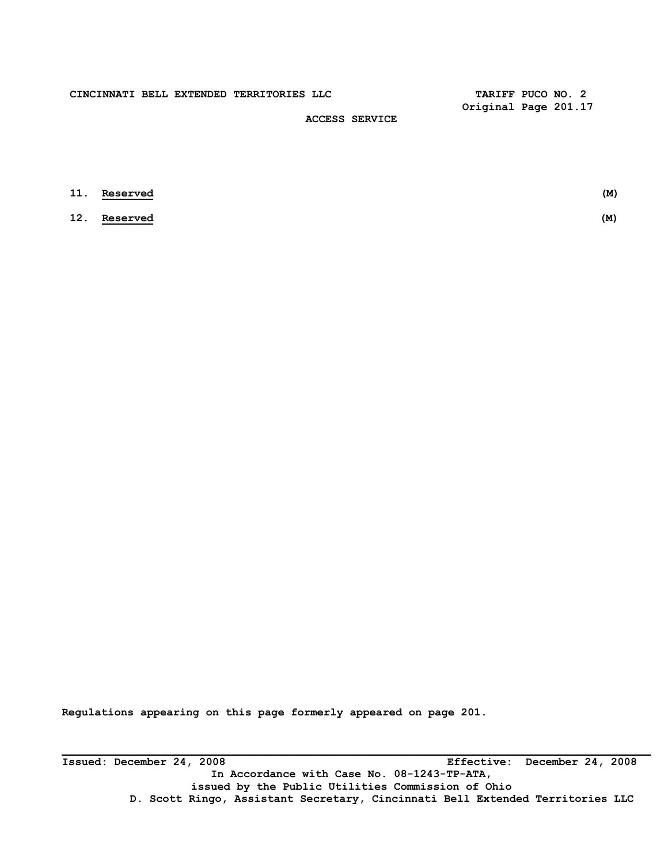**CINCINNATI BELL EXTENDED TERRITORIES LLC TARIFF PUCO NO. 2** 

 **Original Page 201.17** 

# **ACCESS SERVICE**

| <b>11. Reserved</b> | (M) |
|---------------------|-----|
| <b>12.</b> Reserved | (M) |

**Regulations appearing on this page formerly appeared on page 201.** 

**Issued: December 24, 2008 Effective: December 24, 2008 In Accordance with Case No. 08-1243-TP-ATA, issued by the Public Utilities Commission of Ohio D. Scott Ringo, Assistant Secretary, Cincinnati Bell Extended Territories LLC**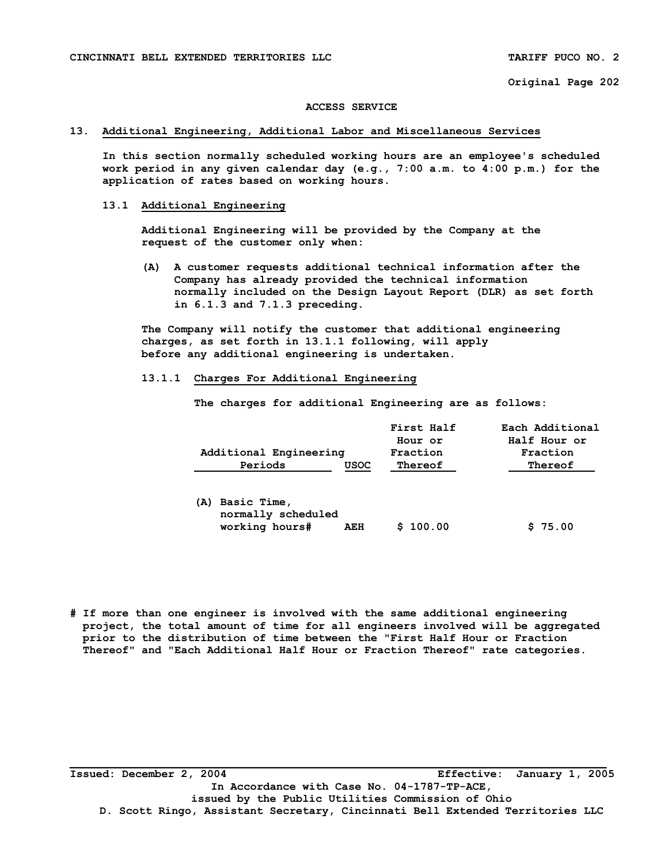### **ACCESS SERVICE**

### **13. Additional Engineering, Additional Labor and Miscellaneous Services**

 **In this section normally scheduled working hours are an employee's scheduled work period in any given calendar day (e.g., 7:00 a.m. to 4:00 p.m.) for the application of rates based on working hours.** 

### **13.1 Additional Engineering**

 **Additional Engineering will be provided by the Company at the request of the customer only when:** 

 **(A) A customer requests additional technical information after the Company has already provided the technical information normally included on the Design Layout Report (DLR) as set forth in 6.1.3 and 7.1.3 preceding.** 

 **The Company will notify the customer that additional engineering charges, as set forth in 13.1.1 following, will apply before any additional engineering is undertaken.** 

### **13.1.1 Charges For Additional Engineering**

 **The charges for additional Engineering are as follows:** 

|                        |      | First Half | Each Additional |
|------------------------|------|------------|-----------------|
|                        |      | Hour or    | Half Hour or    |
| Additional Engineering |      | Fraction   | Fraction        |
| Periods                | USOC | Thereof    | Thereof         |
|                        |      |            |                 |

| (A) Basic Time,    |     |          |         |
|--------------------|-----|----------|---------|
| normally scheduled |     |          |         |
| working hours#     | AEH | \$100.00 | \$75.00 |

**# If more than one engineer is involved with the same additional engineering project, the total amount of time for all engineers involved will be aggregated prior to the distribution of time between the "First Half Hour or Fraction Thereof" and "Each Additional Half Hour or Fraction Thereof" rate categories.** 

**Issued: December 2, 2004 Effective: January 1, 2005 In Accordance with Case No. 04-1787-TP-ACE, issued by the Public Utilities Commission of Ohio D. Scott Ringo, Assistant Secretary, Cincinnati Bell Extended Territories LLC**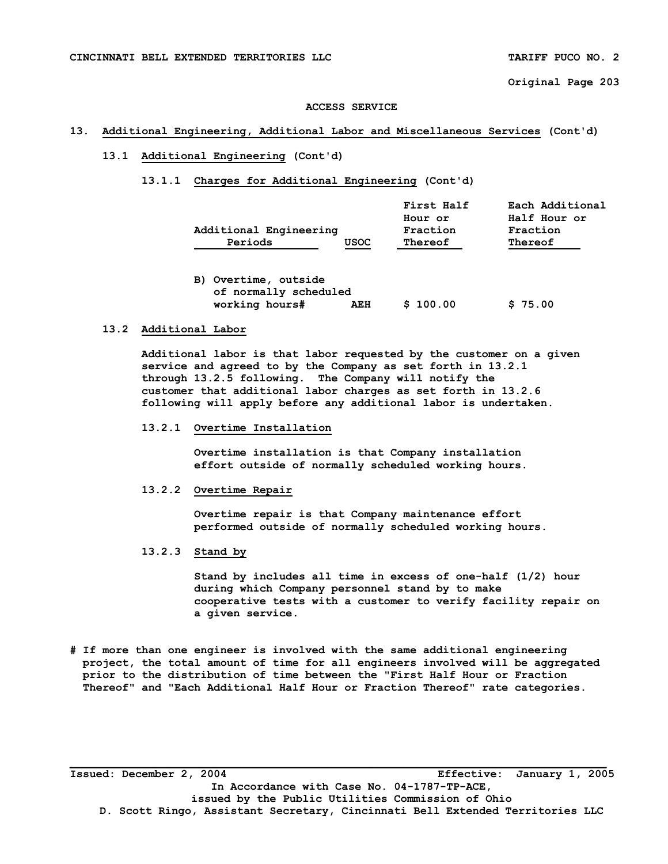### **ACCESS SERVICE**

### **13. Additional Engineering, Additional Labor and Miscellaneous Services (Cont'd)**

# **13.1 Additional Engineering (Cont'd)**

### **13.1.1 Charges for Additional Engineering (Cont'd)**

|         |                        | First Half | Each Additional |
|---------|------------------------|------------|-----------------|
|         |                        | Hour or    | Half Hour or    |
|         | Additional Engineering |            | Fraction        |
| Periods | <b>USOC</b>            | Thereof    | Thereof         |

| B) Overtime, outside  |     |          |         |
|-----------------------|-----|----------|---------|
| of normally scheduled |     |          |         |
| working hours#        | AEH | \$100.00 | \$75.00 |

# **13.2 Additional Labor**

 **Additional labor is that labor requested by the customer on a given service and agreed to by the Company as set forth in 13.2.1 through 13.2.5 following. The Company will notify the customer that additional labor charges as set forth in 13.2.6 following will apply before any additional labor is undertaken.** 

#### **13.2.1 Overtime Installation**

 **Overtime installation is that Company installation effort outside of normally scheduled working hours.** 

# **13.2.2 Overtime Repair**

 **Overtime repair is that Company maintenance effort performed outside of normally scheduled working hours.** 

 **13.2.3 Stand by** 

 **Stand by includes all time in excess of one-half (1/2) hour during which Company personnel stand by to make cooperative tests with a customer to verify facility repair on a given service.** 

**# If more than one engineer is involved with the same additional engineering project, the total amount of time for all engineers involved will be aggregated prior to the distribution of time between the "First Half Hour or Fraction Thereof" and "Each Additional Half Hour or Fraction Thereof" rate categories.** 

**Issued: December 2, 2004 Effective: January 1, 2005 In Accordance with Case No. 04-1787-TP-ACE, issued by the Public Utilities Commission of Ohio D. Scott Ringo, Assistant Secretary, Cincinnati Bell Extended Territories LLC**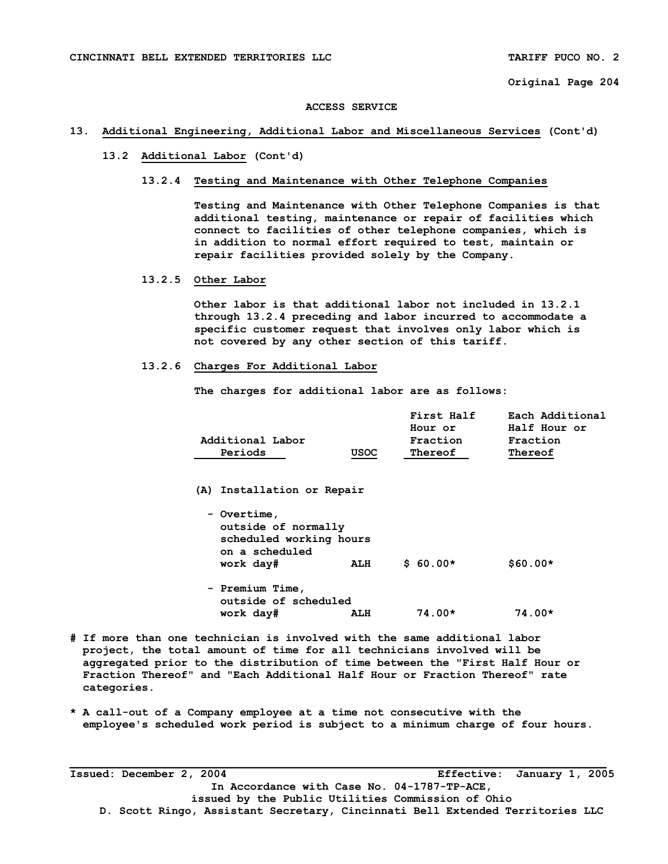#### **ACCESS SERVICE**

### **13. Additional Engineering, Additional Labor and Miscellaneous Services (Cont'd)**

# **13.2 Additional Labor (Cont'd)**

### **13.2.4 Testing and Maintenance with Other Telephone Companies**

 **Testing and Maintenance with Other Telephone Companies is that additional testing, maintenance or repair of facilities which connect to facilities of other telephone companies, which is in addition to normal effort required to test, maintain or repair facilities provided solely by the Company.** 

### **13.2.5 Other Labor**

 **Other labor is that additional labor not included in 13.2.1 through 13.2.4 preceding and labor incurred to accommodate a specific customer request that involves only labor which is not covered by any other section of this tariff.** 

# **13.2.6 Charges For Additional Labor**

 **The charges for additional labor are as follows:** 

|                  |             | First Half | Each Additional |
|------------------|-------------|------------|-----------------|
|                  |             | Hour or    | Half Hour or    |
| Additional Labor |             | Fraction   | Fraction        |
| Periods          | <b>USOC</b> | Thereof    | Thereof         |

 **(A) Installation or Repair** 

| - Overtime,<br>outside of normally<br>scheduled working hours<br>on a scheduled<br>work day# | ALH | $$60.00*$ | $$60.00*$ |
|----------------------------------------------------------------------------------------------|-----|-----------|-----------|
| - Premium Time,<br>outside of scheduled                                                      |     |           |           |
| work day#                                                                                    | ALH | $74.00*$  | $74.00*$  |

- **# If more than one technician is involved with the same additional labor project, the total amount of time for all technicians involved will be aggregated prior to the distribution of time between the "First Half Hour or Fraction Thereof" and "Each Additional Half Hour or Fraction Thereof" rate categories.**
- **\* A call-out of a Company employee at a time not consecutive with the employee's scheduled work period is subject to a minimum charge of four hours.**

**Issued: December 2, 2004 Effective: January 1, 2005 In Accordance with Case No. 04-1787-TP-ACE, issued by the Public Utilities Commission of Ohio D. Scott Ringo, Assistant Secretary, Cincinnati Bell Extended Territories LLC**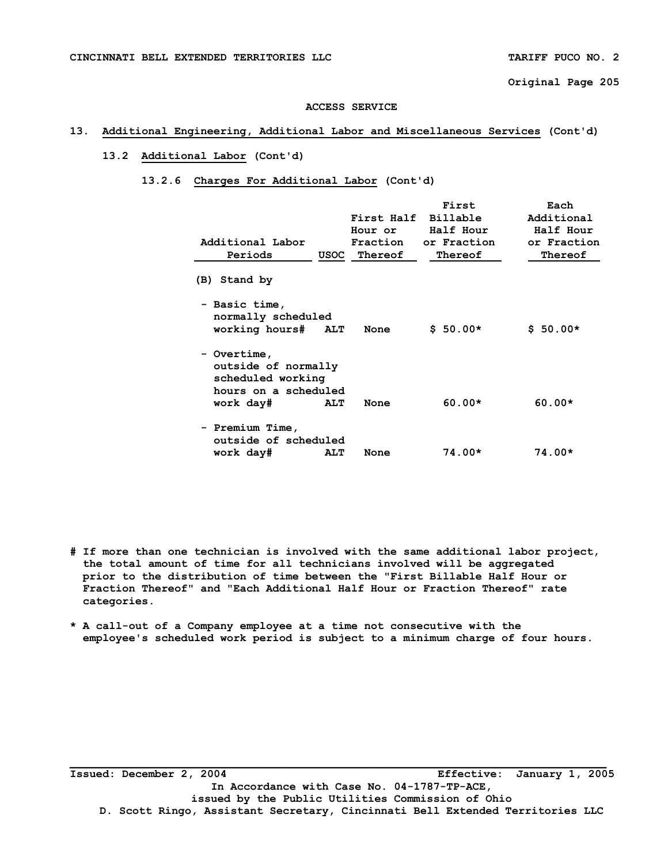#### **ACCESS SERVICE**

# **13. Additional Engineering, Additional Labor and Miscellaneous Services (Cont'd)**

# **13.2 Additional Labor (Cont'd)**

# **13.2.6 Charges For Additional Labor (Cont'd)**

| Additional Labor<br>Periods                                                     | USOC       | First Half<br>Hour or<br>Fraction<br>Thereof | First<br>Billable<br>Half Hour<br>or Fraction<br>Thereof | Each<br>Additional<br>Half Hour<br>or Fraction<br>Thereof |
|---------------------------------------------------------------------------------|------------|----------------------------------------------|----------------------------------------------------------|-----------------------------------------------------------|
| (B) Stand by                                                                    |            |                                              |                                                          |                                                           |
| - Basic time,<br>normally scheduled<br>working hours# ALT                       |            | None                                         | $$50.00*$                                                | $$50.00*$                                                 |
| - Overtime,<br>outside of normally<br>scheduled working<br>hours on a scheduled |            |                                              |                                                          |                                                           |
| work day#                                                                       | <b>ALT</b> | None                                         | $60.00*$                                                 | $60.00*$                                                  |
| - Premium Time,<br>outside of scheduled                                         |            |                                              |                                                          |                                                           |
| work day#                                                                       | <b>ALT</b> | None                                         | $74.00*$                                                 | $74.00*$                                                  |

- **# If more than one technician is involved with the same additional labor project, the total amount of time for all technicians involved will be aggregated prior to the distribution of time between the "First Billable Half Hour or Fraction Thereof" and "Each Additional Half Hour or Fraction Thereof" rate categories.**
- **\* A call-out of a Company employee at a time not consecutive with the employee's scheduled work period is subject to a minimum charge of four hours.**

**Issued: December 2, 2004 Effective: January 1, 2005 In Accordance with Case No. 04-1787-TP-ACE, issued by the Public Utilities Commission of Ohio D. Scott Ringo, Assistant Secretary, Cincinnati Bell Extended Territories LLC**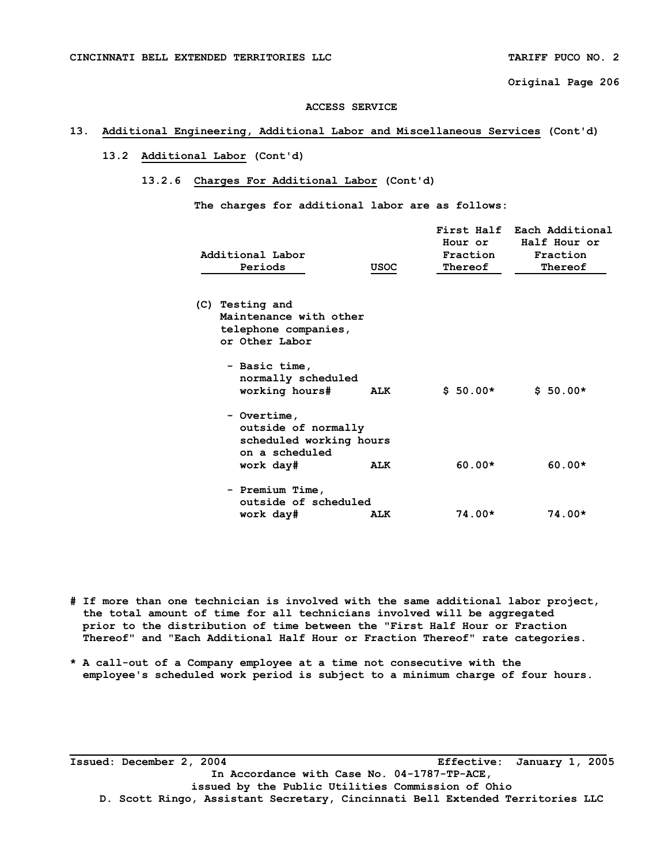### **ACCESS SERVICE**

# **13. Additional Engineering, Additional Labor and Miscellaneous Services (Cont'd)**

# **13.2 Additional Labor (Cont'd)**

## **13.2.6 Charges For Additional Labor (Cont'd)**

 **The charges for additional labor are as follows:** 

| Additional Labor<br>Periods                                                                  | USOC | Hour or<br>Fraction<br>Thereof | First Half Each Additional<br>Half Hour or<br>Fraction<br>Thereof |
|----------------------------------------------------------------------------------------------|------|--------------------------------|-------------------------------------------------------------------|
| (C) Testing and<br>Maintenance with other<br>telephone companies,<br>or Other Labor          |      |                                |                                                                   |
| - Basic time,<br>normally scheduled<br>working hours#                                        | ALK  | $$50.00*$                      | $$50.00*$                                                         |
| - Overtime,<br>outside of normally<br>scheduled working hours<br>on a scheduled<br>work day# | ALK  | $60.00*$                       | $60.00*$                                                          |
| - Premium Time,<br>outside of scheduled<br>work day#                                         | ALK  | $74.00*$                       | $74.00*$                                                          |

**# If more than one technician is involved with the same additional labor project, the total amount of time for all technicians involved will be aggregated prior to the distribution of time between the "First Half Hour or Fraction Thereof" and "Each Additional Half Hour or Fraction Thereof" rate categories.** 

**\* A call-out of a Company employee at a time not consecutive with the employee's scheduled work period is subject to a minimum charge of four hours.** 

**Issued: December 2, 2004 Effective: January 1, 2005 In Accordance with Case No. 04-1787-TP-ACE, issued by the Public Utilities Commission of Ohio D. Scott Ringo, Assistant Secretary, Cincinnati Bell Extended Territories LLC**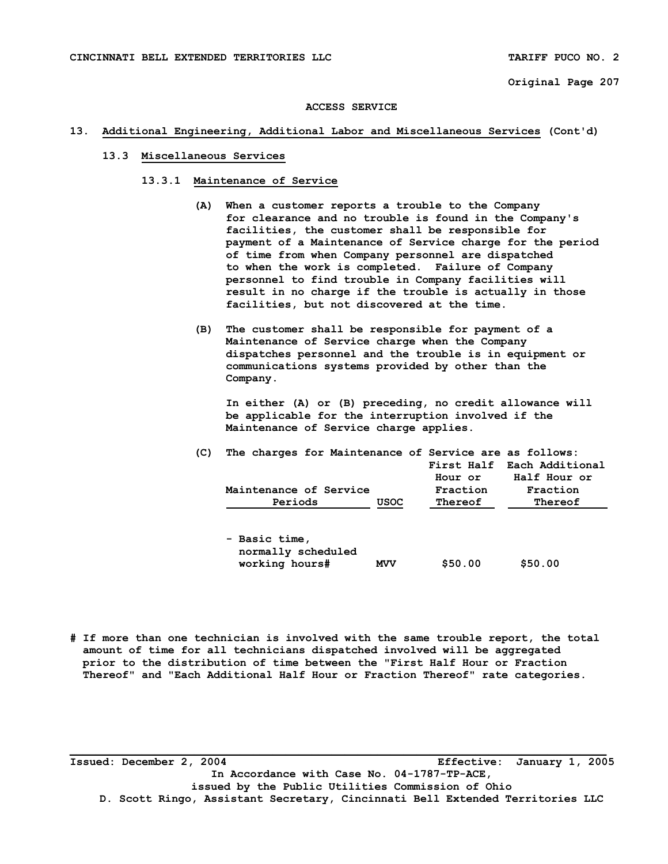#### **ACCESS SERVICE**

### **13. Additional Engineering, Additional Labor and Miscellaneous Services (Cont'd)**

# **13.3 Miscellaneous Services**

- **13.3.1 Maintenance of Service** 
	- **(A) When a customer reports a trouble to the Company for clearance and no trouble is found in the Company's facilities, the customer shall be responsible for payment of a Maintenance of Service charge for the period of time from when Company personnel are dispatched to when the work is completed. Failure of Company personnel to find trouble in Company facilities will result in no charge if the trouble is actually in those facilities, but not discovered at the time.**
	- **(B) The customer shall be responsible for payment of a Maintenance of Service charge when the Company dispatches personnel and the trouble is in equipment or communications systems provided by other than the Company.**

 **In either (A) or (B) preceding, no credit allowance will be applicable for the interruption involved if the Maintenance of Service charge applies.** 

| (C) | The charges for Maintenance of Service are as follows: |             | Hour or             | First Half Each Additional<br>Half Hour or |
|-----|--------------------------------------------------------|-------------|---------------------|--------------------------------------------|
|     | Maintenance of Service<br>Periods                      | <b>USOC</b> | Fraction<br>Thereof | Fraction<br>Thereof                        |
|     | - Basic time,<br>normally scheduled<br>working hours#  | <b>MVV</b>  | \$50.00             | \$50.00                                    |

**# If more than one technician is involved with the same trouble report, the total amount of time for all technicians dispatched involved will be aggregated prior to the distribution of time between the "First Half Hour or Fraction Thereof" and "Each Additional Half Hour or Fraction Thereof" rate categories.** 

**Issued: December 2, 2004 Effective: January 1, 2005 In Accordance with Case No. 04-1787-TP-ACE, issued by the Public Utilities Commission of Ohio D. Scott Ringo, Assistant Secretary, Cincinnati Bell Extended Territories LLC**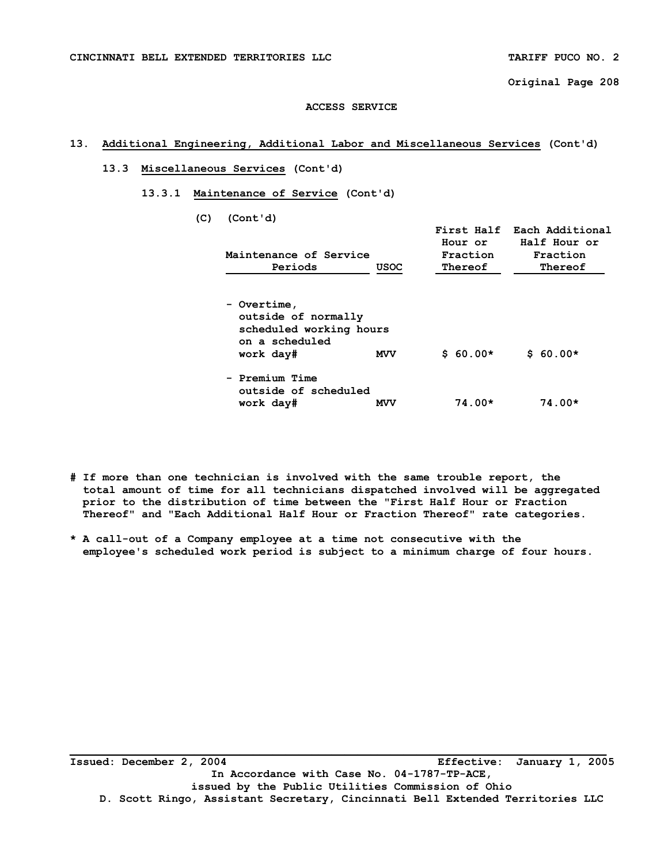### **ACCESS SERVICE**

# **13. Additional Engineering, Additional Labor and Miscellaneous Services (Cont'd)**

### **13.3 Miscellaneous Services (Cont'd)**

 **13.3.1 Maintenance of Service (Cont'd)** 

 **(C) (Cont'd)** 

| Maintenance of Service<br>Periods                                                            | <b>USOC</b> | Hour or<br>Fraction<br>Thereof | First Half Each Additional<br>Half Hour or<br>Fraction<br>Thereof |
|----------------------------------------------------------------------------------------------|-------------|--------------------------------|-------------------------------------------------------------------|
| - Overtime,<br>outside of normally<br>scheduled working hours<br>on a scheduled<br>work day# | <b>MVV</b>  | $$60.00*$                      | $$60.00*$                                                         |
| - Premium Time<br>outside of scheduled<br>work day#                                          | <b>MVV</b>  | $74.00*$                       | $74.00*$                                                          |

- **# If more than one technician is involved with the same trouble report, the total amount of time for all technicians dispatched involved will be aggregated prior to the distribution of time between the "First Half Hour or Fraction Thereof" and "Each Additional Half Hour or Fraction Thereof" rate categories.**
- **\* A call-out of a Company employee at a time not consecutive with the employee's scheduled work period is subject to a minimum charge of four hours.**

**Issued: December 2, 2004 Effective: January 1, 2005 In Accordance with Case No. 04-1787-TP-ACE, issued by the Public Utilities Commission of Ohio D. Scott Ringo, Assistant Secretary, Cincinnati Bell Extended Territories LLC**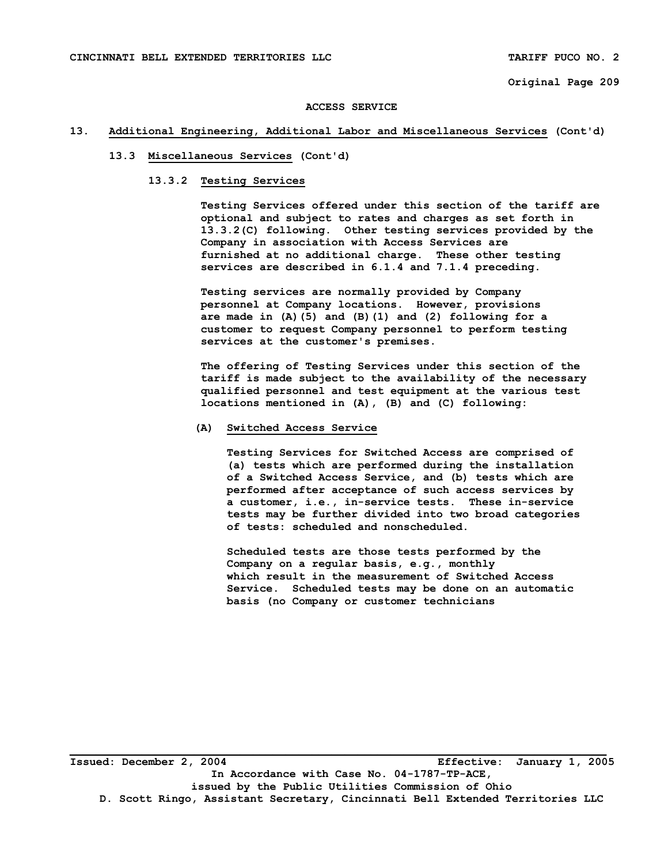#### **ACCESS SERVICE**

### **13. Additional Engineering, Additional Labor and Miscellaneous Services (Cont'd)**

# **13.3 Miscellaneous Services (Cont'd)**

### **13.3.2 Testing Services**

 **Testing Services offered under this section of the tariff are optional and subject to rates and charges as set forth in 13.3.2(C) following. Other testing services provided by the Company in association with Access Services are furnished at no additional charge. These other testing services are described in 6.1.4 and 7.1.4 preceding.** 

 **Testing services are normally provided by Company personnel at Company locations. However, provisions are made in (A)(5) and (B)(1) and (2) following for a customer to request Company personnel to perform testing services at the customer's premises.** 

 **The offering of Testing Services under this section of the tariff is made subject to the availability of the necessary qualified personnel and test equipment at the various test locations mentioned in (A), (B) and (C) following:** 

### **(A) Switched Access Service**

 **Testing Services for Switched Access are comprised of (a) tests which are performed during the installation of a Switched Access Service, and (b) tests which are performed after acceptance of such access services by a customer, i.e., in-service tests. These in-service tests may be further divided into two broad categories of tests: scheduled and nonscheduled.** 

 **Scheduled tests are those tests performed by the Company on a regular basis, e.g., monthly which result in the measurement of Switched Access Service. Scheduled tests may be done on an automatic basis (no Company or customer technicians**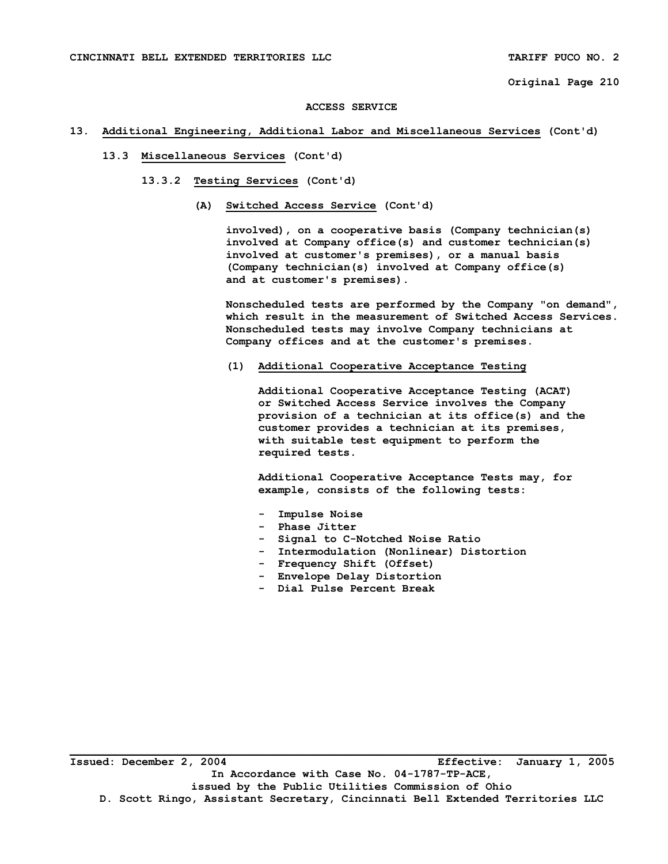#### **ACCESS SERVICE**

### **13. Additional Engineering, Additional Labor and Miscellaneous Services (Cont'd)**

# **13.3 Miscellaneous Services (Cont'd)**

- **13.3.2 Testing Services (Cont'd)** 
	- **(A) Switched Access Service (Cont'd)**

 **involved), on a cooperative basis (Company technician(s) involved at Company office(s) and customer technician(s) involved at customer's premises), or a manual basis (Company technician(s) involved at Company office(s) and at customer's premises).** 

 **Nonscheduled tests are performed by the Company "on demand", which result in the measurement of Switched Access Services. Nonscheduled tests may involve Company technicians at Company offices and at the customer's premises.** 

 **(1) Additional Cooperative Acceptance Testing** 

 **Additional Cooperative Acceptance Testing (ACAT) or Switched Access Service involves the Company provision of a technician at its office(s) and the customer provides a technician at its premises, with suitable test equipment to perform the required tests.** 

 **Additional Cooperative Acceptance Tests may, for example, consists of the following tests:** 

- **Impulse Noise**
- **Phase Jitter**
- **Signal to C-Notched Noise Ratio**
- **Intermodulation (Nonlinear) Distortion**
- **Frequency Shift (Offset)**
- **Envelope Delay Distortion**
- **Dial Pulse Percent Break**

**Issued: December 2, 2004 Effective: January 1, 2005 In Accordance with Case No. 04-1787-TP-ACE, issued by the Public Utilities Commission of Ohio D. Scott Ringo, Assistant Secretary, Cincinnati Bell Extended Territories LLC**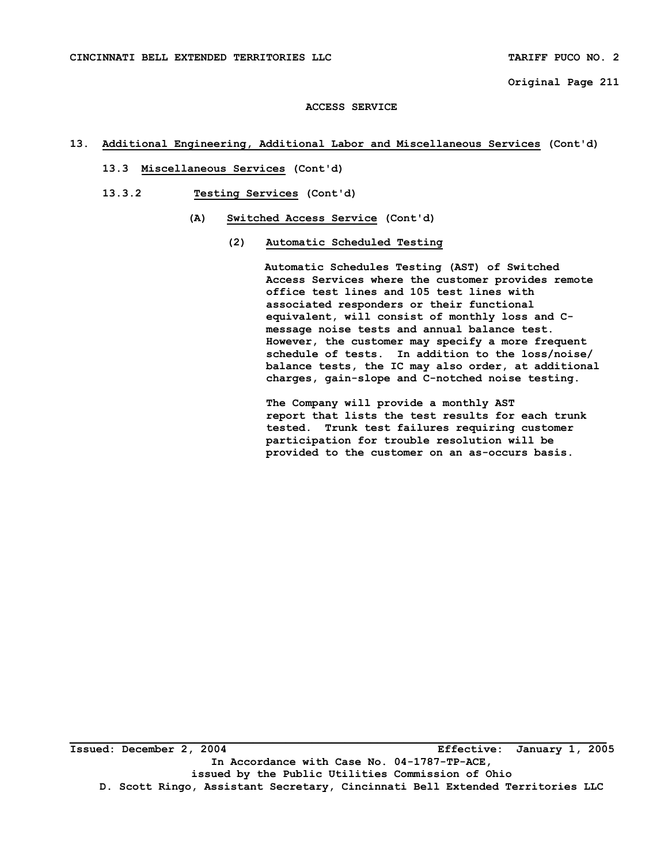### **ACCESS SERVICE**

# **13. Additional Engineering, Additional Labor and Miscellaneous Services (Cont'd)**

- **13.3 Miscellaneous Services (Cont'd)**
- **13.3.2 Testing Services (Cont'd)** 
	- **(A) Switched Access Service (Cont'd)** 
		- **(2) Automatic Scheduled Testing**

 **Automatic Schedules Testing (AST) of Switched Access Services where the customer provides remote office test lines and 105 test lines with associated responders or their functional equivalent, will consist of monthly loss and C message noise tests and annual balance test. However, the customer may specify a more frequent schedule of tests. In addition to the loss/noise/ balance tests, the IC may also order, at additional charges, gain-slope and C-notched noise testing.** 

 **The Company will provide a monthly AST report that lists the test results for each trunk tested. Trunk test failures requiring customer participation for trouble resolution will be provided to the customer on an as-occurs basis.**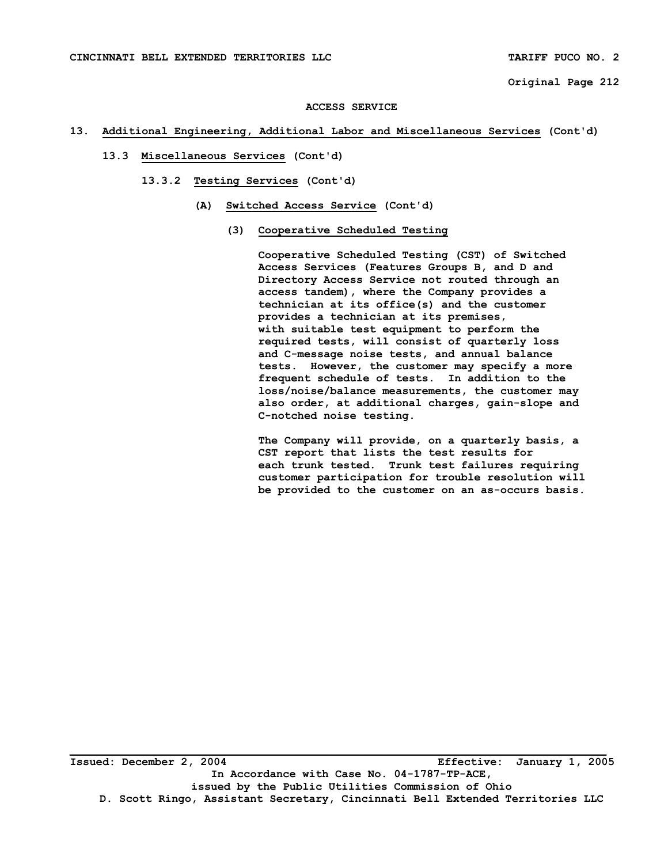#### **ACCESS SERVICE**

## **13. Additional Engineering, Additional Labor and Miscellaneous Services (Cont'd)**

- **13.3 Miscellaneous Services (Cont'd)** 
	- **13.3.2 Testing Services (Cont'd)** 
		- **(A) Switched Access Service (Cont'd)** 
			- **(3) Cooperative Scheduled Testing**

 **Cooperative Scheduled Testing (CST) of Switched Access Services (Features Groups B, and D and Directory Access Service not routed through an access tandem), where the Company provides a technician at its office(s) and the customer provides a technician at its premises, with suitable test equipment to perform the required tests, will consist of quarterly loss and C-message noise tests, and annual balance tests. However, the customer may specify a more frequent schedule of tests. In addition to the loss/noise/balance measurements, the customer may also order, at additional charges, gain-slope and C-notched noise testing.** 

 **The Company will provide, on a quarterly basis, a CST report that lists the test results for each trunk tested. Trunk test failures requiring customer participation for trouble resolution will be provided to the customer on an as-occurs basis.**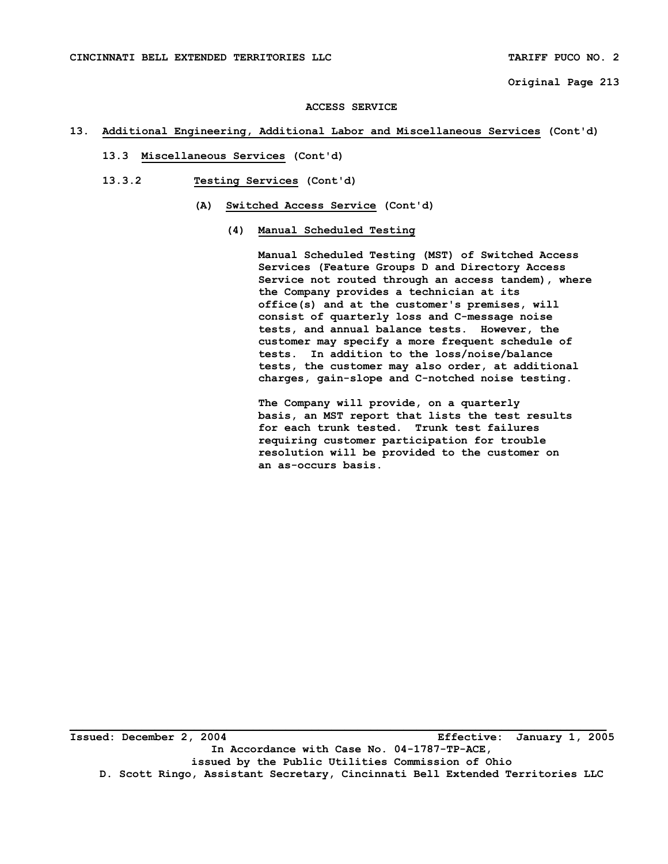#### **ACCESS SERVICE**

### **13. Additional Engineering, Additional Labor and Miscellaneous Services (Cont'd)**

- **13.3 Miscellaneous Services (Cont'd)**
- **13.3.2 Testing Services (Cont'd)** 
	- **(A) Switched Access Service (Cont'd)** 
		- **(4) Manual Scheduled Testing**

 **Manual Scheduled Testing (MST) of Switched Access Services (Feature Groups D and Directory Access Service not routed through an access tandem), where the Company provides a technician at its office(s) and at the customer's premises, will consist of quarterly loss and C-message noise tests, and annual balance tests. However, the customer may specify a more frequent schedule of tests. In addition to the loss/noise/balance tests, the customer may also order, at additional charges, gain-slope and C-notched noise testing.** 

 **The Company will provide, on a quarterly basis, an MST report that lists the test results for each trunk tested. Trunk test failures requiring customer participation for trouble resolution will be provided to the customer on an as-occurs basis.** 

**Issued: December 2, 2004 Effective: January 1, 2005 In Accordance with Case No. 04-1787-TP-ACE, issued by the Public Utilities Commission of Ohio D. Scott Ringo, Assistant Secretary, Cincinnati Bell Extended Territories LLC**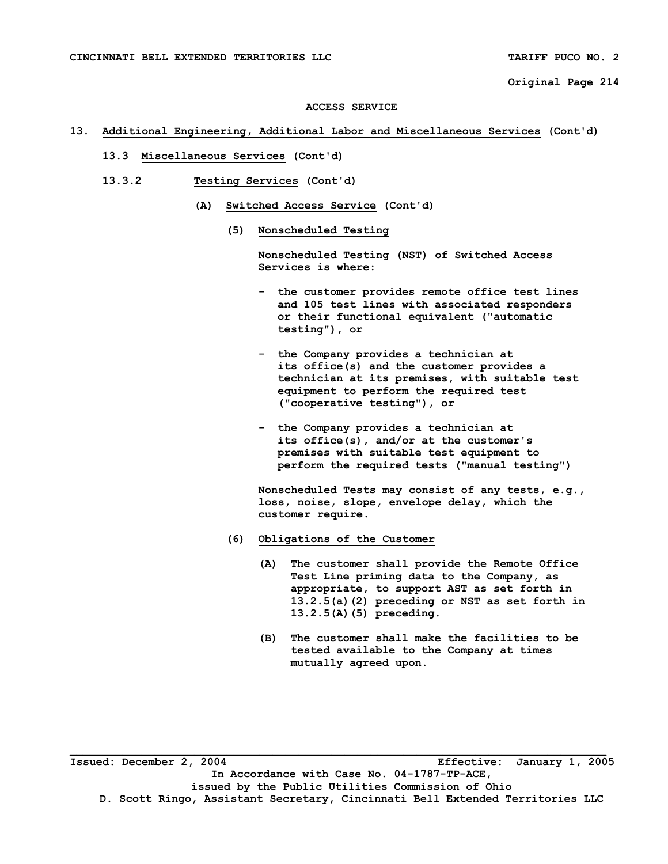#### **ACCESS SERVICE**

### **13. Additional Engineering, Additional Labor and Miscellaneous Services (Cont'd)**

- **13.3 Miscellaneous Services (Cont'd)**
- **13.3.2 Testing Services (Cont'd)** 
	- **(A) Switched Access Service (Cont'd)** 
		- **(5) Nonscheduled Testing**

 **Nonscheduled Testing (NST) of Switched Access Services is where:** 

- **the customer provides remote office test lines and 105 test lines with associated responders or their functional equivalent ("automatic testing"), or**
- **the Company provides a technician at its office(s) and the customer provides a technician at its premises, with suitable test equipment to perform the required test ("cooperative testing"), or**
- **the Company provides a technician at its office(s), and/or at the customer's premises with suitable test equipment to perform the required tests ("manual testing")**

 **Nonscheduled Tests may consist of any tests, e.g., loss, noise, slope, envelope delay, which the customer require.** 

- **(6) Obligations of the Customer** 
	- **(A) The customer shall provide the Remote Office Test Line priming data to the Company, as appropriate, to support AST as set forth in 13.2.5(a)(2) preceding or NST as set forth in 13.2.5(A)(5) preceding.**
	- **(B) The customer shall make the facilities to be tested available to the Company at times mutually agreed upon.**

**Issued: December 2, 2004 Effective: January 1, 2005 In Accordance with Case No. 04-1787-TP-ACE, issued by the Public Utilities Commission of Ohio D. Scott Ringo, Assistant Secretary, Cincinnati Bell Extended Territories LLC**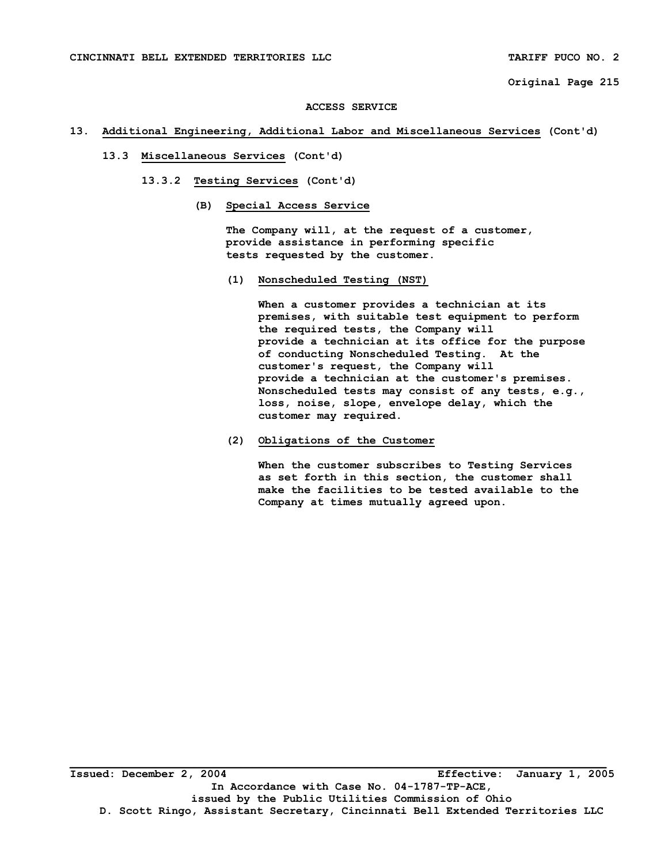#### **ACCESS SERVICE**

### **13. Additional Engineering, Additional Labor and Miscellaneous Services (Cont'd)**

- **13.3 Miscellaneous Services (Cont'd)** 
	- **13.3.2 Testing Services (Cont'd)** 
		- **(B) Special Access Service**

 **The Company will, at the request of a customer, provide assistance in performing specific tests requested by the customer.** 

 **(1) Nonscheduled Testing (NST)** 

 **When a customer provides a technician at its premises, with suitable test equipment to perform the required tests, the Company will provide a technician at its office for the purpose of conducting Nonscheduled Testing. At the customer's request, the Company will provide a technician at the customer's premises. Nonscheduled tests may consist of any tests, e.g., loss, noise, slope, envelope delay, which the customer may required.** 

 **(2) Obligations of the Customer** 

 **When the customer subscribes to Testing Services as set forth in this section, the customer shall make the facilities to be tested available to the Company at times mutually agreed upon.**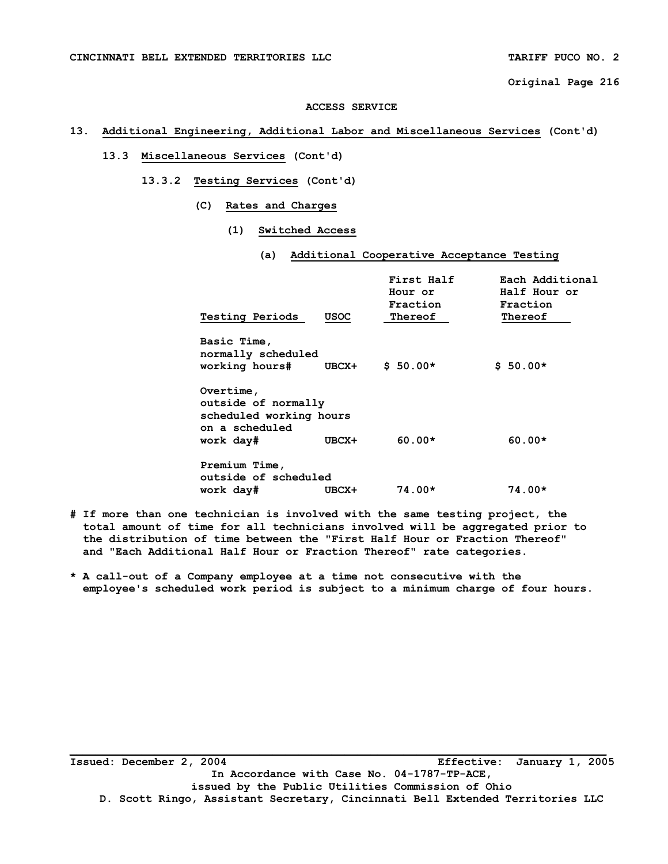#### **ACCESS SERVICE**

# **13. Additional Engineering, Additional Labor and Miscellaneous Services (Cont'd)**

# **13.3 Miscellaneous Services (Cont'd)**

- **13.3.2 Testing Services (Cont'd)** 
	- **(C) Rates and Charges** 
		- **(1) Switched Access** 
			- **(a) Additional Cooperative Acceptance Testing**

| <b>Testing Periods</b>                                                                     | USOC  | First Half<br>Hour or<br>Fraction<br>Thereof | Each Additional<br>Half Hour or<br>Fraction<br>Thereof |
|--------------------------------------------------------------------------------------------|-------|----------------------------------------------|--------------------------------------------------------|
| Basic Time,<br>normally scheduled<br>working hours#                                        | UBCX+ | $$50.00*$                                    | $$50.00*$                                              |
| Overtime,<br>outside of normally<br>scheduled working hours<br>on a scheduled<br>work day# | UBCX+ | $60.00*$                                     | $60.00*$                                               |
| Premium Time,<br>outside of scheduled<br>work day#                                         | UBCX+ | $74.00*$                                     | 74.00*                                                 |

- **# If more than one technician is involved with the same testing project, the total amount of time for all technicians involved will be aggregated prior to the distribution of time between the "First Half Hour or Fraction Thereof" and "Each Additional Half Hour or Fraction Thereof" rate categories.**
- **\* A call-out of a Company employee at a time not consecutive with the employee's scheduled work period is subject to a minimum charge of four hours.**

**Issued: December 2, 2004 Effective: January 1, 2005 In Accordance with Case No. 04-1787-TP-ACE, issued by the Public Utilities Commission of Ohio D. Scott Ringo, Assistant Secretary, Cincinnati Bell Extended Territories LLC**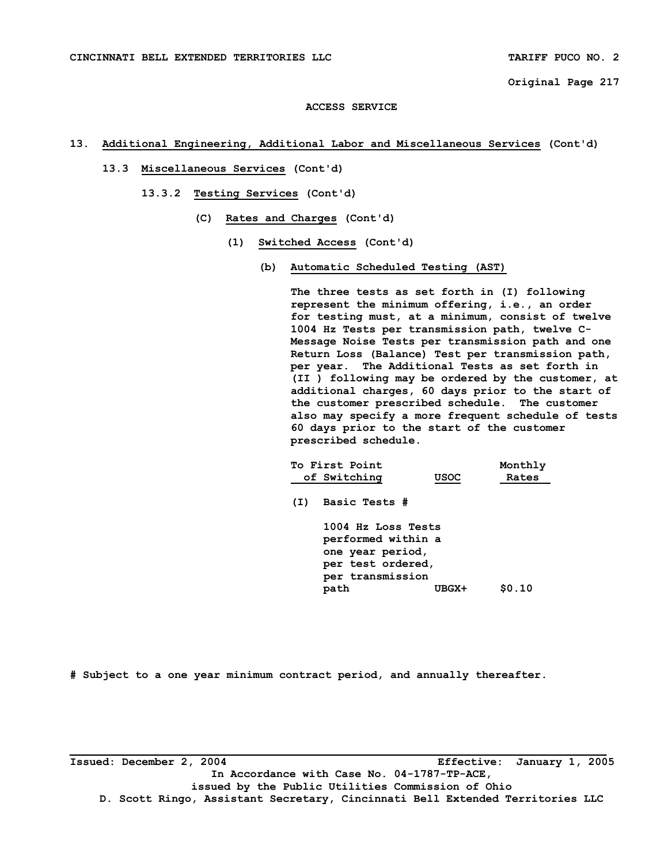### **ACCESS SERVICE**

# **13. Additional Engineering, Additional Labor and Miscellaneous Services (Cont'd)**

- **13.3 Miscellaneous Services (Cont'd)** 
	- **13.3.2 Testing Services (Cont'd)** 
		- **(C) Rates and Charges (Cont'd)** 
			- **(1) Switched Access (Cont'd)** 
				- **(b) Automatic Scheduled Testing (AST)**

 **The three tests as set forth in (I) following represent the minimum offering, i.e., an order for testing must, at a minimum, consist of twelve 1004 Hz Tests per transmission path, twelve C- Message Noise Tests per transmission path and one Return Loss (Balance) Test per transmission path, per year. The Additional Tests as set forth in (II ) following may be ordered by the customer, at additional charges, 60 days prior to the start of the customer prescribed schedule. The customer also may specify a more frequent schedule of tests 60 days prior to the start of the customer prescribed schedule.** 

|     | To First Point                                                                                                |             | Monthly |
|-----|---------------------------------------------------------------------------------------------------------------|-------------|---------|
|     | of Switching                                                                                                  | <b>USOC</b> | Rates   |
| (I) | Basic Tests #                                                                                                 |             |         |
|     | 1004 Hz Loss Tests<br>performed within a<br>one year period,<br>per test ordered,<br>per transmission<br>path | UBGX+       | \$0.10  |
|     |                                                                                                               |             |         |

**# Subject to a one year minimum contract period, and annually thereafter.** 

**Issued: December 2, 2004 Effective: January 1, 2005 In Accordance with Case No. 04-1787-TP-ACE, issued by the Public Utilities Commission of Ohio D. Scott Ringo, Assistant Secretary, Cincinnati Bell Extended Territories LLC**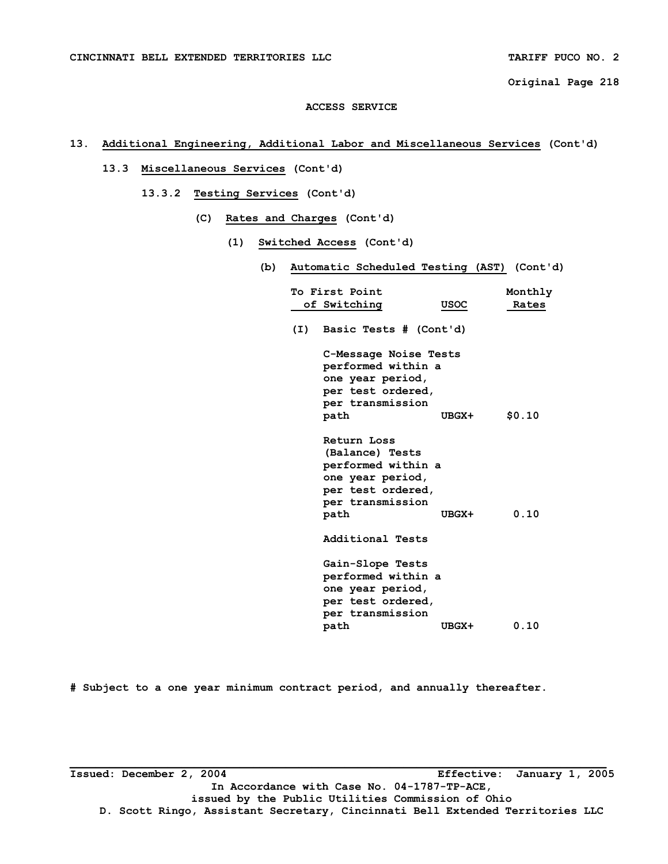### **ACCESS SERVICE**

# **13. Additional Engineering, Additional Labor and Miscellaneous Services (Cont'd)**

- **13.3 Miscellaneous Services (Cont'd)** 
	- **13.3.2 Testing Services (Cont'd)** 
		- **(C) Rates and Charges (Cont'd)** 
			- **(1) Switched Access (Cont'd)** 
				- **(b) Automatic Scheduled Testing (AST) (Cont'd)**

|     | To First Point                                                                                |             | Monthly |
|-----|-----------------------------------------------------------------------------------------------|-------------|---------|
|     | of Switching                                                                                  | <b>USOC</b> | Rates   |
| (I) | Basic Tests # (Cont'd)                                                                        |             |         |
|     | C-Message Noise Tests<br>performed within a<br>one year period,                               |             |         |
|     | per test ordered,                                                                             |             |         |
|     | per transmission                                                                              |             |         |
|     | path                                                                                          | UBGX+       | \$0.10  |
|     | Return Loss<br>(Balance) Tests<br>performed within a<br>one year period,<br>per test ordered, |             |         |
|     | per transmission                                                                              |             |         |
|     | path                                                                                          | UBGX+       | 0.10    |
|     | Additional Tests                                                                              |             |         |
|     | Gain-Slope Tests                                                                              |             |         |
|     | performed within a                                                                            |             |         |
|     | one year period,                                                                              |             |         |
|     | per test ordered,                                                                             |             |         |
|     | per transmission                                                                              |             |         |
|     | path                                                                                          | UBGX+       | 0.10    |

**# Subject to a one year minimum contract period, and annually thereafter.** 

**Issued: December 2, 2004 Effective: January 1, 2005 In Accordance with Case No. 04-1787-TP-ACE, issued by the Public Utilities Commission of Ohio D. Scott Ringo, Assistant Secretary, Cincinnati Bell Extended Territories LLC**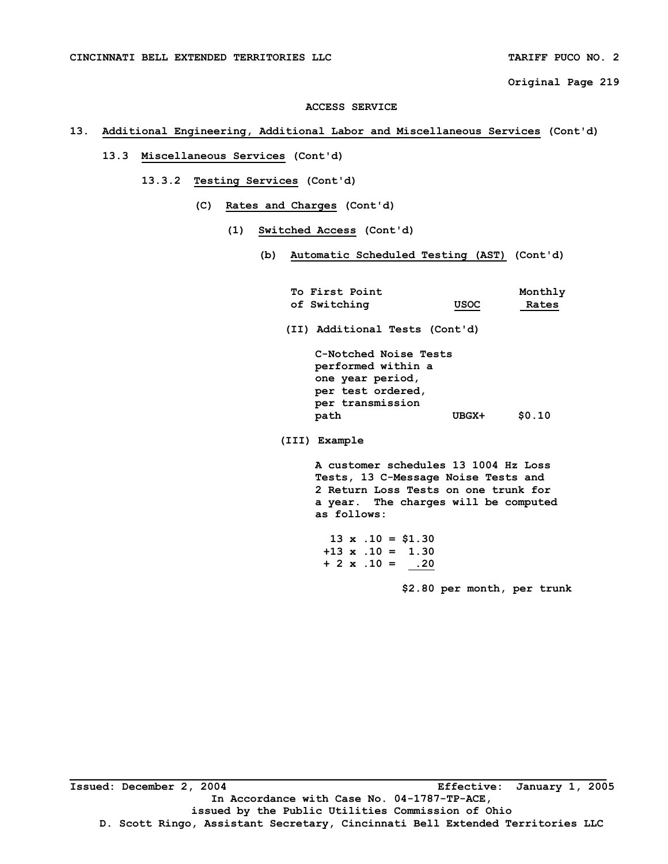#### **ACCESS SERVICE**

# **13. Additional Engineering, Additional Labor and Miscellaneous Services (Cont'd)**

# **13.3 Miscellaneous Services (Cont'd)**

- **13.3.2 Testing Services (Cont'd)** 
	- **(C) Rates and Charges (Cont'd)** 
		- **(1) Switched Access (Cont'd)** 
			- **(b) Automatic Scheduled Testing (AST) (Cont'd)**

| <b>To First Point</b>                                                                                               |             | Monthly |
|---------------------------------------------------------------------------------------------------------------------|-------------|---------|
| of Switching                                                                                                        | <b>USOC</b> | Rates   |
| (II) Additional Tests (Cont'd)                                                                                      |             |         |
| C-Notched Noise Tests<br>performed within a<br>one year period,<br>per test ordered,<br>per transmission<br>path    | UBGX+       | \$0.10  |
| (III) Example                                                                                                       |             |         |
| A customer schedules 13 1004 Hz Loss<br>Tests, 13 C-Message Noise Tests and<br>2 Return Loss Tests on one trunk for |             |         |

 **2 Return Loss Tests on one trunk for a year. The charges will be computed as follows:** 

 **13 x .10 = \$1.30 +13 x .10 = 1.30**   $+ 2 \times .10 = -20$ 

 **\$2.80 per month, per trunk**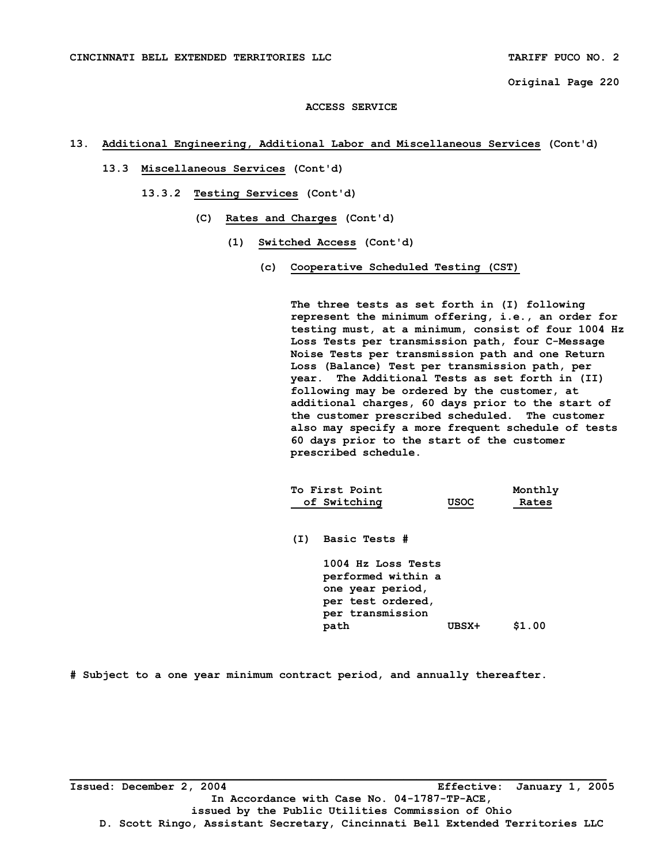### **ACCESS SERVICE**

# **13. Additional Engineering, Additional Labor and Miscellaneous Services (Cont'd)**

- **13.3 Miscellaneous Services (Cont'd)** 
	- **13.3.2 Testing Services (Cont'd)** 
		- **(C) Rates and Charges (Cont'd)** 
			- **(1) Switched Access (Cont'd)** 
				- **(c) Cooperative Scheduled Testing (CST)**

 **The three tests as set forth in (I) following represent the minimum offering, i.e., an order for testing must, at a minimum, consist of four 1004 Hz Loss Tests per transmission path, four C-Message Noise Tests per transmission path and one Return Loss (Balance) Test per transmission path, per year. The Additional Tests as set forth in (II) following may be ordered by the customer, at additional charges, 60 days prior to the start of the customer prescribed scheduled. The customer also may specify a more frequent schedule of tests 60 days prior to the start of the customer prescribed schedule.** 

| To First Point |      | Monthly |
|----------------|------|---------|
| of Switching   | USOC | Rates   |

 **(I) Basic Tests #** 

 **1004 Hz Loss Tests performed within a one year period, per test ordered, per transmission path UBSX+ \$1.00** 

**# Subject to a one year minimum contract period, and annually thereafter.**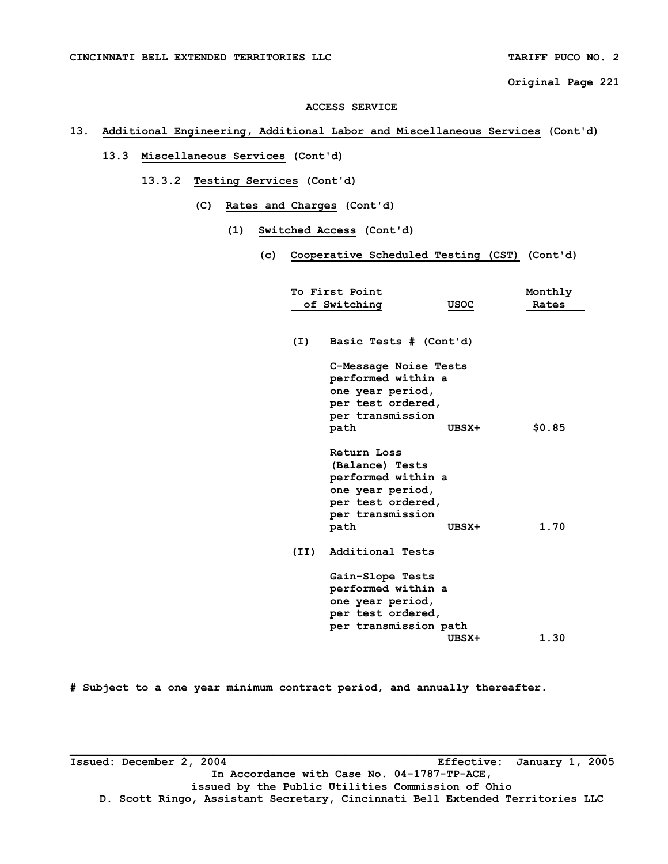#### **ACCESS SERVICE**

# **13. Additional Engineering, Additional Labor and Miscellaneous Services (Cont'd)**

# **13.3 Miscellaneous Services (Cont'd)**

- **13.3.2 Testing Services (Cont'd)** 
	- **(C) Rates and Charges (Cont'd)** 
		- **(1) Switched Access (Cont'd)** 
			- **(c) Cooperative Scheduled Testing (CST) (Cont'd)**

|      | To First Point<br>of Switching                                                                                            | <b>USOC</b> | Monthly<br>Rates |
|------|---------------------------------------------------------------------------------------------------------------------------|-------------|------------------|
|      |                                                                                                                           |             |                  |
| (I)  | Basic Tests # (Cont'd)                                                                                                    |             |                  |
|      | C-Message Noise Tests<br>performed within a                                                                               |             |                  |
|      | one year period,<br>per test ordered,                                                                                     |             |                  |
|      | per transmission<br>path                                                                                                  | UBSX+       | \$0.85           |
|      | Return Loss<br>(Balance) Tests<br>performed within a<br>one year period,<br>per test ordered,<br>per transmission<br>path | UBSX+       | 1.70             |
| (II) | Additional Tests                                                                                                          |             |                  |
|      | Gain-Slope Tests<br>performed within a<br>one year period,<br>per test ordered,<br>per transmission path                  | UBSX+       | 1.30             |

**# Subject to a one year minimum contract period, and annually thereafter.** 

**Issued: December 2, 2004 Effective: January 1, 2005 In Accordance with Case No. 04-1787-TP-ACE, issued by the Public Utilities Commission of Ohio D. Scott Ringo, Assistant Secretary, Cincinnati Bell Extended Territories LLC**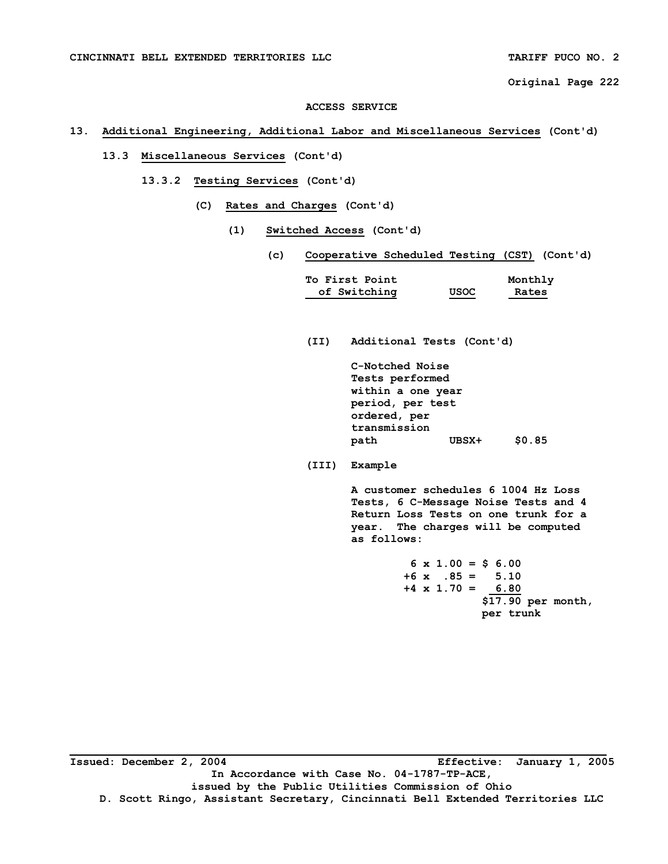#### **ACCESS SERVICE**

# **13. Additional Engineering, Additional Labor and Miscellaneous Services (Cont'd)**

# **13.3 Miscellaneous Services (Cont'd)**

- **13.3.2 Testing Services (Cont'd)** 
	- **(C) Rates and Charges (Cont'd)** 
		- **(1) Switched Access (Cont'd)** 
			- **(c) Cooperative Scheduled Testing (CST) (Cont'd)**

| <b>To First Point</b> |             | Monthly |
|-----------------------|-------------|---------|
| of Switching          | <b>USOC</b> | Rates   |

 **(II) Additional Tests (Cont'd)** 

 **C-Notched Noise Tests performed within a one year period, per test ordered, per transmission path UBSX+ \$0.85** 

 **(III) Example** 

 **A customer schedules 6 1004 Hz Loss Tests, 6 C-Message Noise Tests and 4 Return Loss Tests on one trunk for a year. The charges will be computed as follows:** 

|                         | $6 \times 1.00 = $ 6.00$ |
|-------------------------|--------------------------|
| $+6$ x $.85 = 5.10$     |                          |
| $+4 \times 1.70 = 6.80$ |                          |
|                         | $$17.90$ per month,      |
|                         | per trunk                |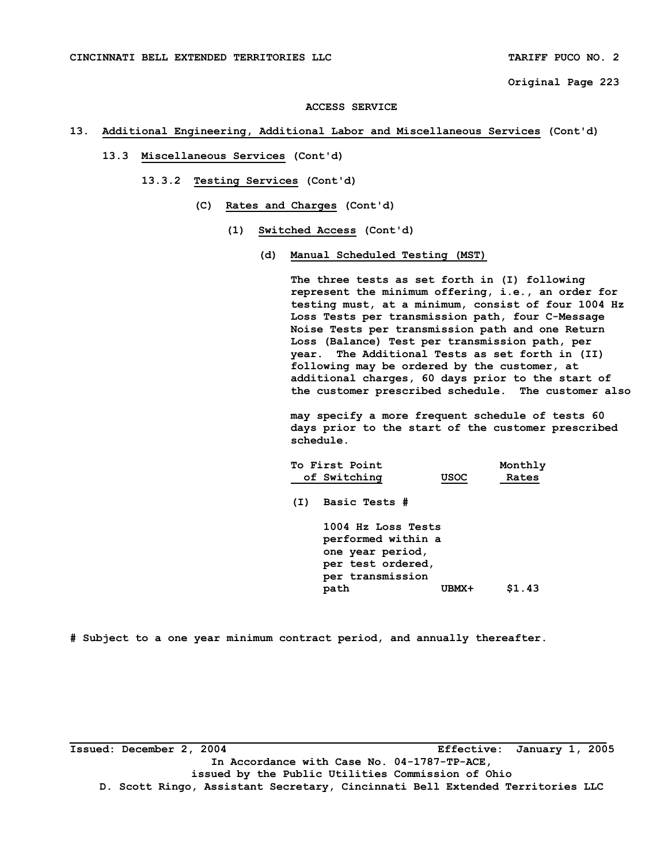#### **ACCESS SERVICE**

### **13. Additional Engineering, Additional Labor and Miscellaneous Services (Cont'd)**

- **13.3 Miscellaneous Services (Cont'd)** 
	- **13.3.2 Testing Services (Cont'd)** 
		- **(C) Rates and Charges (Cont'd)** 
			- **(1) Switched Access (Cont'd)** 
				- **(d) Manual Scheduled Testing (MST)**

 **The three tests as set forth in (I) following represent the minimum offering, i.e., an order for testing must, at a minimum, consist of four 1004 Hz Loss Tests per transmission path, four C-Message Noise Tests per transmission path and one Return Loss (Balance) Test per transmission path, per year. The Additional Tests as set forth in (II) following may be ordered by the customer, at additional charges, 60 days prior to the start of the customer prescribed schedule. The customer also**

 **may specify a more frequent schedule of tests 60 days prior to the start of the customer prescribed schedule.** 

|     | To First Point<br>of Switching                                                                        | <b>USOC</b> | Monthly<br>Rates |
|-----|-------------------------------------------------------------------------------------------------------|-------------|------------------|
| (I) | <b>Basic Tests #</b>                                                                                  |             |                  |
|     | 1004 Hz Loss Tests<br>performed within a<br>one year period,<br>per test ordered,<br>per transmission |             |                  |
|     | path                                                                                                  | UBMX+       | \$1.43           |

**# Subject to a one year minimum contract period, and annually thereafter.**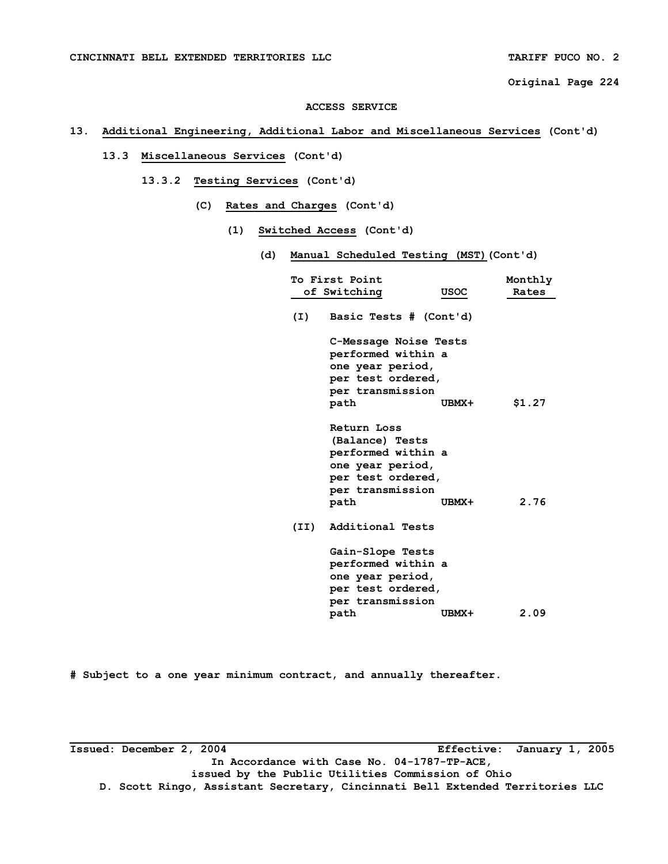#### **ACCESS SERVICE**

# **13. Additional Engineering, Additional Labor and Miscellaneous Services (Cont'd)**

# **13.3 Miscellaneous Services (Cont'd)**

- **13.3.2 Testing Services (Cont'd)** 
	- **(C) Rates and Charges (Cont'd)** 
		- **(1) Switched Access (Cont'd)** 
			- **(d) Manual Scheduled Testing (MST)(Cont'd)**

| To First Point<br>of Switching                                                                                   | <b>USOC</b>            | Monthly<br>Rates |
|------------------------------------------------------------------------------------------------------------------|------------------------|------------------|
| (I)                                                                                                              | Basic Tests # (Cont'd) |                  |
| C-Message Noise Tests<br>performed within a<br>one year period,<br>per test ordered,<br>per transmission<br>path | UBMX+                  | \$1.27           |
|                                                                                                                  |                        |                  |
| Return Loss<br>(Balance) Tests                                                                                   |                        |                  |
| performed within a<br>one year period,<br>per test ordered,<br>per transmission                                  |                        |                  |
| path                                                                                                             | UBMX+                  | 2.76             |
| Additional Tests<br>(II)                                                                                         |                        |                  |
| Gain-Slope Tests<br>performed within a                                                                           |                        |                  |
| one year period,<br>per test ordered,<br>per transmission                                                        |                        |                  |
| path                                                                                                             | UBMX+                  | 2.09             |

**# Subject to a one year minimum contract, and annually thereafter.**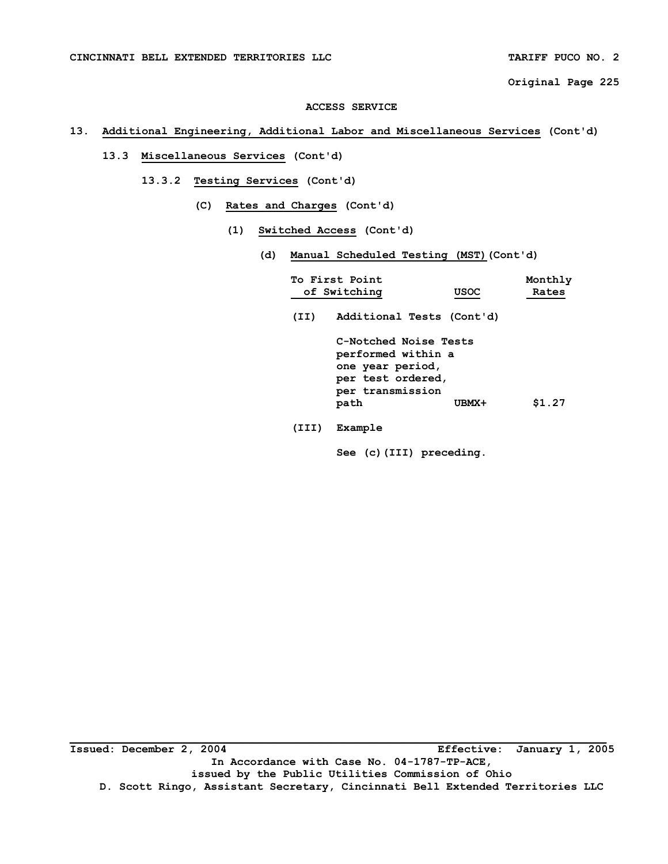#### **ACCESS SERVICE**

# **13. Additional Engineering, Additional Labor and Miscellaneous Services (Cont'd)**

# **13.3 Miscellaneous Services (Cont'd)**

- **13.3.2 Testing Services (Cont'd)** 
	- **(C) Rates and Charges (Cont'd)** 
		- **(1) Switched Access (Cont'd)** 
			- **(d) Manual Scheduled Testing (MST)(Cont'd)**

|       | To First Point<br>of Switching                                                                                   | <b>USOC</b> | Monthly<br>Rates |
|-------|------------------------------------------------------------------------------------------------------------------|-------------|------------------|
| (II)  | Additional Tests (Cont'd)                                                                                        |             |                  |
|       | C-Notched Noise Tests<br>performed within a<br>one year period,<br>per test ordered,<br>per transmission<br>path | UBMX+       | \$1.27           |
| (III) | Example                                                                                                          |             |                  |

 **See (c)(III) preceding.**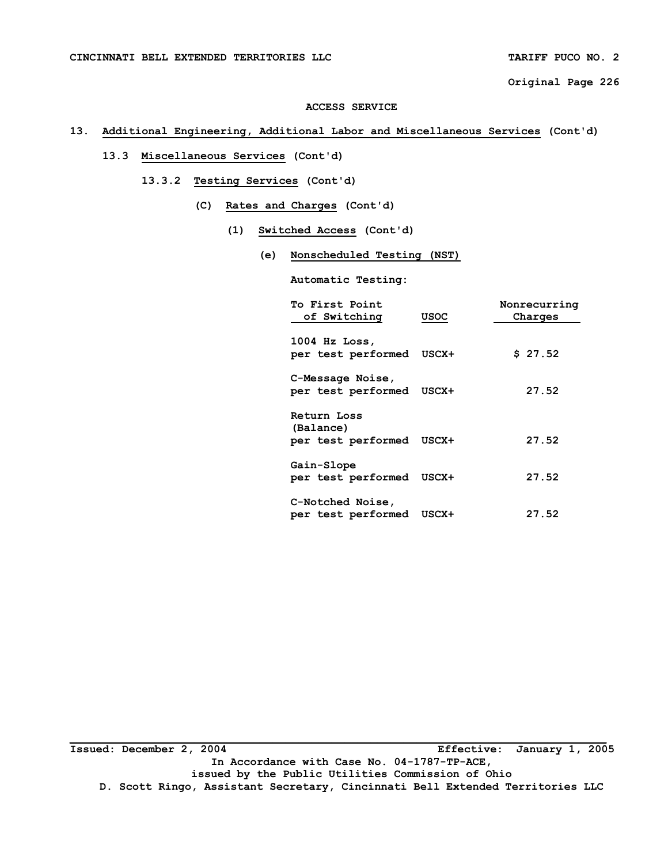#### **ACCESS SERVICE**

# **13. Additional Engineering, Additional Labor and Miscellaneous Services (Cont'd)**

# **13.3 Miscellaneous Services (Cont'd)**

- **13.3.2 Testing Services (Cont'd)** 
	- **(C) Rates and Charges (Cont'd)** 
		- **(1) Switched Access (Cont'd)** 
			- **(e) Nonscheduled Testing (NST)**

 **Automatic Testing:** 

| To First Point<br>of Switching                 | <b>USOC</b> | Nonrecurring<br>Charges |
|------------------------------------------------|-------------|-------------------------|
| 1004 Hz Loss,                                  |             |                         |
| per test performed USCX+                       |             | \$27.52                 |
| C-Message Noise,                               |             |                         |
| per test performed USCX+                       |             | 27.52                   |
| Return Loss<br>(Balance)<br>per test performed | USCX+       | 27.52                   |
| Gain-Slope<br>per test performed USCX+         |             | 27.52                   |
| C-Notched Noise,<br>per test performed         | USCX+       | 27.52                   |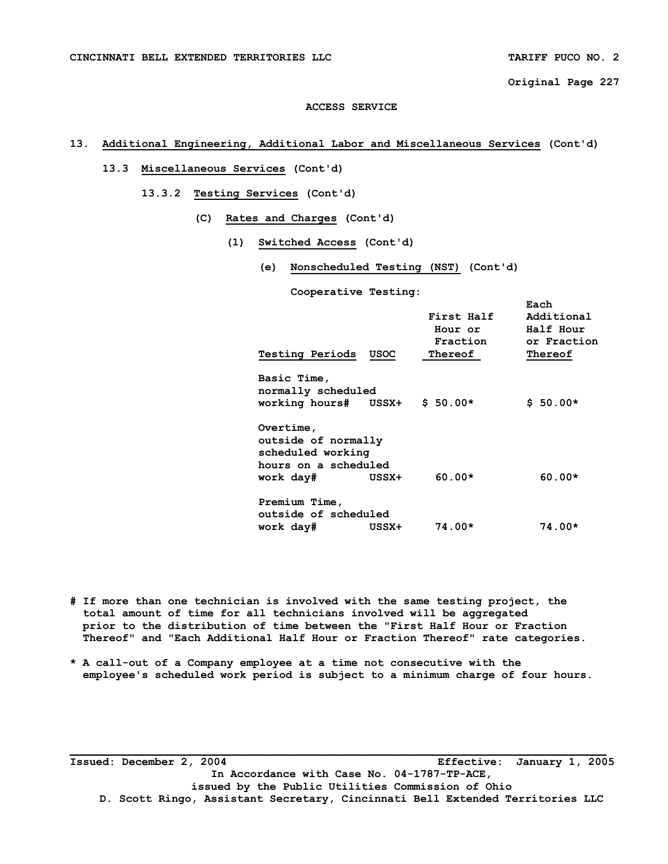### **ACCESS SERVICE**

# **13. Additional Engineering, Additional Labor and Miscellaneous Services (Cont'd)**

- **13.3 Miscellaneous Services (Cont'd)** 
	- **13.3.2 Testing Services (Cont'd)** 
		- **(C) Rates and Charges (Cont'd)** 
			- **(1) Switched Access (Cont'd)** 
				- **(e) Nonscheduled Testing (NST) (Cont'd)**

 **Cooperative Testing:** 

| <b>Testing Periods</b><br>USOC                                                                      | First Half<br>Hour or<br>Fraction<br>Thereof | Each<br>Additional<br>Half Hour<br>or Fraction<br>Thereof |
|-----------------------------------------------------------------------------------------------------|----------------------------------------------|-----------------------------------------------------------|
| Basic Time,<br>normally scheduled<br>working hours# USSX+                                           | $$50.00*$                                    | $$50.00*$                                                 |
| Overtime,<br>outside of normally<br>scheduled working<br>hours on a scheduled<br>work day#<br>USSX+ | $60.00*$                                     | $60.00*$                                                  |
| Premium Time,<br>outside of scheduled<br>work day#<br>USSX+                                         | $74.00*$                                     | 74.00*                                                    |

- **# If more than one technician is involved with the same testing project, the total amount of time for all technicians involved will be aggregated prior to the distribution of time between the "First Half Hour or Fraction Thereof" and "Each Additional Half Hour or Fraction Thereof" rate categories.**
- **\* A call-out of a Company employee at a time not consecutive with the employee's scheduled work period is subject to a minimum charge of four hours.**

**Issued: December 2, 2004 Effective: January 1, 2005 In Accordance with Case No. 04-1787-TP-ACE, issued by the Public Utilities Commission of Ohio D. Scott Ringo, Assistant Secretary, Cincinnati Bell Extended Territories LLC**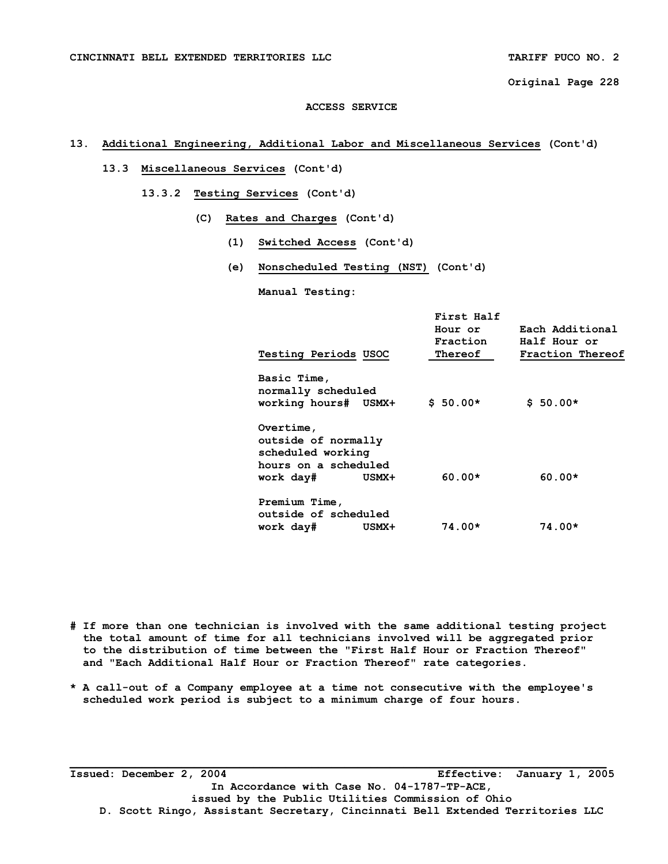### **ACCESS SERVICE**

# **13. Additional Engineering, Additional Labor and Miscellaneous Services (Cont'd)**

- **13.3 Miscellaneous Services (Cont'd)** 
	- **13.3.2 Testing Services (Cont'd)** 
		- **(C) Rates and Charges (Cont'd)** 
			- **(1) Switched Access (Cont'd)**
			- **(e) Nonscheduled Testing (NST) (Cont'd)**

 **Manual Testing:** 

| Testing Periods USOC                                  |       | First Half<br>Hour or<br>Fraction<br>Thereof | Each Additional<br>Half Hour or<br>Fraction Thereof |
|-------------------------------------------------------|-------|----------------------------------------------|-----------------------------------------------------|
| Basic Time,<br>normally scheduled                     |       |                                              |                                                     |
| working hours# USMX+                                  |       | $$50.00*$                                    | $$50.00*$                                           |
| Overtime,<br>outside of normally<br>scheduled working |       |                                              |                                                     |
| hours on a scheduled                                  |       |                                              |                                                     |
| work day#                                             | USMX+ | $60.00*$                                     | $60.00*$                                            |
| Premium Time,<br>outside of scheduled<br>work day#    | USMX+ | $74.00*$                                     | $74.00*$                                            |
|                                                       |       |                                              |                                                     |

**# If more than one technician is involved with the same additional testing project the total amount of time for all technicians involved will be aggregated prior to the distribution of time between the "First Half Hour or Fraction Thereof" and "Each Additional Half Hour or Fraction Thereof" rate categories.** 

**\* A call-out of a Company employee at a time not consecutive with the employee's scheduled work period is subject to a minimum charge of four hours.** 

**Issued: December 2, 2004 Effective: January 1, 2005 In Accordance with Case No. 04-1787-TP-ACE, issued by the Public Utilities Commission of Ohio D. Scott Ringo, Assistant Secretary, Cincinnati Bell Extended Territories LLC**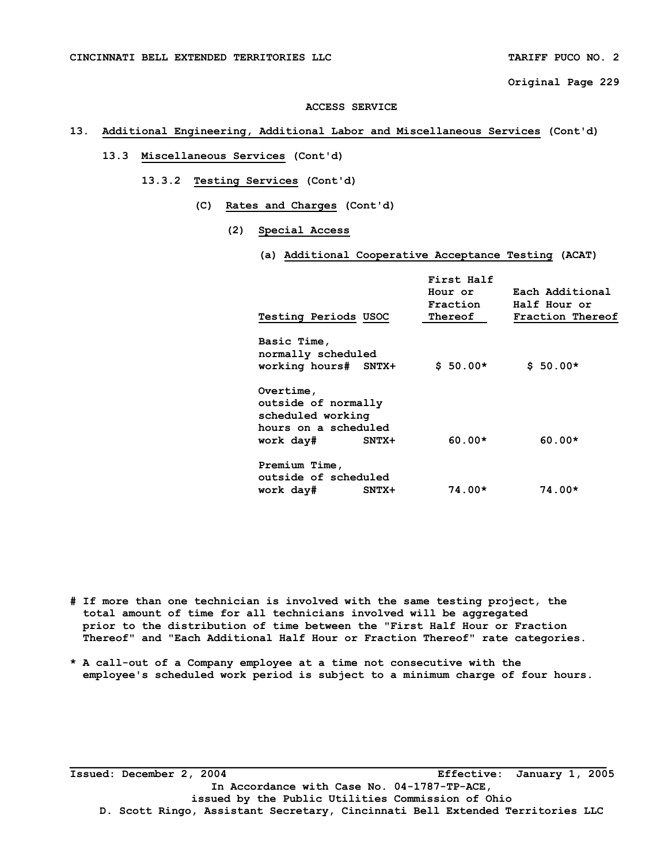#### **ACCESS SERVICE**

# **13. Additional Engineering, Additional Labor and Miscellaneous Services (Cont'd)**

# **13.3 Miscellaneous Services (Cont'd)**

- **13.3.2 Testing Services (Cont'd)** 
	- **(C) Rates and Charges (Cont'd)** 
		- **(2) Special Access** 
			- **(a) Additional Cooperative Acceptance Testing (ACAT)**

| <b>Testing Periods USOC</b>                                                                           | First Half<br>Hour or<br>Fraction<br>Thereof | Each Additional<br>Half Hour or<br>Fraction Thereof |
|-------------------------------------------------------------------------------------------------------|----------------------------------------------|-----------------------------------------------------|
| Basic Time,<br>normally scheduled<br>working hours# SNTX+                                             | $$50.00*$                                    | $$50.00*$                                           |
| Overtime,<br>outside of normally<br>scheduled working<br>hours on a scheduled<br>work day#<br>$SNTX+$ | $60.00*$                                     | $60.00*$                                            |
| Premium Time,<br>outside of scheduled<br>work day#<br>$SNTX+$                                         | $74.00*$                                     | $74.00*$                                            |

- **# If more than one technician is involved with the same testing project, the total amount of time for all technicians involved will be aggregated prior to the distribution of time between the "First Half Hour or Fraction Thereof" and "Each Additional Half Hour or Fraction Thereof" rate categories.**
- **\* A call-out of a Company employee at a time not consecutive with the employee's scheduled work period is subject to a minimum charge of four hours.**

**Issued: December 2, 2004 Effective: January 1, 2005 In Accordance with Case No. 04-1787-TP-ACE, issued by the Public Utilities Commission of Ohio D. Scott Ringo, Assistant Secretary, Cincinnati Bell Extended Territories LLC**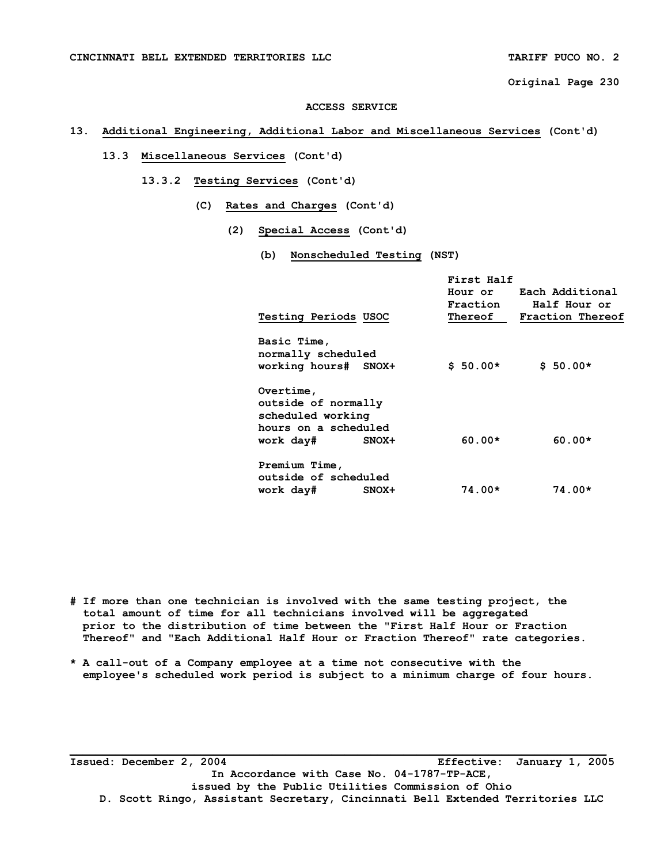#### **ACCESS SERVICE**

# **13. Additional Engineering, Additional Labor and Miscellaneous Services (Cont'd)**

# **13.3 Miscellaneous Services (Cont'd)**

- **13.3.2 Testing Services (Cont'd)** 
	- **(C) Rates and Charges (Cont'd)** 
		- **(2) Special Access (Cont'd)** 
			- **(b) Nonscheduled Testing (NST)**

| <b>Testing Periods USOC</b>                                                                |       | First Half<br>Fraction<br>Thereof | Hour or Each Additional<br>Half Hour or<br>Fraction Thereof |
|--------------------------------------------------------------------------------------------|-------|-----------------------------------|-------------------------------------------------------------|
| Basic Time,<br>normally scheduled<br>working hours# SNOX+                                  |       | $$50.00*$                         | $$50.00*$                                                   |
| Overtime,<br>outside of normally<br>scheduled working<br>hours on a scheduled<br>work day# | SNOX+ | $60.00*$                          | $60.00*$                                                    |
| Premium Time,<br>outside of scheduled<br>work day#                                         | SNOX+ | $74.00*$                          | $74.00*$                                                    |

- **# If more than one technician is involved with the same testing project, the total amount of time for all technicians involved will be aggregated prior to the distribution of time between the "First Half Hour or Fraction Thereof" and "Each Additional Half Hour or Fraction Thereof" rate categories.**
- **\* A call-out of a Company employee at a time not consecutive with the employee's scheduled work period is subject to a minimum charge of four hours.**

**Issued: December 2, 2004 Effective: January 1, 2005 In Accordance with Case No. 04-1787-TP-ACE, issued by the Public Utilities Commission of Ohio D. Scott Ringo, Assistant Secretary, Cincinnati Bell Extended Territories LLC**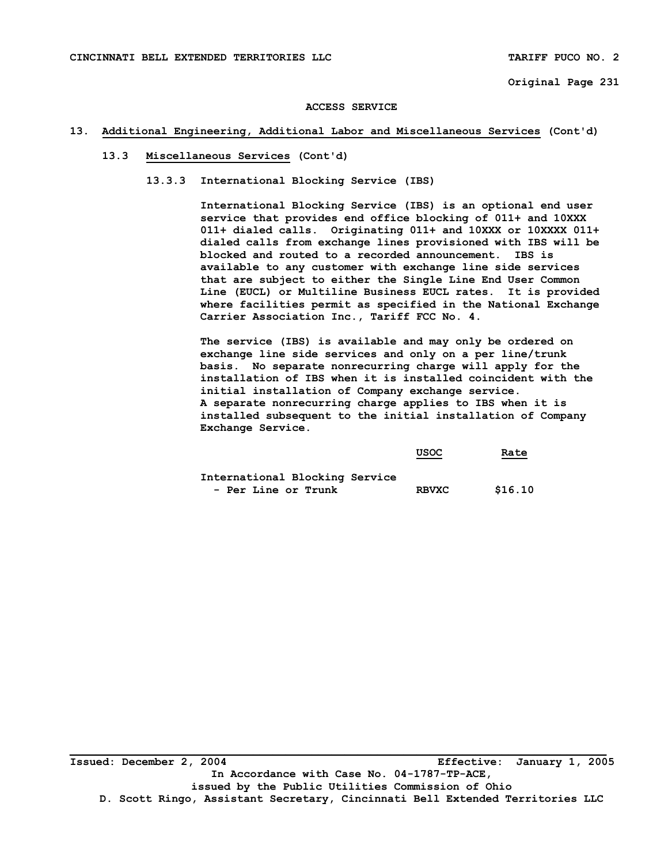#### **ACCESS SERVICE**

### **13. Additional Engineering, Additional Labor and Miscellaneous Services (Cont'd)**

# **13.3 Miscellaneous Services (Cont'd)**

 **13.3.3 International Blocking Service (IBS)** 

 **International Blocking Service (IBS) is an optional end user service that provides end office blocking of 011+ and 10XXX 011+ dialed calls. Originating 011+ and 10XXX or 10XXXX 011+ dialed calls from exchange lines provisioned with IBS will be blocked and routed to a recorded announcement. IBS is available to any customer with exchange line side services that are subject to either the Single Line End User Common Line (EUCL) or Multiline Business EUCL rates. It is provided where facilities permit as specified in the National Exchange Carrier Association Inc., Tariff FCC No. 4.** 

 **The service (IBS) is available and may only be ordered on exchange line side services and only on a per line/trunk basis. No separate nonrecurring charge will apply for the installation of IBS when it is installed coincident with the initial installation of Company exchange service. A separate nonrecurring charge applies to IBS when it is installed subsequent to the initial installation of Company Exchange Service.** 

|                                | <b>USOC</b>  | Rate<br>$\sim$ $\sim$ $\sim$ $\sim$ $\sim$ |
|--------------------------------|--------------|--------------------------------------------|
| International Blocking Service |              |                                            |
| - Per Line or Trunk            | <b>RBVXC</b> | \$16.10                                    |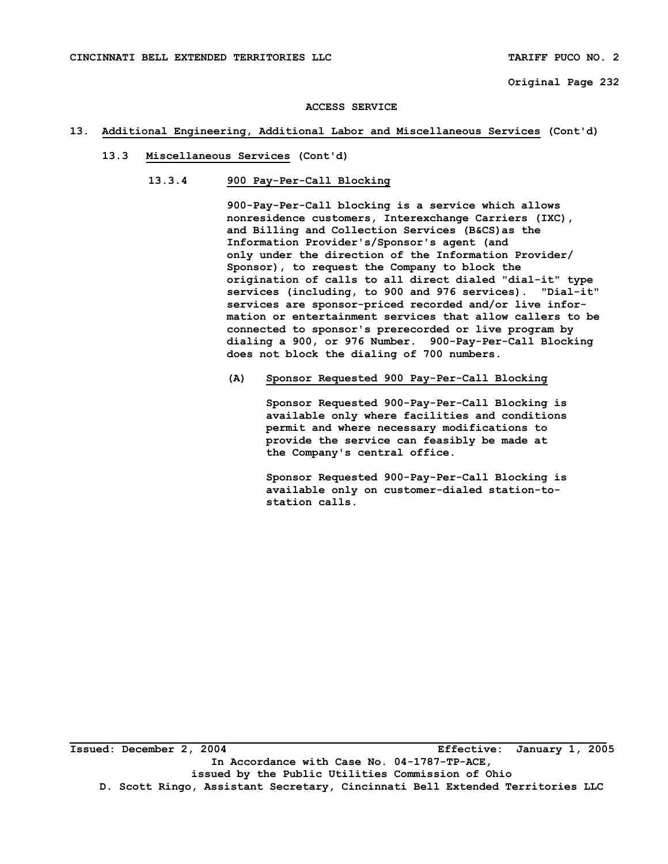#### **ACCESS SERVICE**

### **13. Additional Engineering, Additional Labor and Miscellaneous Services (Cont'd)**

- **13.3 Miscellaneous Services (Cont'd)** 
	- **13.3.4 900 Pay-Per-Call Blocking**

 **900-Pay-Per-Call blocking is a service which allows nonresidence customers, Interexchange Carriers (IXC), and Billing and Collection Services (B&CS)as the Information Provider's/Sponsor's agent (and only under the direction of the Information Provider/ Sponsor), to request the Company to block the origination of calls to all direct dialed "dial-it" type services (including, to 900 and 976 services). "Dial-it" services are sponsor-priced recorded and/or live infor mation or entertainment services that allow callers to be connected to sponsor's prerecorded or live program by dialing a 900, or 976 Number. 900-Pay-Per-Call Blocking does not block the dialing of 700 numbers.** 

 **(A) Sponsor Requested 900 Pay-Per-Call Blocking** 

 **Sponsor Requested 900-Pay-Per-Call Blocking is available only where facilities and conditions permit and where necessary modifications to provide the service can feasibly be made at the Company's central office.** 

 **Sponsor Requested 900-Pay-Per-Call Blocking is available only on customer-dialed station-to station calls.**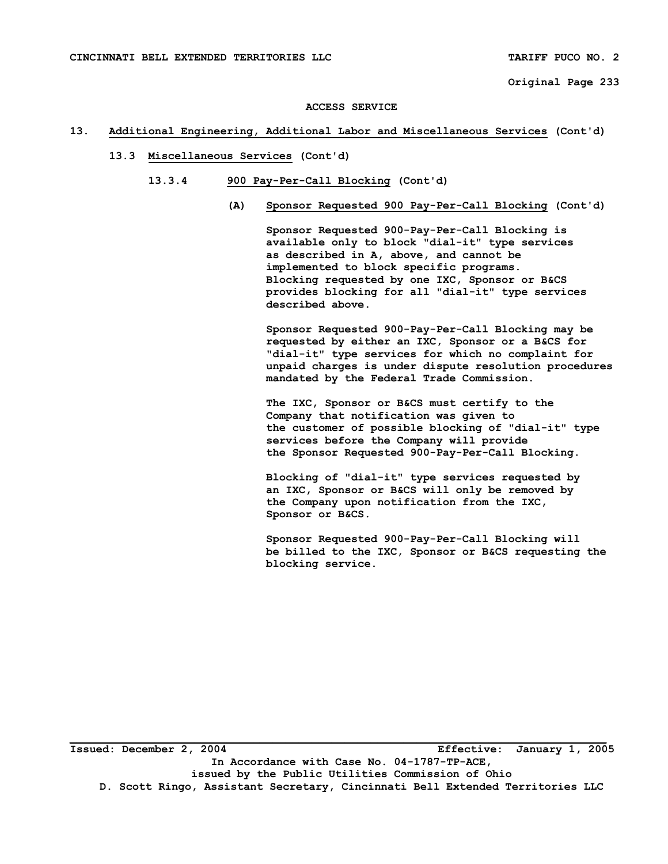#### **ACCESS SERVICE**

### **13. Additional Engineering, Additional Labor and Miscellaneous Services (Cont'd)**

- **13.3 Miscellaneous Services (Cont'd)** 
	- **13.3.4 900 Pay-Per-Call Blocking (Cont'd)** 
		- **(A) Sponsor Requested 900 Pay-Per-Call Blocking (Cont'd)**

 **Sponsor Requested 900-Pay-Per-Call Blocking is available only to block "dial-it" type services as described in A, above, and cannot be implemented to block specific programs. Blocking requested by one IXC, Sponsor or B&CS provides blocking for all "dial-it" type services described above.** 

 **Sponsor Requested 900-Pay-Per-Call Blocking may be requested by either an IXC, Sponsor or a B&CS for "dial-it" type services for which no complaint for unpaid charges is under dispute resolution procedures mandated by the Federal Trade Commission.** 

 **The IXC, Sponsor or B&CS must certify to the Company that notification was given to the customer of possible blocking of "dial-it" type services before the Company will provide the Sponsor Requested 900-Pay-Per-Call Blocking.** 

 **Blocking of "dial-it" type services requested by an IXC, Sponsor or B&CS will only be removed by the Company upon notification from the IXC, Sponsor or B&CS.** 

 **Sponsor Requested 900-Pay-Per-Call Blocking will be billed to the IXC, Sponsor or B&CS requesting the blocking service.**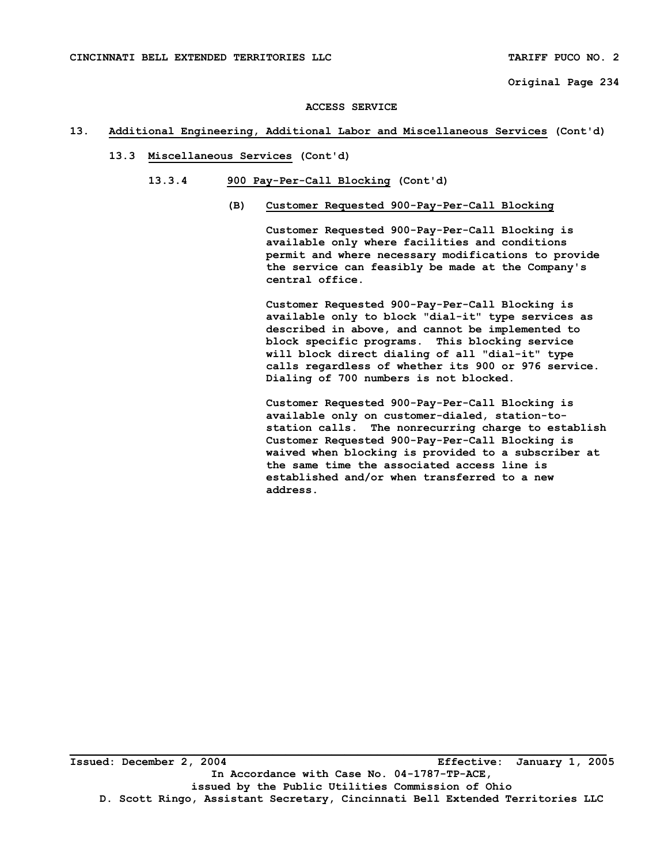#### **ACCESS SERVICE**

### **13. Additional Engineering, Additional Labor and Miscellaneous Services (Cont'd)**

- **13.3 Miscellaneous Services (Cont'd)** 
	- **13.3.4 900 Pay-Per-Call Blocking (Cont'd)** 
		- **(B) Customer Requested 900-Pay-Per-Call Blocking**

 **Customer Requested 900-Pay-Per-Call Blocking is available only where facilities and conditions permit and where necessary modifications to provide the service can feasibly be made at the Company's central office.** 

 **Customer Requested 900-Pay-Per-Call Blocking is available only to block "dial-it" type services as described in above, and cannot be implemented to block specific programs. This blocking service will block direct dialing of all "dial-it" type calls regardless of whether its 900 or 976 service. Dialing of 700 numbers is not blocked.** 

 **Customer Requested 900-Pay-Per-Call Blocking is available only on customer-dialed, station-tostation calls. The nonrecurring charge to establish Customer Requested 900-Pay-Per-Call Blocking is waived when blocking is provided to a subscriber at the same time the associated access line is established and/or when transferred to a new address.**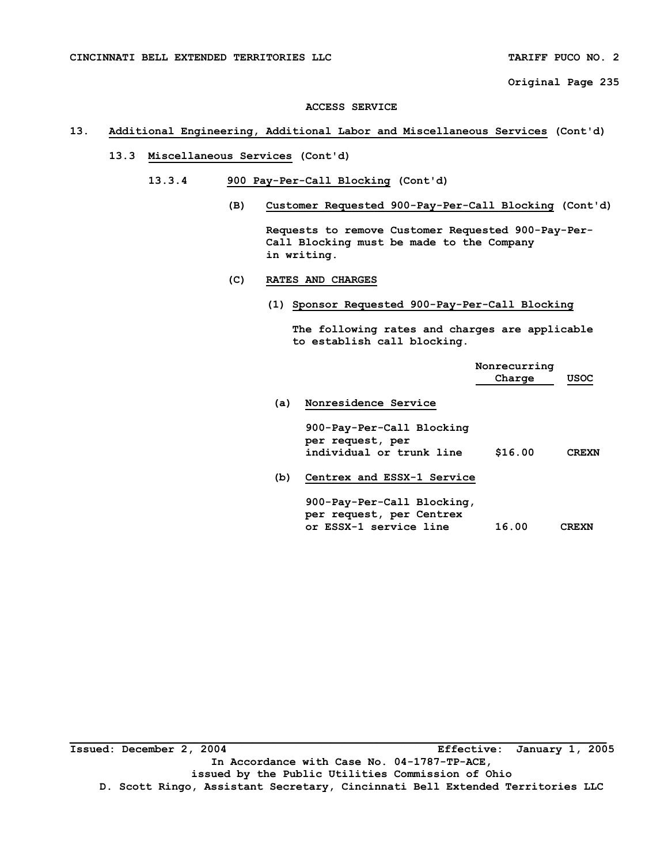#### **ACCESS SERVICE**

# **13. Additional Engineering, Additional Labor and Miscellaneous Services (Cont'd)**

- **13.3 Miscellaneous Services (Cont'd)** 
	- **13.3.4 900 Pay-Per-Call Blocking (Cont'd)** 
		- **(B) Customer Requested 900-Pay-Per-Call Blocking (Cont'd)**

 **Requests to remove Customer Requested 900-Pay-Per- Call Blocking must be made to the Company in writing.** 

- **(C) RATES AND CHARGES** 
	- **(1) Sponsor Requested 900-Pay-Per-Call Blocking**

 **The following rates and charges are applicable to establish call blocking.** 

|     |                                                                           | Nonrecurring<br>Charge | <b>USOC</b>  |
|-----|---------------------------------------------------------------------------|------------------------|--------------|
| (a) | Nonresidence Service                                                      |                        |              |
|     | 900-Pay-Per-Call Blocking<br>per request, per<br>individual or trunk line | \$16.00                | <b>CREXN</b> |
| (b) | Centrex and ESSX-1 Service                                                |                        |              |
|     | 900-Pay-Per-Call Blocking,<br>per request, per Centrex                    |                        |              |

or ESSX-1 service line 16.00 CREXN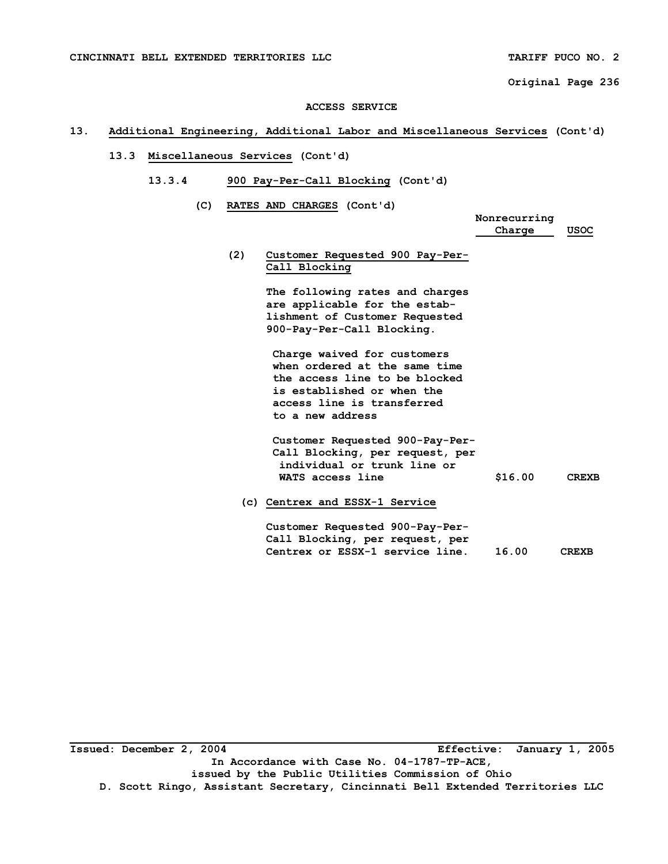#### **ACCESS SERVICE**

### **13. Additional Engineering, Additional Labor and Miscellaneous Services (Cont'd)**

- **13.3 Miscellaneous Services (Cont'd)** 
	- **13.3.4 900 Pay-Per-Call Blocking (Cont'd)**

 **(C) RATES AND CHARGES (Cont'd)** 

 **Nonrecurring Charge USOC** 

 **(2) Customer Requested 900 Pay-Per- Call Blocking** 

> **The following rates and charges are applicable for the estab lishment of Customer Requested 900-Pay-Per-Call Blocking.**

 **Charge waived for customers when ordered at the same time the access line to be blocked is established or when the access line is transferred to a new address** 

 **Customer Requested 900-Pay-Per- Call Blocking, per request, per individual or trunk line or**  WATS access line  $$16.00$  CREXB

 **(c) Centrex and ESSX-1 Service** 

 **Customer Requested 900-Pay-Per- Call Blocking, per request, per Centrex or ESSX-1 service line. 16.00 CREXB**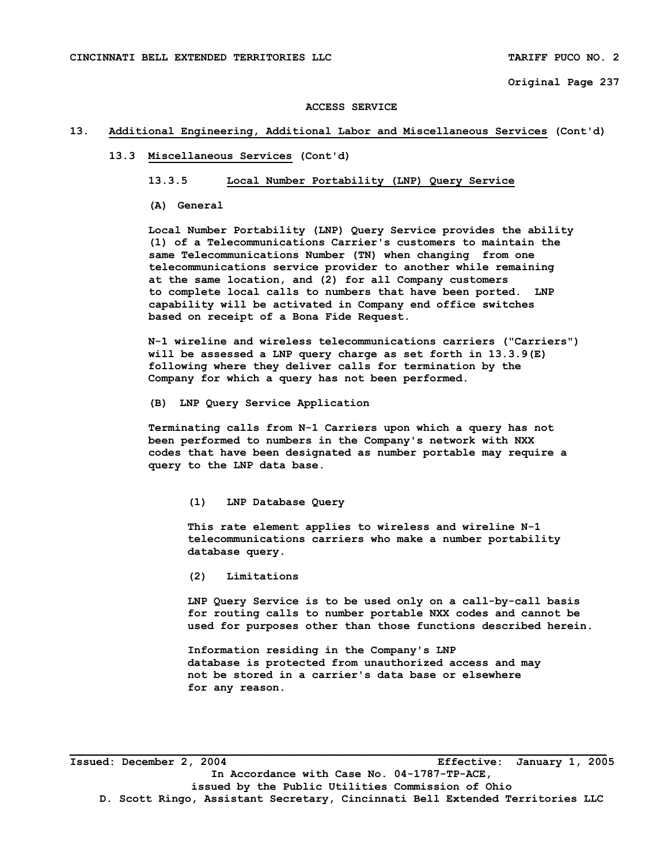#### **ACCESS SERVICE**

#### **13. Additional Engineering, Additional Labor and Miscellaneous Services (Cont'd)**

#### **13.3 Miscellaneous Services (Cont'd)**

#### **13.3.5 Local Number Portability (LNP) Query Service**

**(A) General** 

 **Local Number Portability (LNP) Query Service provides the ability (1) of a Telecommunications Carrier's customers to maintain the same Telecommunications Number (TN) when changing from one telecommunications service provider to another while remaining at the same location, and (2) for all Company customers to complete local calls to numbers that have been ported. LNP capability will be activated in Company end office switches based on receipt of a Bona Fide Request.** 

 **N-1 wireline and wireless telecommunications carriers ("Carriers") will be assessed a LNP query charge as set forth in 13.3.9(E) following where they deliver calls for termination by the Company for which a query has not been performed.** 

**(B) LNP Query Service Application** 

**Terminating calls from N-1 Carriers upon which a query has not been performed to numbers in the Company's network with NXX codes that have been designated as number portable may require a query to the LNP data base.** 

 **(1) LNP Database Query** 

 **This rate element applies to wireless and wireline N-1 telecommunications carriers who make a number portability database query.** 

 **(2) Limitations** 

 **LNP Query Service is to be used only on a call-by-call basis for routing calls to number portable NXX codes and cannot be used for purposes other than those functions described herein.** 

 **Information residing in the Company's LNP database is protected from unauthorized access and may not be stored in a carrier's data base or elsewhere for any reason.** 

**Issued: December 2, 2004 Effective: January 1, 2005 In Accordance with Case No. 04-1787-TP-ACE, issued by the Public Utilities Commission of Ohio D. Scott Ringo, Assistant Secretary, Cincinnati Bell Extended Territories LLC**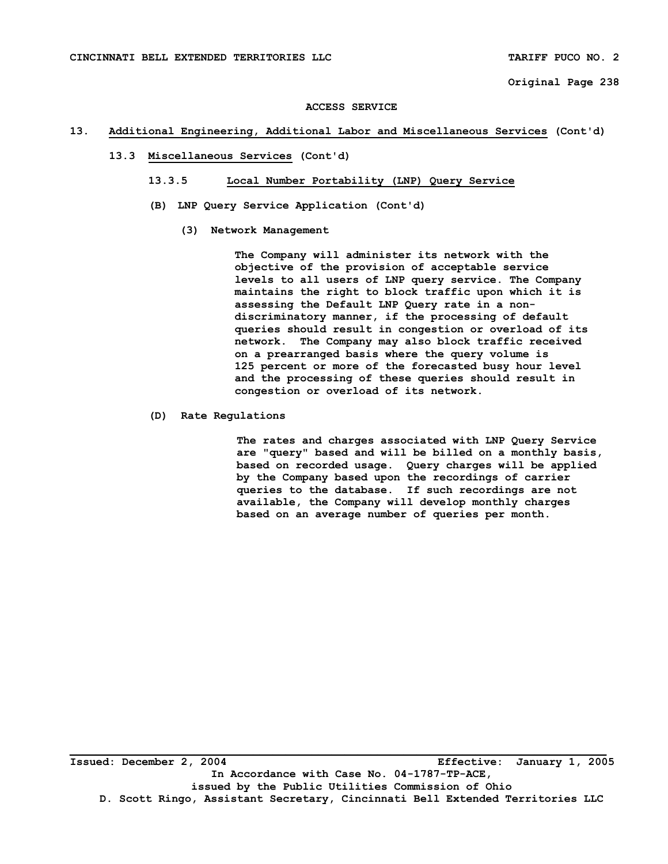#### **ACCESS SERVICE**

#### **13. Additional Engineering, Additional Labor and Miscellaneous Services (Cont'd)**

### **13.3 Miscellaneous Services (Cont'd)**

- **13.3.5 Local Number Portability (LNP) Query Service**
- **(B) LNP Query Service Application (Cont'd)** 
	- **(3) Network Management**

 **The Company will administer its network with the objective of the provision of acceptable service levels to all users of LNP query service. The Company maintains the right to block traffic upon which it is assessing the Default LNP Query rate in a non discriminatory manner, if the processing of default queries should result in congestion or overload of its network. The Company may also block traffic received on a prearranged basis where the query volume is 125 percent or more of the forecasted busy hour level and the processing of these queries should result in congestion or overload of its network.** 

 **(D) Rate Regulations** 

 **The rates and charges associated with LNP Query Service are "query" based and will be billed on a monthly basis, based on recorded usage. Query charges will be applied by the Company based upon the recordings of carrier queries to the database. If such recordings are not available, the Company will develop monthly charges based on an average number of queries per month.**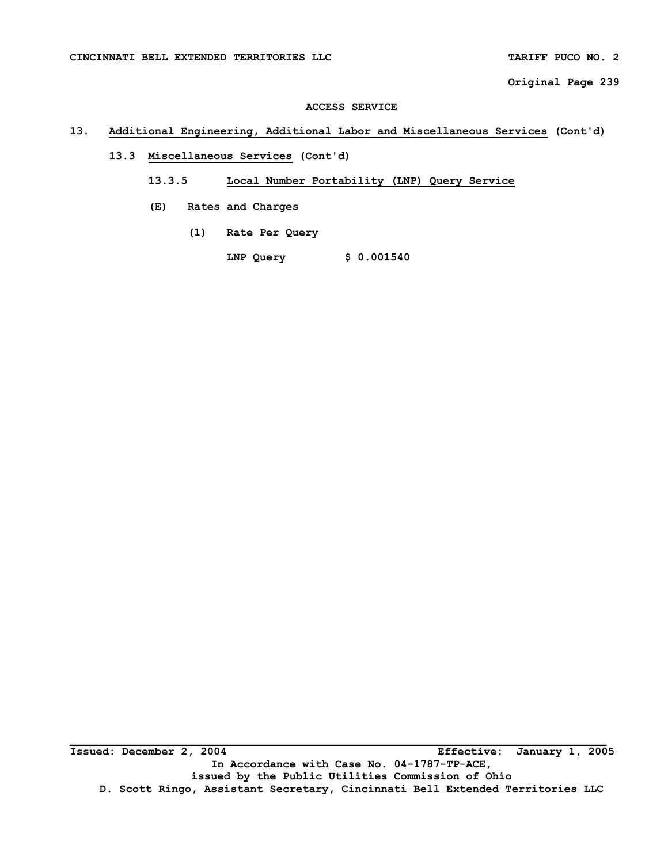#### **ACCESS SERVICE**

## **13. Additional Engineering, Additional Labor and Miscellaneous Services (Cont'd)**

# **13.3 Miscellaneous Services (Cont'd)**

## **13.3.5 Local Number Portability (LNP) Query Service**

- **(E) Rates and Charges** 
	- **(1) Rate Per Query**

 **LNP Query \$ 0.001540** 

**\_\_\_\_\_\_\_\_\_\_\_\_\_\_\_\_\_\_\_\_\_\_\_\_\_\_\_\_\_\_\_\_\_\_\_\_\_\_\_\_\_\_\_\_\_\_\_\_\_\_\_\_\_\_\_\_\_\_\_\_\_\_\_\_\_\_\_\_\_\_\_\_\_\_\_\_\_\_\_\_\_\_ Issued: December 2, 2004 Effective: January 1, 2005 In Accordance with Case No. 04-1787-TP-ACE, issued by the Public Utilities Commission of Ohio D. Scott Ringo, Assistant Secretary, Cincinnati Bell Extended Territories LLC**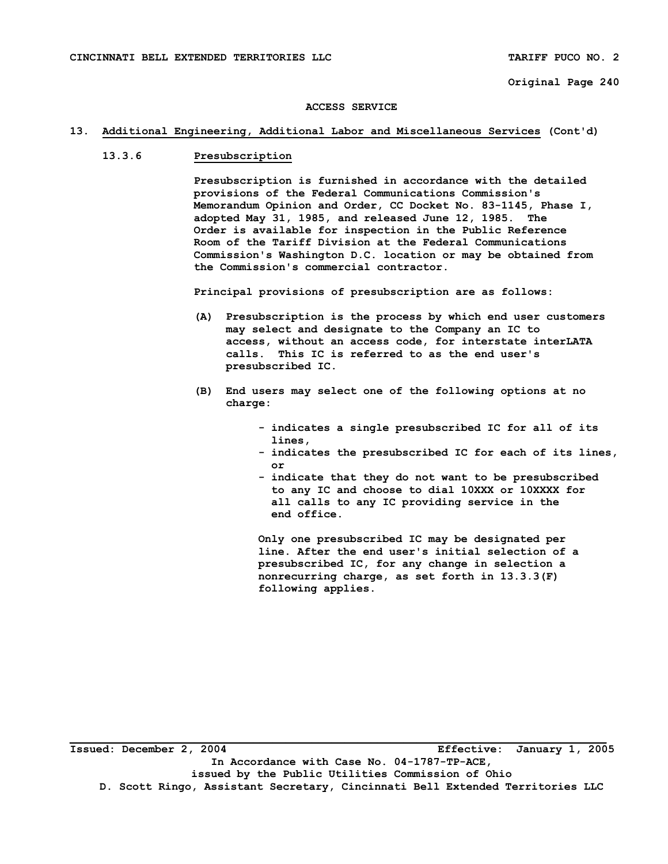#### **ACCESS SERVICE**

#### **13. Additional Engineering, Additional Labor and Miscellaneous Services (Cont'd)**

## **13.3.6 Presubscription**

 **Presubscription is furnished in accordance with the detailed provisions of the Federal Communications Commission's Memorandum Opinion and Order, CC Docket No. 83-1145, Phase I, adopted May 31, 1985, and released June 12, 1985. The Order is available for inspection in the Public Reference Room of the Tariff Division at the Federal Communications Commission's Washington D.C. location or may be obtained from the Commission's commercial contractor.** 

 **Principal provisions of presubscription are as follows:** 

- **(A) Presubscription is the process by which end user customers may select and designate to the Company an IC to access, without an access code, for interstate interLATA calls. This IC is referred to as the end user's presubscribed IC.**
- **(B) End users may select one of the following options at no charge:** 
	- **indicates a single presubscribed IC for all of its lines,**
- **indicates the presubscribed IC for each of its lines, or** 
	- **indicate that they do not want to be presubscribed to any IC and choose to dial 10XXX or 10XXXX for all calls to any IC providing service in the end office.**

 **Only one presubscribed IC may be designated per line. After the end user's initial selection of a presubscribed IC, for any change in selection a nonrecurring charge, as set forth in 13.3.3(F) following applies.**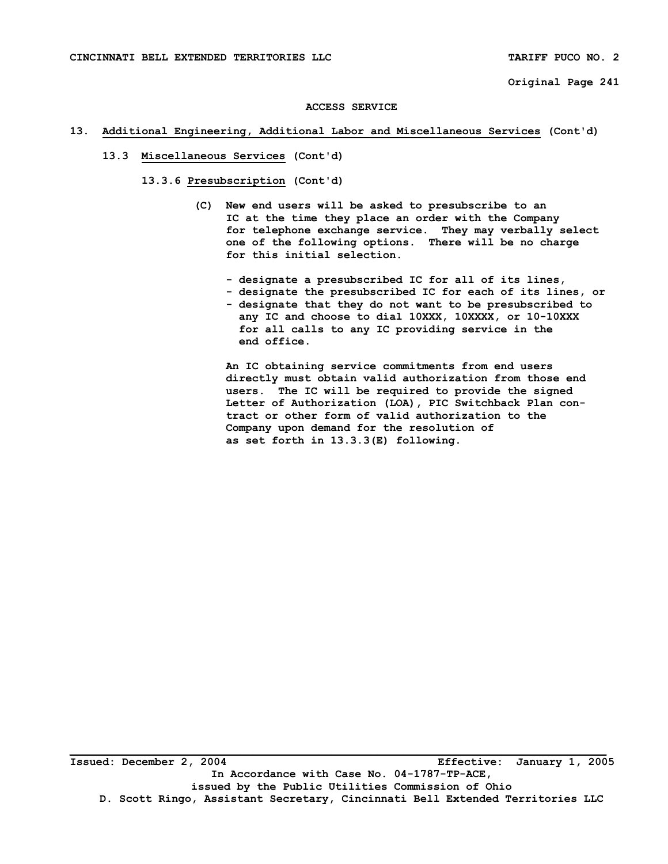#### **ACCESS SERVICE**

#### **13. Additional Engineering, Additional Labor and Miscellaneous Services (Cont'd)**

### **13.3 Miscellaneous Services (Cont'd)**

 **13.3.6 Presubscription (Cont'd)** 

- **(C) New end users will be asked to presubscribe to an IC at the time they place an order with the Company for telephone exchange service. They may verbally select one of the following options. There will be no charge for this initial selection.** 
	- **designate a presubscribed IC for all of its lines,**
	- **designate the presubscribed IC for each of its lines, or - designate that they do not want to be presubscribed to any IC and choose to dial 10XXX, 10XXXX, or 10-10XXX for all calls to any IC providing service in the end office.**

 **An IC obtaining service commitments from end users directly must obtain valid authorization from those end users. The IC will be required to provide the signed Letter of Authorization (LOA), PIC Switchback Plan con tract or other form of valid authorization to the Company upon demand for the resolution of as set forth in 13.3.3(E) following.**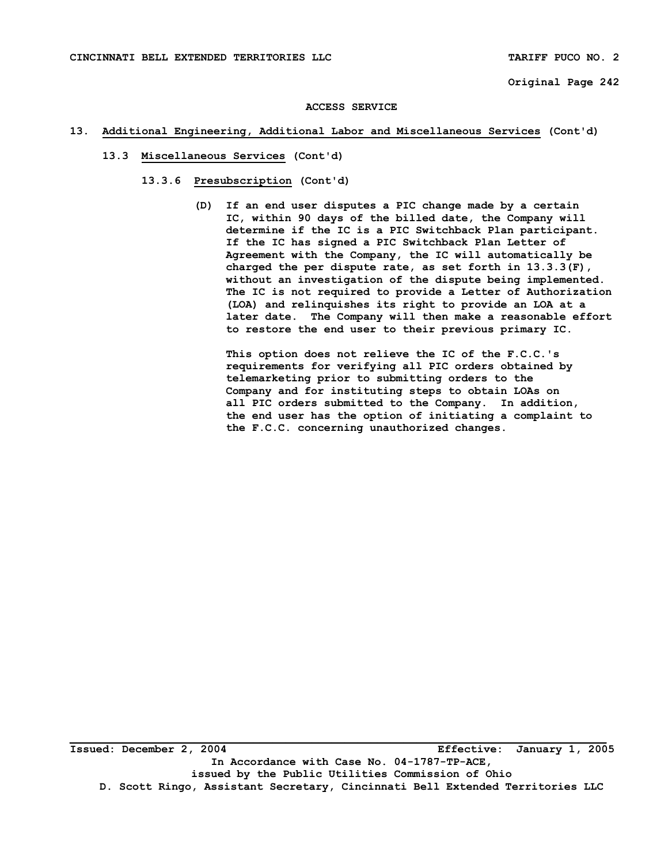### **13. Additional Engineering, Additional Labor and Miscellaneous Services (Cont'd)**

- **13.3 Miscellaneous Services (Cont'd)** 
	- **13.3.6 Presubscription (Cont'd)** 
		- **(D) If an end user disputes a PIC change made by a certain IC, within 90 days of the billed date, the Company will determine if the IC is a PIC Switchback Plan participant. If the IC has signed a PIC Switchback Plan Letter of Agreement with the Company, the IC will automatically be charged the per dispute rate, as set forth in 13.3.3(F), without an investigation of the dispute being implemented. The IC is not required to provide a Letter of Authorization (LOA) and relinquishes its right to provide an LOA at a later date. The Company will then make a reasonable effort to restore the end user to their previous primary IC.**

 **This option does not relieve the IC of the F.C.C.'s requirements for verifying all PIC orders obtained by telemarketing prior to submitting orders to the Company and for instituting steps to obtain LOAs on all PIC orders submitted to the Company. In addition, the end user has the option of initiating a complaint to the F.C.C. concerning unauthorized changes.**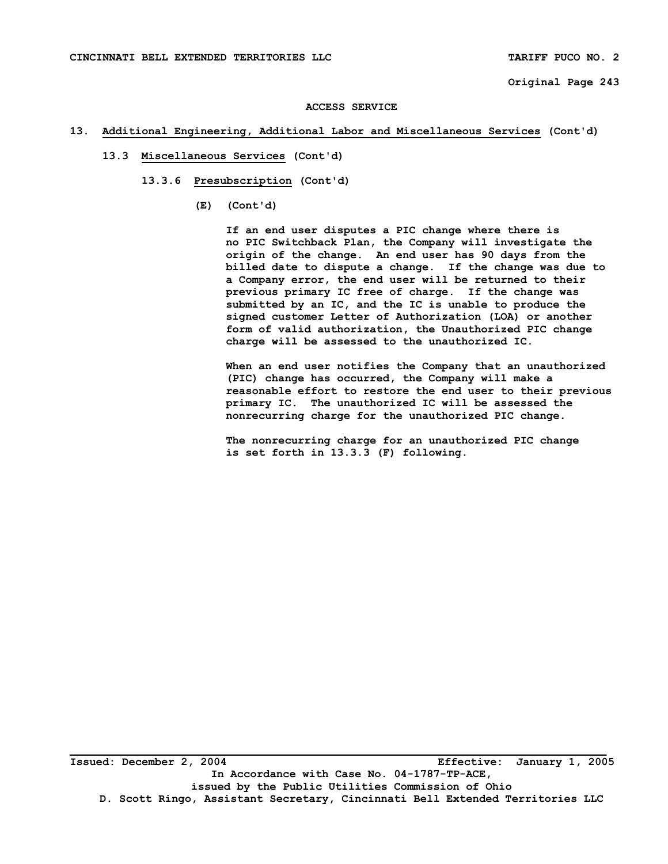#### **ACCESS SERVICE**

#### **13. Additional Engineering, Additional Labor and Miscellaneous Services (Cont'd)**

- **13.3 Miscellaneous Services (Cont'd)** 
	- **13.3.6 Presubscription (Cont'd)** 
		- **(E) (Cont'd)**

 **If an end user disputes a PIC change where there is no PIC Switchback Plan, the Company will investigate the origin of the change. An end user has 90 days from the billed date to dispute a change. If the change was due to a Company error, the end user will be returned to their previous primary IC free of charge. If the change was submitted by an IC, and the IC is unable to produce the signed customer Letter of Authorization (LOA) or another form of valid authorization, the Unauthorized PIC change charge will be assessed to the unauthorized IC.** 

 **When an end user notifies the Company that an unauthorized (PIC) change has occurred, the Company will make a reasonable effort to restore the end user to their previous primary IC. The unauthorized IC will be assessed the nonrecurring charge for the unauthorized PIC change.** 

 **The nonrecurring charge for an unauthorized PIC change is set forth in 13.3.3 (F) following.**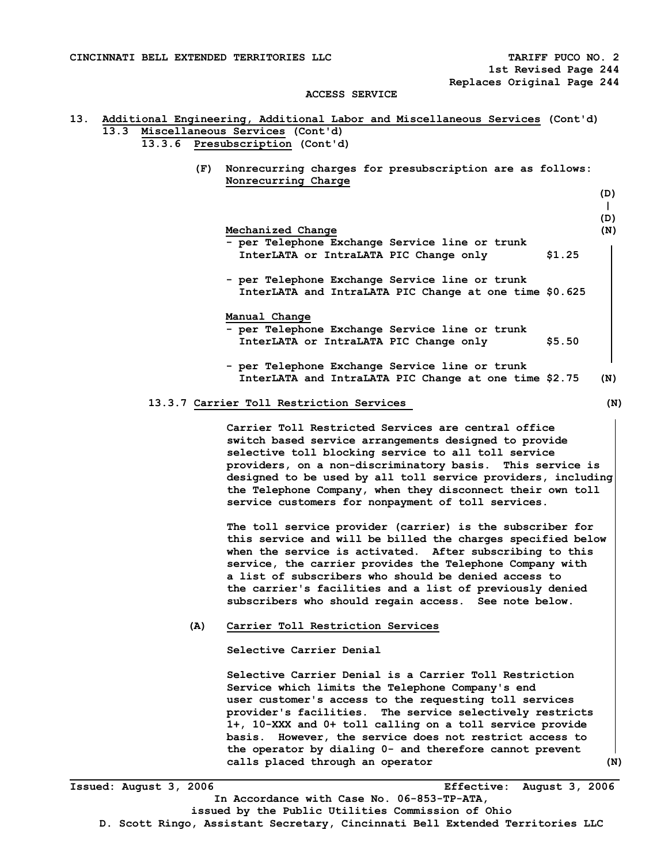**ACCESS SERVICE** 

# **13. Additional Engineering, Additional Labor and Miscellaneous Services (Cont'd) 13.3 Miscellaneous Services (Cont'd) 13.3.6 Presubscription (Cont'd) (F) Nonrecurring charges for presubscription are as follows: Nonrecurring Charge (D) | (D) Mechanized Change (N)**  $(0, 0)$  **- per Telephone Exchange Service line or trunk InterLATA or IntraLATA PIC Change only \$1.25 - per Telephone Exchange Service line or trunk InterLATA and IntraLATA PIC Change at one time \$0.625 Manual Change - per Telephone Exchange Service line or trunk InterLATA or IntraLATA PIC Change only \$5.50 - per Telephone Exchange Service line or trunk InterLATA and IntraLATA PIC Change at one time \$2.75 (N) 13.3.7Carrier Toll Restriction Services (N) Carrier Toll Restricted Services are central office switch based service arrangements designed to provide selective toll blocking service to all toll service providers, on a non-discriminatory basis. This service is designed to be used by all toll service providers, including the Telephone Company, when they disconnect their own toll service customers for nonpayment of toll services. The toll service provider (carrier) is the subscriber for this service and will be billed the charges specified below when the service is activated. After subscribing to this service, the carrier provides the Telephone Company with a list of subscribers who should be denied access to the carrier's facilities and a list of previously denied subscribers who should regain access. See note below. (A) Carrier Toll Restriction Services Selective Carrier Denial Selective Carrier Denial is a Carrier Toll Restriction Service which limits the Telephone Company's end user customer's access to the requesting toll services provider's facilities. The service selectively restricts 1+, 10-XXX and 0+ toll calling on a toll service provide basis. However, the service does not restrict access to the operator by dialing 0- and therefore cannot prevent calls placed through an operator (N)**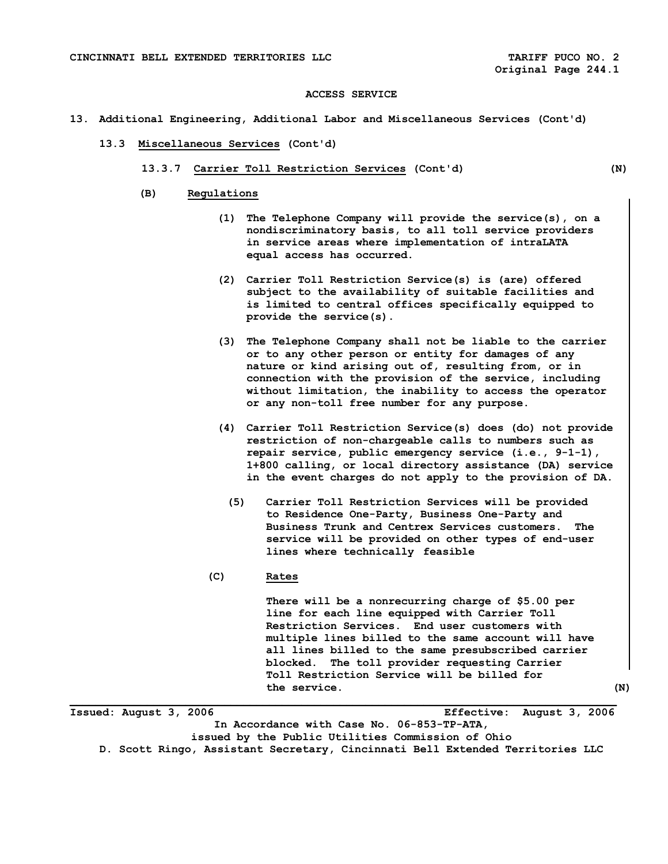- **13. Additional Engineering, Additional Labor and Miscellaneous Services (Cont'd)** 
	- **13.3 Miscellaneous Services (Cont'd)** 
		- **13.3.7 Carrier Toll Restriction Services (Cont'd) (N)**

- **(B) Regulations** 
	- **(1) The Telephone Company will provide the service(s), on a nondiscriminatory basis, to all toll service providers in service areas where implementation of intraLATA equal access has occurred.**
	- **(2) Carrier Toll Restriction Service(s) is (are) offered subject to the availability of suitable facilities and is limited to central offices specifically equipped to provide the service(s).**
	- **(3) The Telephone Company shall not be liable to the carrier or to any other person or entity for damages of any nature or kind arising out of, resulting from, or in connection with the provision of the service, including without limitation, the inability to access the operator or any non-toll free number for any purpose.**
	- **(4) Carrier Toll Restriction Service(s) does (do) not provide restriction of non-chargeable calls to numbers such as repair service, public emergency service (i.e., 9-1-1), 1+800 calling, or local directory assistance (DA) service in the event charges do not apply to the provision of DA.** 
		- **(5) Carrier Toll Restriction Services will be provided to Residence One-Party, Business One-Party and Business Trunk and Centrex Services customers. The service will be provided on other types of end-user lines where technically feasible**

#### **(C)Rates**

**There will be a nonrecurring charge of \$5.00 per line for each line equipped with Carrier Toll Restriction Services. End user customers with multiple lines billed to the same account will have all lines billed to the same presubscribed carrier blocked. The toll provider requesting Carrier Toll Restriction Service will be billed for the service. (N)** 

**Issued: August 3, 2006 Effective: August 3, 2006 In Accordance with Case No. 06-853-TP-ATA, issued by the Public Utilities Commission of Ohio** 

**\_\_\_\_\_\_\_\_\_\_\_\_\_\_\_\_\_\_\_\_\_\_\_\_\_\_\_\_\_\_\_\_\_\_\_\_\_\_\_\_\_\_\_\_\_\_\_\_\_\_\_\_\_\_\_\_\_\_\_\_\_\_\_\_\_\_\_\_\_\_\_\_\_\_\_\_\_\_\_\_\_\_\_\_\_** 

**D. Scott Ringo, Assistant Secretary, Cincinnati Bell Extended Territories LLC**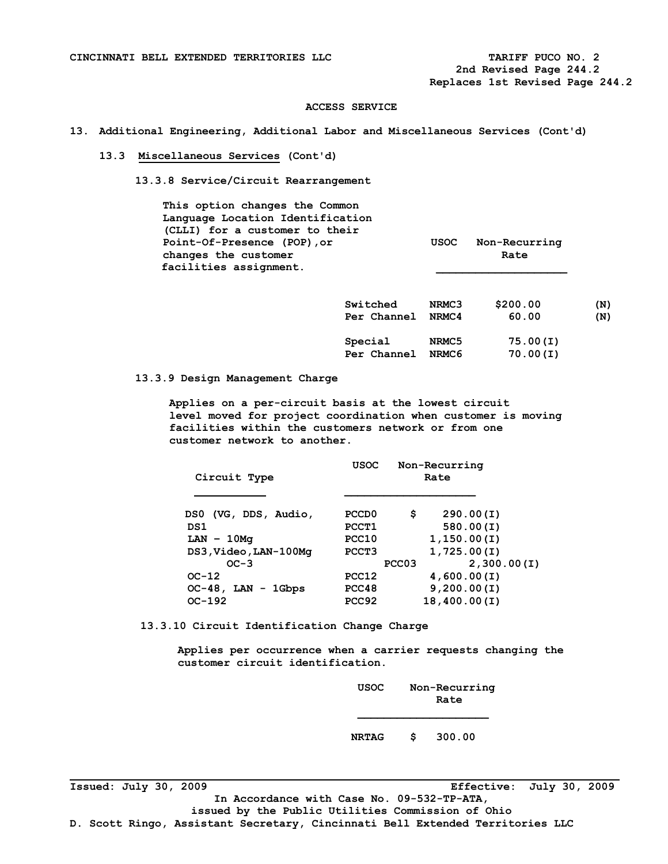**Replaces 1st Revised Page 244.2** 

#### **ACCESS SERVICE**

**13. Additional Engineering, Additional Labor and Miscellaneous Services (Cont'd)** 

### **13.3 Miscellaneous Services (Cont'd)**

 **13.3.8 Service/Circuit Rearrangement** 

 **This option changes the Common Language Location Identification (CLLI) for a customer to their Point-Of-Presence (POP),or USOC Non-Recurring changes** the customer **Rate Rate Rate** facilities assignment.

| Switched               | NRMC3          | \$200.00             | (N) |
|------------------------|----------------|----------------------|-----|
| Per Channel            | NRMC4          | 60.00                | (N) |
| Special<br>Per Channel | NRMC5<br>NRMC6 | 75.00(I)<br>70.00(I) |     |

 **13.3.9 Design Management Charge** 

 **Applies on a per-circuit basis at the lowest circuit level moved for project coordination when customer is moving facilities within the customers network or from one customer network to another.** 

| Circuit Type          | <b>USOC</b>       |                   | Non-Recurring<br>Rate |
|-----------------------|-------------------|-------------------|-----------------------|
| DS0 (VG, DDS, Audio,  | PCCD <sub>0</sub> | s                 | 290.00(I)             |
| DS1                   | PCCT1             |                   | 580.00(I)             |
| $LAN - 10M\sigma$     | PCC10             |                   | 1,150.00(I)           |
| DS3, Video, LAN-100Mg | PCCT3             |                   | 1,725.00(I)           |
| $OC-3$                |                   | PCC <sub>03</sub> | 2,300.00(I)           |
| $OC-12$               | PCC12             |                   | 4,600.00(I)           |
| $OC-48$ , LAN - 1Gbps | PCC48             |                   | 9,200.00(I)           |
| $OC-192$              | PCC92             |                   | 18,400.00(I)          |

 **13.3.10 Circuit Identification Change Charge** 

 **Applies per occurrence when a carrier requests changing the customer circuit identification.** 

| USOC         | Non-Recurring<br>Rate |
|--------------|-----------------------|
| <b>NRTAG</b> | \$<br>300.00          |

**Issued: July 30, 2009 Effective: July 30, 2009** 

**D. Scott Ringo, Assistant Secretary, Cincinnati Bell Extended Territories LLC**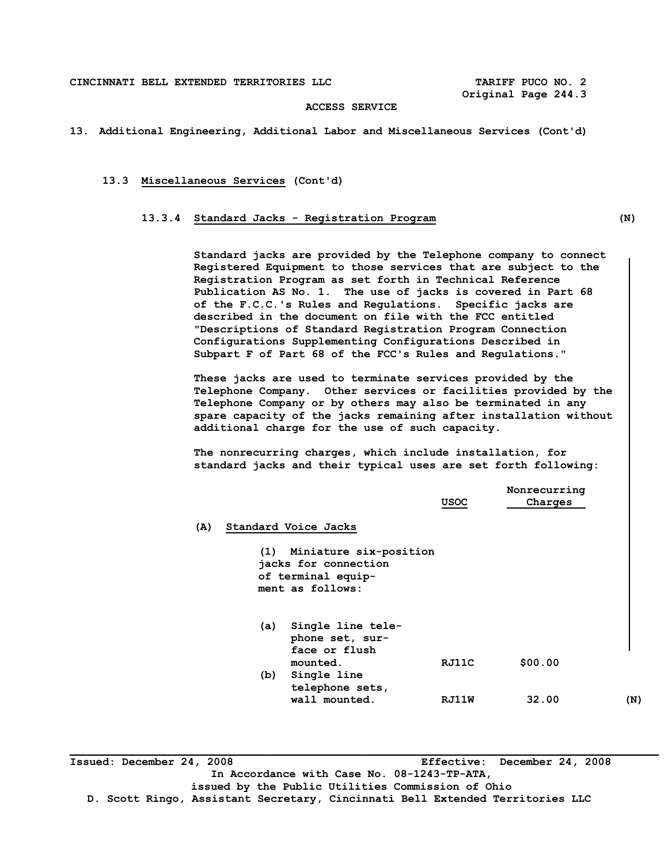#### **CINCINNATI BELL EXTENDED TERRITORIES LLC TARIFF PUCO NO. 2**

 **Original Page 244.3** 

## **ACCESS SERVICE**

#### **13. Additional Engineering, Additional Labor and Miscellaneous Services (Cont'd)**

#### **13.3 Miscellaneous Services (Cont'd)**

#### **13.3.4 Standard Jacks - Registration Program (N)**

 **Standard jacks are provided by the Telephone company to connect Registered Equipment to those services that are subject to the Registration Program as set forth in Technical Reference Publication AS No. 1. The use of jacks is covered in Part 68 of the F.C.C.'s Rules and Regulations. Specific jacks are described in the document on file with the FCC entitled "Descriptions of Standard Registration Program Connection Configurations Supplementing Configurations Described in Subpart F of Part 68 of the FCC's Rules and Regulations."** 

 **These jacks are used to terminate services provided by the Telephone Company. Other services or facilities provided by the Telephone Company or by others may also be terminated in any spare capacity of the jacks remaining after installation without additional charge for the use of such capacity.** 

 **The nonrecurring charges, which include installation, for standard jacks and their typical uses are set forth following:** 

|                                                                                                 | Nonrecurring |         |     |  |
|-------------------------------------------------------------------------------------------------|--------------|---------|-----|--|
|                                                                                                 | <b>USOC</b>  | Charges |     |  |
| Standard Voice Jacks<br>(A)                                                                     |              |         |     |  |
| Miniature six-position<br>(1)<br>jacks for connection<br>of terminal equip-<br>ment as follows: |              |         |     |  |
| Single line tele-<br>(a)<br>phone set, sur-<br>face or flush                                    |              |         |     |  |
| mounted.<br>Single line<br>(b)<br>telephone sets,                                               | RJ11C        | \$00.00 |     |  |
| wall mounted.                                                                                   | RJ11W        | 32.00   | (N) |  |

**Issued: December 24, 2008 Effective: December 24, 2008 In Accordance with Case No. 08-1243-TP-ATA, issued by the Public Utilities Commission of Ohio D. Scott Ringo, Assistant Secretary, Cincinnati Bell Extended Territories LLC**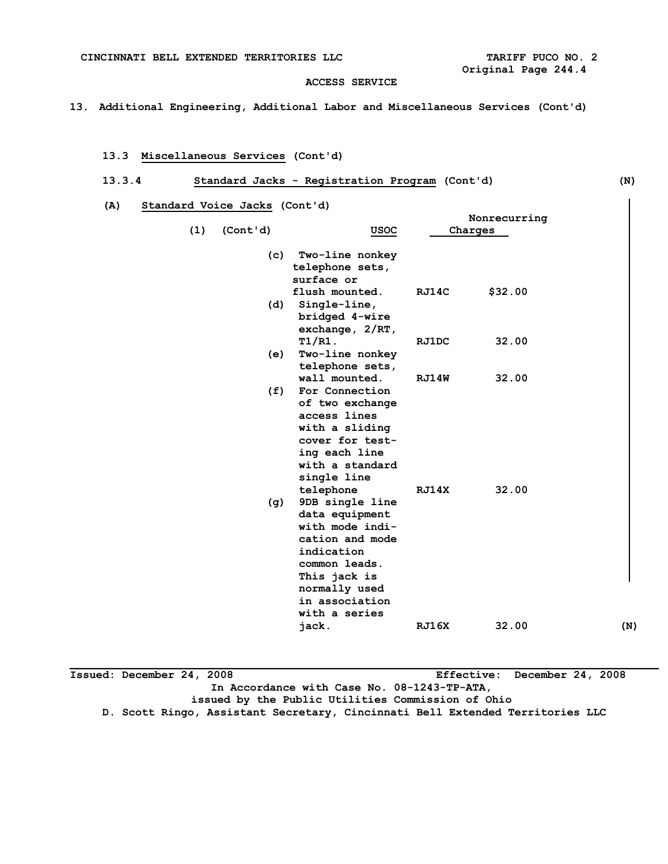**13. Additional Engineering, Additional Labor and Miscellaneous Services (Cont'd)** 

## **13.3 Miscellaneous Services (Cont'd)**

## **13.3.4 Standard Jacks - Registration Program (Cont'd) (N)**

 **(A) Standard Voice Jacks (Cont'd)** 

|     |          |                                                                                                                                                                                         |       | Nonrecurring |     |
|-----|----------|-----------------------------------------------------------------------------------------------------------------------------------------------------------------------------------------|-------|--------------|-----|
| (1) | (Cont'd) | USOC                                                                                                                                                                                    |       | Charges      |     |
|     | (c)      | Two-line nonkey<br>telephone sets,<br>surface or                                                                                                                                        |       |              |     |
|     | (d)      | flush mounted.<br>Single-line,<br>bridged 4-wire<br>exchange, $2/RT$ ,                                                                                                                  | RJ14C | \$32.00      |     |
|     | (e)      | $T1/R1$ .<br>Two-line nonkey<br>telephone sets,                                                                                                                                         | RJ1DC | 32.00        |     |
|     | (f)      | wall mounted.<br>For Connection<br>of two exchange<br>access lines<br>with a sliding<br>cover for test-<br>ing each line<br>with a standard<br>single line                              | RJ14W | 32.00        |     |
|     | (g)      | telephone<br>9DB single line<br>data equipment<br>with mode indi-<br>cation and mode<br>indication<br>common leads.<br>This jack is<br>normally used<br>in association<br>with a series | RJ14X | 32.00        |     |
|     |          | jack.                                                                                                                                                                                   | RJ16X | 32.00        | (N) |

**Issued: December 24, 2008 Effective: December 24, 2008 In Accordance with Case No. 08-1243-TP-ATA, issued by the Public Utilities Commission of Ohio D. Scott Ringo, Assistant Secretary, Cincinnati Bell Extended Territories LLC**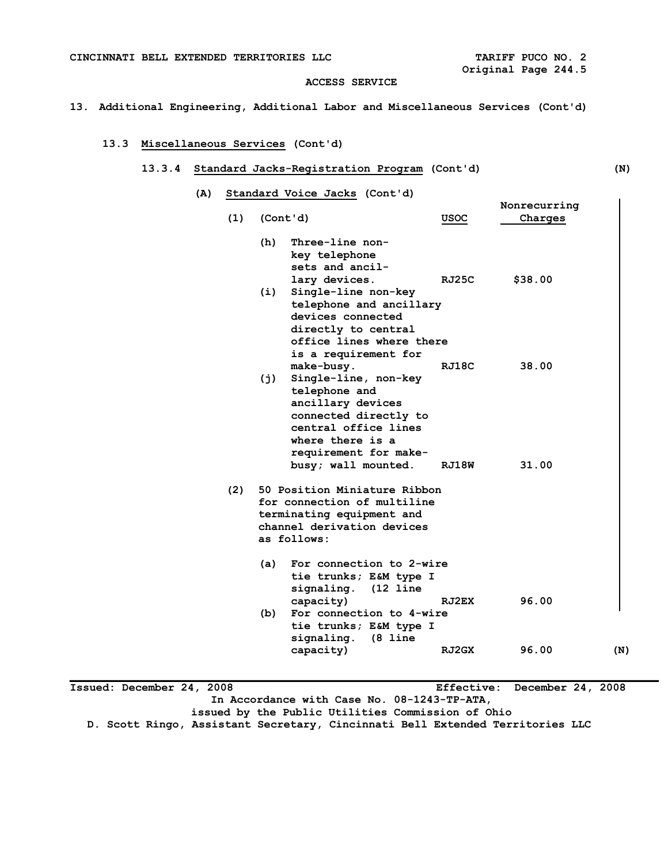**Nonrecurring** 

#### **ACCESS SERVICE**

#### **13. Additional Engineering, Additional Labor and Miscellaneous Services (Cont'd)**

### **13.3 Miscellaneous Services (Cont'd)**

## **13.3.4 Standard Jacks-Registration Program (Cont'd) (N)**

 **(A) Standard Voice Jacks (Cont'd)** 

| (1) | (Cont'd)                                                                                                                                                                                             | USOC           | Charges        |     |
|-----|------------------------------------------------------------------------------------------------------------------------------------------------------------------------------------------------------|----------------|----------------|-----|
|     | Three-line non-<br>(h)<br>key telephone<br>sets and ancil-<br>lary devices.                                                                                                                          | RJ25C          | \$38.00        |     |
|     | Single-line non-key<br>(i)<br>telephone and ancillary<br>devices connected<br>directly to central<br>office lines where there<br>is a requirement for                                                |                |                |     |
|     | make-busy.<br>Single-line, non-key<br>(j)<br>telephone and<br>ancillary devices<br>connected directly to<br>central office lines<br>where there is a<br>requirement for make-<br>busy; wall mounted. | RJ18C<br>RJ18W | 38.00<br>31.00 |     |
| (2) | 50 Position Miniature Ribbon<br>for connection of multiline<br>terminating equipment and<br>channel derivation devices<br>as follows:                                                                |                |                |     |
|     | For connection to 2-wire<br>(a)<br>tie trunks; E&M type I<br>signaling. (12 line<br>capacity)                                                                                                        | RJ2EX          | 96.00          |     |
|     | For connection to 4-wire<br>(b)<br>tie trunks; E&M type I<br>signaling.<br>$(8 \; \text{line})$                                                                                                      |                |                |     |
|     | capacity)                                                                                                                                                                                            | RJ2GX          | 96.00          | (N) |

**Issued: December 24, 2008 Effective: December 24, 2008 In Accordance with Case No. 08-1243-TP-ATA, issued by the Public Utilities Commission of Ohio D. Scott Ringo, Assistant Secretary, Cincinnati Bell Extended Territories LLC** 

**\_\_\_\_\_\_\_\_\_\_\_\_\_\_\_\_\_\_\_\_\_\_\_\_\_\_\_\_\_\_\_\_\_\_\_\_\_\_\_\_\_\_\_\_\_\_\_\_\_\_\_\_\_\_\_\_\_\_\_\_\_\_\_\_\_\_\_\_\_\_\_\_\_\_\_\_\_\_\_\_\_\_\_\_\_\_\_\_\_\_** 

 $\overline{\phantom{a}}$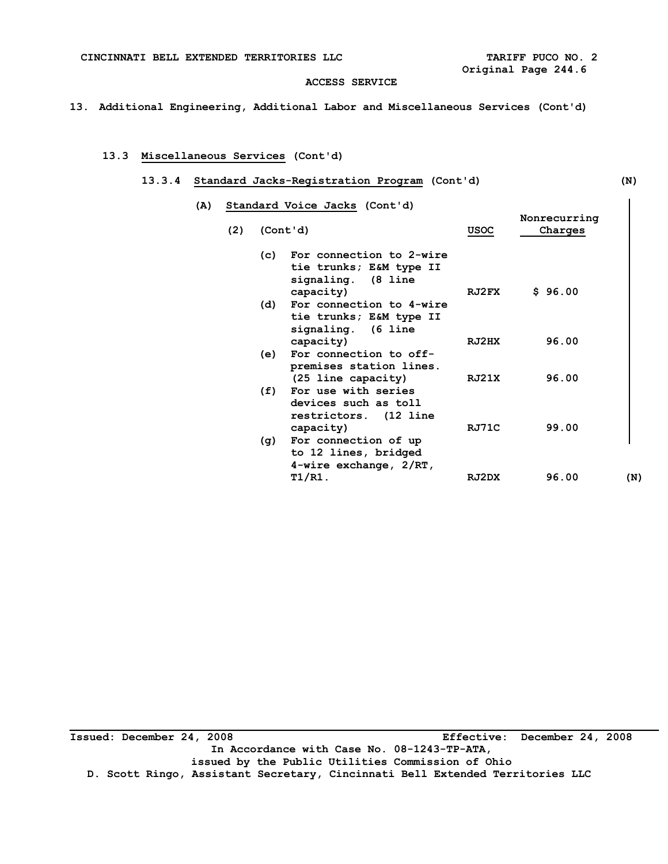**13. Additional Engineering, Additional Labor and Miscellaneous Services (Cont'd)** 

## **13.3 Miscellaneous Services (Cont'd)**

#### **13.3.4 Standard Jacks-Registration Program (Cont'd) (N)**

| (A) |     | Standard Voice Jacks (Cont'd)                                                              |             | Nonrecurring |
|-----|-----|--------------------------------------------------------------------------------------------|-------------|--------------|
| (2) |     | (Cont'd)                                                                                   | <b>USOC</b> | Charges      |
|     | (c) | For connection to 2-wire<br>tie trunks; E&M type II<br>signaling. (8 line<br>capacity)     | RJ2FX       | \$96.00      |
|     | (d) | For connection to 4-wire<br>tie trunks; E&M type II<br>signaling. (6 line                  |             |              |
|     | (e) | capacity)<br>For connection to off-<br>premises station lines.                             | RJ2HX       | 96.00        |
|     | (f) | (25 line capacity)<br>For use with series<br>devices such as toll<br>restrictors. (12 line | RJ21X       | 96.00        |
|     | (g) | capacity)<br>For connection of up<br>to 12 lines, bridged<br>$4$ -wire exchange, $2/RT$ ,  | RJ71C       | 99.00        |
|     |     | T1/R1.                                                                                     | RJ2DX       | 96.00<br>(N) |

**Issued: December 24, 2008 Effective: December 24, 2008 In Accordance with Case No. 08-1243-TP-ATA, issued by the Public Utilities Commission of Ohio D. Scott Ringo, Assistant Secretary, Cincinnati Bell Extended Territories LLC**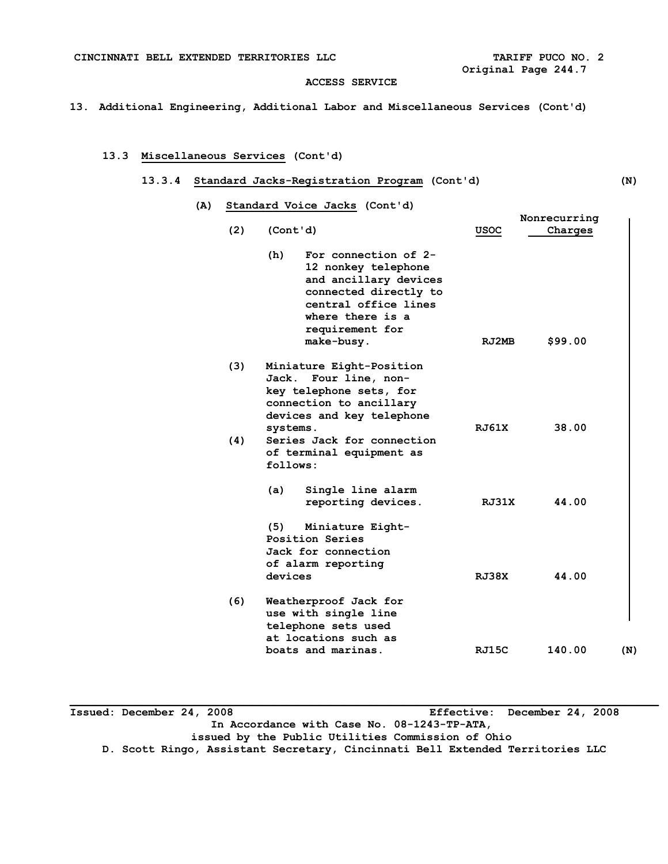**13. Additional Engineering, Additional Labor and Miscellaneous Services (Cont'd)** 

## **13.3 Miscellaneous Services (Cont'd)**

## **13.3.4 Standard Jacks-Registration Program (Cont'd) (N)**

| (A) Standard Voice Jacks (Cont'd) |  |  |
|-----------------------------------|--|--|
|                                   |  |  |

|     |                                                                                                                                                                                   |              | Nonrecurring |     |
|-----|-----------------------------------------------------------------------------------------------------------------------------------------------------------------------------------|--------------|--------------|-----|
| (2) | (Cont'd)                                                                                                                                                                          | <b>USOC</b>  | Charges      |     |
|     | (h)<br>For connection of 2-<br>12 nonkey telephone<br>and ancillary devices<br>connected directly to<br>central office lines<br>where there is a<br>requirement for<br>make-busy. | RJ2MB        | \$99.00      |     |
| (3) | Miniature Eight-Position<br>Jack.<br>Four line, non-<br>key telephone sets, for<br>connection to ancillary<br>devices and key telephone<br>systems.                               | <b>RJ61X</b> | 38.00        |     |
| (4) | Series Jack for connection<br>of terminal equipment as<br>follows:                                                                                                                |              |              |     |
|     | (a)<br>Single line alarm<br>reporting devices.                                                                                                                                    | RJ31X        | 44.00        |     |
|     | (5)<br>Miniature Eight-<br>Position Series<br>Jack for connection<br>of alarm reporting<br>devices                                                                                | <b>RJ38X</b> | 44.00        |     |
| (6) | Weatherproof Jack for<br>use with single line<br>telephone sets used<br>at locations such as<br>boats and marinas.                                                                | RJ15C        | 140.00       | (N) |

**Issued: December 24, 2008 Effective: December 24, 2008 In Accordance with Case No. 08-1243-TP-ATA, issued by the Public Utilities Commission of Ohio D. Scott Ringo, Assistant Secretary, Cincinnati Bell Extended Territories LLC**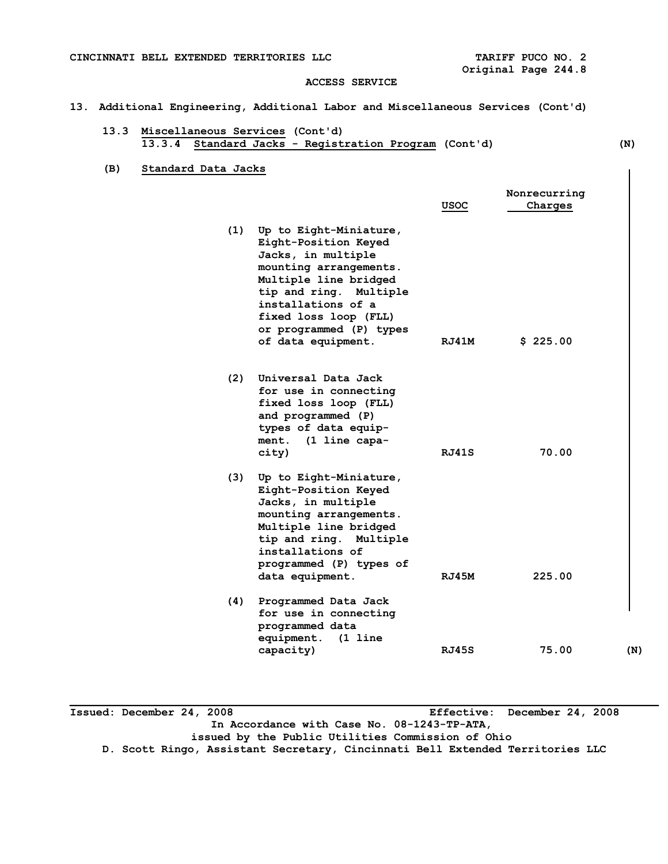#### **13. Additional Engineering, Additional Labor and Miscellaneous Services (Cont'd)**

- **13.3 Miscellaneous Services (Cont'd) 13.3.4 Standard Jacks - Registration Program (Cont'd) (N)**
- **(B) Standard Data Jacks**

|     |                                                                                                                                                                                                                                                   | USOC         | Nonrecurring<br>Charges |     |
|-----|---------------------------------------------------------------------------------------------------------------------------------------------------------------------------------------------------------------------------------------------------|--------------|-------------------------|-----|
| (1) | Up to Eight-Miniature,<br>Eight-Position Keyed<br>Jacks, in multiple<br>mounting arrangements.<br>Multiple line bridged<br>tip and ring. Multiple<br>installations of a<br>fixed loss loop (FLL)<br>or programmed (P) types<br>of data equipment. | RJ41M        | \$225.00                |     |
| (2) | Universal Data Jack<br>for use in connecting<br>fixed loss loop (FLL)<br>and programmed (P)<br>types of data equip-<br>ment.<br>(1 line capa-<br>city)                                                                                            | RJ41S        | 70.00                   |     |
| (3) | Up to Eight-Miniature,<br>Eight-Position Keyed<br>Jacks, in multiple<br>mounting arrangements.<br>Multiple line bridged<br>tip and ring. Multiple<br>installations of<br>programmed (P) types of<br>data equipment.                               | RJ45M        | 225.00                  |     |
| (4) | Programmed Data Jack<br>for use in connecting<br>programmed data<br>equipment.<br>(1 line<br>capacity)                                                                                                                                            | <b>RJ45S</b> | 75.00                   | (N) |

**Issued: December 24, 2008 Effective: December 24, 2008 In Accordance with Case No. 08-1243-TP-ATA, issued by the Public Utilities Commission of Ohio** 

**D. Scott Ringo, Assistant Secretary, Cincinnati Bell Extended Territories LLC** 

**\_\_\_\_\_\_\_\_\_\_\_\_\_\_\_\_\_\_\_\_\_\_\_\_\_\_\_\_\_\_\_\_\_\_\_\_\_\_\_\_\_\_\_\_\_\_\_\_\_\_\_\_\_\_\_\_\_\_\_\_\_\_\_\_\_\_\_\_\_\_\_\_\_\_\_\_\_\_\_\_\_\_\_\_\_\_\_\_\_\_** 

 $\overline{\phantom{a}}$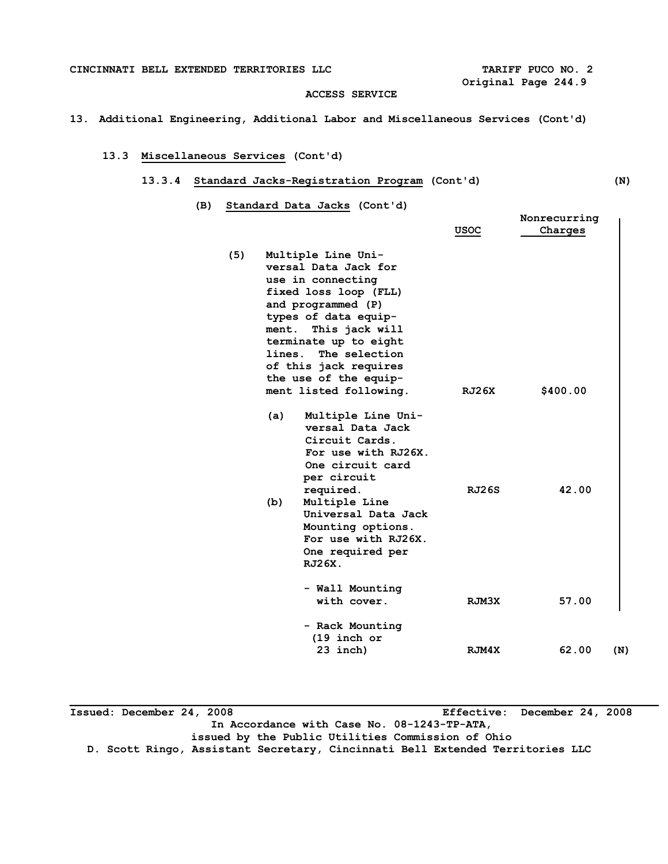**13. Additional Engineering, Additional Labor and Miscellaneous Services (Cont'd)** 

# **13.3 Miscellaneous Services (Cont'd)**

#### **13.3.4 Standard Jacks-Registration Program (Cont'd) (N)**

 **(B) Standard Data Jacks (Cont'd)** 

|     |                                                                                                                                                                                                                                                                                                                                                                                                                                                                                                                                                                      |                | Nonrecurring      |     |
|-----|----------------------------------------------------------------------------------------------------------------------------------------------------------------------------------------------------------------------------------------------------------------------------------------------------------------------------------------------------------------------------------------------------------------------------------------------------------------------------------------------------------------------------------------------------------------------|----------------|-------------------|-----|
|     |                                                                                                                                                                                                                                                                                                                                                                                                                                                                                                                                                                      | USOC           | Charges           |     |
| (5) | Multiple Line Uni-<br>versal Data Jack for<br>use in connecting<br>fixed loss loop (FLL)<br>and programmed (P)<br>types of data equip-<br>This jack will<br>ment.<br>terminate up to eight<br>The selection<br>lines.<br>of this jack requires<br>the use of the equip-<br>ment listed following.<br>Multiple Line Uni-<br>(a)<br>versal Data Jack<br>Circuit Cards.<br>For use with RJ26X.<br>One circuit card<br>per circuit<br>required.<br>Multiple Line<br>(b)<br>Universal Data Jack<br>Mounting options.<br>For use with RJ26X.<br>One required per<br>RJ26X. | RJ26X<br>RJ26S | \$400.00<br>42.00 |     |
|     | - Wall Mounting<br>with cover.                                                                                                                                                                                                                                                                                                                                                                                                                                                                                                                                       | RJM3X          | 57.00             |     |
|     | - Rack Mounting<br>$(19$ inch or<br>23 inch)                                                                                                                                                                                                                                                                                                                                                                                                                                                                                                                         | RJM4X          | 62.00             | (N) |

**Issued: December 24, 2008 Effective: December 24, 2008 In Accordance with Case No. 08-1243-TP-ATA, issued by the Public Utilities Commission of Ohio D. Scott Ringo, Assistant Secretary, Cincinnati Bell Extended Territories LLC**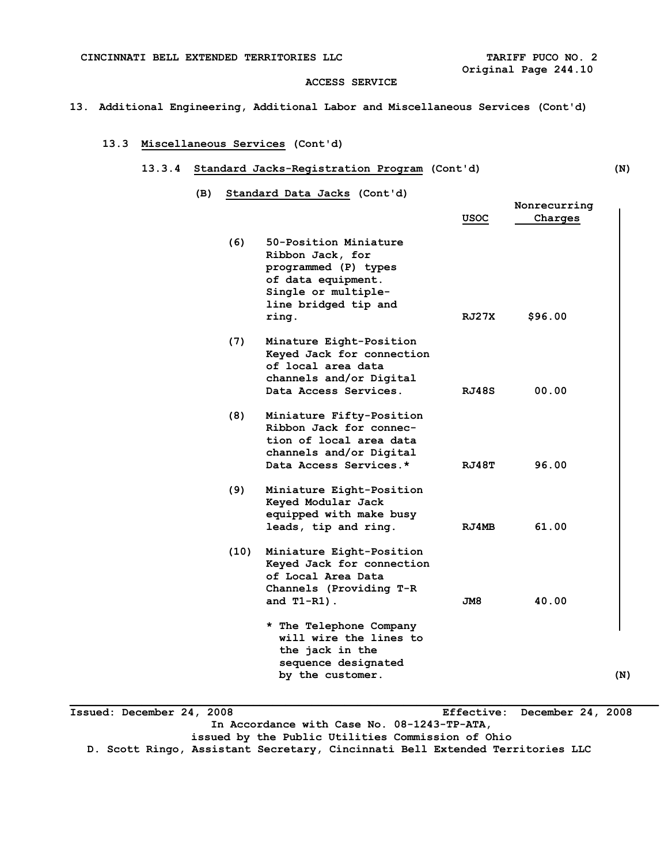### **13. Additional Engineering, Additional Labor and Miscellaneous Services (Cont'd)**

### **13.3 Miscellaneous Services (Cont'd)**

## **13.3.4 Standard Jacks-Registration Program (Cont'd) (N)**

 **(B) Standard Data Jacks (Cont'd)** 

|      |                                                                                                                                                 | <b>USOC</b>  | Nonrecurring<br>Charges |     |
|------|-------------------------------------------------------------------------------------------------------------------------------------------------|--------------|-------------------------|-----|
| (6)  | 50-Position Miniature<br>Ribbon Jack, for<br>programmed (P) types<br>of data equipment.<br>Single or multiple-<br>line bridged tip and<br>ring. | RJ27X        | \$96.00                 |     |
| (7)  | Minature Eight-Position<br>Keyed Jack for connection<br>of local area data<br>channels and/or Digital<br>Data Access Services.                  | RJ48S        | 00.00                   |     |
| (8)  | Miniature Fifty-Position<br>Ribbon Jack for connec-<br>tion of local area data<br>channels and/or Digital<br>Data Access Services.*             | RJ48T        | 96.00                   |     |
| (9)  | Miniature Eight-Position<br>Keyed Modular Jack<br>equipped with make busy<br>leads, tip and ring.                                               | <b>RJ4MB</b> | 61.00                   |     |
| (10) | Miniature Eight-Position<br>Keyed Jack for connection<br>of Local Area Data<br>Channels (Providing T-R<br>and $T1-R1$ ).                        | JM8          | 40.00                   |     |
|      | * The Telephone Company<br>will wire the lines to<br>the jack in the<br>sequence designated<br>by the customer.                                 |              |                         | (N) |

**Issued: December 24, 2008 Effective: December 24, 2008 In Accordance with Case No. 08-1243-TP-ATA, issued by the Public Utilities Commission of Ohio D. Scott Ringo, Assistant Secretary, Cincinnati Bell Extended Territories LLC**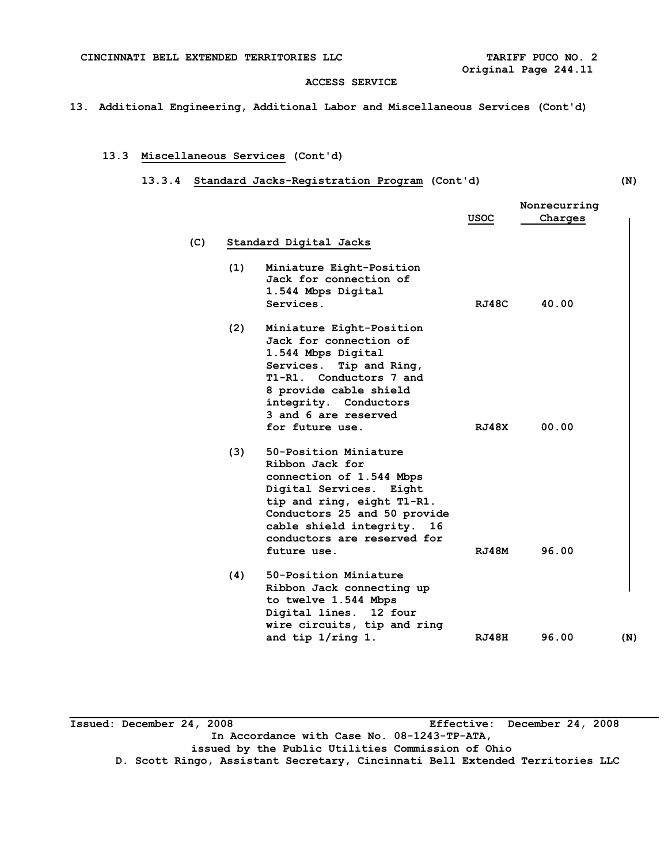**13. Additional Engineering, Additional Labor and Miscellaneous Services (Cont'd)** 

## **13.3 Miscellaneous Services (Cont'd)**

## **13.3.4 Standard Jacks-Registration Program (Cont'd) (N)**

|     |                        |                                                                                                                                                                                                                                              | Nonrecurring |         |     |
|-----|------------------------|----------------------------------------------------------------------------------------------------------------------------------------------------------------------------------------------------------------------------------------------|--------------|---------|-----|
|     |                        |                                                                                                                                                                                                                                              | <b>USOC</b>  | Charges |     |
| (C) | Standard Digital Jacks |                                                                                                                                                                                                                                              |              |         |     |
|     | (1)                    | Miniature Eight-Position<br>Jack for connection of<br>1.544 Mbps Digital<br>Services.                                                                                                                                                        | RJ48C        | 40.00   |     |
|     | (2)                    | Miniature Eight-Position<br>Jack for connection of<br>1.544 Mbps Digital<br>Services.<br>Tip and Ring,<br>T1-R1. Conductors 7 and<br>8 provide cable shield<br>integrity. Conductors<br>3 and 6 are reserved<br>for future use.              | RJ48X        | 00.00   |     |
|     | (3)                    | 50-Position Miniature<br>Ribbon Jack for<br>connection of 1.544 Mbps<br>Digital Services. Eight<br>tip and ring, eight T1-R1.<br>Conductors 25 and 50 provide<br>cable shield integrity.<br>16<br>conductors are reserved for<br>future use. | RJ48M        | 96.00   |     |
|     | (4)                    | 50-Position Miniature<br>Ribbon Jack connecting up<br>to twelve 1.544 Mbps<br>Digital lines. 12 four<br>wire circuits, tip and ring<br>and tip $1/\text{ring }1$ .                                                                           | RJ48H        | 96.00   | (N) |

**Issued: December 24, 2008 Effective: December 24, 2008 In Accordance with Case No. 08-1243-TP-ATA, issued by the Public Utilities Commission of Ohio D. Scott Ringo, Assistant Secretary, Cincinnati Bell Extended Territories LLC**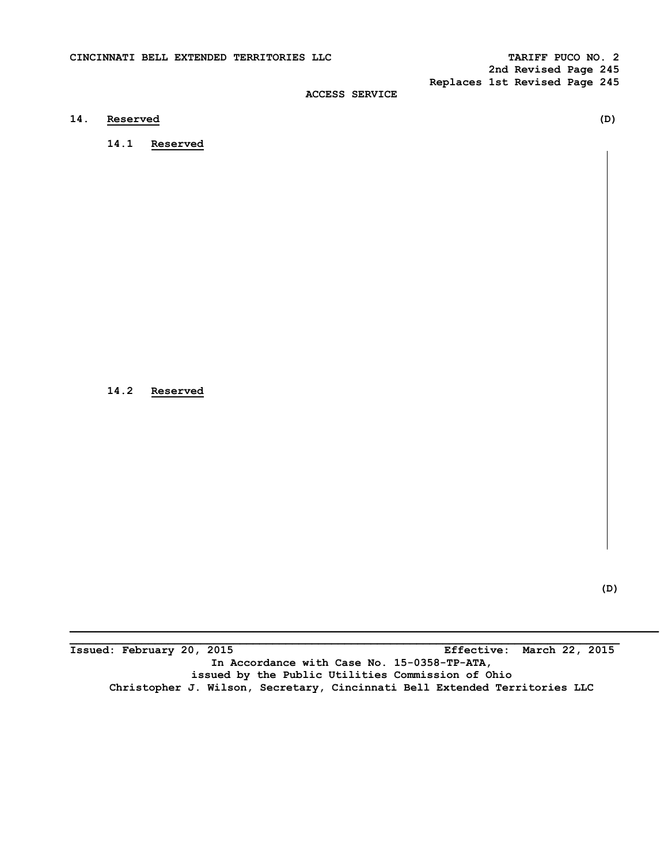**2nd Revised Page 245 Replaces 1st Revised Page 245** 

## **ACCESS SERVICE**

## **14. Reserved (D)**

 **14.1 Reserved** 

 **14.2 Reserved** 

**(D)** 

**\_\_\_\_\_\_\_\_\_\_\_\_\_\_\_\_\_\_\_\_\_\_\_\_\_\_\_\_\_\_\_\_\_\_\_\_\_\_\_\_\_\_\_\_\_\_\_\_\_\_\_\_\_\_\_\_\_\_\_\_\_\_\_\_\_\_\_\_\_\_\_\_\_\_\_\_\_\_\_\_\_\_\_\_ Issued: February 20, 2015 Effective: March 22, 2015 In Accordance with Case No. 15-0358-TP-ATA, issued by the Public Utilities Commission of Ohio Christopher J. Wilson, Secretary, Cincinnati Bell Extended Territories LLC**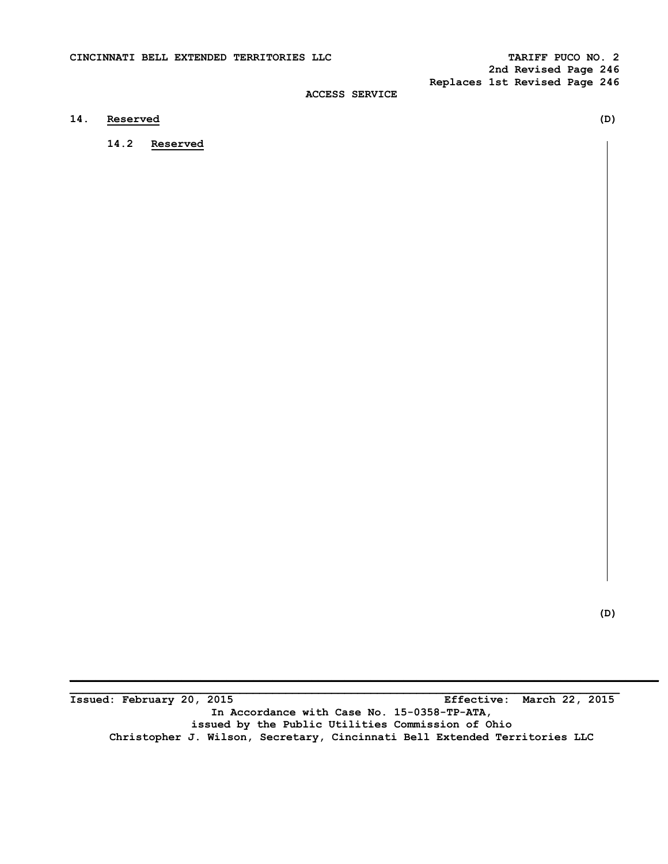## **14. Reserved (D)**

 **14.2 Reserved** 

 **(D)** 

**Issued: February 20, 2015 Effective: March 22, 2015 In Accordance with Case No. 15-0358-TP-ATA, issued by the Public Utilities Commission of Ohio Christopher J. Wilson, Secretary, Cincinnati Bell Extended Territories LLC** 

**\_\_\_\_\_\_\_\_\_\_\_\_\_\_\_\_\_\_\_\_\_\_\_\_\_\_\_\_\_\_\_\_\_\_\_\_\_\_\_\_\_\_\_\_\_\_\_\_\_\_\_\_\_\_\_\_\_\_\_\_\_\_\_\_\_\_\_\_\_\_\_\_\_\_\_\_\_\_\_\_\_\_\_\_**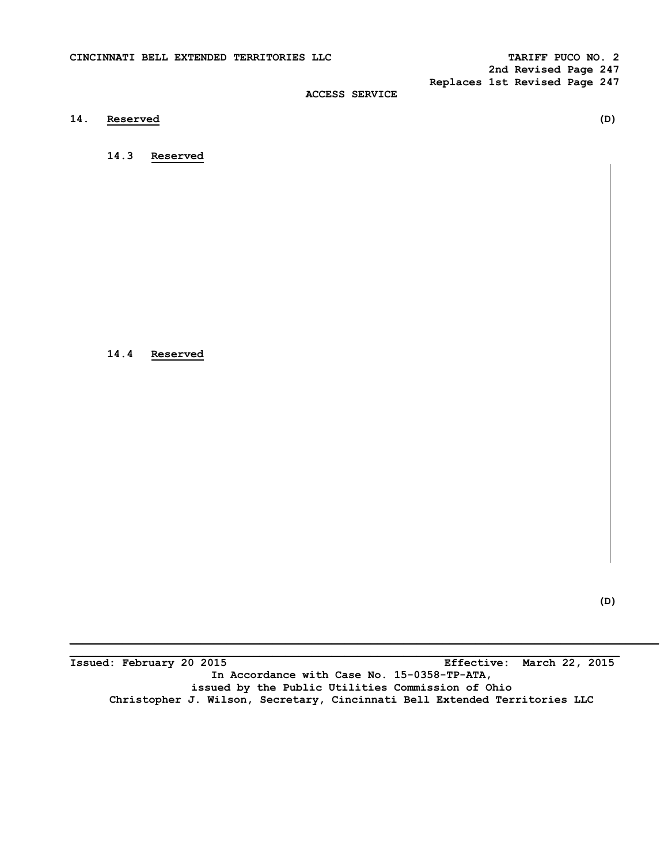**2nd Revised Page 247 Replaces 1st Revised Page 247** 

## **ACCESS SERVICE**

**14. Reserved (D)** 

 **14.3 Reserved** 

 **14.4 Reserved** 

**Issued: February 20 2015 Effective: March 22, 2015 In Accordance with Case No. 15-0358-TP-ATA, issued by the Public Utilities Commission of Ohio Christopher J. Wilson, Secretary, Cincinnati Bell Extended Territories LLC** 

**\_\_\_\_\_\_\_\_\_\_\_\_\_\_\_\_\_\_\_\_\_\_\_\_\_\_\_\_\_\_\_\_\_\_\_\_\_\_\_\_\_\_\_\_\_\_\_\_\_\_\_\_\_\_\_\_\_\_\_\_\_\_\_\_\_\_\_\_\_\_\_\_\_\_\_\_\_\_\_\_\_\_\_\_**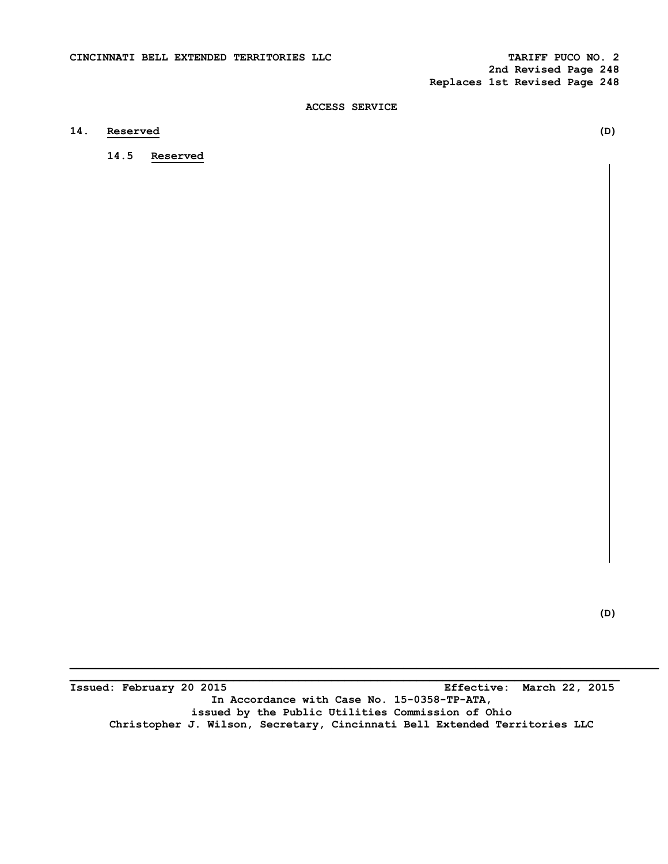**2nd Revised Page 248 Replaces 1st Revised Page 248** 

## **ACCESS SERVICE**

## **14. Reserved (D)**

 **14.5 Reserved** 

 **(D)** 

**\_\_\_\_\_\_\_\_\_\_\_\_\_\_\_\_\_\_\_\_\_\_\_\_\_\_\_\_\_\_\_\_\_\_\_\_\_\_\_\_\_\_\_\_\_\_\_\_\_\_\_\_\_\_\_\_\_\_\_\_\_\_\_\_\_\_\_\_\_\_\_\_\_\_\_\_\_\_\_\_\_\_\_\_ Issued: February 20 2015 Effective: March 22, 2015 In Accordance with Case No. 15-0358-TP-ATA, issued by the Public Utilities Commission of Ohio Christopher J. Wilson, Secretary, Cincinnati Bell Extended Territories LLC**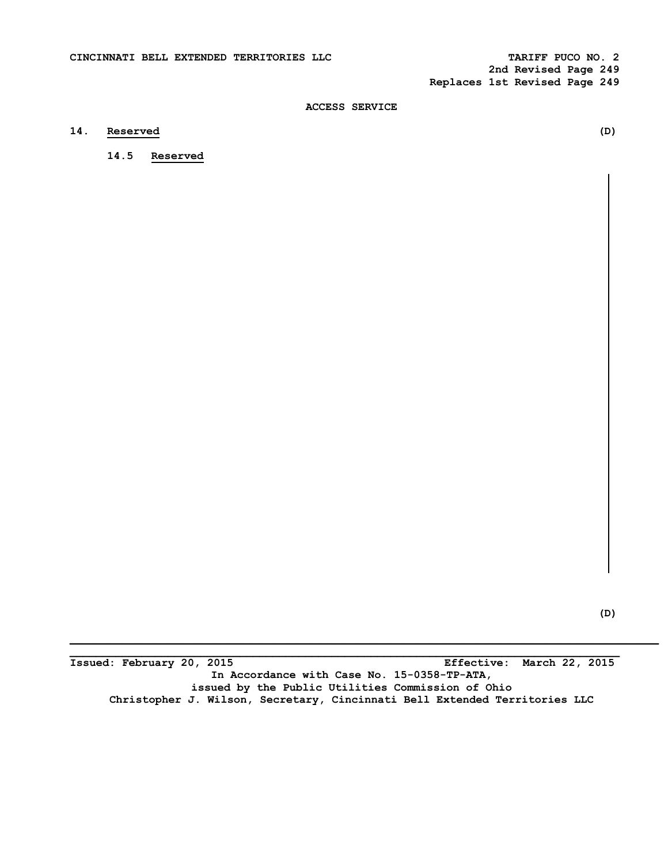**2nd Revised Page 249 Replaces 1st Revised Page 249** 

## **ACCESS SERVICE**

## **14. Reserved (D)**

 **14.5 Reserved** 

 **(D)** 

**Issued: February 20, 2015 Effective: March 22, 2015 In Accordance with Case No. 15-0358-TP-ATA, issued by the Public Utilities Commission of Ohio Christopher J. Wilson, Secretary, Cincinnati Bell Extended Territories LLC** 

**\_\_\_\_\_\_\_\_\_\_\_\_\_\_\_\_\_\_\_\_\_\_\_\_\_\_\_\_\_\_\_\_\_\_\_\_\_\_\_\_\_\_\_\_\_\_\_\_\_\_\_\_\_\_\_\_\_\_\_\_\_\_\_\_\_\_\_\_\_\_\_\_\_\_\_\_\_\_\_\_\_\_\_\_**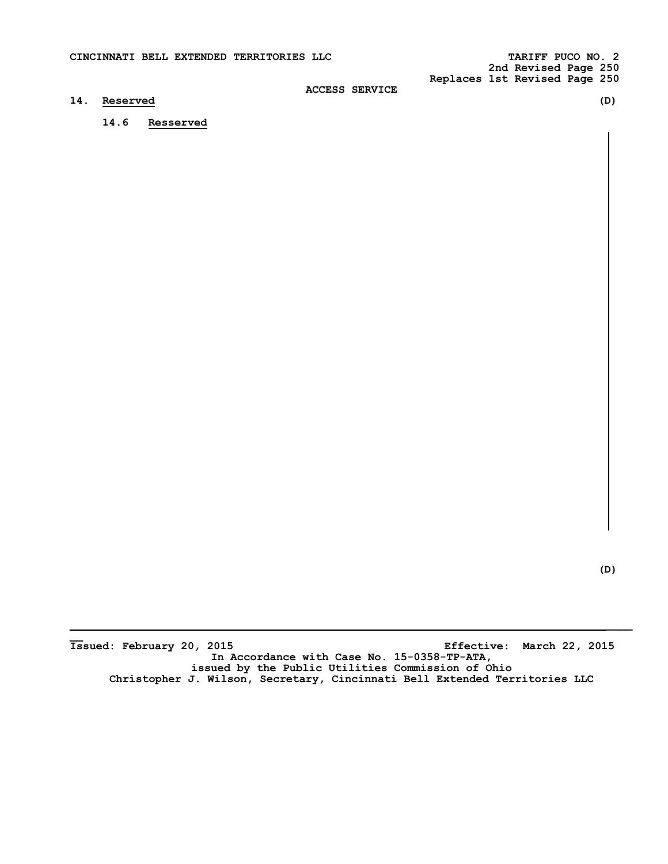### **14. Reserved (D)**

 **14.6 Resserved** 

 **(D)** 

Issued: February 20, 2015 **Issued: February 20, 2015 Effective: March 22, 2015 In Accordance with Case No. 15-0358-TP-ATA, issued by the Public Utilities Commission of Ohio Christopher J. Wilson, Secretary, Cincinnati Bell Extended Territories LLC**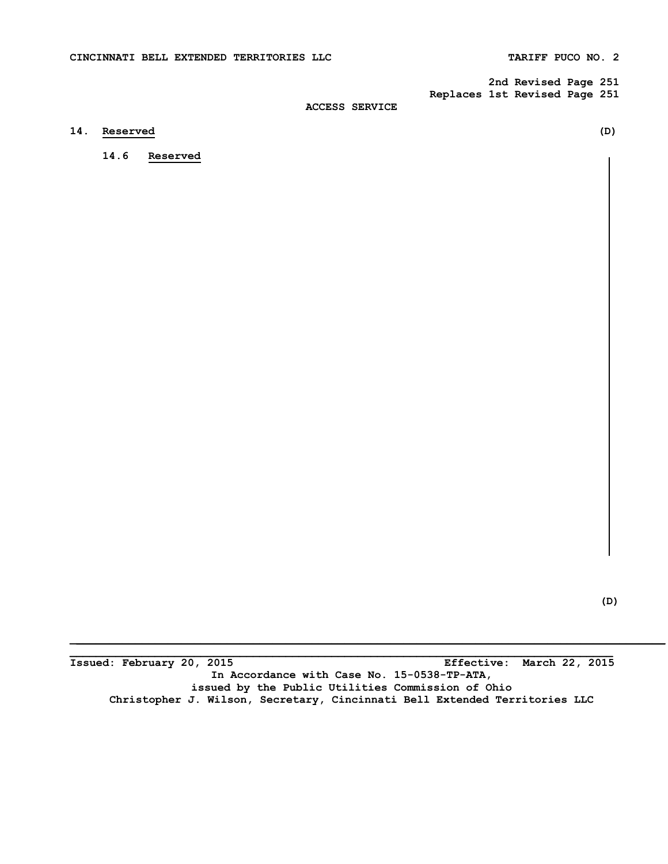**2nd Revised Page 251 Replaces 1st Revised Page 251** 

## **ACCESS SERVICE**

## **14. Reserved (D)**

 **14.6 Reserved** 

 **(D)** 

**Issued: February 20, 2015 Effective: March 22, 2015 In Accordance with Case No. 15-0538-TP-ATA, issued by the Public Utilities Commission of Ohio Christopher J. Wilson, Secretary, Cincinnati Bell Extended Territories LLC** 

**\_\_\_\_\_\_\_\_\_\_\_\_\_\_\_\_\_\_\_\_\_\_\_\_\_\_\_\_\_\_\_\_\_\_\_\_\_\_\_\_\_\_\_\_\_\_\_\_\_\_\_\_\_\_\_\_\_\_\_\_\_\_\_\_\_\_\_\_\_\_\_\_\_\_\_\_\_\_\_\_\_\_\_**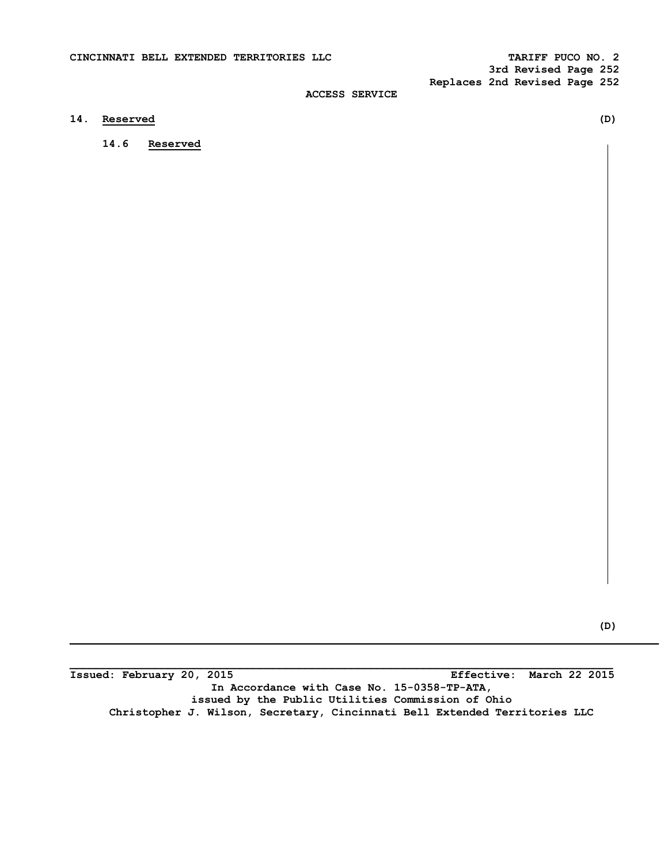## **14. Reserved (D)**

 **14.6 Reserved** 

 **(D) \_\_\_\_\_\_\_\_\_\_\_\_\_\_\_\_\_\_\_\_\_\_\_\_\_\_\_\_\_\_\_\_\_\_\_\_\_\_\_\_\_\_\_\_\_\_\_\_\_\_\_\_\_\_\_\_\_\_\_\_\_\_\_\_\_\_\_\_\_\_\_\_\_\_\_\_\_\_\_\_\_\_\_\_\_\_\_\_\_\_** 

**Issued: February 20, 2015 Effective: March 22 2015 In Accordance with Case No. 15-0358-TP-ATA, issued by the Public Utilities Commission of Ohio Christopher J. Wilson, Secretary, Cincinnati Bell Extended Territories LLC**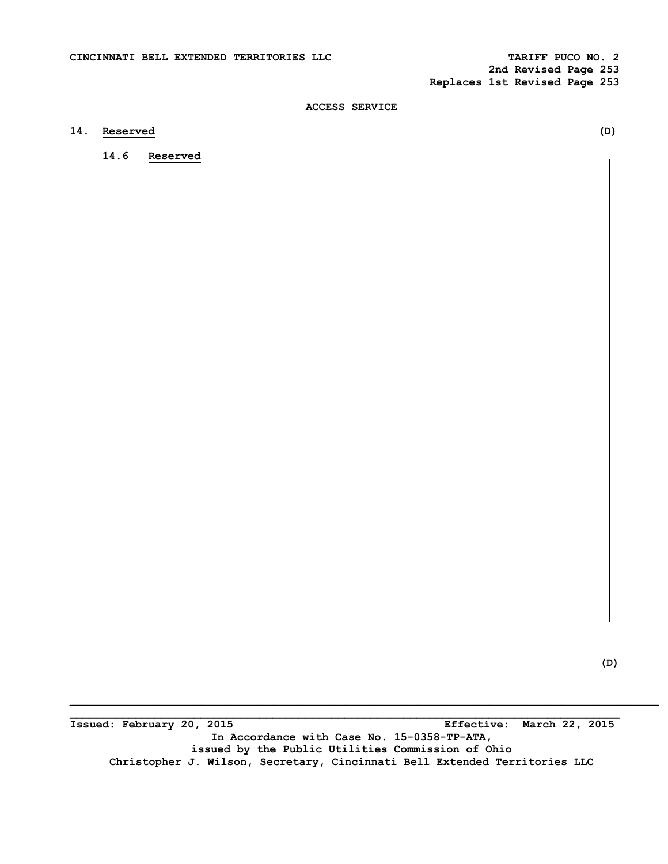**2nd Revised Page 253 Replaces 1st Revised Page 253** 

## **ACCESS SERVICE**

## **14. Reserved (D)**

 **14.6 Reserved** 

 **(D)** 

**Issued: February 20, 2015 Effective: March 22, 2015 In Accordance with Case No. 15-0358-TP-ATA, issued by the Public Utilities Commission of Ohio Christopher J. Wilson, Secretary, Cincinnati Bell Extended Territories LLC** 

**\_\_\_\_\_\_\_\_\_\_\_\_\_\_\_\_\_\_\_\_\_\_\_\_\_\_\_\_\_\_\_\_\_\_\_\_\_\_\_\_\_\_\_\_\_\_\_\_\_\_\_\_\_\_\_\_\_\_\_\_\_\_\_\_\_\_\_\_\_\_\_\_\_\_\_\_\_\_\_\_\_\_\_\_**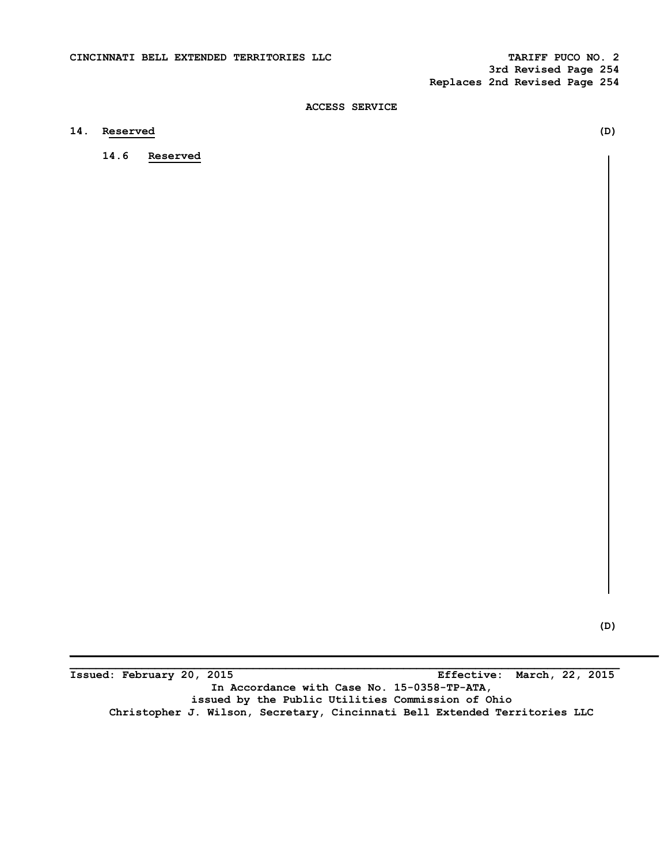**3rd Revised Page 254 Replaces 2nd Revised Page 254** 

## **ACCESS SERVICE**

# **14. Reserved (D)**

 **14.6 Reserved** 

 **(D)** 

**Issued: February 20, 2015 Effective: March, 22, 2015 In Accordance with Case No. 15-0358-TP-ATA, issued by the Public Utilities Commission of Ohio Christopher J. Wilson, Secretary, Cincinnati Bell Extended Territories LLC** 

**\_\_\_\_\_\_\_\_\_\_\_\_\_\_\_\_\_\_\_\_\_\_\_\_\_\_\_\_\_\_\_\_\_\_\_\_\_\_\_\_\_\_\_\_\_\_\_\_\_\_\_\_\_\_\_\_\_\_\_\_\_\_\_\_\_\_\_\_\_\_\_\_\_\_\_\_\_\_\_\_\_\_\_\_**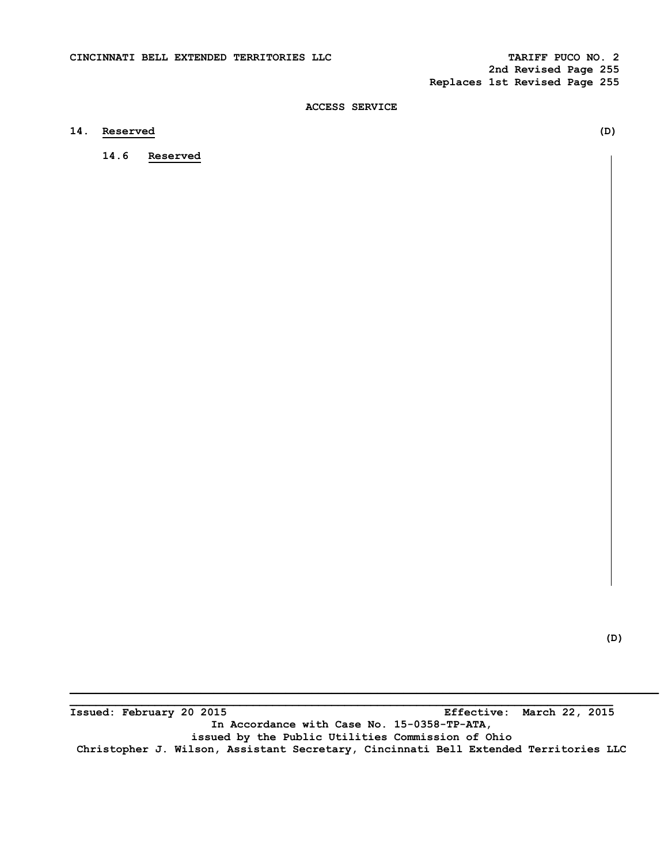**2nd Revised Page 255 Replaces 1st Revised Page 255** 

## **ACCESS SERVICE**

# **14. Reserved (D)**

 **14.6 Reserved** 

**\_\_\_\_\_\_\_\_\_\_\_\_\_\_\_\_\_\_\_\_\_\_\_\_\_\_\_\_\_\_\_\_\_\_\_\_\_\_\_\_\_\_\_\_\_\_\_\_\_\_\_\_\_\_\_\_\_\_\_\_\_\_\_\_\_\_\_\_\_\_\_\_\_\_\_\_\_\_\_\_\_\_\_ Issued: February 20 2015 Effective: March 22, 2015 In Accordance with Case No. 15-0358-TP-ATA, issued by the Public Utilities Commission of Ohio Christopher J. Wilson, Assistant Secretary, Cincinnati Bell Extended Territories LLC**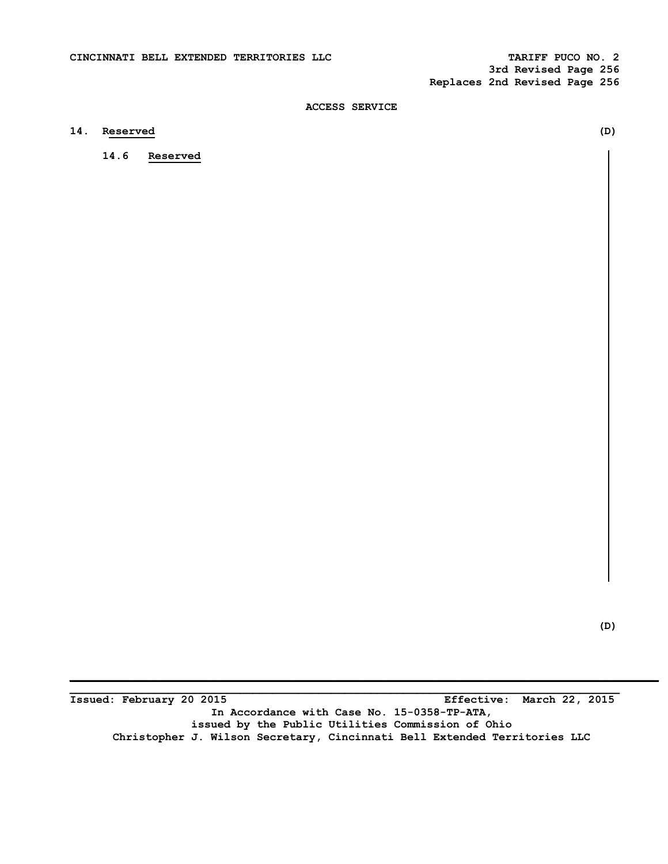**3rd Revised Page 256 Replaces 2nd Revised Page 256** 

## **ACCESS SERVICE**

# **14. Reserved (D)**

 **14.6 Reserved** 

 **(D)** 

**Issued: February 20 2015 Effective: March 22, 2015 In Accordance with Case No. 15-0358-TP-ATA, issued by the Public Utilities Commission of Ohio Christopher J. Wilson Secretary, Cincinnati Bell Extended Territories LLC** 

**\_\_\_\_\_\_\_\_\_\_\_\_\_\_\_\_\_\_\_\_\_\_\_\_\_\_\_\_\_\_\_\_\_\_\_\_\_\_\_\_\_\_\_\_\_\_\_\_\_\_\_\_\_\_\_\_\_\_\_\_\_\_\_\_\_\_\_\_\_\_\_\_\_\_\_\_\_\_\_\_\_\_\_\_**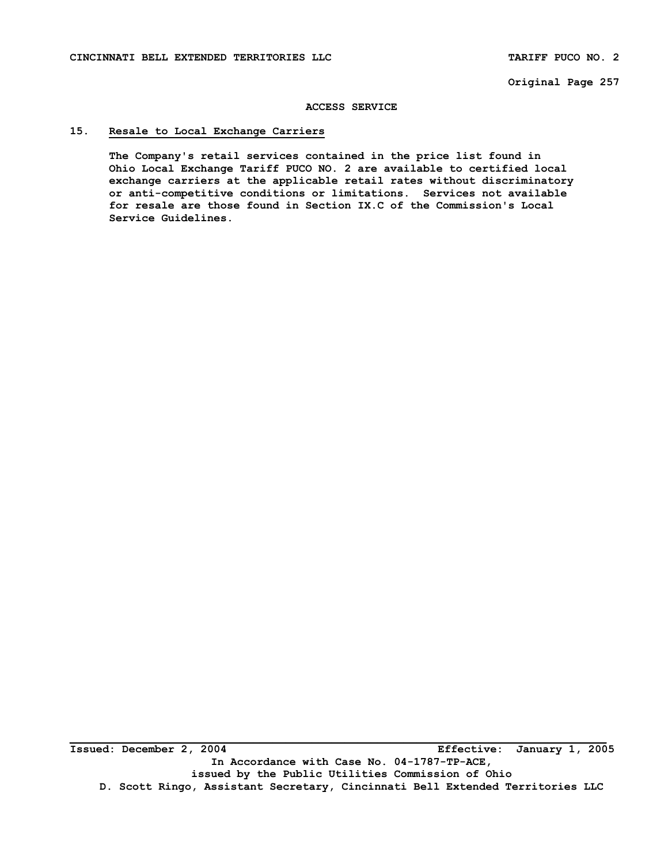#### **ACCESS SERVICE**

## **15. Resale to Local Exchange Carriers**

**The Company's retail services contained in the price list found in Ohio Local Exchange Tariff PUCO NO. 2 are available to certified local exchange carriers at the applicable retail rates without discriminatory or anti-competitive conditions or limitations. Services not available for resale are those found in Section IX.C of the Commission's Local Service Guidelines.**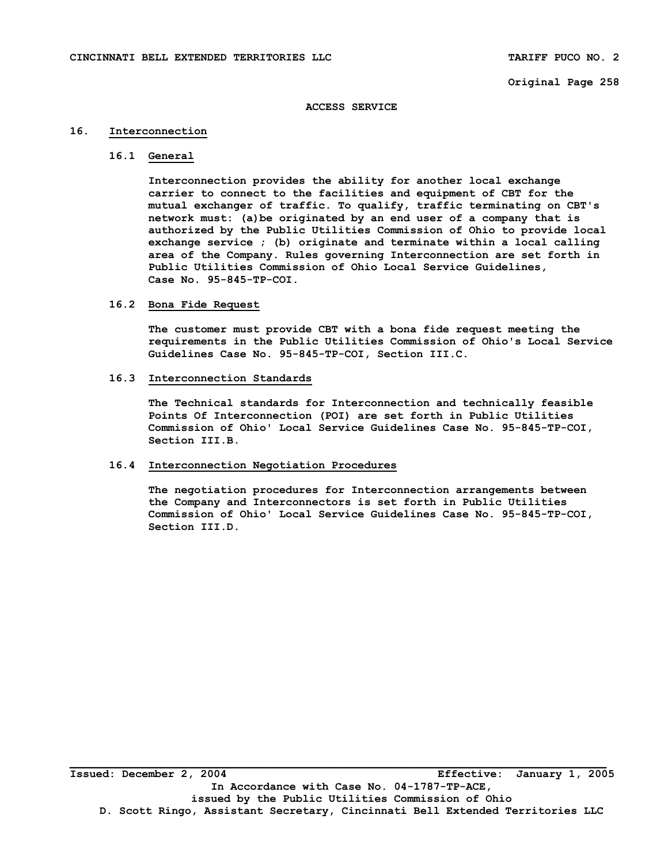#### **ACCESS SERVICE**

### **16. Interconnection**

### **16.1 General**

**Interconnection provides the ability for another local exchange carrier to connect to the facilities and equipment of CBT for the mutual exchanger of traffic. To qualify, traffic terminating on CBT's network must: (a)be originated by an end user of a company that is authorized by the Public Utilities Commission of Ohio to provide local exchange service ; (b) originate and terminate within a local calling area of the Company. Rules governing Interconnection are set forth in Public Utilities Commission of Ohio Local Service Guidelines, Case No. 95-845-TP-COI.** 

### **16.2 Bona Fide Request**

**The customer must provide CBT with a bona fide request meeting the requirements in the Public Utilities Commission of Ohio's Local Service Guidelines Case No. 95-845-TP-COI, Section III.C.** 

#### **16.3 Interconnection Standards**

**The Technical standards for Interconnection and technically feasible Points Of Interconnection (POI) are set forth in Public Utilities Commission of Ohio' Local Service Guidelines Case No. 95-845-TP-COI, Section III.B.** 

### **16.4 Interconnection Negotiation Procedures**

**The negotiation procedures for Interconnection arrangements between the Company and Interconnectors is set forth in Public Utilities Commission of Ohio' Local Service Guidelines Case No. 95-845-TP-COI, Section III.D.**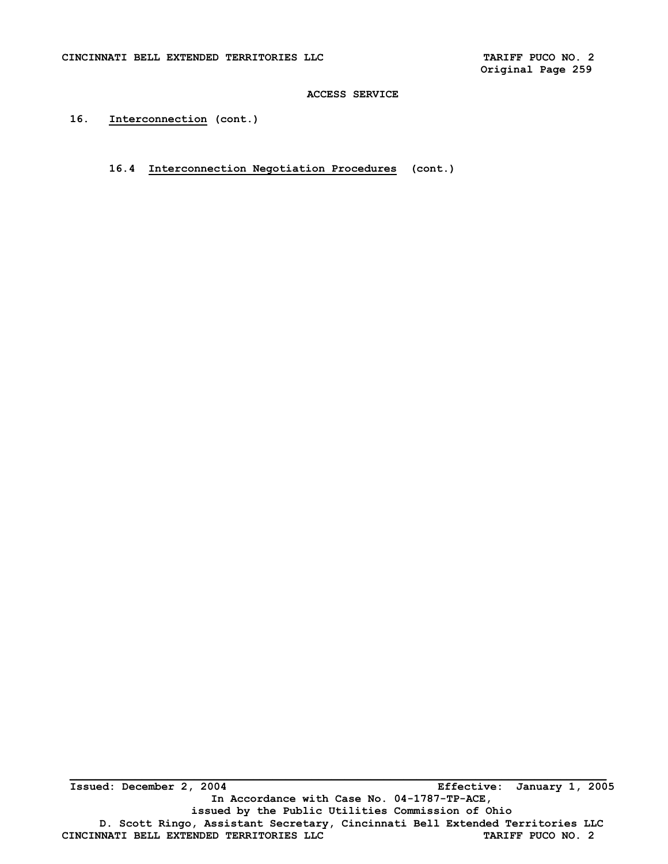**16. Interconnection (cont.)** 

**16.4 Interconnection Negotiation Procedures (cont.)**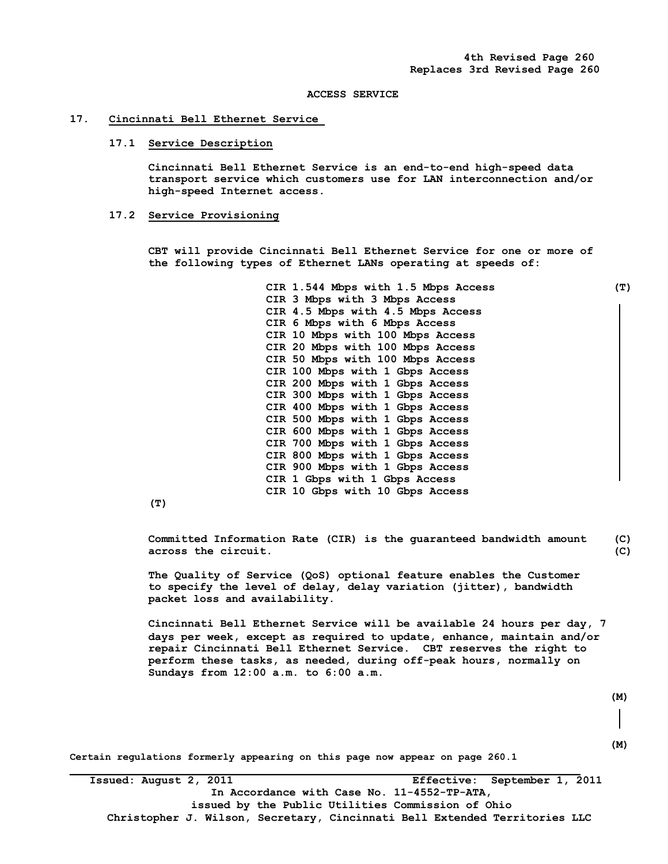#### **17. Cincinnati Bell Ethernet Service**

#### **17.1 Service Description**

 **Cincinnati Bell Ethernet Service is an end-to-end high-speed data transport service which customers use for LAN interconnection and/or high-speed Internet access.** 

#### **17.2 Service Provisioning**

**CBT will provide Cincinnati Bell Ethernet Service for one or more of the following types of Ethernet LANs operating at speeds of:** 

> **CIR 1.544 Mbps with 1.5 Mbps Access (T) CIR 3 Mbps with 3 Mbps Access CIR 4.5 Mbps with 4.5 Mbps Access CIR 6 Mbps with 6 Mbps Access CIR 10 Mbps with 100 Mbps Access CIR 20 Mbps with 100 Mbps Access CIR 50 Mbps with 100 Mbps Access CIR 100 Mbps with 1 Gbps Access CIR 200 Mbps with 1 Gbps Access CIR 300 Mbps with 1 Gbps Access CIR 400 Mbps with 1 Gbps Access CIR 500 Mbps with 1 Gbps Access CIR 600 Mbps with 1 Gbps Access CIR 700 Mbps with 1 Gbps Access CIR 800 Mbps with 1 Gbps Access CIR 900 Mbps with 1 Gbps Access CIR 1 Gbps with 1 Gbps Access CIR 10 Gbps with 10 Gbps Access**

**(T)** 

**Committed Information Rate (CIR) is the guaranteed bandwidth amount (C) across the circuit. (C)** 

**The Quality of Service (QoS) optional feature enables the Customer to specify the level of delay, delay variation (jitter), bandwidth packet loss and availability.** 

 **Cincinnati Bell Ethernet Service will be available 24 hours per day, 7 days per week, except as required to update, enhance, maintain and/or repair Cincinnati Bell Ethernet Service. CBT reserves the right to perform these tasks, as needed, during off-peak hours, normally on Sundays from 12:00 a.m. to 6:00 a.m.** 

 **(M)** 

 **(M)** 

**Certain regulations formerly appearing on this page now appear on page 260.1** 

 **Issued: August 2, 2011 Effective: September 1, 2011 In Accordance with Case No. 11-4552-TP-ATA, issued by the Public Utilities Commission of Ohio Christopher J. Wilson, Secretary, Cincinnati Bell Extended Territories LLC**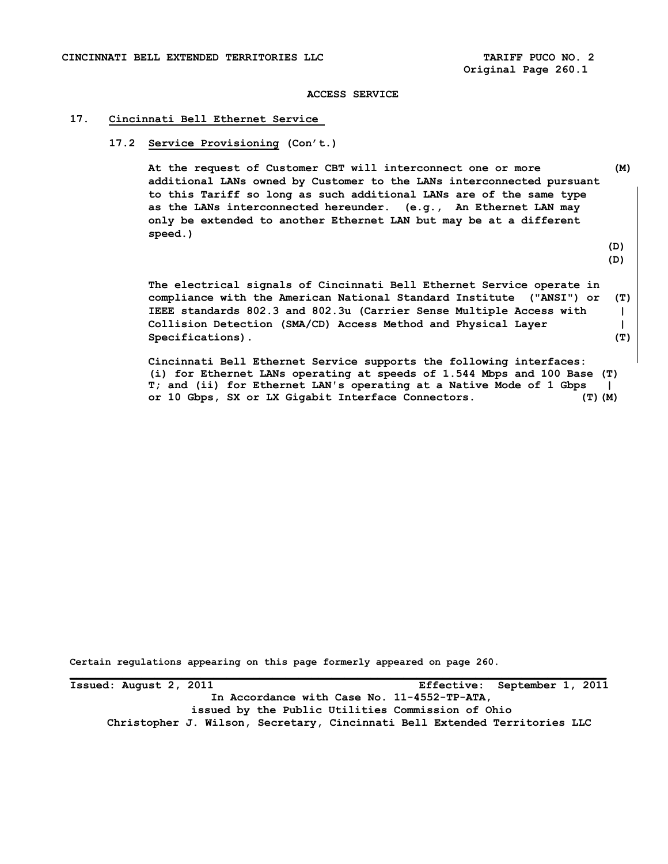**Original Page 260.1** 

#### **ACCESS SERVICE**

# **17. Cincinnati Bell Ethernet Service**

# **17.2 Service Provisioning (Con't.)**

 **At the request of Customer CBT will interconnect one or more (M) additional LANs owned by Customer to the LANs interconnected pursuant to this Tariff so long as such additional LANs are of the same type as the LANs interconnected hereunder. (e.g., An Ethernet LAN may only be extended to another Ethernet LAN but may be at a different speed.)** 

 **(D)** 

 **(D)** 

 **The electrical signals of Cincinnati Bell Ethernet Service operate in compliance with the American National Standard Institute ("ANSI") or (T) IEEE standards 802.3 and 802.3u (Carrier Sense Multiple Access with | Collision Detection (SMA/CD) Access Method and Physical Layer |**  Specifications). (T)

**Cincinnati Bell Ethernet Service supports the following interfaces: (i) for Ethernet LANs operating at speeds of 1.544 Mbps and 100 Base (T) T; and (ii) for Ethernet LAN's operating at a Native Mode of 1 Gbps | or 10 Gbps, SX or LX Gigabit Interface Connectors. (T)(M)** 

**Certain regulations appearing on this page formerly appeared on page 260.**

**Issued: August 2, 2011 Effective: September 1, 2011 In Accordance with Case No. 11-4552-TP-ATA, issued by the Public Utilities Commission of Ohio Christopher J. Wilson, Secretary, Cincinnati Bell Extended Territories LLC**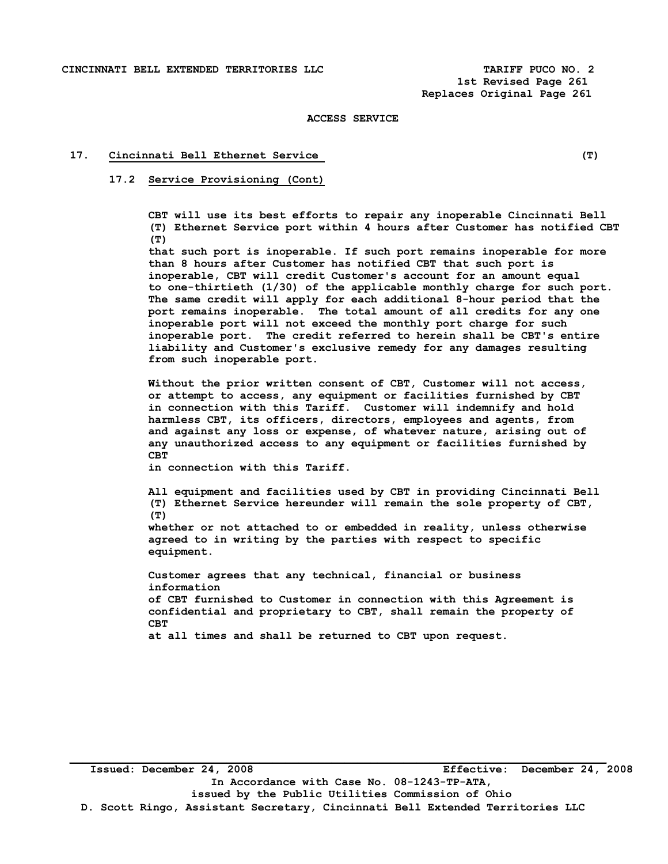### **17. Cincinnati Bell Ethernet Service (T)**

## **17.2 Service Provisioning (Cont)**

 **CBT will use its best efforts to repair any inoperable Cincinnati Bell (T) Ethernet Service port within 4 hours after Customer has notified CBT (T)** 

 **that such port is inoperable. If such port remains inoperable for more than 8 hours after Customer has notified CBT that such port is inoperable, CBT will credit Customer's account for an amount equal to one-thirtieth (1/30) of the applicable monthly charge for such port. The same credit will apply for each additional 8-hour period that the port remains inoperable. The total amount of all credits for any one inoperable port will not exceed the monthly port charge for such inoperable port. The credit referred to herein shall be CBT's entire liability and Customer's exclusive remedy for any damages resulting from such inoperable port.** 

 **Without the prior written consent of CBT, Customer will not access, or attempt to access, any equipment or facilities furnished by CBT in connection with this Tariff. Customer will indemnify and hold harmless CBT, its officers, directors, employees and agents, from and against any loss or expense, of whatever nature, arising out of any unauthorized access to any equipment or facilities furnished by CBT** 

 **in connection with this Tariff.** 

 **All equipment and facilities used by CBT in providing Cincinnati Bell (T) Ethernet Service hereunder will remain the sole property of CBT, (T) whether or not attached to or embedded in reality, unless otherwise** 

**agreed to in writing by the parties with respect to specific equipment.** 

 **Customer agrees that any technical, financial or business information of CBT furnished to Customer in connection with this Agreement is confidential and proprietary to CBT, shall remain the property of CBT at all times and shall be returned to CBT upon request.**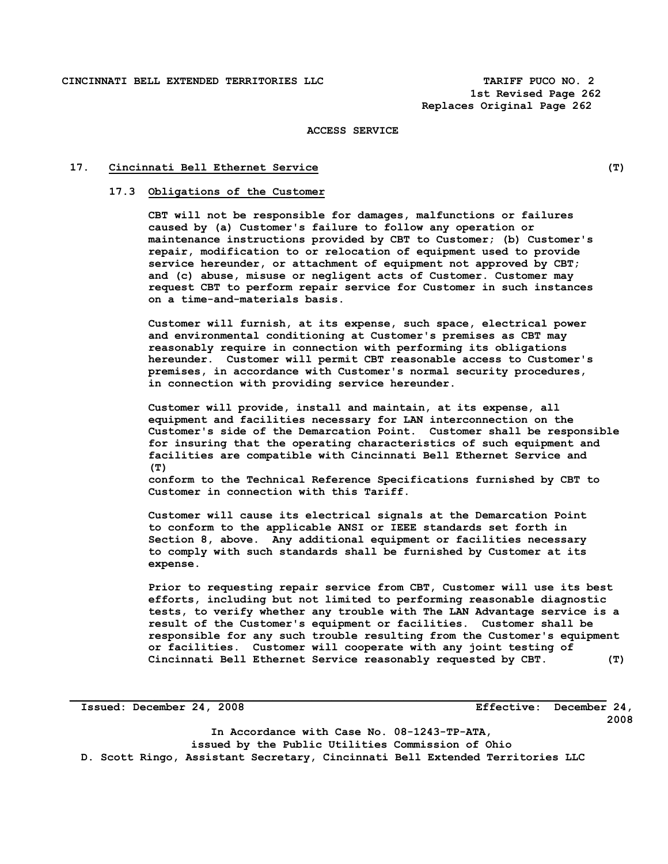## **17. Cincinnati Bell Ethernet Service (T)**

#### **17.3 Obligations of the Customer**

**CBT will not be responsible for damages, malfunctions or failures caused by (a) Customer's failure to follow any operation or maintenance instructions provided by CBT to Customer; (b) Customer's repair, modification to or relocation of equipment used to provide service hereunder, or attachment of equipment not approved by CBT; and (c) abuse, misuse or negligent acts of Customer. Customer may request CBT to perform repair service for Customer in such instances on a time-and-materials basis.** 

 **Customer will furnish, at its expense, such space, electrical power and environmental conditioning at Customer's premises as CBT may reasonably require in connection with performing its obligations hereunder. Customer will permit CBT reasonable access to Customer's premises, in accordance with Customer's normal security procedures, in connection with providing service hereunder.** 

**Customer will provide, install and maintain, at its expense, all equipment and facilities necessary for LAN interconnection on the Customer's side of the Demarcation Point. Customer shall be responsible for insuring that the operating characteristics of such equipment and facilities are compatible with Cincinnati Bell Ethernet Service and (T)** 

 **conform to the Technical Reference Specifications furnished by CBT to Customer in connection with this Tariff.** 

 **Customer will cause its electrical signals at the Demarcation Point to conform to the applicable ANSI or IEEE standards set forth in Section 8, above. Any additional equipment or facilities necessary to comply with such standards shall be furnished by Customer at its expense.** 

 **Prior to requesting repair service from CBT, Customer will use its best efforts, including but not limited to performing reasonable diagnostic tests, to verify whether any trouble with The LAN Advantage service is a result of the Customer's equipment or facilities. Customer shall be responsible for any such trouble resulting from the Customer's equipment or facilities. Customer will cooperate with any joint testing of Cincinnati Bell Ethernet Service reasonably requested by CBT. (T)** 

**Issued: December 24, 2008 Effective: December 24, 2008** 

**In Accordance with Case No. 08-1243-TP-ATA, issued by the Public Utilities Commission of Ohio D. Scott Ringo, Assistant Secretary, Cincinnati Bell Extended Territories LLC**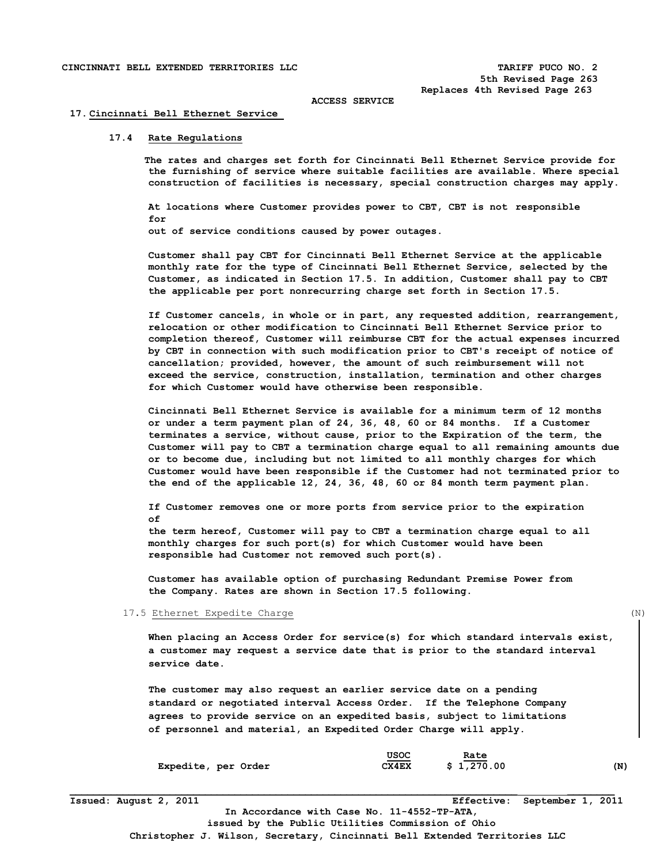#### **17. Cincinnati Bell Ethernet Service**

### **17.4 Rate Regulations**

 **The rates and charges set forth for Cincinnati Bell Ethernet Service provide for the furnishing of service where suitable facilities are available. Where special construction of facilities is necessary, special construction charges may apply.** 

 **At locations where Customer provides power to CBT, CBT is not responsible for out of service conditions caused by power outages.** 

 **Customer shall pay CBT for Cincinnati Bell Ethernet Service at the applicable monthly rate for the type of Cincinnati Bell Ethernet Service, selected by the Customer, as indicated in Section 17.5. In addition, Customer shall pay to CBT the applicable per port nonrecurring charge set forth in Section 17.5.** 

 **If Customer cancels, in whole or in part, any requested addition, rearrangement, relocation or other modification to Cincinnati Bell Ethernet Service prior to completion thereof, Customer will reimburse CBT for the actual expenses incurred by CBT in connection with such modification prior to CBT's receipt of notice of cancellation; provided, however, the amount of such reimbursement will not exceed the service, construction, installation, termination and other charges for which Customer would have otherwise been responsible.** 

 **Cincinnati Bell Ethernet Service is available for a minimum term of 12 months or under a term payment plan of 24, 36, 48, 60 or 84 months. If a Customer terminates a service, without cause, prior to the Expiration of the term, the Customer will pay to CBT a termination charge equal to all remaining amounts due or to become due, including but not limited to all monthly charges for which Customer would have been responsible if the Customer had not terminated prior to the end of the applicable 12, 24, 36, 48, 60 or 84 month term payment plan.** 

 **If Customer removes one or more ports from service prior to the expiration of** 

 **the term hereof, Customer will pay to CBT a termination charge equal to all monthly charges for such port(s) for which Customer would have been responsible had Customer not removed such port(s).** 

**Customer has available option of purchasing Redundant Premise Power from the Company. Rates are shown in Section 17.5 following.** 

#### 17.5 Ethernet Expedite Charge (N)

 **When placing an Access Order for service(s) for which standard intervals exist, a customer may request a service date that is prior to the standard interval service date.** 

 **The customer may also request an earlier service date on a pending standard or negotiated interval Access Order. If the Telephone Company agrees to provide service on an expedited basis, subject to limitations of personnel and material, an Expedited Order Charge will apply.** 

|                     | USOC  | Rate       |     |
|---------------------|-------|------------|-----|
| Expedite, per Order | CX4EX | \$1,270.00 | (N) |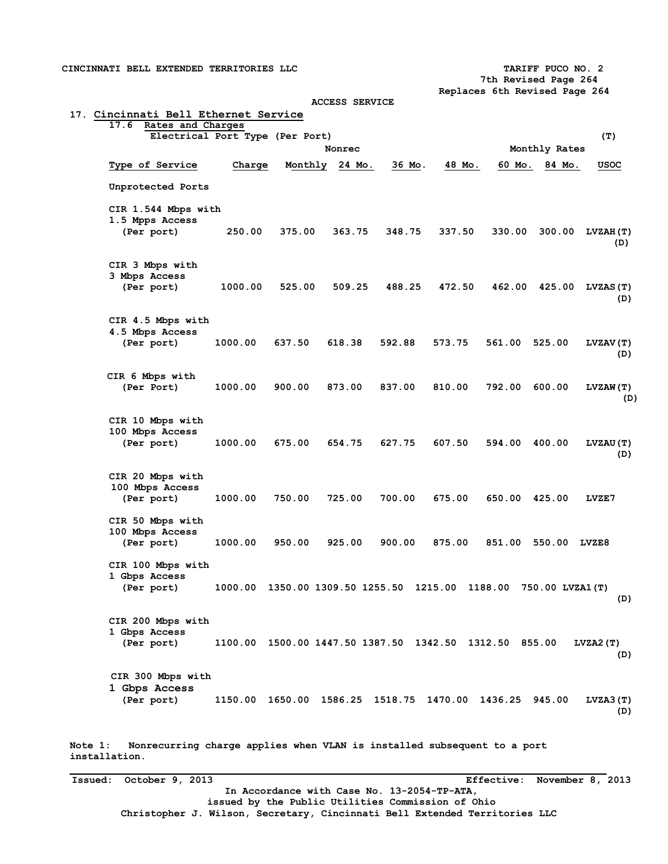**CINCINNATI BELL EXTENDED TERRITORIES LLC TARIFF PUCO NO. 2 7th Revised Page 264 Replaces 6th Revised Page 264 ACCESS SERVICE 17. Cincinnati Bell Ethernet Service 17.6 Rates and Charges Electrical Port Type (Per Port) (T)**  Nonrec Monthly Rates  **Type of Service Charge Monthly 24 Mo. 36 Mo. 48 Mo. 60 Mo. 84 Mo. USOC Unprotected Ports CIR 1.544 Mbps with 1.5 Mpps Access (Per port) 250.00 375.00 363.75 348.75 337.50 330.00 300.00 LVZAH(T) (D) CIR 3 Mbps with 3 Mbps Access (Per port) 1000.00 525.00 509.25 488.25 472.50 462.00 425.00 LVZAS(T) (D) CIR 4.5 Mbps with 4.5 Mbps Access (Per port) 1000.00 637.50 618.38 592.88 573.75 561.00 525.00 LVZAV(T) (D) CIR 6 Mbps with (Per Port) 1000.00 900.00 873.00 837.00 810.00 792.00 600.00 LVZAW(T) (D) CIR 10 Mbps with 100 Mbps Access (Per port) 1000.00 675.00 654.75 627.75 607.50 594.00 400.00 LVZAU(T) (D) CIR 20 Mbps with 100 Mbps Access (Per port) 1000.00 750.00 725.00 700.00 675.00 650.00 425.00 LVZE7 CIR 50 Mbps with 100 Mbps Access (Per port) 1000.00 950.00 925.00 900.00 875.00 851.00 550.00 LVZE8 CIR 100 Mbps with 1 Gbps Access (Per port) 1000.00 1350.00 1309.50 1255.50 1215.00 1188.00 750.00 LVZA1(T) (D) CIR 200 Mbps with 1 Gbps Access (Per port) 1100.00 1500.00 1447.50 1387.50 1342.50 1312.50 855.00 LVZA2(T) (D) CIR 300 Mbps with 1 Gbps Access (Per port) 1150.00 1650.00 1586.25 1518.75 1470.00 1436.25 945.00 LVZA3(T) (D)** 

**Note 1: Nonrecurring charge applies when VLAN is installed subsequent to a port installation.** 

**Issued: October 9, 2013 Effective: November 8, 2013 In Accordance with Case No. 13-2054-TP-ATA, issued by the Public Utilities Commission of Ohio Christopher J. Wilson, Secretary, Cincinnati Bell Extended Territories LLC**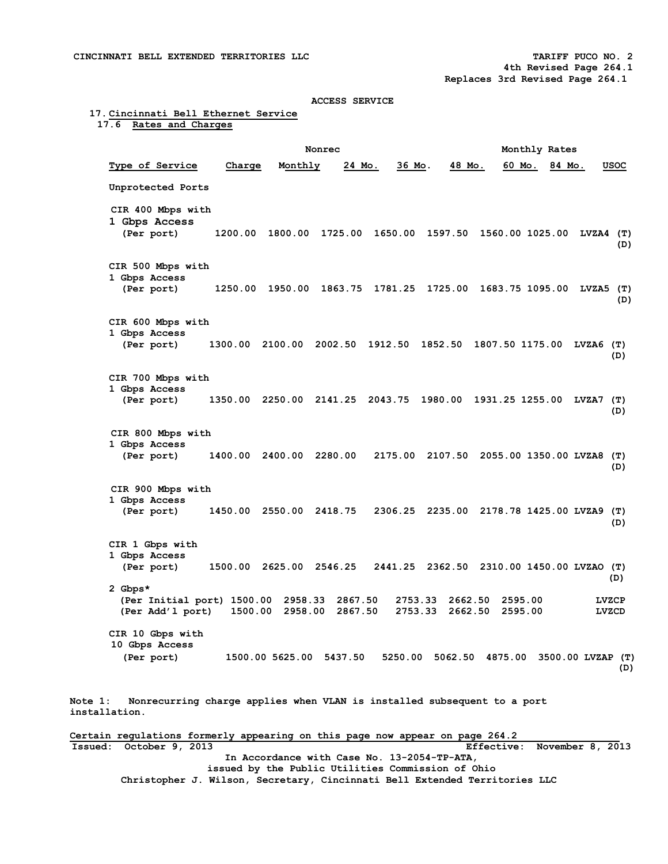### **17. Cincinnati Bell Ethernet Service 17.6 Rates and Charges**

Nonrec Monthly Rates  **Type of Service Charge Monthly 24 Mo. 36 Mo. 48 Mo. 60 Mo. 84 Mo. USOC Unprotected Ports CIR 400 Mbps with 1 Gbps Access (Per port) 1200.00 1800.00 1725.00 1650.00 1597.50 1560.00 1025.00 LVZA4 (T) (D) CIR 500 Mbps with 1 Gbps Access (Per port) 1250.00 1950.00 1863.75 1781.25 1725.00 1683.75 1095.00 LVZA5 (T) (D) CIR 600 Mbps with 1 Gbps Access (Per port) 1300.00 2100.00 2002.50 1912.50 1852.50 1807.50 1175.00 LVZA6 (T) (D) CIR 700 Mbps with 1 Gbps Access (Per port) 1350.00 2250.00 2141.25 2043.75 1980.00 1931.25 1255.00 LVZA7 (T) (D) CIR 800 Mbps with 1 Gbps Access (Per port) 1400.00 2400.00 2280.00 2175.00 2107.50 2055.00 1350.00 LVZA8 (T) (D) CIR 900 Mbps with 1 Gbps Access (Per port) 1450.00 2550.00 2418.75 2306.25 2235.00 2178.78 1425.00 LVZA9 (T) (D) CIR 1 Gbps with 1 Gbps Access (Per port) 1500.00 2625.00 2546.25 2441.25 2362.50 2310.00 1450.00 LVZAO (T) (D) 2 Gbps\* (Per Initial port) 1500.00 2958.33 2867.50 2753.33 2662.50 2595.00 LVZCP**  (Per Add'1 port) 1500.00 2958.00 2867.50  **CIR 10 Gbps with 10 Gbps Access (Per port) 1500.00 5625.00 5437.50 5250.00 5062.50 4875.00 3500.00 LVZAP (T) (D) Note 1: Nonrecurring charge applies when VLAN is installed subsequent to a port installation.** 

**Certain regulations formerly appearing on this page now appear on page 264.2 Issued: October 9, 2013 Effective: November 8, 2013 In Accordance with Case No. 13-2054-TP-ATA, issued by the Public Utilities Commission of Ohio Christopher J. Wilson, Secretary, Cincinnati Bell Extended Territories LLC**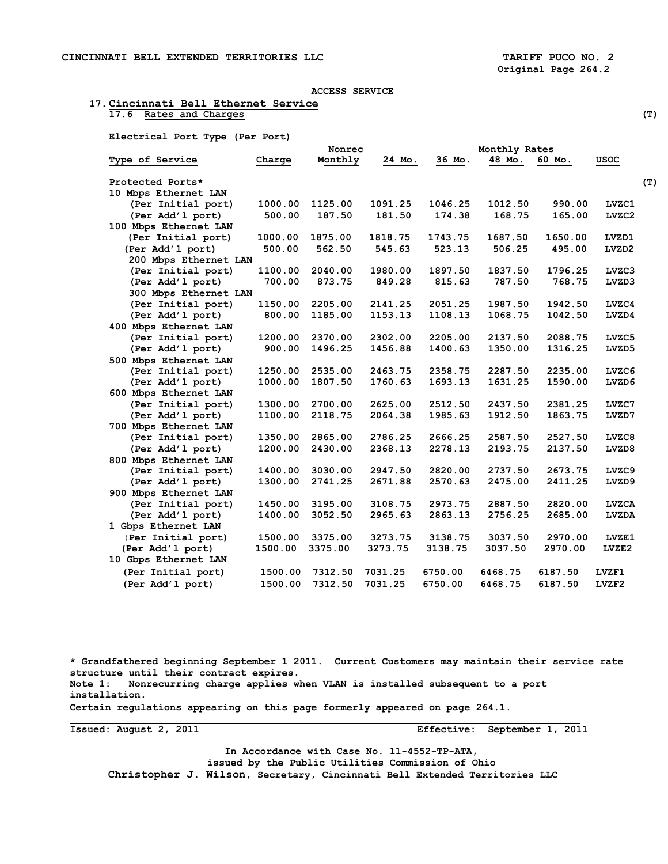## **17. Cincinnati Bell Ethernet Service 17.6 Rates and Charges (T)**

 **Electrical Port Type (Per Port)** 

|                       | Nonrec  |         |         |         |         |         |              |
|-----------------------|---------|---------|---------|---------|---------|---------|--------------|
| Type of Service       | Charge  | Monthly | 24 Mo.  | 36 Mo.  | 48 Mo.  | 60 Mo.  | <b>USOC</b>  |
| Protected Ports*      |         |         |         |         |         |         |              |
| 10 Mbps Ethernet LAN  |         |         |         |         |         |         |              |
| (Per Initial port)    | 1000.00 | 1125.00 | 1091.25 | 1046.25 | 1012.50 | 990.00  | LVZC1        |
| (Per Add'1 port)      | 500.00  | 187.50  | 181.50  | 174.38  | 168.75  | 165.00  | LVZC2        |
| 100 Mbps Ethernet LAN |         |         |         |         |         |         |              |
| (Per Initial port)    | 1000.00 | 1875.00 | 1818.75 | 1743.75 | 1687.50 | 1650.00 | LVZD1        |
| (Per Add'1 port)      | 500.00  | 562.50  | 545.63  | 523.13  | 506.25  | 495.00  | LVZD2        |
| 200 Mbps Ethernet LAN |         |         |         |         |         |         |              |
| (Per Initial port)    | 1100.00 | 2040.00 | 1980.00 | 1897.50 | 1837.50 | 1796.25 | LVZC3        |
| (Per Add'1 port)      | 700.00  | 873.75  | 849.28  | 815.63  | 787.50  | 768.75  | LVZD3        |
| 300 Mbps Ethernet LAN |         |         |         |         |         |         |              |
| (Per Initial port)    | 1150.00 | 2205.00 | 2141.25 | 2051.25 | 1987.50 | 1942.50 | LVZC4        |
| (Per Add'1 port)      | 800.00  | 1185.00 | 1153.13 | 1108.13 | 1068.75 | 1042.50 | LVZD4        |
| 400 Mbps Ethernet LAN |         |         |         |         |         |         |              |
| (Per Initial port)    | 1200.00 | 2370.00 | 2302.00 | 2205.00 | 2137.50 | 2088.75 | LVZC5        |
| (Per Add'1 port)      | 900.00  | 1496.25 | 1456.88 | 1400.63 | 1350.00 | 1316.25 | LVZD5        |
| 500 Mbps Ethernet LAN |         |         |         |         |         |         |              |
| (Per Initial port)    | 1250.00 | 2535.00 | 2463.75 | 2358.75 | 2287.50 | 2235.00 | LVZC6        |
| (Per Add'1 port)      | 1000.00 | 1807.50 | 1760.63 | 1693.13 | 1631.25 | 1590.00 | LVZD6        |
| 600 Mbps Ethernet LAN |         |         |         |         |         |         |              |
| (Per Initial port)    | 1300.00 | 2700.00 | 2625.00 | 2512.50 | 2437.50 | 2381.25 | LVZC7        |
| (Per Add'1 port)      | 1100.00 | 2118.75 | 2064.38 | 1985.63 | 1912.50 | 1863.75 | LVZD7        |
| 700 Mbps Ethernet LAN |         |         |         |         |         |         |              |
| (Per Initial port)    | 1350.00 | 2865.00 | 2786.25 | 2666.25 | 2587.50 | 2527.50 | LVZC8        |
| (Per Add'1 port)      | 1200.00 | 2430.00 | 2368.13 | 2278.13 | 2193.75 | 2137.50 | LVZD8        |
| 800 Mbps Ethernet LAN |         |         |         |         |         |         |              |
| (Per Initial port)    | 1400.00 | 3030.00 | 2947.50 | 2820.00 | 2737.50 | 2673.75 | LVZC9        |
| (Per Add'1 port)      | 1300.00 | 2741.25 | 2671.88 | 2570.63 | 2475.00 | 2411.25 | LVZD9        |
| 900 Mbps Ethernet LAN |         |         |         |         |         |         |              |
| (Per Initial port)    | 1450.00 | 3195.00 | 3108.75 | 2973.75 | 2887.50 | 2820.00 | <b>LVZCA</b> |
| (Per Add'1 port)      | 1400.00 | 3052.50 | 2965.63 | 2863.13 | 2756.25 | 2685.00 | <b>LVZDA</b> |
| 1 Gbps Ethernet LAN   |         |         |         |         |         |         |              |
| (Per Initial port)    | 1500.00 | 3375.00 | 3273.75 | 3138.75 | 3037.50 | 2970.00 | LVZE1        |
| (Per Add'1 port)      | 1500.00 | 3375.00 | 3273.75 | 3138.75 | 3037.50 | 2970.00 | LVZE2        |
| 10 Gbps Ethernet LAN  |         |         |         |         |         |         |              |
| (Per Initial port)    | 1500.00 | 7312.50 | 7031.25 | 6750.00 | 6468.75 | 6187.50 | LVZF1        |
| (Per Add'1 port)      | 1500.00 | 7312.50 | 7031.25 | 6750.00 | 6468.75 | 6187.50 | LVZF2        |

**\* Grandfathered beginning September 1 2011. Current Customers may maintain their service rate structure until their contract expires. Note 1: Nonrecurring charge applies when VLAN is installed subsequent to a port installation. Certain regulations appearing on this page formerly appeared on page 264.1.** 

**Issued: August 2, 2011** 

Effective: September 1, 2011

**In Accordance with Case No. 11-4552-TP-ATA, issued by the Public Utilities Commission of Ohio Christopher J. Wilson, Secretary, Cincinnati Bell Extended Territories LLC**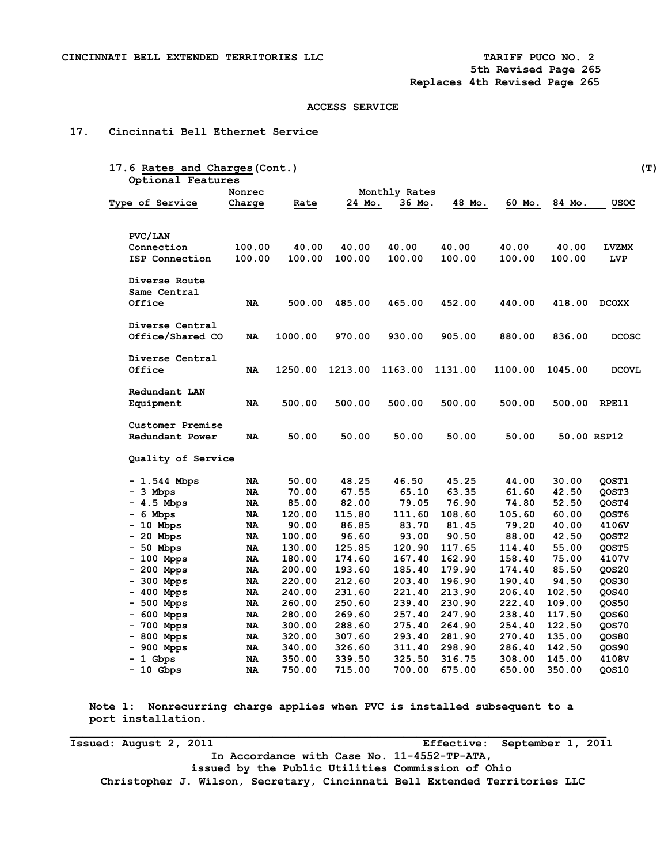# **17. Cincinnati Bell Ethernet Service**

|                        | Nonrec    |         |         | Monthly Rates |         |         |         |              |
|------------------------|-----------|---------|---------|---------------|---------|---------|---------|--------------|
|                        |           |         | 24 Mo.  |               | 48 Mo.  | 60 Mo.  | 84 Mo.  |              |
| <b>Type of Service</b> | Charge    | Rate    |         | 36 Mo.        |         |         |         | usoc         |
| PVC/LAN                |           |         |         |               |         |         |         |              |
| Connection             | 100.00    | 40.00   | 40.00   | 40.00         | 40.00   | 40.00   | 40.00   | <b>LVZMX</b> |
| ISP Connection         | 100.00    | 100.00  | 100.00  | 100.00        | 100.00  | 100.00  | 100.00  | LVP          |
| Diverse Route          |           |         |         |               |         |         |         |              |
| Same Central           |           |         |         |               |         |         |         |              |
| Office                 | NA        | 500.00  | 485.00  | 465.00        | 452.00  | 440.00  | 418.00  | <b>DCOXX</b> |
| Diverse Central        |           |         |         |               |         |         |         |              |
| Office/Shared CO       | NA        | 1000.00 | 970.00  | 930.00        | 905.00  | 880.00  | 836.00  | <b>DCOSC</b> |
| Diverse Central        |           |         |         |               |         |         |         |              |
| Office                 | NA        | 1250.00 | 1213.00 | 1163.00       | 1131.00 | 1100.00 | 1045.00 | <b>DCOVL</b> |
| Redundant LAN          |           |         |         |               |         |         |         |              |
| Equipment              | <b>NA</b> | 500.00  | 500.00  | 500.00        | 500.00  | 500.00  | 500.00  | RPE11        |
| Customer Premise       |           |         |         |               |         |         |         |              |
| Redundant Power        | NA        | 50.00   | 50.00   | 50.00         | 50.00   | 50.00   |         | 50.00 RSP12  |
| Quality of Service     |           |         |         |               |         |         |         |              |
| - 1.544 Mbps           | NA        | 50.00   | 48.25   | 46.50         | 45.25   | 44.00   | 30.00   | QOST1        |
| - 3 Mbps               | NA        | 70.00   | 67.55   | 65.10         | 63.35   | 61.60   | 42.50   | QOST3        |
| - 4.5 Mbps             | NA        | 85.00   | 82.00   | 79.05         | 76.90   | 74.80   | 52.50   | QOST4        |
| - 6 Mbps               | NA        | 120.00  | 115.80  | 111.60        | 108.60  | 105.60  | 60.00   | QOST6        |
| $-10$ Mbps             | NA        | 90.00   | 86.85   | 83.70         | 81.45   | 79.20   | 40.00   | 4106V        |
| $-20$ Mbps             | NA        | 100.00  | 96.60   | 93.00         | 90.50   | 88.00   | 42.50   | QOST2        |
| - 50 Mbps              | NA        | 130.00  | 125.85  | 120.90        | 117.65  | 114.40  | 55.00   | QOST5        |
| $-100$ Mpps            | NA        | 180.00  | 174.60  | 167.40        | 162.90  | 158.40  | 75.00   | 4107V        |
| $-200$ Mpps            | <b>NA</b> | 200.00  | 193.60  | 185.40        | 179.90  | 174.40  | 85.50   | QOS20        |
| - 300 Mpps             | NA        | 220.00  | 212.60  | 203.40        | 196.90  | 190.40  | 94.50   | QOS30        |
| $-400$ Mpps            | NA        | 240.00  | 231.60  | 221.40        | 213.90  | 206.40  | 102.50  | QOS40        |
| - 500 Mpps             | NA        | 260.00  | 250.60  | 239.40        | 230.90  | 222.40  | 109.00  | QOS50        |
| $-600$ Mpps            | NA        | 280.00  | 269.60  | 257.40        | 247.90  | 238.40  | 117.50  | QOS60        |
| 700 Mpps<br>Ξ.         | NA        | 300.00  | 288.60  | 275.40        | 264.90  | 254.40  | 122.50  | QOS70        |
| - 800 Mpps             | NA        | 320.00  | 307.60  | 293.40        | 281.90  | 270.40  | 135.00  | QOS80        |
| - 900 Mpps             | NA        | 340.00  | 326.60  | 311.40        | 298.90  | 286.40  | 142.50  | QOS90        |
| $-1$ Gbps              | NA        | 350.00  | 339.50  | 325.50        | 316.75  | 308.00  | 145.00  | 4108V        |
| - 10 Gbps              | NA        | 750.00  | 715.00  | 700.00        | 675.00  | 650.00  | 350.00  | QOS10        |

 **Note 1: Nonrecurring charge applies when PVC is installed subsequent to a port installation.** 

**Issued: August 2, 2011 Effective: September 1, 2011 In Accordance with Case No. 11-4552-TP-ATA, issued by the Public Utilities Commission of Ohio Christopher J. Wilson, Secretary, Cincinnati Bell Extended Territories LLC**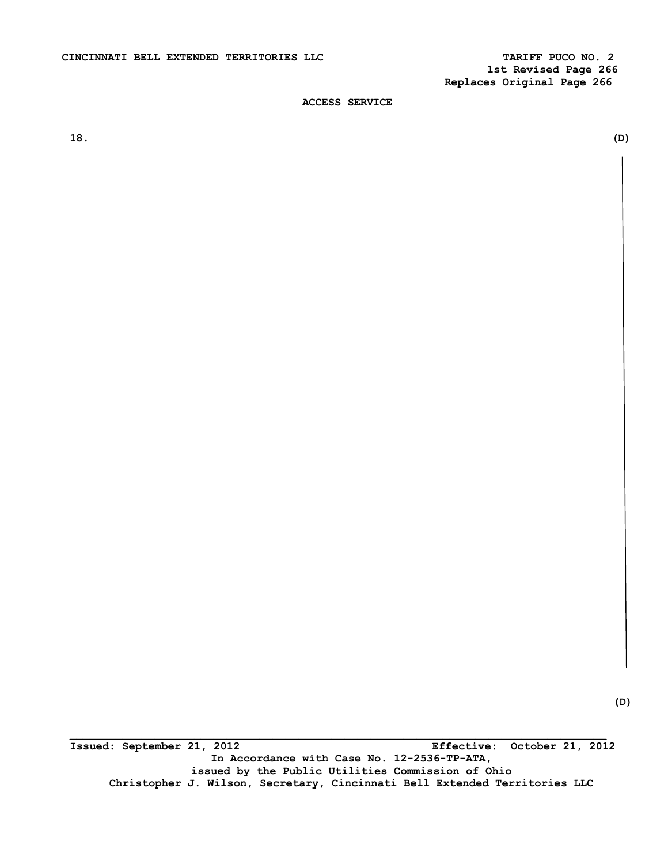**\_\_\_\_\_\_\_\_\_\_\_\_\_\_\_\_\_\_\_\_\_\_\_\_\_\_\_\_\_\_\_\_\_\_\_\_\_\_\_\_\_\_\_\_\_\_\_\_\_\_\_\_\_\_\_\_\_\_\_\_\_\_\_\_\_\_\_\_\_\_\_\_\_\_\_\_\_\_\_\_\_\_ Issued: September 21, 2012 Effective: October 21, 2012 In Accordance with Case No. 12-2536-TP-ATA, issued by the Public Utilities Commission of Ohio Christopher J. Wilson, Secretary, Cincinnati Bell Extended Territories LLC** 

**18. (D)**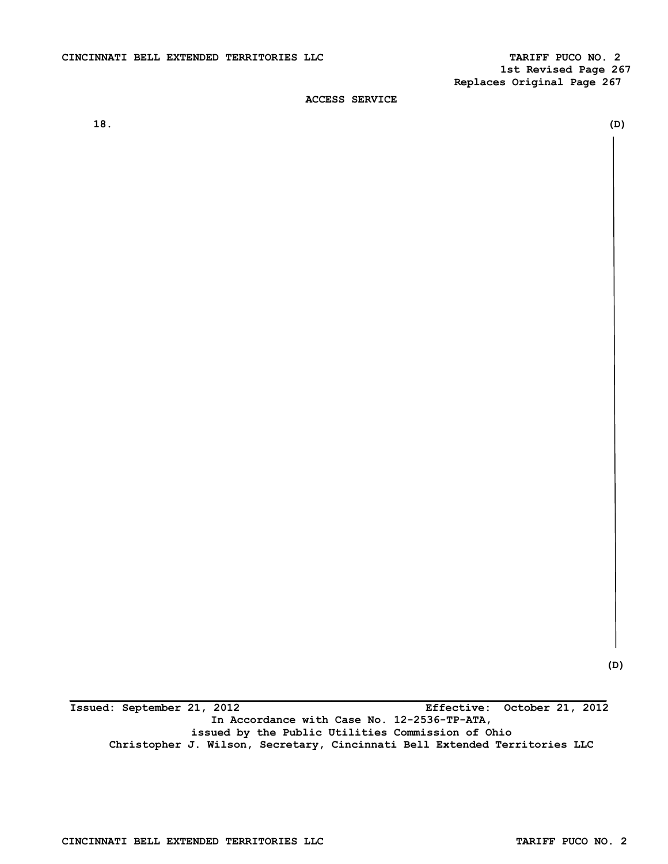**1st Revised Page 267 Replaces Original Page 267** 

# **ACCESS SERVICE**

**18. (D)** 

 **(D)** 

**\_\_\_\_\_\_\_\_\_\_\_\_\_\_\_\_\_\_\_\_\_\_\_\_\_\_\_\_\_\_\_\_\_\_\_\_\_\_\_\_\_\_\_\_\_\_\_\_\_\_\_\_\_\_\_\_\_\_\_\_\_\_\_\_\_\_\_\_\_\_\_\_\_\_\_\_\_\_\_\_\_\_ Issued: September 21, 2012 Effective: October 21, 2012 In Accordance with Case No. 12-2536-TP-ATA, issued by the Public Utilities Commission of Ohio Christopher J. Wilson, Secretary, Cincinnati Bell Extended Territories LLC**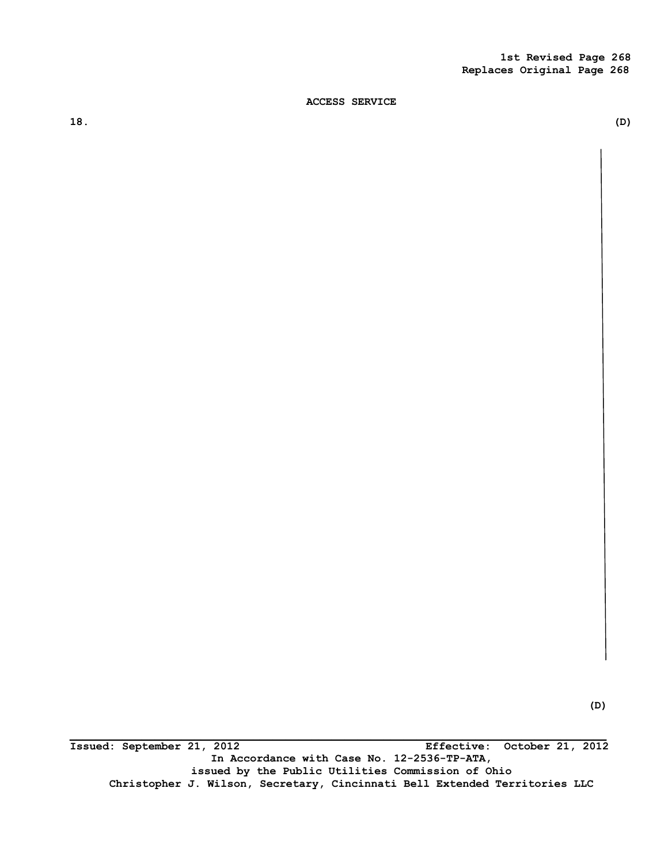**18. (D)** 

**\_\_\_\_\_\_\_\_\_\_\_\_\_\_\_\_\_\_\_\_\_\_\_\_\_\_\_\_\_\_\_\_\_\_\_\_\_\_\_\_\_\_\_\_\_\_\_\_\_\_\_\_\_\_\_\_\_\_\_\_\_\_\_\_\_\_\_\_\_\_\_\_\_\_\_\_\_\_\_\_\_\_ Issued: September 21, 2012 Effective: October 21, 2012 In Accordance with Case No. 12-2536-TP-ATA, issued by the Public Utilities Commission of Ohio Christopher J. Wilson, Secretary, Cincinnati Bell Extended Territories LLC**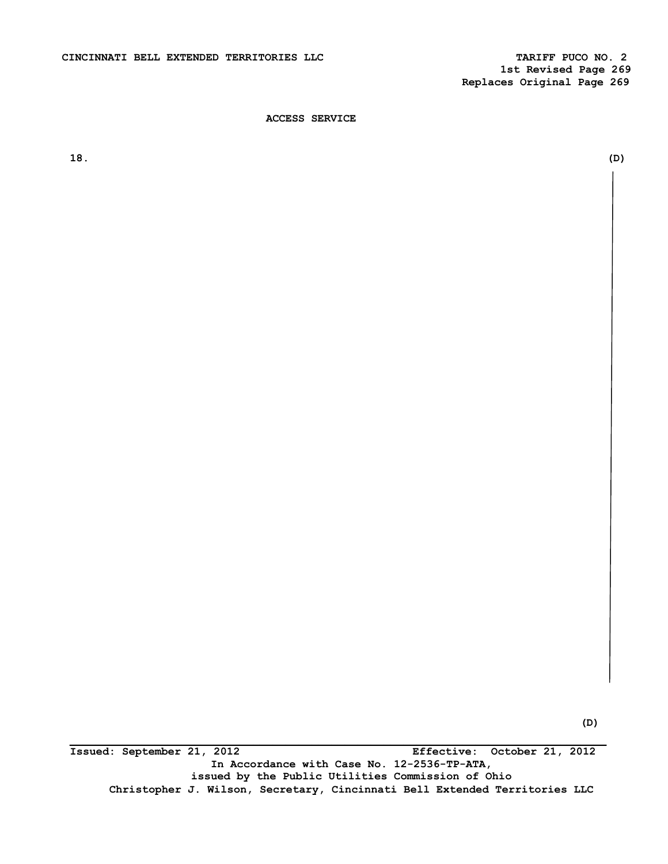**18. (D)** 

**(D)** 

**Issued: September 21, 2012 Effective: October 21, 2012 In Accordance with Case No. 12-2536-TP-ATA, issued by the Public Utilities Commission of Ohio Christopher J. Wilson, Secretary, Cincinnati Bell Extended Territories LLC**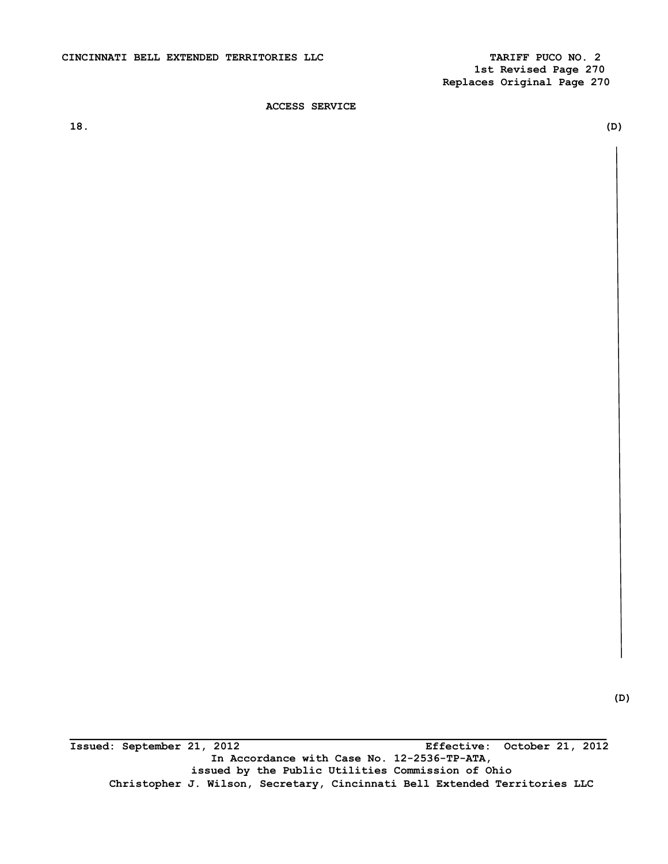**1st Revised Page 270 Replaces Original Page 270** 

**ACCESS SERVICE** 

**18. (D)** 

**\_\_\_\_\_\_\_\_\_\_\_\_\_\_\_\_\_\_\_\_\_\_\_\_\_\_\_\_\_\_\_\_\_\_\_\_\_\_\_\_\_\_\_\_\_\_\_\_\_\_\_\_\_\_\_\_\_\_\_\_\_\_\_\_\_\_\_\_\_\_\_\_\_\_\_\_\_\_\_\_\_\_ Issued: September 21, 2012 Effective: October 21, 2012 In Accordance with Case No. 12-2536-TP-ATA, issued by the Public Utilities Commission of Ohio Christopher J. Wilson, Secretary, Cincinnati Bell Extended Territories LLC** 

 **(D)**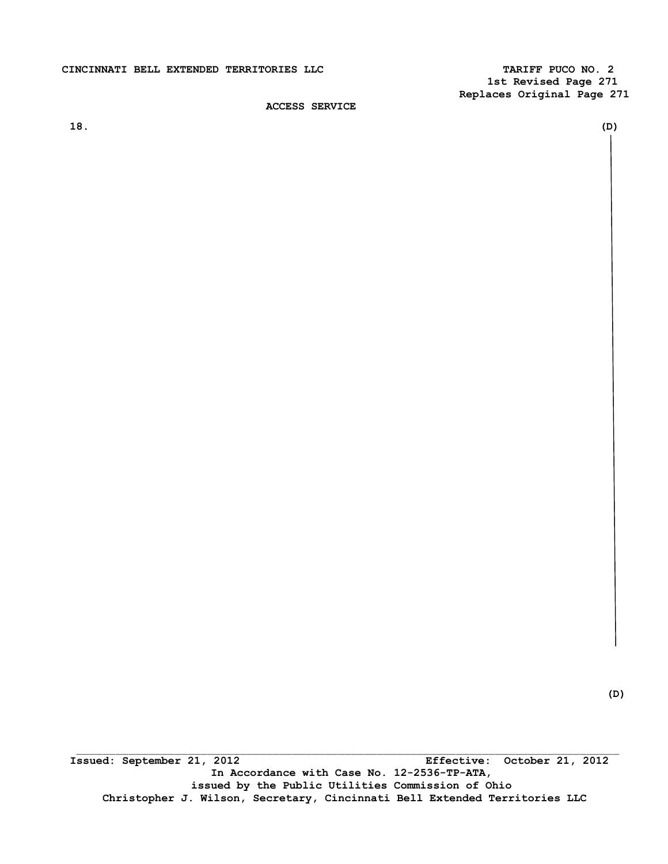# CINCINNATI BELL EXTENDED TERRITORIES LLC **TARIFF PUCO NO. 2**

 **1st Revised Page 271 Replaces Original Page 271** 

**ACCESS SERVICE** 

**18. (D)** 

 \_\_\_\_\_\_\_\_\_\_\_\_\_\_\_\_\_\_\_\_\_\_\_\_\_\_\_\_\_\_\_\_\_\_\_\_\_\_\_\_\_\_\_\_\_\_\_\_\_\_\_\_\_\_\_\_\_\_\_\_\_\_\_\_\_\_\_\_\_\_\_\_\_\_\_\_\_\_\_\_\_\_\_ **Issued: September 21, 2012 Effective: October 21, 2012 In Accordance with Case No. 12-2536-TP-ATA, issued by the Public Utilities Commission of Ohio Christopher J. Wilson, Secretary, Cincinnati Bell Extended Territories LLC** 

 **(D)**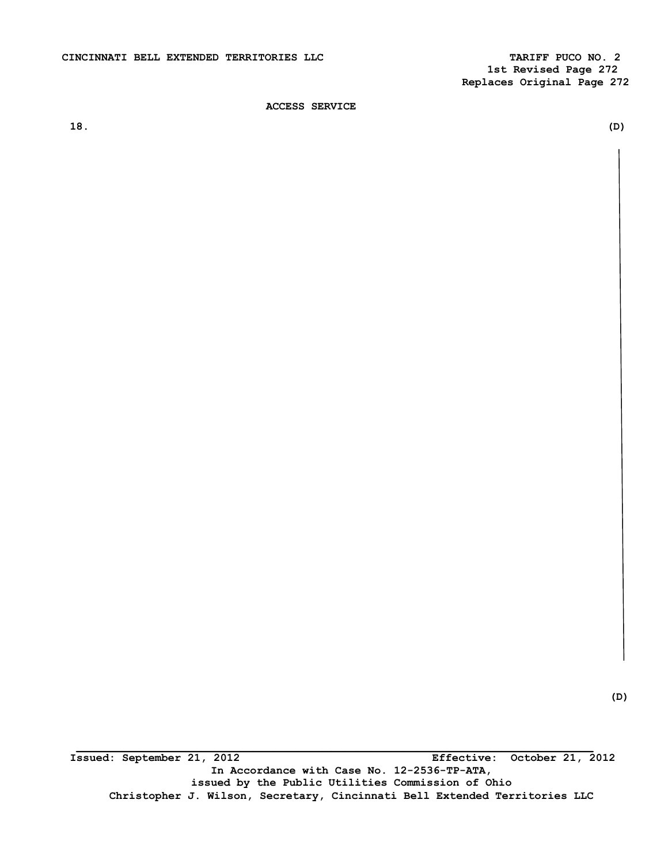**1st Revised Page 272 Replaces Original Page 272** 

**ACCESS SERVICE** 

**18. (D)** 

 **\_\_\_\_\_\_\_\_\_\_\_\_\_\_\_\_\_\_\_\_\_\_\_\_\_\_\_\_\_\_\_\_\_\_\_\_\_\_\_\_\_\_\_\_\_\_\_\_\_\_\_\_\_\_\_\_\_\_\_\_\_\_\_\_\_\_\_\_\_\_\_\_\_\_\_\_\_\_\_ Issued: September 21, 2012 Effective: October 21, 2012 In Accordance with Case No. 12-2536-TP-ATA, issued by the Public Utilities Commission of Ohio Christopher J. Wilson, Secretary, Cincinnati Bell Extended Territories LLC**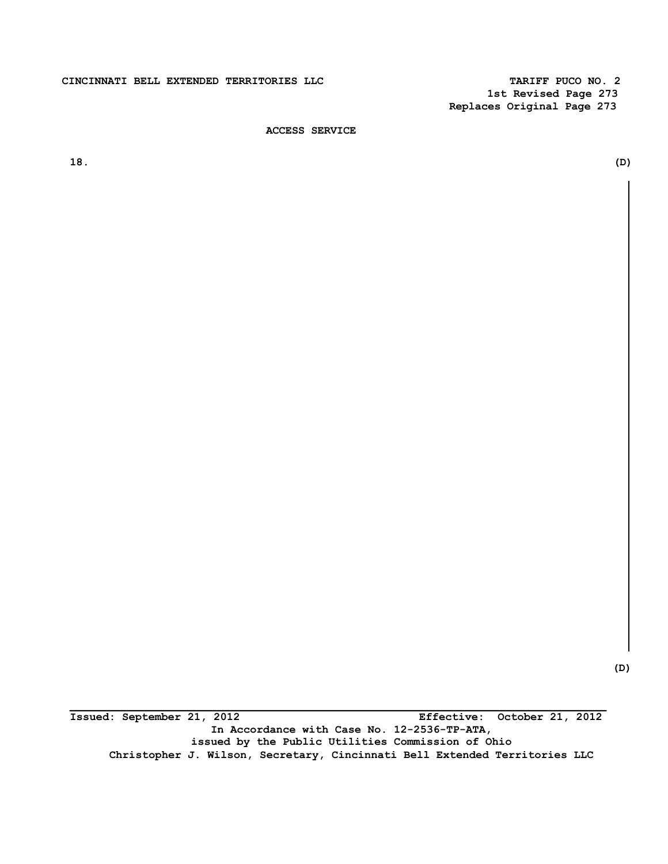# **CINCINNATI BELL EXTENDED TERRITORIES LLC TARIFF PUCO NO. 2**

 **1st Revised Page 273 Replaces Original Page 273** 

# **ACCESS SERVICE**

**18. (D)** 

 **(D)** 

**Issued: September 21, 2012 Effective: October 21, 2012 In Accordance with Case No. 12-2536-TP-ATA, issued by the Public Utilities Commission of Ohio Christopher J. Wilson, Secretary, Cincinnati Bell Extended Territories LLC**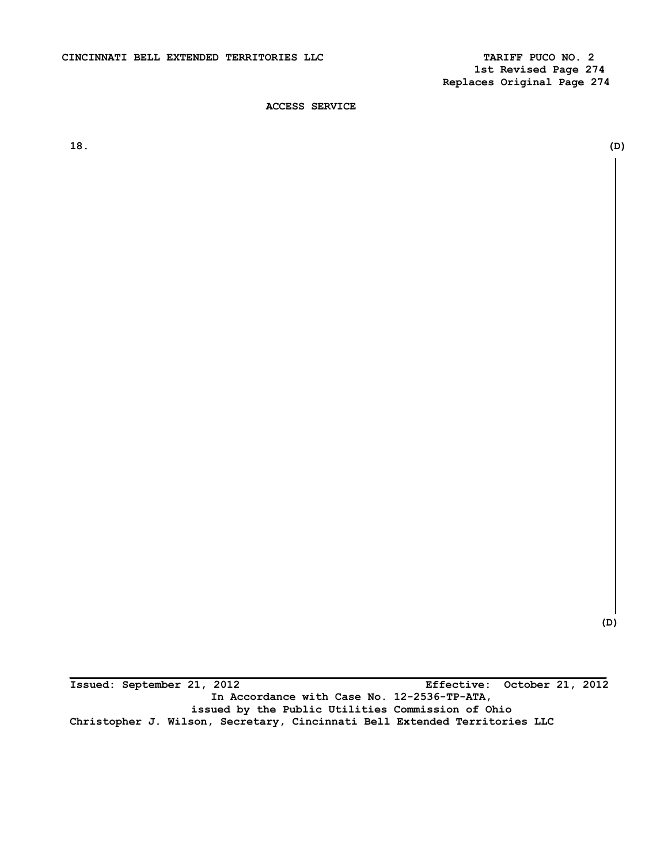**1st Revised Page 274 Replaces Original Page 274** 

**ACCESS SERVICE** 

**18. (D)** 

**(D)** 

**\_\_\_\_\_\_\_\_\_\_\_\_\_\_\_\_\_\_\_\_\_\_\_\_\_\_\_\_\_\_\_\_\_\_\_\_\_\_\_\_\_\_\_\_\_\_\_\_\_\_\_\_\_\_\_\_\_\_\_\_\_\_\_\_\_\_\_\_\_\_\_\_\_\_\_\_\_\_\_\_\_\_ Issued: September 21, 2012 Effective: October 21, 2012 In Accordance with Case No. 12-2536-TP-ATA, issued by the Public Utilities Commission of Ohio Christopher J. Wilson, Secretary, Cincinnati Bell Extended Territories LLC**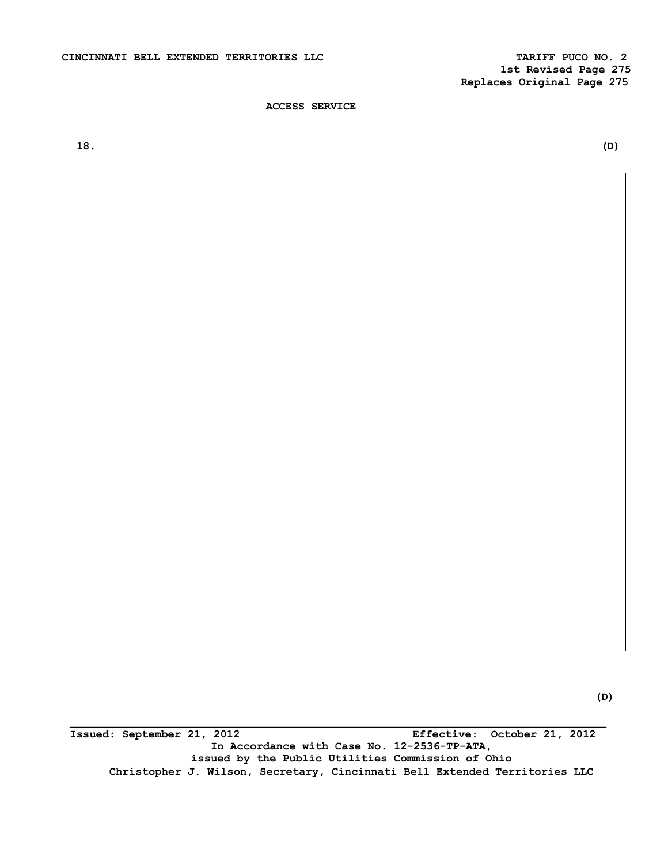**18. (D)** 

**Issued: September 21, 2012 Effective: October 21, 2012 In Accordance with Case No. 12-2536-TP-ATA, issued by the Public Utilities Commission of Ohio Christopher J. Wilson, Secretary, Cincinnati Bell Extended Territories LLC**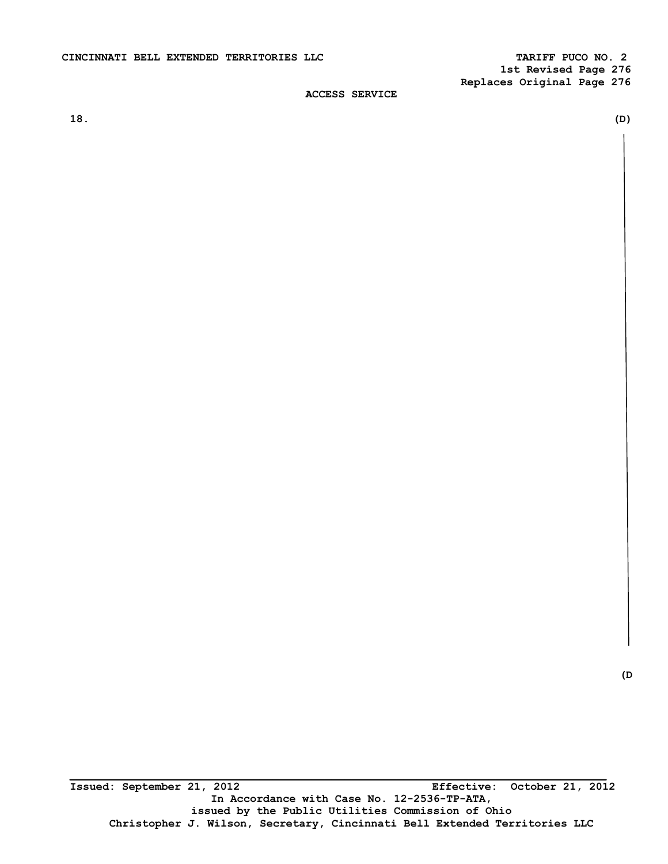**1st Revised Page 276 Replaces Original Page 276** 

# **ACCESS SERVICE**

**18. (D)**

**(D**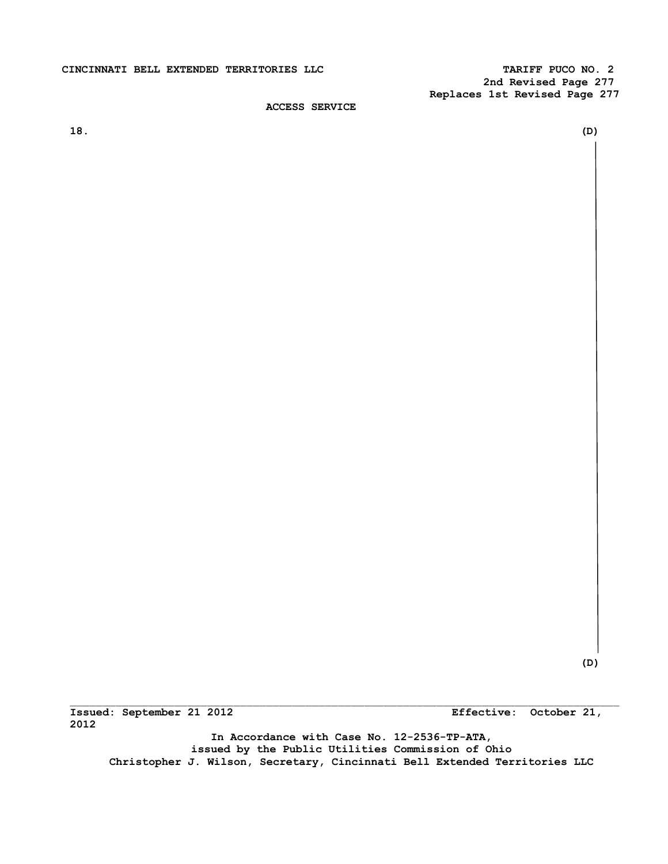# **CINCINNATI BELL EXTENDED TERRITORIES LLC TARIFF PUCO NO. 2**

 **2nd Revised Page 277 Replaces 1st Revised Page 277** 

**ACCESS SERVICE** 

**18. (D)** 

 **(D)** 

**Issued: September 21 2012 Effective: October 21, 2012** 

**In Accordance with Case No. 12-2536-TP-ATA, issued by the Public Utilities Commission of Ohio Christopher J. Wilson, Secretary, Cincinnati Bell Extended Territories LLC**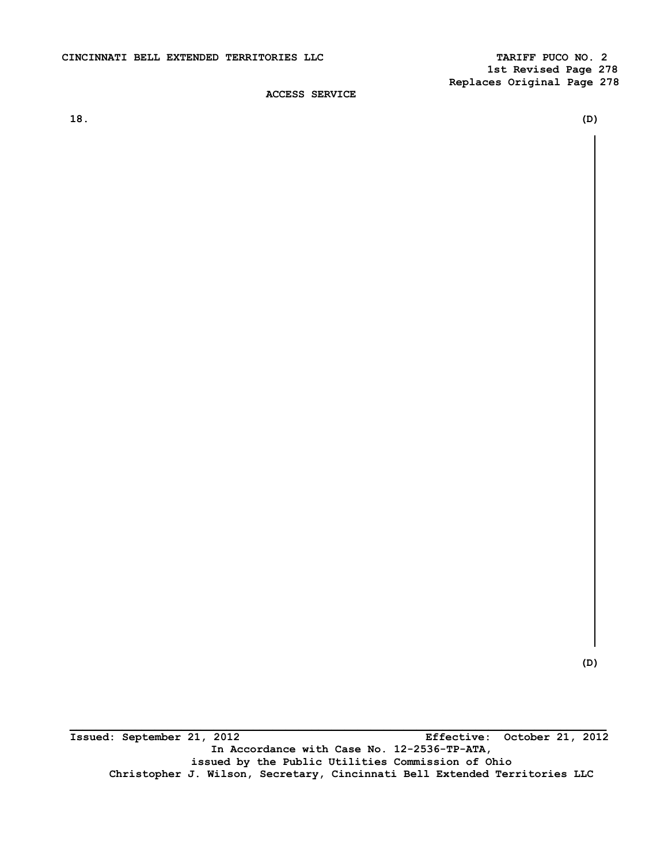**18. (D)** 

**(D)** 

**\_\_\_\_\_\_\_\_\_\_\_\_\_\_\_\_\_\_\_\_\_\_\_\_\_\_\_\_\_\_\_\_\_\_\_\_\_\_\_\_\_\_\_\_\_\_\_\_\_\_\_\_\_\_\_\_\_\_\_\_\_\_\_\_\_\_\_\_\_\_\_\_\_\_\_\_\_\_\_\_\_\_ Issued: September 21, 2012 Effective: October 21, 2012 In Accordance with Case No. 12-2536-TP-ATA, issued by the Public Utilities Commission of Ohio Christopher J. Wilson, Secretary, Cincinnati Bell Extended Territories LLC**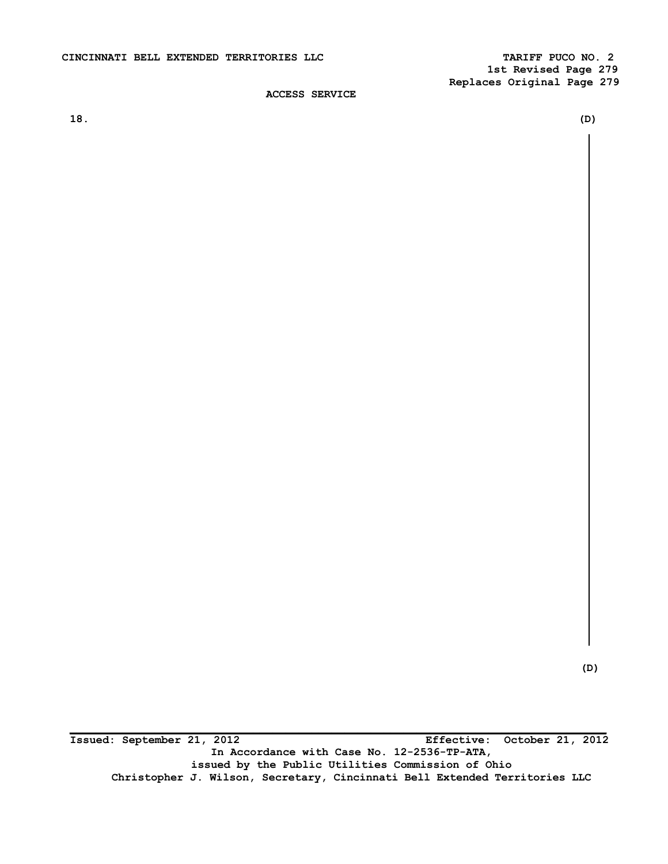**18. (D)** 

 **(D)** 

**\_\_\_\_\_\_\_\_\_\_\_\_\_\_\_\_\_\_\_\_\_\_\_\_\_\_\_\_\_\_\_\_\_\_\_\_\_\_\_\_\_\_\_\_\_\_\_\_\_\_\_\_\_\_\_\_\_\_\_\_\_\_\_\_\_\_\_\_\_\_\_\_\_\_\_\_\_\_\_\_\_\_ Issued: September 21, 2012 Effective: October 21, 2012 In Accordance with Case No. 12-2536-TP-ATA, issued by the Public Utilities Commission of Ohio Christopher J. Wilson, Secretary, Cincinnati Bell Extended Territories LLC**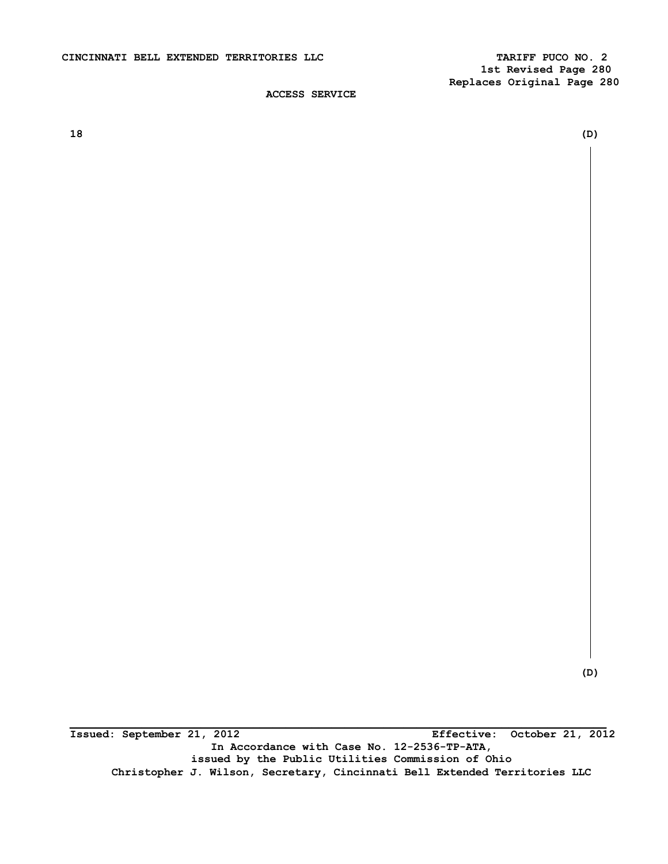**18 (D)** 

 **(D)** 

**Issued: September 21, 2012 Effective: October 21, 2012 In Accordance with Case No. 12-2536-TP-ATA, issued by the Public Utilities Commission of Ohio Christopher J. Wilson, Secretary, Cincinnati Bell Extended Territories LLC**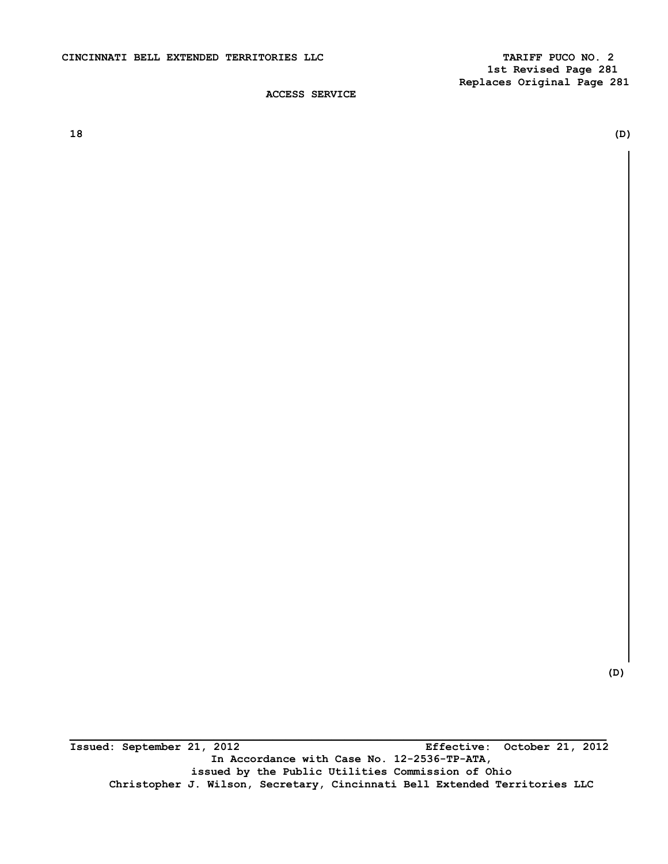**\_\_\_\_\_\_\_\_\_\_\_\_\_\_\_\_\_\_\_\_\_\_\_\_\_\_\_\_\_\_\_\_\_\_\_\_\_\_\_\_\_\_\_\_\_\_\_\_\_\_\_\_\_\_\_\_\_\_\_\_\_\_\_\_\_\_\_\_\_\_\_\_\_\_\_\_\_\_\_\_\_\_ Issued: September 21, 2012 Effective: October 21, 2012 In Accordance with Case No. 12-2536-TP-ATA, issued by the Public Utilities Commission of Ohio Christopher J. Wilson, Secretary, Cincinnati Bell Extended Territories LLC** 

 **(D)** 

**18 (D)**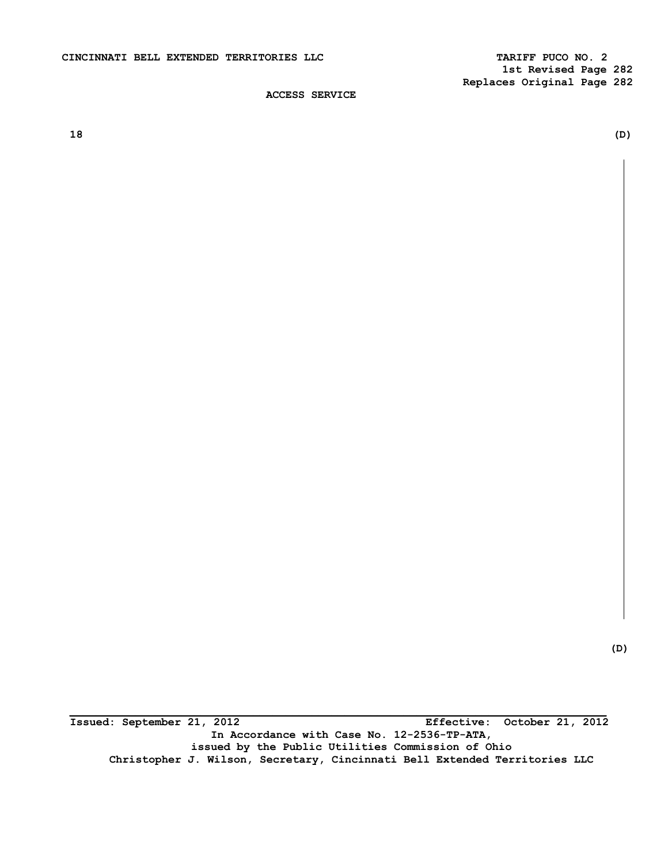**18 (D)** 

**(D)** 

**\_\_\_\_\_\_\_\_\_\_\_\_\_\_\_\_\_\_\_\_\_\_\_\_\_\_\_\_\_\_\_\_\_\_\_\_\_\_\_\_\_\_\_\_\_\_\_\_\_\_\_\_\_\_\_\_\_\_\_\_\_\_\_\_\_\_\_\_\_\_\_\_\_\_\_\_\_\_\_\_\_\_ Issued: September 21, 2012 Effective: October 21, 2012 In Accordance with Case No. 12-2536-TP-ATA, issued by the Public Utilities Commission of Ohio Christopher J. Wilson, Secretary, Cincinnati Bell Extended Territories LLC**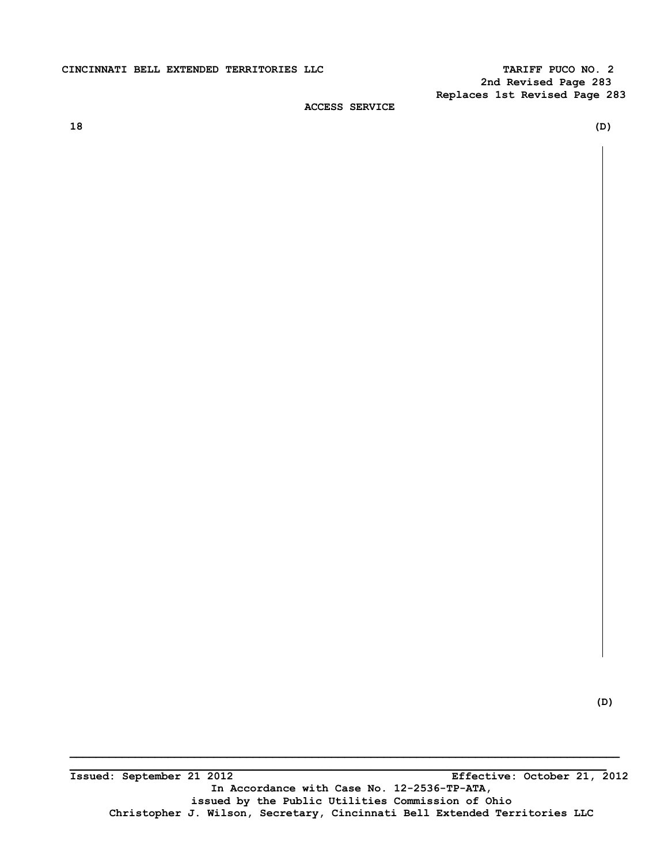# CINCINNATI BELL EXTENDED TERRITORIES LLC **TARIFF PUCO NO. 2**

 **2nd Revised Page 283 Replaces 1st Revised Page 283** 

# **ACCESS SERVICE**

**18 (D)** 

**\_\_\_\_\_\_\_\_\_\_\_\_\_\_\_\_\_\_\_\_\_\_\_\_\_\_\_\_\_\_\_\_\_\_\_\_\_\_\_\_\_\_\_\_\_\_\_\_\_\_\_\_\_\_\_\_\_\_\_\_\_\_\_\_\_\_\_\_\_\_\_\_\_\_\_\_\_\_\_\_\_\_\_\_ \_\_\_\_\_\_\_\_\_\_\_\_\_\_\_\_\_\_\_\_\_\_\_\_\_\_\_\_\_\_\_\_\_\_\_\_\_\_\_\_\_\_\_\_\_\_\_\_\_\_\_\_\_\_\_\_\_\_\_\_\_\_\_\_\_\_\_\_\_\_\_\_\_\_\_\_\_\_\_\_\_\_**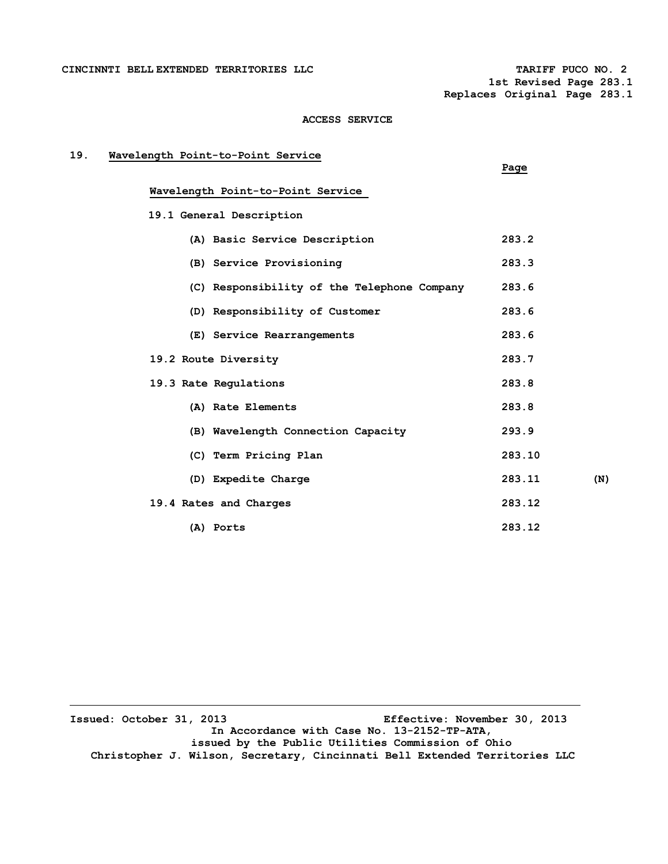CINCINNTI BELL EXTENDED TERRITORIES LLC **TARIFF PUCO NO. 2** 

 **1st Revised Page 283.1 Replaces Original Page 283.1**

# **ACCESS SERVICE**

| 19. | Wavelength Point-to-Point Service           | Page   |     |
|-----|---------------------------------------------|--------|-----|
|     | Wavelength Point-to-Point Service           |        |     |
|     | 19.1 General Description                    |        |     |
|     | (A) Basic Service Description               | 283.2  |     |
|     | (B) Service Provisioning                    | 283.3  |     |
|     | (C) Responsibility of the Telephone Company | 283.6  |     |
|     | (D) Responsibility of Customer              | 283.6  |     |
|     | (E) Service Rearrangements                  | 283.6  |     |
|     | 19.2 Route Diversity                        | 283.7  |     |
|     | 19.3 Rate Regulations                       | 283.8  |     |
|     | (A) Rate Elements                           | 283.8  |     |
|     | (B) Wavelength Connection Capacity          | 293.9  |     |
|     | (C) Term Pricing Plan                       | 283.10 |     |
|     | (D) Expedite Charge                         | 283.11 | (N) |
|     | 19.4 Rates and Charges                      | 283.12 |     |
|     | (A) Ports                                   | 283.12 |     |

**Issued: October 31, 2013 Effective: November 30, 2013 In Accordance with Case No. 13-2152-TP-ATA, issued by the Public Utilities Commission of Ohio Christopher J. Wilson, Secretary, Cincinnati Bell Extended Territories LLC**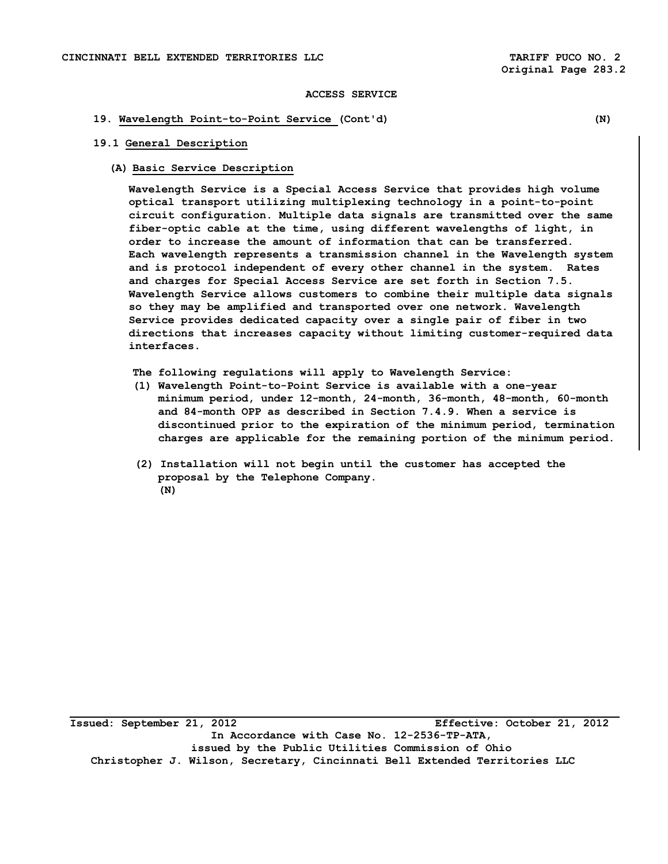# **19. Wavelength Point-to-Point Service (Cont'd) (N)**

# **19.1 General Description**

## **(A) Basic Service Description**

 **Wavelength Service is a Special Access Service that provides high volume optical transport utilizing multiplexing technology in a point-to-point circuit configuration. Multiple data signals are transmitted over the same fiber-optic cable at the time, using different wavelengths of light, in order to increase the amount of information that can be transferred. Each wavelength represents a transmission channel in the Wavelength system and is protocol independent of every other channel in the system. Rates and charges for Special Access Service are set forth in Section 7.5. Wavelength Service allows customers to combine their multiple data signals so they may be amplified and transported over one network. Wavelength Service provides dedicated capacity over a single pair of fiber in two directions that increases capacity without limiting customer-required data interfaces.** 

**The following regulations will apply to Wavelength Service:** 

- **(1) Wavelength Point-to-Point Service is available with a one-year minimum period, under 12-month, 24-month, 36-month, 48-month, 60-month and 84-month OPP as described in Section 7.4.9. When a service is discontinued prior to the expiration of the minimum period, termination charges are applicable for the remaining portion of the minimum period.**
- **(2) Installation will not begin until the customer has accepted the proposal by the Telephone Company. (N)**

**Issued: September 21, 2012 Effective: October 21, 2012 In Accordance with Case No. 12-2536-TP-ATA, issued by the Public Utilities Commission of Ohio Christopher J. Wilson, Secretary, Cincinnati Bell Extended Territories LLC**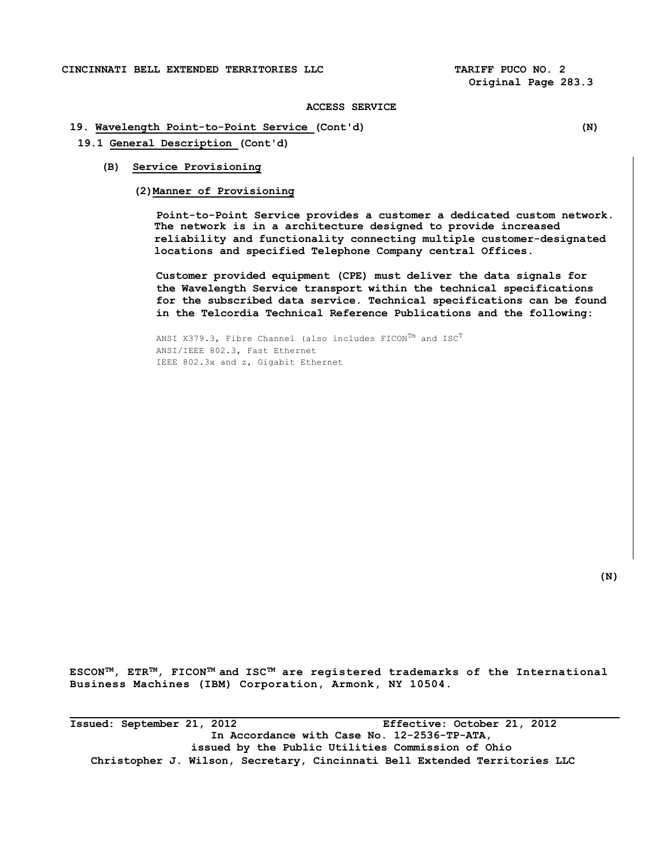## **19. Wavelength Point-to-Point Service (Cont'd) (N)**

- **19.1 General Description (Cont'd)** 
	- **(B) Service Provisioning**

**(2)Manner of Provisioning** 

**Point-to-Point Service provides a customer a dedicated custom network. The network is in a architecture designed to provide increased reliability and functionality connecting multiple customer-designated locations and specified Telephone Company central Offices.** 

 **Customer provided equipment (CPE) must deliver the data signals for the Wavelength Service transport within the technical specifications for the subscribed data service. Technical specifications can be found in the Telcordia Technical Reference Publications and the following:** 

ANSI X379.3, Fibre Channel (also includes  $FICON^{Tm}$  and  $ISC^{T}$ ANSI/IEEE 802.3, Fast Ethernet IEEE 802.3x and z, Gigabit Ethernet

 **(N)** 

**ESCONTM, ETRTM, FICONTM and ISCTM are registered trademarks of the International Business Machines (IBM) Corporation, Armonk, NY 10504.** 

**Issued: September 21, 2012 Effective: October 21, 2012 In Accordance with Case No. 12-2536-TP-ATA, issued by the Public Utilities Commission of Ohio Christopher J. Wilson, Secretary, Cincinnati Bell Extended Territories LLC**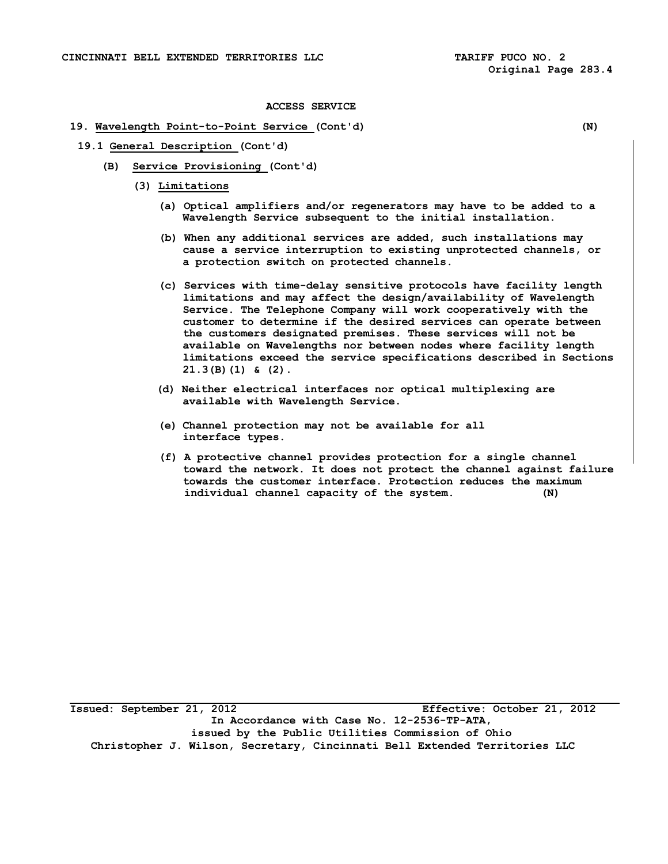## **19. Wavelength Point-to-Point Service (Cont'd) (N)**

**19.1 General Description (Cont'd)** 

- **(B) Service Provisioning (Cont'd)** 
	- **(3) Limitations**

- **(a) Optical amplifiers and/or regenerators may have to be added to a Wavelength Service subsequent to the initial installation.**
- **(b) When any additional services are added, such installations may cause a service interruption to existing unprotected channels, or a protection switch on protected channels.**
- **(c) Services with time-delay sensitive protocols have facility length limitations and may affect the design/availability of Wavelength Service. The Telephone Company will work cooperatively with the customer to determine if the desired services can operate between the customers designated premises. These services will not be available on Wavelengths nor between nodes where facility length limitations exceed the service specifications described in Sections 21.3(B)(1) & (2).**
- **(d) Neither electrical interfaces nor optical multiplexing are available with Wavelength Service.**
- **(e) Channel protection may not be available for all interface types.**
- **(f) A protective channel provides protection for a single channel toward the network. It does not protect the channel against failure towards the customer interface. Protection reduces the maximum individual channel capacity of the system. (N)**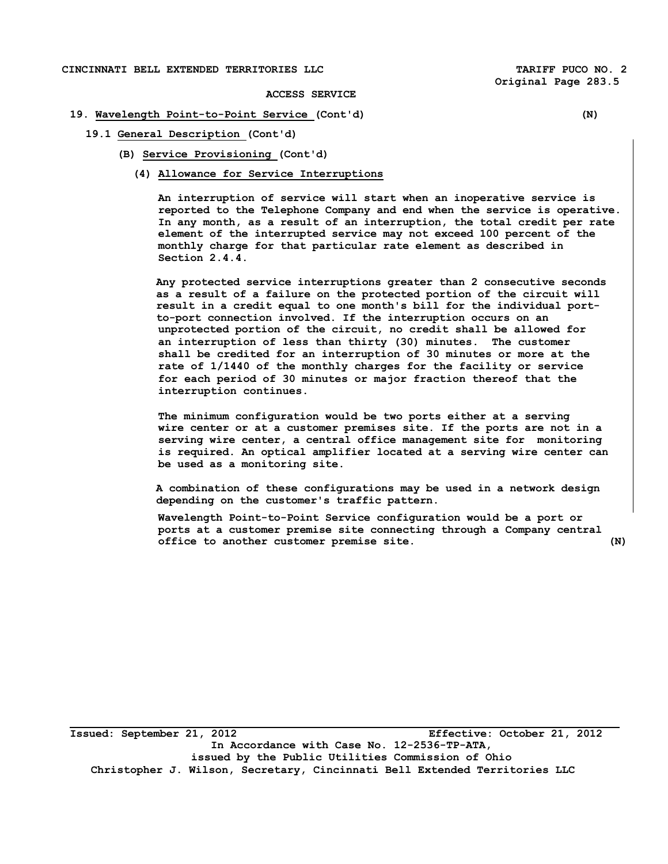# **CINCINNATI BELL EXTENDED TERRITORIES LLC TARIFF PUCO NO. 2**

**ACCESS SERVICE** 

### **19. Wavelength Point-to-Point Service (Cont'd) (N)**

**19.1 General Description (Cont'd)** 

- **(B) Service Provisioning (Cont'd)** 
	- **(4) Allowance for Service Interruptions**

**An interruption of service will start when an inoperative service is reported to the Telephone Company and end when the service is operative. In any month, as a result of an interruption, the total credit per rate element of the interrupted service may not exceed 100 percent of the monthly charge for that particular rate element as described in Section 2.4.4.** 

**Any protected service interruptions greater than 2 consecutive seconds as a result of a failure on the protected portion of the circuit will result in a credit equal to one month's bill for the individual portto-port connection involved. If the interruption occurs on an unprotected portion of the circuit, no credit shall be allowed for an interruption of less than thirty (30) minutes. The customer shall be credited for an interruption of 30 minutes or more at the rate of 1/1440 of the monthly charges for the facility or service for each period of 30 minutes or major fraction thereof that the interruption continues.** 

**The minimum configuration would be two ports either at a serving wire center or at a customer premises site. If the ports are not in a serving wire center, a central office management site for monitoring is required. An optical amplifier located at a serving wire center can be used as a monitoring site.** 

 **A combination of these configurations may be used in a network design depending on the customer's traffic pattern.** 

**Wavelength Point-to-Point Service configuration would be a port or ports at a customer premise site connecting through a Company central office to another customer premise site. (N)** 

**Issued: September 21, 2012 Effective: October 21, 2012 In Accordance with Case No. 12-2536-TP-ATA, issued by the Public Utilities Commission of Ohio Christopher J. Wilson, Secretary, Cincinnati Bell Extended Territories LLC**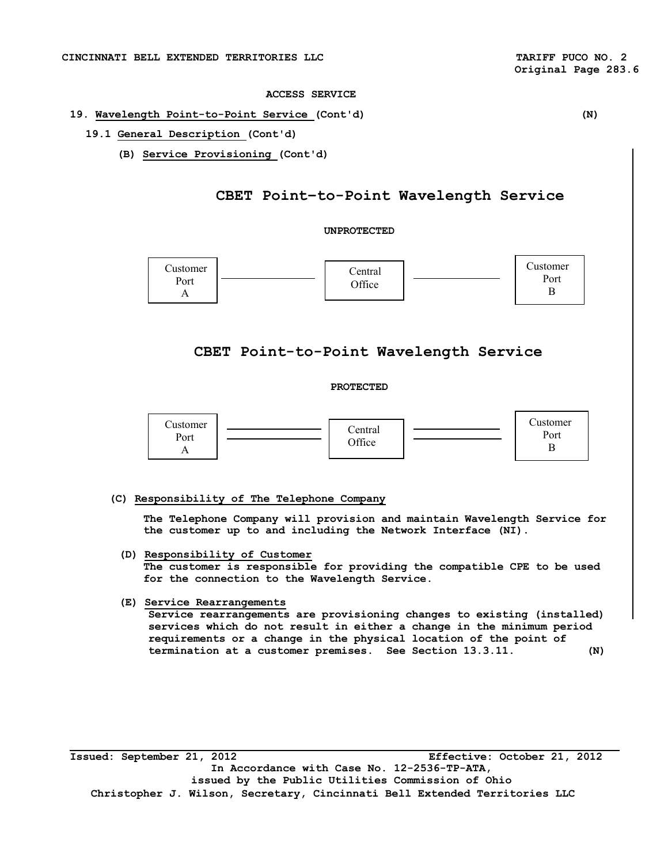## **19. Wavelength Point-to-Point Service (Cont'd) (N)**

- **19.1 General Description (Cont'd)** 
	- **(B) Service Provisioning (Cont'd)**

# **CBET Point–to-Point Wavelength Service**

# **UNPROTECTED**



# **CBET Point-to-Point Wavelength Service**

# **PROTECTED**



## **(C) Responsibility of The Telephone Company**

**The Telephone Company will provision and maintain Wavelength Service for the customer up to and including the Network Interface (NI).** 

**(D) Responsibility of Customer** 

**The customer is responsible for providing the compatible CPE to be used for the connection to the Wavelength Service.** 

## **(E) Service Rearrangements**

**Service rearrangements are provisioning changes to existing (installed) services which do not result in either a change in the minimum period requirements or a change in the physical location of the point of termination at a customer premises. See Section 13.3.11. (N)** 

**Issued: September 21, 2012 Effective: October 21, 2012 In Accordance with Case No. 12-2536-TP-ATA, issued by the Public Utilities Commission of Ohio Christopher J. Wilson, Secretary, Cincinnati Bell Extended Territories LLC**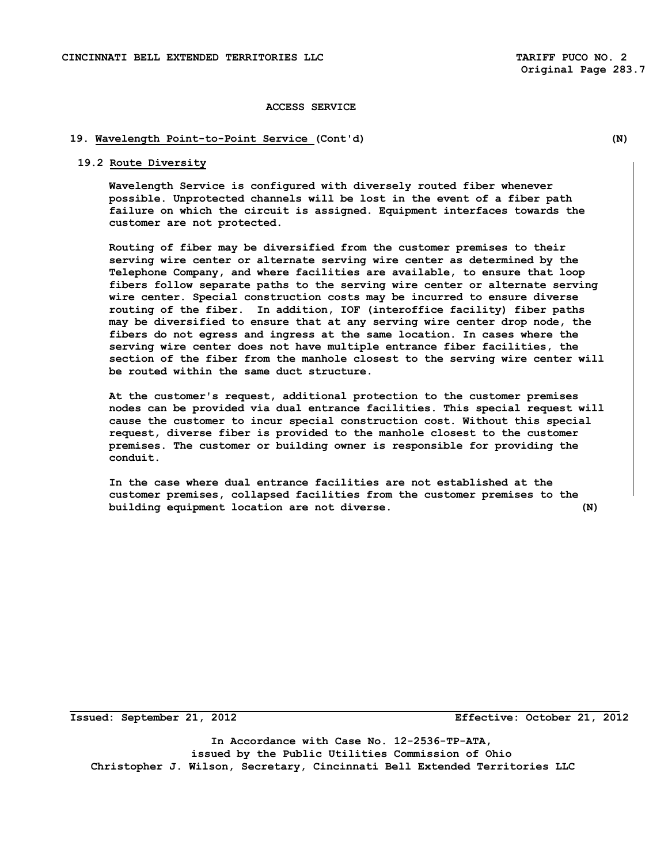# **19. Wavelength Point-to-Point Service (Cont'd) (N)**

#### **19.2 Route Diversity**

**Wavelength Service is configured with diversely routed fiber whenever possible. Unprotected channels will be lost in the event of a fiber path failure on which the circuit is assigned. Equipment interfaces towards the customer are not protected.** 

**Routing of fiber may be diversified from the customer premises to their serving wire center or alternate serving wire center as determined by the Telephone Company, and where facilities are available, to ensure that loop fibers follow separate paths to the serving wire center or alternate serving wire center. Special construction costs may be incurred to ensure diverse routing of the fiber. In addition, IOF (interoffice facility) fiber paths may be diversified to ensure that at any serving wire center drop node, the fibers do not egress and ingress at the same location. In cases where the serving wire center does not have multiple entrance fiber facilities, the section of the fiber from the manhole closest to the serving wire center will be routed within the same duct structure.** 

**At the customer's request, additional protection to the customer premises nodes can be provided via dual entrance facilities. This special request will cause the customer to incur special construction cost. Without this special request, diverse fiber is provided to the manhole closest to the customer premises. The customer or building owner is responsible for providing the conduit.** 

**In the case where dual entrance facilities are not established at the customer premises, collapsed facilities from the customer premises to the building equipment location are not diverse. (N)** 

**Issued: September 21, 2012 Effective: October 21, 2012** 

**In Accordance with Case No. 12-2536-TP-ATA, issued by the Public Utilities Commission of Ohio Christopher J. Wilson, Secretary, Cincinnati Bell Extended Territories LLC**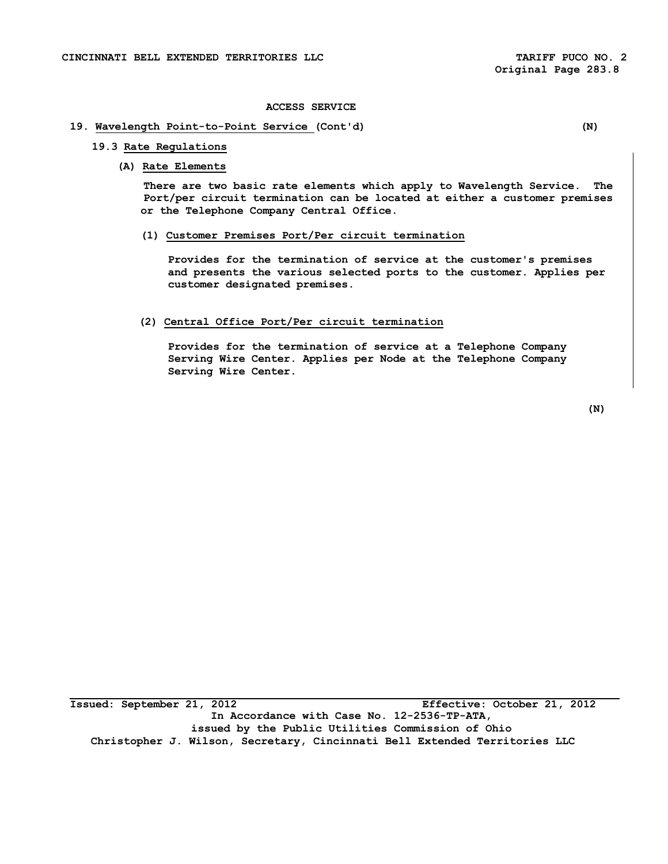# **19. Wavelength Point-to-Point Service (Cont'd) (N)**

## **19.3 Rate Regulations**

# **(A) Rate Elements**

**There are two basic rate elements which apply to Wavelength Service. The Port/per circuit termination can be located at either a customer premises or the Telephone Company Central Office.** 

#### **(1) Customer Premises Port/Per circuit termination**

**Provides for the termination of service at the customer's premises and presents the various selected ports to the customer. Applies per customer designated premises.** 

## **(2) Central Office Port/Per circuit termination**

**Provides for the termination of service at a Telephone Company Serving Wire Center. Applies per Node at the Telephone Company Serving Wire Center.** 

 **(N)**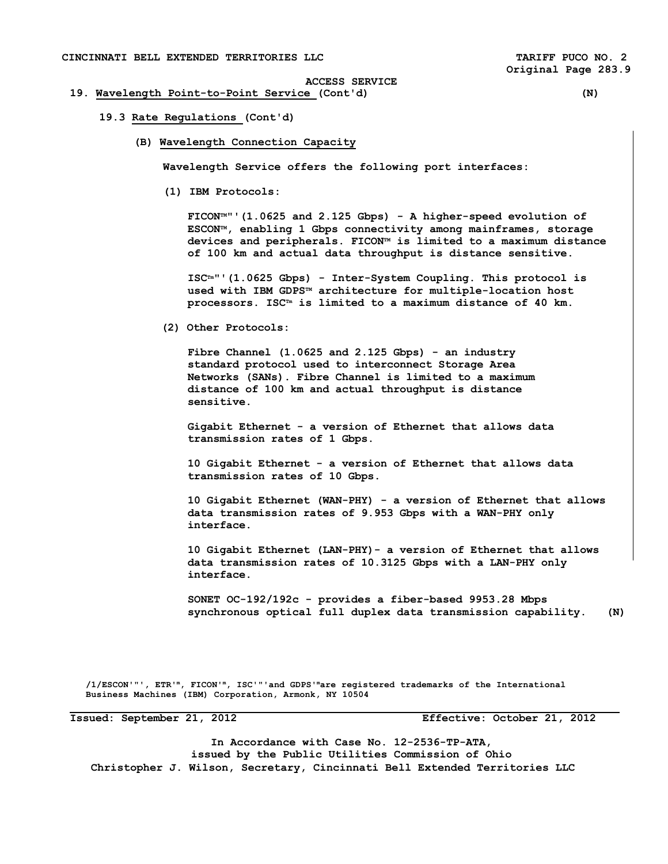## **19. Wavelength Point-to-Point Service (Cont'd) (N)**

#### **19.3 Rate Regulations (Cont'd)**

**(B) Wavelength Connection Capacity** 

**Wavelength Service offers the following port interfaces:** 

**(1) IBM Protocols:** 

**FICONTM"'(1.0625 and 2.125 Gbps) - A higher-speed evolution of ESCONTM, enabling 1 Gbps connectivity among mainframes, storage**  devices and peripherals. FICON™ is limited to a maximum distance **of 100 km and actual data throughput is distance sensitive.** 

**ISCTm"'(1.0625 Gbps) - Inter-System Coupling. This protocol is used with IBM GDPSTM architecture for multiple-location host processors. ISCTm is limited to a maximum distance of 40 km.** 

 **(2) Other Protocols:** 

**Fibre Channel (1.0625 and 2.125 Gbps) - an industry standard protocol used to interconnect Storage Area Networks (SANs). Fibre Channel is limited to a maximum distance of 100 km and actual throughput is distance sensitive.** 

**Gigabit Ethernet - a version of Ethernet that allows data transmission rates of 1 Gbps.** 

**10 Gigabit Ethernet - a version of Ethernet that allows data transmission rates of 10 Gbps.** 

**10 Gigabit Ethernet (WAN-PHY) - a version of Ethernet that allows data transmission rates of 9.953 Gbps with a WAN-PHY only interface.** 

 **10 Gigabit Ethernet (LAN-PHY)- a version of Ethernet that allows data transmission rates of 10.3125 Gbps with a LAN-PHY only interface.** 

**SONET OC-192/192c - provides a fiber-based 9953.28 Mbps synchronous optical full duplex data transmission capability. (N)** 

 **/1/ESCON'"', ETR'm, FICON'm, ISC'"'and GDPS'mare registered trademarks of the International Business Machines (IBM) Corporation, Armonk, NY 10504** 

**Issued: September 21, 2012 Effective: October 21, 2012** 

**In Accordance with Case No. 12-2536-TP-ATA, issued by the Public Utilities Commission of Ohio Christopher J. Wilson, Secretary, Cincinnati Bell Extended Territories LLC**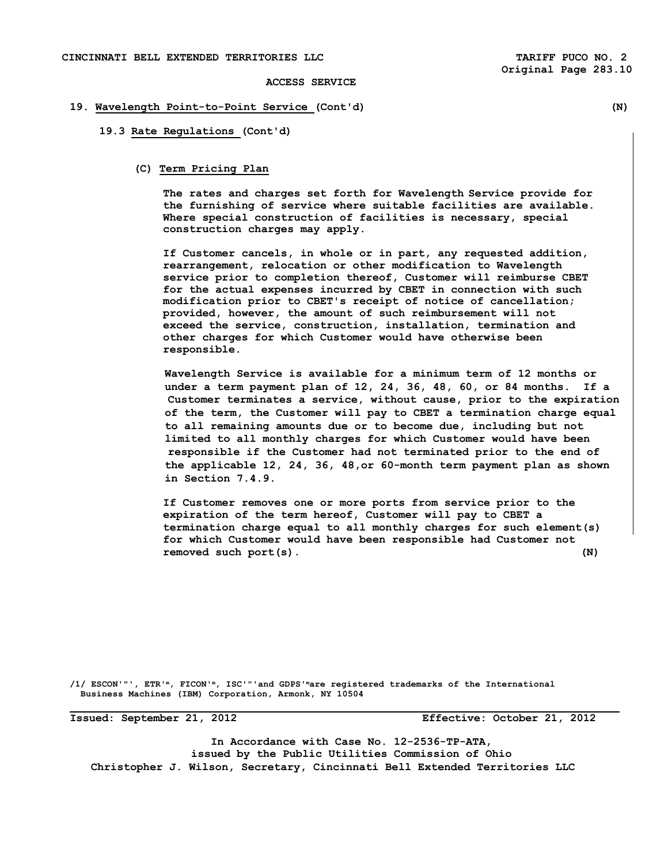# **19. Wavelength Point-to-Point Service (Cont'd) (N)**

### **19.3 Rate Regulations (Cont'd)**

## **(C) Term Pricing Plan**

 **The rates and charges set forth for Wavelength Service provide for the furnishing of service where suitable facilities are available. Where special construction of facilities is necessary, special construction charges may apply.** 

 **If Customer cancels, in whole or in part, any requested addition, rearrangement, relocation or other modification to Wavelength service prior to completion thereof, Customer will reimburse CBET for the actual expenses incurred by CBET in connection with such modification prior to CBET's receipt of notice of cancellation; provided, however, the amount of such reimbursement will not exceed the service, construction, installation, termination and other charges for which Customer would have otherwise been responsible.** 

 **Wavelength Service is available for a minimum term of 12 months or under a term payment plan of 12, 24, 36, 48, 60, or 84 months. If a Customer terminates a service, without cause, prior to the expiration of the term, the Customer will pay to CBET a termination charge equal to all remaining amounts due or to become due, including but not limited to all monthly charges for which Customer would have been responsible if the Customer had not terminated prior to the end of the applicable 12, 24, 36, 48,or 60-month term payment plan as shown in Section 7.4.9.** 

**If Customer removes one or more ports from service prior to the expiration of the term hereof, Customer will pay to CBET a termination charge equal to all monthly charges for such element(s) for which Customer would have been responsible had Customer not removed such port(s). (N)** 

**/1/ ESCON'"', ETR'm, FICON'm, ISC'"'and GDPS'mare registered trademarks of the International Business Machines (IBM) Corporation, Armonk, NY 10504** 

**Issued: September 21, 2012 Effective: October 21, 2012** 

**In Accordance with Case No. 12-2536-TP-ATA, issued by the Public Utilities Commission of Ohio Christopher J. Wilson, Secretary, Cincinnati Bell Extended Territories LLC**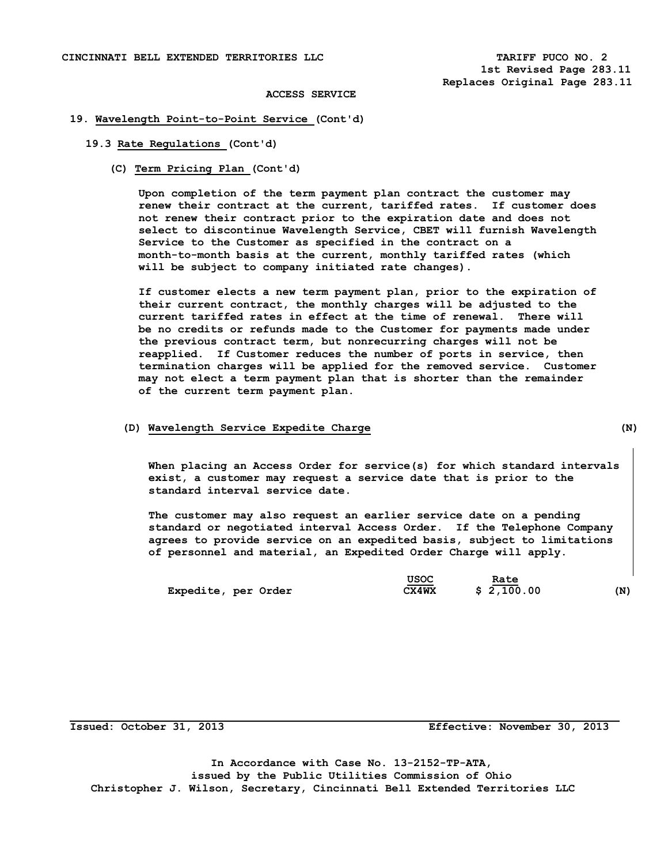## **19. Wavelength Point-to-Point Service (Cont'd)**

## **19.3 Rate Regulations (Cont'd)**

**(C) Term Pricing Plan (Cont'd)** 

 **Upon completion of the term payment plan contract the customer may renew their contract at the current, tariffed rates. If customer does not renew their contract prior to the expiration date and does not select to discontinue Wavelength Service, CBET will furnish Wavelength Service to the Customer as specified in the contract on a month-to-month basis at the current, monthly tariffed rates (which will be subject to company initiated rate changes).** 

 **If customer elects a new term payment plan, prior to the expiration of their current contract, the monthly charges will be adjusted to the current tariffed rates in effect at the time of renewal. There will be no credits or refunds made to the Customer for payments made under the previous contract term, but nonrecurring charges will not be reapplied. If Customer reduces the number of ports in service, then termination charges will be applied for the removed service. Customer may not elect a term payment plan that is shorter than the remainder of the current term payment plan.** 

#### **(D) Wavelength Service Expedite Charge (N)**

 **When placing an Access Order for service(s) for which standard intervals exist, a customer may request a service date that is prior to the standard interval service date.** 

 **The customer may also request an earlier service date on a pending standard or negotiated interval Access Order. If the Telephone Company agrees to provide service on an expedited basis, subject to limitations of personnel and material, an Expedited Order Charge will apply.** 

|                     | USOC  | Rate       |     |
|---------------------|-------|------------|-----|
| Expedite, per Order | CX4WX | \$2,100.00 | (N) |

**Issued: October 31, 2013 Effective: November 30, 2013** 

**In Accordance with Case No. 13-2152-TP-ATA, issued by the Public Utilities Commission of Ohio Christopher J. Wilson, Secretary, Cincinnati Bell Extended Territories LLC**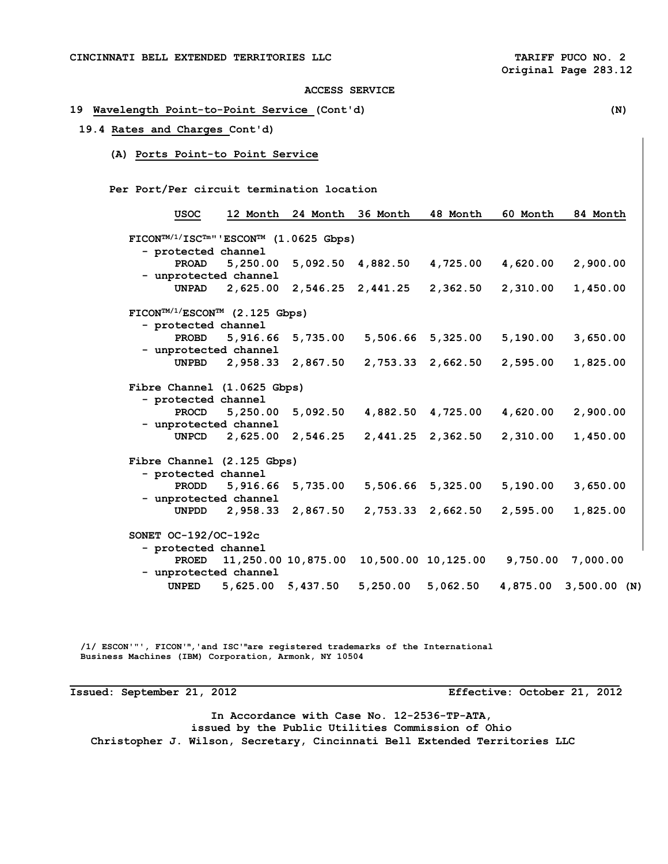# **19 Wavelength Point-to-Point Service (Cont'd) (N) 19.4 Rates and Charges Cont'd) (A) Ports Point-to Point Service Per Port/Per circuit termination location USOC 12 Month 24 Month 36 Month 48 Month 60 Month 84 Month FICONTM/1/ISCTm"'ESCONTM (1.0625 Gbps) - protected channel PROAD 5,250.00 5,092.50 4,882.50 4,725.00 4,620.00 2,900.00 - unprotected channel UNPAD 2,625.00 2,546.25 2,441.25 2,362.50 2,310.00 1,450.00 FICONTM/1/ESCONTM (2.125 Gbps) - protected channel PROBD 5,916.66 5,735.00 5,506.66 5,325.00 5,190.00 3,650.00 - unprotected channel UNPBD 2,958.33 2,867.50 2,753.33 2,662.50 2,595.00 1,825.00 Fibre Channel (1.0625 Gbps) - protected channel PROCD 5,250.00 5,092.50 4,882.50 4,725.00 4,620.00 2,900.00 - unprotected channel UNPCD 2,625.00 2,546.25 2,441.25 2,362.50 2,310.00 1,450.00 Fibre Channel (2.125 Gbps) - protected channel PRODD 5,916.66 5,735.00 5,506.66 5,325.00 5,190.00 3,650.00 - unprotected channel UNPDD 2,958.33 2,867.50 2,753.33 2,662.50 2,595.00 1,825.00 SONET OC-192/OC-192c - protected channel PROED 11,250.00 10,875.00 10,500.00 10,125.00 9,750.00 7,000.00 - unprotected channel UNPED 5,625.00 5,437.50 5,250.00 5,062.50 4,875.00 3,500.00 (N)**

 **/1/ ESCON'"', FICON'm,'and ISC'mare registered trademarks of the International Business Machines (IBM) Corporation, Armonk, NY 10504** 

**Issued: September 21, 2012 Effective: October 21, 2012** 

**In Accordance with Case No. 12-2536-TP-ATA, issued by the Public Utilities Commission of Ohio Christopher J. Wilson, Secretary, Cincinnati Bell Extended Territories LLC**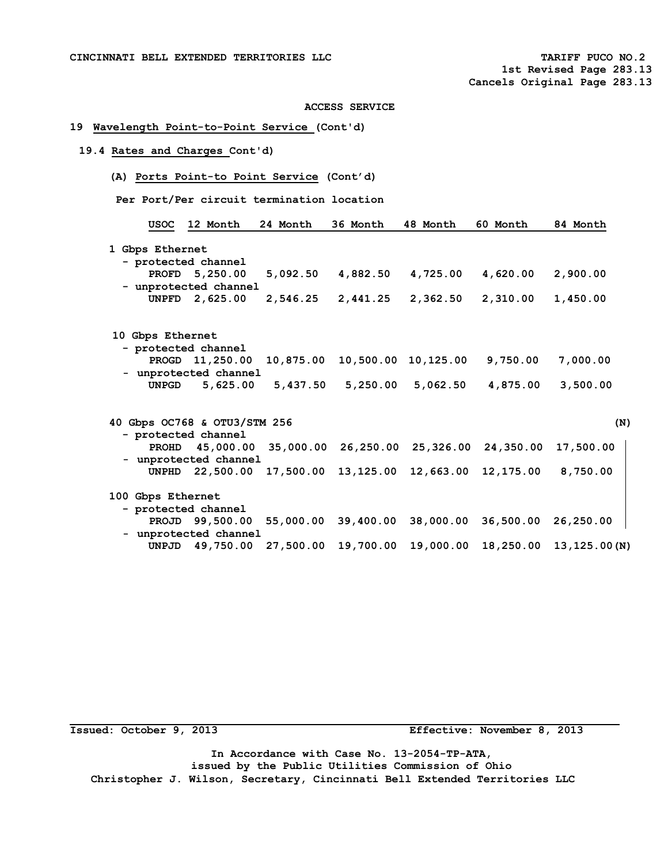## **19 Wavelength Point-to-Point Service (Cont'd)**

## **19.4 Rates and Charges Cont'd)**

**(A) Ports Point-to Point Service (Cont'd)** 

 **Per Port/Per circuit termination location** 

| USOC              | 12 Month                     | 24 Month  | 36 Month  | 48 Month                      | 60 Month                                                | 84 Month  |
|-------------------|------------------------------|-----------|-----------|-------------------------------|---------------------------------------------------------|-----------|
| 1 Gbps Ethernet   |                              |           |           |                               |                                                         |           |
|                   | - protected channel          |           |           |                               |                                                         |           |
|                   | PROFD 5,250.00               | 5,092.50  | 4,882.50  | 4,725.00                      | 4,620.00                                                | 2,900.00  |
|                   | - unprotected channel        |           |           |                               |                                                         |           |
|                   | UNPFD 2,625.00               | 2,546.25  | 2,441.25  | 2,362.50                      | 2,310.00                                                | 1,450.00  |
|                   |                              |           |           |                               |                                                         |           |
| 10 Gbps Ethernet  |                              |           |           |                               |                                                         |           |
|                   | - protected channel          |           |           |                               |                                                         |           |
|                   | PROGD 11,250.00              | 10,875.00 |           | 10,500.00 10,125.00           | 9,750.00                                                | 7,000.00  |
|                   | - unprotected channel        |           |           |                               |                                                         |           |
| <b>UNPGD</b>      | 5,625.00                     | 5,437.50  | 5,250.00  | 5,062.50                      | 4,875.00                                                | 3,500.00  |
|                   | 40 Gbps OC768 & OTU3/STM 256 |           |           |                               |                                                         |           |
|                   | - protected channel          |           |           |                               |                                                         |           |
|                   |                              |           |           |                               | PROHD 45,000.00 35,000.00 26,250.00 25,326.00 24,350.00 | 17,500.00 |
|                   | - unprotected channel        |           |           |                               |                                                         |           |
|                   | UNPHD 22,500.00              |           |           | 17,500.00 13,125.00 12,663.00 | 12,175.00                                               | 8,750.00  |
| 100 Gbps Ethernet |                              |           |           |                               |                                                         |           |
|                   | - protected channel          |           |           |                               |                                                         |           |
|                   | PROJD 99,500.00              | 55,000.00 | 39,400.00 | 38,000.00                     | 36,500.00                                               | 26,250.00 |
|                   |                              |           |           |                               |                                                         |           |
|                   | - unprotected channel        |           |           |                               |                                                         |           |

**Issued: October 9, 2013 Effective: November 8, 2013** 

**In Accordance with Case No. 13-2054-TP-ATA, issued by the Public Utilities Commission of Ohio Christopher J. Wilson, Secretary, Cincinnati Bell Extended Territories LLC**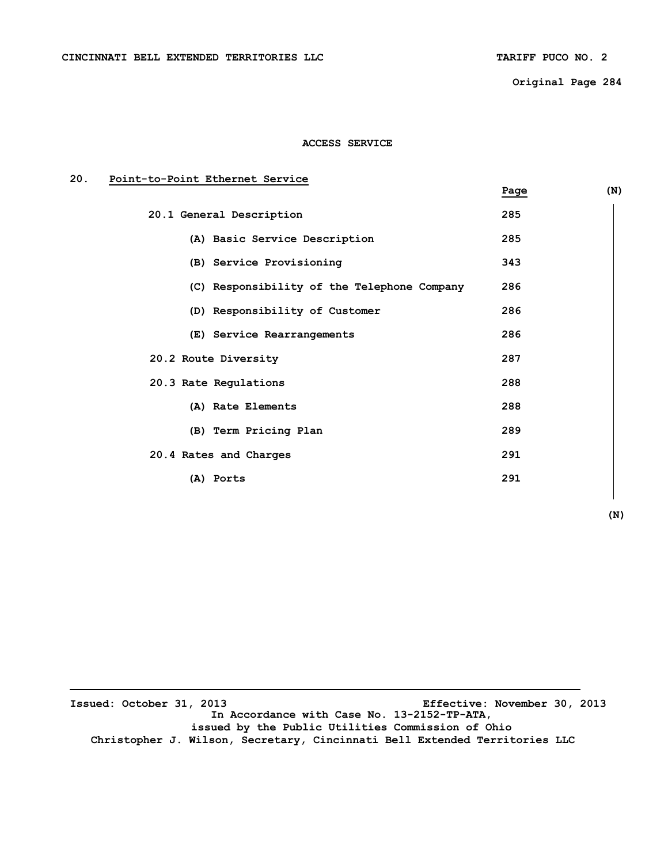**Original Page 284** 

## **ACCESS SERVICE**

## **20. Point-to-Point Ethernet Service**

|                                             | Page | (N) |
|---------------------------------------------|------|-----|
| 20.1 General Description                    | 285  |     |
| (A) Basic Service Description               | 285  |     |
| (B) Service Provisioning                    | 343  |     |
| (C) Responsibility of the Telephone Company | 286  |     |
| (D) Responsibility of Customer              | 286  |     |
| (E) Service Rearrangements                  | 286  |     |
| 20.2 Route Diversity                        | 287  |     |
| 20.3 Rate Regulations                       | 288  |     |
| (A) Rate Elements                           | 288  |     |
| (B) Term Pricing Plan                       | 289  |     |
| 20.4 Rates and Charges                      | 291  |     |
| (A) Ports                                   | 291  |     |

| (N) |
|-----|
|-----|

 $\overline{\phantom{a}}$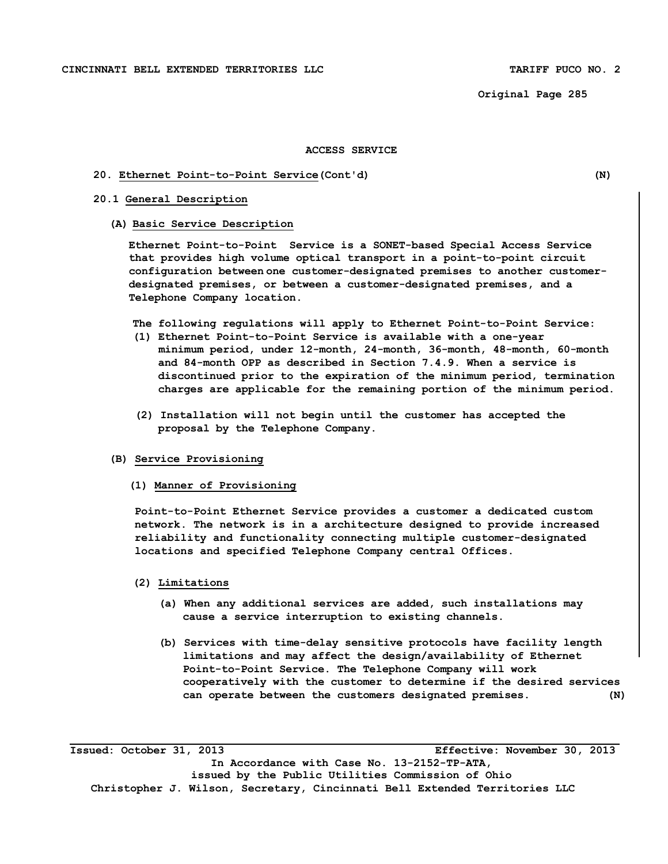**Original Page 285** 

## **ACCESS SERVICE**

## **20. Ethernet Point-to-Point Service(Cont'd) (N)**

## **20.1 General Description**

#### **(A) Basic Service Description**

**Ethernet Point-to-Point Service is a SONET-based Special Access Service that provides high volume optical transport in a point-to-point circuit configuration between one customer-designated premises to another customerdesignated premises, or between a customer-designated premises, and a Telephone Company location.**

- **The following regulations will apply to Ethernet Point-to-Point Service:**
- **(1) Ethernet Point-to-Point Service is available with a one-year minimum period, under 12-month, 24-month, 36-month, 48-month, 60-month and 84-month OPP as described in Section 7.4.9. When a service is discontinued prior to the expiration of the minimum period, termination charges are applicable for the remaining portion of the minimum period.**
- **(2) Installation will not begin until the customer has accepted the proposal by the Telephone Company.**

## **(B) Service Provisioning**

**(1) Manner of Provisioning** 

**Point-to-Point Ethernet Service provides a customer a dedicated custom network. The network is in a architecture designed to provide increased reliability and functionality connecting multiple customer-designated locations and specified Telephone Company central Offices.** 

## **(2) Limitations**

- **(a) When any additional services are added, such installations may cause a service interruption to existing channels.**
- **(b) Services with time-delay sensitive protocols have facility length limitations and may affect the design/availability of Ethernet Point-to-Point Service. The Telephone Company will work cooperatively with the customer to determine if the desired services can operate between the customers designated premises. (N)**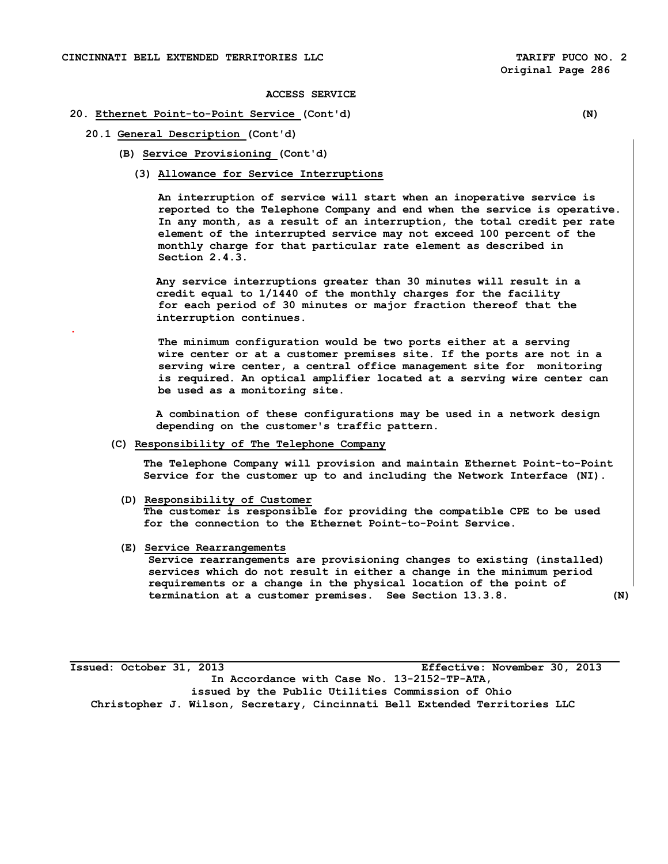## **20. Ethernet Point-to-Point Service (Cont'd) (N)**

**20.1 General Description (Cont'd)** 

**.** 

- **(B) Service Provisioning (Cont'd)** 
	- **(3) Allowance for Service Interruptions**

**An interruption of service will start when an inoperative service is reported to the Telephone Company and end when the service is operative. In any month, as a result of an interruption, the total credit per rate element of the interrupted service may not exceed 100 percent of the monthly charge for that particular rate element as described in Section 2.4.3.** 

**Any service interruptions greater than 30 minutes will result in a credit equal to 1/1440 of the monthly charges for the facility for each period of 30 minutes or major fraction thereof that the interruption continues.** 

**The minimum configuration would be two ports either at a serving wire center or at a customer premises site. If the ports are not in a serving wire center, a central office management site for monitoring is required. An optical amplifier located at a serving wire center can be used as a monitoring site.** 

 **A combination of these configurations may be used in a network design depending on the customer's traffic pattern.** 

 **(C) Responsibility of The Telephone Company** 

**The Telephone Company will provision and maintain Ethernet Point-to-Point Service for the customer up to and including the Network Interface (NI).** 

- **(D) Responsibility of Customer The customer is responsible for providing the compatible CPE to be used for the connection to the Ethernet Point-to-Point Service.**
- **(E) Service Rearrangements**

**Service rearrangements are provisioning changes to existing (installed) services which do not result in either a change in the minimum period requirements or a change in the physical location of the point of termination at a customer premises. See Section 13.3.8. (N)**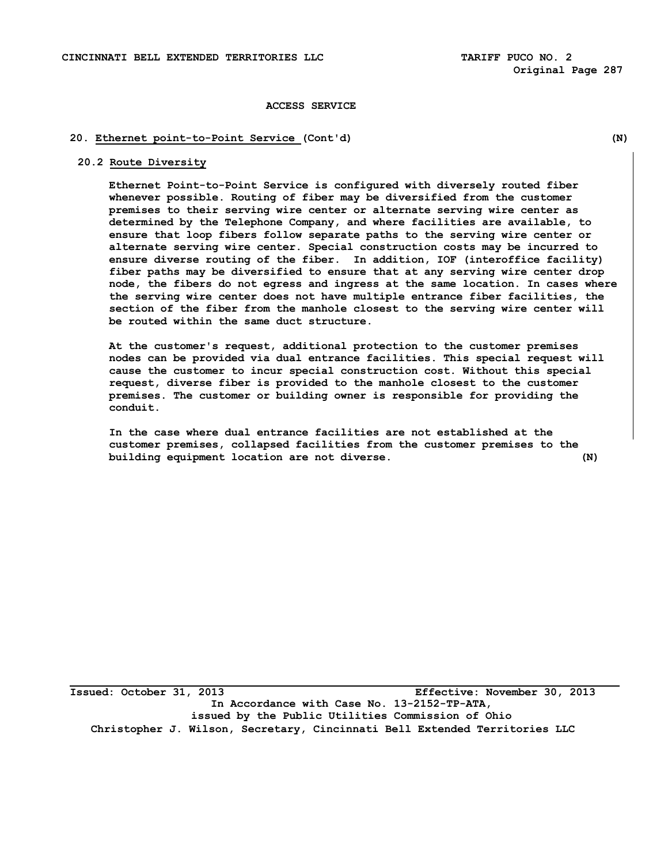## **20. Ethernet point-to-Point Service (Cont'd) (N)**

**20.2 Route Diversity** 

**Ethernet Point-to-Point Service is configured with diversely routed fiber whenever possible. Routing of fiber may be diversified from the customer premises to their serving wire center or alternate serving wire center as determined by the Telephone Company, and where facilities are available, to ensure that loop fibers follow separate paths to the serving wire center or alternate serving wire center. Special construction costs may be incurred to ensure diverse routing of the fiber. In addition, IOF (interoffice facility) fiber paths may be diversified to ensure that at any serving wire center drop node, the fibers do not egress and ingress at the same location. In cases where the serving wire center does not have multiple entrance fiber facilities, the section of the fiber from the manhole closest to the serving wire center will be routed within the same duct structure.** 

**At the customer's request, additional protection to the customer premises nodes can be provided via dual entrance facilities. This special request will cause the customer to incur special construction cost. Without this special request, diverse fiber is provided to the manhole closest to the customer premises. The customer or building owner is responsible for providing the conduit.** 

**In the case where dual entrance facilities are not established at the customer premises, collapsed facilities from the customer premises to the building equipment location are not diverse. (N)**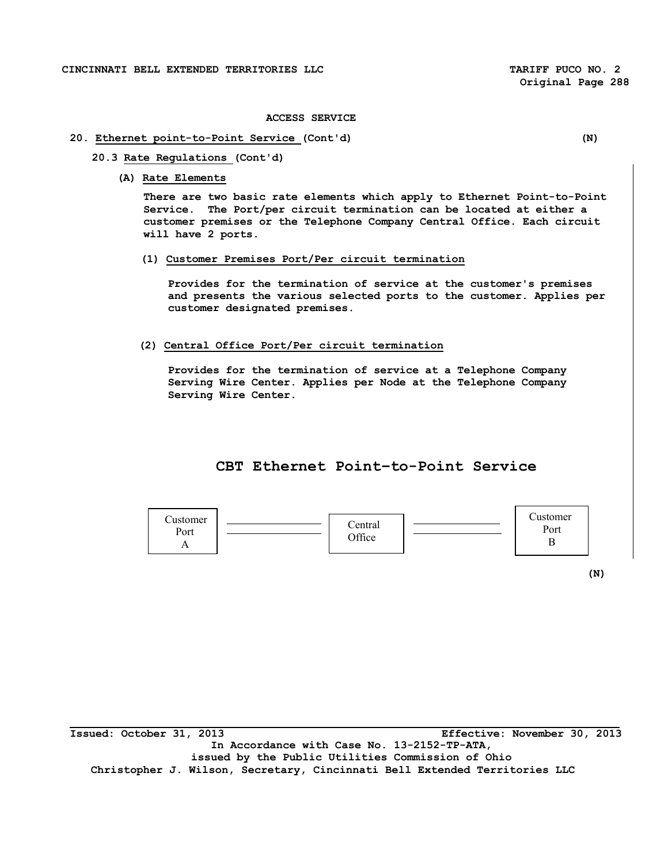## **20. Ethernet point-to-Point Service (Cont'd) (N)**

- **20.3 Rate Regulations (Cont'd)** 
	- **(A) Rate Elements**

**There are two basic rate elements which apply to Ethernet Point-to-Point Service. The Port/per circuit termination can be located at either a customer premises or the Telephone Company Central Office. Each circuit will have 2 ports.** 

**(1) Customer Premises Port/Per circuit termination** 

**Provides for the termination of service at the customer's premises and presents the various selected ports to the customer. Applies per customer designated premises.** 

**(2) Central Office Port/Per circuit termination** 

**Provides for the termination of service at a Telephone Company Serving Wire Center. Applies per Node at the Telephone Company Serving Wire Center.** 

## **CBT Ethernet Point–to-Point Service**



 **(N)**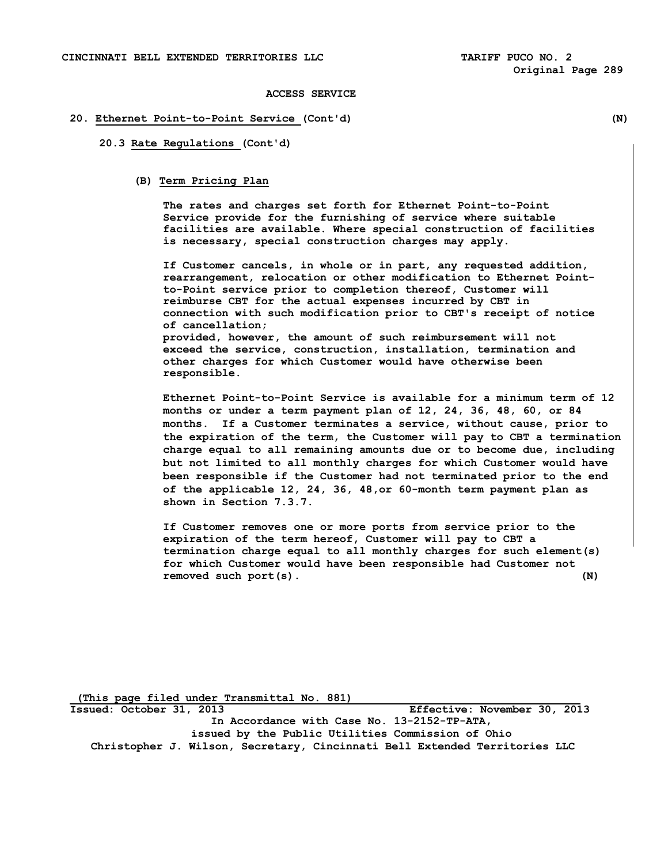## **20. Ethernet Point-to-Point Service (Cont'd) (N)**

**20.3 Rate Regulations (Cont'd)** 

#### **(B) Term Pricing Plan**

 **The rates and charges set forth for Ethernet Point-to-Point Service provide for the furnishing of service where suitable facilities are available. Where special construction of facilities is necessary, special construction charges may apply.** 

 **If Customer cancels, in whole or in part, any requested addition, rearrangement, relocation or other modification to Ethernet Pointto-Point service prior to completion thereof, Customer will reimburse CBT for the actual expenses incurred by CBT in connection with such modification prior to CBT's receipt of notice of cancellation; provided, however, the amount of such reimbursement will not exceed the service, construction, installation, termination and other charges for which Customer would have otherwise been responsible.** 

**Ethernet Point-to-Point Service is available for a minimum term of 12 months or under a term payment plan of 12, 24, 36, 48, 60, or 84 months. If a Customer terminates a service, without cause, prior to the expiration of the term, the Customer will pay to CBT a termination charge equal to all remaining amounts due or to become due, including but not limited to all monthly charges for which Customer would have been responsible if the Customer had not terminated prior to the end of the applicable 12, 24, 36, 48,or 60-month term payment plan as shown in Section 7.3.7.** 

**If Customer removes one or more ports from service prior to the expiration of the term hereof, Customer will pay to CBT a termination charge equal to all monthly charges for such element(s) for which Customer would have been responsible had Customer not removed such port(s). (N)**

 **(This page filed under Transmittal No. 881)**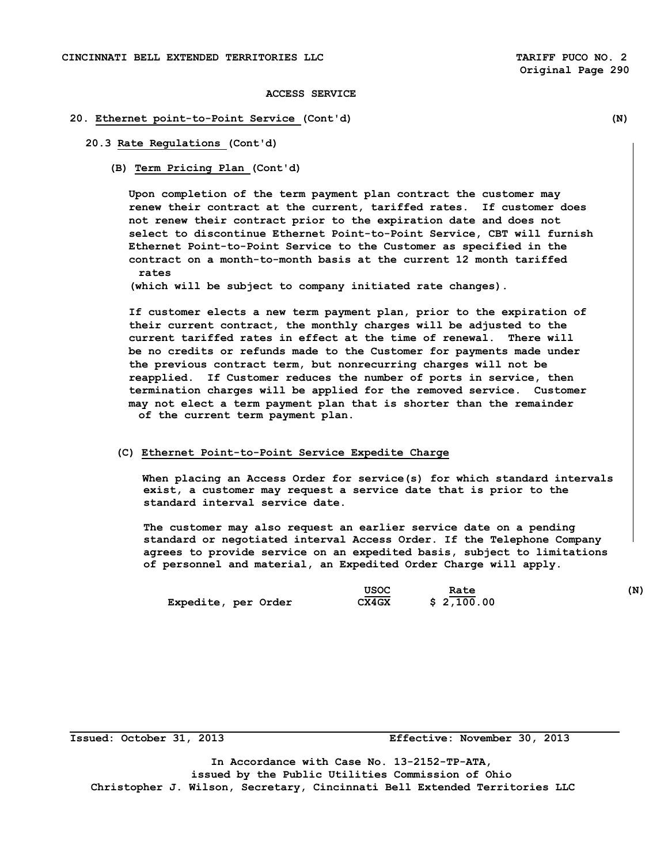## **20. Ethernet point-to-Point Service (Cont'd) (N)**

## **20.3 Rate Regulations (Cont'd)**

**(B) Term Pricing Plan (Cont'd)** 

 **Upon completion of the term payment plan contract the customer may renew their contract at the current, tariffed rates. If customer does not renew their contract prior to the expiration date and does not select to discontinue Ethernet Point-to-Point Service, CBT will furnish Ethernet Point-to-Point Service to the Customer as specified in the contract on a month-to-month basis at the current 12 month tariffed rates** 

 **(which will be subject to company initiated rate changes).** 

 **If customer elects a new term payment plan, prior to the expiration of their current contract, the monthly charges will be adjusted to the current tariffed rates in effect at the time of renewal. There will be no credits or refunds made to the Customer for payments made under the previous contract term, but nonrecurring charges will not be reapplied. If Customer reduces the number of ports in service, then termination charges will be applied for the removed service. Customer may not elect a term payment plan that is shorter than the remainder of the current term payment plan.** 

 **(C) Ethernet Point-to-Point Service Expedite Charge** 

 **When placing an Access Order for service(s) for which standard intervals exist, a customer may request a service date that is prior to the standard interval service date.** 

 **The customer may also request an earlier service date on a pending standard or negotiated interval Access Order. If the Telephone Company agrees to provide service on an expedited basis, subject to limitations of personnel and material, an Expedited Order Charge will apply.** 

|                     | usoc  | Rate       | (N) |
|---------------------|-------|------------|-----|
| Expedite, per Order | CX4GX | \$2,100.00 |     |

**Issued: October 31, 2013 Effective: November 30, 2013** 

**In Accordance with Case No. 13-2152-TP-ATA, issued by the Public Utilities Commission of Ohio Christopher J. Wilson, Secretary, Cincinnati Bell Extended Territories LLC**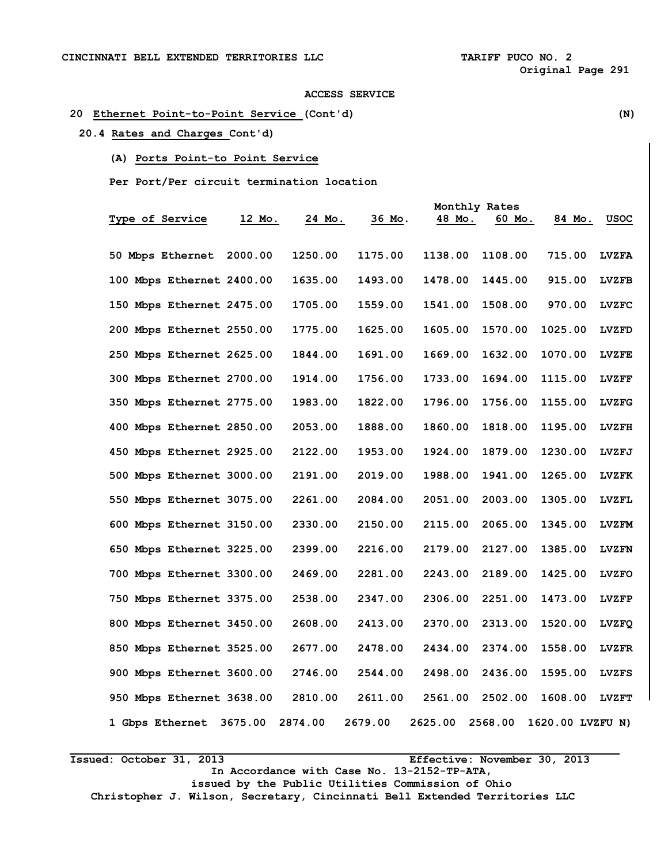## **20 Ethernet Point-to-Point Service (Cont'd) (N)**

 **20.4 Rates and Charges Cont'd)** 

**(A) Ports Point-to Point Service** 

 **Per Port/Per circuit termination location** 

|                           |         |         |         |         | Monthly Rates |                  |              |
|---------------------------|---------|---------|---------|---------|---------------|------------------|--------------|
| Type of Service           | 12 Mo.  | 24 Mo.  | 36 Mo.  | 48 Mo.  | 60 Mo.        | 84 Mo.           | usoc         |
|                           |         |         |         |         |               |                  |              |
| 50 Mbps Ethernet          | 2000.00 | 1250.00 | 1175.00 | 1138.00 | 1108.00       | 715.00           | <b>LVZFA</b> |
| 100 Mbps Ethernet 2400.00 |         | 1635.00 | 1493.00 | 1478.00 | 1445.00       | 915.00           | <b>LVZFB</b> |
| 150 Mbps Ethernet 2475.00 |         | 1705.00 | 1559.00 | 1541.00 | 1508.00       | 970.00           | <b>LVZFC</b> |
| 200 Mbps Ethernet 2550.00 |         | 1775.00 | 1625.00 | 1605.00 | 1570.00       | 1025.00          | <b>LVZFD</b> |
| 250 Mbps Ethernet 2625.00 |         | 1844.00 | 1691.00 | 1669.00 | 1632.00       | 1070.00          | <b>LVZFE</b> |
| 300 Mbps Ethernet 2700.00 |         | 1914.00 | 1756.00 | 1733.00 | 1694.00       | 1115.00          | <b>LVZFF</b> |
| 350 Mbps Ethernet 2775.00 |         | 1983.00 | 1822.00 | 1796.00 | 1756.00       | 1155.00          | LVZFG        |
| 400 Mbps Ethernet 2850.00 |         | 2053.00 | 1888.00 | 1860.00 | 1818.00       | 1195.00          | <b>LVZFH</b> |
| 450 Mbps Ethernet 2925.00 |         | 2122.00 | 1953.00 | 1924.00 | 1879.00       | 1230.00          | LVZFJ        |
| 500 Mbps Ethernet 3000.00 |         | 2191.00 | 2019.00 | 1988.00 | 1941.00       | 1265.00          | <b>LVZFK</b> |
| 550 Mbps Ethernet 3075.00 |         | 2261.00 | 2084.00 | 2051.00 | 2003.00       | 1305.00          | <b>LVZFL</b> |
| 600 Mbps Ethernet 3150.00 |         | 2330.00 | 2150.00 | 2115.00 | 2065.00       | 1345.00          | <b>LVZFM</b> |
| 650 Mbps Ethernet 3225.00 |         | 2399.00 | 2216.00 | 2179.00 | 2127.00       | 1385.00          | <b>LVZFN</b> |
| 700 Mbps Ethernet 3300.00 |         | 2469.00 | 2281.00 | 2243.00 | 2189.00       | 1425.00          | <b>LVZFO</b> |
| 750 Mbps Ethernet 3375.00 |         | 2538.00 | 2347.00 | 2306.00 | 2251.00       | 1473.00          | <b>LVZFP</b> |
| 800 Mbps Ethernet 3450.00 |         | 2608.00 | 2413.00 | 2370.00 | 2313.00       | 1520.00          | <b>LVZFQ</b> |
| 850 Mbps Ethernet 3525.00 |         | 2677.00 | 2478.00 | 2434.00 | 2374.00       | 1558.00          | <b>LVZFR</b> |
| 900 Mbps Ethernet 3600.00 |         | 2746.00 | 2544.00 | 2498.00 | 2436.00       | 1595.00          | <b>LVZFS</b> |
| 950 Mbps Ethernet 3638.00 |         | 2810.00 | 2611.00 | 2561.00 | 2502.00       | 1608.00          | <b>LVZFT</b> |
| 1 Gbps Ethernet           | 3675.00 | 2874.00 | 2679.00 | 2625.00 | 2568.00       | 1620.00 LVZFU N) |              |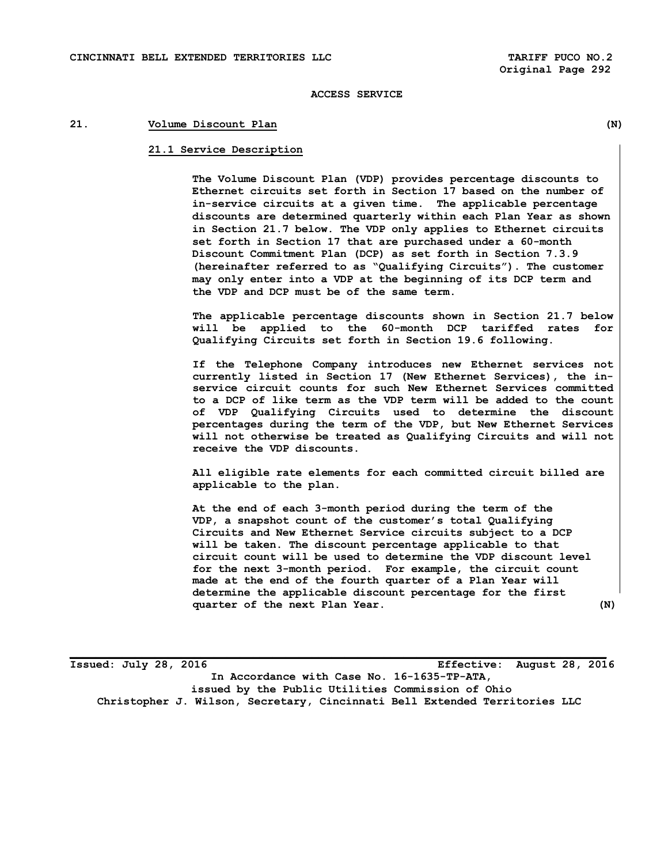## **21. Volume Discount Plan (N)**

#### **21.1 Service Description**

**The Volume Discount Plan (VDP) provides percentage discounts to Ethernet circuits set forth in Section 17 based on the number of in-service circuits at a given time. The applicable percentage discounts are determined quarterly within each Plan Year as shown in Section 21.7 below. The VDP only applies to Ethernet circuits set forth in Section 17 that are purchased under a 60-month Discount Commitment Plan (DCP) as set forth in Section 7.3.9 (hereinafter referred to as "Qualifying Circuits"). The customer may only enter into a VDP at the beginning of its DCP term and the VDP and DCP must be of the same term.** 

**The applicable percentage discounts shown in Section 21.7 below will be applied to the 60-month DCP tariffed rates for Qualifying Circuits set forth in Section 19.6 following.** 

**If the Telephone Company introduces new Ethernet services not currently listed in Section 17 (New Ethernet Services), the inservice circuit counts for such New Ethernet Services committed to a DCP of like term as the VDP term will be added to the count of VDP Qualifying Circuits used to determine the discount percentages during the term of the VDP, but New Ethernet Services will not otherwise be treated as Qualifying Circuits and will not receive the VDP discounts.** 

**All eligible rate elements for each committed circuit billed are applicable to the plan.** 

**At the end of each 3-month period during the term of the VDP, a snapshot count of the customer's total Qualifying Circuits and New Ethernet Service circuits subject to a DCP will be taken. The discount percentage applicable to that circuit count will be used to determine the VDP discount level for the next 3-month period. For example, the circuit count made at the end of the fourth quarter of a Plan Year will determine the applicable discount percentage for the first quarter of the next Plan Year. (N)** 

**Issued: July 28, 2016 Effective: August 28, 2016 In Accordance with Case No. 16-1635-TP-ATA, issued by the Public Utilities Commission of Ohio Christopher J. Wilson, Secretary, Cincinnati Bell Extended Territories LLC**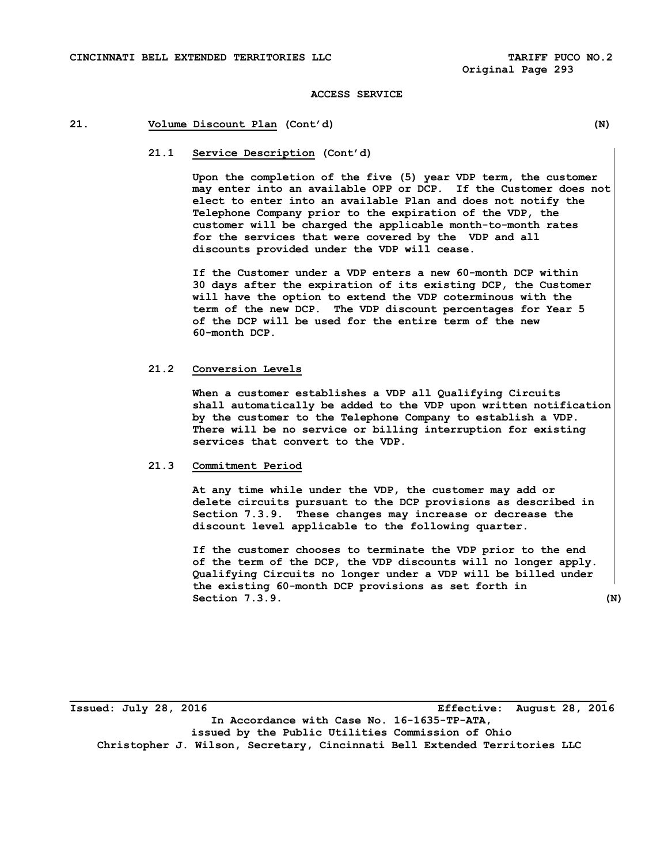## **21. Volume Discount Plan (Cont'd) (N)**

#### **21.1 Service Description (Cont'd)**

**Upon the completion of the five (5) year VDP term, the customer may enter into an available OPP or DCP. If the Customer does not elect to enter into an available Plan and does not notify the Telephone Company prior to the expiration of the VDP, the customer will be charged the applicable month-to-month rates for the services that were covered by the VDP and all discounts provided under the VDP will cease.** 

**If the Customer under a VDP enters a new 60-month DCP within 30 days after the expiration of its existing DCP, the Customer will have the option to extend the VDP coterminous with the term of the new DCP. The VDP discount percentages for Year 5 of the DCP will be used for the entire term of the new 60-month DCP.** 

#### **21.2 Conversion Levels**

**When a customer establishes a VDP all Qualifying Circuits shall automatically be added to the VDP upon written notification by the customer to the Telephone Company to establish a VDP. There will be no service or billing interruption for existing services that convert to the VDP.** 

#### **21.3 Commitment Period**

**At any time while under the VDP, the customer may add or delete circuits pursuant to the DCP provisions as described in Section 7.3.9. These changes may increase or decrease the discount level applicable to the following quarter.** 

**If the customer chooses to terminate the VDP prior to the end of the term of the DCP, the VDP discounts will no longer apply. Qualifying Circuits no longer under a VDP will be billed under the existing 60-month DCP provisions as set forth in Section 7.3.9.** (N)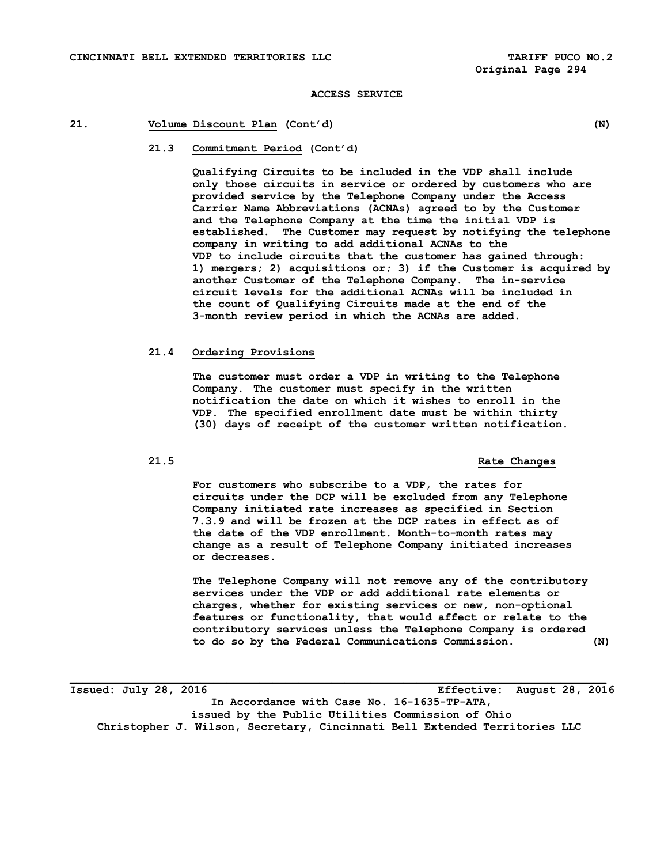## **21. Volume Discount Plan (Cont'd) (N)**

**21.3 Commitment Period (Cont'd)** 

**Qualifying Circuits to be included in the VDP shall include only those circuits in service or ordered by customers who are provided service by the Telephone Company under the Access Carrier Name Abbreviations (ACNAs) agreed to by the Customer and the Telephone Company at the time the initial VDP is established. The Customer may request by notifying the telephone company in writing to add additional ACNAs to the VDP to include circuits that the customer has gained through: 1) mergers; 2) acquisitions or; 3) if the Customer is acquired by another Customer of the Telephone Company. The in-service circuit levels for the additional ACNAs will be included in the count of Qualifying Circuits made at the end of the 3-month review period in which the ACNAs are added.** 

## **21.4 Ordering Provisions**

**The customer must order a VDP in writing to the Telephone Company. The customer must specify in the written notification the date on which it wishes to enroll in the VDP. The specified enrollment date must be within thirty (30) days of receipt of the customer written notification.** 

#### **21.5 Rate Changes**

**For customers who subscribe to a VDP, the rates for circuits under the DCP will be excluded from any Telephone Company initiated rate increases as specified in Section 7.3.9 and will be frozen at the DCP rates in effect as of the date of the VDP enrollment. Month-to-month rates may change as a result of Telephone Company initiated increases or decreases.** 

**The Telephone Company will not remove any of the contributory services under the VDP or add additional rate elements or charges, whether for existing services or new, non-optional features or functionality, that would affect or relate to the contributory services unless the Telephone Company is ordered to do so by the Federal Communications Commission. (N)** 

**Issued: July 28, 2016 Effective: August 28, 2016 In Accordance with Case No. 16-1635-TP-ATA, issued by the Public Utilities Commission of Ohio Christopher J. Wilson, Secretary, Cincinnati Bell Extended Territories LLC**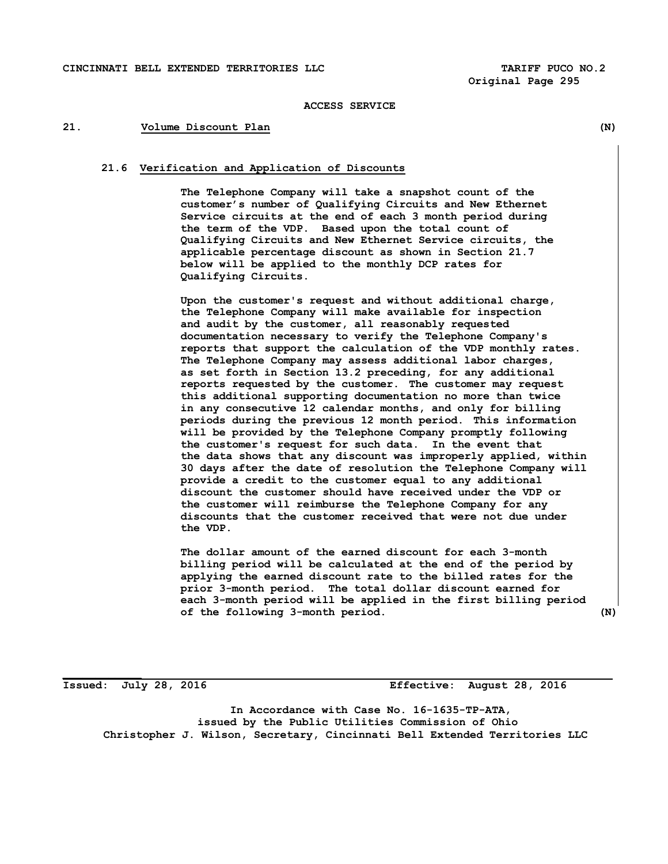## **21. Volume Discount Plan (N)**

## **21.6 Verification and Application of Discounts**

**The Telephone Company will take a snapshot count of the customer's number of Qualifying Circuits and New Ethernet Service circuits at the end of each 3 month period during the term of the VDP. Based upon the total count of Qualifying Circuits and New Ethernet Service circuits, the applicable percentage discount as shown in Section 21.7 below will be applied to the monthly DCP rates for Qualifying Circuits.** 

**Upon the customer's request and without additional charge, the Telephone Company will make available for inspection and audit by the customer, all reasonably requested documentation necessary to verify the Telephone Company's reports that support the calculation of the VDP monthly rates. The Telephone Company may assess additional labor charges, as set forth in Section 13.2 preceding, for any additional reports requested by the customer. The customer may request this additional supporting documentation no more than twice in any consecutive 12 calendar months, and only for billing periods during the previous 12 month period. This information will be provided by the Telephone Company promptly following the customer's request for such data. In the event that the data shows that any discount was improperly applied, within 30 days after the date of resolution the Telephone Company will provide a credit to the customer equal to any additional discount the customer should have received under the VDP or the customer will reimburse the Telephone Company for any discounts that the customer received that were not due under the VDP.** 

**The dollar amount of the earned discount for each 3-month billing period will be calculated at the end of the period by applying the earned discount rate to the billed rates for the prior 3-month period. The total dollar discount earned for each 3-month period will be applied in the first billing period of the following 3-month period. (N)**

**\_\_\_\_\_\_\_\_\_\_\_\_** 

**Issued: July 28, 2016 Effective: August 28, 2016** 

 **In Accordance with Case No. 16-1635-TP-ATA, issued by the Public Utilities Commission of Ohio Christopher J. Wilson, Secretary, Cincinnati Bell Extended Territories LLC**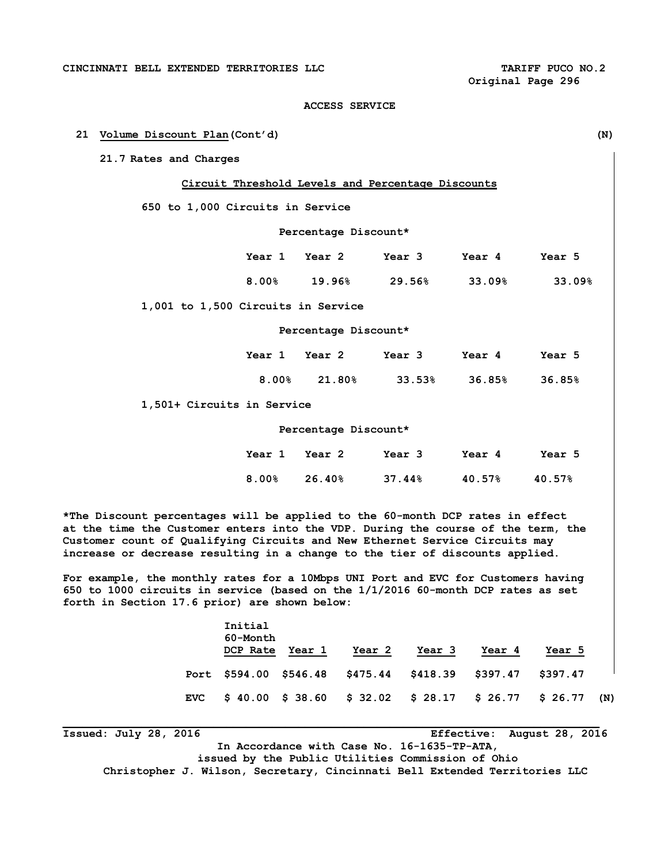#### **21 Volume Discount Plan(Cont'd) (N)**

**21.7 Rates and Charges** 

#### **Circuit Threshold Levels and Percentage Discounts**

**650 to 1,000 Circuits in Service** 

 **Percentage Discount\*** 

|                                    | Year 1 Year 2 |                      | Year 3    | Year 4 | Year 5 |
|------------------------------------|---------------|----------------------|-----------|--------|--------|
|                                    | 8.00%         | 19.96%               | $29.56\%$ | 33.09% | 33.09% |
| 1,001 to 1,500 Circuits in Service |               |                      |           |        |        |
|                                    |               | Percentage Discount* |           |        |        |

 **Year 1 Year 2 Year 3 Year 4 Year 5 8.00% 21.80% 33.53% 36.85% 36.85%** 

**1,501+ Circuits in Service** 

#### **Percentage Discount\***

|  | Year 1 Year 2 Year 3 Year 4              | Year 5 |
|--|------------------------------------------|--------|
|  | $8.00\%$ 26.40\% 37.44\\ 30.57\% 40.57\% |        |

**\*The Discount percentages will be applied to the 60-month DCP rates in effect at the time the Customer enters into the VDP. During the course of the term, the Customer count of Qualifying Circuits and New Ethernet Service Circuits may increase or decrease resulting in a change to the tier of discounts applied.** 

**For example, the monthly rates for a 10Mbps UNI Port and EVC for Customers having 650 to 1000 circuits in service (based on the 1/1/2016 60-month DCP rates as set forth in Section 17.6 prior) are shown below:** 

|            | Initial<br>60-Month<br>DCP Rate | Year 1 | Year 2                                                     | Year 3 | Year 4 | Year 5 |     |
|------------|---------------------------------|--------|------------------------------------------------------------|--------|--------|--------|-----|
|            |                                 |        | Port \$594.00 \$546.48 \$475.44 \$418.39 \$397.47 \$397.47 |        |        |        |     |
| <b>EVC</b> |                                 |        | \$ 40.00 \$ 38.60 \$ 32.02 \$ 28.17 \$ 26.77 \$ 26.77      |        |        |        | (N) |

**Issued: July 28, 2016 Effective: August 28, 2016 In Accordance with Case No. 16-1635-TP-ATA, issued by the Public Utilities Commission of Ohio Christopher J. Wilson, Secretary, Cincinnati Bell Extended Territories LLC**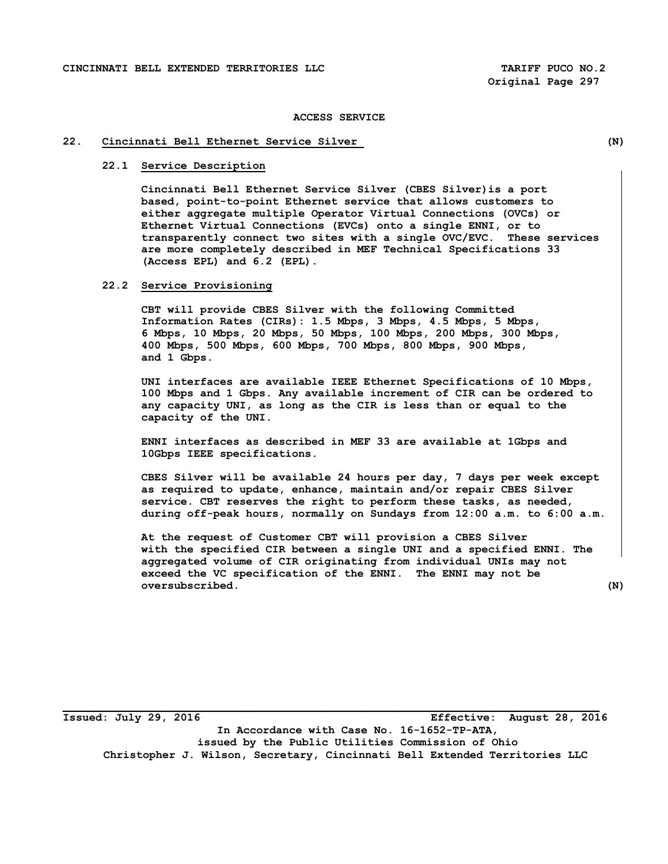#### **22. Cincinnati Bell Ethernet Service Silver (N)**

## **22.1 Service Description**

 **Cincinnati Bell Ethernet Service Silver (CBES Silver)is a port based, point-to-point Ethernet service that allows customers to either aggregate multiple Operator Virtual Connections (OVCs) or Ethernet Virtual Connections (EVCs) onto a single ENNI, or to transparently connect two sites with a single OVC/EVC. These services are more completely described in MEF Technical Specifications 33 (Access EPL) and 6.2 (EPL).** 

#### **22.2 Service Provisioning**

 **CBT will provide CBES Silver with the following Committed Information Rates (CIRs): 1.5 Mbps, 3 Mbps, 4.5 Mbps, 5 Mbps, 6 Mbps, 10 Mbps, 20 Mbps, 50 Mbps, 100 Mbps, 200 Mbps, 300 Mbps, 400 Mbps, 500 Mbps, 600 Mbps, 700 Mbps, 800 Mbps, 900 Mbps, and 1 Gbps.** 

 **UNI interfaces are available IEEE Ethernet Specifications of 10 Mbps, 100 Mbps and 1 Gbps. Any available increment of CIR can be ordered to any capacity UNI, as long as the CIR is less than or equal to the capacity of the UNI.** 

 **ENNI interfaces as described in MEF 33 are available at 1Gbps and 10Gbps IEEE specifications.** 

 **CBES Silver will be available 24 hours per day, 7 days per week except as required to update, enhance, maintain and/or repair CBES Silver service. CBT reserves the right to perform these tasks, as needed, during off-peak hours, normally on Sundays from 12:00 a.m. to 6:00 a.m.** 

 **At the request of Customer CBT will provision a CBES Silver with the specified CIR between a single UNI and a specified ENNI. The aggregated volume of CIR originating from individual UNIs may not exceed the VC specification of the ENNI. The ENNI may not be oversubscribed. (N)**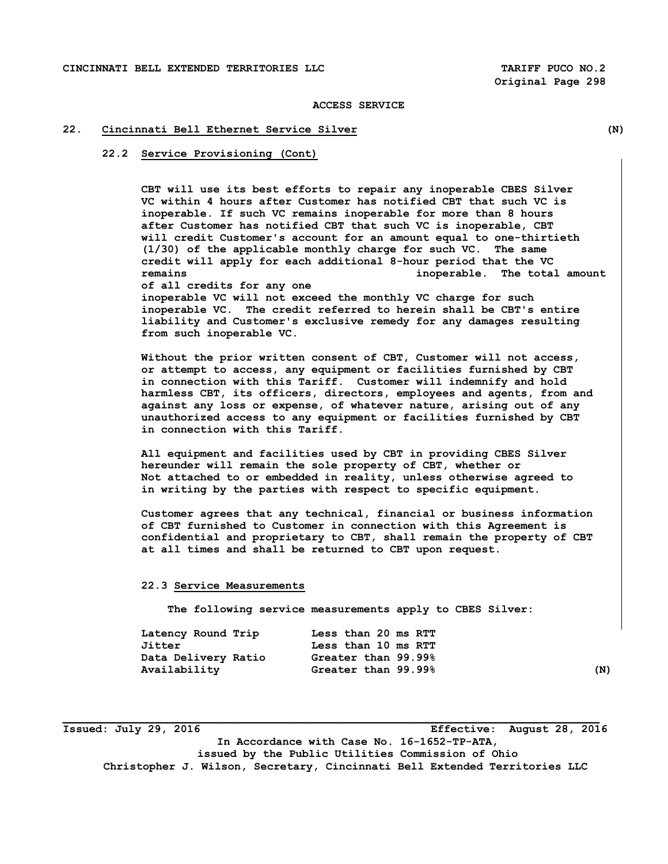#### **22. Cincinnati Bell Ethernet Service Silver (N)**

 **22.2 Service Provisioning (Cont)** 

 **CBT will use its best efforts to repair any inoperable CBES Silver VC within 4 hours after Customer has notified CBT that such VC is inoperable. If such VC remains inoperable for more than 8 hours after Customer has notified CBT that such VC is inoperable, CBT will credit Customer's account for an amount equal to one-thirtieth (1/30) of the applicable monthly charge for such VC. The same credit will apply for each additional 8-hour period that the VC remains inoperable. The total amount of all credits for any one inoperable VC will not exceed the monthly VC charge for such inoperable VC. The credit referred to herein shall be CBT's entire liability and Customer's exclusive remedy for any damages resulting from such inoperable VC.** 

 **Without the prior written consent of CBT, Customer will not access, or attempt to access, any equipment or facilities furnished by CBT in connection with this Tariff. Customer will indemnify and hold harmless CBT, its officers, directors, employees and agents, from and against any loss or expense, of whatever nature, arising out of any unauthorized access to any equipment or facilities furnished by CBT in connection with this Tariff.** 

 **All equipment and facilities used by CBT in providing CBES Silver hereunder will remain the sole property of CBT, whether or Not attached to or embedded in reality, unless otherwise agreed to in writing by the parties with respect to specific equipment.** 

 **Customer agrees that any technical, financial or business information of CBT furnished to Customer in connection with this Agreement is confidential and proprietary to CBT, shall remain the property of CBT at all times and shall be returned to CBT upon request.** 

#### **22.3 Service Measurements**

 **The following service measurements apply to CBES Silver:** 

| Latency Round Trip  | Less than 20 ms RTT |     |
|---------------------|---------------------|-----|
| Jitter              | Less than 10 ms RTT |     |
| Data Delivery Ratio | Greater than 99.99% |     |
| Availability        | Greater than 99.99% | (N) |

**Issued: July 29, 2016 Effective: August 28, 2016** 

**In Accordance with Case No. 16-1652-TP-ATA, issued by the Public Utilities Commission of Ohio** 

**Christopher J. Wilson, Secretary, Cincinnati Bell Extended Territories LLC**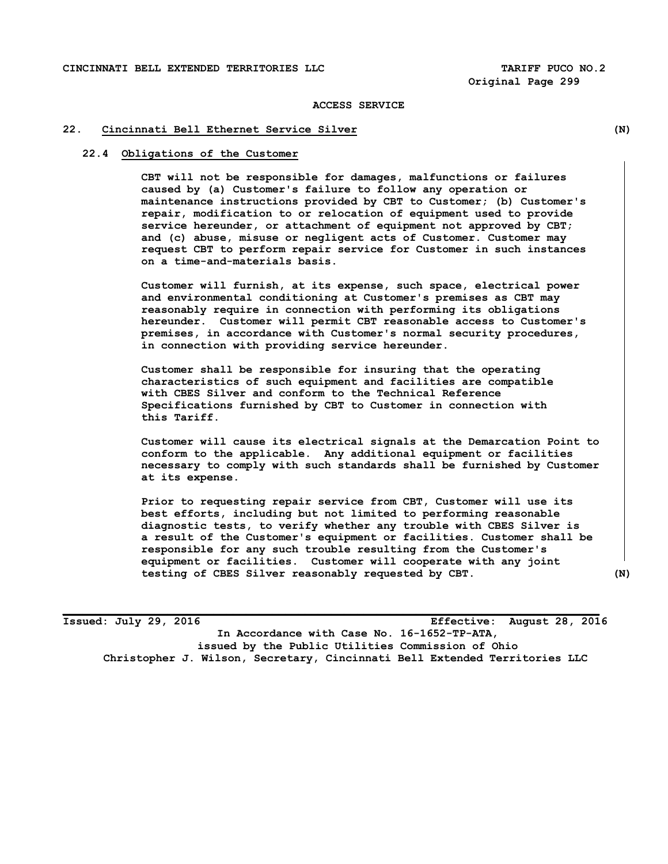#### **22. Cincinnati Bell Ethernet Service Silver (N)**

#### **22.4 Obligations of the Customer**

**CBT will not be responsible for damages, malfunctions or failures caused by (a) Customer's failure to follow any operation or maintenance instructions provided by CBT to Customer; (b) Customer's repair, modification to or relocation of equipment used to provide service hereunder, or attachment of equipment not approved by CBT; and (c) abuse, misuse or negligent acts of Customer. Customer may request CBT to perform repair service for Customer in such instances on a time-and-materials basis.** 

 **Customer will furnish, at its expense, such space, electrical power and environmental conditioning at Customer's premises as CBT may reasonably require in connection with performing its obligations hereunder. Customer will permit CBT reasonable access to Customer's premises, in accordance with Customer's normal security procedures, in connection with providing service hereunder.** 

 **Customer shall be responsible for insuring that the operating characteristics of such equipment and facilities are compatible with CBES Silver and conform to the Technical Reference Specifications furnished by CBT to Customer in connection with this Tariff.** 

 **Customer will cause its electrical signals at the Demarcation Point to conform to the applicable. Any additional equipment or facilities necessary to comply with such standards shall be furnished by Customer at its expense.** 

 **Prior to requesting repair service from CBT, Customer will use its best efforts, including but not limited to performing reasonable diagnostic tests, to verify whether any trouble with CBES Silver is a result of the Customer's equipment or facilities. Customer shall be responsible for any such trouble resulting from the Customer's equipment or facilities. Customer will cooperate with any joint testing of CBES Silver reasonably requested by CBT. (N)**

**Issued: July 29, 2016 Effective: August 28, 2016 In Accordance with Case No. 16-1652-TP-ATA, issued by the Public Utilities Commission of Ohio Christopher J. Wilson, Secretary, Cincinnati Bell Extended Territories LLC**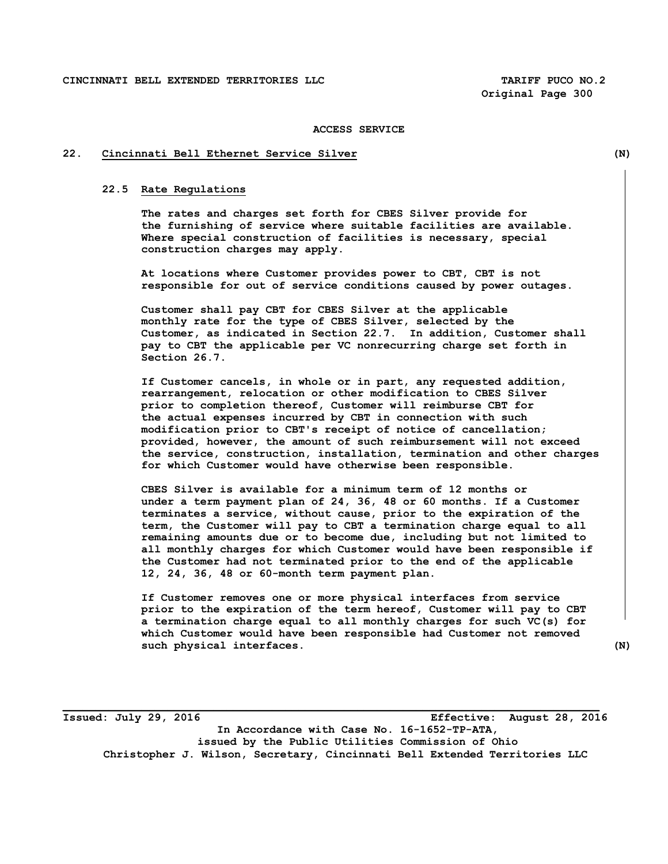## **22. Cincinnati Bell Ethernet Service Silver (N)**

#### **22.5 Rate Regulations**

 **The rates and charges set forth for CBES Silver provide for the furnishing of service where suitable facilities are available. Where special construction of facilities is necessary, special construction charges may apply.** 

 **At locations where Customer provides power to CBT, CBT is not responsible for out of service conditions caused by power outages.** 

 **Customer shall pay CBT for CBES Silver at the applicable monthly rate for the type of CBES Silver, selected by the Customer, as indicated in Section 22.7. In addition, Customer shall pay to CBT the applicable per VC nonrecurring charge set forth in Section 26.7.** 

 **If Customer cancels, in whole or in part, any requested addition, rearrangement, relocation or other modification to CBES Silver prior to completion thereof, Customer will reimburse CBT for the actual expenses incurred by CBT in connection with such modification prior to CBT's receipt of notice of cancellation; provided, however, the amount of such reimbursement will not exceed the service, construction, installation, termination and other charges for which Customer would have otherwise been responsible.** 

 **CBES Silver is available for a minimum term of 12 months or under a term payment plan of 24, 36, 48 or 60 months. If a Customer terminates a service, without cause, prior to the expiration of the term, the Customer will pay to CBT a termination charge equal to all remaining amounts due or to become due, including but not limited to all monthly charges for which Customer would have been responsible if the Customer had not terminated prior to the end of the applicable 12, 24, 36, 48 or 60-month term payment plan.** 

 **If Customer removes one or more physical interfaces from service prior to the expiration of the term hereof, Customer will pay to CBT a termination charge equal to all monthly charges for such VC(s) for which Customer would have been responsible had Customer not removed such physical interfaces. (N)** 

**Issued: July 29, 2016 Effective: August 28, 2016 In Accordance with Case No. 16-1652-TP-ATA, issued by the Public Utilities Commission of Ohio Christopher J. Wilson, Secretary, Cincinnati Bell Extended Territories LLC**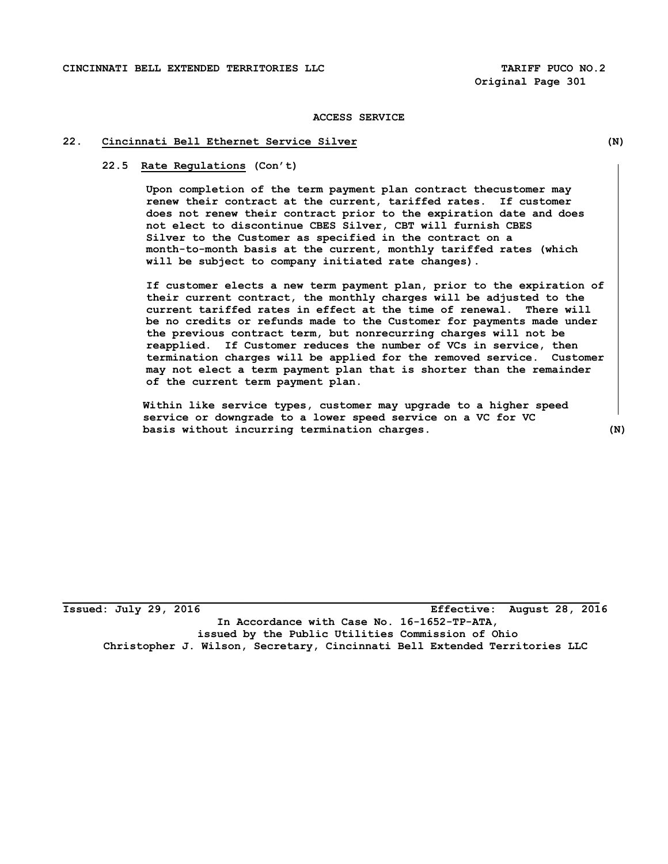#### **22. Cincinnati Bell Ethernet Service Silver (N)**

#### **22.5 Rate Regulations (Con't)**

**Upon completion of the term payment plan contract thecustomer may renew their contract at the current, tariffed rates. If customer does not renew their contract prior to the expiration date and does not elect to discontinue CBES Silver, CBT will furnish CBES Silver to the Customer as specified in the contract on a month-to-month basis at the current, monthly tariffed rates (which will be subject to company initiated rate changes).** 

**If customer elects a new term payment plan, prior to the expiration of their current contract, the monthly charges will be adjusted to the current tariffed rates in effect at the time of renewal. There will be no credits or refunds made to the Customer for payments made under the previous contract term, but nonrecurring charges will not be reapplied. If Customer reduces the number of VCs in service, then termination charges will be applied for the removed service. Customer may not elect a term payment plan that is shorter than the remainder of the current term payment plan.** 

 **Within like service types, customer may upgrade to a higher speed service or downgrade to a lower speed service on a VC for VC basis without incurring termination charges. (N)** 

**Issued: July 29, 2016 Effective: August 28, 2016 In Accordance with Case No. 16-1652-TP-ATA, issued by the Public Utilities Commission of Ohio Christopher J. Wilson, Secretary, Cincinnati Bell Extended Territories LLC**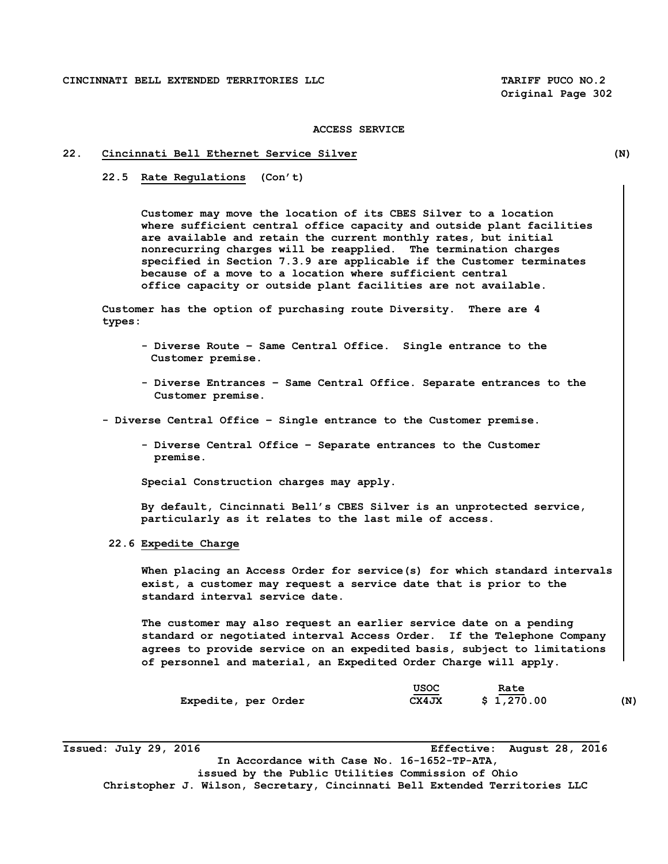#### **22. Cincinnati Bell Ethernet Service Silver (N)**

 **22.5 Rate Regulations (Con't)** 

**Customer may move the location of its CBES Silver to a location where sufficient central office capacity and outside plant facilities are available and retain the current monthly rates, but initial nonrecurring charges will be reapplied. The termination charges specified in Section 7.3.9 are applicable if the Customer terminates because of a move to a location where sufficient central office capacity or outside plant facilities are not available.** 

 **Customer has the option of purchasing route Diversity. There are 4 types:**

- **Diverse Route Same Central Office. Single entrance to the Customer premise.**
- **Diverse Entrances Same Central Office. Separate entrances to the Customer premise.**

 **- Diverse Central Office – Single entrance to the Customer premise.** 

 **- Diverse Central Office – Separate entrances to the Customer premise.**

 **Special Construction charges may apply.**

 **By default, Cincinnati Bell's CBES Silver is an unprotected service, particularly as it relates to the last mile of access.** 

 **22.6 Expedite Charge** 

 **When placing an Access Order for service(s) for which standard intervals exist, a customer may request a service date that is prior to the standard interval service date.** 

 **The customer may also request an earlier service date on a pending standard or negotiated interval Access Order. If the Telephone Company agrees to provide service on an expedited basis, subject to limitations of personnel and material, an Expedited Order Charge will apply.** 

|                     | USOC  | Rate       |     |
|---------------------|-------|------------|-----|
| Expedite, per Order | CX4JX | \$1,270.00 | (N) |

**Issued: July 29, 2016 Effective: August 28, 2016 In Accordance with Case No. 16-1652-TP-ATA, issued by the Public Utilities Commission of Ohio Christopher J. Wilson, Secretary, Cincinnati Bell Extended Territories LLC**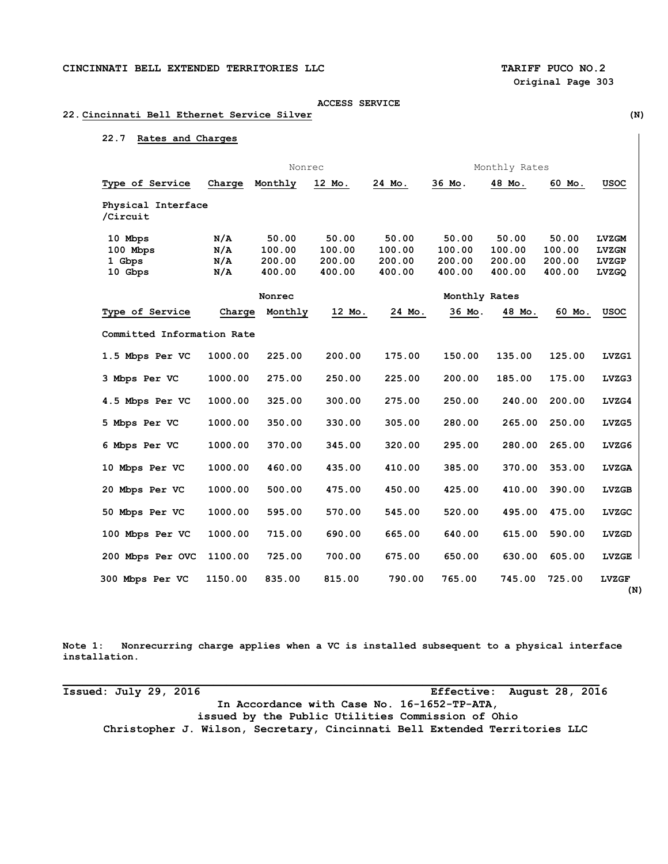#### **22. Cincinnati Bell Ethernet Service Silver (N)**

## **22.7 Rates and Charges**

|                                          | Nonrec                   |                                     |                                     | Monthly Rates                       |                                     |                                     |                                     |                                                       |
|------------------------------------------|--------------------------|-------------------------------------|-------------------------------------|-------------------------------------|-------------------------------------|-------------------------------------|-------------------------------------|-------------------------------------------------------|
| Type of Service                          | Charge                   | Monthly                             | 12 Mo.                              | 24 Mo.                              | 36 Mo.                              | 48 Mo.                              | 60 Mo.                              | <b>USOC</b>                                           |
| Physical Interface<br>/Circuit           |                          |                                     |                                     |                                     |                                     |                                     |                                     |                                                       |
| 10 Mbps<br>100 Mbps<br>1 Gbps<br>10 Gbps | N/A<br>N/A<br>N/A<br>N/A | 50.00<br>100.00<br>200.00<br>400.00 | 50.00<br>100.00<br>200.00<br>400.00 | 50.00<br>100.00<br>200.00<br>400.00 | 50.00<br>100.00<br>200.00<br>400.00 | 50.00<br>100.00<br>200.00<br>400.00 | 50.00<br>100.00<br>200.00<br>400.00 | <b>LVZGM</b><br><b>LVZGN</b><br><b>LVZGP</b><br>LVZGQ |
|                                          |                          | Nonrec                              |                                     |                                     | Monthly Rates                       |                                     |                                     |                                                       |
| Type of Service                          | Charge                   | Monthly                             | 12 Mo.                              | 24 Mo.                              | 36 Mo.                              | 48 Mo.                              | 60 Mo.                              | <b>USOC</b>                                           |
| Committed Information Rate               |                          |                                     |                                     |                                     |                                     |                                     |                                     |                                                       |
| 1.5 Mbps Per VC                          | 1000.00                  | 225.00                              | 200.00                              | 175.00                              | 150.00                              | 135.00                              | 125.00                              | LVZG1                                                 |
| 3 Mbps Per VC                            | 1000.00                  | 275.00                              | 250.00                              | 225.00                              | 200.00                              | 185.00                              | 175.00                              | LVZG3                                                 |
| 4.5 Mbps Per VC                          | 1000.00                  | 325.00                              | 300.00                              | 275.00                              | 250.00                              | 240.00                              | 200.00                              | LVZG4                                                 |
| 5 Mbps Per VC                            | 1000.00                  | 350.00                              | 330.00                              | 305.00                              | 280.00                              | 265.00                              | 250.00                              | LVZG5                                                 |
| 6 Mbps Per VC                            | 1000.00                  | 370.00                              | 345.00                              | 320.00                              | 295.00                              | 280.00                              | 265.00                              | LVZG6                                                 |
| 10 Mbps Per VC                           | 1000.00                  | 460.00                              | 435.00                              | 410.00                              | 385.00                              | 370.00                              | 353.00                              | <b>LVZGA</b>                                          |
| 20 Mbps Per VC                           | 1000.00                  | 500.00                              | 475.00                              | 450.00                              | 425.00                              | 410.00                              | 390.00                              | <b>LVZGB</b>                                          |
| 50 Mbps Per VC                           | 1000.00                  | 595.00                              | 570.00                              | 545.00                              | 520.00                              | 495.00                              | 475.00                              | <b>LVZGC</b>                                          |
| 100 Mbps Per VC                          | 1000.00                  | 715.00                              | 690.00                              | 665.00                              | 640.00                              | 615.00                              | 590.00                              | LVZGD                                                 |
| 200 Mbps Per OVC                         | 1100.00                  | 725.00                              | 700.00                              | 675.00                              | 650.00                              | 630.00                              | 605.00                              | <b>LVZGE</b>                                          |
| 300 Mbps Per VC                          | 1150.00                  | 835.00                              | 815.00                              | 790.00                              | 765.00                              | 745.00                              | 725.00                              | <b>LVZGF</b>                                          |

**Note 1: Nonrecurring charge applies when a VC is installed subsequent to a physical interface installation.** 

**Issued: July 29, 2016 Effective: August 28, 2016 In Accordance with Case No. 16-1652-TP-ATA, issued by the Public Utilities Commission of Ohio Christopher J. Wilson, Secretary, Cincinnati Bell Extended Territories LLC**